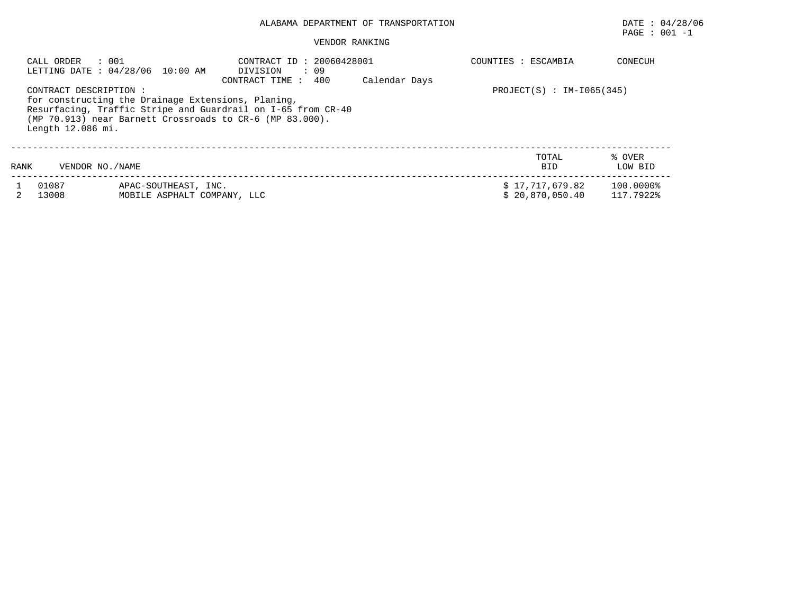# ALABAMA DEPARTMENT OF TRANSPORTATION DATE : 04/28/06

# $\texttt{PAGE}$  : 001 -1

#### VENDOR RANKING

|      | CALL ORDER<br>: 001                         | LETTING DATE : 04/28/06 10:00 AM                                                                                                                                               | CONTRACT ID: 20060428001<br>DIVISION<br>: 09<br>400<br>CONTRACT TIME : | Calendar Days | COUNTIES : ESCAMBIA                | CONECUH                |
|------|---------------------------------------------|--------------------------------------------------------------------------------------------------------------------------------------------------------------------------------|------------------------------------------------------------------------|---------------|------------------------------------|------------------------|
|      | CONTRACT DESCRIPTION :<br>Length 12.086 mi. | for constructing the Drainage Extensions, Planing,<br>Resurfacing, Traffic Stripe and Guardrail on I-65 from CR-40<br>(MP 70.913) near Barnett Crossroads to CR-6 (MP 83.000). | $PROJECT(S) : IM-I065(345)$                                            |               |                                    |                        |
| RANK | VENDOR NO. / NAME                           |                                                                                                                                                                                |                                                                        |               | TOTAL<br><b>BID</b>                | % OVER<br>LOW BID      |
|      | 01087<br>13008                              | APAC-SOUTHEAST, INC.<br>MOBILE ASPHALT COMPANY, LLC                                                                                                                            |                                                                        |               | \$17,717,679.82<br>\$20,870,050.40 | 100.0000%<br>117.7922% |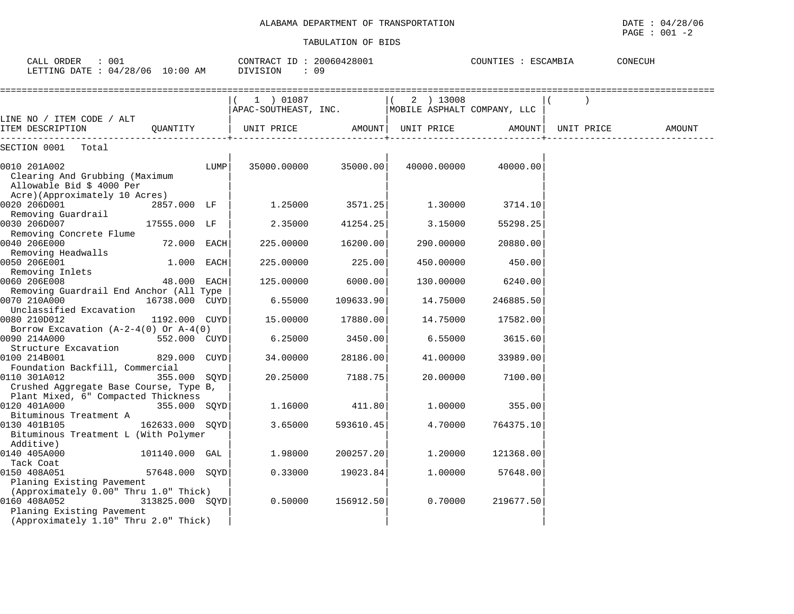| CALL ORDER : 001<br>LETTING DATE : 04/28/06 10:00 AM                               |                 |      | CONTRACT ID: 20060428001<br>DIVISION                         | : 09                 |             | COUNTIES : ESCAMBIA |            | CONECUH |        |
|------------------------------------------------------------------------------------|-----------------|------|--------------------------------------------------------------|----------------------|-------------|---------------------|------------|---------|--------|
|                                                                                    |                 |      | 1) 01087<br>APAC-SOUTHEAST, INC. MOBILE ASPHALT COMPANY, LLC |                      | $(2)$ 13008 |                     |            |         |        |
| LINE NO / ITEM CODE / ALT<br>ITEM DESCRIPTION                                      | OUANTITY        |      | UNIT PRICE AMOUNT UNIT PRICE                                 |                      |             | <b>AMOUNT</b>       | UNIT PRICE |         | AMOUNT |
| SECTION 0001 Total                                                                 |                 |      |                                                              |                      |             |                     |            |         |        |
| 0010 201A002<br>Clearing And Grubbing (Maximum<br>Allowable Bid \$ 4000 Per        |                 | LUMP |                                                              | 35000.00000 35000.00 | 40000.00000 | 40000.00            |            |         |        |
| Acre)(Approximately 10 Acres)<br>0020 206D001<br>Removing Guardrail                | 2857.000 LF     |      | 1.25000                                                      | 3571.25              | 1.30000     | 3714.10             |            |         |        |
| 0030 206D007<br>Removing Concrete Flume                                            | 17555.000 LF    |      | 2.35000                                                      | 41254.25             | 3.15000     | 55298.25            |            |         |        |
| 0040 206E000<br>Removing Headwalls                                                 | 72.000 EACH     |      | 225.00000                                                    | 16200.00             | 290.00000   | 20880.00            |            |         |        |
| 0050 206E001<br>Removing Inlets                                                    | 1.000 EACH      |      | 225.00000                                                    | 225.00               | 450.00000   | 450.00              |            |         |        |
| 0060 206E008<br>Removing Guardrail End Anchor (All Type                            | 48.000 EACH     |      | 125.00000                                                    | 6000.00              | 130.00000   | 6240.00             |            |         |        |
| 0070 210A000<br>Unclassified Excavation                                            | 16738.000 CUYD  |      | 6.55000                                                      | 109633.90            | 14.75000    | 246885.50           |            |         |        |
| 0080 210D012<br>Borrow Excavation $(A-2-4(0)$ Or $A-4(0)$                          | 1192.000 CUYD   |      | 15.00000                                                     | 17880.00             | 14.75000    | 17582.00            |            |         |        |
| 0090 214A000<br>Structure Excavation                                               | 552.000 CUYD    |      | 6.25000                                                      | 3450.00              | 6.55000     | 3615.60             |            |         |        |
| 0100 214B001<br>Foundation Backfill, Commercial                                    | 829.000 CUYD    |      | 34.00000                                                     | 28186.00             | 41,00000    | 33989.00            |            |         |        |
| 0110 301A012<br>Crushed Aggregate Base Course, Type B,                             | 355.000 SQYD    |      | 20.25000                                                     | 7188.75              | 20,00000    | 7100.00             |            |         |        |
| Plant Mixed, 6" Compacted Thickness<br>0120 401A000                                | 355.000 SOYD    |      | 1.16000                                                      | 411.80               | 1,00000     | 355.00              |            |         |        |
| Bituminous Treatment A<br>0130 401B105<br>Bituminous Treatment L (With Polymer     | 162633.000 SOYD |      | 3.65000                                                      | 593610.45            | 4.70000     | 764375.10           |            |         |        |
| Additive)<br>0140 405A000                                                          | 101140.000 GAL  |      | 1.98000                                                      | 200257.20            | 1,20000     | 121368.00           |            |         |        |
| Tack Coat<br>0150 408A051<br>Planing Existing Pavement                             | 57648.000 SQYD  |      | 0.33000                                                      | 19023.84             | 1.00000     | 57648.00            |            |         |        |
| (Approximately 0.00" Thru 1.0" Thick)<br>0160 408A052<br>Planing Existing Pavement | 313825.000 SOYD |      | 0.50000                                                      | 156912.50            | 0.70000     | 219677.50           |            |         |        |
| (Approximately 1.10" Thru 2.0" Thick)                                              |                 |      |                                                              |                      |             |                     |            |         |        |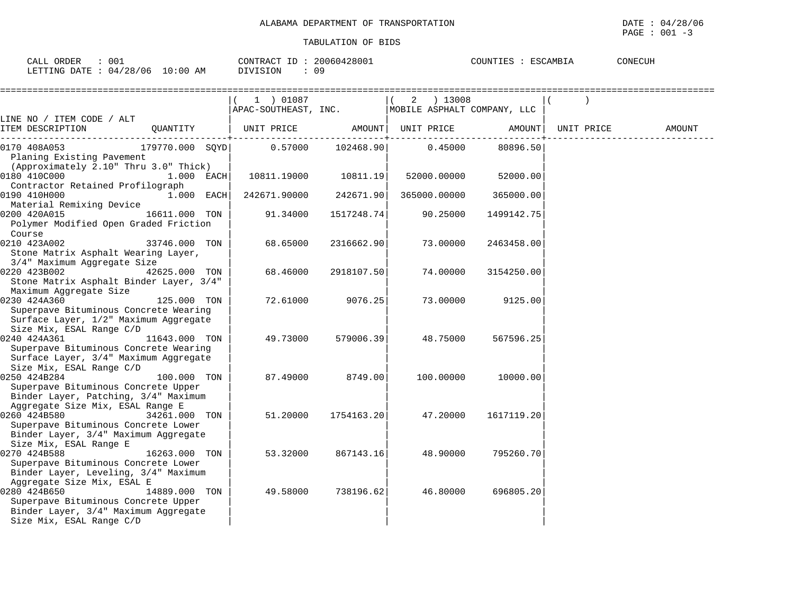| CALL ORDER : 001<br>LETTING DATE : 04/28/06 10:00 AM DIVISION                                                                   |               | CONTRACT ID: 20060428001<br>$\therefore$ 09                     |                  |                                  | COUNTIES : ESCAMBIA | CONECUH |
|---------------------------------------------------------------------------------------------------------------------------------|---------------|-----------------------------------------------------------------|------------------|----------------------------------|---------------------|---------|
|                                                                                                                                 |               | $(1)$ 01087<br>APAC-SOUTHEAST, INC. MOBILE ASPHALT COMPANY, LLC |                  | $(2)$ 13008                      |                     |         |
| LINE NO / ITEM CODE / ALT                                                                                                       |               |                                                                 |                  |                                  |                     | AMOUNT  |
| 0170 408A053<br>Planing Existing Pavement<br>(Approximately 2.10" Thru 3.0" Thick)                                              |               | $179770.000$ SQYD 0.57000 102468.90                             |                  | 0.45000                          | 80896.50            |         |
| 0180 410C000 1.000 EACH<br>Contractor Retained Profilograph                                                                     |               |                                                                 |                  | 10811.19000 10811.19 52000.00000 | 52000.00            |         |
| 0190 410H000<br>Material Remixing Device                                                                                        | $1.000$ EACH  | 242671.90000                                                    | 242671.90        | 365000.00000                     | 365000.00           |         |
| 0200 420A015<br>Polymer Modified Open Graded Friction<br>Course                                                                 | 16611.000 TON | 91.34000                                                        | 1517248.74       | 90.25000                         | 1499142.75          |         |
| 0210 423A002<br>33746.000 TON<br>Stone Matrix Asphalt Wearing Layer,<br>3/4" Maximum Aggregate Size                             |               | 68.65000                                                        | 2316662.90       | 73.00000                         | 2463458.00          |         |
| 0220 423B002<br>Stone Matrix Asphalt Binder Layer, 3/4"<br>Maximum Aggregate Size                                               | 42625.000 TON | 68.46000                                                        | 2918107.50       | 74.00000                         | 3154250.00          |         |
| 0230 424A360<br>Superpave Bituminous Concrete Wearing<br>Surface Layer, 1/2" Maximum Aggregate<br>Size Mix, ESAL Range C/D      | 125.000 TON   |                                                                 | 72.61000 9076.25 | 73.00000                         | 9125.00             |         |
| 0240 424A361<br>Superpave Bituminous Concrete Wearing<br>Surface Layer, 3/4" Maximum Aggregate<br>Size Mix, ESAL Range C/D      | 11643.000 TON | 49.73000                                                        | 579006.39        | 48.75000                         | 567596.25           |         |
| 0250 424B284<br>Superpave Bituminous Concrete Upper<br>Binder Layer, Patching, 3/4" Maximum<br>Aggregate Size Mix, ESAL Range E | 100.000 TON   |                                                                 | 87.49000 8749.00 | 100.00000                        | 10000.00            |         |
| 0260 424B580<br>Superpave Bituminous Concrete Lower<br>Binder Layer, 3/4" Maximum Aggregate<br>Size Mix, ESAL Range E           | 34261.000 TON | 51.20000                                                        | 1754163.20       | 47.20000                         | 1617119.20          |         |
| 0270 424B588<br>Superpave Bituminous Concrete Lower<br>Binder Layer, Leveling, 3/4" Maximum<br>Aggregate Size Mix, ESAL E       | 16263.000 TON | 53.32000                                                        | 867143.16        | 48.90000                         | 795260.70           |         |
| 0280 424B650<br>Superpave Bituminous Concrete Upper<br>Binder Layer, 3/4" Maximum Aggregate<br>Size Mix, ESAL Range C/D         | 14889.000 TON | 49.58000                                                        | 738196.62        | 46.80000                         | 696805.20           |         |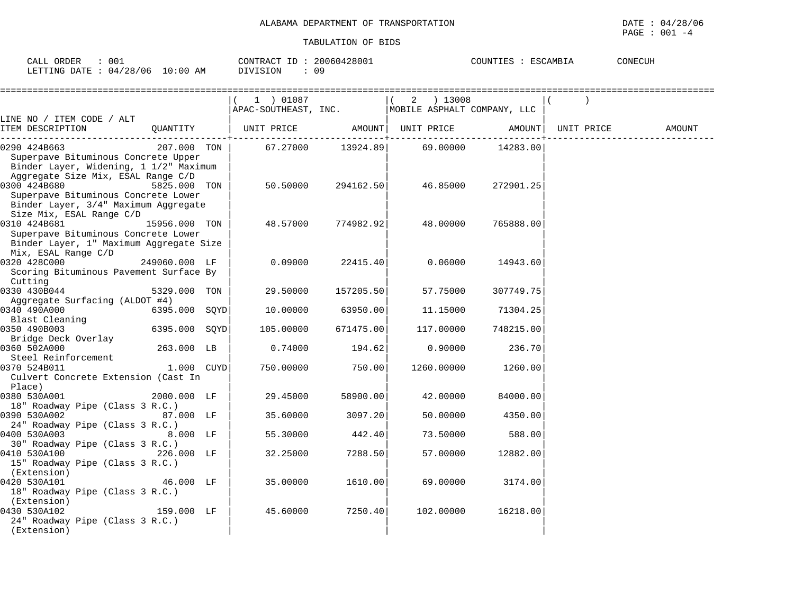| 001<br>CALL ORDER                    | 20060428001<br>CONTRACT ID | CONECUH<br>ESCAMBIA<br>COUNTIES |
|--------------------------------------|----------------------------|---------------------------------|
| LETTING DATE: 04/28/06<br>$10:00$ AM | DIVISION<br>09             |                                 |

|                                                                                                                                        |               | 1 ) 01087<br>APAC-SOUTHEAST, INC.   MOBILE ASPHALT COMPANY, LLC |                           | $(2)$ 13008                           |           |            |        |
|----------------------------------------------------------------------------------------------------------------------------------------|---------------|-----------------------------------------------------------------|---------------------------|---------------------------------------|-----------|------------|--------|
| LINE NO / ITEM CODE / ALT<br>ITEM DESCRIPTION                                                                                          | OUANTITY      |                                                                 | $- - - - - - - - - - - -$ | UNIT PRICE AMOUNT   UNIT PRICE AMOUNT |           | UNIT PRICE | AMOUNT |
| 0290 424B663<br>Superpave Bituminous Concrete Upper<br>Binder Layer, Widening, 1 1/2" Maximum<br>Aggregate Size Mix, ESAL Range C/D    | 207.000 TON   | 67.27000                                                        | 13924.89                  | 69.00000                              | 14283.00  |            |        |
| 0300 424B680<br>Superpave Bituminous Concrete Lower<br>Binder Layer, 3/4" Maximum Aggregate<br>Size Mix, ESAL Range C/D                | 5825.000 TON  | 50.50000                                                        | 294162.50                 | 46.85000                              | 272901.25 |            |        |
| 0310 424B681<br>15956.000 TON<br>Superpave Bituminous Concrete Lower<br>Binder Layer, 1" Maximum Aggregate Size<br>Mix, ESAL Range C/D |               | 48.57000                                                        | 774982.92                 | 48.00000                              | 765888.00 |            |        |
| 0320 428C000<br>Scoring Bituminous Pavement Surface By<br>Cutting                                                                      | 249060.000 LF | 0.09000                                                         | 22415.40                  | 0.06000                               | 14943.60  |            |        |
| 0330 430B044<br>Aggregate Surfacing (ALDOT #4)                                                                                         | 5329.000 TON  | 29.50000                                                        | 157205.50                 | 57.75000                              | 307749.75 |            |        |
| 0340 490A000<br>Blast Cleaning                                                                                                         | 6395.000 SQYD | 10.00000                                                        | 63950.00                  | 11.15000                              | 71304.25  |            |        |
| 0350 490B003<br>Bridge Deck Overlay                                                                                                    | 6395.000 SQYD | 105.00000                                                       | 671475.00                 | 117.00000                             | 748215.00 |            |        |
| 0360 502A000<br>Steel Reinforcement                                                                                                    | 263.000 LB    | 0.74000                                                         | 194.62                    | 0.90000                               | 236.70    |            |        |
| 0370 524B011<br>Culvert Concrete Extension (Cast In<br>Place)                                                                          | 1.000 CUYD    | 750.00000                                                       | 750.00                    | 1260.00000                            | 1260.00   |            |        |
| 0380 530A001<br>18" Roadway Pipe (Class 3 R.C.)                                                                                        | 2000.000 LF   | 29.45000                                                        | 58900.00                  | 42.00000                              | 84000.00  |            |        |
| 0390 530A002<br>24" Roadway Pipe (Class 3 R.C.)                                                                                        | 87.000 LF     | 35.60000                                                        | 3097.20                   | 50.00000                              | 4350.00   |            |        |
| 0400 530A003<br>30" Roadway Pipe (Class 3 R.C.)                                                                                        | $8.000$ LF    | 55.30000                                                        | 442.40                    | 73.50000                              | 588.00    |            |        |
| 0410 530A100<br>15" Roadway Pipe (Class 3 R.C.)<br>(Extension)                                                                         | 226.000 LF    | 32.25000                                                        | 7288.50                   | 57.00000                              | 12882.00  |            |        |
| 0420 530A101<br>18" Roadway Pipe (Class 3 R.C.)<br>(Extension)                                                                         | 46.000 LF     | 35.00000                                                        | 1610.00                   | 69.00000                              | 3174.00   |            |        |
| 0430 530A102<br>24" Roadway Pipe (Class 3 R.C.)<br>(Extension)                                                                         | 159.000 LF    | 45.60000                                                        | 7250.40                   | 102.00000                             | 16218.00  |            |        |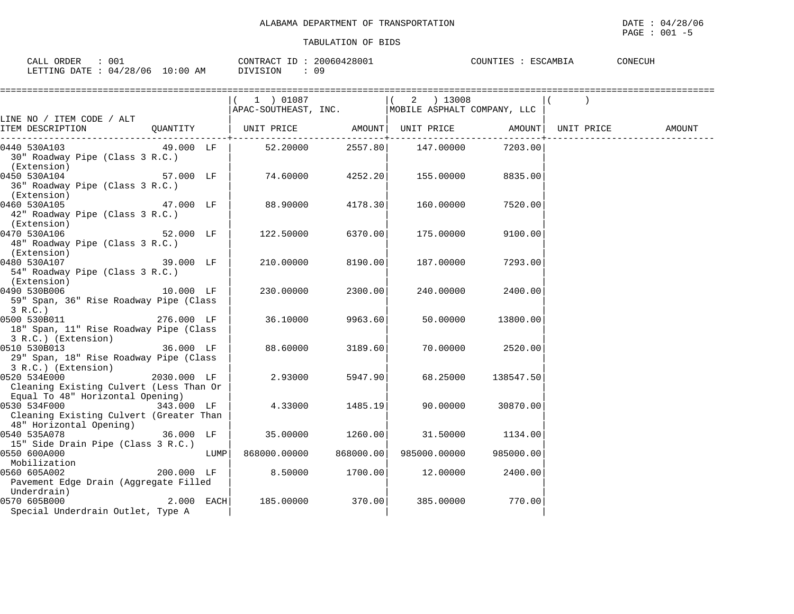| 001<br>ORDER<br>$\bigcap \pi$ $\top$<br>- HITL. | 20060428001<br>CONTR.<br>∴RAC <sup>I</sup> T | <b>ESCAMBIA</b><br>COUNTIES | CONECUH |
|-------------------------------------------------|----------------------------------------------|-----------------------------|---------|
| 10:00<br>.4/28/06<br>LETTING DATE<br>ΆM<br>04/  | 0 S                                          |                             |         |

|                                                                                                            |             | 1 ) 01087                                                                             |         | 2 ) 13008                                  |                  |        |
|------------------------------------------------------------------------------------------------------------|-------------|---------------------------------------------------------------------------------------|---------|--------------------------------------------|------------------|--------|
|                                                                                                            |             | APAC-SOUTHEAST, INC. MOBILE ASPHALT COMPANY, LLC                                      |         |                                            |                  |        |
| LINE NO / ITEM CODE / ALT                                                                                  |             |                                                                                       |         |                                            |                  |        |
| ITEM DESCRIPTION QUANTITY                                                                                  |             | UNIT PRICE                 AMOUNT    UNIT PRICE                  AMOUNT    UNIT PRICE |         | -------+--------                           |                  | AMOUNT |
| 0440 530A103<br>30" Roadway Pipe (Class 3 R.C.)<br>(Extension)                                             | 49.000 LF   | 52.20000                                                                              |         | 2557.80 147.00000                          | 7203.00          |        |
| 0450 530A104<br>36" Roadway Pipe (Class 3 R.C.)<br>(Extension)                                             | 57.000 LF   |                                                                                       |         | $74.60000$ $4252.20$ $155.00000$ $8835.00$ |                  |        |
| 0460 530A105<br>47.000 LF<br>42" Roadway Pipe (Class 3 R.C.)<br>(Extension)                                |             | 88.90000                                                                              | 4178.30 | 160.00000                                  | 7520.00          |        |
| 0470 530A106<br>48" Roadway Pipe (Class 3 R.C.)<br>(Extension)                                             | 52.000 LF   | 122.50000                                                                             | 6370.00 | 175.00000                                  | 9100.00          |        |
| 0480 530A107<br>39.000 LF<br>54" Roadway Pipe (Class 3 R.C.)<br>(Extension)                                |             | 210.00000                                                                             | 8190.00 | 187.00000                                  | 7293.00          |        |
| 10.000 LF<br>0490 530B006<br>59" Span, 36" Rise Roadway Pipe (Class<br>3 R.C.)                             |             | 230.00000                                                                             | 2300.00 | 240.00000                                  | 2400.00          |        |
| 0500 530B011<br>276.000 LF<br>18" Span, 11" Rise Roadway Pipe (Class<br>3 R.C.) (Extension)                |             | 36.10000                                                                              | 9963.60 | 50.00000                                   | 13800.00         |        |
| 0510 530B013<br>29" Span, 18" Rise Roadway Pipe (Class<br>3 R.C.) (Extension)                              | 36.000 LF   | 88.60000                                                                              | 3189.60 |                                            | 70.00000 2520.00 |        |
| 2030.000 LF<br>0520 534E000<br>Cleaning Existing Culvert (Less Than Or<br>Equal To 48" Horizontal Opening) |             | 2.93000                                                                               | 5947.90 | 68.25000                                   | 138547.50        |        |
| 0530 534F000<br>Cleaning Existing Culvert (Greater Than<br>48" Horizontal Opening)                         | 343.000 LF  | 4.33000                                                                               | 1485.19 | 90.00000                                   | 30870.00         |        |
| 36.000 LF<br>0540 535A078<br>15" Side Drain Pipe (Class 3 R.C.)                                            |             | 35.00000                                                                              | 1260.00 | 31.50000                                   | 1134.00          |        |
| 0550 600A000<br>Mobilization                                                                               | <b>LUMP</b> | 868000.00000 868000.00                                                                |         | 985000.00000                               | 985000.00        |        |
| 0560 605A002<br>Pavement Edge Drain (Aggregate Filled<br>Underdrain)                                       | 200.000 LF  | 8.50000                                                                               | 1700.00 | 12.00000                                   | 2400.00          |        |
| 0570 605B000<br>Special Underdrain Outlet, Type A                                                          |             | 2.000 EACH 185.00000                                                                  | 370.00  | 385.00000                                  | 770.00           |        |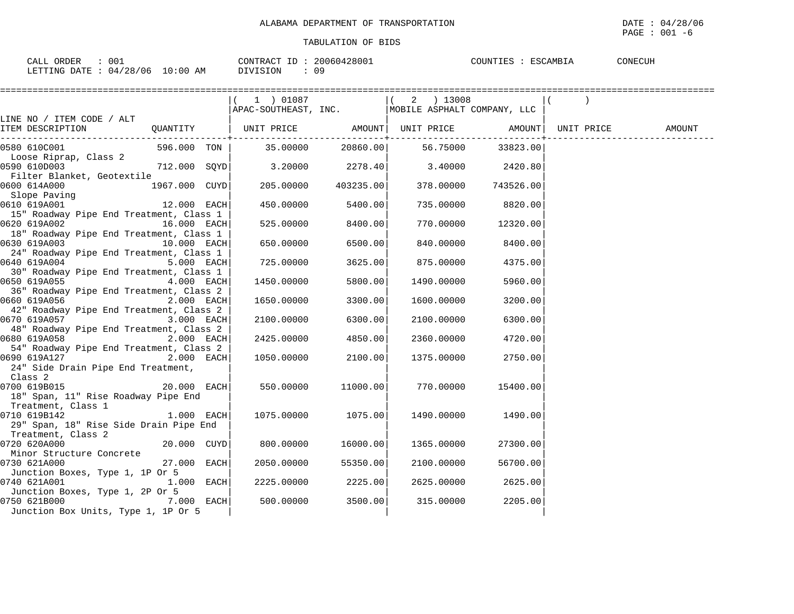| ORDEL<br>001<br>$\cap$ $\Delta$ T.,<br>. كمب                                                             | 2006042<br>CONTRACT<br>.  | COUNTIES | CONECUH |
|----------------------------------------------------------------------------------------------------------|---------------------------|----------|---------|
| :00<br>706<br>100<br>ח י<br><b>DATE</b><br>$mm+17$<br>AΜ<br>04.<br>T TIME<br>$. \,$ 4.8 $^\circ$<br>. н. | <b>ROTE</b><br>09<br>- 71 |          |         |

|                                                                                                  | 1 ) 01087                                        |           | 2 ) 13008  |           |        |
|--------------------------------------------------------------------------------------------------|--------------------------------------------------|-----------|------------|-----------|--------|
|                                                                                                  | APAC-SOUTHEAST, INC. MOBILE ASPHALT COMPANY, LLC |           |            |           |        |
| LINE NO / ITEM CODE / ALT                                                                        |                                                  |           |            |           |        |
| QUANTITY   UNIT PRICE       AMOUNT  UNIT PRICE       AMOUNT  UNIT PRICE<br>ITEM DESCRIPTION      |                                                  |           |            |           | AMOUNT |
| ------------------------------------                                                             |                                                  |           |            |           |        |
| 596.000    TON               35.00000             20860.00              56.75000<br>0580 610C001 |                                                  |           |            | 33823.00  |        |
| Loose Riprap, Class 2                                                                            |                                                  |           |            |           |        |
| 712.000 SQYD<br>0590 610D003                                                                     | 3.20000                                          | 2278.40   | 3.40000    | 2420.80   |        |
| Filter Blanket, Geotextile                                                                       |                                                  |           |            |           |        |
| 1967.000 CUYD<br>0600 614A000                                                                    | 205.00000                                        | 403235.00 | 378.00000  | 743526.00 |        |
| Slope Paving<br>610 619A001 12.000 EACH                                                          |                                                  |           |            |           |        |
| 0610 619A001                                                                                     | 450.00000                                        | 5400.00   | 735.00000  | 8820.00   |        |
| 15" Roadway Pipe End Treatment, Class 1                                                          |                                                  |           |            |           |        |
| 0620 619A002<br>16.000 EACH                                                                      | 525.00000                                        | 8400.00   | 770.00000  | 12320.00  |        |
| 18" Roadway Pipe End Treatment, Class 1                                                          |                                                  |           |            |           |        |
| 0630 619A003<br>10.000 EACH                                                                      | 650.00000                                        | 6500.00   | 840.00000  | 8400.00   |        |
| 24" Roadway Pipe End Treatment, Class 1                                                          |                                                  |           |            |           |        |
| 0640 619A004<br>5.000 EACH<br>30" Roadway Pipe End Treatment, Class 1                            | 725.00000                                        | 3625.00   | 875.00000  | 4375.00   |        |
| 4.000 EACH                                                                                       |                                                  | 5800.00   |            |           |        |
| 36" Roadway Pipe End Treatment, Class 2                                                          | 1450.00000                                       |           | 1490.00000 | 5960.00   |        |
| 0660 619A056<br>2.000 EACH                                                                       | 1650.00000                                       | 3300.00   | 1600.00000 | 3200.00   |        |
| 42" Roadway Pipe End Treatment, Class 2                                                          |                                                  |           |            |           |        |
| 0670 619A057<br>3.000 EACH                                                                       | 2100.00000                                       | 6300.00   | 2100.00000 | 6300.00   |        |
| 48" Roadway Pipe End Treatment, Class 2                                                          |                                                  |           |            |           |        |
| 2.000 EACH                                                                                       | 2425.00000                                       | 4850.00   | 2360.00000 | 4720.00   |        |
| 54" Roadway Pipe End Treatment, Class 2                                                          |                                                  |           |            |           |        |
| 2.000 EACH<br>0690 619A127                                                                       | 1050.00000                                       | 2100.00   | 1375.00000 | 2750.00   |        |
| 24" Side Drain Pipe End Treatment,                                                               |                                                  |           |            |           |        |
| Class 2                                                                                          |                                                  |           |            |           |        |
| $20.000$ EACH<br>0700 619B015                                                                    | 550.00000                                        | 11000.00  | 770.00000  | 15400.00  |        |
| 18" Span, 11" Rise Roadway Pipe End                                                              |                                                  |           |            |           |        |
| Treatment, Class 1                                                                               |                                                  |           |            |           |        |
| $1.000$ EACH<br>0710 619B142                                                                     | 1075.00000                                       | 1075.00   | 1490.00000 | 1490.00   |        |
| 29" Span, 18" Rise Side Drain Pipe End                                                           |                                                  |           |            |           |        |
| Treatment, Class 2                                                                               |                                                  |           |            |           |        |
| 0720 620A000 20.000 CUYD                                                                         | 800.00000                                        | 16000.00  | 1365.00000 | 27300.00  |        |
| Minor Structure Concrete                                                                         |                                                  |           |            |           |        |
| 27.000 EACH<br>0730 621A000                                                                      | 2050.00000                                       | 55350.00  | 2100.00000 | 56700.00  |        |
| Junction Boxes, Type 1, 1P Or 5                                                                  |                                                  |           |            |           |        |
| 0740 621A001<br>$1.000$ EACH                                                                     | 2225.00000                                       | 2225.00   | 2625.00000 | 2625.00   |        |
| Junction Boxes, Type 1, 2P Or 5                                                                  |                                                  |           |            |           |        |
| <b>7.000 EACH</b><br>0750 621B000                                                                | 500.00000                                        | 3500.00   | 315.00000  | 2205.00   |        |
| Junction Box Units, Type 1, 1P Or 5                                                              |                                                  |           |            |           |        |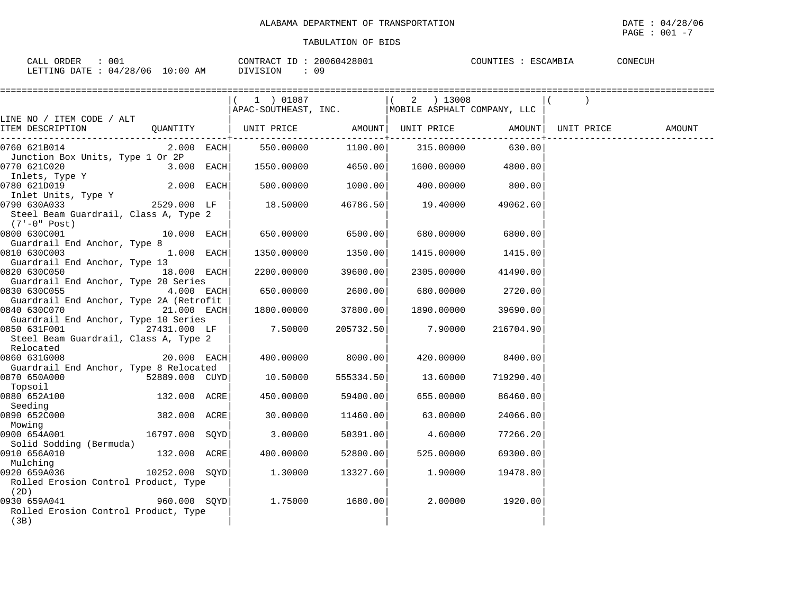| 001<br>CALL ORDER                | 20060428001<br>CONTRACT ID: | ESCAMBIA<br>COUNTIES : | CONECUH |
|----------------------------------|-----------------------------|------------------------|---------|
| LETTING DATE : 04/28/06 10:00 AM | 09<br>DIVISION              |                        |         |

|                                                                                                                            |                                                              |                     |                    | :================ |            |        |
|----------------------------------------------------------------------------------------------------------------------------|--------------------------------------------------------------|---------------------|--------------------|-------------------|------------|--------|
|                                                                                                                            | 1) 01087<br>APAC-SOUTHEAST, INC. MOBILE ASPHALT COMPANY, LLC |                     | $(2)$ 13008        |                   |            |        |
| LINE NO / ITEM CODE / ALT                                                                                                  |                                                              |                     |                    |                   |            |        |
| QUANTITY   UNIT PRICE     AMOUNT  UNIT PRICE     AMOUNT <br>ITEM DESCRIPTION<br>-------------------------                  |                                                              | ------------+------ |                    | -----------+      | UNIT PRICE | AMOUNT |
| 0760 621B014                                                                                                               |                                                              |                     |                    |                   |            |        |
| Junction Box Units, Type 1 Or 2P<br>0770 621C020<br>$3.000$ EACH                                                           | $1550.00000$ 4650.00                                         |                     | 1600.00000 4800.00 |                   |            |        |
| Inlets, Type Y<br>$2.000$ EACH<br>0780 621D019                                                                             | 500.00000                                                    | 1000.00             | 400.00000          | 800.00            |            |        |
| Inlet Units, Type Y<br>0790 630A033 2529.000 LF<br>Steel Beam Guardrail, Class A, Type 2<br>(7'-0" Post)                   | 18.50000                                                     | 46786.50            | 19.40000           | 49062.60          |            |        |
| $10.000$ EACH<br>0800 630C001                                                                                              | 650.00000 6500.00                                            |                     | 680.00000          | 6800.00           |            |        |
| Guardrail End Anchor, Type 8<br>$1.000$ EACH<br>0810 630C003<br>Guardrail End Anchor, Type 13                              | 1350.00000                                                   | 1350.00             | 1415.00000         | 1415.00           |            |        |
| 18.000 EACH<br>0820 630C050<br>Guardrail End Anchor, Type 20 Series                                                        | 2200.00000                                                   | 39600.00            | 2305.00000         | 41490.00          |            |        |
| 0830 630C055<br>$4.000$ EACH                                                                                               | 650.00000                                                    | 2600.00             | 680.00000          | 2720.00           |            |        |
| Guardrail End Anchor, Type 2A (Retrofit<br>0840 630C070<br>21.000 EACH                                                     |                                                              | 1800.00000 37800.00 | 1890.00000         | 39690.00          |            |        |
| Guardrail End Anchor, Type 10 Series<br>0850 631F001<br>27431.000 LF<br>Steel Beam Guardrail, Class A, Type 2<br>Relocated | 7.50000                                                      | 205732.50           | 7.90000            | 216704.90         |            |        |
| 0860 631G008<br>20.000 EACH<br>Guardrail End Anchor, Type 8 Relocated                                                      | 400.00000                                                    | 8000.00             | 420.00000          | 8400.00           |            |        |
| 52889.000 CUYD<br>0870 650A000<br>Topsoil                                                                                  | 10.50000                                                     | 555334.50           | 13.60000           | 719290.40         |            |        |
| 0880 652A100<br>132.000 ACRE<br>Seeding                                                                                    | 450.00000                                                    | 59400.00            | 655.00000          | 86460.00          |            |        |
| 0890 652C000<br>382.000 ACRE<br>Mowing                                                                                     | 30.00000                                                     | 11460.00            | 63.00000           | 24066.00          |            |        |
| 0900 654A001<br>16797.000 SOYD<br>Solid Sodding (Bermuda)                                                                  | 3.00000                                                      | 50391.00            | 4.60000            | 77266.20          |            |        |
| 0910 656A010<br>132.000 ACRE<br>Mulching                                                                                   | 400.00000                                                    | 52800.00            | 525.00000          | 69300.00          |            |        |
| $10252.000$ SQYD<br>0920 659A036<br>Rolled Erosion Control Product, Type<br>(2D)                                           | 1.30000                                                      | 13327.60            | 1.90000            | 19478.80          |            |        |
| $960.000$ SQYD<br>0930 659A041<br>Rolled Erosion Control Product, Type<br>(3B)                                             | $1.75000$ 1680.00                                            |                     |                    | 2.00000 1920.00   |            |        |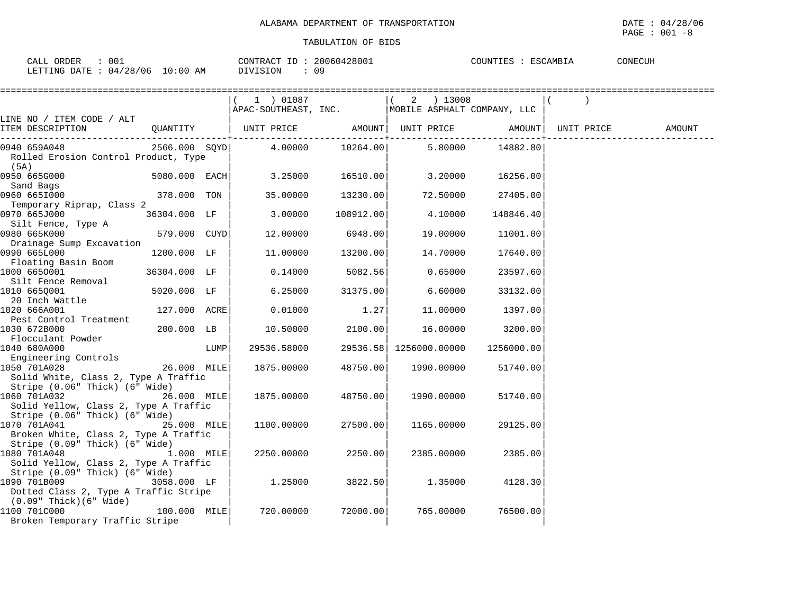| 001<br>CALL ORDER                | 20060428001<br>CONTRACT ID: | COUNTIES : ESCAMBIA | CONECUH |
|----------------------------------|-----------------------------|---------------------|---------|
| LETTING DATE : 04/28/06 10:00 AM | DIVISION<br>09              |                     |         |

|                                                                                         |                |      | 1 ) 01087<br>APAC-SOUTHEAST, INC. MOBILE ASPHALT COMPANY, LLC |                         | 2 ) 13008              |              |            |        |
|-----------------------------------------------------------------------------------------|----------------|------|---------------------------------------------------------------|-------------------------|------------------------|--------------|------------|--------|
| LINE NO / ITEM CODE / ALT                                                               |                |      |                                                               |                         |                        |              |            |        |
| ITEM DESCRIPTION                                                                        |                |      | QUANTITY   UNIT PRICE AMOUNT  UNIT PRICE AMOUNT               | -------------+--------- |                        | -----------+ | UNIT PRICE | AMOUNT |
| 0940 659A048<br>Rolled Erosion Control Product, Type<br>(5A)                            |                |      | 2566.000 SQYD 4.00000 10264.00                                |                         | 5.80000                | 14882.80     |            |        |
| 0950 665G000<br>Sand Bags                                                               | 5080.000 EACH  |      | 3.25000                                                       | 16510.00                | 3.20000                | 16256.00     |            |        |
| 0960 6651000<br>Temporary Riprap, Class 2                                               | 378.000 TON    |      | 35.00000                                                      | 13230.00                | 72.50000               | 27405.00     |            |        |
| 0970 665J000                                                                            | 36304.000 LF   |      | 3.00000                                                       | 108912.00               | 4.10000                | 148846.40    |            |        |
| Silt Fence, Type A<br>0980 665K000                                                      | 579.000 CUYD   |      | 12.00000                                                      | 6948.00                 | 19.00000               | 11001.00     |            |        |
| Drainage Sump Excavation<br>0990 665L000                                                | 1200.000 LF    |      | 11.00000                                                      | 13200.00                | 14.70000               | 17640.00     |            |        |
| Floating Basin Boom<br>1000 6650001                                                     | 36304.000 LF   |      | 0.14000                                                       | 5082.56                 | 0.65000                | 23597.60     |            |        |
| Silt Fence Removal<br>1010 665Q001                                                      | 5020.000 LF    |      | 6.25000                                                       | 31375.00                | 6.60000                | 33132.00     |            |        |
| 20 Inch Wattle<br>1020 666A001                                                          | 127.000 ACRE   |      | 0.01000                                                       | 1.27                    | 11.00000               | 1397.00      |            |        |
| Pest Control Treatment<br>1030 672B000                                                  | 200.000 LB     |      | 10.50000                                                      | 2100.00                 | 16.00000               | 3200.00      |            |        |
| Flocculant Powder<br>1040 680A000                                                       |                | LUMP | 29536.58000                                                   |                         | 29536.58 1256000.00000 | 1256000.00   |            |        |
| Engineering Controls<br>1050 701A028                                                    | 26.000 MILE    |      | 1875.00000                                                    | 48750.00                | 1990.00000             | 51740.00     |            |        |
| Solid White, Class 2, Type A Traffic<br>Stripe (0.06" Thick) (6" Wide)                  |                |      |                                                               |                         |                        |              |            |        |
| 1060 701A032<br>Solid Yellow, Class 2, Type A Traffic<br>Stripe (0.06" Thick) (6" Wide) | 26.000 MILE    |      | 1875.00000                                                    | 48750.00                | 1990.00000             | 51740.00     |            |        |
| 1070 701A041<br>Broken White, Class 2, Type A Traffic                                   | 25.000 MILE    |      | 1100.00000                                                    | 27500.00                | 1165.00000             | 29125.00     |            |        |
| Stripe (0.09" Thick) (6" Wide)<br>1080 701A048<br>Solid Yellow, Class 2, Type A Traffic | 1.000 MILE     |      | 2250.00000                                                    | 2250.00                 | 2385.00000             | 2385.00      |            |        |
| Stripe (0.09" Thick) (6" Wide)<br>1090 701B009<br>Dotted Class 2, Type A Traffic Stripe | 3058.000 LF    |      | 1.25000                                                       | 3822.50                 | 1.35000                | 4128.30      |            |        |
| $(0.09"$ Thick $)(6"$ Wide $)$<br>1100 701C000<br>Broken Temporary Traffic Stripe       | $100.000$ MILE |      | 720.00000                                                     | 72000.00                | 765.00000              | 76500.00     |            |        |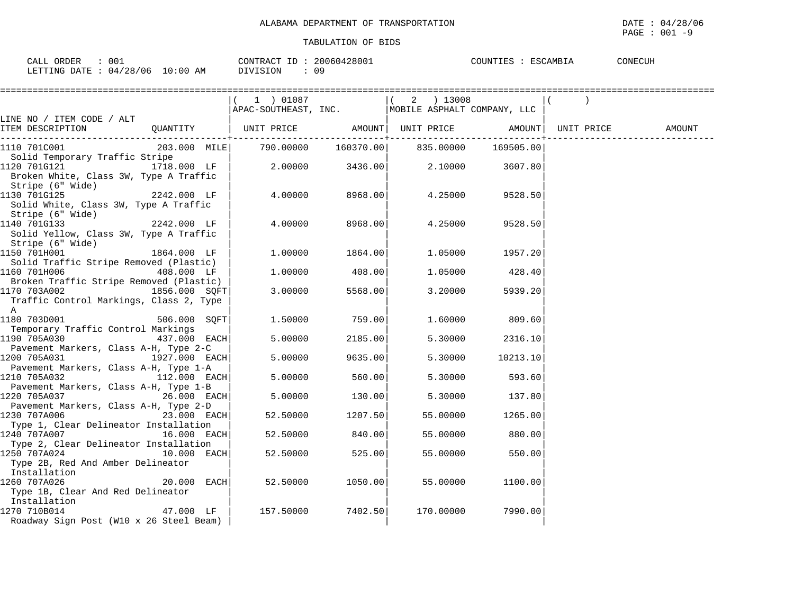| 001                                        | 20060428001    | COUNTIES : 1 |  |
|--------------------------------------------|----------------|--------------|--|
| ORDER                                      | CONTRACT       | CONECUH      |  |
| CALL                                       | ID             | ESCAMBIA     |  |
| : 04/28/06 10:00<br>LETTING DATE : /<br>AM | DIVISION<br>09 |              |  |

|                                                                            |               | 1 ) 01087<br>APAC-SOUTHEAST, INC. MOBILE ASPHALT COMPANY, LLC |                     | 2 ) 13008                  |           |            |        |
|----------------------------------------------------------------------------|---------------|---------------------------------------------------------------|---------------------|----------------------------|-----------|------------|--------|
| LINE NO / ITEM CODE / ALT                                                  |               |                                                               |                     |                            |           |            |        |
| ITEM DESCRIPTION                                                           | QUANTITY      | UNIT PRICE                                                    | ----------+-------- | AMOUNT   UNIT PRICE AMOUNT |           | UNIT PRICE | AMOUNT |
| 1110 701C001                                                               |               | 203.000 MILE 790.00000 160370.00 835.00000                    |                     |                            | 169505.00 |            |        |
| Solid Temporary Traffic Stripe                                             |               |                                                               |                     |                            |           |            |        |
| 1120 701G121<br>Broken White, Class 3W, Type A Traffic<br>Stripe (6" Wide) | 1718.000 LF   | 2.00000                                                       | 3436.00             | 2.10000                    | 3607.80   |            |        |
| 1130 701G125                                                               | 2242.000 LF   | 4.00000                                                       | 8968.00             | 4.25000                    | 9528.50   |            |        |
| Solid White, Class 3W, Type A Traffic<br>Stripe (6" Wide)                  |               |                                                               |                     |                            |           |            |        |
| 1140 701G133<br>Solid Yellow, Class 3W, Type A Traffic                     | 2242.000 LF   | 4.00000                                                       | 8968.00             | 4.25000                    | 9528.50   |            |        |
| Stripe (6" Wide)<br>1150 701H001                                           | 1864.000 LF   | 1.00000                                                       | 1864.00             | 1.05000                    | 1957.20   |            |        |
| Solid Traffic Stripe Removed (Plastic)                                     |               |                                                               |                     |                            |           |            |        |
| 1160 701H006                                                               | 408.000 LF    | 1.00000                                                       | 408.00              | 1.05000                    | 428.40    |            |        |
| Broken Traffic Stripe Removed (Plastic)                                    |               |                                                               |                     |                            |           |            |        |
| 1170 703A002<br>Traffic Control Markings, Class 2, Type<br>A               | 1856.000 SOFT | 3.00000                                                       | 5568.00             | 3.20000                    | 5939.20   |            |        |
| 1180 703D001                                                               | 506.000 SQFT  | 1.50000                                                       | 759.00              | 1.60000                    | 809.60    |            |        |
| Temporary Traffic Control Markings                                         |               |                                                               |                     |                            |           |            |        |
| 1190 705A030                                                               | 437.000 EACH  | 5.00000                                                       | 2185.00             | 5.30000                    | 2316.10   |            |        |
| Pavement Markers, Class A-H, Type 2-C                                      |               |                                                               |                     |                            |           |            |        |
| 1200 705A031                                                               | 1927.000 EACH | 5.00000                                                       | 9635.00             | 5.30000                    | 10213.10  |            |        |
| Pavement Markers, Class A-H, Type 1-A<br>1210 705A032                      | 112.000 EACH  | 5.00000                                                       | 560.00              | 5.30000                    | 593.60    |            |        |
| Pavement Markers, Class A-H, Type 1-B                                      |               |                                                               |                     |                            |           |            |        |
| 1220 705A037                                                               | $26.000$ EACH | 5.00000                                                       | 130.00              | 5.30000                    | 137.80    |            |        |
| Pavement Markers, Class A-H, Type 2-D                                      |               |                                                               |                     |                            |           |            |        |
| 1230 707A006                                                               | $23.000$ EACH | 52.50000                                                      | 1207.50             | 55.00000                   | 1265.00   |            |        |
| Type 1, Clear Delineator Installation                                      |               |                                                               |                     |                            |           |            |        |
| 1240 707A007                                                               | 16.000 EACH   | 52.50000                                                      | 840.00              | 55.00000                   | 880.00    |            |        |
| Type 2, Clear Delineator Installation<br>1250 707A024                      | 10.000 EACH   | 52.50000                                                      | 525.00              | 55.00000                   | 550.00    |            |        |
| Type 2B, Red And Amber Delineator<br>Installation                          |               |                                                               |                     |                            |           |            |        |
| 1260 707A026<br>Type 1B, Clear And Red Delineator                          | $20.000$ EACH | 52.50000                                                      | 1050.00             | 55.00000                   | 1100.00   |            |        |
| Installation                                                               |               |                                                               |                     |                            |           |            |        |
| 1270 710B014                                                               | 47.000 LF     | 157.50000                                                     | 7402.501            | 170.00000                  | 7990.00   |            |        |
| Roadway Sign Post (W10 x 26 Steel Beam)                                    |               |                                                               |                     |                            |           |            |        |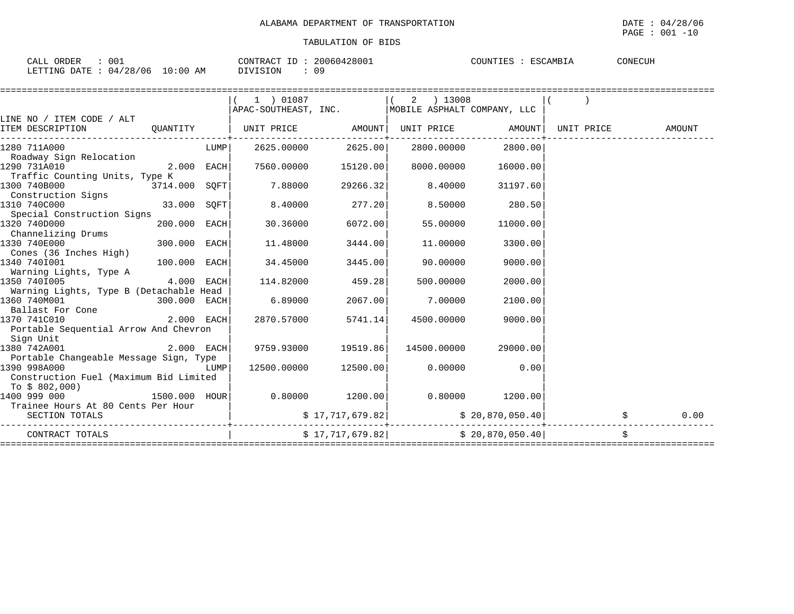| 001<br>ORDER<br>$\sim$ $\sim$ $\sim$<br>-ALL - | 20060428001<br>CONTRACT<br>ID | ESCAMBIA<br>COUNTIES | CONECUH |
|------------------------------------------------|-------------------------------|----------------------|---------|
| 04/28/06<br>10:00<br>LETTING DATE<br>ΑM        | 09<br>17   S   ON             |                      |         |

|                                         |                                                   | $(1)$ 01087 $(2)$ 13008                            |                      |                                         |                  |                              |                                   |
|-----------------------------------------|---------------------------------------------------|----------------------------------------------------|----------------------|-----------------------------------------|------------------|------------------------------|-----------------------------------|
|                                         |                                                   | APAC-SOUTHEAST, INC.   MOBILE ASPHALT COMPANY, LLC |                      |                                         |                  |                              |                                   |
| LINE NO / ITEM CODE / ALT               |                                                   |                                                    |                      |                                         |                  |                              |                                   |
| ITEM DESCRIPTION                        |                                                   | QUANTITY   UNIT PRICE AMOUNT                       |                      |                                         |                  | UNIT PRICE AMOUNT UNIT PRICE | AMOUNT                            |
| 1280 711A000                            | <b>EXAMPLE TO THE EXAMPLE TO THE SET OF STATE</b> |                                                    | 2625.00000 2625.00   | 2800.00000                              | 2800.00          |                              |                                   |
| Roadway Sign Relocation                 |                                                   |                                                    |                      |                                         |                  |                              |                                   |
| 1290 731A010                            | $2.000$ EACH                                      |                                                    | 7560.00000 15120.00  | 8000.00000                              | 16000.00         |                              |                                   |
| Traffic Counting Units, Type K          |                                                   |                                                    |                      |                                         |                  |                              |                                   |
| 1300 740B000<br>$3714.000$ SQFT         |                                                   | 7.88000                                            | 29266.32             | 8.40000                                 | 31197.60         |                              |                                   |
| Construction Signs                      |                                                   |                                                    |                      |                                         |                  |                              |                                   |
| 33.000 SQFT<br>1310 740C000             |                                                   | 8.40000                                            | 277.20               | 8.50000                                 | 280.50           |                              |                                   |
| Special Construction Signs              |                                                   |                                                    |                      |                                         |                  |                              |                                   |
| 1320 740D000                            | 200.000 EACH                                      | 30.36000                                           | 6072.00              | 55.00000                                | 11000.00         |                              |                                   |
| Channelizing Drums                      |                                                   |                                                    |                      |                                         |                  |                              |                                   |
| 1330 740E000                            | 300.000 EACH                                      | 11.48000                                           | 3444.00              | 11,00000                                | 3300.00          |                              |                                   |
| Cones (36 Inches High)                  |                                                   |                                                    |                      |                                         |                  |                              |                                   |
| $100.000$ EACH<br>1340 7401001          |                                                   | 34.45000                                           | 3445.00              | 90.00000                                | 9000.00          |                              |                                   |
| Warning Lights, Type A                  |                                                   |                                                    |                      |                                         |                  |                              |                                   |
| 1350 7401005<br>$4.000$ EACH            |                                                   | 114.82000                                          | 459.28               | 500.00000                               | 2000.00          |                              |                                   |
| Warning Lights, Type B (Detachable Head |                                                   |                                                    |                      |                                         |                  |                              |                                   |
| 1360 740M001<br>$300.000$ EACH          |                                                   | 6.89000                                            | 2067.00              | 7.00000                                 | 2100.00          |                              |                                   |
| Ballast For Cone                        |                                                   |                                                    |                      |                                         |                  |                              |                                   |
| 2.000 EACH<br>1370 741C010              |                                                   | 2870.57000                                         | 5741.14              | 4500.00000                              | 9000.00          |                              |                                   |
| Portable Sequential Arrow And Chevron   |                                                   |                                                    |                      |                                         |                  |                              |                                   |
| Sign Unit                               |                                                   |                                                    |                      |                                         |                  |                              |                                   |
| 1380 742A001                            | $2.000$ EACH                                      |                                                    | 9759.93000 19519.86  | 14500.00000                             | 29000.00         |                              |                                   |
| Portable Changeable Message Sign, Type  |                                                   |                                                    |                      |                                         |                  |                              |                                   |
| 1390 998A000<br><b>LUMP</b>             |                                                   |                                                    | 12500.00000 12500.00 |                                         | $0.00000$ 0.00   |                              |                                   |
| Construction Fuel (Maximum Bid Limited  |                                                   |                                                    |                      |                                         |                  |                              |                                   |
| To \$ 802,000)                          |                                                   |                                                    |                      |                                         |                  |                              |                                   |
| 1500.000 HOUR<br>1400 999 000           |                                                   |                                                    |                      | $0.80000$ $1200.00$ $0.80000$ $1200.00$ |                  |                              |                                   |
| Trainee Hours At 80 Cents Per Hour      |                                                   |                                                    |                      |                                         |                  |                              |                                   |
| SECTION TOTALS                          |                                                   |                                                    | \$17,717,679.82]     |                                         | \$20,870,050.40] |                              | $\boldsymbol{\mathsf{S}}$<br>0.00 |
| CONTRACT TOTALS                         |                                                   |                                                    |                      | $$17,717,679.82$ $$20,870,050.40$       |                  |                              | \$                                |
|                                         |                                                   |                                                    |                      |                                         |                  |                              |                                   |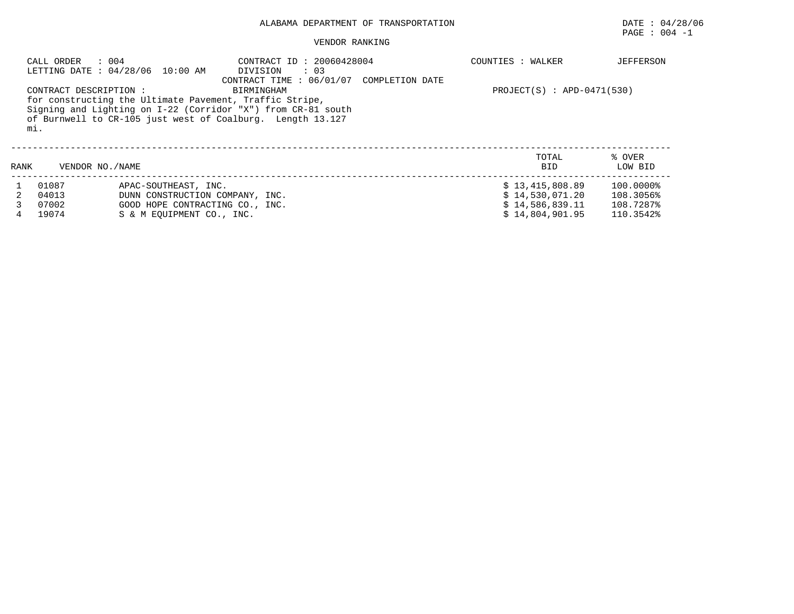# ALABAMA DEPARTMENT OF TRANSPORTATION DATE : 04/28/06

# $\texttt{PAGE}$  :  $004$  -1

#### VENDOR RANKING

|      | : 004<br>CALL ORDER           | LETTING DATE : 04/28/06 10:00 AM | CONTRACT ID: 20060428004<br>DIVISION<br>$\therefore$ 03                                                                                                                                                                          |                 | COUNTIES : WALKER              | <b>JEFFERSON</b>  |
|------|-------------------------------|----------------------------------|----------------------------------------------------------------------------------------------------------------------------------------------------------------------------------------------------------------------------------|-----------------|--------------------------------|-------------------|
|      | CONTRACT DESCRIPTION :<br>mi. |                                  | CONTRACT TIME: $06/01/07$<br>BIRMINGHAM<br>for constructing the Ultimate Pavement, Traffic Stripe,<br>Signing and Lighting on I-22 (Corridor "X") from CR-81 south<br>of Burnwell to CR-105 just west of Coalburg. Length 13.127 | COMPLETION DATE | $PROJECT(S)$ : $APD-0471(530)$ |                   |
| RANK | VENDOR NO. / NAME             |                                  |                                                                                                                                                                                                                                  |                 | TOTAL<br><b>BID</b>            | % OVER<br>LOW BID |
|      | 01087                         | APAC-SOUTHEAST, INC.             |                                                                                                                                                                                                                                  |                 | \$13,415,808.89                | $100.0000\%$      |
|      | 04013                         | DUNN CONSTRUCTION COMPANY, INC.  |                                                                                                                                                                                                                                  |                 | \$14,530,071.20                | 108.3056%         |
|      | 07002                         | GOOD HOPE CONTRACTING CO., INC.  |                                                                                                                                                                                                                                  |                 | \$14,586,839.11                | 108.7287%         |
|      | 19074                         | S & M EOUIPMENT CO., INC.        |                                                                                                                                                                                                                                  |                 | \$14.804.901.95                | 110.3542%         |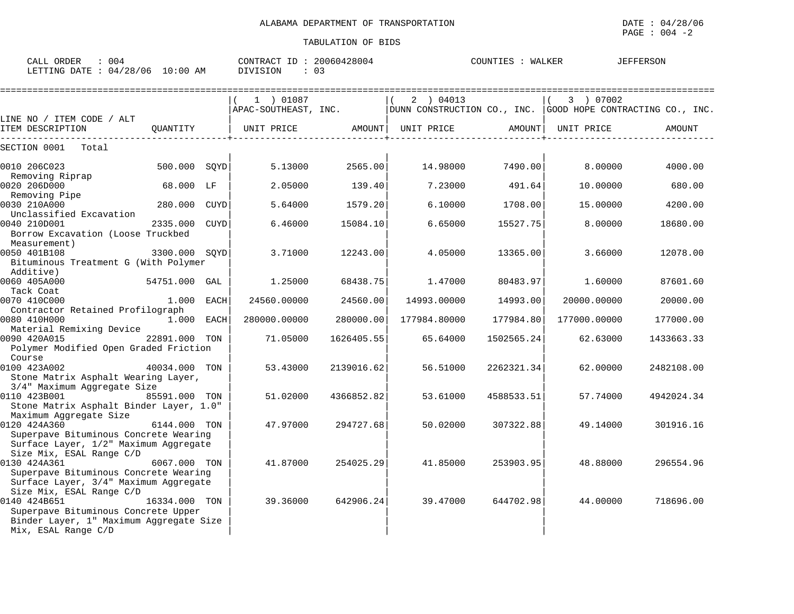| ORDER<br>004<br>CALL                                                | 128004<br>2006′<br>CONTRACT | COUNTIE<br>WALKER | FERSON |
|---------------------------------------------------------------------|-----------------------------|-------------------|--------|
| DATE.<br>04/28/06<br>0:00<br>LETT <sup>.</sup><br><b>TING</b><br>AΜ | SION<br>$\sim$              |                   |        |

|                                                           |               |      | 1 ) 01087    |            | 2 ) 04013                                                                                    |                                | 3 ) 07002    |            |
|-----------------------------------------------------------|---------------|------|--------------|------------|----------------------------------------------------------------------------------------------|--------------------------------|--------------|------------|
|                                                           |               |      |              |            | $ $ APAC-SOUTHEAST, INC. $ $ DUNN CONSTRUCTION CO., INC. $ $ GOOD HOPE CONTRACTING CO., INC. |                                |              |            |
| LINE NO / ITEM CODE / ALT                                 |               |      |              |            |                                                                                              |                                |              |            |
| ITEM DESCRIPTION                                          | QUANTITY      |      | UNIT PRICE   | AMOUNT     | UNIT PRICE                                                                                   | AMOUNT  <br>-----------------+ | UNIT PRICE   | AMOUNT     |
| SECTION 0001<br>Total                                     |               |      |              |            |                                                                                              |                                |              |            |
| 0010 206C023                                              | 500.000 SOYD  |      | 5.13000      | 2565.00    | 14.98000                                                                                     | 7490.00                        | 8.00000      | 4000.00    |
| Removing Riprap                                           |               |      |              |            |                                                                                              |                                |              |            |
| 0020 206D000                                              | 68.000 LF     |      | 2.05000      | 139.40     | 7.23000                                                                                      | 491.64                         | 10.00000     | 680.00     |
| Removing Pipe<br>0030 210A000                             | 280.000 CUYD  |      | 5.64000      | 1579.20    | 6.10000                                                                                      | 1708.00                        | 15.00000     | 4200.00    |
| Unclassified Excavation                                   |               |      |              |            |                                                                                              |                                |              |            |
| 0040 210D001                                              | 2335.000      | CUYD | 6.46000      | 15084.10   | 6.65000                                                                                      | 15527.75                       | 8,00000      | 18680.00   |
| Borrow Excavation (Loose Truckbed                         |               |      |              |            |                                                                                              |                                |              |            |
| Measurement)                                              |               |      |              |            |                                                                                              |                                |              |            |
| 0050 401B108                                              | 3300.000 SOYD |      | 3.71000      | 12243.00   | 4.05000                                                                                      | 13365.00                       | 3.66000      | 12078.00   |
| Bituminous Treatment G (With Polymer                      |               |      |              |            |                                                                                              |                                |              |            |
| Additive)                                                 |               |      |              |            |                                                                                              |                                |              |            |
| 0060 405A000                                              | 54751.000 GAL |      | 1.25000      | 68438.75   | 1.47000                                                                                      | 80483.97                       | 1,60000      | 87601.60   |
| Tack Coat                                                 |               |      |              |            |                                                                                              |                                |              |            |
| 0070 410C000                                              | 1.000 EACH    |      | 24560.00000  | 24560.00   | 14993.00000                                                                                  | 14993.00                       | 20000.00000  | 20000.00   |
| Contractor Retained Profilograph                          |               |      |              |            |                                                                                              |                                |              |            |
| 0080 410H000                                              | 1.000 EACH    |      | 280000.00000 | 280000.00  | 177984.80000                                                                                 | 177984.80                      | 177000.00000 | 177000.00  |
| Material Remixing Device<br>0090 420A015<br>22891.000 TON |               |      |              |            |                                                                                              |                                |              |            |
|                                                           |               |      | 71.05000     | 1626405.55 | 65.64000                                                                                     | 1502565.24                     | 62.63000     | 1433663.33 |
| Polymer Modified Open Graded Friction<br>Course           |               |      |              |            |                                                                                              |                                |              |            |
| 0100 423A002                                              | 40034.000 TON |      | 53.43000     | 2139016.62 | 56.51000                                                                                     | 2262321.34                     | 62.00000     | 2482108.00 |
| Stone Matrix Asphalt Wearing Layer,                       |               |      |              |            |                                                                                              |                                |              |            |
| 3/4" Maximum Aggregate Size                               |               |      |              |            |                                                                                              |                                |              |            |
| 0110 423B001                                              | 85591.000 TON |      | 51.02000     | 4366852.82 | 53.61000                                                                                     | 4588533.51                     | 57.74000     | 4942024.34 |
| Stone Matrix Asphalt Binder Layer, 1.0"                   |               |      |              |            |                                                                                              |                                |              |            |
| Maximum Aggregate Size                                    |               |      |              |            |                                                                                              |                                |              |            |
| 0120 424A360                                              | 6144.000 TON  |      | 47.97000     | 294727.68  | 50.02000                                                                                     | 307322.88                      | 49.14000     | 301916.16  |
| Superpave Bituminous Concrete Wearing                     |               |      |              |            |                                                                                              |                                |              |            |
| Surface Layer, 1/2" Maximum Aggregate                     |               |      |              |            |                                                                                              |                                |              |            |
| Size Mix, ESAL Range C/D                                  |               |      |              |            |                                                                                              |                                |              |            |
| 0130 424A361                                              | 6067.000 TON  |      | 41.87000     | 254025.29  | 41.85000                                                                                     | 253903.95                      | 48.88000     | 296554.96  |
| Superpave Bituminous Concrete Wearing                     |               |      |              |            |                                                                                              |                                |              |            |
| Surface Layer, 3/4" Maximum Aggregate                     |               |      |              |            |                                                                                              |                                |              |            |
| Size Mix, ESAL Range C/D                                  |               |      |              |            |                                                                                              |                                |              |            |
| 0140 424B651                                              | 16334.000 TON |      | 39.36000     | 642906.24  | 39.47000                                                                                     | 644702.98                      | 44.00000     | 718696.00  |
| Superpave Bituminous Concrete Upper                       |               |      |              |            |                                                                                              |                                |              |            |
| Binder Layer, 1" Maximum Aggregate Size                   |               |      |              |            |                                                                                              |                                |              |            |
| Mix, ESAL Range C/D                                       |               |      |              |            |                                                                                              |                                |              |            |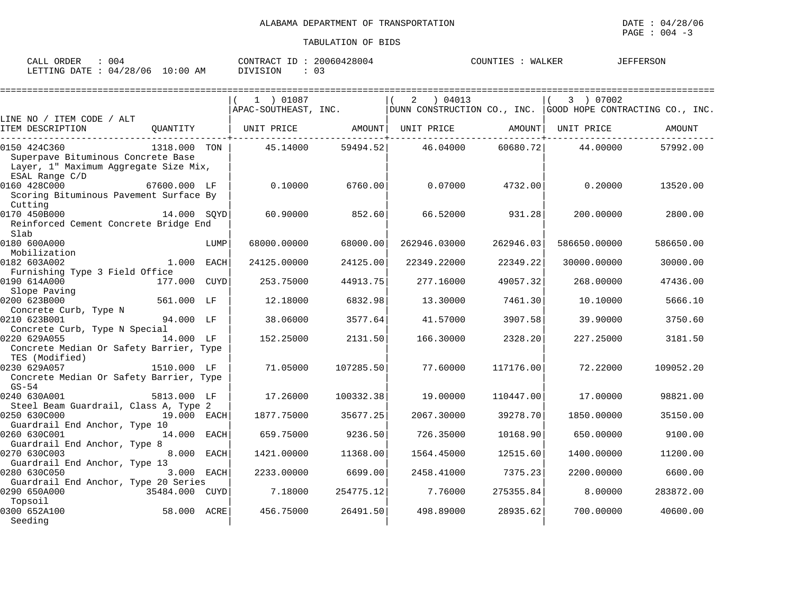| 004<br>ORDER<br>CALL                   | 20060428004<br>CONTRACT ID | <b>JEFFERSON</b><br>COUNTIES<br>WALKER |  |
|----------------------------------------|----------------------------|----------------------------------------|--|
| 10:00 AM<br>LETTING DATE<br>: 04/28/06 | DIVISION<br>$\mathbf{U}$ . |                                        |  |

|                                                                                                               |                |      |             |           |                                                                                                            |           |              | ========================== |
|---------------------------------------------------------------------------------------------------------------|----------------|------|-------------|-----------|------------------------------------------------------------------------------------------------------------|-----------|--------------|----------------------------|
|                                                                                                               |                |      | 1 ) 01087   |           | 04013<br>2<br>$ $ APAC-SOUTHEAST, INC. $ $ DUNN CONSTRUCTION CO., INC. $ $ GOOD HOPE CONTRACTING CO., INC. |           | 3 ) 07002    |                            |
| LINE NO / ITEM CODE / ALT                                                                                     |                |      |             |           |                                                                                                            |           |              |                            |
| ITEM DESCRIPTION                                                                                              | OUANTITY       |      |             |           | UNIT PRICE AMOUNT  UNIT PRICE AMOUNT                                                                       |           | UNIT PRICE   | AMOUNT                     |
| 0150 424C360<br>Superpave Bituminous Concrete Base<br>Layer, 1" Maximum Aggregate Size Mix,<br>ESAL Range C/D | 1318.000 TON   |      | 45.14000    | 59494.52  | 46.04000                                                                                                   | 60680.72  | 44,00000     | 57992.00                   |
| 0160 428C000<br>Scoring Bituminous Pavement Surface By<br>Cutting                                             | 67600.000 LF   |      | 0.10000     | 6760.00   | 0.07000                                                                                                    | 4732.00   | 0.20000      | 13520.00                   |
| 0170 450B000<br>Reinforced Cement Concrete Bridge End<br>Slab                                                 | 14.000 SOYD    |      | 60.90000    | 852.60    | 66.52000                                                                                                   | 931.28    | 200,00000    | 2800.00                    |
| 0180 600A000<br>Mobilization                                                                                  |                | LUMP | 68000.00000 | 68000.001 | 262946.03000                                                                                               | 262946.03 | 586650.00000 | 586650.00                  |
| 0182 603A002<br>Furnishing Type 3 Field Office                                                                | 1.000 EACH     |      | 24125.00000 | 24125.00  | 22349.22000                                                                                                | 22349.22  | 30000.00000  | 30000.00                   |
| 0190 614A000<br>Slope Paving                                                                                  | 177.000 CUYD   |      | 253.75000   | 44913.75  | 277.16000                                                                                                  | 49057.32  | 268,00000    | 47436.00                   |
| 0200 623B000<br>Concrete Curb, Type N                                                                         | 561.000 LF     |      | 12.18000    | 6832.98   | 13.30000                                                                                                   | 7461.30   | 10.10000     | 5666.10                    |
| 0210 623B001<br>Concrete Curb, Type N Special                                                                 | 94.000 LF      |      | 38.06000    | 3577.64   | 41.57000                                                                                                   | 3907.58   | 39.90000     | 3750.60                    |
| 0220 629A055<br>Concrete Median Or Safety Barrier, Type<br>TES (Modified)                                     | 14.000 LF      |      | 152.25000   | 2131.50   | 166.30000                                                                                                  | 2328.20   | 227.25000    | 3181.50                    |
| 0230 629A057<br>Concrete Median Or Safety Barrier, Type<br>$GS-54$                                            | 1510.000 LF    |      | 71.05000    | 107285.50 | 77.60000                                                                                                   | 117176.00 | 72.22000     | 109052.20                  |
| 0240 630A001<br>Steel Beam Guardrail, Class A, Type 2                                                         | 5813,000 LF    |      | 17.26000    | 100332.38 | 19.00000                                                                                                   | 110447.00 | 17.00000     | 98821.00                   |
| 0250 630C000<br>Guardrail End Anchor, Type 10                                                                 | 19.000 EACH    |      | 1877.75000  | 35677.25  | 2067.30000                                                                                                 | 39278.70  | 1850.00000   | 35150.00                   |
| 0260 630C001<br>Guardrail End Anchor, Type 8                                                                  | 14.000 EACH    |      | 659.75000   | 9236.50   | 726.35000                                                                                                  | 10168.90  | 650.00000    | 9100.00                    |
| 0270 630C003<br>Guardrail End Anchor, Type 13                                                                 | 8.000 EACH     |      | 1421.00000  | 11368.00  | 1564.45000                                                                                                 | 12515.60  | 1400,00000   | 11200.00                   |
| 0280 630C050<br>Guardrail End Anchor, Type 20 Series                                                          | 3.000 EACH     |      | 2233.00000  | 6699.00   | 2458.41000                                                                                                 | 7375.23   | 2200.00000   | 6600.00                    |
| 0290 650A000<br>Topsoil                                                                                       | 35484.000 CUYD |      | 7.18000     | 254775.12 | 7.76000                                                                                                    | 275355.84 | 8,00000      | 283872.00                  |
| 0300 652A100<br>Seeding                                                                                       | 58.000 ACRE    |      | 456.75000   | 26491.50  | 498.89000                                                                                                  | 28935.62  | 700,00000    | 40600.00                   |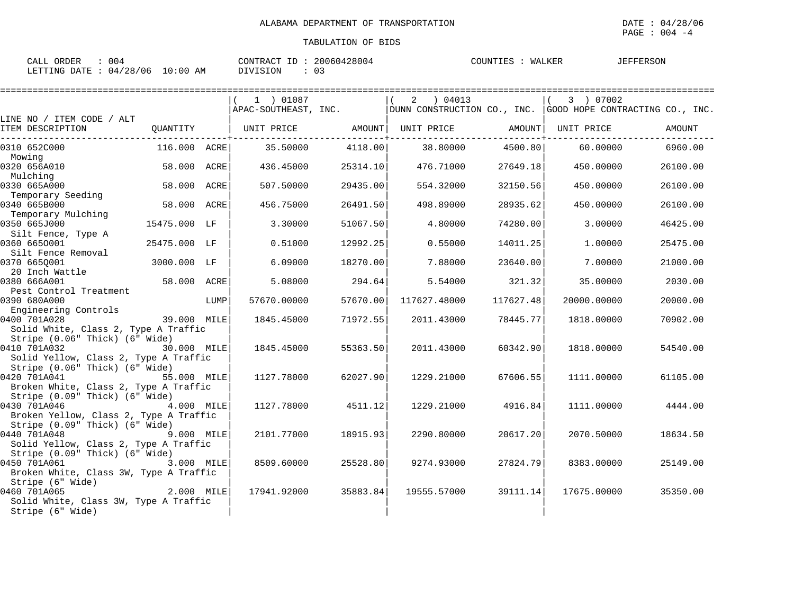| 004<br>ORDER<br>CALL                   | 20060428004<br>CONTRACT ID : | COUNTIES<br>WALKER | <b>JEFFERSON</b> |
|----------------------------------------|------------------------------|--------------------|------------------|
| $10:00$ AM<br>04/28/06<br>LETTING DATE | DIVISION                     |                    |                  |

|                                                |                   |      | 1 ) 01087                    |          | $2 \t04013$                                                 |           | 3 ) 07002   |          |
|------------------------------------------------|-------------------|------|------------------------------|----------|-------------------------------------------------------------|-----------|-------------|----------|
|                                                |                   |      | APAC-SOUTHEAST, INC.         |          | DUNN CONSTRUCTION CO., INC. GOOD HOPE CONTRACTING CO., INC. |           |             |          |
| LINE NO / ITEM CODE / ALT                      |                   |      |                              |          |                                                             |           |             |          |
| ITEM DESCRIPTION                               |                   |      | QUANTITY   UNIT PRICE AMOUNT |          | UNIT PRICE AMOUNT                                           |           | UNIT PRICE  | AMOUNT   |
| 0310 652C000                                   | 116.000 ACRE      |      | 35.50000                     | 4118.00  | 38.80000 4500.80                                            |           | 60.00000    | 6960.00  |
| Mowing                                         |                   |      |                              |          |                                                             |           |             |          |
| 0320 656A010                                   | 58.000 ACRE       |      | 436.45000                    | 25314.10 | 476.71000                                                   | 27649.18  | 450.00000   | 26100.00 |
| Mulching                                       |                   |      |                              |          |                                                             |           |             |          |
| 0330 665A000                                   | 58.000 ACRE       |      | 507.50000                    | 29435.00 | 554.32000                                                   | 32150.56  | 450.00000   | 26100.00 |
| Temporary Seeding                              |                   |      |                              |          |                                                             |           |             |          |
| 0340 665B000                                   | 58.000 ACRE       |      | 456.75000                    | 26491.50 | 498.89000                                                   | 28935.62  | 450.00000   | 26100.00 |
| Temporary Mulching                             |                   |      |                              |          |                                                             |           |             |          |
| 0350 665J000<br>Silt Fence, Type A             | 15475.000 LF      |      | 3.30000                      | 51067.50 | 4.80000                                                     | 74280.00  | 3.00000     | 46425.00 |
| 0360 6650001                                   | 25475.000 LF      |      | 0.51000                      | 12992.25 | 0.55000                                                     | 14011.25  | 1,00000     | 25475.00 |
| Silt Fence Removal                             |                   |      |                              |          |                                                             |           |             |          |
| 0370 6650001                                   | 3000.000 LF       |      | 6.09000                      | 18270.00 | 7.88000                                                     | 23640.00  | 7.00000     | 21000.00 |
| 20 Inch Wattle                                 |                   |      |                              |          |                                                             |           |             |          |
| 0380 666A001                                   | 58.000 ACRE       |      | 5.08000                      | 294.64   | 5.54000                                                     | 321.32    | 35.00000    | 2030.00  |
| Pest Control Treatment                         |                   |      |                              |          |                                                             |           |             |          |
| 0390 680A000                                   |                   | LUMP | 57670.00000                  | 57670.00 | 117627.48000                                                | 117627.48 | 20000.00000 | 20000.00 |
| Engineering Controls                           |                   |      |                              |          |                                                             |           |             |          |
| 0400 701A028                                   | $39.000$ MILE     |      | 1845.45000                   | 71972.55 | 2011.43000                                                  | 78445.77  | 1818.00000  | 70902.00 |
| Solid White, Class 2, Type A Traffic           |                   |      |                              |          |                                                             |           |             |          |
| Stripe (0.06" Thick) (6" Wide)                 |                   |      |                              |          |                                                             |           |             |          |
| 0410 701A032                                   | 30.000 MILE       |      | 1845.45000                   | 55363.50 | 2011.43000                                                  | 60342.90  | 1818.00000  | 54540.00 |
| Solid Yellow, Class 2, Type A Traffic          |                   |      |                              |          |                                                             |           |             |          |
| Stripe (0.06" Thick) (6" Wide)                 |                   |      |                              |          |                                                             |           |             |          |
| 0420 701A041                                   | 55.000 MILE       |      | 1127.78000                   | 62027.90 | 1229.21000                                                  | 67606.55  | 1111.00000  | 61105.00 |
| Broken White, Class 2, Type A Traffic          |                   |      |                              |          |                                                             |           |             |          |
| Stripe (0.09" Thick) (6" Wide)<br>0430 701A046 | 4.000 MILE        |      | 1127.78000                   | 4511.12  | 1229.21000                                                  | 4916.84   | 1111.00000  | 4444.00  |
| Broken Yellow, Class 2, Type A Traffic         |                   |      |                              |          |                                                             |           |             |          |
| Stripe $(0.09"$ Thick) $(6"$ Wide)             |                   |      |                              |          |                                                             |           |             |          |
| 0440 701A048                                   | 9.000 MILE        |      | 2101.77000                   | 18915.93 | 2290.80000                                                  | 20617.20  | 2070.50000  | 18634.50 |
| Solid Yellow, Class 2, Type A Traffic          |                   |      |                              |          |                                                             |           |             |          |
| Stripe (0.09" Thick) (6" Wide)                 |                   |      |                              |          |                                                             |           |             |          |
| 0450 701A061                                   | 3.000 MILE        |      | 8509.60000                   | 25528.80 | 9274.93000                                                  | 27824.79  | 8383.00000  | 25149.00 |
| Broken White, Class 3W, Type A Traffic         |                   |      |                              |          |                                                             |           |             |          |
| Stripe (6" Wide)                               |                   |      |                              |          |                                                             |           |             |          |
| 0460 701A065                                   | $\sim$ 2.000 MILE |      | 17941.92000                  | 35883.84 | 19555.57000                                                 | 39111.14  | 17675.00000 | 35350.00 |
| Solid White, Class 3W, Type A Traffic          |                   |      |                              |          |                                                             |           |             |          |
| Stripe (6" Wide)                               |                   |      |                              |          |                                                             |           |             |          |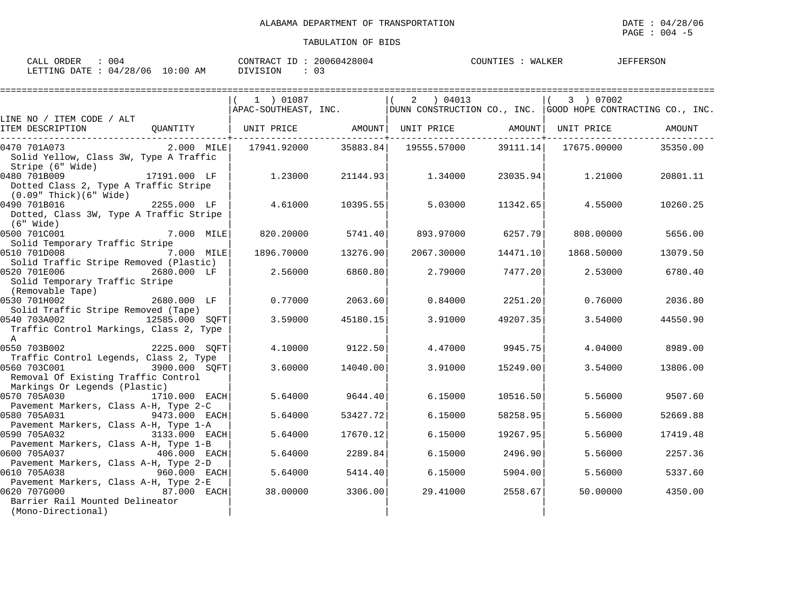| 004<br>ORDER<br>CALL            | CONTRACT ID: 20060428004 | COUNTIES : WALKER | <b>JEFFERSON</b> |
|---------------------------------|--------------------------|-------------------|------------------|
| LETTING DATE: 04/28/06 10:00 AM | -03<br>DIVISION          |                   |                  |

|                                                                                      |                | 1 ) 01087  |                      | 2 ) 04013                                                                                                                                  |          | 3 ) 07002        |          |
|--------------------------------------------------------------------------------------|----------------|------------|----------------------|--------------------------------------------------------------------------------------------------------------------------------------------|----------|------------------|----------|
|                                                                                      |                |            |                      | $\Delta$ PAC-SOUTHEAST, INC. $\overline{\phantom{a}}$ DUNN CONSTRUCTION CO., INC. $\overline{\phantom{a}}$ GOOD HOPE CONTRACTING CO., INC. |          |                  |          |
| LINE NO / ITEM CODE / ALT<br>ITEM DESCRIPTION                                        |                |            |                      | QUANTITY   UNIT PRICE       AMOUNT  UNIT PRICE       AMOUNT  UNIT PRICE                                                                    |          |                  | AMOUNT   |
| 0470 701A073<br>Solid Yellow, Class 3W, Type A Traffic<br>Stripe (6" Wide)           | $2.000$ MILE   |            | 17941.92000 35883.84 | 19555.57000                                                                                                                                |          |                  | 35350.00 |
| 0480 701B009<br>Dotted Class 2, Type A Traffic Stripe<br>(0.09" Thick)(6" Wide)      | 17191.000 LF   | 1.23000    | 21144.93             | 1.34000                                                                                                                                    |          | 23035.94 1.21000 | 20801.11 |
| 0490 701B016<br>Dotted, Class 3W, Type A Traffic Stripe<br>(6" Wide)                 | 2255.000 LF    | 4.61000    | 10395.55             | 5.03000                                                                                                                                    | 11342.65 | 4.55000          | 10260.25 |
| 0500 701C001<br>Solid Temporary Traffic Stripe                                       | 7.000 MILE     | 820.20000  | 5741.40              | 893.97000                                                                                                                                  | 6257.79  | 808,00000        | 5656.00  |
| 0510 701D008<br>Solid Traffic Stripe Removed (Plastic)                               | 7.000 MILE     | 1896.70000 | 13276.90             | 2067.30000                                                                                                                                 | 14471.10 | 1868.50000       | 13079.50 |
| 0520 701E006<br>Solid Temporary Traffic Stripe<br>(Removable Tape)                   | 2680.000 LF    | 2.56000    | 6860.80              | 2.79000                                                                                                                                    | 7477.20  | 2.53000          | 6780.40  |
| 0530 701H002<br>Solid Traffic Stripe Removed (Tape)                                  | 2680.000 LF    | 0.77000    | 2063.60              | 0.84000                                                                                                                                    | 2251.20  | 0.76000          | 2036.80  |
| 0540 703A002<br>Traffic Control Markings, Class 2, Type<br>$\mathsf{A}$              | 12585.000 SOFT | 3.59000    | 45180.15             | 3.91000                                                                                                                                    | 49207.35 | 3.54000          | 44550.90 |
| 0550 703B002<br>Traffic Control Legends, Class 2, Type                               | 2225.000 SOFT  | 4.10000    | 9122.50              | 4.47000                                                                                                                                    | 9945.75  | 4.04000          | 8989.00  |
| 0560 703C001<br>Removal Of Existing Traffic Control<br>Markings Or Legends (Plastic) | 3900.000 SOFT  | 3.60000    | 14040.00             | 3.91000                                                                                                                                    | 15249.00 | 3.54000          | 13806.00 |
| 0570 705A030<br>Pavement Markers, Class A-H, Type 2-C                                | 1710.000 EACH  | 5.64000    | 9644.40              | 6.15000                                                                                                                                    | 10516.50 | 5.56000          | 9507.60  |
| 0580 705A031<br>Pavement Markers, Class A-H, Type 1-A                                | 9473.000 EACH  | 5.64000    | 53427.72             | 6.15000                                                                                                                                    | 58258.95 | 5.56000          | 52669.88 |
| 0590 705A032<br>Pavement Markers, Class A-H, Type 1-B                                | 3133.000 EACH  | 5.64000    | 17670.12             | 6.15000                                                                                                                                    | 19267.95 | 5.56000          | 17419.48 |
| 0600 705A037<br>Pavement Markers, Class A-H, Type 2-D                                | 406.000 EACH   | 5.64000    | 2289.84              | 6.15000                                                                                                                                    | 2496.90  | 5.56000          | 2257.36  |
| 0610 705A038<br>Pavement Markers, Class A-H, Type 2-E                                | 960.000 EACH   | 5.64000    | 5414.40              | 6.15000                                                                                                                                    | 5904.00  | 5.56000          | 5337.60  |
| 0620 707G000<br>Barrier Rail Mounted Delineator<br>(Mono-Directional)                | 87.000 EACH    | 38,00000   | 3306.00              | 29.41000                                                                                                                                   | 2558.67  | 50.00000         | 4350.00  |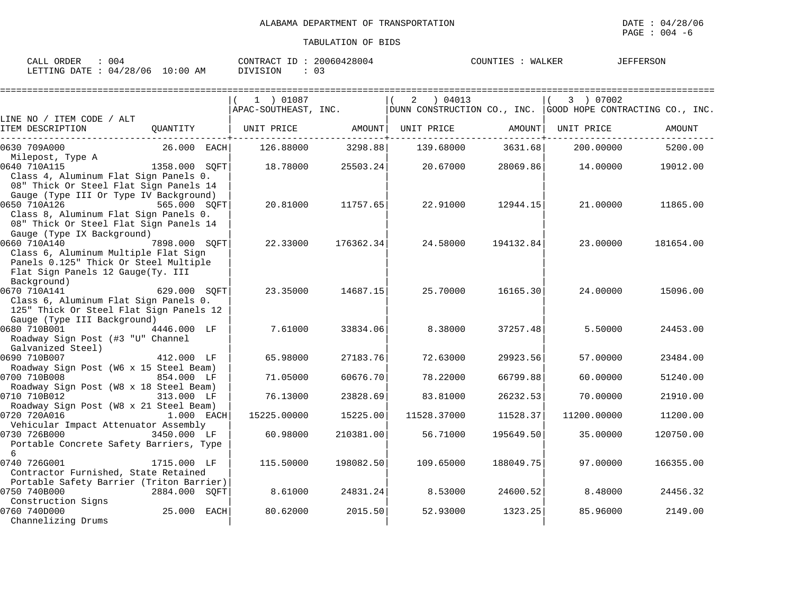| 004<br>ORDER<br>∴⊥ىلطات                                   | 428004<br>،00604<br>⊓ת∩ר<br><b>TID A OFF</b><br>11.71<br>-011 | JEFFERSON<br>WALKER<br>COUNTIE: |
|-----------------------------------------------------------|---------------------------------------------------------------|---------------------------------|
| 0:00<br>LETTING<br>706<br>DATE.<br>/ つ 요<br>04<br>АM<br>⊷ | $\sim$<br>ັບ                                                  |                                 |

|                                                                                  |               | 1 ) 01087            |           | 04013<br>2                                                      |           | 3 ) 07002   |           |
|----------------------------------------------------------------------------------|---------------|----------------------|-----------|-----------------------------------------------------------------|-----------|-------------|-----------|
|                                                                                  |               | APAC-SOUTHEAST, INC. |           | DUNN CONSTRUCTION CO., INC. $ $ GOOD HOPE CONTRACTING CO., INC. |           |             |           |
| LINE NO / ITEM CODE / ALT                                                        |               |                      |           |                                                                 |           |             |           |
| ITEM DESCRIPTION                                                                 | OUANTITY      | UNIT PRICE           | AMOUNT    | UNIT PRICE                                                      | AMOUNT    | UNIT PRICE  | AMOUNT    |
| 0630 709A000                                                                     | $26.000$ EACH | 126.88000            | 3298.88   | 139.68000                                                       | 3631.68   | 200.00000   | 5200.00   |
| Milepost, Type A                                                                 |               |                      |           |                                                                 |           |             |           |
| 0640 710A115                                                                     | 1358.000 SOFT | 18.78000             | 25503.24  | 20.67000                                                        | 28069.86  | 14.00000    | 19012.00  |
| Class 4, Aluminum Flat Sign Panels 0.                                            |               |                      |           |                                                                 |           |             |           |
| 08" Thick Or Steel Flat Sign Panels 14<br>Gauge (Type III Or Type IV Background) |               |                      |           |                                                                 |           |             |           |
| 0650 710A126                                                                     | 565.000 SOFT  | 20.81000             | 11757.65  | 22.91000                                                        | 12944.15  | 21,00000    | 11865.00  |
| Class 8, Aluminum Flat Sign Panels 0.                                            |               |                      |           |                                                                 |           |             |           |
| 08" Thick Or Steel Flat Sign Panels 14                                           |               |                      |           |                                                                 |           |             |           |
| Gauge (Type IX Background)                                                       |               |                      |           |                                                                 |           |             |           |
| 0660 710A140                                                                     | 7898.000 SOFT | 22.33000             | 176362.34 | 24.58000                                                        | 194132.84 | 23,00000    | 181654.00 |
| Class 6, Aluminum Multiple Flat Sign                                             |               |                      |           |                                                                 |           |             |           |
| Panels 0.125" Thick Or Steel Multiple                                            |               |                      |           |                                                                 |           |             |           |
| Flat Sign Panels 12 Gauge(Ty. III                                                |               |                      |           |                                                                 |           |             |           |
| Background)<br>0670 710A141                                                      | 629.000 SOFT  | 23.35000             | 14687.15  | 25.70000                                                        | 16165.30  | 24.00000    | 15096.00  |
| Class 6, Aluminum Flat Sign Panels 0.                                            |               |                      |           |                                                                 |           |             |           |
| 125" Thick Or Steel Flat Sign Panels 12                                          |               |                      |           |                                                                 |           |             |           |
| Gauge (Type III Background)                                                      |               |                      |           |                                                                 |           |             |           |
| 0680 710B001                                                                     | 4446.000 LF   | 7.61000              | 33834.06  | 8.38000                                                         | 37257.48  | 5.50000     | 24453.00  |
| Roadway Sign Post (#3 "U" Channel                                                |               |                      |           |                                                                 |           |             |           |
| Galvanized Steel)                                                                |               |                      |           |                                                                 |           |             |           |
| 0690 710B007                                                                     | 412.000 LF    | 65.98000             | 27183.76  | 72.63000                                                        | 29923.56  | 57.00000    | 23484.00  |
| Roadway Sign Post (W6 x 15 Steel Beam)<br>0700 710B008                           | 854.000 LF    | 71.05000             | 60676.70  | 78.22000                                                        | 66799.88  | 60.00000    | 51240.00  |
| Roadway Sign Post (W8 x 18 Steel Beam)                                           |               |                      |           |                                                                 |           |             |           |
| 0710 710B012                                                                     | 313.000 LF    | 76.13000             | 23828.69  | 83.81000                                                        | 26232.53  | 70.00000    | 21910.00  |
| Roadway Sign Post (W8 x 21 Steel Beam)                                           |               |                      |           |                                                                 |           |             |           |
| 0720 720A016                                                                     | 1.000 EACH    | 15225.00000          | 15225.00  | 11528.37000                                                     | 11528.37  | 11200.00000 | 11200.00  |
| Vehicular Impact Attenuator Assembly                                             |               |                      |           |                                                                 |           |             |           |
| 0730 726B000<br>Portable Concrete Safety Barriers, Type                          | 3450.000 LF   | 60.98000             | 210381.00 | 56.71000                                                        | 195649.50 | 35,00000    | 120750.00 |
| 6                                                                                |               |                      |           |                                                                 |           |             |           |
| 0740 726G001                                                                     | 1715.000 LF   | 115.50000            | 198082.50 | 109.65000                                                       | 188049.75 | 97.00000    | 166355.00 |
| Contractor Furnished, State Retained                                             |               |                      |           |                                                                 |           |             |           |
| Portable Safety Barrier (Triton Barrier)                                         |               |                      |           |                                                                 |           |             |           |
| 0750 740B000                                                                     | 2884.000 SOFT | 8.61000              | 24831.24  | 8.53000                                                         | 24600.52  | 8,48000     | 24456.32  |
| Construction Signs                                                               |               |                      |           |                                                                 |           |             |           |
| 0760 740D000                                                                     | 25.000 EACH   | 80.62000             | 2015.50   | 52.93000                                                        | 1323.25   | 85.96000    | 2149.00   |
| Channelizing Drums                                                               |               |                      |           |                                                                 |           |             |           |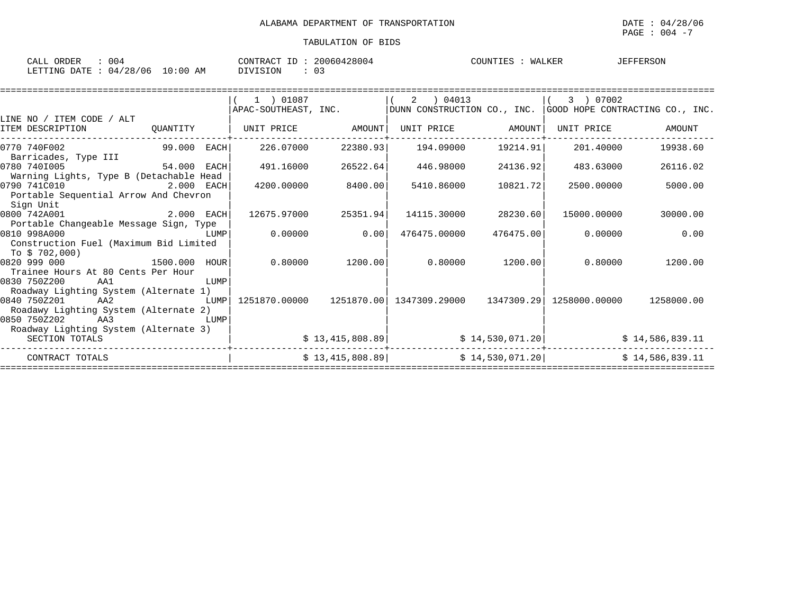| 004<br><b>OBDFP</b><br>CALL<br>UNDEN    | 20060428004<br>CONTRACT<br>$\tau$ | WALKER<br>COUNTIES | JEFFERSON |
|-----------------------------------------|-----------------------------------|--------------------|-----------|
| 10:00<br>04/28/06<br>LETTING DATE<br>AM | 03<br>IVISION                     |                    |           |

| 1 ) 01087 | 2 04013                                                                                                            |                                                                                                                                                           | 3 ) 07002     |                                                                                                                                                                                                                                                             |
|-----------|--------------------------------------------------------------------------------------------------------------------|-----------------------------------------------------------------------------------------------------------------------------------------------------------|---------------|-------------------------------------------------------------------------------------------------------------------------------------------------------------------------------------------------------------------------------------------------------------|
|           |                                                                                                                    |                                                                                                                                                           |               |                                                                                                                                                                                                                                                             |
|           |                                                                                                                    |                                                                                                                                                           |               |                                                                                                                                                                                                                                                             |
|           |                                                                                                                    |                                                                                                                                                           | UNIT PRICE    | AMOUNT                                                                                                                                                                                                                                                      |
|           | 194.09000                                                                                                          |                                                                                                                                                           | 201.40000     | 19938.60                                                                                                                                                                                                                                                    |
|           |                                                                                                                    |                                                                                                                                                           |               | 26116.02                                                                                                                                                                                                                                                    |
|           |                                                                                                                    |                                                                                                                                                           |               |                                                                                                                                                                                                                                                             |
|           | 5410.86000                                                                                                         |                                                                                                                                                           | 2500.00000    | 5000.00                                                                                                                                                                                                                                                     |
|           |                                                                                                                    |                                                                                                                                                           |               |                                                                                                                                                                                                                                                             |
|           |                                                                                                                    |                                                                                                                                                           |               |                                                                                                                                                                                                                                                             |
|           |                                                                                                                    |                                                                                                                                                           | 15000.00000   | 30000.00                                                                                                                                                                                                                                                    |
|           |                                                                                                                    |                                                                                                                                                           |               |                                                                                                                                                                                                                                                             |
|           | 476475,00000                                                                                                       |                                                                                                                                                           | 0.00000       | 0.00                                                                                                                                                                                                                                                        |
|           |                                                                                                                    |                                                                                                                                                           |               |                                                                                                                                                                                                                                                             |
|           |                                                                                                                    |                                                                                                                                                           |               |                                                                                                                                                                                                                                                             |
|           |                                                                                                                    |                                                                                                                                                           | 0.80000       | 1200.00                                                                                                                                                                                                                                                     |
|           |                                                                                                                    |                                                                                                                                                           |               |                                                                                                                                                                                                                                                             |
|           |                                                                                                                    |                                                                                                                                                           |               |                                                                                                                                                                                                                                                             |
|           |                                                                                                                    |                                                                                                                                                           |               |                                                                                                                                                                                                                                                             |
|           |                                                                                                                    |                                                                                                                                                           | 1258000.00000 | 1258000.00                                                                                                                                                                                                                                                  |
|           |                                                                                                                    |                                                                                                                                                           |               |                                                                                                                                                                                                                                                             |
|           |                                                                                                                    |                                                                                                                                                           |               |                                                                                                                                                                                                                                                             |
|           |                                                                                                                    |                                                                                                                                                           |               |                                                                                                                                                                                                                                                             |
|           |                                                                                                                    |                                                                                                                                                           |               | \$14,586,839.11                                                                                                                                                                                                                                             |
|           |                                                                                                                    |                                                                                                                                                           |               | \$14,586,839.11                                                                                                                                                                                                                                             |
|           | APAC-SOUTHEAST, INC.<br>226.07000<br>491.16000<br>4200.00000<br>12675.97000<br>0.00000<br>0.80000<br>1251870.00000 | AMOUNT<br>22380.93<br>26522.64<br>446.98000<br>8400.00<br>14115.30000<br>25351.94<br>0.00<br>1200.001<br>1251870.00<br>\$13,415,808.89<br>\$13,415,808.89 |               | $ $ DUNN CONSTRUCTION CO., INC. $ $ GOOD HOPE CONTRACTING CO., INC.<br>UNIT PRICE AMOUNT<br>19214.91<br>24136.92<br>483.63000<br>10821.72<br>28230.60<br>476475.00<br>$0.80000$ 1200.00<br>1347309.29000 1347309.29<br>\$14,530,071.20]<br>\$14,530,071.20] |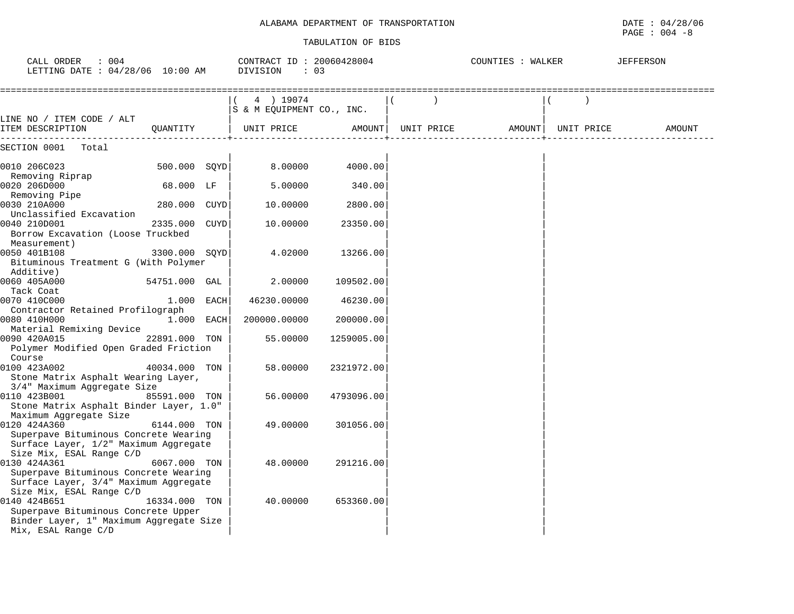# ALABAMA DEPARTMENT OF TRANSPORTATION **DATE** : 04/28/06

| CALL ORDER<br>: 004<br>LETTING DATE : 04/28/06 10:00 AM                                                                    |               | CONTRACT ID: 20060428004<br>DIVISION<br>: 03 |            |            | COUNTIES : WALKER |            | <b>JEFFERSON</b> |
|----------------------------------------------------------------------------------------------------------------------------|---------------|----------------------------------------------|------------|------------|-------------------|------------|------------------|
| LINE NO / ITEM CODE / ALT                                                                                                  |               | 4 ) 19074<br>S & M EQUIPMENT CO., INC.       |            |            |                   |            |                  |
| ITEM DESCRIPTION                                                                                                           | QUANTITY      | UNIT PRICE                                   | AMOUNT     | UNIT PRICE | AMOUNT            | UNIT PRICE | AMOUNT           |
| SECTION 0001<br>Total                                                                                                      |               |                                              |            |            |                   |            |                  |
| 0010 206C023                                                                                                               | 500.000 SOYD  | 8,00000                                      | 4000.00    |            |                   |            |                  |
| Removing Riprap<br>0020 206D000                                                                                            | 68.000 LF     | 5.00000                                      | 340.00     |            |                   |            |                  |
| Removing Pipe<br>0030 210A000<br>Unclassified Excavation                                                                   | 280.000 CUYD  | 10.00000                                     | 2800.00    |            |                   |            |                  |
| 0040 210D001<br>Borrow Excavation (Loose Truckbed<br>Measurement)                                                          | 2335.000 CUYD | 10.00000                                     | 23350.00   |            |                   |            |                  |
| 0050 401B108<br>Bituminous Treatment G (With Polymer<br>Additive)                                                          | 3300.000 SQYD | 4.02000                                      | 13266.00   |            |                   |            |                  |
| 0060 405A000<br>Tack Coat                                                                                                  | 54751.000 GAL | 2,00000                                      | 109502.00  |            |                   |            |                  |
| 0070 410C000<br>Contractor Retained Profilograph                                                                           | 1.000 EACH    | 46230.00000                                  | 46230.00   |            |                   |            |                  |
| 0080 410H000<br>Material Remixing Device                                                                                   | 1.000 EACH    | 200000.00000                                 | 200000.00  |            |                   |            |                  |
| 0090 420A015<br>Polymer Modified Open Graded Friction<br>Course                                                            | 22891.000 TON | 55.00000                                     | 1259005.00 |            |                   |            |                  |
| 0100 423A002<br>Stone Matrix Asphalt Wearing Layer,<br>3/4" Maximum Aggregate Size                                         | 40034.000 TON | 58.00000                                     | 2321972.00 |            |                   |            |                  |
| 0110 423B001<br>Stone Matrix Asphalt Binder Layer, 1.0"<br>Maximum Aggregate Size                                          | 85591.000 TON | 56.00000                                     | 4793096.00 |            |                   |            |                  |
| 0120 424A360<br>Superpave Bituminous Concrete Wearing<br>Surface Layer, 1/2" Maximum Aggregate<br>Size Mix, ESAL Range C/D | 6144.000 TON  | 49.00000                                     | 301056.00  |            |                   |            |                  |
| 0130 424A361<br>Superpave Bituminous Concrete Wearing<br>Surface Layer, 3/4" Maximum Aggregate<br>Size Mix, ESAL Range C/D | 6067.000 TON  | 48.00000                                     | 291216.00  |            |                   |            |                  |
| 0140 424B651<br>Superpave Bituminous Concrete Upper<br>Binder Layer, 1" Maximum Aggregate Size<br>Mix, ESAL Range C/D      | 16334.000 TON | 40.00000                                     | 653360.00  |            |                   |            |                  |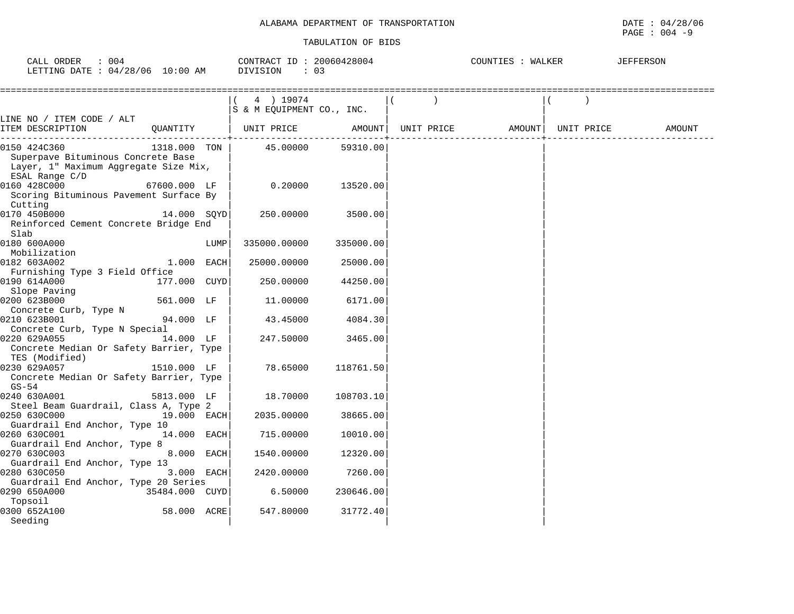| ORDER<br>⊂∆τ<br>004                                                                                                                                                                        | 2800<br>2006<br>RAL. | IALKEF<br>'OUN'. | FERSON |
|--------------------------------------------------------------------------------------------------------------------------------------------------------------------------------------------|----------------------|------------------|--------|
| '28.<br>ING<br>AΜ<br>ነ7 ጥኮ<br><b>DED</b><br>0:00<br>ი ()<br>114<br>J Pr<br>the contract of the contract of the contract of the contract of the contract of the contract of the contract of | .S TOD<br>. U.J      |                  |        |

|                                                                                                               |                  |      | 4 ) 19074<br>S & M EQUIPMENT CO., INC. |           |  |                                |  |        |
|---------------------------------------------------------------------------------------------------------------|------------------|------|----------------------------------------|-----------|--|--------------------------------|--|--------|
| LINE NO / ITEM CODE / ALT                                                                                     |                  |      |                                        |           |  |                                |  |        |
| ITEM DESCRIPTION                                                                                              | OUANTITY         |      | UNIT PRICE                             | AMOUNT    |  | UNIT PRICE AMOUNT   UNIT PRICE |  | AMOUNT |
| 0150 424C360<br>Superpave Bituminous Concrete Base<br>Layer, 1" Maximum Aggregate Size Mix,<br>ESAL Range C/D | 1318.000 TON     |      | 45.00000                               | 59310.00  |  |                                |  |        |
| 0160 428C000<br>Scoring Bituminous Pavement Surface By<br>Cutting                                             | 67600.000 LF     |      | 0.20000                                | 13520.00  |  |                                |  |        |
| 0170 450B000<br>Reinforced Cement Concrete Bridge End<br>Slab                                                 | 14.000 SOYD      |      | 250.00000                              | 3500.00   |  |                                |  |        |
| 0180 600A000<br>Mobilization                                                                                  |                  | LUMP | 335000.00000                           | 335000.00 |  |                                |  |        |
| 0182 603A002<br>Furnishing Type 3 Field Office                                                                | 1.000 EACH       |      | 25000.00000                            | 25000.00  |  |                                |  |        |
| 0190 614A000<br>Slope Paving                                                                                  | 177.000 CUYD     |      | 250.00000                              | 44250.00  |  |                                |  |        |
| 0200 623B000<br>Concrete Curb, Type N                                                                         | 561.000 LF       |      | 11.00000                               | 6171.00   |  |                                |  |        |
| 0210 623B001<br>Concrete Curb, Type N Special                                                                 | 94.000 LF        |      | 43.45000                               | 4084.30   |  |                                |  |        |
| 0220 629A055<br>Concrete Median Or Safety Barrier, Type<br>TES (Modified)                                     | 14.000 LF        |      | 247.50000                              | 3465.00   |  |                                |  |        |
| 0230 629A057<br>Concrete Median Or Safety Barrier, Type<br>GS-54                                              | 1510.000 LF      |      | 78.65000                               | 118761.50 |  |                                |  |        |
| 0240 630A001<br>Steel Beam Guardrail, Class A, Type 2                                                         | 5813.000 LF      |      | 18.70000                               | 108703.10 |  |                                |  |        |
| 0250 630C000<br>Guardrail End Anchor, Type 10                                                                 | 19.000 EACH      |      | 2035.00000                             | 38665.00  |  |                                |  |        |
| 0260 630C001<br>Guardrail End Anchor, Type 8                                                                  | 14.000 EACH      |      | 715.00000                              | 10010.00  |  |                                |  |        |
| 0270 630C003<br>Guardrail End Anchor, Type 13                                                                 | 8.000 EACH       |      | 1540.00000                             | 12320.00  |  |                                |  |        |
| 0280 630C050<br>Guardrail End Anchor, Type 20 Series                                                          | 3.000 EACH       |      | 2420.00000                             | 7260.00   |  |                                |  |        |
| 0290 650A000<br>Topsoil                                                                                       | $35484.000$ CUYD |      | 6.50000                                | 230646.00 |  |                                |  |        |
| 0300 652A100<br>Seeding                                                                                       | 58.000 ACRE      |      | 547.80000                              | 31772.40  |  |                                |  |        |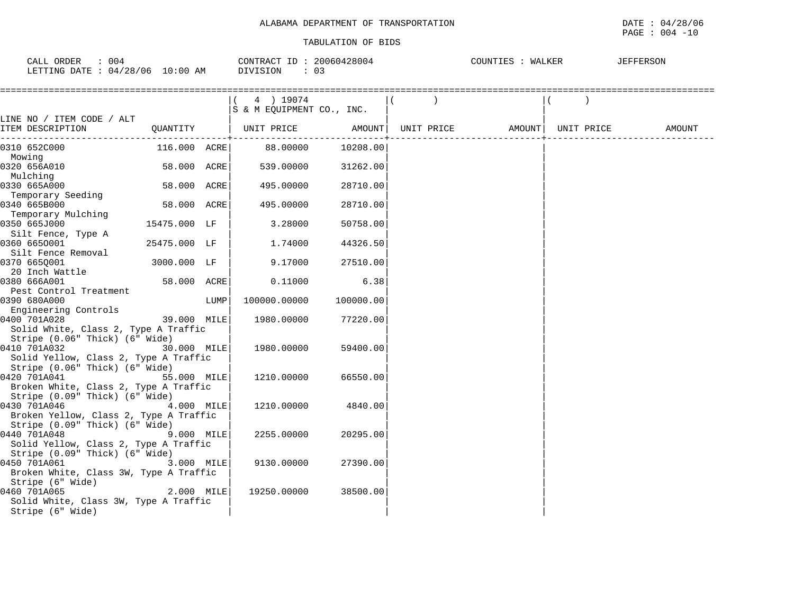| $TAT$ .<br>ORDER<br>004           | CONTRACT       | 28004<br>200604 | COUNTIL | <b>JEFFERSON</b> |
|-----------------------------------|----------------|-----------------|---------|------------------|
| ' 06<br>DATE:<br>100<br>04<br>20. | $\Omega$<br>ΑM | U 3             |         |                  |

|                                                                    |                       |      | 4 ) 19074<br>S & M EQUIPMENT CO., INC. |           |                              |  |        |
|--------------------------------------------------------------------|-----------------------|------|----------------------------------------|-----------|------------------------------|--|--------|
| LINE NO / ITEM CODE / ALT<br>ITEM DESCRIPTION<br>_________________ |                       |      | QUANTITY   UNIT PRICE AMOUNT           |           | UNIT PRICE AMOUNT UNIT PRICE |  | AMOUNT |
| 0310 652C000                                                       | 116.000 ACRE          |      | 88.00000                               | 10208.00  |                              |  |        |
| Mowing                                                             |                       |      |                                        |           |                              |  |        |
| 0320 656A010                                                       | 58.000 ACRE           |      | 539.00000                              | 31262.00  |                              |  |        |
| Mulching                                                           |                       |      |                                        |           |                              |  |        |
| 0330 665A000                                                       | 58.000 ACRE           |      | 495.00000                              | 28710.00  |                              |  |        |
| Temporary Seeding                                                  |                       |      |                                        |           |                              |  |        |
| 0340 665B000                                                       | 58.000 ACRE           |      | 495.00000                              | 28710.00  |                              |  |        |
| Temporary Mulching                                                 |                       |      |                                        |           |                              |  |        |
| 0350 665J000                                                       | 15475.000 LF          |      | 3.28000                                | 50758.00  |                              |  |        |
| Silt Fence, Type A                                                 |                       |      |                                        |           |                              |  |        |
| 0360 6650001                                                       | 25475.000 LF          |      | 1,74000                                | 44326.50  |                              |  |        |
| Silt Fence Removal                                                 |                       |      |                                        |           |                              |  |        |
| 0370 665Q001                                                       | 3000.000 LF           |      | 9.17000                                | 27510.00  |                              |  |        |
| 20 Inch Wattle<br>0380 666A001                                     | 58.000 ACRE           |      | 0.11000                                | 6.38      |                              |  |        |
| Pest Control Treatment                                             |                       |      |                                        |           |                              |  |        |
| 0390 680A000                                                       |                       | LUMP | 100000.00000                           | 100000.00 |                              |  |        |
| Engineering Controls                                               |                       |      |                                        |           |                              |  |        |
| 0400 701A028                                                       | 101012<br>39.000 MILE |      | 1980.00000                             | 77220.00  |                              |  |        |
| Solid White, Class 2, Type A Traffic                               |                       |      |                                        |           |                              |  |        |
| Stripe (0.06" Thick) (6" Wide)                                     |                       |      |                                        |           |                              |  |        |
| 0410 701A032                                                       | 30.000 MILE           |      | 1980.00000                             | 59400.00  |                              |  |        |
| Solid Yellow, Class 2, Type A Traffic                              |                       |      |                                        |           |                              |  |        |
| Stripe (0.06" Thick) (6" Wide)                                     |                       |      |                                        |           |                              |  |        |
| 0420 701A041                                                       | 55.000 MILE           |      | 1210.00000                             | 66550.00  |                              |  |        |
| Broken White, Class 2, Type A Traffic                              |                       |      |                                        |           |                              |  |        |
| Stripe (0.09" Thick) (6" Wide)                                     |                       |      |                                        |           |                              |  |        |
| 0430 701A046                                                       | 4.000 MILE            |      | 1210.00000                             | 4840.00   |                              |  |        |
| Broken Yellow, Class 2, Type A Traffic                             |                       |      |                                        |           |                              |  |        |
| Stripe (0.09" Thick) (6" Wide)                                     |                       |      |                                        |           |                              |  |        |
| 0440 701A048                                                       | 9.000 MILE            |      | 2255,00000                             | 20295.00  |                              |  |        |
| Solid Yellow, Class 2, Type A Traffic                              |                       |      |                                        |           |                              |  |        |
| Stripe (0.09" Thick) (6" Wide)                                     |                       |      |                                        |           |                              |  |        |
| 0450 701A061                                                       | 3.000 MILE            |      | 9130.00000                             | 27390.00  |                              |  |        |
| Broken White, Class 3W, Type A Traffic                             |                       |      |                                        |           |                              |  |        |
| Stripe (6" Wide)                                                   |                       |      |                                        |           |                              |  |        |
| 0460 701A065                                                       | 2.000 MILE            |      | 19250.00000                            | 38500.00  |                              |  |        |
| Solid White, Class 3W, Type A Traffic                              |                       |      |                                        |           |                              |  |        |
| Stripe (6" Wide)                                                   |                       |      |                                        |           |                              |  |        |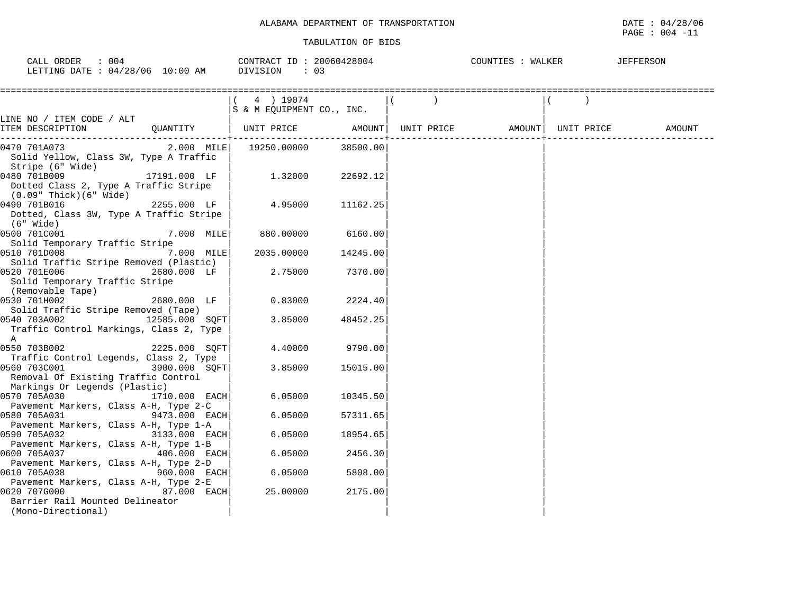|                                                                                                                               |                                         | TABULATION OF BIDS |       |                   | PAGE : 004 -11    |
|-------------------------------------------------------------------------------------------------------------------------------|-----------------------------------------|--------------------|-------|-------------------|-------------------|
| CALL ORDER : 004<br>LETTING DATE : 04/28/06 10:00 AM DIVISION                                                                 | CONTRACT ID: 20060428004<br>$\colon$ 03 |                    |       | COUNTIES : WALKER | JEFFERSON         |
|                                                                                                                               | (4) 19074<br>S & M EQUIPMENT CO., INC.  |                    | $($ ) |                   |                   |
| LINE NO / ITEM CODE / ALT<br>QUANTITY   UNIT PRICE     AMOUNT  UNIT PRICE     AMOUNT <br>ITEM DESCRIPTION                     |                                         |                    |       |                   | UNIT PRICE AMOUNT |
| $2.000$ MILE   19250.00000 38500.00<br>0470 701A073<br>Solid Yellow, Class 3W, Type A Traffic<br>Stripe (6" Wide)             |                                         |                    |       |                   |                   |
| 17191.000 LF  <br>0480 701B009<br>Dotted Class 2, Type A Traffic Stripe<br>(0.09" Thick)(6" Wide)                             | 1.32000                                 | 22692.12           |       |                   |                   |
| 0490 701B016<br>$2255.000$ LF  <br>Dotted, Class 3W, Type A Traffic Stripe<br>(6" Wide)                                       | 4.95000                                 | 11162.25           |       |                   |                   |
| 0500 701C001<br>7.000 MILE                                                                                                    | 880.00000                               | 6160.00            |       |                   |                   |
| Solid Temporary Traffic Stripe<br>0510 701D008<br>7.000 MILE                                                                  | 2035.00000                              | 14245.00           |       |                   |                   |
| Solid Traffic Stripe Removed (Plastic)<br>0520 701E006<br>2680.000 LF<br>Solid Temporary Traffic Stripe                       | 2.75000                                 | 7370.00            |       |                   |                   |
| (Removable Tape)<br>0530 701H002<br>2680.000 LF                                                                               | 0.83000                                 | 2224.40            |       |                   |                   |
| Solid Traffic Stripe Removed (Tape)<br>12585.000 SQFT<br>0540 703A002<br>Traffic Control Markings, Class 2, Type<br>A         | 3.85000                                 | 48452.25           |       |                   |                   |
| 0550 703B002<br>2225.000 SOFT<br>Traffic Control Legends, Class 2, Type                                                       | 4.40000                                 | 9790.00            |       |                   |                   |
| 0560 703C001<br>3900.000 SOFT<br>Removal Of Existing Traffic Control                                                          | 3.85000                                 | 15015.00           |       |                   |                   |
| Markings Or Legends (Plastic)<br>0570 705A030 1710.000 EACH                                                                   | 6.05000                                 | 10345.50           |       |                   |                   |
| Pavement Markers, Class A-H, Type 2-C<br>0580 705A031<br>9473.000 EACH                                                        | 6.05000                                 | 57311.65           |       |                   |                   |
| Pavement Markers, Class A-H, Type 1-A<br>0590 705A032<br>3133.000 EACH                                                        | 6.05000                                 | 18954.65           |       |                   |                   |
| Pavement Markers, Class A-H, Type 1-B<br>0600 705A037<br>406.000 EACH                                                         | 6.05000                                 | 2456.30            |       |                   |                   |
| Pavement Markers, Class A-H, Type 2-D<br>$960.000$ EACH<br>0610 705A038                                                       | 6.05000                                 | 5808.00            |       |                   |                   |
| Pavement Markers, Class A-H, Type 2-E<br>0620 707G000<br>87.000 EACH<br>Barrier Rail Mounted Delineator<br>(Mono-Directional) | 25.00000                                | 2175.00            |       |                   |                   |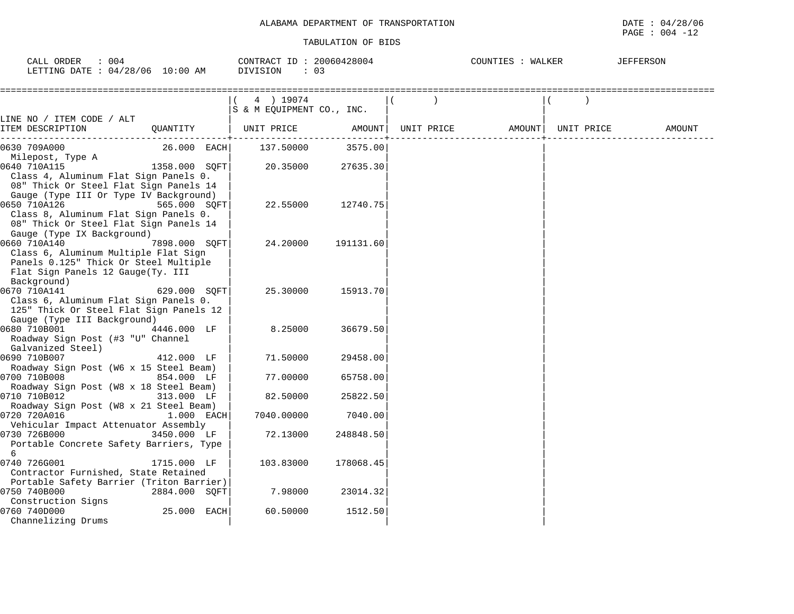| 004<br>CALL ORDER                | CONTRACT ID: 20060428004 | COUNTIES<br>WALKER | JEFFERSON |
|----------------------------------|--------------------------|--------------------|-----------|
| LETTING DATE : 04/28/06 10:00 AM | DIVISION                 |                    |           |

|                                                                      | 4 ) 19074<br>S & M EQUIPMENT CO., INC. |           |            |        |            |        |
|----------------------------------------------------------------------|----------------------------------------|-----------|------------|--------|------------|--------|
| LINE NO / ITEM CODE / ALT                                            |                                        |           |            |        |            |        |
| ITEM DESCRIPTION<br>OUANTITY                                         | UNIT PRICE                             | AMOUNT    | UNIT PRICE | AMOUNT | UNIT PRICE | AMOUNT |
| 26.000 EACH<br>0630 709A000                                          | 137.50000                              | 3575.00   |            |        |            |        |
| Milepost, Type A                                                     |                                        |           |            |        |            |        |
| 0640 710A115<br>1358.000 SOFT                                        | 20.35000                               | 27635.30  |            |        |            |        |
| Class 4, Aluminum Flat Sign Panels 0.                                |                                        |           |            |        |            |        |
| 08" Thick Or Steel Flat Sign Panels 14                               |                                        |           |            |        |            |        |
| Gauge (Type III Or Type IV Background)                               |                                        |           |            |        |            |        |
| 0650 710A126<br>565.000 SOFT                                         | 22.55000                               | 12740.75  |            |        |            |        |
| Class 8, Aluminum Flat Sign Panels 0.                                |                                        |           |            |        |            |        |
| 08" Thick Or Steel Flat Sign Panels 14<br>Gauge (Type IX Background) |                                        |           |            |        |            |        |
| 0660 710A140<br>7898.000 SOFT                                        | 24.20000                               | 191131.60 |            |        |            |        |
| Class 6, Aluminum Multiple Flat Sign                                 |                                        |           |            |        |            |        |
| Panels 0.125" Thick Or Steel Multiple                                |                                        |           |            |        |            |        |
| Flat Sign Panels 12 Gauge(Ty. III                                    |                                        |           |            |        |            |        |
| Background)                                                          |                                        |           |            |        |            |        |
| 0670 710A141<br>629.000 SOFT                                         | 25.30000                               | 15913.70  |            |        |            |        |
| Class 6, Aluminum Flat Sign Panels 0.                                |                                        |           |            |        |            |        |
| 125" Thick Or Steel Flat Sign Panels 12                              |                                        |           |            |        |            |        |
| Gauge (Type III Background)                                          |                                        |           |            |        |            |        |
| 0680 710B001<br>4446.000 LF                                          | 8.25000                                | 36679.50  |            |        |            |        |
| Roadway Sign Post (#3 "U" Channel                                    |                                        |           |            |        |            |        |
| Galvanized Steel)                                                    |                                        |           |            |        |            |        |
| 0690 710B007<br>412.000 LF                                           | 71.50000                               | 29458.00  |            |        |            |        |
| Roadway Sign Post (W6 x 15 Steel Beam)                               |                                        |           |            |        |            |        |
| 0700 710B008<br>854.000 LF                                           | 77.00000                               | 65758.00  |            |        |            |        |
| Roadway Sign Post (W8 x 18 Steel Beam)                               |                                        |           |            |        |            |        |
| 0710 710B012<br>313.000 LF                                           | 82.50000                               | 25822.50  |            |        |            |        |
| Roadway Sign Post (W8 x 21 Steel Beam)                               |                                        |           |            |        |            |        |
| 0720 720A016<br>1.000 EACH                                           | 7040.00000                             | 7040.00   |            |        |            |        |
| Vehicular Impact Attenuator Assembly                                 |                                        |           |            |        |            |        |
| 0730 726B000<br>3450.000 LF                                          | 72.13000                               | 248848.50 |            |        |            |        |
| Portable Concrete Safety Barriers, Type<br>$6^{\circ}$               |                                        |           |            |        |            |        |
| 0740 726G001<br>1715.000 LF                                          | 103.83000                              | 178068.45 |            |        |            |        |
| Contractor Furnished, State Retained                                 |                                        |           |            |        |            |        |
| Portable Safety Barrier (Triton Barrier)                             |                                        |           |            |        |            |        |
| 0750 740B000<br>2884.000 SQFT                                        | 7.98000                                | 23014.32  |            |        |            |        |
| Construction Signs                                                   |                                        |           |            |        |            |        |
| 0760 740D000<br>25.000 EACH                                          | 60.50000                               | 1512.50   |            |        |            |        |
| Channelizing Drums                                                   |                                        |           |            |        |            |        |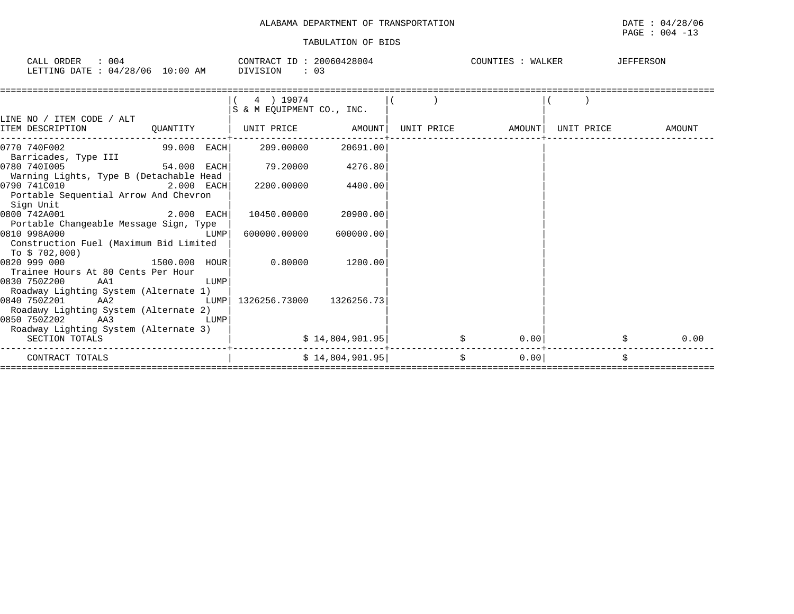| CALL ORDER<br>: 004<br>LETTING DATE: 04/28/06 10:00 AM DIVISION     | CONTRACT ID: 20060428004<br>: 03       |                  |  | COUNTIES : WALKER |                   |  | JEFFERSON  |   |        |
|---------------------------------------------------------------------|----------------------------------------|------------------|--|-------------------|-------------------|--|------------|---|--------|
|                                                                     | 4 ) 19074<br>S & M EOUIPMENT CO., INC. |                  |  |                   |                   |  |            |   |        |
| LINE NO / ITEM CODE / ALT<br>ITEM DESCRIPTION<br>QUANTITY           | UNIT PRICE           AMOUNT            |                  |  |                   | UNIT PRICE AMOUNT |  | UNIT PRICE |   | AMOUNT |
| 99.000 EACH<br>0770 740F002                                         | 209.00000                              | 20691.00         |  |                   |                   |  |            |   |        |
| Barricades, Type III                                                |                                        |                  |  |                   |                   |  |            |   |        |
| 0780 7401005<br>54.000 EACH                                         | 79.20000                               | 4276.80          |  |                   |                   |  |            |   |        |
| Warning Lights, Type B (Detachable Head                             |                                        |                  |  |                   |                   |  |            |   |        |
| 0790 741C010<br>2.000 EACH                                          | 2200.00000                             | 4400.00          |  |                   |                   |  |            |   |        |
| Portable Sequential Arrow And Chevron<br>Sign Unit                  |                                        |                  |  |                   |                   |  |            |   |        |
| $2.000$ EACH<br>0800 742A001                                        | 10450.00000                            | 20900.00         |  |                   |                   |  |            |   |        |
| Portable Changeable Message Sign, Type                              |                                        |                  |  |                   |                   |  |            |   |        |
| 0810 998A000<br>LUMP                                                | 600000.00000                           | 600000.00        |  |                   |                   |  |            |   |        |
| Construction Fuel (Maximum Bid Limited                              |                                        |                  |  |                   |                   |  |            |   |        |
| To \$ 702,000)                                                      |                                        |                  |  |                   |                   |  |            |   |        |
| 0820 999 000<br>1500.000 HOUR<br>Trainee Hours At 80 Cents Per Hour | 0.80000                                | 1200.00          |  |                   |                   |  |            |   |        |
| 0830 750Z200<br>AA1<br>LUMP                                         |                                        |                  |  |                   |                   |  |            |   |        |
| Roadway Lighting System (Alternate 1)                               |                                        |                  |  |                   |                   |  |            |   |        |
| 0840 750Z201<br>AA2<br>LUMP                                         | 1326256.73000                          | 1326256.73       |  |                   |                   |  |            |   |        |
| Roadawy Lighting System (Alternate 2)                               |                                        |                  |  |                   |                   |  |            |   |        |
| 0850 750Z202<br>AA3<br>LUMP                                         |                                        |                  |  |                   |                   |  |            |   |        |
| Roadway Lighting System (Alternate 3)                               |                                        |                  |  |                   |                   |  |            |   |        |
| SECTION TOTALS                                                      |                                        | \$14,804,901.95] |  |                   | 0.00              |  |            |   | 0.00   |
| CONTRACT TOTALS                                                     |                                        | \$14,804,901.95  |  | \$                | 0.00              |  |            | Ś |        |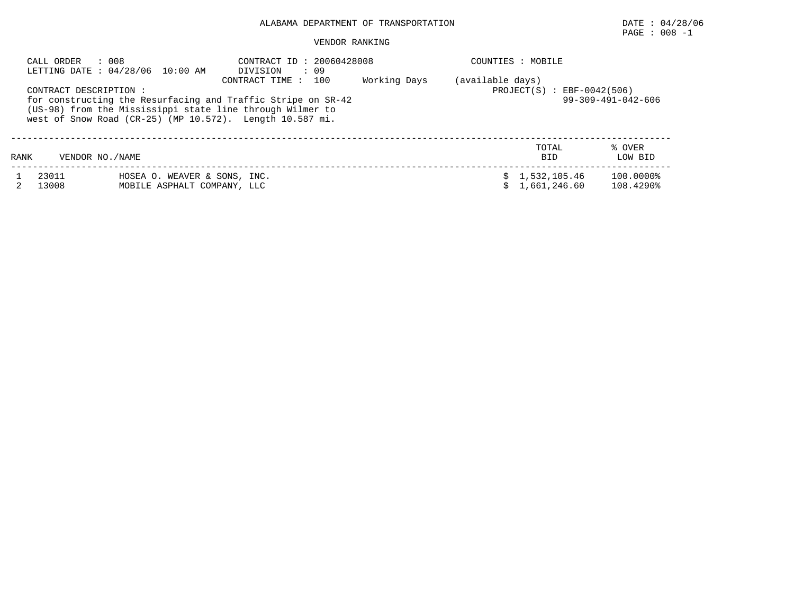# ALABAMA DEPARTMENT OF TRANSPORTATION DATE : 04/28/06

# $\texttt{PAGE}$  : 008 -1

#### VENDOR RANKING

|      | CALL ORDER<br>: 008    | LETTING DATE : 04/28/06 10:00 AM                                                                                                                                                             | CONTRACT ID: 20060428008<br>: 09<br>DIVISION<br>100<br>CONTRACT TIME : | Working Days                 | COUNTIES : MOBILE                |                     |                        |
|------|------------------------|----------------------------------------------------------------------------------------------------------------------------------------------------------------------------------------------|------------------------------------------------------------------------|------------------------------|----------------------------------|---------------------|------------------------|
|      | CONTRACT DESCRIPTION : | for constructing the Resurfacing and Traffic Stripe on SR-42<br>(US-98) from the Mississippi state line through Wilmer to<br>west of Snow Road $(CR-25)$ (MP $10.572$ ). Length $10.587$ mi. | (available days)<br>$PROJECT(S)$ : EBF-0042(506)                       | $99 - 309 - 491 - 042 - 606$ |                                  |                     |                        |
| RANK | VENDOR NO. / NAME      |                                                                                                                                                                                              |                                                                        |                              |                                  | TOTAL<br><b>BID</b> | % OVER<br>LOW BID      |
|      | 23011<br>13008         | HOSEA O. WEAVER & SONS, INC.<br>MOBILE ASPHALT COMPANY, LLC                                                                                                                                  |                                                                        |                              | \$1,532,105.46<br>\$1.661.246.60 |                     | 100.0000%<br>108.4290% |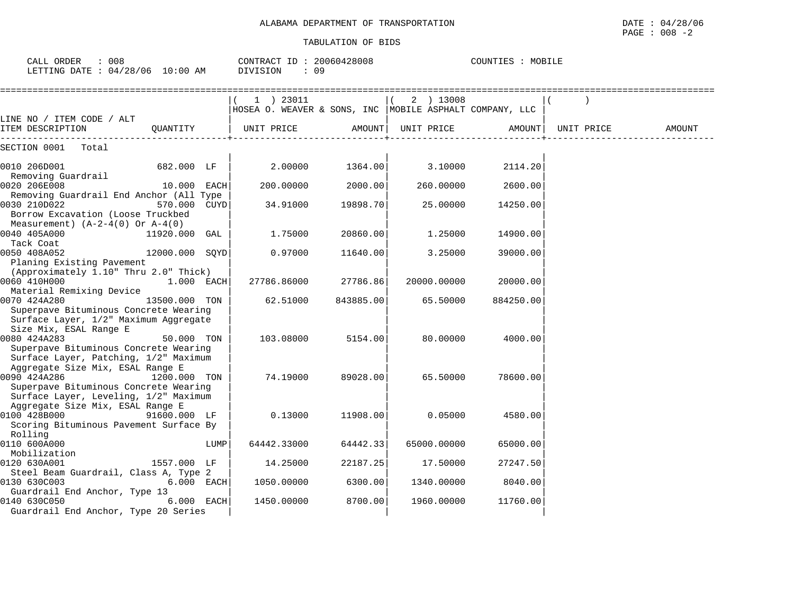| ALABAMA DEPARTMENT OF<br>TRANSPORTATION | DATE<br>/28/06<br>- 01<br>the contract of the contract of the contract of the contract of the contract of the contract of the contract of |
|-----------------------------------------|-------------------------------------------------------------------------------------------------------------------------------------------|
|                                         | 008<br>PAGE<br>$\overline{\phantom{0}}$                                                                                                   |

| $\therefore$ 008<br>CALL ORDER<br>LETTING DATE : 04/28/06 10:00 AM                                                 |                |      | CONTRACT ID: 20060428008<br>DIVISION<br>: 09                             |           |             | COUNTIES : MOBILE |            |        |
|--------------------------------------------------------------------------------------------------------------------|----------------|------|--------------------------------------------------------------------------|-----------|-------------|-------------------|------------|--------|
|                                                                                                                    |                |      | $(1)$ 23011<br>HOSEA O. WEAVER & SONS, INC   MOBILE ASPHALT COMPANY, LLC |           | $(2)$ 13008 |                   |            |        |
| LINE NO / ITEM CODE / ALT<br>ITEM DESCRIPTION                                                                      | OUANTITY       |      | UNIT PRICE                                                               | AMOUNT    | UNIT PRICE  | AMOUNT            | UNIT PRICE | AMOUNT |
| SECTION 0001 Total                                                                                                 |                |      |                                                                          |           |             |                   |            |        |
| 0010 206D001<br>Removing Guardrail                                                                                 | 682.000 LF     |      | 2.00000                                                                  | 1364.00   | 3.10000     | 2114.20           |            |        |
| 0020 206E008<br>Removing Guardrail End Anchor (All Type                                                            | 10.000 EACH    |      | 200,00000                                                                | 2000.00   | 260.00000   | 2600.00           |            |        |
| 0030 210D022<br>Borrow Excavation (Loose Truckbed                                                                  | 570.000 CUYD   |      | 34.91000                                                                 | 19898.70  | 25.00000    | 14250.00          |            |        |
| Measurement) $(A-2-4(0)$ Or $A-4(0)$<br>0040 405A000                                                               | 11920.000 GAL  |      | 1.75000                                                                  | 20860.00  | 1.25000     | 14900.00          |            |        |
| Tack Coat<br>0050 408A052<br>Planing Existing Pavement                                                             | 12000.000 SOYD |      | 0.97000                                                                  | 11640.00  | 3.25000     | 39000.00          |            |        |
| (Approximately 1.10" Thru 2.0" Thick)<br>0060 410H000                                                              | $1.000$ EACH   |      | 27786.86000                                                              | 27786.86  | 20000.00000 | 20000.00          |            |        |
| Material Remixing Device<br>0070 424A280                                                                           | 13500.000 TON  |      | 62.51000                                                                 | 843885.00 | 65.50000    | 884250.00         |            |        |
| Superpave Bituminous Concrete Wearing<br>Surface Layer, 1/2" Maximum Aggregate                                     |                |      |                                                                          |           |             |                   |            |        |
| Size Mix, ESAL Range E<br>0080 424A283                                                                             | 50.000 TON     |      | 103.08000                                                                | 5154.00   | 80.00000    | 4000.00           |            |        |
| Superpave Bituminous Concrete Wearing<br>Surface Layer, Patching, 1/2" Maximum                                     |                |      |                                                                          |           |             |                   |            |        |
| Aggregate Size Mix, ESAL Range E<br>0090 424A286                                                                   | 1200.000 TON   |      | 74.19000                                                                 | 89028.00  | 65.50000    | 78600.00          |            |        |
| Superpave Bituminous Concrete Wearing<br>Surface Layer, Leveling, 1/2" Maximum<br>Aggregate Size Mix, ESAL Range E |                |      |                                                                          |           |             |                   |            |        |
| 0100 428B000<br>Scoring Bituminous Pavement Surface By                                                             | 91600.000 LF   |      | 0.13000                                                                  | 11908.00  | 0.05000     | 4580.00           |            |        |
| Rolling<br>0110 600A000                                                                                            |                | LUMP | 64442.33000                                                              | 64442.33  | 65000.00000 | 65000.00          |            |        |
| Mobilization<br>0120 630A001<br>Steel Beam Guardrail, Class A, Type 2                                              | 1557.000 LF    |      | 14.25000                                                                 | 22187.25  | 17.50000    | 27247.50          |            |        |
| 0130 630C003<br>Guardrail End Anchor, Type 13                                                                      | 6.000 EACH     |      | 1050.00000                                                               | 6300.00   | 1340.00000  | 8040.00           |            |        |
| 0140 630C050<br>Guardrail End Anchor, Type 20 Series                                                               | 6.000 EACH     |      | 1450.00000                                                               | 8700.00   | 1960.00000  | 11760.00          |            |        |
|                                                                                                                    |                |      |                                                                          |           |             |                   |            |        |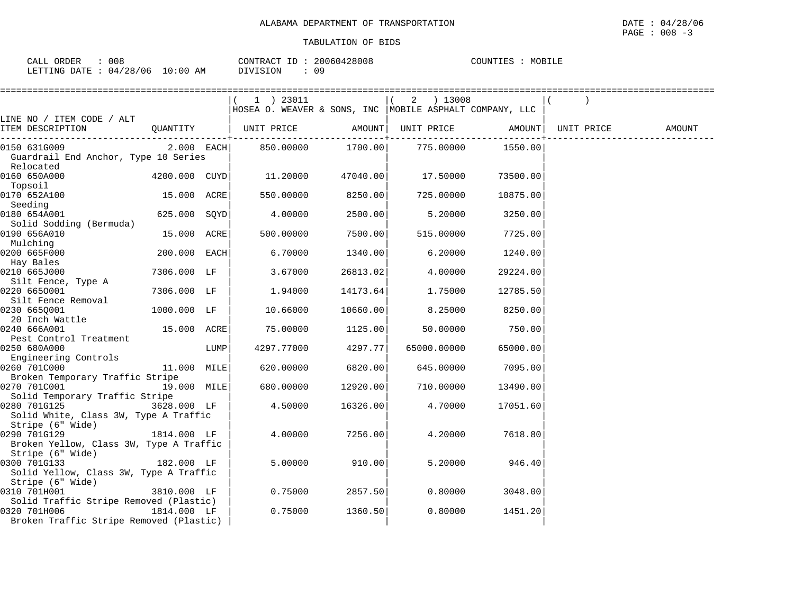| ORDER<br>$\sim$ $\sim$ $\sim$<br>$\Delta$ | 008                          | 20060428008<br>ID<br>CONTRACT | MOBILF<br>COUNTIES<br>1 H. S<br>⊿⊥⊥⊪ |
|-------------------------------------------|------------------------------|-------------------------------|--------------------------------------|
| LETTING<br>DATE                           | 10:00<br>/28/06<br>AM<br>04/ | 09<br><b>DIVISION</b>         |                                      |

|                                                                            |               |      | $(1)$ 23011                                               |          | $(2)$ 13008                  |                                 |            |        |
|----------------------------------------------------------------------------|---------------|------|-----------------------------------------------------------|----------|------------------------------|---------------------------------|------------|--------|
|                                                                            |               |      | HOSEA O. WEAVER & SONS, INC   MOBILE ASPHALT COMPANY, LLC |          |                              |                                 |            |        |
| LINE NO / ITEM CODE / ALT<br>ITEM DESCRIPTION                              |               |      | QUANTITY   UNIT PRICE                                     |          | AMOUNT UNIT PRICE            | AMOUNT                          | UNIT PRICE | AMOUNT |
|                                                                            |               |      |                                                           |          | --------------+------------- | . _ _ _ _ _ _ _ _ _ _ _ _ _ _ _ |            |        |
| 0150 631G009<br>Guardrail End Anchor, Type 10 Series<br>Relocated          | $2.000$ EACH  |      | 850.00000                                                 | 1700.00  | 775.00000                    | 1550.00                         |            |        |
| 0160 650A000<br>Topsoil                                                    | 4200.000 CUYD |      | 11.20000                                                  | 47040.00 | 17.50000                     | 73500.00                        |            |        |
| 0170 652A100<br>Seeding                                                    | 15.000 ACRE   |      | 550.00000                                                 | 8250.00  | 725.00000                    | 10875.00                        |            |        |
| 0180 654A001<br>Solid Sodding (Bermuda)                                    | 625.000 SOYD  |      | $4\ldots00000$                                            | 2500.00  | 5.20000                      | 3250.00                         |            |        |
| 0190 656A010<br>Mulching                                                   | 15.000 ACRE   |      | 500,00000                                                 | 7500.00  | 515.00000                    | 7725.00                         |            |        |
| 0200 665F000<br>Hay Bales                                                  | 200.000 EACH  |      | 6.70000                                                   | 1340.00  | 6.20000                      | 1240.00                         |            |        |
| 0210 665J000                                                               | 7306.000 LF   |      | 3.67000                                                   | 26813.02 | 4.00000                      | 29224.00                        |            |        |
| Silt Fence, Type A<br>0220 6650001                                         | 7306.000 LF   |      | 1.94000                                                   | 14173.64 | 1.75000                      | 12785.50                        |            |        |
| Silt Fence Removal<br>0230 6650001                                         | 1000.000 LF   |      | 10.66000                                                  | 10660.00 | 8.25000                      | 8250.00                         |            |        |
| 20 Inch Wattle<br>0240 666A001                                             | 15.000 ACRE   |      | 75.00000                                                  | 1125.00  | 50.00000                     | 750.00                          |            |        |
| Pest Control Treatment<br>0250 680A000                                     |               | LUMP | 4297.77000                                                | 4297.77  | 65000.00000                  | 65000.00                        |            |        |
| Engineering Controls<br>0260 701C000                                       | 11.000 MILE   |      | 620.00000                                                 | 6820.00  | 645.00000                    | 7095.00                         |            |        |
| Broken Temporary Traffic Stripe<br>0270 701C001                            | 19.000 MILE   |      | 680.00000                                                 | 12920.00 | 710.00000                    | 13490.00                        |            |        |
| Solid Temporary Traffic Stripe<br>0280 701G125                             | 3628.000 LF   |      | 4.50000                                                   | 16326.00 | 4.70000                      | 17051.60                        |            |        |
| Solid White, Class 3W, Type A Traffic<br>Stripe (6" Wide)                  |               |      |                                                           |          |                              |                                 |            |        |
| 0290 701G129<br>Broken Yellow, Class 3W, Type A Traffic                    | 1814.000 LF   |      | 4.00000                                                   | 7256.00  | 4.20000                      | 7618.80                         |            |        |
| Stripe (6" Wide)<br>0300 701G133                                           | 182.000 LF    |      | 5.00000                                                   | 910.00   | 5.20000                      | 946.40                          |            |        |
| Solid Yellow, Class 3W, Type A Traffic<br>Stripe (6" Wide)<br>0310 701H001 |               |      | 0.75000                                                   | 2857.50  |                              |                                 |            |        |
| Solid Traffic Stripe Removed (Plastic)                                     | 3810.000 LF   |      |                                                           |          | 0.80000                      | 3048.00                         |            |        |
| 0320 701H006<br>Broken Traffic Stripe Removed (Plastic)                    | 1814.000 LF   |      | 0.75000                                                   | 1360.50  | 0.80000                      | 1451.20                         |            |        |
|                                                                            |               |      |                                                           |          |                              |                                 |            |        |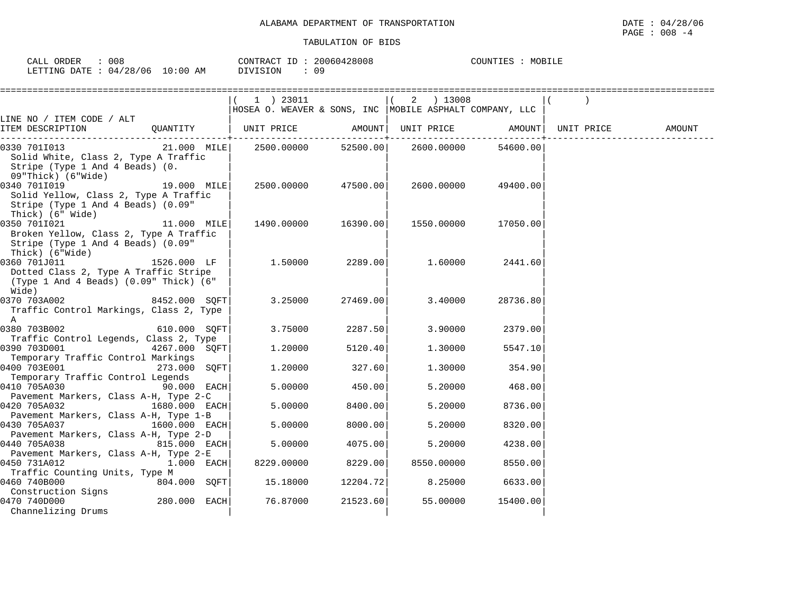| CALL<br>ORDER                   | 008 | CONTRACT ID: 20060428008 |    | COUNTIES | MOBILE |
|---------------------------------|-----|--------------------------|----|----------|--------|
| LETTING DATE: 04/28/06 10:00 AM |     | <b>DIVISION</b>          | 09 |          |        |

|                                                                                                                 |                    | 1 ) 23011<br> HOSEA O. WEAVER & SONS, INC  MOBILE ASPHALT COMPANY, LLC |          | 2 ) 13008                                       |              |            |        |
|-----------------------------------------------------------------------------------------------------------------|--------------------|------------------------------------------------------------------------|----------|-------------------------------------------------|--------------|------------|--------|
| LINE NO / ITEM CODE / ALT<br>ITEM DESCRIPTION                                                                   | QUANTITY           | UNIT PRICE                                                             |          | AMOUNT UNIT PRICE AMOUNT<br>-------+----------- | . <u>.</u> . | UNIT PRICE | AMOUNT |
| 0330 701I013<br>Solid White, Class 2, Type A Traffic<br>Stripe (Type 1 And 4 Beads) (0.<br>09"Thick) (6"Wide)   | 21.000 MILE        |                                                                        |          | 2500.00000 52500.00 2600.00000 54600.00         |              |            |        |
| 0340 701I019<br>Solid Yellow, Class 2, Type A Traffic<br>Stripe (Type 1 And 4 Beads) (0.09"<br>Thick) (6" Wide) | 19.000 MILE        | 2500.00000                                                             | 47500.00 | 2600.00000                                      | 49400.00     |            |        |
| 0350 7011021<br>Broken Yellow, Class 2, Type A Traffic<br>Stripe (Type 1 And 4 Beads) (0.09"<br>Thick) (6"Wide) | 11.000 MILE        | 1490.00000                                                             | 16390.00 | 1550.00000                                      | 17050.00     |            |        |
| 0360 701J011<br>Dotted Class 2, Type A Traffic Stripe<br>(Type 1 And 4 Beads) (0.09" Thick) (6"<br>Wide)        | 1526.000 LF        | 1.50000                                                                | 2289.00  | 1.60000                                         | 2441.60      |            |        |
| 0370 703A002<br>Traffic Control Markings, Class 2, Type<br>$\mathbb{A}$                                         | 8452.000 SQFT      | 3.25000                                                                | 27469.00 | 3.40000                                         | 28736.80     |            |        |
| 0380 703B002<br>Traffic Control Legends, Class 2, Type                                                          | 610.000 SQFT       | 3.75000                                                                | 2287.50  | 3.90000                                         | 2379.00      |            |        |
| 0390 703D001<br>Temporary Traffic Control Markings                                                              | 4267.000 SOFT      | 1,20000                                                                | 5120.40  | 1,30000                                         | 5547.10      |            |        |
| 0400 703E001<br>Temporary Traffic Control Legends                                                               | 273.000 SOFT       | 1,20000                                                                | 327.60   | 1,30000                                         | 354.90       |            |        |
| 0410 705A030<br>Pavement Markers, Class A-H, Type 2-C                                                           | <b>90.000 EACH</b> | 5.00000                                                                | 450.00   | 5.20000                                         | 468.00       |            |        |
| 0420 705A032<br>Pavement Markers, Class A-H, Type 1-B                                                           | 1680.000 EACH      | 5.00000                                                                | 8400.00  | 5.20000                                         | 8736.00      |            |        |
| 0430 705A037                                                                                                    | 1600.000 EACH      | 5.00000                                                                | 8000.00  | 5.20000                                         | 8320.00      |            |        |
| Pavement Markers, Class A-H, Type 2-D<br>0440 705A038                                                           | 815.000 EACH       | 5.00000                                                                | 4075.00  | 5.20000                                         | 4238.00      |            |        |
| Pavement Markers, Class A-H, Type 2-E<br>0450 731A012<br>Traffic Counting Units, Type M                         | $1.000$ EACH       | 8229.00000                                                             | 8229.00  | 8550.00000                                      | 8550.00      |            |        |
| 0460 740B000<br>Construction Signs                                                                              | 804.000 SOFT       | 15.18000                                                               | 12204.72 | 8.25000                                         | 6633.00      |            |        |
| 0470 740D000<br>Channelizing Drums                                                                              | $280.000$ EACH     | 76.87000                                                               | 21523.60 | 55.00000                                        | 15400.00     |            |        |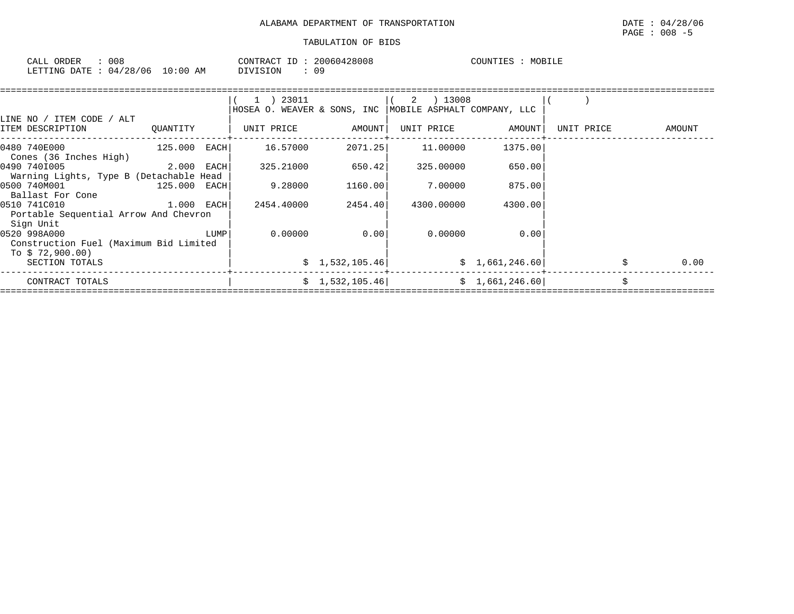| CALL<br>ORDER    | $\sim$ $\sim$ $\sim$<br>u u c |                                         | CONTF<br>، ۱۷ س | 20060428008 | ™UNT⊥<br>- TR2. | MOB.<br>டபட |
|------------------|-------------------------------|-----------------------------------------|-----------------|-------------|-----------------|-------------|
| LETTING<br>RATE: | $' \cap 6$<br>04/28           | $\textcolor{red}{\textbf{10:00}}$<br>AM |                 | n c<br>U -  |                 |             |

|          |      | (1) 23011                                                                                                                  |                                                                            |            |                                                                                               |                                                                                                  |                                   |
|----------|------|----------------------------------------------------------------------------------------------------------------------------|----------------------------------------------------------------------------|------------|-----------------------------------------------------------------------------------------------|--------------------------------------------------------------------------------------------------|-----------------------------------|
|          |      |                                                                                                                            |                                                                            |            |                                                                                               |                                                                                                  |                                   |
|          |      |                                                                                                                            |                                                                            |            |                                                                                               |                                                                                                  |                                   |
| QUANTITY |      |                                                                                                                            |                                                                            |            |                                                                                               | UNIT PRICE                                                                                       | AMOUNT                            |
|          |      | 16.57000                                                                                                                   |                                                                            | 11.00000   | 1375.00                                                                                       |                                                                                                  |                                   |
|          |      | 325.21000                                                                                                                  |                                                                            | 325,00000  | 650.00                                                                                        |                                                                                                  |                                   |
|          |      |                                                                                                                            |                                                                            |            |                                                                                               |                                                                                                  |                                   |
|          |      | 9.28000                                                                                                                    |                                                                            | 7.00000    | 875.00                                                                                        |                                                                                                  |                                   |
|          |      | 2454.40000                                                                                                                 |                                                                            | 4300.00000 | 4300.00                                                                                       |                                                                                                  |                                   |
|          |      |                                                                                                                            |                                                                            |            |                                                                                               |                                                                                                  |                                   |
|          | LUMP | 0.00000                                                                                                                    |                                                                            | 0.00000    | 0.00                                                                                          |                                                                                                  |                                   |
|          |      |                                                                                                                            |                                                                            |            |                                                                                               |                                                                                                  |                                   |
|          |      |                                                                                                                            |                                                                            |            |                                                                                               |                                                                                                  | 0.00                              |
|          |      |                                                                                                                            |                                                                            |            |                                                                                               |                                                                                                  | Ś.                                |
|          |      | Warning Lights, Type B (Detachable Head<br>Portable Sequential Arrow And Chevron<br>Construction Fuel (Maximum Bid Limited | UNIT PRICE<br>$125.000$ EACH<br>2.000 EACH<br>125.000 EACH<br>$1.000$ EACH |            | AMOUNT<br>2071.25<br>650.42<br>1160.00<br>2454.40<br>0.00<br>\$1,532,105.46<br>\$1,532,105.46 | $(2)$ 13008<br>HOSEA O. WEAVER & SONS, INC   MOBILE ASPHALT COMPANY, LLC<br>AMOUNT<br>UNIT PRICE | \$1,661,246.60]<br>\$1,661,246.60 |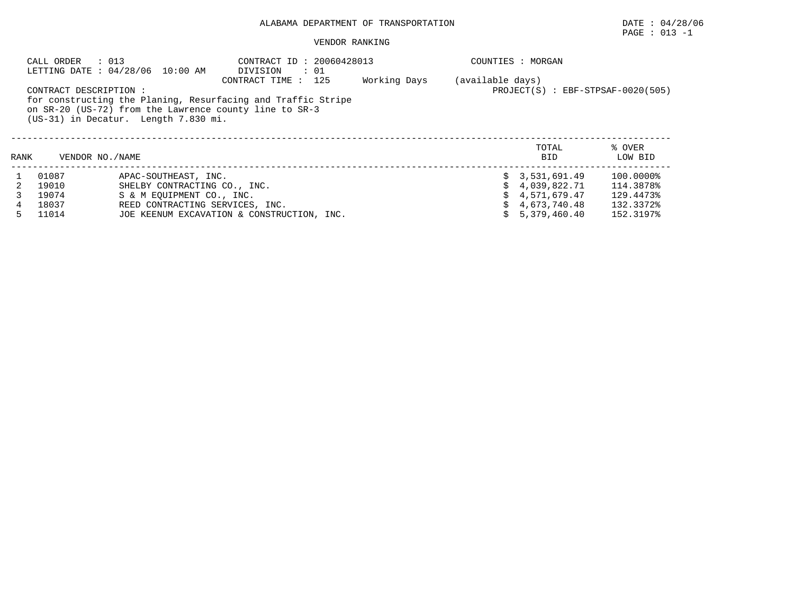# ALABAMA DEPARTMENT OF TRANSPORTATION DATE : 04/28/06

# $\texttt{PAGE}$  : 013 -1

#### VENDOR RANKING

| CALL ORDER<br>: 013<br>LETTING DATE : 04/28/06 10:00 AM |                       | CONTRACT ID: 20060428013<br>DIVISION<br>$\therefore$ 01                                                                |                                                               |              | COUNTIES : MORGAN |                     |                   |  |  |
|---------------------------------------------------------|-----------------------|------------------------------------------------------------------------------------------------------------------------|---------------------------------------------------------------|--------------|-------------------|---------------------|-------------------|--|--|
|                                                         | CONTRACT DESCRIPTION: | for constructing the Planing, Resurfacing and Traffic Stripe<br>on SR-20 (US-72) from the Lawrence county line to SR-3 | (available days)<br>$PROJECT(S)$ : $EBF - STPSAF - 0020(505)$ |              |                   |                     |                   |  |  |
| (US-31) in Decatur. Length 7.830 mi.                    |                       |                                                                                                                        |                                                               |              |                   |                     |                   |  |  |
| RANK                                                    | VENDOR NO. / NAME     |                                                                                                                        |                                                               |              |                   | TOTAL<br><b>BID</b> | % OVER<br>LOW BID |  |  |
|                                                         | 01087                 | APAC-SOUTHEAST, INC.                                                                                                   |                                                               |              |                   | \$3,531,691.49      | 100.0000%         |  |  |
|                                                         | 19010                 | SHELBY CONTRACTING CO., INC.                                                                                           |                                                               | 4,039,822.71 | 114.3878%         |                     |                   |  |  |
|                                                         | 19074                 | S & M EOUIPMENT CO., INC.                                                                                              |                                                               | 4,571,679.47 | 129.4473%         |                     |                   |  |  |
| 4                                                       | 18037                 | REED CONTRACTING SERVICES, INC.                                                                                        |                                                               | 4,673,740.48 | 132.3372%         |                     |                   |  |  |
| 5.                                                      | 11014                 | JOE KEENUM EXCAVATION & CONSTRUCTION, INC.                                                                             |                                                               | 5,379,460.40 | 152.3197%         |                     |                   |  |  |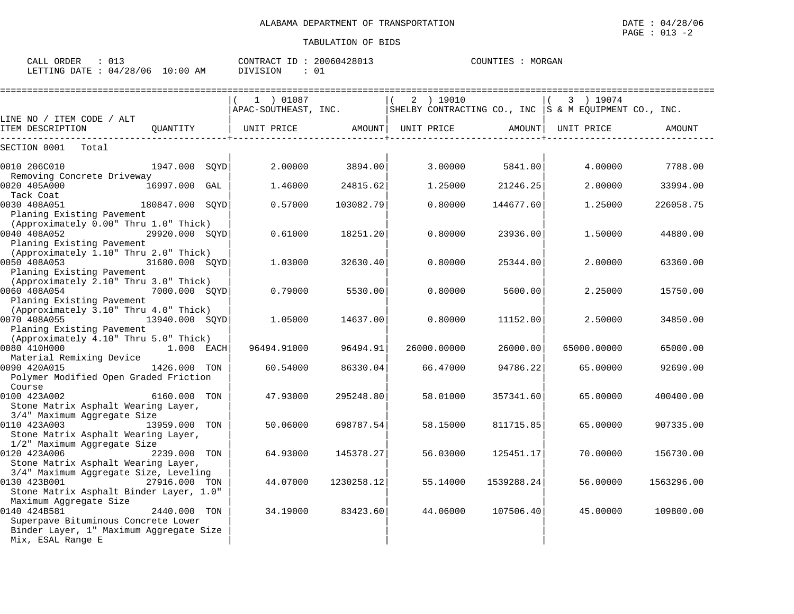| : 013<br>CALL ORDER<br>LETTING DATE : 04/28/06 10:00 AM | CONTRACT ID: 20060428013<br>$\therefore$ 01<br>DIVISION | COUNTIES : MORGAN                                                      |                      |
|---------------------------------------------------------|---------------------------------------------------------|------------------------------------------------------------------------|----------------------|
| LINE NO / ITEM CODE / ALT                               | 01087<br>APAC-SOUTHEAST, INC.                           | 2 ) 19010<br>SHELBY CONTRACTING CO., INC $ S \& M$ EOUIPMENT CO., INC. | 3 ) 19074            |
| ITEM DESCRIPTION<br>OUANTITY                            | AMOUNT  <br>UNIT PRICE                                  | AMOUNT  <br>UNIT PRICE                                                 | UNIT PRICE<br>AMOUNT |

| LINE NO / ITEM CODE / ALT                                                                                      |                 |             |               |             |            |             |               |
|----------------------------------------------------------------------------------------------------------------|-----------------|-------------|---------------|-------------|------------|-------------|---------------|
| ITEM DESCRIPTION                                                                                               | OUANTITY        | UNIT PRICE  | <b>AMOUNT</b> | UNIT PRICE  | AMOUNT     | UNIT PRICE  | <b>AMOUNT</b> |
| SECTION 0001 Total                                                                                             |                 |             |               |             |            |             |               |
| 0010 206C010                                                                                                   | 1947.000 SOYD   | 2.00000     | 3894.00       | 3.00000     | 5841.00    | 4.00000     | 7788.00       |
| Removing Concrete Driveway<br>0020 405A000<br>Tack Coat                                                        | 16997.000 GAL   | 1.46000     | 24815.62      | 1.25000     | 21246.25   | 2.00000     | 33994.00      |
| 0030 408A051<br>Planing Existing Pavement                                                                      | 180847.000 SQYD | 0.57000     | 103082.79     | 0.80000     | 144677.60  | 1.25000     | 226058.75     |
| (Approximately 0.00" Thru 1.0" Thick)<br>$29920.000$ SQYD<br>0040 408A052<br>Planing Existing Pavement         |                 | 0.61000     | 18251.20      | 0.80000     | 23936.00   | 1.50000     | 44880.00      |
| (Approximately 1.10" Thru 2.0" Thick)<br>0050 408A053<br>Planing Existing Pavement                             | 31680.000 SOYD  | 1.03000     | 32630.40      | 0.80000     | 25344.00   | 2,00000     | 63360.00      |
| (Approximately 2.10" Thru 3.0" Thick)<br>0060 408A054<br>Planing Existing Pavement                             | 7000.000 SOYD   | 0.79000     | 5530.00       | 0.80000     | 5600.00    | 2.25000     | 15750.00      |
| (Approximately 3.10" Thru 4.0" Thick)<br>0070 408A055                                                          | 13940.000 SOYD  | 1.05000     | 14637.00      | 0.80000     | 11152.00   | 2.50000     | 34850.00      |
| Planing Existing Pavement<br>(Approximately 4.10" Thru 5.0" Thick)<br>0080 410H000                             | 1.000 EACH      | 96494.91000 | 96494.91      | 26000.00000 | 26000.00   | 65000.00000 | 65000.00      |
| Material Remixing Device<br>1426.000 TON<br>0090 420A015<br>Polymer Modified Open Graded Friction              |                 | 60.54000    | 86330.04      | 66.47000    | 94786.22   | 65.00000    | 92690.00      |
| Course<br>0100 423A002<br>Stone Matrix Asphalt Wearing Layer,                                                  | 6160.000 TON    | 47.93000    | 295248.80     | 58.01000    | 357341.60  | 65.00000    | 400400.00     |
| 3/4" Maximum Aggregate Size<br>0110 423A003<br>13959.000 TON<br>Stone Matrix Asphalt Wearing Layer,            |                 | 50.06000    | 698787.54     | 58.15000    | 811715.85  | 65.00000    | 907335.00     |
| 1/2" Maximum Aggregate Size<br>0120 423A006<br>Stone Matrix Asphalt Wearing Layer,                             | 2239.000 TON    | 64.93000    | 145378.27     | 56.03000    | 125451.17  | 70.00000    | 156730.00     |
| 3/4" Maximum Aggregate Size, Leveling<br>0130 423B001 27916.000 TON<br>Stone Matrix Asphalt Binder Layer, 1.0" |                 | 44.07000    | 1230258.12    | 55.14000    | 1539288.24 | 56.00000    | 1563296.00    |
| Maximum Aggregate Size<br>0140 424B581<br>Superpave Bituminous Concrete Lower                                  | 2440.000 TON    | 34.19000    | 83423.60      | 44.06000    | 107506.40  | 45.00000    | 109800.00     |
| Binder Layer, 1" Maximum Aggregate Size<br>Mix, ESAL Range E                                                   |                 |             |               |             |            |             |               |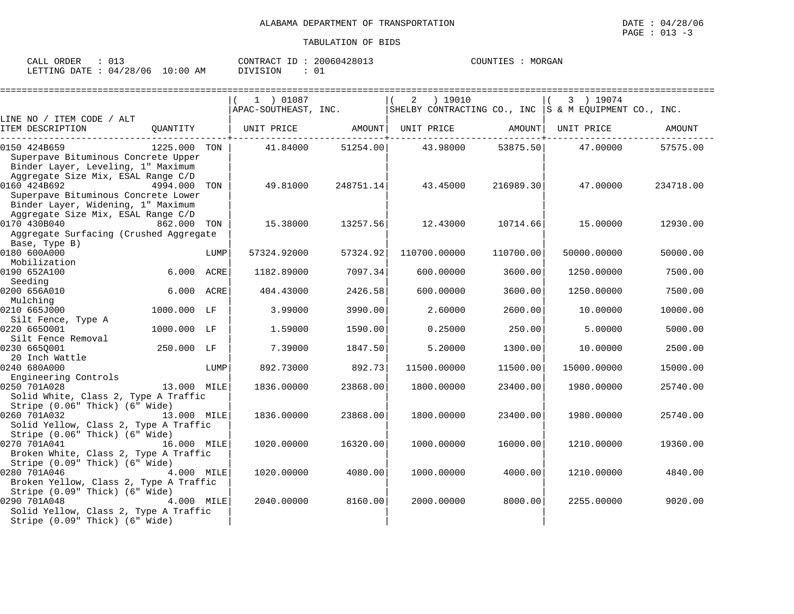| ORDER<br>CALL (                  | 01: |          | CONTRACT ID: 20060428013 | COUNTIES | MORGAN |
|----------------------------------|-----|----------|--------------------------|----------|--------|
| LETTING DATE : 04/28/06 10:00 AM |     | DIVISION |                          |          |        |

|                                                                                                                                 |              |      | =========================<br>1 ) 01087<br>APAC-SOUTHEAST, INC. |           | 2<br>) 19010<br>SHELBY CONTRACTING CO., INC $ S \& M$ EQUIPMENT CO., INC. |           | 3 ) 19074   | . ============================= |
|---------------------------------------------------------------------------------------------------------------------------------|--------------|------|----------------------------------------------------------------|-----------|---------------------------------------------------------------------------|-----------|-------------|---------------------------------|
| LINE NO / ITEM CODE / ALT                                                                                                       |              |      |                                                                |           |                                                                           |           |             |                                 |
| ITEM DESCRIPTION                                                                                                                | OUANTITY     |      |                                                                |           | UNIT PRICE     AMOUNT  UNIT PRICE     AMOUNT                              |           | UNIT PRICE  | AMOUNT                          |
| 0150 424B659<br>Superpave Bituminous Concrete Upper<br>Binder Layer, Leveling, 1" Maximum                                       | 1225.000 TON |      | 41.84000                                                       | 51254.00  | 43.98000                                                                  | 53875.50  | 47.00000    | 57575.00                        |
| Aggregate Size Mix, ESAL Range C/D<br>0160 424B692<br>Superpave Bituminous Concrete Lower<br>Binder Layer, Widening, 1" Maximum | 4994.000     | TON  | 49.81000                                                       | 248751.14 | 43.45000                                                                  | 216989.30 | 47.00000    | 234718.00                       |
| Aggregate Size Mix, ESAL Range C/D<br>0170 430B040<br>Aggregate Surfacing (Crushed Aggregate                                    | 862.000 TON  |      | 15.38000                                                       | 13257.56  | 12.43000                                                                  | 10714.66  | 15.00000    | 12930.00                        |
| Base, Type B)<br>0180 600A000                                                                                                   |              | LUMP | 57324.92000                                                    | 57324.92  | 110700.00000                                                              | 110700.00 | 50000.00000 | 50000.00                        |
| Mobilization<br>0190 652A100<br>Seeding                                                                                         | 6.000 ACRE   |      | 1182.89000                                                     | 7097.34   | 600.00000                                                                 | 3600.00   | 1250.00000  | 7500.00                         |
| 0200 656A010<br>Mulching                                                                                                        | 6.000 ACRE   |      | 404.43000                                                      | 2426.58   | 600,00000                                                                 | 3600.00   | 1250.00000  | 7500.00                         |
| 0210 665J000<br>Silt Fence, Type A                                                                                              | 1000.000 LF  |      | 3.99000                                                        | 3990.00   | 2.60000                                                                   | 2600.00   | 10.00000    | 10000.00                        |
| 0220 6650001<br>Silt Fence Removal                                                                                              | 1000.000 LF  |      | 1.59000                                                        | 1590.00   | 0.25000                                                                   | 250.00    | 5.00000     | 5000.00                         |
| 0230 6650001<br>20 Inch Wattle                                                                                                  | 250.000 LF   |      | 7.39000                                                        | 1847.50   | 5.20000                                                                   | 1300.00   | 10.00000    | 2500.00                         |
| 0240 680A000<br>Engineering Controls                                                                                            |              | LUMP | 892.73000                                                      | 892.73    | 11500.00000                                                               | 11500.00  | 15000.00000 | 15000.00                        |
| 0250 701A028<br>Solid White, Class 2, Type A Traffic<br>Stripe (0.06" Thick) (6" Wide)                                          | 13.000 MILE  |      | 1836.00000                                                     | 23868.00  | 1800.00000                                                                | 23400.00  | 1980.00000  | 25740.00                        |
| 0260 701A032<br>Solid Yellow, Class 2, Type A Traffic<br>Stripe (0.06" Thick) (6" Wide)                                         | 13.000 MILE  |      | 1836.00000                                                     | 23868.00  | 1800.00000                                                                | 23400.00  | 1980.00000  | 25740.00                        |
| 0270 701A041<br>Broken White, Class 2, Type A Traffic<br>Stripe (0.09" Thick) (6" Wide)                                         | 16.000 MILE  |      | 1020.00000                                                     | 16320.00  | 1000.00000                                                                | 16000.00  | 1210.00000  | 19360.00                        |
| 0280 701A046<br>4.000 MILE<br>Broken Yellow, Class 2, Type A Traffic<br>Stripe (0.09" Thick) (6" Wide)                          |              |      | 1020.00000                                                     | 4080.00   | 1000.00000                                                                | 4000.00   | 1210.00000  | 4840.00                         |
| 0290 701A048<br>Solid Yellow, Class 2, Type A Traffic<br>Stripe (0.09" Thick) (6" Wide)                                         | 4.000 MILE   |      | 2040.00000                                                     | 8160.00   | 2000.00000                                                                | 8000.001  | 2255.00000  | 9020.00                         |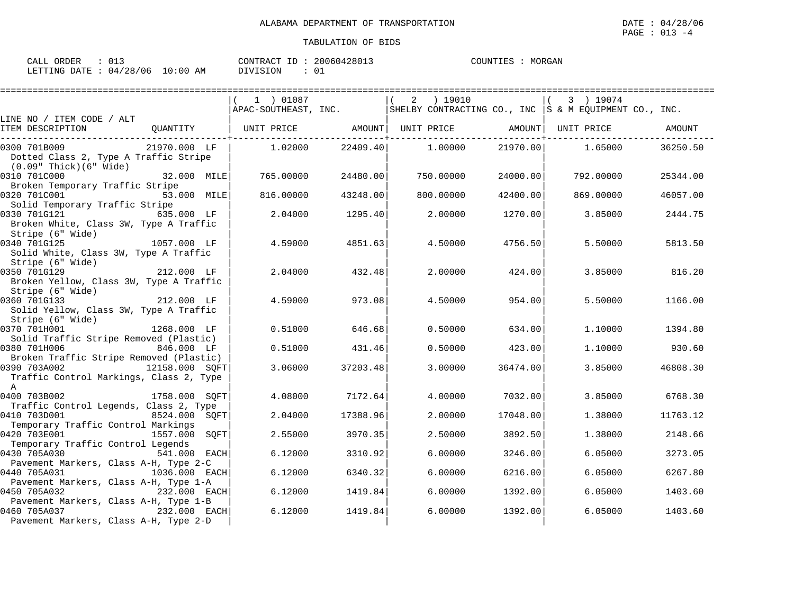| ORDER<br>CALL \                 | -011 |          | CONTRACT ID: 20060428013 | COUNTIES | MORGAN |
|---------------------------------|------|----------|--------------------------|----------|--------|
| LETTING DATE: 04/28/06 10:00 AM |      | DIVISION | 0.                       |          |        |

| ===================                                                                                            |           |          |           |          |                                                                            |          |
|----------------------------------------------------------------------------------------------------------------|-----------|----------|-----------|----------|----------------------------------------------------------------------------|----------|
|                                                                                                                | 1 ) 01087 |          | 2 ) 19010 |          | 3 ) 19074                                                                  |          |
|                                                                                                                |           |          |           |          | APAC-SOUTHEAST, INC. SHELBY CONTRACTING CO., INC S & M EQUIPMENT CO., INC. |          |
| LINE NO / ITEM CODE / ALT                                                                                      |           |          |           |          |                                                                            |          |
| QUANTITY   UNIT PRICE     AMOUNT  UNIT PRICE     AMOUNT  UNIT PRICE<br>ITEM DESCRIPTION                        |           |          |           |          |                                                                            | AMOUNT   |
| 21970.000 LF<br>0300 701B009                                                                                   | 1.02000   | 22409.40 | 1.00000   | 21970.00 | 1.65000                                                                    | 36250.50 |
| Dotted Class 2, Type A Traffic Stripe<br>(0.09" Thick)(6" Wide)                                                |           |          |           |          |                                                                            |          |
| 0310 701C000<br>32.000 MILE<br>Broken Temporary Traffic Stripe                                                 | 765.00000 | 24480.00 | 750.00000 | 24000.00 | 792.00000                                                                  | 25344.00 |
| 0320 701C001<br>53.000 MILE<br>Solid Temporary Traffic Stripe                                                  | 816.00000 | 43248.00 | 800,00000 | 42400.00 | 869,00000                                                                  | 46057.00 |
| 0330 701G121<br><b>635.000 LF</b><br>Broken White, Class 3W, Type A Traffic                                    | 2.04000   | 1295.40  | 2,00000   | 1270.00  | 3.85000                                                                    | 2444.75  |
| Stripe (6" Wide)<br>1057.000 LF<br>0340 701G125<br>Solid White, Class 3W, Type A Traffic                       | 4.59000   | 4851.63  | 4.50000   | 4756.50  | 5.50000                                                                    | 5813.50  |
| Stripe (6" Wide)<br>0350 701G129<br>212.000 LF<br>Broken Yellow, Class 3W, Type A Traffic                      | 2.04000   | 432.48   | 2,00000   | 424.00   | 3.85000                                                                    | 816.20   |
| Stripe (6" Wide)<br>212.000 LF<br>0360 701G133<br>Solid Yellow, Class 3W, Type A Traffic                       | 4.59000   | 973.08   | 4.50000   | 954.00   | 5.50000                                                                    | 1166.00  |
| Stripe (6" Wide)<br>0370 701H001<br>1268.000 LF<br>Solid Traffic Stripe Removed (Plastic)                      | 0.51000   | 646.68   | 0.50000   | 634.00   | 1.10000                                                                    | 1394.80  |
| 846.000 LF<br>0380 701H006<br>Broken Traffic Stripe Removed (Plastic)                                          | 0.51000   | 431.46   | 0.50000   | 423.00   | 1,10000                                                                    | 930.60   |
| 12158.000 SQFT<br>0390 703A002<br>Traffic Control Markings, Class 2, Type<br>$\mathsf{A}$                      | 3.06000   | 37203.48 | 3.00000   | 36474.00 | 3.85000                                                                    | 46808.30 |
| 1758.000 SQFT<br>0400 703B002<br>Traffic Control Legends, Class 2, Type                                        | 4.08000   | 7172.64  | 4.00000   | 7032.00  | 3.85000                                                                    | 6768.30  |
| 0410 703D001<br>8524.000 SOFT<br>Temporary Traffic Control Markings                                            | 2.04000   | 17388.96 | 2,00000   | 17048.00 | 1.38000                                                                    | 11763.12 |
| 0420 703E001<br>1557.000 SOFT                                                                                  | 2.55000   | 3970.35  | 2.50000   | 3892.50  | 1.38000                                                                    | 2148.66  |
| Temporary Traffic Control Legends<br>0430 705A030<br>541.000 EACH                                              | 6.12000   | 3310.92  | 6.00000   | 3246.00  | 6.05000                                                                    | 3273.05  |
| Pavement Markers, Class A-H, Type 2-C<br>0440 705A031<br>1036.000 EACH                                         | 6.12000   | 6340.32  | 6,00000   | 6216.00  | 6.05000                                                                    | 6267.80  |
| Pavement Markers, Class A-H, Type 1-A<br>0450 705A032<br>232.000 EACH                                          | 6.12000   | 1419.84  | 6,00000   | 1392.00  | 6.05000                                                                    | 1403.60  |
| Pavement Markers, Class A-H, Type 1-B<br>0460 705A037<br>232.000 EACH<br>Pavement Markers, Class A-H, Type 2-D | 6.12000   | 1419.84  | 6,00000   | 1392.00  | 6.05000                                                                    | 1403.60  |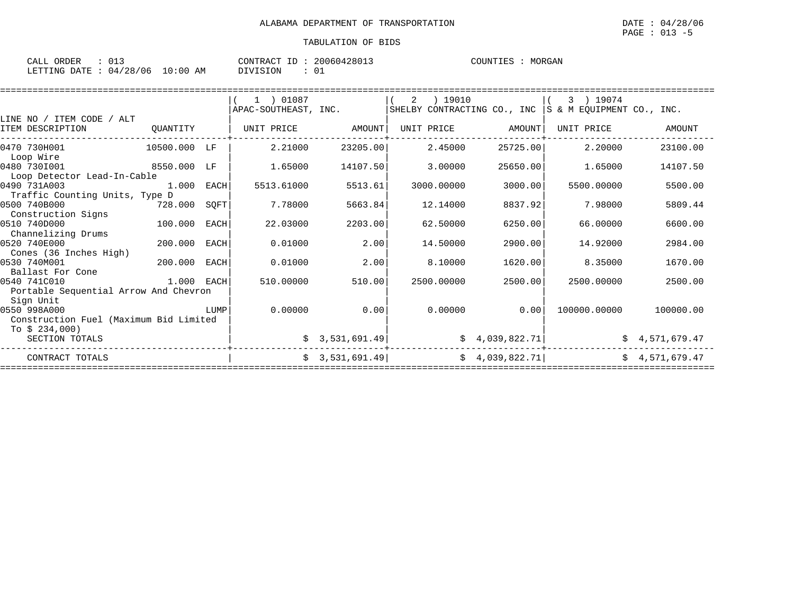| CALL ORDER                       |  | CONTRACT ID: 20060428013 | MORGAN<br>COUNTIES : |
|----------------------------------|--|--------------------------|----------------------|
| LETTING DATE : 04/28/06 10:00 AM |  | DIVISION                 |                      |

|                                                                     |              |      | 1 ) 01087<br>APAC-SOUTHEAST, INC. |                | 2<br>) 19010<br>SHELBY CONTRACTING CO., INC |                 | ) 19074<br>3<br>S & M EOUIPMENT CO., INC. |              |
|---------------------------------------------------------------------|--------------|------|-----------------------------------|----------------|---------------------------------------------|-----------------|-------------------------------------------|--------------|
| LINE NO / ITEM CODE / ALT<br>ITEM DESCRIPTION                       | OUANTITY     |      | UNIT PRICE                        | AMOUNT         | UNIT PRICE                                  | AMOUNT          | UNIT PRICE                                | AMOUNT       |
| 0470 730H001<br>Loop Wire                                           | 10500.000 LF |      | 2.21000                           | 23205.00       | 2.45000                                     | 25725.00        | 2.20000                                   | 23100.00     |
| 0480 7301001<br>Loop Detector Lead-In-Cable                         | 8550.000     | LF   | 1.65000                           | 14107.50       | 3.00000                                     | 25650.00        | 1.65000                                   | 14107.50     |
| 0490 731A003<br>Traffic Counting Units, Type D                      | 1,000        | EACH | 5513.61000                        | 5513.61        | 3000.00000                                  | 3000.00         | 5500.00000                                | 5500.00      |
| 0500 740B000<br>Construction Signs                                  | 728.000      | SQFT | 7.78000                           | 5663.84        | 12.14000                                    | 8837.92         | 7.98000                                   | 5809.44      |
| 0510 740D000<br>Channelizing Drums                                  | 100.000      | EACH | 22.03000                          | 2203.00        | 62.50000                                    | 6250.00         | 66.00000                                  | 6600.00      |
| 0520 740E000<br>Cones (36 Inches High)                              | 200,000      | EACH | 0.01000                           | 2.00           | 14.50000                                    | 2900.00         | 14.92000                                  | 2984.00      |
| 0530 740M001<br>Ballast For Cone                                    | 200,000      | EACH | 0.01000                           | 2.00           | 8,10000                                     | 1620.00         | 8.35000                                   | 1670.00      |
| 0540 741C010<br>Portable Sequential Arrow And Chevron               | 1.000 EACH   |      | 510.00000                         | 510.00         | 2500.00000                                  | 2500.00         | 2500.00000                                | 2500.00      |
| Sign Unit<br>0550 998A000<br>Construction Fuel (Maximum Bid Limited |              | LUMP | 0.00000                           | 0.00           | 0.00000                                     | 0.00            | 100000.00000                              | 100000.00    |
| To $$234,000$<br>SECTION TOTALS                                     |              |      |                                   | 3,531,691.49   |                                             | \$4,039,822.71  | Ŝ.                                        | 4,571,679.47 |
| CONTRACT TOTALS                                                     |              |      |                                   | \$3,531,691.49 |                                             | \$4,039,822.71] | Ŝ.                                        | 4,571,679.47 |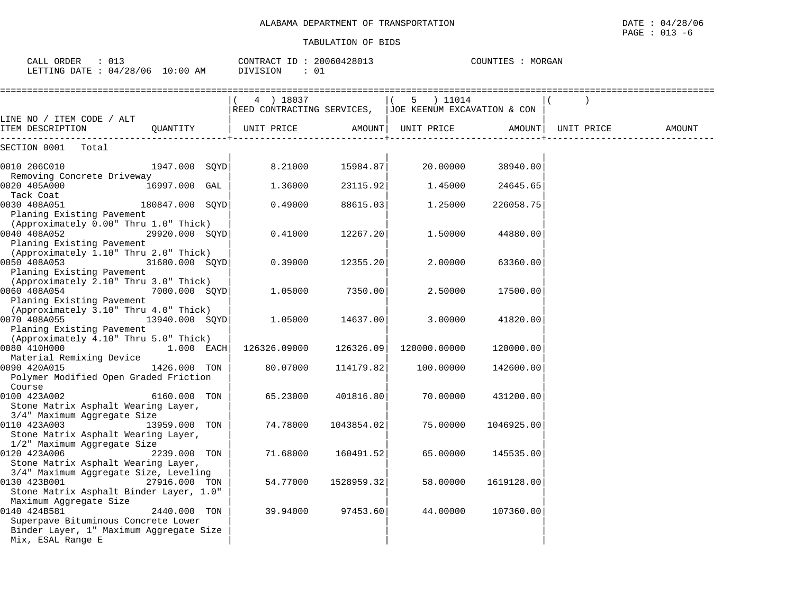| 01.<br>CALL ORDER               | CONTRACT ID: 20060428013 | MORGAN<br>COUNTIES : |
|---------------------------------|--------------------------|----------------------|
| LETTING DATE: 04/28/06 10:00 AM | DIVISION                 |                      |

|                                                                                                                                               |                 | 4 ) 18037<br>REED CONTRACTING SERVICES, JJOE KEENUM EXCAVATION & CON |            | 5 ) 11014    |            |            |        |
|-----------------------------------------------------------------------------------------------------------------------------------------------|-----------------|----------------------------------------------------------------------|------------|--------------|------------|------------|--------|
| LINE NO / ITEM CODE / ALT                                                                                                                     |                 |                                                                      |            |              |            |            |        |
| ITEM DESCRIPTION                                                                                                                              | QUANTITY        | UNIT PRICE                                                           | AMOUNT     | UNIT PRICE   | AMOUNT     | UNIT PRICE | AMOUNT |
| SECTION 0001<br>Total                                                                                                                         |                 |                                                                      |            |              |            |            |        |
| 0010 206C010<br>Removing Concrete Driveway                                                                                                    | 1947.000 SQYD   | 8.21000                                                              | 15984.87   | 20.00000     | 38940.00   |            |        |
| 0020 405A000<br>Tack Coat                                                                                                                     | 16997.000 GAL   | 1.36000                                                              | 23115.92   | 1.45000      | 24645.65   |            |        |
| 0030 408A051<br>Planing Existing Pavement                                                                                                     | 180847.000 SQYD | 0.49000                                                              | 88615.03   | 1,25000      | 226058.75  |            |        |
| (Approximately 0.00" Thru 1.0" Thick)<br>0040 408A052<br>Planing Existing Pavement                                                            | 29920.000 SOYD  | 0.41000                                                              | 12267.20   | 1.50000      | 44880.00   |            |        |
| (Approximately 1.10" Thru 2.0" Thick)<br>0050 408A053<br>$31680.000$ SQYD<br>Planing Existing Pavement                                        |                 | 0.39000                                                              | 12355.20   | 2,00000      | 63360.00   |            |        |
| (Approximately 2.10" Thru 3.0" Thick)<br>0060 408A054<br>Planing Existing Pavement                                                            | 7000.000 SQYD   | 1.05000                                                              | 7350.00    | 2.50000      | 17500.00   |            |        |
| (Approximately 3.10" Thru 4.0" Thick)<br>0070 408A055<br>Planing Existing Pavement                                                            | 13940.000 SOYD  | 1.05000                                                              | 14637.00   | 3.00000      | 41820.00   |            |        |
| (Approximately 4.10" Thru 5.0" Thick)<br>0080 410H000<br>Material Remixing Device                                                             | 1.000 EACH      | 126326.09000                                                         | 126326.09  | 120000.00000 | 120000.00  |            |        |
| 0090 420A015<br>Polymer Modified Open Graded Friction<br>Course                                                                               | 1426.000 TON    | 80.07000                                                             | 114179.82  | 100.00000    | 142600.00  |            |        |
| 0100 423A002<br>Stone Matrix Asphalt Wearing Layer,                                                                                           | 6160.000 TON    | 65.23000                                                             | 401816.80  | 70.00000     | 431200.00  |            |        |
| 3/4" Maximum Aggregate Size<br>0110 423A003<br>Stone Matrix Asphalt Wearing Layer,                                                            | 13959.000 TON   | 74.78000                                                             | 1043854.02 | 75.00000     | 1046925.00 |            |        |
| 1/2" Maximum Aggregate Size<br>0120 423A006<br>Stone Matrix Asphalt Wearing Layer,                                                            | 2239.000 TON    | 71.68000                                                             | 160491.52  | 65.00000     | 145535.00  |            |        |
| 3/4" Maximum Aggregate Size, Leveling<br>0130 423B001<br>Stone Matrix Asphalt Binder Layer, 1.0"                                              | 27916.000 TON   | 54.77000                                                             | 1528959.32 | 58.00000     | 1619128.00 |            |        |
| Maximum Aggregate Size<br>0140 424B581<br>Superpave Bituminous Concrete Lower<br>Binder Layer, 1" Maximum Aggregate Size<br>Mix, ESAL Range E | 2440.000 TON    | 39.94000                                                             | 97453.60   | 44.00000     | 107360.00  |            |        |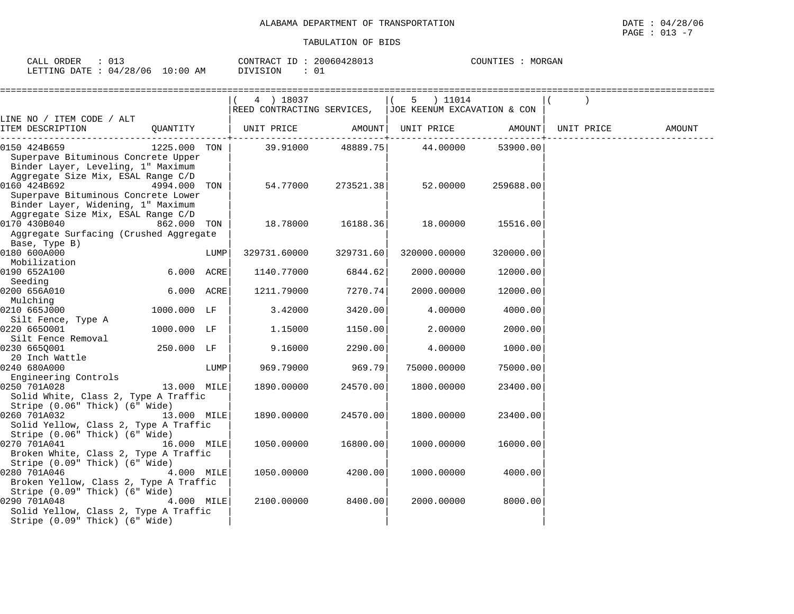| $\sim$ $\sim$ $\sim$<br>ORDER<br>CALL<br>∪⊥آب |          | 20060428013<br>CONTRACT ID | MORGAN<br>COUNTIES |
|-----------------------------------------------|----------|----------------------------|--------------------|
| 04/28/06<br>LETTING DATE                      | 10:00 AM | $\cap$<br>DIVISION<br>ັ∪⊥  |                    |

|                                                     |              |      | 4 ) 18037                                                |           | 5 ) 11014    |                                       |            |        |
|-----------------------------------------------------|--------------|------|----------------------------------------------------------|-----------|--------------|---------------------------------------|------------|--------|
|                                                     |              |      | REED CONTRACTING SERVICES,   JOE KEENUM EXCAVATION & CON |           |              |                                       |            |        |
| LINE NO / ITEM CODE / ALT                           |              |      |                                                          |           |              |                                       |            |        |
| ITEM DESCRIPTION                                    |              |      | QUANTITY   UNIT PRICE AMOUNT  UNIT PRICE AMOUNT          |           |              |                                       | UNIT PRICE | AMOUNT |
|                                                     |              |      |                                                          | 48889.75  |              | . _ _ _ _ _ _ _ _ _ _ _ _<br>53900.00 |            |        |
| 0150 424B659<br>Superpave Bituminous Concrete Upper | 1225.000 TON |      | 39.91000                                                 |           | 44.00000     |                                       |            |        |
| Binder Layer, Leveling, 1" Maximum                  |              |      |                                                          |           |              |                                       |            |        |
| Aggregate Size Mix, ESAL Range C/D                  |              |      |                                                          |           |              |                                       |            |        |
| 0160 424B692                                        | 4994.000     | TON  | 54.77000                                                 | 273521.38 | 52.00000     | 259688.00                             |            |        |
| Superpave Bituminous Concrete Lower                 |              |      |                                                          |           |              |                                       |            |        |
| Binder Layer, Widening, 1" Maximum                  |              |      |                                                          |           |              |                                       |            |        |
| Aggregate Size Mix, ESAL Range C/D                  |              |      |                                                          |           |              |                                       |            |        |
| 0170 430B040                                        | 862.000 TON  |      | 18.78000                                                 | 16188.36  | 18.00000     | 15516.00                              |            |        |
| Aggregate Surfacing (Crushed Aggregate              |              |      |                                                          |           |              |                                       |            |        |
| Base, Type B)                                       |              |      |                                                          |           |              |                                       |            |        |
| 0180 600A000                                        |              | LUMP | 329731.60000                                             | 329731.60 | 320000.00000 | 320000.00                             |            |        |
| Mobilization                                        |              |      |                                                          |           |              |                                       |            |        |
| 0190 652A100                                        | 6.000 ACRE   |      | 1140.77000                                               | 6844.62   | 2000.00000   | 12000.00                              |            |        |
| Seeding                                             |              |      |                                                          |           |              |                                       |            |        |
| 0200 656A010                                        | 6.000 ACRE   |      | 1211.79000                                               | 7270.74   | 2000.00000   | 12000.00                              |            |        |
| Mulching                                            |              |      |                                                          |           |              |                                       |            |        |
| 0210 665J000                                        | 1000.000 LF  |      | 3.42000                                                  | 3420.00   | 4.00000      | 4000.00                               |            |        |
| Silt Fence, Type A                                  |              |      |                                                          |           |              |                                       |            |        |
| 0220 6650001                                        | 1000.000 LF  |      | 1.15000                                                  | 1150.00   | 2.00000      | 2000.00                               |            |        |
| Silt Fence Removal                                  |              |      |                                                          |           |              |                                       |            |        |
| 0230 6650001<br>20 Inch Wattle                      | 250.000 LF   |      | 9.16000                                                  | 2290.00   | 4.00000      | 1000.00                               |            |        |
| 0240 680A000                                        |              | LUMP | 969.79000                                                | 969.79    | 75000.00000  | 75000.00                              |            |        |
| Engineering Controls                                |              |      |                                                          |           |              |                                       |            |        |
| 0250 701A028                                        | 13.000 MILE  |      | 1890.00000                                               | 24570.00  | 1800.00000   | 23400.00                              |            |        |
| Solid White, Class 2, Type A Traffic                |              |      |                                                          |           |              |                                       |            |        |
| Stripe (0.06" Thick) (6" Wide)                      |              |      |                                                          |           |              |                                       |            |        |
| 0260 701A032<br>13.000 MILE                         |              |      | 1890.00000                                               | 24570.00  | 1800.00000   | 23400.00                              |            |        |
| Solid Yellow, Class 2, Type A Traffic               |              |      |                                                          |           |              |                                       |            |        |
| Stripe (0.06" Thick) (6" Wide)                      |              |      |                                                          |           |              |                                       |            |        |
| 0270 701A041                                        | 16.000 MILE  |      | 1050.00000                                               | 16800.00  | 1000.00000   | 16000.00                              |            |        |
| Broken White, Class 2, Type A Traffic               |              |      |                                                          |           |              |                                       |            |        |
| Stripe (0.09" Thick) (6" Wide)                      |              |      |                                                          |           |              |                                       |            |        |
| 0280 701A046                                        | 4.000 MILE   |      | 1050.00000                                               | 4200.00   | 1000.00000   | 4000.00                               |            |        |
| Broken Yellow, Class 2, Type A Traffic              |              |      |                                                          |           |              |                                       |            |        |
| Stripe (0.09" Thick) (6" Wide)                      |              |      |                                                          |           |              |                                       |            |        |
| 0290 701A048                                        | 4.000 MILE   |      | 2100.00000                                               | 8400.00   | 2000.00000   | 8000.00                               |            |        |
| Solid Yellow, Class 2, Type A Traffic               |              |      |                                                          |           |              |                                       |            |        |
| Stripe (0.09" Thick) (6" Wide)                      |              |      |                                                          |           |              |                                       |            |        |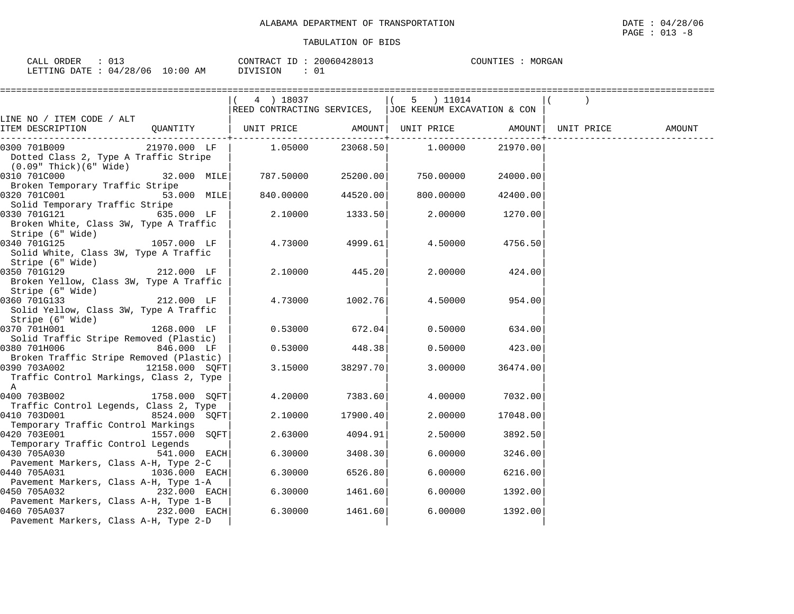| $\sim$ $\sim$<br>$\sim$ $\sim$ $\sim$<br>ORDER<br>-'ALL<br>◡⊥◡ |             | 20060428013<br>$ -$<br>CONTRACT        | MORGAN<br>COUNTIES<br>. H.Y |
|----------------------------------------------------------------|-------------|----------------------------------------|-----------------------------|
| /28/06<br>LETTING<br>$\bigcap$<br>DATE.<br>. . 4               | 10:00<br>ΆM | $\cap$ <sup>-</sup><br>OIVISION<br>ັ∪⊥ |                             |

|                                                       |                | 4 ) 18037                                                               |          | 5 ) 11014                                                |          |        |
|-------------------------------------------------------|----------------|-------------------------------------------------------------------------|----------|----------------------------------------------------------|----------|--------|
|                                                       |                |                                                                         |          | REED CONTRACTING SERVICES,   JOE KEENUM EXCAVATION & CON |          |        |
| LINE NO / ITEM CODE / ALT                             |                |                                                                         |          |                                                          |          |        |
| ITEM DESCRIPTION                                      |                | QUANTITY   UNIT PRICE       AMOUNT  UNIT PRICE       AMOUNT  UNIT PRICE |          |                                                          |          | AMOUNT |
| 0300 701B009                                          | $21970.000$ LF | 1.05000                                                                 |          | 23068.50 1.00000                                         | 21970.00 |        |
| Dotted Class 2, Type A Traffic Stripe                 |                |                                                                         |          |                                                          |          |        |
| (0.09" Thick)(6" Wide)                                |                |                                                                         |          |                                                          |          |        |
| 0310 701C000                                          | 32.000 MILE    | 787.50000                                                               | 25200.00 | 750.00000                                                | 24000.00 |        |
| Broken Temporary Traffic Stripe                       |                |                                                                         |          |                                                          |          |        |
| 0320 701C001                                          | 53.000 MILE    | 840.00000                                                               | 44520.00 | 800.00000                                                | 42400.00 |        |
| Solid Temporary Traffic Stripe                        |                |                                                                         |          |                                                          |          |        |
| 0330 701G121                                          | $635.000$ LF   | 2.10000                                                                 | 1333.50  | 2.00000                                                  | 1270.00  |        |
| Broken White, Class 3W, Type A Traffic                |                |                                                                         |          |                                                          |          |        |
| Stripe (6" Wide)<br>0340 701G125                      | 1057.000 LF    | 4.73000                                                                 | 4999.61  | 4.50000                                                  | 4756.50  |        |
| Solid White, Class 3W, Type A Traffic                 |                |                                                                         |          |                                                          |          |        |
| Stripe (6" Wide)                                      |                |                                                                         |          |                                                          |          |        |
| 0350 701G129                                          | 212.000 LF     | 2.10000                                                                 | 445.20   | 2.00000                                                  | 424.00   |        |
| Broken Yellow, Class 3W, Type A Traffic               |                |                                                                         |          |                                                          |          |        |
| Stripe (6" Wide)                                      |                |                                                                         |          |                                                          |          |        |
| 0360 701G133                                          | 212.000 LF     | 4.73000                                                                 | 1002.76  | 4.50000                                                  | 954.00   |        |
| Solid Yellow, Class 3W, Type A Traffic                |                |                                                                         |          |                                                          |          |        |
| Stripe (6" Wide)                                      |                |                                                                         |          |                                                          |          |        |
| 0370 701H001                                          | 1268.000 LF    | 0.53000                                                                 | 672.04   | 0.50000                                                  | 634.00   |        |
| Solid Traffic Stripe Removed (Plastic)                |                |                                                                         |          |                                                          |          |        |
| 0380 701H006                                          | 846.000 LF     | 0.53000                                                                 | 448.38   | 0.50000                                                  | 423.00   |        |
| Broken Traffic Stripe Removed (Plastic)               |                |                                                                         |          |                                                          |          |        |
| 0390 703A002 12158.000 SOFT                           |                | 3.15000                                                                 | 38297.70 | 3.00000                                                  | 36474.00 |        |
| Traffic Control Markings, Class 2, Type               |                |                                                                         |          |                                                          |          |        |
| A                                                     |                |                                                                         |          |                                                          |          |        |
| 0400 703B002                                          | 1758.000 SOFT  | 4.20000                                                                 | 7383.60  | 4.00000                                                  | 7032.00  |        |
| Traffic Control Legends, Class 2, Type                |                |                                                                         |          |                                                          |          |        |
| 0410 703D001                                          | 8524.000 SQFT  | 2.10000                                                                 | 17900.40 | 2,00000                                                  | 17048.00 |        |
| Temporary Traffic Control Markings                    |                |                                                                         |          |                                                          |          |        |
| 0420 703E001                                          | 1557.000 SOFT  | 2.63000                                                                 | 4094.91  | 2.50000                                                  | 3892.50  |        |
| Temporary Traffic Control Legends                     |                |                                                                         |          |                                                          |          |        |
| 0430 705A030                                          | 541.000 EACH   | 6.30000                                                                 | 3408.30  | 6.00000                                                  | 3246.00  |        |
| Pavement Markers, Class A-H, Type 2-C                 |                | 6.30000                                                                 | 6526.80  | 6.00000                                                  | 6216.00  |        |
| 0440 705A031<br>Pavement Markers, Class A-H, Type 1-A | 1036.000 EACH  |                                                                         |          |                                                          |          |        |
| 0450 705A032                                          | 232.000 EACH   | 6.30000                                                                 | 1461.60  | 6.00000                                                  | 1392.00  |        |
| Pavement Markers, Class A-H, Type 1-B                 |                |                                                                         |          |                                                          |          |        |
| 0460 705A037                                          | 232.000 EACH   | 6.30000                                                                 | 1461.60  | 6,00000                                                  | 1392.00  |        |
| Pavement Markers, Class A-H, Type 2-D                 |                |                                                                         |          |                                                          |          |        |
|                                                       |                |                                                                         |          |                                                          |          |        |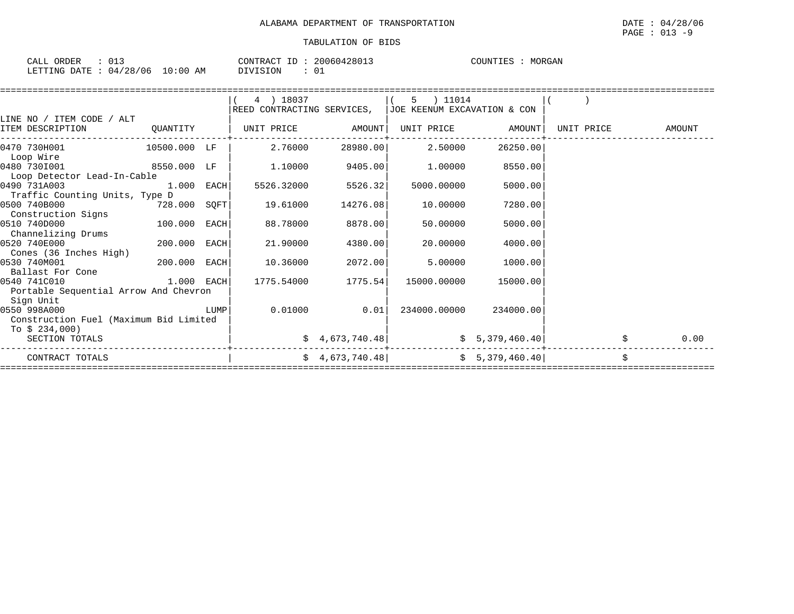| CALL ORDER                       |  | CONTRACT ID: 20060428013 |  | COUNTIES | MORGAN |
|----------------------------------|--|--------------------------|--|----------|--------|
| LETTING DATE : 04/28/06 10:00 AM |  | DIVISION                 |  |          |        |

|                                        |              |      | 4 ) 18037                  |                 | 5 ) 11014                   |                 |            |        |
|----------------------------------------|--------------|------|----------------------------|-----------------|-----------------------------|-----------------|------------|--------|
|                                        |              |      | REED CONTRACTING SERVICES, |                 | JOE KEENUM EXCAVATION & CON |                 |            |        |
| LINE NO / ITEM CODE / ALT              |              |      |                            |                 |                             |                 |            |        |
| ITEM DESCRIPTION                       | QUANTITY     |      | UNIT PRICE                 | AMOUNT          | UNIT PRICE                  | AMOUNT          | UNIT PRICE | AMOUNT |
| 0470 730H001                           | 10500.000 LF |      | 2.76000                    | 28980.00        | 2.50000                     | 26250.00        |            |        |
| Loop Wire                              |              |      |                            |                 |                             |                 |            |        |
| 0480 7301001                           | 8550.000 LF  |      | 1,10000                    | 9405.00         | 1,00000                     | 8550.00         |            |        |
| Loop Detector Lead-In-Cable            |              |      |                            |                 |                             |                 |            |        |
| 0490 731A003                           | 1.000        | EACH | 5526.32000                 | 5526.32         | 5000.00000                  | 5000.00         |            |        |
| Traffic Counting Units, Type D         |              |      |                            |                 |                             |                 |            |        |
| 0500 740B000                           | 728.000 SQFT |      | 19.61000                   | 14276.08        | 10.00000                    | 7280.00         |            |        |
| Construction Signs                     |              |      |                            |                 |                             |                 |            |        |
| 0510 740D000                           | 100.000      | EACH | 88.78000                   | 8878.00         | 50.00000                    | 5000.00         |            |        |
| Channelizing Drums                     |              |      |                            |                 |                             |                 |            |        |
| 0520 740E000                           | 200.000 EACH |      | 21,90000                   | 4380.00         | 20,00000                    | 4000.00         |            |        |
| Cones (36 Inches High)                 |              |      |                            |                 |                             |                 |            |        |
| 0530 740M001                           | 200.000      | EACH | 10.36000                   | 2072.00         | 5.00000                     | 1000.00         |            |        |
| Ballast For Cone                       |              |      |                            |                 |                             |                 |            |        |
| 0540 741C010                           | 1.000 EACH   |      | 1775.54000                 | 1775.54         | 15000.00000                 | 15000.00        |            |        |
| Portable Sequential Arrow And Chevron  |              |      |                            |                 |                             |                 |            |        |
| Sign Unit                              |              |      |                            |                 |                             |                 |            |        |
| 0550 998A000                           |              | LUMP | 0.01000                    | 0.01            | 234000.00000                | 234000.00       |            |        |
| Construction Fuel (Maximum Bid Limited |              |      |                            |                 |                             |                 |            |        |
| To $$234,000$                          |              |      |                            |                 |                             |                 |            |        |
| SECTION TOTALS                         |              |      |                            | \$4,673,740.48] |                             | \$5,379,460.40] |            | 0.00   |
| CONTRACT TOTALS                        |              |      |                            | \$4,673,740.48] |                             | \$5,379,460.40] |            | \$     |
|                                        |              |      |                            |                 |                             |                 |            |        |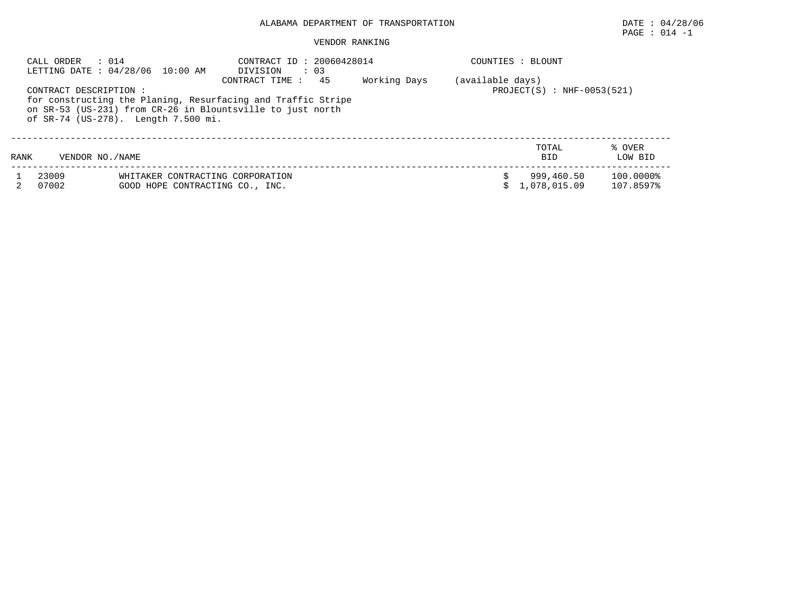## PAGE : 014 -1

| CALL ORDER     | $\therefore$ 014<br>LETTING DATE: 04/28/06 10:00 AM                                                                         | CONTRACT ID: 20060428014<br>$\therefore$ 03<br>DIVISION                              |              | COUNTIES : BLOUNT                                |                        |
|----------------|-----------------------------------------------------------------------------------------------------------------------------|--------------------------------------------------------------------------------------|--------------|--------------------------------------------------|------------------------|
|                | CONTRACT DESCRIPTION :<br>on SR-53 (US-231) from CR-26 in Blountsville to just north<br>of SR-74 (US-278). Length 7.500 mi. | 45<br>CONTRACT TIME:<br>for constructing the Planing, Resurfacing and Traffic Stripe | Working Days | (available days)<br>$PROJECT(S) : NHF-0053(521)$ |                        |
| RANK           | VENDOR NO. / NAME                                                                                                           |                                                                                      |              | TOTAL<br><b>BID</b>                              | % OVER<br>LOW BID      |
| 23009<br>07002 | WHITAKER CONTRACTING CORPORATION<br>GOOD HOPE CONTRACTING CO., INC.                                                         |                                                                                      |              | 999,460.50<br>1,078,015.09                       | 100.0000%<br>107.8597% |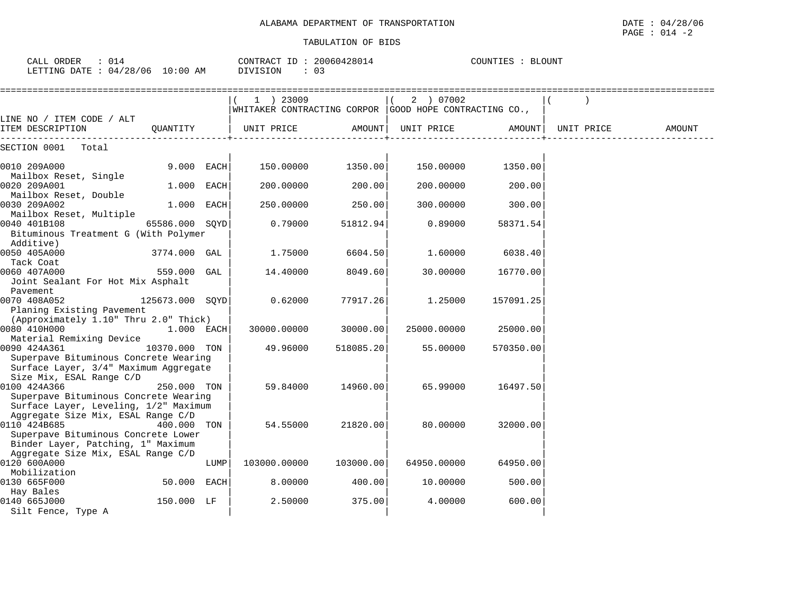CALL ORDER : 014 CONTRACT ID : 20060428014 COUNTIES : BLOUNT

| LETTING DATE: $04/28/06$ 10:00 AM                                                                                               |                 |      | DIVISION<br>: 03                                                        |           |             |           |            |        |
|---------------------------------------------------------------------------------------------------------------------------------|-----------------|------|-------------------------------------------------------------------------|-----------|-------------|-----------|------------|--------|
|                                                                                                                                 |                 |      | $(1)$ 23009<br> WHITAKER CONTRACTING CORPOR  GOOD HOPE CONTRACTING CO., |           | (2) 07002   |           |            |        |
| LINE NO / ITEM CODE / ALT<br>ITEM DESCRIPTION                                                                                   | QUANTITY        |      | UNIT PRICE                                                              | AMOUNT    | UNIT PRICE  | AMOUNT    | UNIT PRICE | AMOUNT |
| Total<br>SECTION 0001                                                                                                           |                 |      |                                                                         |           |             |           |            |        |
| 0010 209A000                                                                                                                    | $9.000$ EACH    |      | 150.00000                                                               | 1350.00   | 150.00000   | 1350.00   |            |        |
| Mailbox Reset, Single<br>0020 209A001                                                                                           | 1.000 EACH      |      | 200.00000                                                               | 200.00    | 200.00000   | 200.00    |            |        |
| Mailbox Reset, Double<br>0030 209A002                                                                                           | 1.000 EACH      |      | 250.00000                                                               | 250.00    | 300.00000   | 300.00    |            |        |
| Mailbox Reset, Multiple<br>0040 401B108<br>Bituminous Treatment G (With Polymer<br>Additive)                                    | 65586.000 SOYD  |      | 0.79000                                                                 | 51812.94  | 0.89000     | 58371.54  |            |        |
| 0050 405A000<br>Tack Coat                                                                                                       | 3774.000 GAL    |      | 1.75000                                                                 | 6604.50   | 1.60000     | 6038.40   |            |        |
| 0060 407A000<br>Joint Sealant For Hot Mix Asphalt                                                                               | 559.000 GAL     |      | 14.40000                                                                | 8049.60   | 30.00000    | 16770.00  |            |        |
| Pavement<br>0070 408A052<br>Planing Existing Pavement                                                                           | 125673.000 SQYD |      | 0.62000                                                                 | 77917.26  | 1.25000     | 157091.25 |            |        |
| (Approximately 1.10" Thru 2.0" Thick)<br>0080 410H000<br>Material Remixing Device                                               | $1.000$ EACH    |      | 30000.00000                                                             | 30000.00  | 25000.00000 | 25000.00  |            |        |
| 0090 424A361<br>Superpave Bituminous Concrete Wearing<br>Surface Layer, 3/4" Maximum Aggregate                                  | 10370.000 TON   |      | 49.96000                                                                | 518085.20 | 55.00000    | 570350.00 |            |        |
| Size Mix, ESAL Range C/D<br>0100 424A366<br>Superpave Bituminous Concrete Wearing<br>Surface Layer, Leveling, 1/2" Maximum      | 250.000 TON     |      | 59.84000                                                                | 14960.00  | 65.99000    | 16497.50  |            |        |
| Aggregate Size Mix, ESAL Range C/D<br>0110 424B685<br>Superpave Bituminous Concrete Lower<br>Binder Layer, Patching, 1" Maximum | 400.000 TON     |      | 54.55000                                                                | 21820.00  | 80.00000    | 32000.00  |            |        |
| Aggregate Size Mix, ESAL Range C/D<br>0120 600A000<br>Mobilization                                                              |                 | LUMP | 103000.00000                                                            | 103000.00 | 64950.00000 | 64950.00  |            |        |
| 0130 665F000<br>Hay Bales                                                                                                       | 50.000 EACH     |      | 8.00000                                                                 | 400.00    | 10.00000    | 500.00    |            |        |
| 0140 665J000<br>Silt Fence, Type A                                                                                              | 150.000 LF      |      | 2.50000                                                                 | 375.00    | 4.00000     | 600.00    |            |        |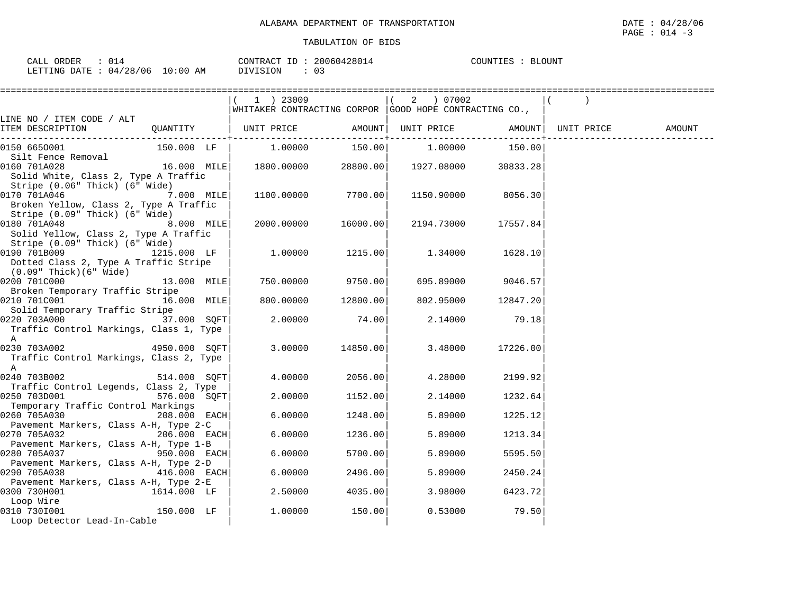| CALL ORDER                       | 014 |          | CONTRACT ID: 20060428014 | : BLOUNT<br>COUNTIES |
|----------------------------------|-----|----------|--------------------------|----------------------|
| LETTING DATE : 04/28/06 10:00 AM |     | DIVISION | U3                       |                      |

|                                                                                                                               |              | $(1)$ 23009                                                    |          | $(2)$ 07002 |                    |                   |  |
|-------------------------------------------------------------------------------------------------------------------------------|--------------|----------------------------------------------------------------|----------|-------------|--------------------|-------------------|--|
| LINE NO / ITEM CODE / ALT                                                                                                     |              | $ $ WHITAKER CONTRACTING CORPOR $ $ GOOD HOPE CONTRACTING CO., |          |             |                    |                   |  |
| ITEM DESCRIPTION                                                                                                              |              |                                                                |          |             |                    | UNIT PRICE AMOUNT |  |
| 0150 6650001                                                                                                                  | 150.000 LF   | $1.00000$ $150.00$ $1.00000$ $150.00$                          |          |             |                    |                   |  |
| Silt Fence Removal<br>0160 701A028<br>Solid White, Class 2, Type A Traffic                                                    |              | $16.000$ MILE $\vert$ 1800.00000 28800.00 1927.08000 30833.28  |          |             |                    |                   |  |
| Stripe (0.06" Thick) (6" Wide)<br>7.000 MILE<br>0170 701A046<br>Broken Yellow, Class 2, Type A Traffic                        |              | 1100.00000                                                     | 7700.00  |             | 1150.90000 8056.30 |                   |  |
| Stripe (0.09" Thick) (6" Wide)<br>0180 701A048<br>Solid Yellow, Class 2, Type A Traffic                                       | 8.000 MILE   | 2000.00000 16000.00                                            |          | 2194.73000  | 17557.84           |                   |  |
| Stripe (0.09" Thick) (6" Wide)<br>0190 701B009 1215.000 LF<br>Dotted Class 2, Type A Traffic Stripe<br>(0.09" Thick)(6" Wide) |              | 1.00000                                                        | 1215.00  | 1.34000     | 1628.10            |                   |  |
| 0200 701C000<br>Broken Temporary Traffic Stripe                                                                               | 13.000 MILE  | 750.00000                                                      | 9750.00  | 695.89000   | 9046.57            |                   |  |
| 0210 701C001<br>Solid Temporary Traffic Stripe                                                                                | 16.000 MILE  | 800.00000                                                      | 12800.00 | 802.95000   | 12847.20           |                   |  |
| 0220 703A000 37.000 SQFT<br>Traffic Control Markings, Class 1, Type                                                           |              | 2.00000                                                        | 74.00    | 2.14000     | 79.18              |                   |  |
| $\mathbb A$<br>0230 703A002 4950.000 SQFT<br>Traffic Control Markings, Class 2, Type<br>$\mathbb A$                           |              | 3.00000                                                        | 14850.00 | 3.48000     | 17226.00           |                   |  |
| 0240 703B002<br>Traffic Control Legends, Class 2, Type                                                                        | 514.000 SOFT | 4.00000                                                        | 2056.00  | 4.28000     | 2199.92            |                   |  |
| 0250 703D001<br>Temporary Traffic Control Markings                                                                            | 576.000 SQFT | 2.00000                                                        | 1152.00  | 2.14000     | 1232.64            |                   |  |
| 0260 705A030<br>208.000 EACH                                                                                                  |              | 6.00000                                                        | 1248.00  | 5.89000     | 1225.12            |                   |  |
| Pavement Markers, Class A-H, Type 2-C<br>0270 705A032                                                                         | 206.000 EACH | 6.00000                                                        | 1236.00  | 5.89000     | 1213.34            |                   |  |
| Pavement Markers, Class A-H, Type 1-B<br>0280 705A037                                                                         | 950.000 EACH | 6.00000                                                        | 5700.00  | 5.89000     | 5595.50            |                   |  |
| Pavement Markers, Class A-H, Type 2-D<br>416.000 EACH<br>0290 705A038                                                         |              | 6.00000                                                        | 2496.00  | 5.89000     | 2450.24            |                   |  |
| Pavement Markers, Class A-H, Type 2-E<br>0300 730H001<br>Loop Wire                                                            | 1614.000 LF  | 2.50000                                                        | 4035.00  | 3.98000     | 6423.72            |                   |  |
| 150.000 LF<br>0310 7301001<br>Loop Detector Lead-In-Cable                                                                     |              | 1,00000                                                        | 150.00   | 0.53000     | 79.50              |                   |  |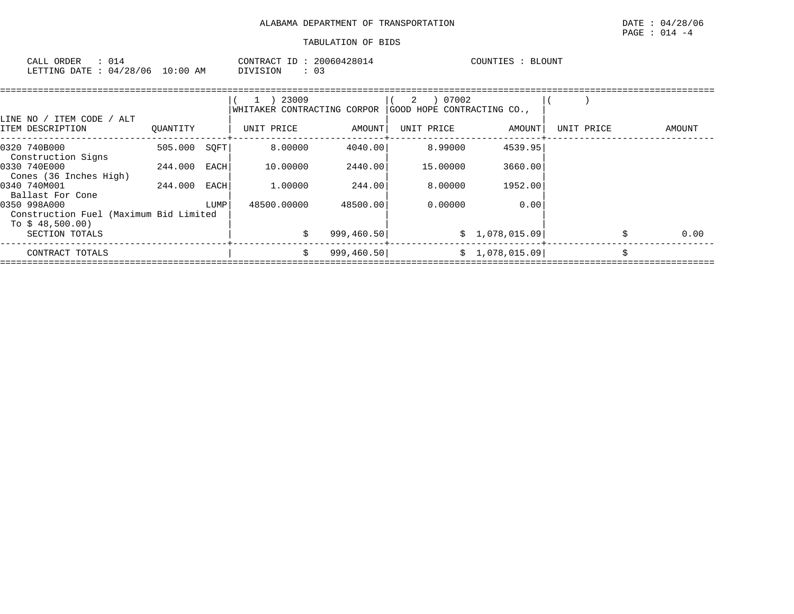| CALL ORDER                       |  |          | CONTRACT ID: 20060428014 | COUNTIES | BLOUNT |
|----------------------------------|--|----------|--------------------------|----------|--------|
| LETTING DATE : 04/28/06 10:00 AM |  | DIVISION |                          |          |        |

| LINE NO / ITEM CODE /<br>ALT                                               |          |      | 23009<br>WHITAKER CONTRACTING CORPOR |             | 07002<br>2<br>GOOD HOPE CONTRACTING CO., |                |            |    |        |
|----------------------------------------------------------------------------|----------|------|--------------------------------------|-------------|------------------------------------------|----------------|------------|----|--------|
| ITEM DESCRIPTION                                                           | QUANTITY |      | UNIT PRICE                           | AMOUNT      | UNIT PRICE                               | AMOUNT         | UNIT PRICE |    | AMOUNT |
| 0320 740B000<br>Construction Signs                                         | 505.000  | SOFT | 8,00000                              | 4040.00     | 8,99000                                  | 4539.95        |            |    |        |
| 0330 740E000<br>Cones (36 Inches High)                                     | 244.000  | EACH | 10.00000                             | 2440.00     | 15,00000                                 | 3660.00        |            |    |        |
| 0340 740M001<br>Ballast For Cone                                           | 244.000  | EACH | 1,00000                              | 244.00      | 8,00000                                  | 1952.00        |            |    |        |
| 0350 998A000<br>Construction Fuel (Maximum Bid Limited<br>To $$48,500.00)$ |          | LUMP | 48500.00000                          | 48500.00    | 0.00000                                  | 0.00           |            |    |        |
| SECTION TOTALS                                                             |          |      | Ŝ.                                   | 999,460.50  |                                          | \$1,078,015.09 |            | Ŝ. | 0.00   |
| CONTRACT TOTALS                                                            |          |      | Ŝ.                                   | 999, 460.50 |                                          | \$1,078,015.09 |            | Ś. |        |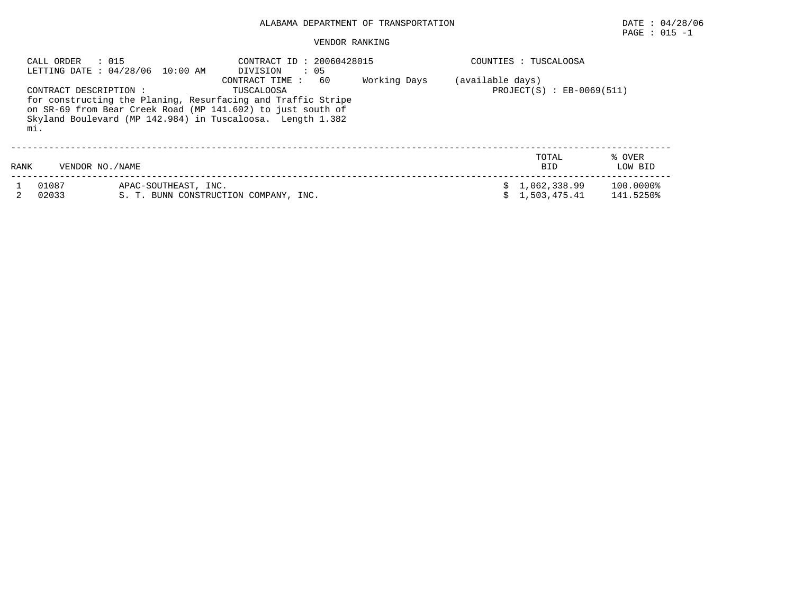## $\texttt{PAGE}$  : 015 -1

|      | : 015<br>CALL ORDER           | LETTING DATE: 04/28/06 10:00 AM | CONTRACT ID: 20060428015<br>$\cdot$ 05<br>DIVISION                                                                                                                                                                              |              |                  | COUNTIES : TUSCALOOSA        |                        |
|------|-------------------------------|---------------------------------|---------------------------------------------------------------------------------------------------------------------------------------------------------------------------------------------------------------------------------|--------------|------------------|------------------------------|------------------------|
|      | CONTRACT DESCRIPTION :<br>mi. |                                 | 60<br>CONTRACT TIME:<br>TUSCALOOSA<br>for constructing the Planing, Resurfacing and Traffic Stripe<br>on SR-69 from Bear Creek Road (MP 141.602) to just south of<br>Skyland Boulevard (MP 142.984) in Tuscaloosa. Length 1.382 | Working Days | (available days) | $PROJECT(S) : EB-0069(511)$  |                        |
| RANK | VENDOR NO. / NAME             |                                 |                                                                                                                                                                                                                                 |              |                  | TOTAL<br><b>BID</b>          | % OVER<br>LOW BID      |
|      | 01087<br>02033                | APAC-SOUTHEAST, INC.            | S. T. BUNN CONSTRUCTION COMPANY, INC.                                                                                                                                                                                           |              |                  | 1,062,338.99<br>1,503,475.41 | 100.0000%<br>141.5250% |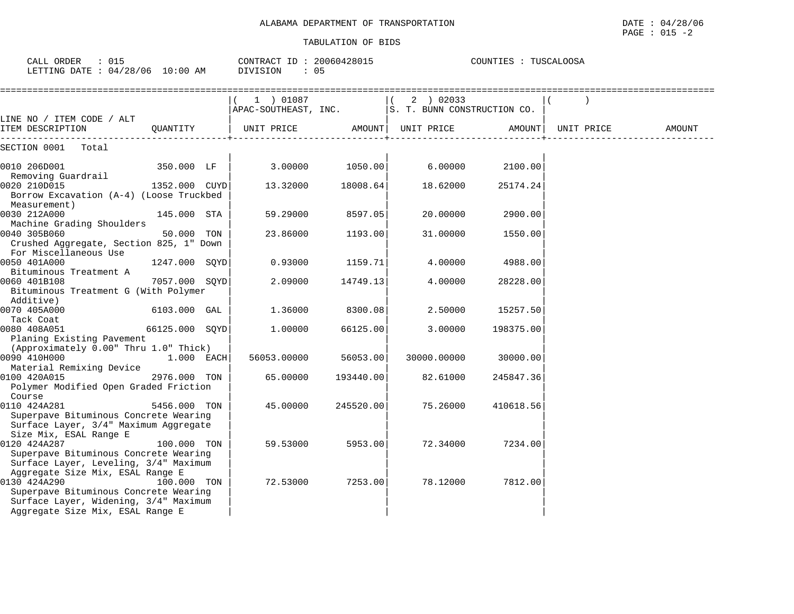| CALL ORDER : 015<br>LETTING DATE : 04/28/06 10:00 AM                                                                                                                                                            |                | CONTRACT ID: 20060428015<br>DIVISION                              | : 05      |                    | COUNTIES : TUSCALOOSA |                    |        |
|-----------------------------------------------------------------------------------------------------------------------------------------------------------------------------------------------------------------|----------------|-------------------------------------------------------------------|-----------|--------------------|-----------------------|--------------------|--------|
|                                                                                                                                                                                                                 |                | 1 ) 01087<br>  APAC-SOUTHEAST, INC.   S. T. BUNN CONSTRUCTION CO. |           | (2) 02033          |                       |                    |        |
| LINE NO / ITEM CODE / ALT<br>ITEM DESCRIPTION                                                                                                                                                                   | OUANTITY       | UNIT PRICE                                                        |           | AMOUNT  UNIT PRICE |                       | AMOUNT  UNIT PRICE | AMOUNT |
| SECTION 0001 Total                                                                                                                                                                                              |                |                                                                   |           |                    |                       |                    |        |
| 0010 206D001<br>Removing Guardrail                                                                                                                                                                              | 350.000 LF     | 3.00000                                                           | 1050.00   | 6.00000            | 2100.00               |                    |        |
| 0020 210D015<br>Borrow Excavation (A-4) (Loose Truckbed                                                                                                                                                         | 1352.000 CUYD  | 13.32000                                                          | 18008.64  | 18.62000           | 25174.24              |                    |        |
| Measurement)<br>0030 212A000                                                                                                                                                                                    | 145.000 STA    | 59.29000                                                          | 8597.05   | 20,00000           | 2900.00               |                    |        |
| Machine Grading Shoulders<br>0040 305B060<br>Crushed Aggregate, Section 825, 1" Down                                                                                                                            | 50.000 TON     | 23.86000                                                          | 1193.00   | 31.00000           | 1550.00               |                    |        |
| For Miscellaneous Use<br>0050 401A000<br>Bituminous Treatment A                                                                                                                                                 | 1247.000 SOYD  | 0.93000                                                           | 1159.71   | 4.00000            | 4988.00               |                    |        |
| 0060 401B108<br>Bituminous Treatment G (With Polymer                                                                                                                                                            | 7057.000 SOYD  | 2.09000                                                           | 14749.13  | 4.00000            | 28228.00              |                    |        |
| Additive)<br>0070 405A000                                                                                                                                                                                       | 6103.000 GAL   | 1.36000                                                           | 8300.08   | 2.50000            | 15257.50              |                    |        |
| Tack Coat<br>0080 408A051<br>Planing Existing Pavement                                                                                                                                                          | 66125.000 SQYD | 1,00000                                                           | 66125.00  | 3.00000            | 198375.00             |                    |        |
| (Approximately 0.00" Thru 1.0" Thick)                                                                                                                                                                           |                |                                                                   |           |                    |                       |                    |        |
| 0090 410H000                                                                                                                                                                                                    | $1.000$ EACH   | 56053.00000                                                       | 56053.00  | 30000.00000        | 30000.00              |                    |        |
| Material Remixing Device<br>0100 420A015<br>Polymer Modified Open Graded Friction                                                                                                                               | 2976.000 TON   | 65.00000                                                          | 193440.00 | 82.61000           | 245847.36             |                    |        |
| Course<br>0110 424A281<br>Superpave Bituminous Concrete Wearing                                                                                                                                                 | 5456.000 TON   | 45.00000                                                          | 245520.00 | 75.26000           | 410618.56             |                    |        |
| Surface Layer, 3/4" Maximum Aggregate<br>Size Mix, ESAL Range E<br>0120 424A287<br>Superpave Bituminous Concrete Wearing                                                                                        | 100.000 TON    | 59.53000                                                          | 5953.00   | 72.34000           | 7234.00               |                    |        |
| Surface Layer, Leveling, 3/4" Maximum<br>Aggregate Size Mix, ESAL Range E<br>0130 424A290<br>Superpave Bituminous Concrete Wearing<br>Surface Layer, Widening, 3/4" Maximum<br>Aggregate Size Mix, ESAL Range E | 100.000 TON    | 72.53000                                                          | 7253.00   | 78.12000           | 7812.00               |                    |        |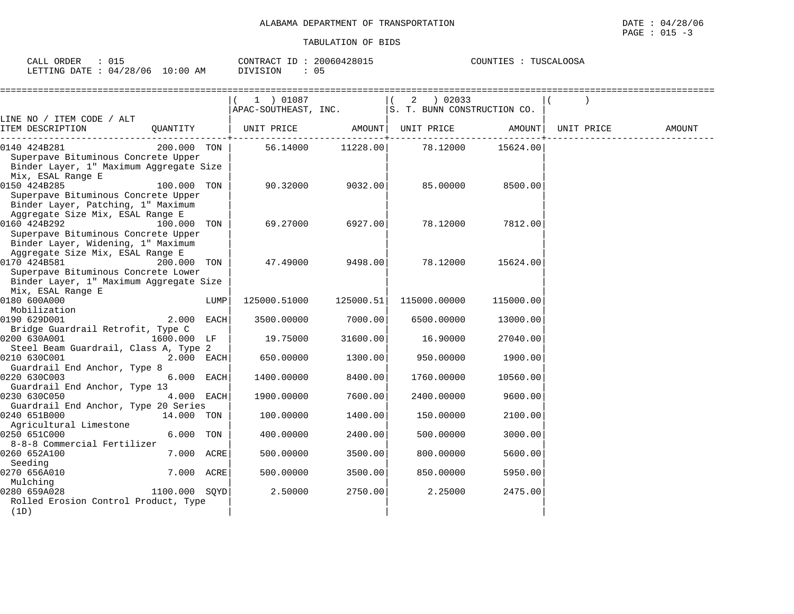| CALL ORDER | 015                             | CONTRACT ID: 20060428015 | TUSCALOOSA<br>COUNTIES |
|------------|---------------------------------|--------------------------|------------------------|
|            | LETTING DATE: 04/28/06 10:00 AM | 05<br>DIVISION           |                        |

|                                                      |               |      | 1 ) 01087            |           | 02033<br>2                  |           |            |        |
|------------------------------------------------------|---------------|------|----------------------|-----------|-----------------------------|-----------|------------|--------|
|                                                      |               |      | APAC-SOUTHEAST, INC. |           | S. T. BUNN CONSTRUCTION CO. |           |            |        |
| LINE NO / ITEM CODE / ALT                            |               |      |                      |           |                             |           |            |        |
| ITEM DESCRIPTION                                     | QUANTITY      |      | UNIT PRICE           | AMOUNT    | UNIT PRICE                  | AMOUNT    | UNIT PRICE | AMOUNT |
| 0140 424B281                                         | 200.000 TON   |      | 56.14000             | 11228.00  | 78.12000                    | 15624.00  |            |        |
| Superpave Bituminous Concrete Upper                  |               |      |                      |           |                             |           |            |        |
| Binder Layer, 1" Maximum Aggregate Size              |               |      |                      |           |                             |           |            |        |
| Mix, ESAL Range E                                    |               |      |                      |           |                             |           |            |        |
| 0150 424B285                                         | 100.000 TON   |      | 90.32000             | 9032.00   | 85.00000                    | 8500.00   |            |        |
| Superpave Bituminous Concrete Upper                  |               |      |                      |           |                             |           |            |        |
| Binder Layer, Patching, 1" Maximum                   |               |      |                      |           |                             |           |            |        |
| Aggregate Size Mix, ESAL Range E                     |               |      |                      |           |                             |           |            |        |
| 0160 424B292                                         | 100.000 TON   |      | 69.27000             | 6927.00   | 78.12000                    | 7812.00   |            |        |
| Superpave Bituminous Concrete Upper                  |               |      |                      |           |                             |           |            |        |
| Binder Layer, Widening, 1" Maximum                   |               |      |                      |           |                             |           |            |        |
| Aggregate Size Mix, ESAL Range E<br>0170 424B581     |               |      |                      |           |                             |           |            |        |
| Superpave Bituminous Concrete Lower                  | 200.000       | TON  | 47.49000             | 9498.00   | 78.12000                    | 15624.00  |            |        |
| Binder Layer, 1" Maximum Aggregate Size              |               |      |                      |           |                             |           |            |        |
| Mix, ESAL Range E                                    |               |      |                      |           |                             |           |            |        |
| 0180 600A000                                         |               | LUMP | 125000.51000         | 125000.51 | 115000.00000                | 115000.00 |            |        |
| Mobilization                                         |               |      |                      |           |                             |           |            |        |
| 0190 629D001                                         | 2.000 EACH    |      | 3500.00000           | 7000.00   | 6500.00000                  | 13000.00  |            |        |
| Bridge Guardrail Retrofit, Type C                    |               |      |                      |           |                             |           |            |        |
| 0200 630A001                                         | 1600.000 LF   |      | 19.75000             | 31600.00  | 16.90000                    | 27040.00  |            |        |
| Steel Beam Guardrail, Class A, Type 2                |               |      |                      |           |                             |           |            |        |
| 0210 630C001                                         | 2.000 EACH    |      | 650.00000            | 1300.00   | 950.00000                   | 1900.00   |            |        |
| Guardrail End Anchor, Type 8                         |               |      |                      |           |                             |           |            |        |
| 0220 630C003                                         | 6.000 EACH    |      | 1400.00000           | 8400.00   | 1760.00000                  | 10560.00  |            |        |
| Guardrail End Anchor, Type 13                        |               |      |                      |           |                             |           |            |        |
| 0230 630C050<br>Guardrail End Anchor, Type 20 Series | 4.000 EACH    |      | 1900.00000           | 7600.00   | 2400.00000                  | 9600.00   |            |        |
| 0240 651B000                                         | 14.000 TON    |      | 100.00000            | 1400.00   | 150.00000                   | 2100.00   |            |        |
| Agricultural Limestone                               |               |      |                      |           |                             |           |            |        |
| 0250 651C000                                         | 6.000         | TON  | 400.00000            | 2400.00   | 500.00000                   | 3000.00   |            |        |
| 8-8-8 Commercial Fertilizer                          |               |      |                      |           |                             |           |            |        |
| 0260 652A100                                         | 7.000 ACRE    |      | 500.00000            | 3500.00   | 800.00000                   | 5600.00   |            |        |
| Seeding                                              |               |      |                      |           |                             |           |            |        |
| 0270 656A010                                         | 7.000 ACRE    |      | 500.00000            | 3500.00   | 850.00000                   | 5950.00   |            |        |
| Mulching                                             |               |      |                      |           |                             |           |            |        |
| 0280 659A028                                         | 1100.000 SOYD |      | 2.50000              | 2750.00   | 2.25000                     | 2475.00   |            |        |
| Rolled Erosion Control Product, Type                 |               |      |                      |           |                             |           |            |        |
| (1D)                                                 |               |      |                      |           |                             |           |            |        |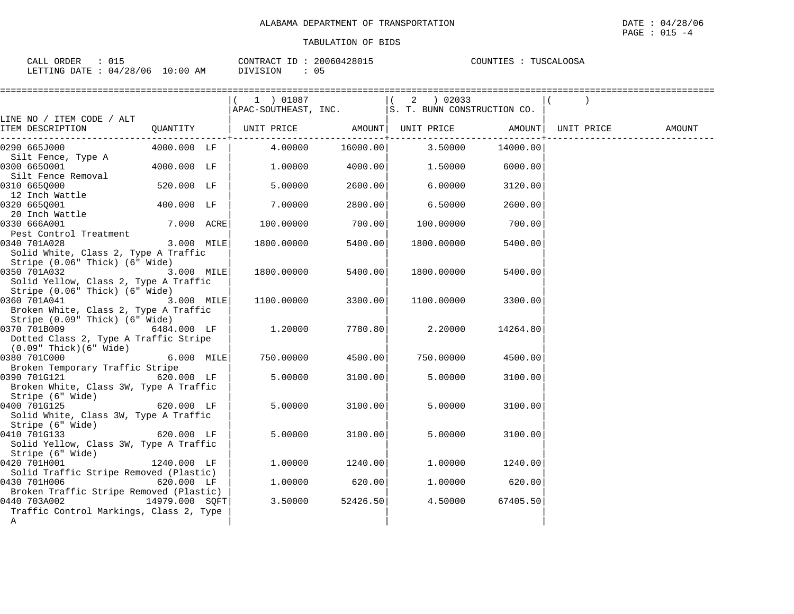PAGE : 015 -4

| $\therefore$ 015<br>CALL ORDER  |          | CONTRACT ID: 20060428015 | COUNTIES : TUSCALOOSA |
|---------------------------------|----------|--------------------------|-----------------------|
| LETTING DATE: 04/28/06 10:00 AM | DIVISION |                          |                       |

| ==================                                        |                | ============================ |                      |                                                             |                |        |
|-----------------------------------------------------------|----------------|------------------------------|----------------------|-------------------------------------------------------------|----------------|--------|
|                                                           |                | 1 ) 01087                    |                      | $(2)$ 02033                                                 |                |        |
|                                                           |                |                              |                      | $APAC-SOUTHEAST, INC.$ $ S. T. BUNN CONSTRUCTION CO.$       |                |        |
| LINE NO / ITEM CODE / ALT                                 |                |                              |                      |                                                             |                |        |
| ITEM DESCRIPTION<br>-------------------                   |                |                              |                      | QUANTITY   UNIT PRICE AMOUNT  UNIT PRICE AMOUNT  UNIT PRICE |                | AMOUNT |
| 0290 665J000                                              | 4000.000 LF    | 4.00000                      | 16000.00             | 3.50000                                                     | 14000.00       |        |
| Silt Fence, Type A                                        |                |                              |                      |                                                             |                |        |
| 0300 6650001                                              | 4000.000 LF    | 1.00000                      | 4000.00              | 1.50000 6000.00                                             |                |        |
| Silt Fence Removal                                        |                |                              |                      |                                                             |                |        |
| 0310 6650000                                              | 520.000 LF     | 5,00000                      | 2600.00              | 6.00000                                                     | 3120.00        |        |
| 12 Inch Wattle                                            |                |                              |                      |                                                             |                |        |
| 0320 6650001                                              | 400.000 LF     | 7.00000                      | 2800.00              | 6.50000                                                     | 2600.00        |        |
| 20 Inch Wattle                                            |                |                              |                      |                                                             |                |        |
| 0330 666A001<br>Pest Control Treatment                    | $7.000$ ACRE   | 100.00000                    | 700.00               | 100.00000                                                   | 700.00         |        |
| 0340 701A028                                              | $3.000$ MILE   | 1800.00000                   | 5400.00              | 1800.00000                                                  | 5400.00        |        |
| Solid White, Class 2, Type A Traffic                      |                |                              |                      |                                                             |                |        |
| Stripe (0.06" Thick) (6" Wide)                            |                |                              |                      |                                                             |                |        |
| 0350 701A032                                              | $3.000$ MILE   | 1800.00000                   | 5400.00              | 1800.00000                                                  | 5400.00        |        |
| Solid Yellow, Class 2, Type A Traffic                     |                |                              |                      |                                                             |                |        |
| Stripe (0.06" Thick) (6" Wide)                            |                |                              |                      |                                                             |                |        |
| 0360 701A041                                              | $3.000$ MILE   | 1100.00000                   | 3300.00              | 1100.00000                                                  | 3300.00        |        |
| Broken White, Class 2, Type A Traffic                     |                |                              |                      |                                                             |                |        |
| Stripe (0.09" Thick) (6" Wide)                            |                |                              |                      |                                                             |                |        |
| 0370 701B009                                              | 6484.000 LF    | 1.20000                      | 7780.80              | 2.20000                                                     | 14264.80       |        |
| Dotted Class 2, Type A Traffic Stripe                     |                |                              |                      |                                                             |                |        |
| $(0.09"$ Thick $)(6"$ Wide $)$                            |                |                              |                      |                                                             |                |        |
| 0380 701C000<br>$6.000$ MILE                              |                | 750.00000                    | 4500.00              | 750.00000                                                   | 4500.00        |        |
| Broken Temporary Traffic Stripe                           |                |                              |                      |                                                             |                |        |
| 0390 701G121                                              | 620.000 LF     | 5,00000                      | 3100.00              | 5,00000                                                     | 3100.00        |        |
| Broken White, Class 3W, Type A Traffic                    |                |                              |                      |                                                             |                |        |
| Stripe (6" Wide)                                          | 620.000 LF     |                              |                      |                                                             |                |        |
| 0400 701G125                                              |                | 5.00000                      | 3100.00              | 5.00000                                                     | 3100.00        |        |
| Solid White, Class 3W, Type A Traffic<br>Stripe (6" Wide) |                |                              |                      |                                                             |                |        |
| 0410 701G133                                              | $620.000$ LF   | 5.00000                      | 3100.00              | 5.00000                                                     | 3100.00        |        |
| Solid Yellow, Class 3W, Type A Traffic                    |                |                              |                      |                                                             |                |        |
| Stripe (6" Wide)                                          |                |                              |                      |                                                             |                |        |
| 0420 701H001                                              | 1240.000 LF    | 1.00000                      | 1240.00              | 1,00000                                                     | 1240.00        |        |
| Solid Traffic Stripe Removed (Plastic)                    |                |                              |                      |                                                             |                |        |
| 0430 701H006                                              | 620.000 LF     | 1.00000                      | 620.00               |                                                             | 1.00000 620.00 |        |
| Broken Traffic Stripe Removed (Plastic)                   |                |                              |                      |                                                             |                |        |
| 0440 703A002                                              | 14979.000 SQFT |                              | $3.50000$ $52426.50$ | 4.50000                                                     | 67405.50       |        |
| Traffic Control Markings, Class 2, Type                   |                |                              |                      |                                                             |                |        |
| Α                                                         |                |                              |                      |                                                             |                |        |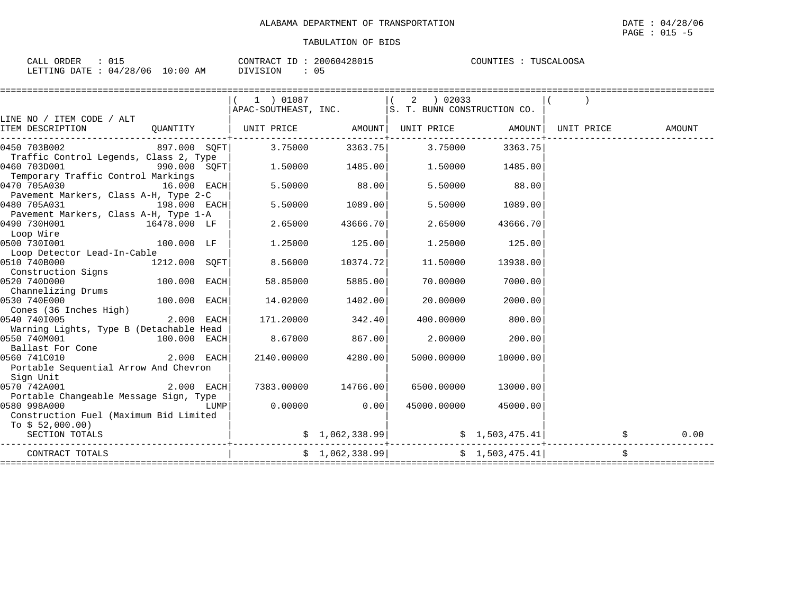| 015<br>CALL ORDER                |          | CONTRACT ID: 20060428015 | TUSCALOOSA<br>COUNTIES : |
|----------------------------------|----------|--------------------------|--------------------------|
| LETTING DATE : 04/28/06 10:00 AM | DIVISION |                          |                          |

|                                         |               |      | 1 ) 01087                                                   |                     |                                                      |                 |        |
|-----------------------------------------|---------------|------|-------------------------------------------------------------|---------------------|------------------------------------------------------|-----------------|--------|
|                                         |               |      | $ $ APAC-SOUTHEAST, INC. $ $ S. T. BUNN CONSTRUCTION CO.    |                     |                                                      |                 |        |
| LINE NO / ITEM CODE / ALT               |               |      |                                                             |                     |                                                      |                 |        |
| ITEM DESCRIPTION                        |               |      | QUANTITY   UNIT PRICE AMOUNT  UNIT PRICE AMOUNT  UNIT PRICE |                     |                                                      |                 | AMOUNT |
| 0450 703B002                            | 897.000 SQFT  |      | 3.75000                                                     | 3363.75             |                                                      | 3.75000 3363.75 |        |
| Traffic Control Legends, Class 2, Type  |               |      |                                                             |                     |                                                      |                 |        |
| 0460 703D001                            |               |      | $\frac{1}{2}$ 1.50000 1485.00                               |                     |                                                      | 1.50000 1485.00 |        |
| Temporary Traffic Control Markings      |               |      |                                                             |                     |                                                      |                 |        |
| 0470 705A030                            | $16.000$ EACH |      | 5.50000                                                     | 88.00               | 5.50000                                              | 88.00           |        |
| Pavement Markers, Class A-H, Type 2-C   |               |      |                                                             |                     |                                                      |                 |        |
| 0480 705A031                            | 198.000 EACH  |      | 5.50000                                                     | 1089.00             | 5.50000                                              | 1089.00         |        |
| Pavement Markers, Class A-H, Type 1-A   |               |      |                                                             |                     |                                                      |                 |        |
| 0490 730H001<br>$16478.000$ LF          |               |      | 2.65000                                                     | 43666.70            | 2.65000                                              | 43666.70        |        |
| Loop Wire<br>Asno 7301001               |               |      |                                                             |                     |                                                      |                 |        |
| 0500 7301001                            | $100.000$ LF  |      | 1.25000                                                     | 125.00              | 1.25000                                              | 125.00          |        |
| Loop Detector Lead-In-Cable             |               |      |                                                             |                     |                                                      |                 |        |
| 0510 740B000                            | 1212.000 SOFT |      | 8.56000                                                     | 10374.72            | 11,50000                                             | 13938.00        |        |
| Construction Signs                      |               |      |                                                             |                     |                                                      |                 |        |
| 0520 740D000<br>$100.000$ EACH          |               |      | 58.85000                                                    | 5885.00             | 70.00000                                             | 7000.00         |        |
| Channelizing Drums                      |               |      |                                                             |                     |                                                      |                 |        |
| 0530 740E000<br>$100.000$ EACH          |               |      | 14.02000                                                    | 1402.00             | 20.00000                                             | 2000.00         |        |
| Cones (36 Inches High)                  |               |      |                                                             |                     |                                                      |                 |        |
| 0540 7401005                            | $2.000$ EACH  |      | 171.20000                                                   | 342.40              | 400.00000                                            | 800.00          |        |
| Warning Lights, Type B (Detachable Head |               |      |                                                             |                     |                                                      |                 |        |
| 0550 740M001<br>$100.000$ EACH          |               |      | 8.67000                                                     | 867.00              | 2.00000                                              | 200.00          |        |
| Ballast For Cone                        |               |      |                                                             |                     |                                                      |                 |        |
| 0560 741C010                            | $2.000$ EACH  |      | 2140.00000                                                  | 4280.00             | 5000.00000                                           | 10000.00        |        |
| Portable Sequential Arrow And Chevron   |               |      |                                                             |                     |                                                      |                 |        |
| Sign Unit                               |               |      |                                                             |                     |                                                      |                 |        |
| 0570 742A001                            | $2.000$ EACH  |      |                                                             | 7383.00000 14766.00 | 6500.00000                                           | 13000.00        |        |
| Portable Changeable Message Sign, Type  |               |      |                                                             |                     |                                                      |                 |        |
| 0580 998A000                            |               | LUMP |                                                             | $0.00000$ 0.00      | 45000.00000                                          | 45000.00        |        |
| Construction Fuel (Maximum Bid Limited  |               |      |                                                             |                     |                                                      |                 |        |
| To $$52,000.00)$                        |               |      |                                                             |                     |                                                      |                 |        |
| SECTION TOTALS                          |               |      |                                                             |                     | $\sharp$ 1,062,338.99 $\sharp$ $\sharp$ 1,503,475.41 |                 | 0.00   |
| CONTRACT TOTALS                         |               |      |                                                             |                     | $\sharp$ 1,062,338.99 $\sharp$ 1,503,475.41          |                 | \$     |
|                                         |               |      |                                                             |                     |                                                      |                 |        |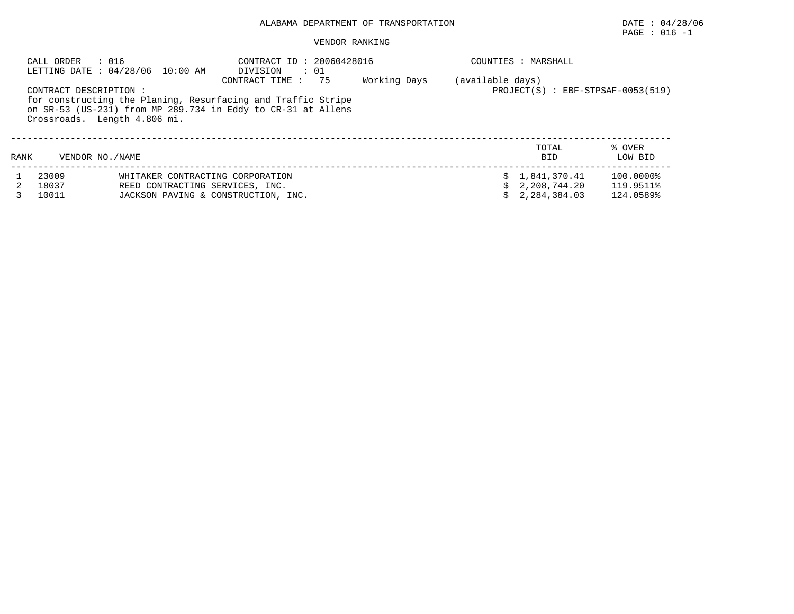# $\texttt{PAGE}$  : 016 -1

|      | CALL ORDER<br>: 016                                    | LETTING DATE: 04/28/06 10:00 AM                                                                                              | CONTRACT ID: 20060428016<br>DIVISION : 01               |  |    | COUNTIES : MARSHALL                            |                                     |
|------|--------------------------------------------------------|------------------------------------------------------------------------------------------------------------------------------|---------------------------------------------------------|--|----|------------------------------------------------|-------------------------------------|
|      | CONTRACT DESCRIPTION :<br>Crossroads. Length 4.806 mi. | for constructing the Planing, Resurfacing and Traffic Stripe<br>on SR-53 (US-231) from MP 289.734 in Eddy to CR-31 at Allens | (available days)<br>$PROJECT(S)$ : EBF-STPSAF-0053(519) |  |    |                                                |                                     |
| RANK | VENDOR NO. / NAME                                      |                                                                                                                              |                                                         |  |    | TOTAL<br><b>BID</b>                            | % OVER<br>LOW BID                   |
|      | 23009<br>18037<br>10011                                | WHITAKER CONTRACTING CORPORATION<br>REED CONTRACTING SERVICES, INC.<br>JACKSON PAVING & CONSTRUCTION, INC.                   |                                                         |  | Ŝ. | \$1,841,370.41<br>2,208,744.20<br>2,284,384.03 | 100.0000%<br>119.9511%<br>124.0589% |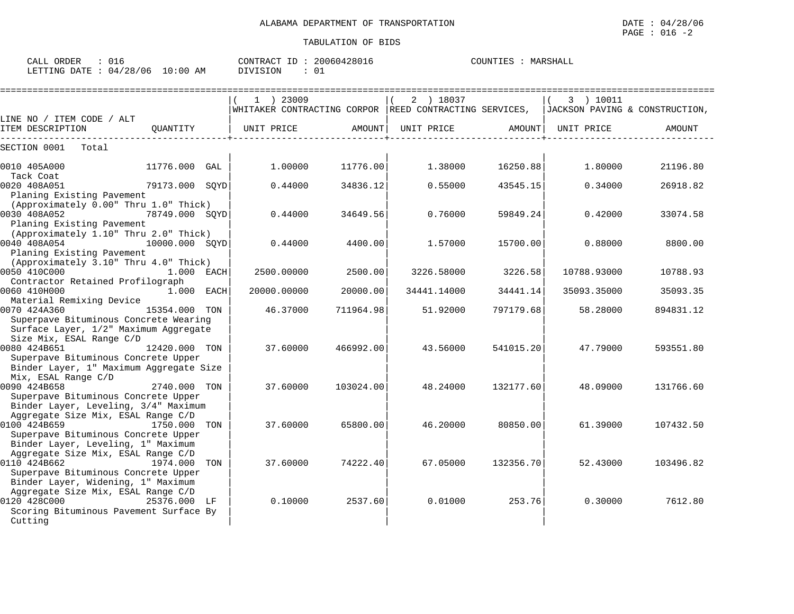| 016<br>CALL ORDER                |          | CONTRACT ID: 20060428016 | COUNTIES :<br>MARSHALL |
|----------------------------------|----------|--------------------------|------------------------|
| LETTING DATE : 04/28/06 10:00 AM | DIVISION |                          |                        |

|                                                                                                |                |     | $1$ ) 23009 |           | 2 ) 18037<br>WHITAKER CONTRACTING CORPOR REED CONTRACTING SERVICES, |           | 3 ) 10011<br>JACKSON PAVING & CONSTRUCTION, |           |
|------------------------------------------------------------------------------------------------|----------------|-----|-------------|-----------|---------------------------------------------------------------------|-----------|---------------------------------------------|-----------|
| LINE NO / ITEM CODE / ALT                                                                      |                |     |             |           |                                                                     |           |                                             |           |
| ITEM DESCRIPTION                                                                               | OUANTITY       |     | UNIT PRICE  | AMOUNT    | UNIT PRICE                                                          | AMOUNT    | UNIT PRICE                                  | AMOUNT    |
| SECTION 0001<br>Total                                                                          |                |     |             |           |                                                                     |           |                                             |           |
| 0010 405A000<br>Tack Coat                                                                      | 11776.000      | GAL | 1.00000     | 11776.00  | 1.38000                                                             | 16250.88  | 1.80000                                     | 21196.80  |
| 0020 408A051<br>Planing Existing Pavement                                                      | 79173.000 SOYD |     | 0.44000     | 34836.12  | 0.55000                                                             | 43545.15  | 0.34000                                     | 26918.82  |
| (Approximately 0.00" Thru 1.0" Thick)<br>0030 408A052<br>Planing Existing Pavement             | 78749.000 SOYD |     | 0.44000     | 34649.56  | 0.76000                                                             | 59849.24  | 0.42000                                     | 33074.58  |
| (Approximately 1.10" Thru 2.0" Thick)<br>0040 408A054<br>Planing Existing Pavement             | 10000.000 SOYD |     | 0.44000     | 4400.00   | 1.57000                                                             | 15700.00  | 0.88000                                     | 8800.00   |
| (Approximately 3.10" Thru 4.0" Thick)<br>0050 410C000<br>Contractor Retained Profilograph      | 1.000 EACH     |     | 2500.00000  | 2500.00   | 3226.58000                                                          | 3226.58   | 10788.93000                                 | 10788.93  |
| 0060 410H000                                                                                   | 1.000 EACH     |     | 20000.00000 | 20000.00  | 34441.14000                                                         | 34441.14  | 35093.35000                                 | 35093.35  |
| Material Remixing Device<br>0070 424A360<br>Superpave Bituminous Concrete Wearing              | 15354.000 TON  |     | 46.37000    | 711964.98 | 51.92000                                                            | 797179.68 | 58.28000                                    | 894831.12 |
| Surface Layer, 1/2" Maximum Aggregate<br>Size Mix, ESAL Range C/D                              |                |     |             |           |                                                                     |           |                                             |           |
| 0080 424B651<br>Superpave Bituminous Concrete Upper<br>Binder Layer, 1" Maximum Aggregate Size | 12420.000 TON  |     | 37.60000    | 466992.00 | 43.56000                                                            | 541015.20 | 47.79000                                    | 593551.80 |
| Mix, ESAL Range C/D<br>0090 424B658                                                            | 2740.000 TON   |     | 37.60000    | 103024.00 | 48.24000                                                            | 132177.60 | 48.09000                                    | 131766.60 |
| Superpave Bituminous Concrete Upper<br>Binder Layer, Leveling, 3/4" Maximum                    |                |     |             |           |                                                                     |           |                                             |           |
| Aggregate Size Mix, ESAL Range C/D<br>0100 424B659<br>Superpave Bituminous Concrete Upper      | 1750.000       | TON | 37.60000    | 65800.00  | 46.20000                                                            | 80850.00  | 61.39000                                    | 107432.50 |
| Binder Layer, Leveling, 1" Maximum<br>Aggregate Size Mix, ESAL Range C/D<br>0110 424B662       |                |     |             |           |                                                                     |           |                                             |           |
| Superpave Bituminous Concrete Upper<br>Binder Layer, Widening, 1" Maximum                      | 1974.000       | TON | 37.60000    | 74222.40  | 67.05000                                                            | 132356.70 | 52.43000                                    | 103496.82 |
| Aggregate Size Mix, ESAL Range C/D<br>0120 428C000<br>Scoring Bituminous Pavement Surface By   | 25376.000 LF   |     | 0.10000     | 2537.60   | 0.01000                                                             | 253.76    | 0.30000                                     | 7612.80   |
| Cutting                                                                                        |                |     |             |           |                                                                     |           |                                             |           |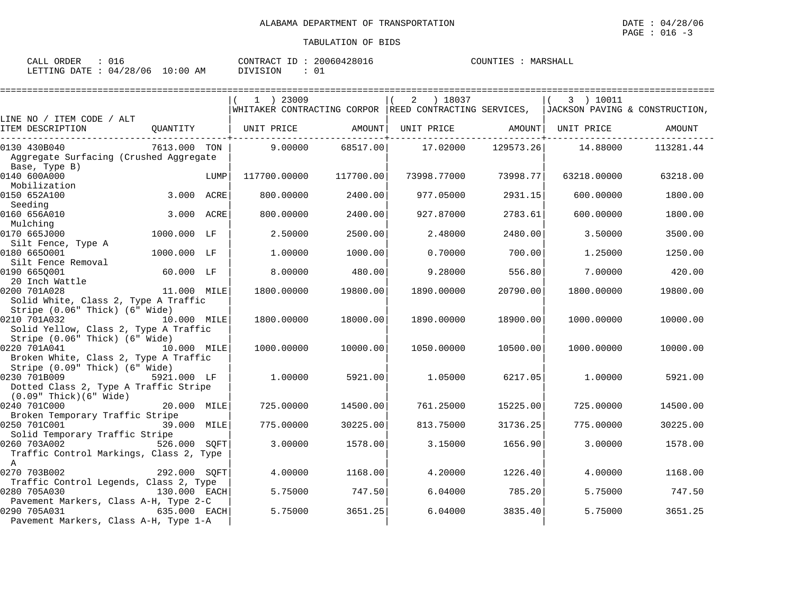| CALL ORDER<br>016               | CONTRACT ID: 20060428016 | COUNTIES : MARSHALL |
|---------------------------------|--------------------------|---------------------|
| LETTING DATE: 04/28/06 10:00 AM | DIVISION                 |                     |

|                                                                                                |              |      | $1$ ) 23009       |           | ) 18037<br>2                                           |           | 3 ) 10011                      |           |
|------------------------------------------------------------------------------------------------|--------------|------|-------------------|-----------|--------------------------------------------------------|-----------|--------------------------------|-----------|
|                                                                                                |              |      |                   |           | WHITAKER CONTRACTING CORPOR REED CONTRACTING SERVICES, |           | JACKSON PAVING & CONSTRUCTION, |           |
| LINE NO / ITEM CODE / ALT<br>ITEM DESCRIPTION                                                  | QUANTITY     |      | UNIT PRICE AMOUNT |           | UNIT PRICE AMOUNT                                      |           | UNIT PRICE                     | AMOUNT    |
| 0130 430B040<br>Aggregate Surfacing (Crushed Aggregate<br>Base, Type B)                        | 7613.000 TON |      | 9.00000           | 68517.00  | 17.02000                                               | 129573.26 | 14.88000                       | 113281.44 |
| 0140 600A000<br>Mobilization                                                                   |              | LUMP | 117700.00000      | 117700.00 | 73998.77000                                            | 73998.77  | 63218.00000                    | 63218.00  |
| 0150 652A100<br>Seeding                                                                        | 3.000 ACRE   |      | 800.00000         | 2400.00   | 977.05000                                              | 2931.15   | 600.00000                      | 1800.00   |
| 0160 656A010<br>Mulching                                                                       | 3.000 ACRE   |      | 800,00000         | 2400.00   | 927.87000                                              | 2783.61   | 600.00000                      | 1800.00   |
| 0170 665J000                                                                                   | 1000.000 LF  |      | 2.50000           | 2500.00   | 2.48000                                                | 2480.00   | 3.50000                        | 3500.00   |
| Silt Fence, Type A<br>0180 6650001                                                             | 1000.000 LF  |      | 1,00000           | 1000.00   | 0.70000                                                | 700.00    | 1.25000                        | 1250.00   |
| Silt Fence Removal<br>0190 6650001                                                             | $60.000$ LF  |      | 8.00000           | 480.00    | 9.28000                                                | 556.80    | 7.00000                        | 420.00    |
| 20 Inch Wattle<br>0200 701A028<br>Solid White, Class 2, Type A Traffic                         | 11.000 MILE  |      | 1800.00000        | 19800.00  | 1890.00000                                             | 20790.00  | 1800.00000                     | 19800.00  |
| Stripe (0.06" Thick) (6" Wide)<br>0210 701A032<br>Solid Yellow, Class 2, Type A Traffic        | 10.000 MILE  |      | 1800.00000        | 18000.00  | 1890.00000                                             | 18900.00  | 1000.00000                     | 10000.00  |
| Stripe (0.06" Thick) (6" Wide)<br>0220 701A041<br>Broken White, Class 2, Type A Traffic        | 10.000 MILE  |      | 1000.00000        | 10000.00  | 1050.00000                                             | 10500.00  | 1000.00000                     | 10000.00  |
| Stripe (0.09" Thick) (6" Wide)<br>0230 701B009<br>Dotted Class 2, Type A Traffic Stripe        | 5921.000 LF  |      | 1.00000           | 5921.00   | 1.05000                                                | 6217.05   | 1,00000                        | 5921.00   |
| $(0.09"$ Thick $)(6"$ Wide $)$<br>0240 701C000                                                 | 20.000 MILE  |      | 725.00000         | 14500.00  | 761.25000                                              | 15225.00  | 725.00000                      | 14500.00  |
| Broken Temporary Traffic Stripe<br>0250 701C001                                                | 39.000 MILE  |      | 775.00000         | 30225.00  | 813.75000                                              | 31736.25  | 775.00000                      | 30225.00  |
| Solid Temporary Traffic Stripe<br>0260 703A002<br>Traffic Control Markings, Class 2, Type      | 526.000 SOFT |      | 3.00000           | 1578.00   | 3.15000                                                | 1656.90   | 3.00000                        | 1578.00   |
| A<br>0270 703B002                                                                              | 292.000 SOFT |      | 4.00000           | 1168.00   | 4.20000                                                | 1226.40   | 4.00000                        | 1168.00   |
| Traffic Control Legends, Class 2, Type<br>0280 705A030                                         | 130.000 EACH |      | 5.75000           | 747.50    | 6.04000                                                | 785.20    | 5.75000                        | 747.50    |
| Pavement Markers, Class A-H, Type 2-C<br>0290 705A031<br>Pavement Markers, Class A-H, Type 1-A | 635.000 EACH |      | 5.75000           | 3651.25   | 6.04000                                                | 3835.40   | 5.75000                        | 3651.25   |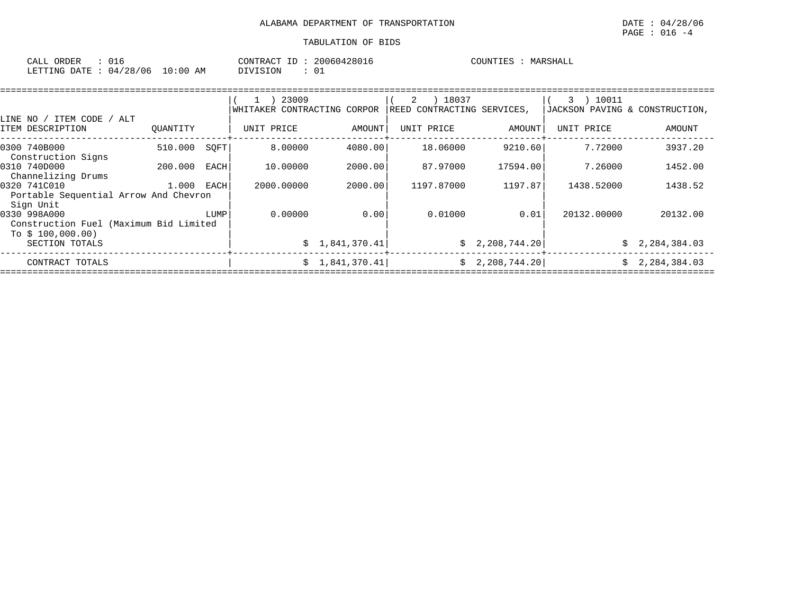| ORDER<br>L'ALI     | τc<br>しエイ             |                       | CON'.         | 12801.<br>$\overline{a}$<br>,,,<br>. | COUNT.<br>™ <del>ப</del> ⊬<br>. H<br>- - - |
|--------------------|-----------------------|-----------------------|---------------|--------------------------------------|--------------------------------------------|
| ETTING<br>∵ידי ∆(ו | ററ<br>06<br>04<br>∠.ຕ | AM<br>. : 00.<br>- 17 | T T N<br>. UN | ັ                                    |                                            |

|                                        |          |             | 23009                       |                | 18037<br>2                 |              | 10011<br>3                     |              |
|----------------------------------------|----------|-------------|-----------------------------|----------------|----------------------------|--------------|--------------------------------|--------------|
|                                        |          |             | WHITAKER CONTRACTING CORPOR |                | REED CONTRACTING SERVICES, |              | JACKSON PAVING & CONSTRUCTION, |              |
| ITEM CODE<br>LINE NO                   | ALT      |             |                             |                |                            |              |                                |              |
| ITEM DESCRIPTION                       | OUANTITY |             | UNIT PRICE                  | AMOUNT         | UNIT PRICE                 | AMOUNT       | UNIT PRICE                     | AMOUNT       |
| 0300 740B000                           | 510.000  | SOFT        | 8,00000                     | 4080.00        | 18,06000                   | 9210.60      | 7.72000                        | 3937.20      |
| Construction Signs                     |          |             |                             |                |                            |              |                                |              |
| 0310 740D000                           | 200.000  | <b>EACH</b> | 10.00000                    | 2000.00        | 87.97000                   | 17594.00     | 7.26000                        | 1452.00      |
| Channelizing Drums                     |          |             |                             |                |                            |              |                                |              |
| 0320 741C010                           | 1.000    | EACH        | 2000.00000                  | 2000.00        | 1197.87000                 | 1197.87      | 1438.52000                     | 1438.52      |
| Portable Sequential Arrow And Chevron  |          |             |                             |                |                            |              |                                |              |
| Sign Unit                              |          |             |                             |                |                            |              |                                |              |
| 0330 998A000                           |          | LUMP        | 0.00000                     | 0.00           | 0.01000                    | 0.01         | 20132.00000                    | 20132.00     |
| Construction Fuel (Maximum Bid Limited |          |             |                             |                |                            |              |                                |              |
| To $$100,000.00)$                      |          |             |                             |                |                            |              |                                |              |
| SECTION TOTALS                         |          |             |                             | \$1,841,370.41 | Ŝ.                         | 2,208,744.20 | Ŝ.                             | 2,284,384.03 |
| CONTRACT TOTALS                        |          |             |                             | \$1,841,370.41 | Ŝ.                         | 2,208,744.20 | S.                             | 2,284,384.03 |
|                                        |          |             |                             |                |                            |              |                                |              |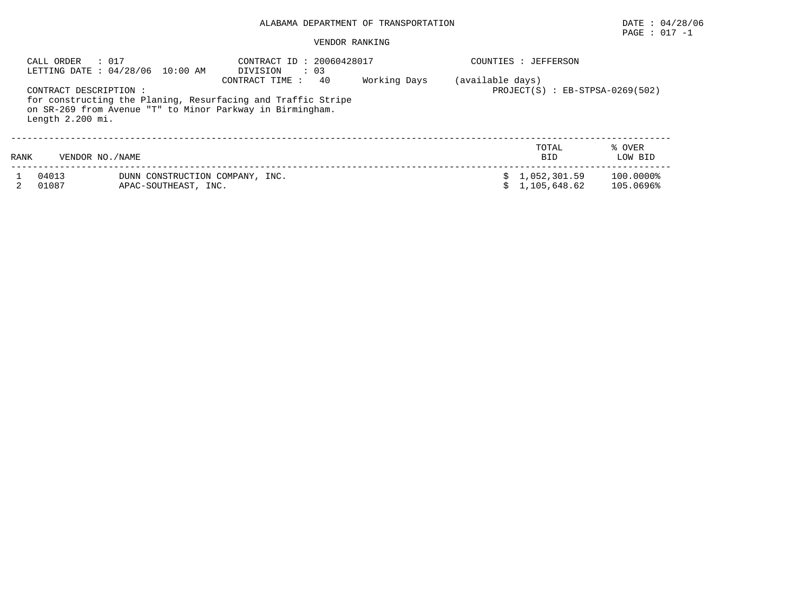# $\texttt{PAGE}$  : 017 -1

| : 017<br>CALL ORDER<br>LETTING DATE : 04/28/06 10:00 AM |                                             | CONTRACT ID: 20060428017<br>$\therefore$ 03<br>DIVISION |                                                                                                                                                    | COUNTIES : JEFFERSON |                                                         |                        |  |  |
|---------------------------------------------------------|---------------------------------------------|---------------------------------------------------------|----------------------------------------------------------------------------------------------------------------------------------------------------|----------------------|---------------------------------------------------------|------------------------|--|--|
|                                                         | CONTRACT DESCRIPTION:<br>Length $2.200$ mi. |                                                         | CONTRACT TIME :<br>40<br>for constructing the Planing, Resurfacing and Traffic Stripe<br>on SR-269 from Avenue "T" to Minor Parkway in Birmingham. | Working Days         | (available days)<br>$PROJECT(S)$ : $EB-STPSA-0269(502)$ |                        |  |  |
| RANK                                                    | VENDOR NO. / NAME                           |                                                         |                                                                                                                                                    |                      | TOTAL<br><b>BID</b>                                     | % OVER<br>LOW BID      |  |  |
|                                                         | 04013<br>01087                              | DUNN CONSTRUCTION COMPANY, INC.<br>APAC-SOUTHEAST, INC. |                                                                                                                                                    |                      | 1,052,301.59<br>1,105,648.62                            | 100.0000%<br>105.0696% |  |  |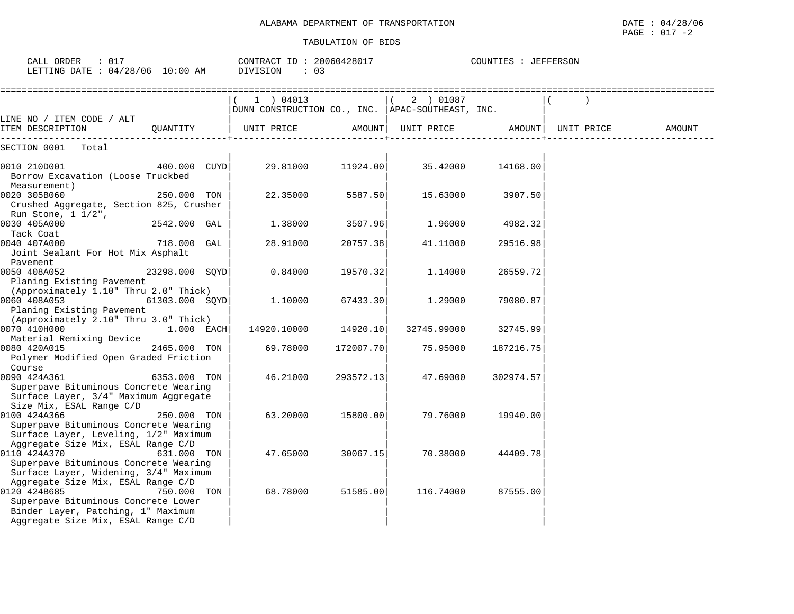| CALL ORDER : 017<br>LETTING DATE : 04/28/06 10:00 AM                                                                                                                  |                  | CONTRACT ID: 20060428017<br>DIVISION<br>$\therefore$ 03               |           |                                    |           |            |        |
|-----------------------------------------------------------------------------------------------------------------------------------------------------------------------|------------------|-----------------------------------------------------------------------|-----------|------------------------------------|-----------|------------|--------|
|                                                                                                                                                                       |                  | 1 ) 04013<br>$ $ DUNN CONSTRUCTION CO., INC. $ $ APAC-SOUTHEAST, INC. |           | 2 ) 01087                          |           |            |        |
| LINE NO / ITEM CODE / ALT<br>ITEM DESCRIPTION                                                                                                                         | OUANTITY         | UNIT PRICE                                                            |           | AMOUNT   UNIT PRICE         AMOUNT |           | UNIT PRICE | AMOUNT |
| SECTION 0001<br>Total                                                                                                                                                 |                  |                                                                       |           |                                    |           |            |        |
| 0010 210D001<br>Borrow Excavation (Loose Truckbed<br>Measurement)                                                                                                     | 400.000 CUYD     | 29.81000                                                              | 11924.00  | 35.42000                           | 14168.00  |            |        |
| 0020 305B060<br>Crushed Aggregate, Section 825, Crusher                                                                                                               | 250.000 TON      | 22.35000                                                              | 5587.50   | 15.63000                           | 3907.50   |            |        |
| Run Stone, 1 1/2",<br>0030 405A000<br>Tack Coat                                                                                                                       | 2542.000 GAL     | 1.38000                                                               | 3507.96   | 1.96000                            | 4982.32   |            |        |
| 0040 407A000<br>Joint Sealant For Hot Mix Asphalt<br>Pavement                                                                                                         | 718.000 GAL      | 28.91000                                                              | 20757.38  | 41.11000                           | 29516.98  |            |        |
| 0050 408A052<br>Planing Existing Pavement                                                                                                                             | 23298.000 SQYD   | 0.84000                                                               | 19570.32  | 1.14000                            | 26559.72  |            |        |
| (Approximately 1.10" Thru 2.0" Thick)<br>0060 408A053<br>Planing Existing Pavement                                                                                    | $61303.000$ SQYD | 1.10000                                                               | 67433.30  | 1.29000                            | 79080.87  |            |        |
| (Approximately 2.10" Thru 3.0" Thick)<br>0070 410H000<br>Material Remixing Device                                                                                     | $1.000$ EACH     | 14920.10000                                                           | 14920.10  | 32745.99000                        | 32745.99  |            |        |
| 0080 420A015<br>Polymer Modified Open Graded Friction<br>Course                                                                                                       | 2465.000 TON     | 69.78000                                                              | 172007.70 | 75.95000                           | 187216.75 |            |        |
| 0090 424A361<br>Superpave Bituminous Concrete Wearing<br>Surface Layer, 3/4" Maximum Aggregate                                                                        | 6353.000 TON     | 46.21000                                                              | 293572.13 | 47.69000                           | 302974.57 |            |        |
| Size Mix, ESAL Range C/D<br>0100 424A366<br>Superpave Bituminous Concrete Wearing<br>Surface Layer, Leveling, 1/2" Maximum                                            | 250.000 TON      | 63.20000                                                              | 15800.00  | 79.76000                           | 19940.00  |            |        |
| Aggregate Size Mix, ESAL Range C/D<br>0110 424A370<br>Superpave Bituminous Concrete Wearing<br>Surface Layer, Widening, 3/4" Maximum                                  | 631.000 TON      | 47.65000                                                              | 30067.15  | 70.38000                           | 44409.78  |            |        |
| Aggregate Size Mix, ESAL Range C/D<br>0120 424B685<br>Superpave Bituminous Concrete Lower<br>Binder Layer, Patching, 1" Maximum<br>Aggregate Size Mix, ESAL Range C/D | 750.000 TON      | 68.78000                                                              | 51585.00  | 116.74000                          | 87555.00  |            |        |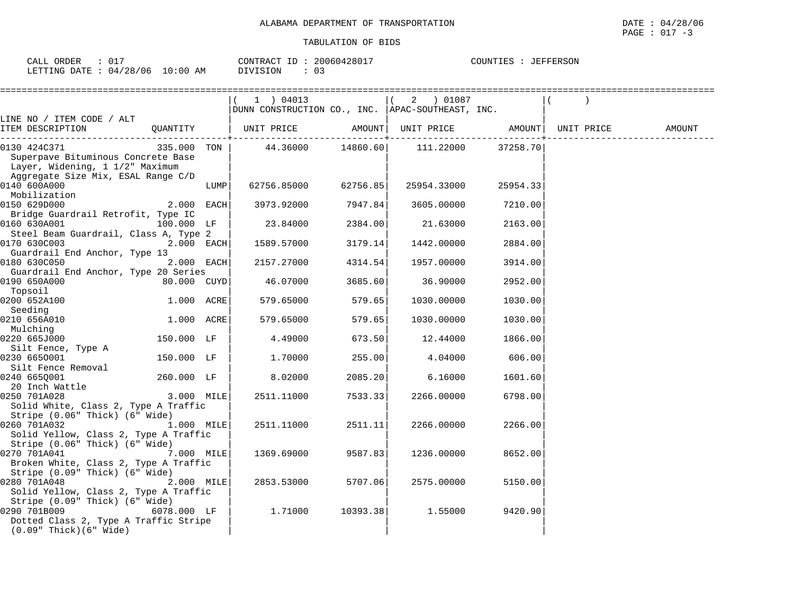| CALL ORDER<br>: 017             | CONTRACT ID: 20060428017 | COUNTIES : JEFFERSON |
|---------------------------------|--------------------------|----------------------|
| LETTING DATE: 04/28/06 10:00 AM | DIVISION                 |                      |

|                                       |             |      | 1 ) 04013                                          |          | 2 ) 01087   |          |            |        |
|---------------------------------------|-------------|------|----------------------------------------------------|----------|-------------|----------|------------|--------|
|                                       |             |      | DUNN CONSTRUCTION CO., INC.   APAC-SOUTHEAST, INC. |          |             |          |            |        |
| LINE NO / ITEM CODE / ALT             |             |      |                                                    |          |             |          |            |        |
| ITEM DESCRIPTION                      | QUANTITY    |      | UNIT PRICE                                         | AMOUNT   | UNIT PRICE  | AMOUNT   | UNIT PRICE | AMOUNT |
| 0130 424C371                          | 335.000 TON |      | 44.36000                                           | 14860.60 | 111.22000   | 37258.70 |            |        |
| Superpave Bituminous Concrete Base    |             |      |                                                    |          |             |          |            |        |
| Layer, Widening, 1 1/2" Maximum       |             |      |                                                    |          |             |          |            |        |
| Aggregate Size Mix, ESAL Range C/D    |             |      |                                                    |          |             |          |            |        |
| 0140 600A000                          |             | LUMP | 62756.85000                                        | 62756.85 | 25954.33000 | 25954.33 |            |        |
| Mobilization                          |             |      |                                                    |          |             |          |            |        |
| 0150 629D000                          | 2.000 EACH  |      | 3973.92000                                         | 7947.84  | 3605.00000  | 7210.00  |            |        |
| Bridge Guardrail Retrofit, Type IC    |             |      |                                                    |          |             |          |            |        |
| 0160 630A001                          | 100.000 LF  |      | 23.84000                                           | 2384.00  | 21.63000    | 2163.00  |            |        |
| Steel Beam Guardrail, Class A, Type 2 |             |      |                                                    |          |             |          |            |        |
| 0170 630C003                          | 2.000 EACH  |      | 1589.57000                                         | 3179.14  | 1442.00000  | 2884.00  |            |        |
| Guardrail End Anchor, Type 13         |             |      |                                                    |          |             |          |            |        |
| 0180 630C050                          | 2.000 EACH  |      | 2157.27000                                         | 4314.54  | 1957.00000  | 3914.00  |            |        |
| Guardrail End Anchor, Type 20 Series  |             |      |                                                    |          |             |          |            |        |
| 0190 650A000                          | 80.000 CUYD |      | 46.07000                                           | 3685.60  | 36.90000    | 2952.00  |            |        |
| Topsoil                               |             |      |                                                    |          |             |          |            |        |
| 0200 652A100                          | 1.000 ACRE  |      | 579.65000                                          | 579.65   | 1030.00000  | 1030.00  |            |        |
| Seeding                               |             |      |                                                    |          |             |          |            |        |
| 0210 656A010                          | 1.000 ACRE  |      | 579.65000                                          | 579.65   | 1030.00000  | 1030.00  |            |        |
| Mulching<br>0220 665J000              | 150.000 LF  |      |                                                    | 673.50   |             |          |            |        |
|                                       |             |      | 4.49000                                            |          | 12.44000    | 1866.00  |            |        |
| Silt Fence, Type A<br>0230 6650001    | 150.000 LF  |      | 1,70000                                            | 255.00   | 4.04000     | 606.00   |            |        |
| Silt Fence Removal                    |             |      |                                                    |          |             |          |            |        |
| 0240 665Q001                          | 260.000 LF  |      | 8.02000                                            | 2085.20  | 6.16000     | 1601.60  |            |        |
| 20 Inch Wattle                        |             |      |                                                    |          |             |          |            |        |
| 0250 701A028                          | 3.000 MILE  |      | 2511.11000                                         | 7533.33  | 2266.00000  | 6798.00  |            |        |
| Solid White, Class 2, Type A Traffic  |             |      |                                                    |          |             |          |            |        |
| Stripe (0.06" Thick) (6" Wide)        |             |      |                                                    |          |             |          |            |        |
| 0260 701A032                          | 1.000 MILE  |      | 2511.11000                                         | 2511.11  | 2266.00000  | 2266.00  |            |        |
| Solid Yellow, Class 2, Type A Traffic |             |      |                                                    |          |             |          |            |        |
| Stripe (0.06" Thick) (6" Wide)        |             |      |                                                    |          |             |          |            |        |
| 0270 701A041                          | 7.000 MILE  |      | 1369.69000                                         | 9587.83  | 1236.00000  | 8652.00  |            |        |
| Broken White, Class 2, Type A Traffic |             |      |                                                    |          |             |          |            |        |
| Stripe (0.09" Thick) (6" Wide)        |             |      |                                                    |          |             |          |            |        |
| 0280 701A048                          | 2.000 MILE  |      | 2853.53000                                         | 5707.06  | 2575.00000  | 5150.00  |            |        |
| Solid Yellow, Class 2, Type A Traffic |             |      |                                                    |          |             |          |            |        |
| Stripe (0.09" Thick) (6" Wide)        |             |      |                                                    |          |             |          |            |        |
| 0290 701B009                          | 6078.000 LF |      | 1.71000                                            | 10393.38 | 1.55000     | 9420.90  |            |        |
| Dotted Class 2, Type A Traffic Stripe |             |      |                                                    |          |             |          |            |        |
| $(0.09"$ Thick $)(6"$ Wide $)$        |             |      |                                                    |          |             |          |            |        |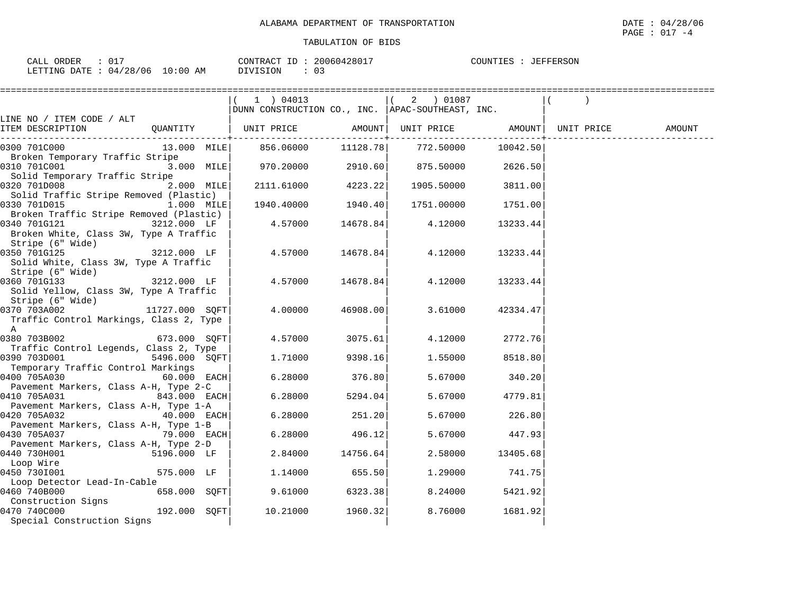| 015<br>ORDER<br>CALL                    | 20060428017<br>CONTRACT<br>ID | <b>JEFFERSON</b><br>COUNTIES |
|-----------------------------------------|-------------------------------|------------------------------|
| 04/28/06<br>10:00<br>LETTING DATE<br>AM | DIVISION<br>∩ −<br>. U –      |                              |

|                                                                                                   |                | --------------------------                                                  |          |                            |              |            |        |
|---------------------------------------------------------------------------------------------------|----------------|-----------------------------------------------------------------------------|----------|----------------------------|--------------|------------|--------|
|                                                                                                   |                | 1 ) 04013<br>$\mid$ DUNN CONSTRUCTION CO., INC. $\mid$ APAC-SOUTHEAST, INC. |          |                            |              |            |        |
| LINE NO / ITEM CODE / ALT<br>ITEM DESCRIPTION                                                     | QUANTITY       | UNIT PRICE                                                                  |          | AMOUNT   UNIT PRICE AMOUNT |              | UNIT PRICE | AMOUNT |
| 0300 701C000                                                                                      |                | $13.000$ MILE $ $ 856.06000 11128.78 772.50000 10042.50                     |          | ---------+---------        | -----------+ |            |        |
| Broken Temporary Traffic Stripe<br>0310 701C001                                                   | 3.000 MILE     | $970.20000$ 2910.60 875.50000 2626.50                                       |          |                            |              |            |        |
| Solid Temporary Traffic Stripe<br>0320 701D008                                                    | $2.000$ MILE   | 2111.61000 4223.22                                                          |          | 1905.50000                 | 3811.00      |            |        |
| Solid Traffic Stripe Removed (Plastic)<br>0330 701D015                                            | 1.000 MILE     | 1940.40000                                                                  | 1940.40  | 1751.00000                 | 1751.00      |            |        |
| Broken Traffic Stripe Removed (Plastic)<br>0340 701G121<br>Broken White, Class 3W, Type A Traffic | 3212.000 LF    | 4.57000                                                                     | 14678.84 | 4.12000                    | 13233.44     |            |        |
| Stripe (6" Wide)<br>0350 701G125<br>Solid White, Class 3W, Type A Traffic<br>Stripe (6" Wide)     | 3212.000 LF    | 4.57000                                                                     | 14678.84 | 4.12000                    | 13233.44     |            |        |
| 0360 701G133<br>Solid Yellow, Class 3W, Type A Traffic                                            | 3212.000 LF    | 4.57000                                                                     |          | 14678.84 4.12000           | 13233.44     |            |        |
| Stripe (6" Wide)<br>0370 703A002<br>Traffic Control Markings, Class 2, Type<br>A                  | 11727.000 SOFT | 4.00000                                                                     | 46908.00 | 3.61000                    | 42334.47     |            |        |
| 0380 703B002<br>Traffic Control Legends, Class 2, Type                                            | 673.000 SQFT   | 4.57000                                                                     | 3075.61  | 4.12000                    | 2772.76      |            |        |
| 0390 703D001<br>Temporary Traffic Control Markings                                                | 5496.000 SQFT  | 1.71000                                                                     | 9398.16  | 1.55000                    | 8518.80      |            |        |
| 0400 705A030<br>Pavement Markers, Class A-H, Type 2-C                                             | 60.000 EACH    | 6.28000                                                                     | 376.80   | 5.67000                    | 340.20       |            |        |
| 0410 705A031<br>Pavement Markers, Class A-H, Type 1-A                                             | 843.000 EACH   | 6.28000                                                                     | 5294.04  | 5.67000                    | 4779.81      |            |        |
| 0420 705A032<br>Pavement Markers, Class A-H, Type 1-B                                             | $40.000$ EACH  | 6.28000                                                                     | 251.20   | 5.67000                    | 226.80       |            |        |
| 0430 705A037                                                                                      | 79.000 EACH    | 6.28000                                                                     | 496.12   | 5.67000                    | 447.93       |            |        |
| Pavement Markers, Class A-H, Type 2-D<br>0440 730H001                                             | 5196.000 LF    | 2.84000                                                                     | 14756.64 | 2.58000                    | 13405.68     |            |        |
| Loop Wire<br>0450 730I001                                                                         | 575.000 LF     | 1.14000                                                                     | 655.50   | 1,29000                    | 741.75       |            |        |
| Loop Detector Lead-In-Cable<br>0460 740B000                                                       | 658.000 SQFT   | 9.61000                                                                     | 6323.38  | 8.24000                    | 5421.92      |            |        |
| Construction Signs<br>0470 740C000<br>Special Construction Signs                                  | 192.000 SOFT   | 10.21000                                                                    | 1960.32  | 8.76000                    | 1681.92      |            |        |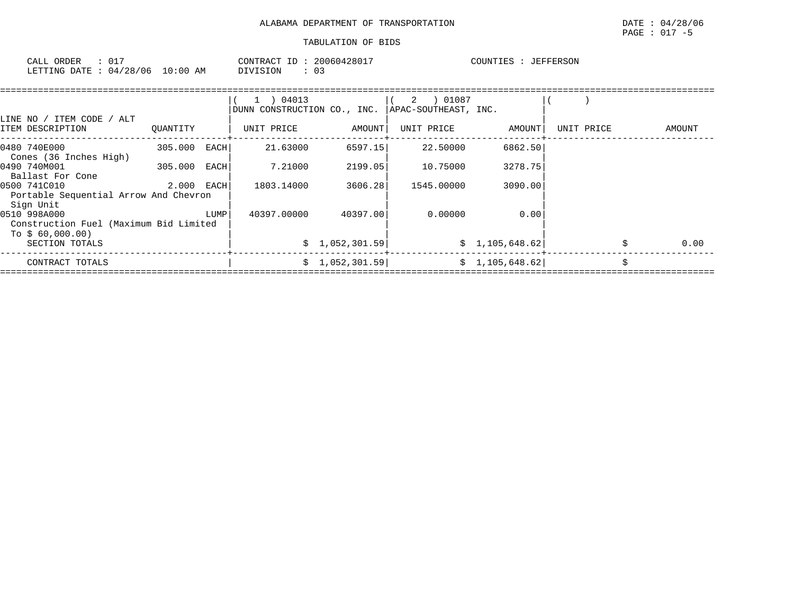| ORDER<br>CALL                        | 20060428017<br>CONTRACT ID<br>TD. | COUNTIES<br>: JEFFERSON |
|--------------------------------------|-----------------------------------|-------------------------|
| LETTING DATE: 04/28/06<br>$10:00$ AM | DIVISION                          |                         |

| LINE NO / ITEM CODE / ALT                                                  |            |      | 1 ) 04013<br>DUNN CONSTRUCTION CO., INC. |                | APAC-SOUTHEAST, INC. |                 |            |    |        |
|----------------------------------------------------------------------------|------------|------|------------------------------------------|----------------|----------------------|-----------------|------------|----|--------|
| ITEM DESCRIPTION                                                           | OUANTITY   |      | UNIT PRICE                               | AMOUNT         | UNIT PRICE           | AMOUNT          | UNIT PRICE |    | AMOUNT |
| 0480 740E000<br>Cones (36 Inches High)                                     | 305.000    | EACH | 21.63000                                 | 6597.15        | 22.50000             | 6862.50         |            |    |        |
| 0490 740M001<br>Ballast For Cone                                           | 305.000    | EACH | 7.21000                                  | 2199.05        | 10.75000             | 3278.75         |            |    |        |
| 0500 741C010<br>Portable Sequential Arrow And Chevron<br>Sign Unit         | 2.000 EACH |      | 1803.14000                               | 3606.28        | 1545.00000           | 3090.00         |            |    |        |
| 0510 998A000<br>Construction Fuel (Maximum Bid Limited<br>To $$60,000.00)$ |            | LUMP | 40397.00000                              | 40397.00       | 0.00000              | 0.00            |            |    |        |
| SECTION TOTALS                                                             |            |      |                                          | \$1,052,301.59 |                      | \$1,105,648.62] |            | Ŝ. | 0.00   |
| CONTRACT TOTALS                                                            |            |      |                                          | \$1,052,301.59 |                      | \$1,105,648.62] |            | Ŝ. |        |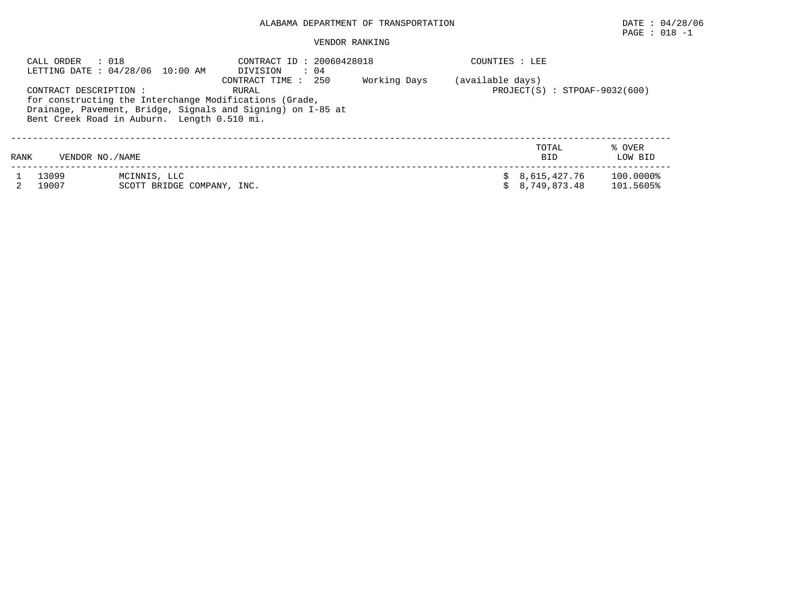## PAGE : 018 -1

|      | : 018<br>CALL ORDER                                                                                                                                                                                                                             | LETTING DATE: 04/28/06 10:00 AM            | CONTRACT ID: 20060428018<br>DIVISION<br>: 04 |  | COUNTIES : LEE |                                                     |                        |  |  |  |
|------|-------------------------------------------------------------------------------------------------------------------------------------------------------------------------------------------------------------------------------------------------|--------------------------------------------|----------------------------------------------|--|----------------|-----------------------------------------------------|------------------------|--|--|--|
|      | Working Days<br>CONTRACT TIME:<br>250<br>CONTRACT DESCRIPTION:<br>RURAL<br>for constructing the Interchange Modifications (Grade,<br>Drainage, Pavement, Bridge, Signals and Signing) on I-85 at<br>Bent Creek Road in Auburn. Length 0.510 mi. |                                            |                                              |  |                | (available days)<br>$PROJECT(S) : STPOAF-9032(600)$ |                        |  |  |  |
| RANK | VENDOR NO./NAME                                                                                                                                                                                                                                 |                                            |                                              |  |                | TOTAL<br><b>BID</b>                                 | % OVER<br>LOW BID      |  |  |  |
|      | 13099<br>19007                                                                                                                                                                                                                                  | MCINNIS, LLC<br>SCOTT BRIDGE COMPANY, INC. |                                              |  |                | 8,615,427.76<br>8,749,873.48                        | 100.0000%<br>101.5605% |  |  |  |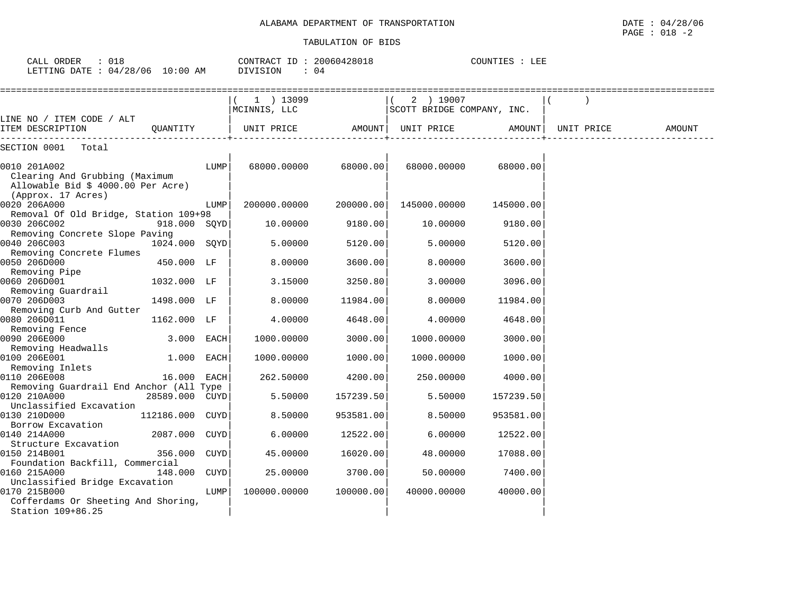| 018<br>CALL ORDER               | CONTRACT ID: 20060428018 |    | COUNTIES : LEE |
|---------------------------------|--------------------------|----|----------------|
| LETTING DATE: 04/28/06 10:00 AM | DIVISION                 | 04 |                |

|                                          |                 |             | 1 ) 13099            |           | 2 ) 19007                  |           |            |        |
|------------------------------------------|-----------------|-------------|----------------------|-----------|----------------------------|-----------|------------|--------|
|                                          |                 |             | MCINNIS, LLC         |           | SCOTT BRIDGE COMPANY, INC. |           |            |        |
| LINE NO / ITEM CODE / ALT                |                 |             |                      |           |                            |           |            |        |
| ITEM DESCRIPTION                         | OUANTITY        |             | UNIT PRICE AMOUNT    |           | UNIT PRICE                 | AMOUNT    | UNIT PRICE | AMOUNT |
| SECTION 0001<br>Total                    |                 |             |                      |           |                            |           |            |        |
|                                          |                 |             |                      |           |                            |           |            |        |
| 0010 201A002                             |                 | LUMP        | 68000.00000 68000.00 |           | 68000.00000                | 68000.00  |            |        |
| Clearing And Grubbing (Maximum           |                 |             |                      |           |                            |           |            |        |
| Allowable Bid \$ 4000.00 Per Acre)       |                 |             |                      |           |                            |           |            |        |
| (Approx. 17 Acres)                       |                 |             |                      |           |                            |           |            |        |
| 0020 206A000                             |                 | LUMP        | 200000.00000         | 200000.00 | 145000.00000               | 145000.00 |            |        |
| Removal Of Old Bridge, Station 109+98    |                 |             |                      |           |                            |           |            |        |
| 0030 206C002                             | 918.000 SQYD    |             | 10.00000             | 9180.00   | 10.00000                   | 9180.00   |            |        |
| Removing Concrete Slope Paving           |                 |             |                      |           |                            |           |            |        |
| 0040 206C003                             | 1024.000 SOYD   |             | 5.00000              | 5120.00   | 5.00000                    | 5120.00   |            |        |
| Removing Concrete Flumes                 |                 |             |                      |           |                            |           |            |        |
| 0050 206D000                             | 450.000 LF      |             | 8,00000              | 3600.00   | 8,00000                    | 3600.00   |            |        |
| Removing Pipe                            |                 |             |                      |           |                            |           |            |        |
| 0060 206D001                             | 1032.000 LF     |             | 3.15000              | 3250.80   | 3.00000                    | 3096.00   |            |        |
| Removing Guardrail                       |                 |             |                      |           |                            |           |            |        |
| 0070 206D003                             | 1498.000 LF     |             | 8.00000              | 11984.00  | 8.00000                    | 11984.00  |            |        |
| Removing Curb And Gutter<br>0080 206D011 | 1162.000 LF     |             | 4.00000              | 4648.00   | 4.00000                    | 4648.00   |            |        |
| Removing Fence                           |                 |             |                      |           |                            |           |            |        |
| 0090 206E000                             | 3.000 EACH      |             | 1000.00000           | 3000.00   | 1000.00000                 | 3000.00   |            |        |
| Removing Headwalls                       |                 |             |                      |           |                            |           |            |        |
| 0100 206E001                             | 1.000           | EACH        | 1000.00000           | 1000.00   | 1000.00000                 | 1000.00   |            |        |
| Removing Inlets                          |                 |             |                      |           |                            |           |            |        |
| 0110 206E008                             | 16.000          | <b>EACH</b> | 262.50000            | 4200.00   | 250.00000                  | 4000.00   |            |        |
| Removing Guardrail End Anchor (All Type  |                 |             |                      |           |                            |           |            |        |
| 0120 210A000                             | 28589.000 CUYD  |             | 5.50000              | 157239.50 | 5.50000                    | 157239.50 |            |        |
| Unclassified Excavation                  |                 |             |                      |           |                            |           |            |        |
| 0130 210D000                             | 112186.000 CUYD |             | 8.50000              | 953581.00 | 8.50000                    | 953581.00 |            |        |
| Borrow Excavation                        |                 |             |                      |           |                            |           |            |        |
| 0140 214A000                             | 2087.000        | <b>CUYD</b> | 6.00000              | 12522.00  | 6.00000                    | 12522.00  |            |        |
| Structure Excavation                     |                 |             |                      |           |                            |           |            |        |
| 0150 214B001                             | 356.000 CUYD    |             | 45.00000             | 16020.00  | 48.00000                   | 17088.00  |            |        |
| Foundation Backfill, Commercial          |                 |             |                      |           |                            |           |            |        |
| 0160 215A000                             | 148.000         | CUYD        | 25.00000             | 3700.00   | 50.00000                   | 7400.00   |            |        |
| Unclassified Bridge Excavation           |                 |             |                      |           |                            |           |            |        |
| 0170 215B000                             |                 | LUMP        | 100000.00000         | 100000.00 | 40000.00000                | 40000.00  |            |        |
| Cofferdams Or Sheeting And Shoring,      |                 |             |                      |           |                            |           |            |        |
| Station 109+86.25                        |                 |             |                      |           |                            |           |            |        |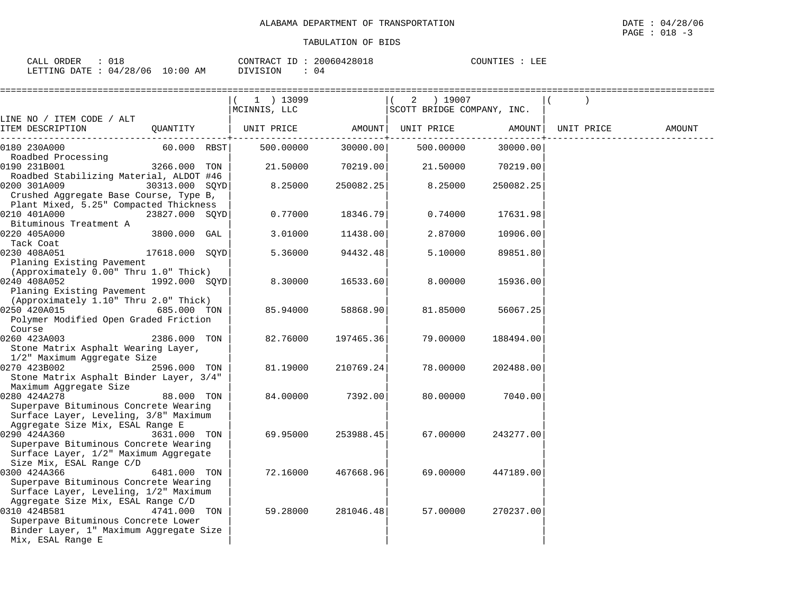| ORDER<br>CALL                   |  | CONTRACT ID: | 20060428018 | COUNTIES | LEE |
|---------------------------------|--|--------------|-------------|----------|-----|
| LETTING DATE: 04/28/06 10:00 AM |  | DIVISION     |             |          |     |

|                                                                                                                                                                             |                | 1 ) 13099<br>MCINNIS, LLC |           | 2 ) 19007<br>SCOTT BRIDGE COMPANY, INC. |           |            |        |
|-----------------------------------------------------------------------------------------------------------------------------------------------------------------------------|----------------|---------------------------|-----------|-----------------------------------------|-----------|------------|--------|
| LINE NO / ITEM CODE / ALT<br>ITEM DESCRIPTION                                                                                                                               | OUANTITY       | UNIT PRICE                | AMOUNT    | UNIT PRICE                              | AMOUNT    | UNIT PRICE | AMOUNT |
| 0180 230A000<br>Roadbed Processing                                                                                                                                          | 60.000 RBST    | 500.00000                 | 30000.00  | 500.00000                               | 30000.00  |            |        |
| 0190 231B001                                                                                                                                                                | 3266.000 TON   | 21.50000                  | 70219.00  | 21.50000                                | 70219.00  |            |        |
| Roadbed Stabilizing Material, ALDOT #46<br>0200 301A009<br>Crushed Aggregate Base Course, Type B,                                                                           | 30313.000 SQYD | 8.25000                   | 250082.25 | 8.25000                                 | 250082.25 |            |        |
| Plant Mixed, 5.25" Compacted Thickness<br>0210 401A000                                                                                                                      | 23827.000 SQYD | 0.77000                   | 18346.791 | 0.74000                                 | 17631.98  |            |        |
| Bituminous Treatment A<br>0220 405A000<br>Tack Coat                                                                                                                         | 3800.000 GAL   | 3.01000                   | 11438.00  | 2.87000                                 | 10906.00  |            |        |
| $17618.000$ SQYD<br>0230 408A051<br>Planing Existing Pavement                                                                                                               |                | 5.36000                   | 94432.48  | 5.10000                                 | 89851.80  |            |        |
| (Approximately 0.00" Thru 1.0" Thick)<br>0240 408A052<br>Planing Existing Pavement                                                                                          | 1992.000 SQYD  | 8.30000                   | 16533.60  | 8.00000                                 | 15936.00  |            |        |
| (Approximately 1.10" Thru 2.0" Thick)<br>0250 420A015<br>Polymer Modified Open Graded Friction                                                                              | 685.000 TON    | 85.94000                  | 58868.90  | 81.85000                                | 56067.25  |            |        |
| Course<br>0260 423A003<br>Stone Matrix Asphalt Wearing Layer,                                                                                                               | 2386.000 TON   | 82.76000                  | 197465.36 | 79.00000                                | 188494.00 |            |        |
| 1/2" Maximum Aggregate Size<br>0270 423B002<br>Stone Matrix Asphalt Binder Layer, 3/4"                                                                                      | 2596.000 TON   | 81.19000                  | 210769.24 | 78.00000                                | 202488.00 |            |        |
| Maximum Aggregate Size<br>0280 424A278<br>Superpave Bituminous Concrete Wearing                                                                                             | 88.000 TON     | 84.00000                  | 7392.00   | 80.00000                                | 7040.00   |            |        |
| Surface Layer, Leveling, 3/8" Maximum<br>Aggregate Size Mix, ESAL Range E<br>0290 424A360<br>Superpave Bituminous Concrete Wearing<br>Surface Layer, 1/2" Maximum Aggregate | 3631.000 TON   | 69.95000                  | 253988.45 | 67.00000                                | 243277.00 |            |        |
| Size Mix, ESAL Range C/D<br>0300 424A366<br>Superpave Bituminous Concrete Wearing<br>Surface Layer, Leveling, 1/2" Maximum                                                  | 6481.000 TON   | 72.16000                  | 467668.96 | 69.00000                                | 447189.00 |            |        |
| Aggregate Size Mix, ESAL Range C/D<br>0310 424B581<br>Superpave Bituminous Concrete Lower<br>Binder Layer, 1" Maximum Aggregate Size<br>Mix, ESAL Range E                   | 4741.000 TON   | 59.28000                  | 281046.48 | 57.00000                                | 270237.00 |            |        |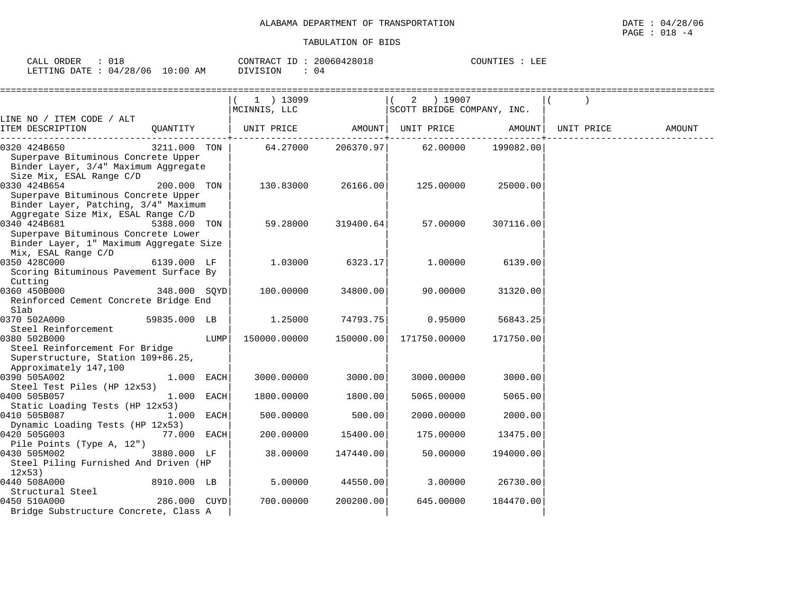| ORDER<br>CAT.T<br>KDER<br>سسدت | -<br>◡∸◡             |                 | $-1$<br>. "ONTRACT | 200604<br>128018 | <b>POUNTIES</b> | הוה ד<br>ᆈᄘ |
|--------------------------------|----------------------|-----------------|--------------------|------------------|-----------------|-------------|
| LETTING<br>DATE.               | '06<br>'28/<br>(141. | ΆM<br>:00<br>⊥∪ | ` )Nı              | 04               |                 |             |

|                                                                                                                                      |              |      | 1 ) 13099                            |           | 2 ) 19007                  |           |            |        |
|--------------------------------------------------------------------------------------------------------------------------------------|--------------|------|--------------------------------------|-----------|----------------------------|-----------|------------|--------|
|                                                                                                                                      |              |      | MCINNIS, LLC                         |           | SCOTT BRIDGE COMPANY, INC. |           |            |        |
| LINE NO / ITEM CODE / ALT<br>ITEM DESCRIPTION                                                                                        | OUANTITY     |      | UNIT PRICE AMOUNT  UNIT PRICE AMOUNT |           |                            |           | UNIT PRICE | AMOUNT |
| 0320 424B650<br>Superpave Bituminous Concrete Upper<br>Binder Layer, 3/4" Maximum Aggregate<br>Size Mix, ESAL Range C/D              | 3211.000 TON |      | 64.27000                             | 206370.97 | 62.00000                   | 199082.00 |            |        |
| 0330 424B654<br>Superpave Bituminous Concrete Upper<br>Binder Layer, Patching, 3/4" Maximum<br>Aggregate Size Mix, ESAL Range C/D    | 200.000 TON  |      | 130.83000                            | 26166.00  | 125.00000                  | 25000.00  |            |        |
| 0340 424B681<br>Superpave Bituminous Concrete Lower<br>Binder Layer, 1" Maximum Aggregate Size<br>Mix, ESAL Range C/D                | 5388.000 TON |      | 59.28000                             | 319400.64 | 57.00000                   | 307116.00 |            |        |
| 0350 428C000<br>Scoring Bituminous Pavement Surface By<br>Cutting                                                                    | 6139.000 LF  |      | 1.03000                              | 6323.17   | 1.00000                    | 6139.00   |            |        |
| 0360 450B000<br>Reinforced Cement Concrete Bridge End<br>Slab                                                                        | 348.000 SOYD |      | 100.00000                            | 34800.00  | 90.00000                   | 31320.00  |            |        |
| 0370 502A000                                                                                                                         | 59835.000 LB |      | 1.25000                              | 74793.75  | 0.95000                    | 56843.25  |            |        |
| Steel Reinforcement<br>0380 502B000<br>Steel Reinforcement For Bridge<br>Superstructure, Station 109+86.25,<br>Approximately 147,100 |              | LUMP | 150000.00000                         | 150000.00 | 171750.00000               | 171750.00 |            |        |
| 0390 505A002<br>Steel Test Piles (HP 12x53)                                                                                          | 1.000 EACH   |      | 3000.00000                           | 3000.00   | 3000.00000                 | 3000.00   |            |        |
| 0400 505B057<br>Static Loading Tests (HP 12x53)                                                                                      | 1.000 EACH   |      | 1800.00000                           | 1800.00   | 5065.00000                 | 5065.00   |            |        |
| 0410 505B087<br>Dynamic Loading Tests (HP 12x53)                                                                                     | 1.000 EACH   |      | 500.00000                            | 500.00    | 2000.00000                 | 2000.00   |            |        |
| 0420 505G003<br>Pile Points (Type A, 12")                                                                                            | 77.000 EACH  |      | 200.00000                            | 15400.00  | 175.00000                  | 13475.00  |            |        |
| 0430 505M002<br>Steel Piling Furnished And Driven (HP<br>12x53)                                                                      | 3880.000 LF  |      | 38.00000                             | 147440.00 | 50.00000                   | 194000.00 |            |        |
| 0440 508A000<br>Structural Steel                                                                                                     | 8910.000 LB  |      | 5.00000                              | 44550.00  | 3.00000                    | 26730.00  |            |        |
| 0450 510A000<br>Bridge Substructure Concrete, Class A                                                                                | 286.000 CUYD |      | 700.00000                            | 200200.00 | 645.00000                  | 184470.00 |            |        |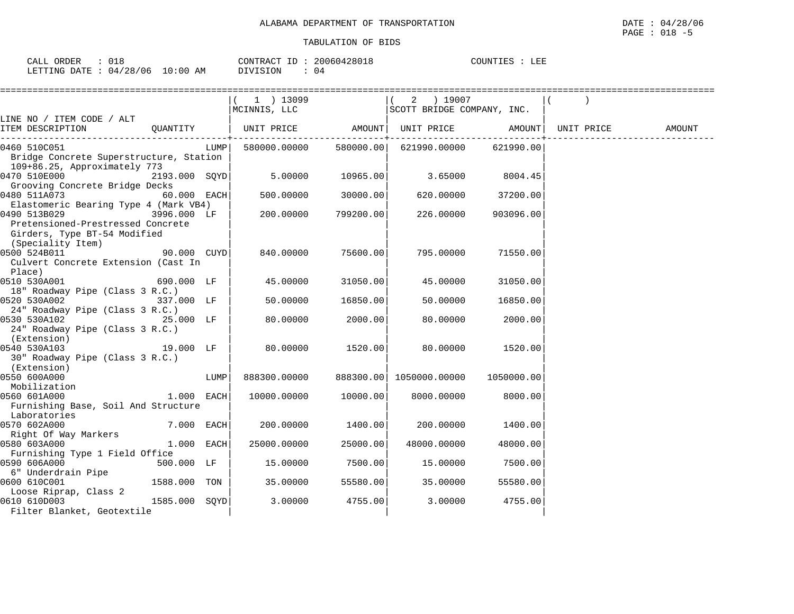| CALL ORDER                      |          | CONTRACT ID: 20060428018 | COUNTIES<br>LEE |
|---------------------------------|----------|--------------------------|-----------------|
| LETTING DATE: 04/28/06 10:00 AM | DIVISION | 04                       |                 |

|                                                               |               |      | 1 ) 13099              |            | 2 ) 19007                                      |            |        |
|---------------------------------------------------------------|---------------|------|------------------------|------------|------------------------------------------------|------------|--------|
|                                                               |               |      | MCINNIS, LLC           |            | SCOTT BRIDGE COMPANY, INC.                     |            |        |
| LINE NO / ITEM CODE / ALT<br>ITEM DESCRIPTION                 | QUANTITY      |      |                        |            | UNIT PRICE AMOUNT UNIT PRICE AMOUNT UNIT PRICE |            | AMOUNT |
| 0460 510C051                                                  |               | LUMP | 580000.00000 580000.00 |            | 621990.00000                                   | 621990.00  |        |
| Bridge Concrete Superstructure, Station                       |               |      |                        |            |                                                |            |        |
| 109+86.25, Approximately 773<br>0470 510E000                  | 2193.000 SQYD |      | 5.00000                |            |                                                | 8004.45    |        |
| Grooving Concrete Bridge Decks                                |               |      |                        | 10965.00   | 3.65000                                        |            |        |
| 0480 511A073                                                  | $60.000$ EACH |      | 500.00000              | 30000.00   | 620.00000                                      | 37200.00   |        |
| Elastomeric Bearing Type 4 (Mark VB4)                         |               |      |                        |            |                                                |            |        |
| 0490 513B029<br>3996.000 LF                                   |               |      | 200.00000              | 799200.001 | 226.00000                                      | 903096.00  |        |
| Pretensioned-Prestressed Concrete                             |               |      |                        |            |                                                |            |        |
| Girders, Type BT-54 Modified                                  |               |      |                        |            |                                                |            |        |
| (Speciality Item)                                             |               |      |                        |            |                                                |            |        |
| 0500 524B011<br>90.000 CUYD                                   |               |      | 840.00000              | 75600.00   | 795.00000                                      | 71550.00   |        |
| Culvert Concrete Extension (Cast In                           |               |      |                        |            |                                                |            |        |
| Place)<br>0510 530A001                                        | 690.000 LF    |      |                        |            |                                                |            |        |
| 18" Roadway Pipe (Class 3 R.C.)                               |               |      | 45.00000               | 31050.00   | 45.00000                                       | 31050.00   |        |
| 0520 530A002                                                  | 337.000 LF    |      | 50.00000               | 16850.00   | 50.00000                                       | 16850.00   |        |
| 24" Roadway Pipe (Class 3 R.C.)                               |               |      |                        |            |                                                |            |        |
| 0530 530A102 25.000 LF                                        |               |      | 80.00000               | 2000.00    | 80.00000                                       | 2000.00    |        |
| 24" Roadway Pipe (Class 3 R.C.)                               |               |      |                        |            |                                                |            |        |
| (Extension)                                                   |               |      |                        |            |                                                |            |        |
| 0540 530A103                                                  | 19.000 LF     |      | 80.00000               | 1520.00    | 80.00000                                       | 1520.00    |        |
| 30" Roadway Pipe (Class 3 R.C.)                               |               |      |                        |            |                                                |            |        |
| (Extension)                                                   |               |      |                        |            |                                                |            |        |
| 0550 600A000                                                  |               | LUMP | 888300.00000           |            |                                                | 1050000.00 |        |
| Mobilization<br>0560 601A000                                  | $1.000$ EACH  |      | 10000.00000            | 10000.00   | 8000.00000                                     | 8000.00    |        |
| Furnishing Base, Soil And Structure                           |               |      |                        |            |                                                |            |        |
| Laboratories                                                  |               |      |                        |            |                                                |            |        |
| 0570 602A000                                                  | $7.000$ EACH  |      | 200.00000              | 1400.00    | 200.00000                                      | 1400.00    |        |
| Right Of Way Markers                                          |               |      |                        |            |                                                |            |        |
| 0580 603A000                                                  | $1.000$ EACH  |      | 25000.00000            | 25000.00   | 48000.00000                                    | 48000.00   |        |
| Furnishing Type 1 Field Office                                |               |      |                        |            |                                                |            |        |
| 0590 606A000                                                  | 500.000 LF    |      | 15.00000               | 7500.00    | 15.00000                                       | 7500.00    |        |
| 6" Underdrain Pipe                                            |               |      |                        |            |                                                |            |        |
| 0600 610C001                                                  | 1588.000 TON  |      | 35.00000               | 55580.00   | 35.00000                                       | 55580.00   |        |
| Loose Riprap, Class 2                                         |               |      |                        |            |                                                |            |        |
| $1585.000$ SQYD<br>0610 610D003<br>Filter Blanket, Geotextile |               |      | 3.00000                | 4755.00    | 3.00000                                        | 4755.00    |        |
|                                                               |               |      |                        |            |                                                |            |        |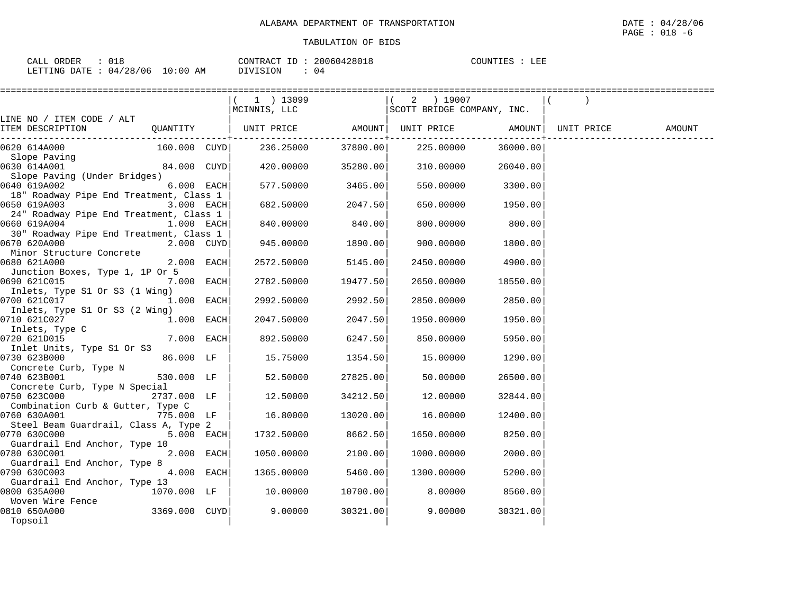| ORDER<br>CALL                    |  | CONTRACT ID: | 20060428018 | COUNTIES | LEE |
|----------------------------------|--|--------------|-------------|----------|-----|
| LETTING DATE : 04/28/06 10:00 AM |  | DIVISION     | (14         |          |     |

|                                               |               | $(1)$ 13099                                       |           | 2 ) 19007                               |          |        |
|-----------------------------------------------|---------------|---------------------------------------------------|-----------|-----------------------------------------|----------|--------|
|                                               |               | MCINNIS, LLC                                      |           | SCOTT BRIDGE COMPANY, INC.              |          |        |
| LINE NO / ITEM CODE / ALT                     |               |                                                   |           |                                         |          |        |
| ITEM DESCRIPTION                              | QUANTITY      | UNIT PRICE AMOUNT  UNIT PRICE AMOUNT  UNIT PRICE  |           | . - - - - - - + - - - - - - - - - - - - |          | AMOUNT |
| 0620 614A000                                  |               | $160.000$ CUYD $236.25000$ $37800.00$ $225.00000$ |           |                                         | 36000.00 |        |
| Slope Paving                                  |               |                                                   |           |                                         |          |        |
| 0630 614A001                                  | 84.000 CUYD   | 420.00000                                         | 35280.00  | 310.00000                               | 26040.00 |        |
| Slope Paving (Under Bridges)                  |               |                                                   |           |                                         |          |        |
| 0640 619A002                                  | 6.000 EACH    | 577.50000                                         | 3465.00   | 550.00000                               | 3300.00  |        |
| 18" Roadway Pipe End Treatment, Class 1       | 3.000 EACH    | 682.50000                                         | 2047.50   | 650.00000                               | 1950.00  |        |
| 24" Roadway Pipe End Treatment, Class 1       |               |                                                   |           |                                         |          |        |
| 0660 619A004                                  | 1.000 EACH    | 840.00000                                         | 840.00    | 800.00000                               | 800.00   |        |
| 30" Roadway Pipe End Treatment, Class 1       |               |                                                   |           |                                         |          |        |
| 0670 620A000                                  | 2.000 CUYD    | 945.00000                                         | 1890.00   | 900.00000                               | 1800.00  |        |
| Minor Structure Concrete                      |               |                                                   |           |                                         |          |        |
| 0680 621A000                                  | 2.000 EACH    | 2572.50000                                        | 5145.00   | 2450.00000                              | 4900.00  |        |
| Junction Boxes, Type 1, 1P Or 5               |               |                                                   |           |                                         |          |        |
| 0690 621C015                                  | 7.000 EACH    | 2782.50000                                        | 19477.501 | 2650.00000                              | 18550.00 |        |
| Inlets, Type S1 Or S3 (1 Wing)                |               |                                                   |           |                                         |          |        |
| 0700 621C017                                  | 1.000 EACH    | 2992.50000                                        | 2992.50   | 2850.00000                              | 2850.00  |        |
| Inlets, Type S1 Or S3 (2 Wing)                |               |                                                   |           |                                         |          |        |
| 0710 621C027 1.000 EACH                       |               | 2047.50000 2047.50                                |           | 1950.00000                              | 1950.00  |        |
| Inlets, Type C                                |               |                                                   |           |                                         |          |        |
| 0720 621D015<br>Inlet Units, Type S1 Or S3    | 7.000 EACH    | 892.50000                                         | 6247.50   | 850,00000                               | 5950.00  |        |
| 0730 623B000                                  | 86.000 LF     | 15.75000                                          | 1354.50   | 15.00000                                | 1290.00  |        |
| Concrete Curb, Type N                         |               |                                                   |           |                                         |          |        |
| 0740 623B001                                  | 530.000 LF    | 52.50000                                          | 27825.00  | 50.00000                                | 26500.00 |        |
| Concrete Curb, Type N Special                 |               |                                                   |           |                                         |          |        |
| 0750 623C000                                  | 2737.000 LF   | 12.50000                                          | 34212.50  | 12.00000                                | 32844.00 |        |
| Combination Curb & Gutter, Type C             |               |                                                   |           |                                         |          |        |
| 0760 630A001 775.000 LF                       |               | 16.80000                                          | 13020.00  | 16.00000                                | 12400.00 |        |
| Steel Beam Guardrail, Class A, Type 2         |               |                                                   |           |                                         |          |        |
| 0770 630C000                                  | 5.000 EACH    | 1732.50000 8662.50                                |           | 1650.00000                              | 8250.00  |        |
| Guardrail End Anchor, Type 10                 |               |                                                   |           |                                         |          |        |
| 0780 630C001                                  | 2.000 EACH    | 1050.00000                                        | 2100.00   | 1000.00000                              | 2000.00  |        |
| Guardrail End Anchor, Type 8                  |               |                                                   |           |                                         |          |        |
| 0790 630C003                                  | 4.000 EACH    | 1365.00000                                        | 5460.00   | 1300.00000                              | 5200.00  |        |
| Guardrail End Anchor, Type 13<br>0800 635A000 | 1070.000 LF   | 10.00000                                          | 10700.00  | 8.00000                                 |          |        |
| Woven Wire Fence                              |               |                                                   |           |                                         | 8560.00  |        |
| 0810 650A000                                  | 3369.000 CUYD | 9.00000                                           | 30321.00  | 9.00000                                 | 30321.00 |        |
| Topsoil                                       |               |                                                   |           |                                         |          |        |
|                                               |               |                                                   |           |                                         |          |        |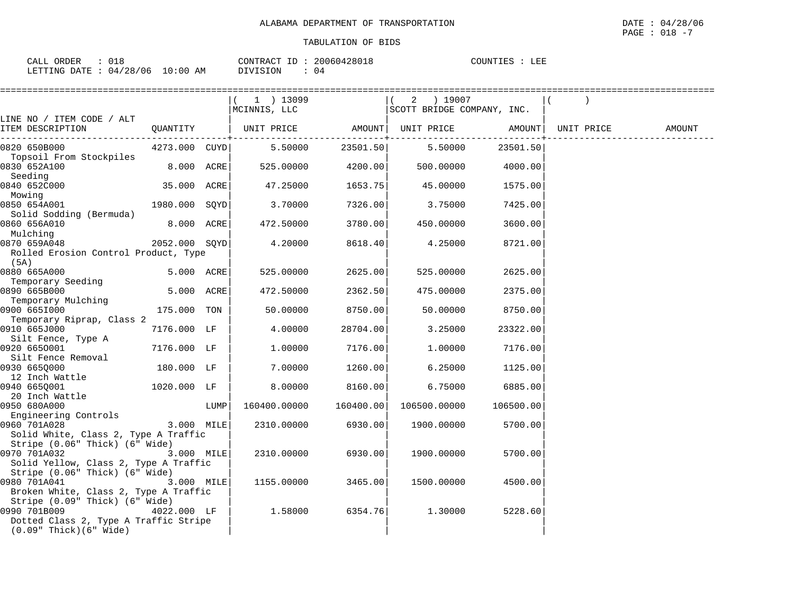| ORDER<br>CALL    | $\sim$ $\sim$                      |             | ID<br>CONTRAC.<br>$\sim$ | nnnch 190010<br>28018<br>$\cup$ 4<br>$\mathbf{h}$ | י ידאז זר $\Gamma$ | 고 고고<br>ᆈᄠ |
|------------------|------------------------------------|-------------|--------------------------|---------------------------------------------------|--------------------|------------|
| LETTING<br>DATE. | /28/06<br>$\cap$ $\Delta$ $\prime$ | 10:00<br>AΜ | SION                     | $\sqrt{2}$                                        |                    |            |

|                                                                                                                        |               |      | =========================== |           |                            |           |            |        |
|------------------------------------------------------------------------------------------------------------------------|---------------|------|-----------------------------|-----------|----------------------------|-----------|------------|--------|
|                                                                                                                        |               |      | $(1)$ 13099                 |           | $(2)$ 19007                |           |            |        |
|                                                                                                                        |               |      | MCINNIS, LLC                |           | SCOTT BRIDGE COMPANY, INC. |           |            |        |
| LINE NO / ITEM CODE / ALT<br>ITEM DESCRIPTION                                                                          | QUANTITY      |      | UNIT PRICE                  |           | AMOUNT   UNIT PRICE        | AMOUNT    | UNIT PRICE | AMOUNT |
| 0820 650B000<br>Topsoil From Stockpiles                                                                                | 4273.000 CUYD |      | 5.50000                     | 23501.50  | 5.50000                    | 23501.50  |            |        |
| 0830 652A100<br>Seeding                                                                                                | 8.000 ACRE    |      | 525.00000                   | 4200.00   | 500.00000                  | 4000.00   |            |        |
| 0840 652C000<br>Mowing                                                                                                 | 35.000 ACRE   |      | 47.25000                    | 1653.75   | 45.00000                   | 1575.00   |            |        |
| 0850 654A001<br>Solid Sodding (Bermuda)                                                                                | 1980.000 SQYD |      | 3.70000                     | 7326.00   | 3.75000                    | 7425.00   |            |        |
| 0860 656A010<br>Mulching                                                                                               | 8.000 ACRE    |      | 472.50000                   | 3780.00   | 450.00000                  | 3600.00   |            |        |
| 0870 659A048<br>Rolled Erosion Control Product, Type                                                                   | 2052.000 SOYD |      | 4.20000                     | 8618.40   | 4.25000                    | 8721.00   |            |        |
| (5A)<br>0880 665A000                                                                                                   | 5.000 ACRE    |      | 525.00000                   | 2625.00   | 525.00000                  | 2625.00   |            |        |
| Temporary Seeding<br>0890 665B000                                                                                      | 5.000 ACRE    |      | 472.50000                   | 2362.50   | 475.00000                  | 2375.00   |            |        |
| Temporary Mulching<br>0900 6651000                                                                                     | 175.000 TON   |      | 50.00000                    | 8750.00   | 50.00000                   | 8750.00   |            |        |
| Temporary Riprap, Class 2<br>0910 665J000<br>Silt Fence, Type A                                                        | 7176.000 LF   |      | 4.00000                     | 28704.00  | 3.25000                    | 23322.00  |            |        |
| 0920 6650001<br>Silt Fence Removal                                                                                     | 7176.000 LF   |      | 1,00000                     | 7176.00   | 1,00000                    | 7176.00   |            |        |
| 0930 665Q000<br>12 Inch Wattle                                                                                         | 180.000 LF    |      | 7.00000                     | 1260.00   | 6.25000                    | 1125.00   |            |        |
| 0940 6650001<br>20 Inch Wattle                                                                                         | 1020.000 LF   |      | 8.00000                     | 8160.00   | 6.75000                    | 6885.00   |            |        |
| 0950 680A000<br>Engineering Controls                                                                                   |               | LUMP | 160400.00000                | 160400.00 | 106500.00000               | 106500.00 |            |        |
| 3.000 MILE<br>0960 701A028<br>Solid White, Class 2, Type A Traffic                                                     |               |      | 2310.00000                  | 6930.00   | 1900.00000                 | 5700.00   |            |        |
| Stripe (0.06" Thick) (6" Wide)<br>0970 701A032<br>Solid Yellow, Class 2, Type A Traffic                                | 3.000 MILE    |      | 2310.00000                  | 6930.00   | 1900.00000                 | 5700.00   |            |        |
| Stripe (0.06" Thick) (6" Wide)<br>0980 701A041<br>Broken White, Class 2, Type A Traffic                                | 3.000 MILE    |      | 1155.00000                  | 3465.00   | 1500.00000                 | 4500.00   |            |        |
| Stripe (0.09" Thick) (6" Wide)<br>0990 701B009<br>Dotted Class 2, Type A Traffic Stripe<br>$(0.09"$ Thick $)(6"$ Wide) | 4022.000 LF   |      | 1.58000                     | 6354.76   | 1.30000                    | 5228.60   |            |        |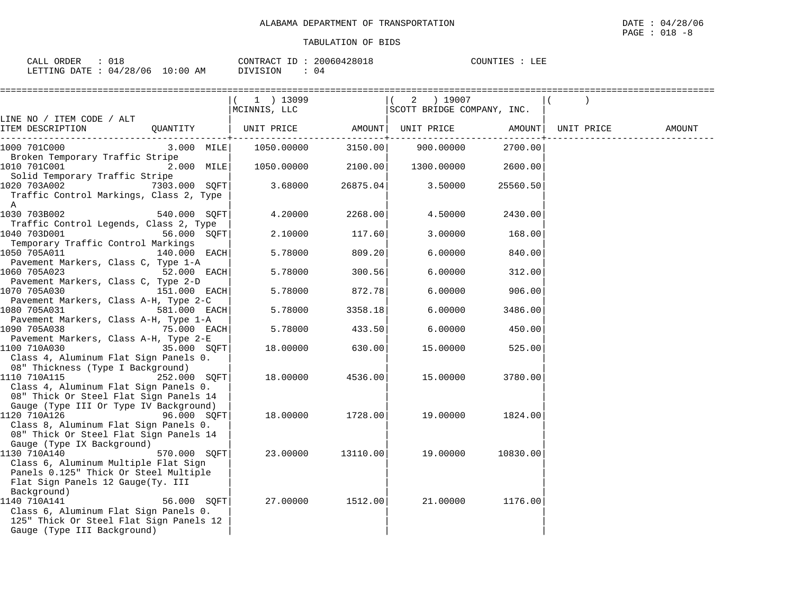| CALL ORDER                      | $\therefore$ 018 |                             | CONTRACT ID: 20060428018 | COUNTIES : LEE |  |
|---------------------------------|------------------|-----------------------------|--------------------------|----------------|--|
| LETTING DATE: 04/28/06 10:00 AM |                  | DIVISION<br>$\therefore$ 04 |                          |                |  |

|                                                                                                                                                                                      |               | $(1)$ 13099<br>MCINNIS, LLC |          | $(2)$ 19007<br>SCOTT BRIDGE COMPANY, INC. |          |        |
|--------------------------------------------------------------------------------------------------------------------------------------------------------------------------------------|---------------|-----------------------------|----------|-------------------------------------------|----------|--------|
| LINE NO / ITEM CODE / ALT<br>ITEM DESCRIPTION<br>QUANTITY                                                                                                                            |               | UNIT PRICE                  | AMOUNT   | UNIT PRICE AMOUNT UNIT PRICE              |          | AMOUNT |
| 1000 701C000                                                                                                                                                                         | $3.000$ MILE  | 1050.00000                  | 3150.00  | 900.00000                                 | 2700.00  |        |
| Broken Temporary Traffic Stripe<br>1010 701C001<br>2.000 MILE<br>Solid Temporary Traffic Stripe                                                                                      |               | 1050.00000 2100.00          |          | 1300.00000                                | 2600.00  |        |
| 1020 703A002<br>Traffic Control Markings, Class 2, Type<br>A                                                                                                                         | 7303.000 SOFT | 3.68000                     | 26875.04 | 3.50000                                   | 25560.50 |        |
| 1030 703B002<br>540.000 SOFT<br>Traffic Control Legends, Class 2, Type                                                                                                               |               | 4.20000                     | 2268.00  | 4.50000                                   | 2430.00  |        |
| 1040 703D001<br>Temporary Traffic Control Markings                                                                                                                                   | 56.000 SQFT   | 2.10000                     | 117.60   | 3.00000                                   | 168.00   |        |
| 1050 705A011                                                                                                                                                                         | 140.000 EACH  | 5.78000                     | 809.20   | 6.00000                                   | 840.00   |        |
| Pavement Markers, Class C, Type 1-A<br>1060 705A023<br>52.000 EACH                                                                                                                   |               | 5.78000                     | 300.56   | 6.00000                                   | 312.00   |        |
| Pavement Markers, Class C, Type 2-D<br>1070 705A030<br>151.000 EACH                                                                                                                  |               | 5.78000                     | 872.78   | 6.00000                                   | 906.00   |        |
| Pavement Markers, Class A-H, Type 2-C<br>1080 705A031                                                                                                                                | 581.000 EACH  | 5.78000                     | 3358.18  | 6.00000                                   | 3486.00  |        |
| Pavement Markers, Class A-H, Type 1-A<br>75.000 EACH<br>1090 705A038                                                                                                                 |               | 5.78000                     | 433.50   | 6.00000                                   | 450.00   |        |
| Pavement Markers, Class A-H, Type 2-E<br>1100 710A030<br>Class 4, Aluminum Flat Sign Panels 0.                                                                                       | 35.000 SQFT   | 18.00000                    | 630.00   | 15.00000                                  | 525.00   |        |
| 08" Thickness (Type I Background)<br>1110 710A115<br>252.000 SQFT<br>Class 4, Aluminum Flat Sign Panels 0.<br>08" Thick Or Steel Flat Sign Panels 14                                 |               | 18.00000                    | 4536.00  | 15.00000                                  | 3780.00  |        |
| Gauge (Type III Or Type IV Background)<br>1120 710A126<br>96.000 SQFT<br>Class 8, Aluminum Flat Sign Panels 0.<br>08" Thick Or Steel Flat Sign Panels 14                             |               | 18.00000                    | 1728.00  | 19.00000                                  | 1824.00  |        |
| Gauge (Type IX Background)<br>1130 710A140<br>Class 6, Aluminum Multiple Flat Sign<br>Panels 0.125" Thick Or Steel Multiple                                                          | 570.000 SOFT  | 23.00000                    | 13110.00 | 19.00000                                  | 10830.00 |        |
| Flat Sign Panels 12 Gauge (Ty. III<br>Background)<br>1140 710A141<br>Class 6, Aluminum Flat Sign Panels 0.<br>125" Thick Or Steel Flat Sign Panels 12<br>Gauge (Type III Background) | 56.000 SOFT   | 27.00000                    | 1512.00  | 21.00000                                  | 1176.00  |        |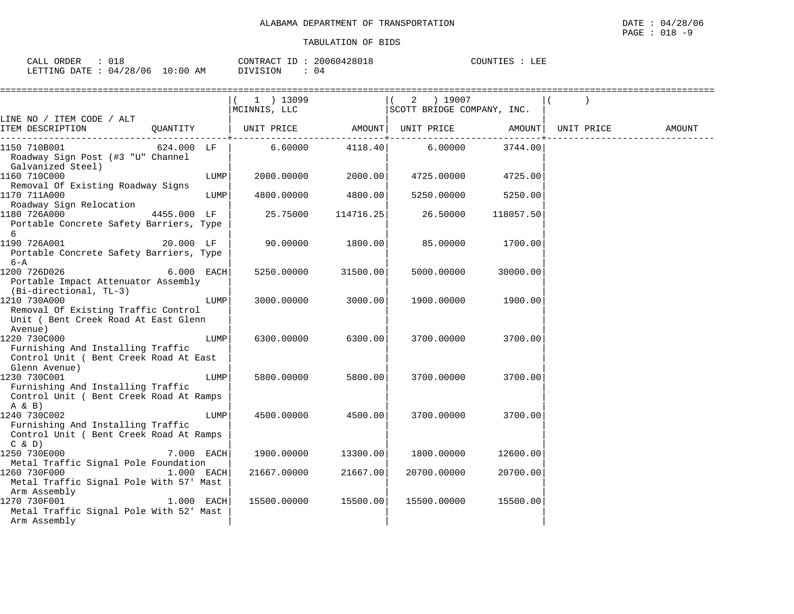| ORDER<br>CALL |          |             | CONTRACT<br>TD. | 20060428018 | COUNTIES | LEE |
|---------------|----------|-------------|-----------------|-------------|----------|-----|
| LETTING DATE: | 04/28/06 | 10:00<br>ΑM | DIVISION        | 4 ۱         |          |     |

|                                                                                                                      | ======================<br>1 ) 13099<br>MCINNIS, LLC |           | 2 ) 19007<br>SCOTT BRIDGE COMPANY, INC. |           |            |        |
|----------------------------------------------------------------------------------------------------------------------|-----------------------------------------------------|-----------|-----------------------------------------|-----------|------------|--------|
| LINE NO / ITEM CODE / ALT<br>ITEM DESCRIPTION                                                                        |                                                     |           |                                         |           | UNIT PRICE | AMOUNT |
| $624.000$ LF<br>1150 710B001<br>Roadway Sign Post (#3 "U" Channel<br>Galvanized Steel)                               | 6.60000                                             | 4118.40   | 6.00000                                 | 3744.00   |            |        |
| 1160 710C000<br>LUMP<br>Removal Of Existing Roadway Signs                                                            | 2000.00000                                          | 2000.00   | 4725.00000                              | 4725.00   |            |        |
| 1170 711A000<br>LUMP<br>Roadway Sign Relocation                                                                      | 4800.00000                                          | 4800.00   | 5250.00000                              | 5250.00   |            |        |
| 4455.000 LF<br>1180 726A000<br>Portable Concrete Safety Barriers, Type<br>6                                          | 25.75000                                            | 114716.25 | 26.50000                                | 118057.50 |            |        |
| 20.000 LF<br>1190 726A001<br>Portable Concrete Safety Barriers, Type<br>6-A                                          | 90.00000                                            | 1800.00   | 85.00000                                | 1700.00   |            |        |
| 1200 726D026<br>6.000 EACH<br>Portable Impact Attenuator Assembly<br>(Bi-directional, TL-3)                          | 5250.00000                                          | 31500.00  | 5000.00000                              | 30000.00  |            |        |
| 1210 730A000<br>LUMP<br>Removal Of Existing Traffic Control<br>Unit ( Bent Creek Road At East Glenn<br>Avenue)       | 3000.00000                                          | 3000.00   | 1900.00000                              | 1900.00   |            |        |
| 1220 730C000<br>LUMP<br>Furnishing And Installing Traffic<br>Control Unit ( Bent Creek Road At East<br>Glenn Avenue) | 6300,00000                                          | 6300.00   | 3700.00000                              | 3700.00   |            |        |
| 1230 730C001<br>LUMP<br>Furnishing And Installing Traffic<br>Control Unit ( Bent Creek Road At Ramps<br>$A \& B)$    | 5800.00000                                          | 5800.00   | 3700.00000                              | 3700.00   |            |        |
| 1240 730C002<br>LUMP<br>Furnishing And Installing Traffic<br>Control Unit ( Bent Creek Road At Ramps<br>C & D        | 4500.00000                                          | 4500.00   | 3700.00000                              | 3700.00   |            |        |
| 1250 730E000<br>7.000 EACH<br>Metal Traffic Signal Pole Foundation                                                   | 1900.00000                                          | 13300.00  | 1800.00000                              | 12600.00  |            |        |
| 1260 730F000<br>$1.000$ EACH<br>Metal Traffic Signal Pole With 57' Mast<br>Arm Assembly                              | 21667.00000                                         | 21667.00  | 20700.00000                             | 20700.00  |            |        |
| 1270 730F001<br>$1.000$ EACH<br>Metal Traffic Signal Pole With 52' Mast<br>Arm Assembly                              | 15500.00000                                         | 15500.00  | 15500.00000                             | 15500.00  |            |        |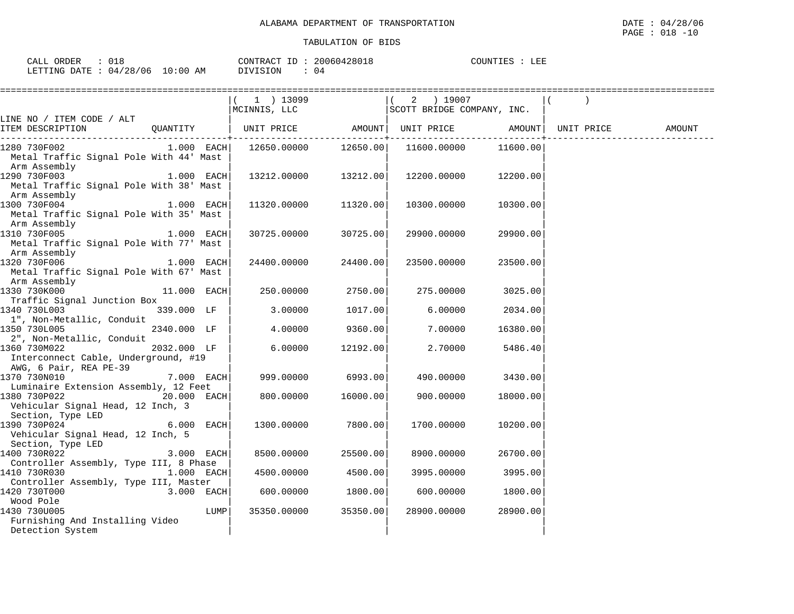| ORDER<br>CALL  |          |             | $T_{\rm T}$<br>CONTRACT | 20060428018 | COUNTIES | LEE |
|----------------|----------|-------------|-------------------------|-------------|----------|-----|
| LETTING DATE . | 04/28/06 | 10:00<br>AM | DIVISION                | 4 ل         |          |     |

|                                                                                    |               |      | 1 ) 13099<br>MCINNIS, LLC |          | $(2)$ 19007<br>SCOTT BRIDGE COMPANY, INC. |          |        |
|------------------------------------------------------------------------------------|---------------|------|---------------------------|----------|-------------------------------------------|----------|--------|
| LINE NO / ITEM CODE / ALT<br>ITEM DESCRIPTION                                      | QUANTITY      |      | UNIT PRICE                | AMOUNT   | UNIT PRICE AMOUNT UNIT PRICE              |          | AMOUNT |
| 1280 730F002<br>Metal Traffic Signal Pole With 44' Mast<br>Arm Assembly            | $1.000$ EACH  |      | 12650.00000 12650.00      |          | 11600.00000                               | 11600.00 |        |
| 1290 730F003<br>Metal Traffic Signal Pole With 38' Mast<br>Arm Assembly            | $1.000$ EACH  |      | 13212.00000 13212.00      |          | 12200.00000                               | 12200.00 |        |
| 1300 730F004<br>Metal Traffic Signal Pole With 35' Mast<br>Arm Assembly            | 1.000 EACH    |      | 11320.00000 11320.00      |          | 10300.00000                               | 10300.00 |        |
| 1310 730F005 1.000 EACH<br>Metal Traffic Signal Pole With 77' Mast<br>Arm Assembly |               |      | 30725.00000               | 30725.00 | 29900.00000                               | 29900.00 |        |
| 1320 730F006<br>Metal Traffic Signal Pole With 67' Mast<br>Arm Assembly            | $1.000$ EACH  |      | 24400.00000               | 24400.00 | 23500.00000                               | 23500.00 |        |
| 1330 730K000<br>Traffic Signal Junction Box                                        | $11.000$ EACH |      | 250.00000                 | 2750.00  | 275.00000                                 | 3025.00  |        |
| 1340 730L003<br>1", Non-Metallic, Conduit                                          | 339.000 LF    |      | 3.00000                   | 1017.00  | 6.00000                                   | 2034.00  |        |
| 1350 730L005<br>2", Non-Metallic, Conduit                                          | 2340.000 LF   |      | 4.00000                   | 9360.00  | 7.00000                                   | 16380.00 |        |
| 1360 730M022<br>Interconnect Cable, Underground, #19<br>AWG, 6 Pair, REA PE-39     | 2032.000 LF   |      | 6.00000                   | 12192.00 | 2,70000                                   | 5486.40  |        |
| 1370 730N010<br>Luminaire Extension Assembly, 12 Feet                              | 7.000 EACH    |      | 999.00000                 | 6993.00  | 490.00000                                 | 3430.00  |        |
| 1380 730P022<br>Vehicular Signal Head, 12 Inch, 3<br>Section, Type LED             | 20.000 EACH   |      | 800.00000                 | 16000.00 | 900.00000                                 | 18000.00 |        |
| 1390 730P024<br>Vehicular Signal Head, 12 Inch, 5<br>Section, Type LED             | 6.000 EACH    |      | 1300.00000                | 7800.00  | 1700.00000                                | 10200.00 |        |
| 1400 730R022<br>Controller Assembly, Type III, 8 Phase                             | 3.000 EACH    |      | 8500.00000                | 25500.00 | 8900.00000                                | 26700.00 |        |
| 1.000 EACH<br>1410 730R030                                                         |               |      | 4500.00000                | 4500.00  | 3995.00000                                | 3995.00  |        |
| Controller Assembly, Type III, Master<br>1420 730T000<br>3.000 EACH                |               |      | 600.00000 1800.00         |          | 600.00000                                 | 1800.00  |        |
| Wood Pole<br>1430 730U005<br>Furnishing And Installing Video<br>Detection System   |               | LUMP | 35350.00000               | 35350.00 | 28900.00000                               | 28900.00 |        |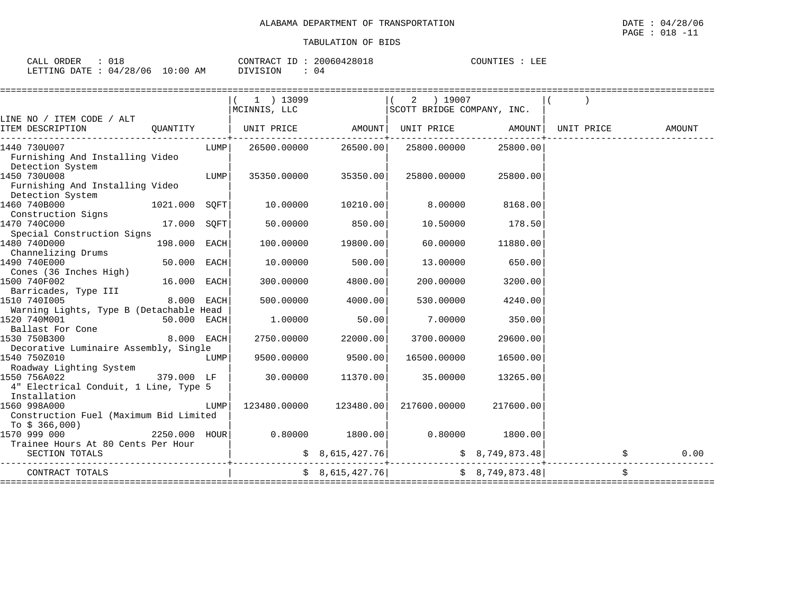| ORDER<br>CAT.T<br>CALL | - - -                         |             | $\tau$ $\tau$<br>$\alpha \sim \Delta \Omega$<br>CONTRACT | . <i>. .</i> .<br>28018<br>$\mathbf{H}$<br>$\sim$ | COUNTIES | LEE |
|------------------------|-------------------------------|-------------|----------------------------------------------------------|---------------------------------------------------|----------|-----|
| LETTING<br>DATE        | 106<br>128<br>04 <sub>1</sub> | 10:00<br>ΆM | OIVISION                                                 | 04                                                |          |     |

|                                                                                     |               |      | 1 ) 13099<br>MCINNIS, LLC |                      | 2 ) 19007<br>SCOTT BRIDGE COMPANY, INC.                                   |           |        |      |
|-------------------------------------------------------------------------------------|---------------|------|---------------------------|----------------------|---------------------------------------------------------------------------|-----------|--------|------|
| LINE NO / ITEM CODE / ALT                                                           |               |      |                           |                      |                                                                           |           |        |      |
| ITEM DESCRIPTION                                                                    | QUANTITY      |      |                           |                      |                                                                           |           | AMOUNT |      |
| 1440 730U007<br>Furnishing And Installing Video<br>Detection System                 |               | LUMP |                           | 26500.00000 26500.00 | 25800.00000                                                               | 25800.00  |        |      |
| 1450 730U008<br>Furnishing And Installing Video<br>Detection System                 |               | LUMP |                           | 35350.00000 35350.00 | 25800.00000                                                               | 25800.00  |        |      |
| 1460 740B000<br>$1021.000$ SQFT<br>Construction Signs                               |               |      | 10.00000                  | 10210.00             | 8.00000                                                                   | 8168.00   |        |      |
| 1470 740C000<br>Special Construction Signs                                          | $17.000$ SQFT |      | 50.00000                  | 850.00               | 10.50000                                                                  | 178.50    |        |      |
| 1480 740D000<br>Channelizing Drums                                                  | 198.000 EACH  |      | 100.00000                 | 19800.00             | 60.00000                                                                  | 11880.00  |        |      |
| 1490 740E000<br>Cones (36 Inches High)                                              | 50.000 EACH   |      | 10.00000                  | 500.00               | 13.00000                                                                  | 650.00    |        |      |
| 1500 740F002<br>Barricades, Type III                                                | $16.000$ EACH |      | 300.00000                 | 4800.00              | 200.00000                                                                 | 3200.00   |        |      |
| 1510 7401005<br>Warning Lights, Type B (Detachable Head                             | $8.000$ EACH  |      | 500.00000                 | 4000.00              | 530.00000                                                                 | 4240.00   |        |      |
| 1520 740M001<br>Ballast For Cone                                                    | $50.000$ EACH |      | 1.00000                   | 50.00                | 7.00000                                                                   | 350.00    |        |      |
| 1530 750B300<br>Decorative Luminaire Assembly, Single                               | $8.000$ EACH  |      | 2750.00000                | 22000.00             | 3700.00000                                                                | 29600.00  |        |      |
| 1540 750Z010<br>Roadway Lighting System                                             |               | LUMP | 9500.00000                | 9500.00              | 16500.00000                                                               | 16500.00  |        |      |
| 379.000 LF<br>1550 756A022<br>4" Electrical Conduit, 1 Line, Type 5<br>Installation |               |      | 30.00000                  | 11370.00             | 35.00000                                                                  | 13265.00  |        |      |
| 1560 998A000<br>Construction Fuel (Maximum Bid Limited<br>To $$366,000)$            |               | LUMP | 123480.00000              | 123480.00            | 217600.00000                                                              | 217600.00 |        |      |
| 1570 999 000<br>Trainee Hours At 80 Cents Per Hour                                  |               |      |                           |                      |                                                                           |           |        |      |
| SECTION TOTALS                                                                      |               |      |                           |                      | $\sharp$ 8,615,427.76 $\sharp$ 8,749,873.48                               |           |        | 0.00 |
| CONTRACT TOTALS                                                                     |               |      |                           |                      | $\frac{1}{5}$ 8,615,427.76 $\frac{1}{5}$ 8,749,873.48<br>================ |           |        |      |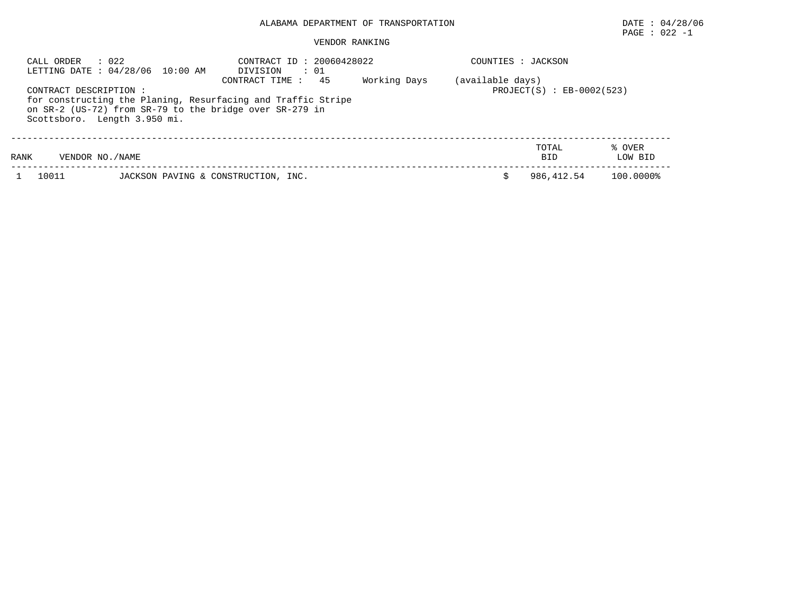## $\texttt{PAGE}$  : 022 -1

| $\therefore$ 022<br>CALL ORDER<br>LETTING DATE : 04/28/06 10:00 AM |                                                                                                                         | CONTRACT ID: 20060428022<br>$\cdot$ 01<br>DIVISION |              | COUNTIES : JACKSON |                             |                   |
|--------------------------------------------------------------------|-------------------------------------------------------------------------------------------------------------------------|----------------------------------------------------|--------------|--------------------|-----------------------------|-------------------|
| CONTRACT DESCRIPTION :<br>Scottsboro. Length 3.950 mi.             | for constructing the Planing, Resurfacing and Traffic Stripe<br>on SR-2 (US-72) from SR-79 to the bridge over SR-279 in | 45<br>CONTRACT TIME:                               | Working Days | (available days)   | $PROJECT(S) : EB-0002(523)$ |                   |
| RANK<br>VENDOR NO. / NAME                                          |                                                                                                                         |                                                    |              |                    | TOTAL<br><b>BID</b>         | % OVER<br>LOW BID |
| 10011                                                              | JACKSON PAVING & CONSTRUCTION, INC.                                                                                     |                                                    |              |                    | 986,412.54                  | 100.0000%         |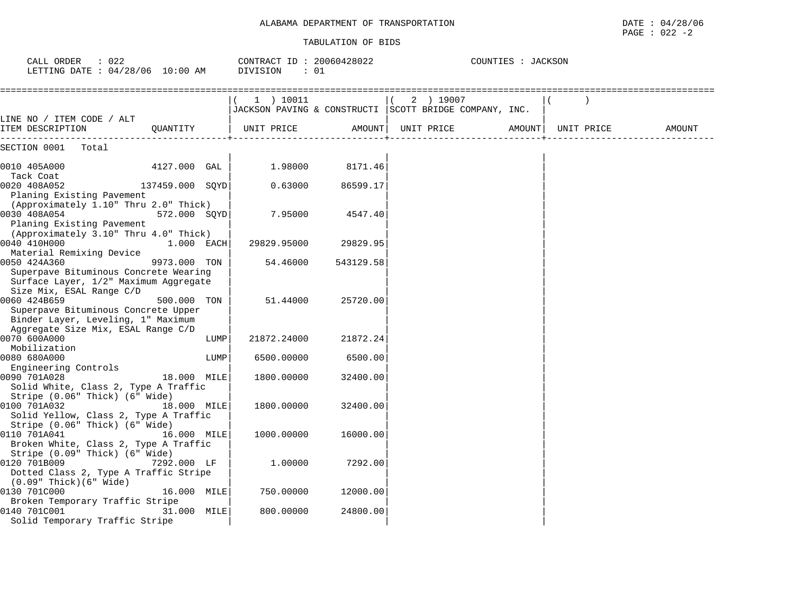|  | DATE: 04/28/06   |
|--|------------------|
|  | PAGE : $022 - 2$ |

| $\therefore$ 022<br>CALL ORDER<br>LETTING DATE : 04/28/06 10:00 AM                                                    |                 |      | CONTRACT ID: 20060428022<br>DIVISION | : 01      |                                                        | COUNTIES : JACKSON |  |            |        |  |  |
|-----------------------------------------------------------------------------------------------------------------------|-----------------|------|--------------------------------------|-----------|--------------------------------------------------------|--------------------|--|------------|--------|--|--|
|                                                                                                                       |                 |      | 1) 10011                             |           | 2 ) 19007<br>$\sqrt{2}$                                |                    |  |            |        |  |  |
|                                                                                                                       |                 |      |                                      |           | JACKSON PAVING & CONSTRUCTI SCOTT BRIDGE COMPANY, INC. |                    |  |            |        |  |  |
| LINE NO / ITEM CODE / ALT<br>ITEM DESCRIPTION                                                                         | OUANTITY        |      | UNIT PRICE                           |           | AMOUNT   UNIT PRICE                                    | AMOUNT             |  | UNIT PRICE | AMOUNT |  |  |
| SECTION 0001 Total                                                                                                    |                 |      |                                      |           |                                                        |                    |  |            |        |  |  |
| 0010 405A000                                                                                                          | 4127.000 GAL    |      | 1.98000                              | 8171.46   |                                                        |                    |  |            |        |  |  |
| Tack Coat<br>0020 408A052<br>Planing Existing Pavement                                                                | 137459.000 SQYD |      | 0.63000                              | 86599.17  |                                                        |                    |  |            |        |  |  |
| (Approximately 1.10" Thru 2.0" Thick)<br>0030 408A054<br>Planing Existing Pavement                                    | 572.000 SQYD    |      | 7.95000                              | 4547.40   |                                                        |                    |  |            |        |  |  |
| (Approximately 3.10" Thru 4.0" Thick)<br>0040 410H000<br>Material Remixing Device                                     | $1.000$ EACH    |      | 29829.95000                          | 29829.95  |                                                        |                    |  |            |        |  |  |
| 0050 424A360<br>Superpave Bituminous Concrete Wearing<br>Surface Layer, 1/2" Maximum Aggregate                        | 9973.000 TON    |      | 54.46000                             | 543129.58 |                                                        |                    |  |            |        |  |  |
| Size Mix, ESAL Range C/D<br>0060 424B659<br>Superpave Bituminous Concrete Upper<br>Binder Layer, Leveling, 1" Maximum | 500.000 TON     |      | 51.44000                             | 25720.00  |                                                        |                    |  |            |        |  |  |
| Aggregate Size Mix, ESAL Range C/D<br>0070 600A000                                                                    |                 | LUMP | 21872.24000                          | 21872.24  |                                                        |                    |  |            |        |  |  |
| Mobilization<br>0080 680A000                                                                                          |                 | LUMP | 6500.00000                           | 6500.00   |                                                        |                    |  |            |        |  |  |
| Engineering Controls<br>0090 701A028<br>Solid White, Class 2, Type A Traffic                                          | 18.000 MILE     |      | 1800.00000                           | 32400.00  |                                                        |                    |  |            |        |  |  |
| Stripe (0.06" Thick) (6" Wide)<br>0100 701A032<br>Solid Yellow, Class 2, Type A Traffic                               | 18.000 MILE     |      | 1800.00000                           | 32400.00  |                                                        |                    |  |            |        |  |  |
| Stripe (0.06" Thick) (6" Wide)<br>0110 701A041<br>Broken White, Class 2, Type A Traffic                               | 16.000 MILE     |      | 1000.00000                           | 16000.00  |                                                        |                    |  |            |        |  |  |
| Stripe $(0.09$ " Thick) $(6$ " Wide)<br>0120 701B009<br>Dotted Class 2, Type A Traffic Stripe                         | 7292.000 LF     |      | 1,00000                              | 7292.00   |                                                        |                    |  |            |        |  |  |
| $(0.09"$ Thick $)(6"$ Wide $)$<br>0130 701C000                                                                        | 16.000 MILE     |      | 750.00000                            | 12000.00  |                                                        |                    |  |            |        |  |  |
| Broken Temporary Traffic Stripe<br>0140 701C001<br>Solid Temporary Traffic Stripe                                     | 31.000 MILE     |      | 800.00000                            | 24800.00  |                                                        |                    |  |            |        |  |  |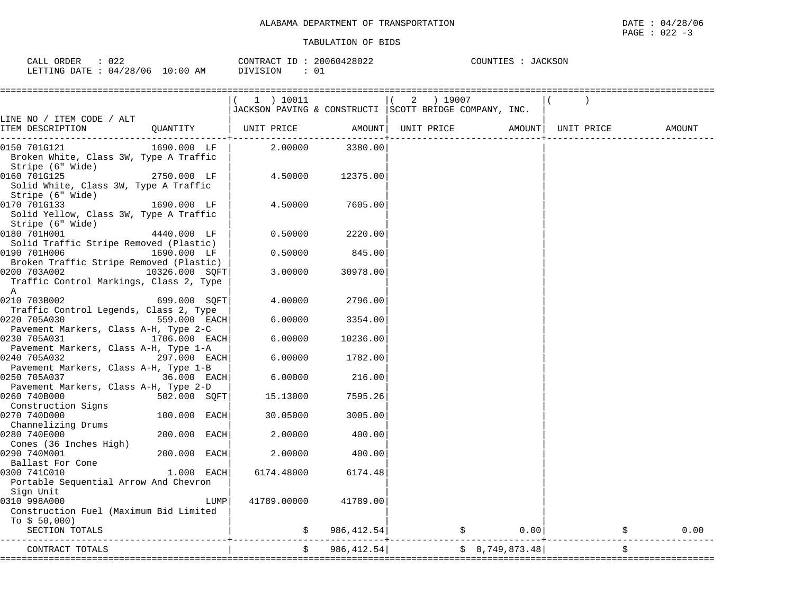| ORDER<br>$\sim$ $\sim$ $\sim$<br>اللطاب | $\sim$ $\sim$ $\sim$<br>022 |             | CONTRACT<br>$ -$ | 50428022<br>20061 | COUNTIES | <b>CKSON</b> |
|-----------------------------------------|-----------------------------|-------------|------------------|-------------------|----------|--------------|
| LETTING<br>DATE                         | /28/06<br>ገ4 /              | 10:00<br>AΜ | .51UN            | 01                |          |              |

|                                                                                                |                | (1) 10011<br>JACKSON PAVING & CONSTRUCTI   SCOTT BRIDGE COMPANY, INC. |             | $(2)$ 19007 |                |                    |  |        |
|------------------------------------------------------------------------------------------------|----------------|-----------------------------------------------------------------------|-------------|-------------|----------------|--------------------|--|--------|
| LINE NO / ITEM CODE / ALT                                                                      |                |                                                                       |             |             |                |                    |  |        |
| ITEM DESCRIPTION                                                                               | QUANTITY       | UNIT PRICE                                                            | AMOUNT      | UNIT PRICE  |                | AMOUNT  UNIT PRICE |  | AMOUNT |
| 0150 701G121<br>Broken White, Class 3W, Type A Traffic<br>Stripe (6" Wide)                     | 1690.000 LF    | 2.00000                                                               | 3380.00     |             |                |                    |  |        |
| 0160 701G125<br>Solid White, Class 3W, Type A Traffic<br>Stripe (6" Wide)                      | 2750.000 LF    | 4.50000                                                               | 12375.00    |             |                |                    |  |        |
| 1690.000 LF<br>0170 701G133<br>Solid Yellow, Class 3W, Type A Traffic<br>Stripe (6" Wide)      |                | 4.50000                                                               | 7605.00     |             |                |                    |  |        |
| 0180 701H001<br>Solid Traffic Stripe Removed (Plastic)                                         | 4440.000 LF    | 0.50000                                                               | 2220.00     |             |                |                    |  |        |
| 0190 701H006<br>1690.000 LF<br>Broken Traffic Stripe Removed (Plastic)                         |                | 0.50000                                                               | 845.00      |             |                |                    |  |        |
| 0200 703A002<br>Traffic Control Markings, Class 2, Type<br>A                                   | 10326.000 SOFT | 3.00000                                                               | 30978.00    |             |                |                    |  |        |
| 0210 703B002<br>Traffic Control Legends, Class 2, Type                                         | 699.000 SOFT   | 4.00000                                                               | 2796.00     |             |                |                    |  |        |
| 0220 705A030<br>Pavement Markers, Class A-H, Type 2-C                                          | 559.000 EACH   | 6.00000                                                               | 3354.00     |             |                |                    |  |        |
| 0230 705A031                                                                                   | 1706.000 EACH  | 6.00000                                                               | 10236.00    |             |                |                    |  |        |
| Pavement Markers, Class A-H, Type 1-A<br>297.000 EACH<br>0240 705A032                          |                | 6.00000                                                               | 1782.00     |             |                |                    |  |        |
| Pavement Markers, Class A-H, Type 1-B<br>0250 705A037<br>Pavement Markers, Class A-H, Type 2-D | 36.000 EACH    | 6.00000                                                               | 216.00      |             |                |                    |  |        |
| 0260 740B000<br>Construction Signs                                                             | 502.000 SOFT   | 15.13000                                                              | 7595.26     |             |                |                    |  |        |
| 0270 740D000<br>Channelizing Drums                                                             | 100.000 EACH   | 30.05000                                                              | 3005.00     |             |                |                    |  |        |
| 0280 740E000<br>Cones (36 Inches High)                                                         | 200.000 EACH   | 2.00000                                                               | 400.00      |             |                |                    |  |        |
| 0290 740M001<br>Ballast For Cone                                                               | $200.000$ EACH | 2.00000                                                               | 400.00      |             |                |                    |  |        |
| 0300 741C010<br>Portable Sequential Arrow And Chevron                                          | $1.000$ EACH   | 6174.48000                                                            | 6174.48     |             |                |                    |  |        |
| Sign Unit<br>0310 998A000<br>Construction Fuel (Maximum Bid Limited<br>To $$50,000$ )          | LUMP           | 41789.00000                                                           | 41789.00    |             |                |                    |  |        |
| SECTION TOTALS                                                                                 |                |                                                                       | 986, 412.54 |             | \$             | 0.00               |  | 0.00   |
| CONTRACT TOTALS                                                                                |                |                                                                       | 986, 412.54 |             | \$8,749,873.48 |                    |  | \$     |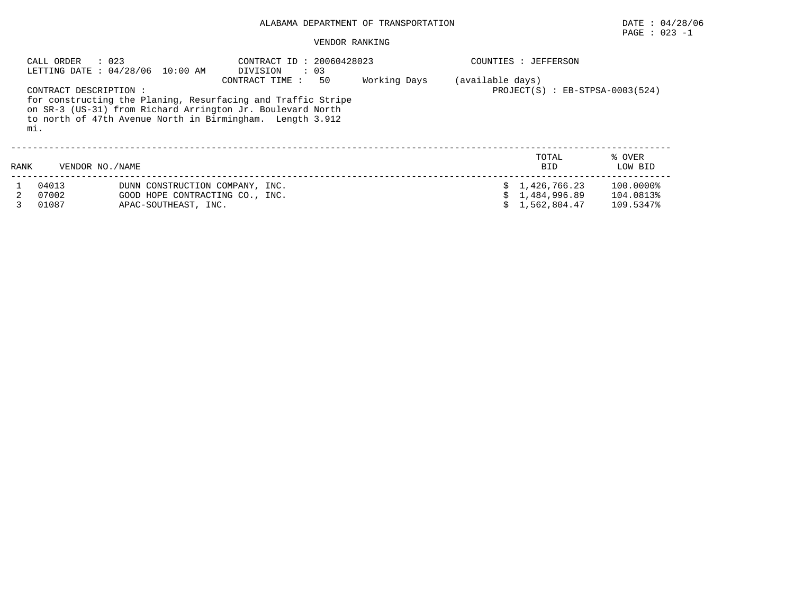## PAGE : 023 -1

|      | CALL ORDER<br>: 023           | LETTING DATE: 04/28/06 10:00 AM                                                            | CONTRACT ID: 20060428023<br>$\therefore$ 03<br>DIVISION                                                                                                                                                         |              |                  | COUNTIES : JEFFERSON                           |                                     |
|------|-------------------------------|--------------------------------------------------------------------------------------------|-----------------------------------------------------------------------------------------------------------------------------------------------------------------------------------------------------------------|--------------|------------------|------------------------------------------------|-------------------------------------|
|      | CONTRACT DESCRIPTION :<br>mi. |                                                                                            | 50<br>CONTRACT TIME:<br>for constructing the Planing, Resurfacing and Traffic Stripe<br>on SR-3 (US-31) from Richard Arrington Jr. Boulevard North<br>to north of 47th Avenue North in Birmingham. Length 3.912 | Working Days | (available days) | $PROJECT(S) : EB-STPSA-0003(524)$              |                                     |
| RANK | VENDOR NO. / NAME             |                                                                                            |                                                                                                                                                                                                                 |              |                  | TOTAL<br><b>BID</b>                            | % OVER<br>LOW BID                   |
|      | 04013<br>07002<br>01087       | DUNN CONSTRUCTION COMPANY, INC.<br>GOOD HOPE CONTRACTING CO., INC.<br>APAC-SOUTHEAST, INC. |                                                                                                                                                                                                                 |              |                  | \$1,426,766.23<br>1,484,996.89<br>1,562,804.47 | 100.0000%<br>104.0813%<br>109.5347% |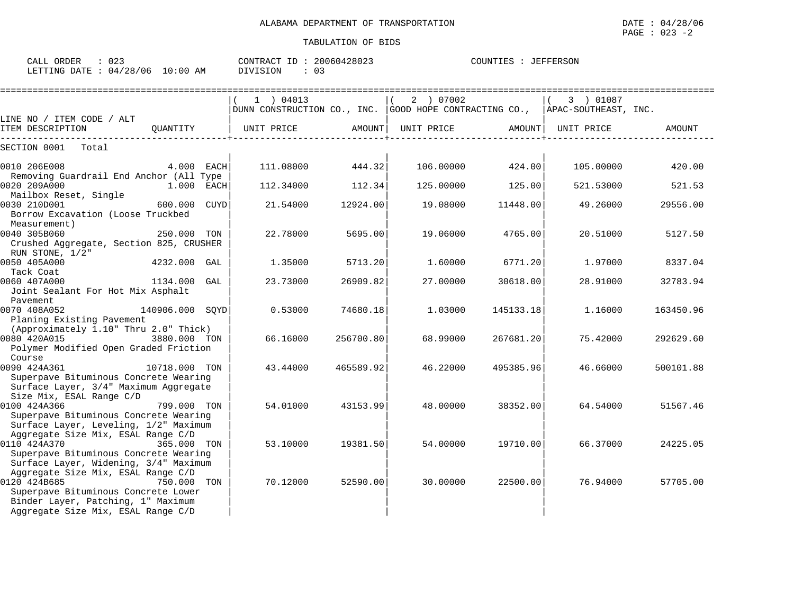| : 023<br>CALL ORDER<br>LETTING DATE: 04/28/06 10:00 AM |          |      | CONTRACT ID: 20060428023<br>DIVISION<br>$\therefore$ 03 |        |                                                        |        | COUNTIES : JEFFERSON                        |        |
|--------------------------------------------------------|----------|------|---------------------------------------------------------|--------|--------------------------------------------------------|--------|---------------------------------------------|--------|
| LINE NO / ITEM CODE / ALT<br>ITEM DESCRIPTION          | OUANTITY |      | 04013<br>DUNN CONSTRUCTION CO., INC.<br>UNIT PRICE      | AMOUNT | 07002<br>2<br>GOOD HOPE CONTRACTING CO.,<br>UNIT PRICE | AMOUNT | 01087<br>APAC-SOUTHEAST, INC.<br>UNIT PRICE | AMOUNT |
| SECTION 0001<br>Total                                  |          |      |                                                         |        |                                                        |        |                                             |        |
| 0010 206E008                                           | 4.000    | EACH | 111.08000                                               | 444.32 | 106,00000                                              | 424.00 | 105,00000                                   | 420.00 |

| UUIU AUULUUU                                                             | T.VVV LACII     |     | 111.00000 | ュュュ・コム    | 100.00000 | <b>TAT.VV</b> | TAD . AAAAA | <b>TAU . UU</b> |
|--------------------------------------------------------------------------|-----------------|-----|-----------|-----------|-----------|---------------|-------------|-----------------|
| Removing Guardrail End Anchor (All Type                                  |                 |     |           |           |           |               |             |                 |
| 0020 209A000                                                             | 1.000 EACH      |     | 112.34000 | 112.34    | 125,00000 | 125.00        | 521.53000   | 521.53          |
| Mailbox Reset, Single                                                    |                 |     |           |           |           |               |             |                 |
| 0030 210D001<br>Borrow Excavation (Loose Truckbed                        | 600.000 CUYD    |     | 21.54000  | 12924.00  | 19.08000  | 11448.00      | 49.26000    | 29556.00        |
| Measurement)                                                             |                 |     |           |           |           |               |             |                 |
| 0040 305B060                                                             | 250.000 TON     |     | 22.78000  | 5695.00   | 19.06000  | 4765.00       | 20.51000    | 5127.50         |
| Crushed Aggregate, Section 825, CRUSHER                                  |                 |     |           |           |           |               |             |                 |
| RUN STONE, 1/2"                                                          |                 |     |           |           |           |               |             |                 |
| 0050 405A000                                                             | 4232.000 GAL    |     | 1.35000   | 5713.20   | 1.60000   | 6771.20       | 1.97000     | 8337.04         |
| Tack Coat                                                                |                 |     |           |           |           |               |             |                 |
| 0060 407A000                                                             | 1134.000        | GAL | 23.73000  | 26909.82  | 27.00000  | 30618.00      | 28.91000    | 32783.94        |
| Joint Sealant For Hot Mix Asphalt                                        |                 |     |           |           |           |               |             |                 |
| Pavement                                                                 |                 |     |           |           |           |               |             |                 |
| 0070 408A052                                                             | 140906.000 SOYD |     | 0.53000   | 74680.18  | 1,03000   | 145133.18     | 1.16000     | 163450.96       |
| Planing Existing Pavement                                                |                 |     |           |           |           |               |             |                 |
| (Approximately 1.10" Thru 2.0" Thick)                                    |                 |     |           |           |           |               |             |                 |
| 0080 420A015                                                             | 3880.000 TON    |     | 66.16000  | 256700.80 | 68.99000  | 267681.20     | 75.42000    | 292629.60       |
| Polymer Modified Open Graded Friction                                    |                 |     |           |           |           |               |             |                 |
| Course                                                                   |                 |     |           |           |           |               |             |                 |
| 0090 424A361                                                             | 10718.000 TON   |     | 43.44000  | 465589.92 | 46.22000  | 495385.96     | 46.66000    | 500101.88       |
| Superpave Bituminous Concrete Wearing                                    |                 |     |           |           |           |               |             |                 |
| Surface Layer, 3/4" Maximum Aggregate                                    |                 |     |           |           |           |               |             |                 |
| Size Mix, ESAL Range C/D                                                 |                 |     |           |           |           |               |             |                 |
| 0100 424A366                                                             | 799.000 TON     |     | 54.01000  | 43153.99  | 48.00000  | 38352.00      | 64.54000    | 51567.46        |
| Superpave Bituminous Concrete Wearing                                    |                 |     |           |           |           |               |             |                 |
| Surface Layer, Leveling, 1/2" Maximum                                    |                 |     |           |           |           |               |             |                 |
| Aggregate Size Mix, ESAL Range C/D                                       |                 |     |           |           |           |               |             |                 |
| 0110 424A370                                                             | 365.000 TON     |     | 53.10000  | 19381.50  | 54.00000  | 19710.00      | 66.37000    | 24225.05        |
| Superpave Bituminous Concrete Wearing                                    |                 |     |           |           |           |               |             |                 |
| Surface Layer, Widening, 3/4" Maximum                                    |                 |     |           |           |           |               |             |                 |
| Aggregate Size Mix, ESAL Range C/D                                       |                 |     |           |           |           |               |             |                 |
| 0120 424B685                                                             | 750.000         | TON | 70.12000  | 52590.00  | 30,00000  | 22500.00      | 76.94000    | 57705.00        |
| Superpave Bituminous Concrete Lower                                      |                 |     |           |           |           |               |             |                 |
| Binder Layer, Patching, 1" Maximum<br>Aggregate Size Mix, ESAL Range C/D |                 |     |           |           |           |               |             |                 |
|                                                                          |                 |     |           |           |           |               |             |                 |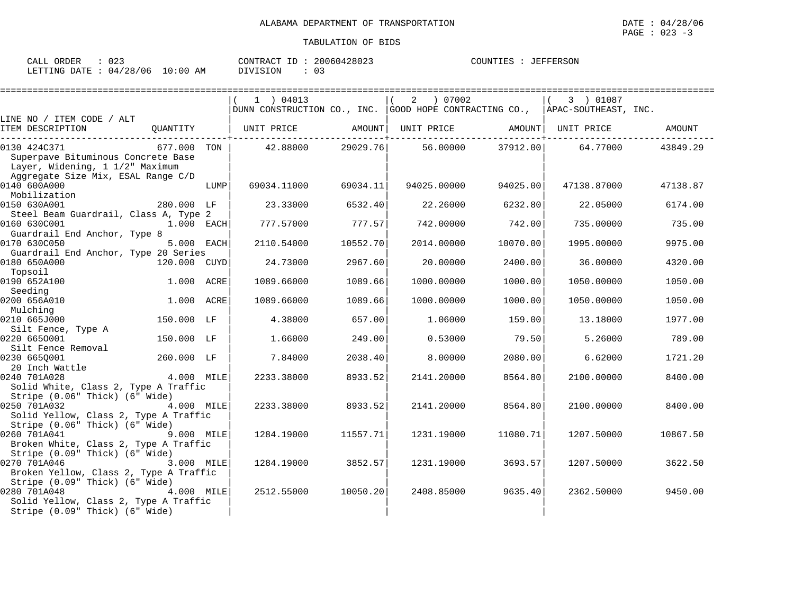| ד דגר<br>ORDER<br>الملائمات | $\sim$ $\sim$ $\sim$<br>りムー     |             | nnnch 190093<br>$.77$ $\cap$ $\Gamma$<br>$ -$<br><b>AONTRL</b><br>20 C<br>1604<br>TD.<br>≀ ⊿ ש<br>د.∠ ∪ ۵ ک | COUNTIES<br><b>JEFFERSON</b> |
|-----------------------------|---------------------------------|-------------|-------------------------------------------------------------------------------------------------------------|------------------------------|
| LETTING<br>DATF             | '28/<br>'06<br>$\Omega$<br>____ | 10:00<br>AΜ | TSTON.<br>. U                                                                                               |                              |

|                                                                                                                             |                   |      | $1$ ) 04013<br>DUNN CONSTRUCTION CO., INC. GOOD HOPE CONTRACTING CO., APAC-SOUTHEAST, INC. |          |             |          | 3 ) 01087                      |          |
|-----------------------------------------------------------------------------------------------------------------------------|-------------------|------|--------------------------------------------------------------------------------------------|----------|-------------|----------|--------------------------------|----------|
| LINE NO / ITEM CODE / ALT                                                                                                   |                   |      |                                                                                            |          |             |          |                                |          |
| ITEM DESCRIPTION                                                                                                            | QUANTITY          |      | UNIT PRICE AMOUNT                                                                          |          |             |          | UNIT PRICE AMOUNT   UNIT PRICE | AMOUNT   |
| 0130 424C371<br>Superpave Bituminous Concrete Base<br>Layer, Widening, 1 1/2" Maximum<br>Aggregate Size Mix, ESAL Range C/D | 677.000 TON       |      | 42.88000                                                                                   | 29029.76 |             |          | 56.00000 37912.00 64.77000     | 43849.29 |
| 0140 600A000<br>Mobilization                                                                                                |                   | LUMP | 69034.11000                                                                                | 69034.11 | 94025.00000 | 94025.00 | 47138.87000                    | 47138.87 |
| 0150 630A001<br>Steel Beam Guardrail, Class A, Type 2                                                                       | 280.000 LF        |      | 23.33000                                                                                   | 6532.40  | 22,26000    | 6232.80  | 22.05000                       | 6174.00  |
| 0160 630C001<br>Guardrail End Anchor, Type 8                                                                                | 1.000 EACH        |      | 777.57000                                                                                  | 777.57   | 742.00000   | 742.00   | 735.00000                      | 735.00   |
| 0170 630C050<br>Guardrail End Anchor, Type 20 Series                                                                        | 5.000 EACH        |      | 2110.54000                                                                                 | 10552.70 | 2014.00000  | 10070.00 | 1995.00000                     | 9975.00  |
| 0180 650A000<br>Topsoil                                                                                                     | 120.000 CUYD      |      | 24.73000                                                                                   | 2967.60  | 20,00000    | 2400.00  | 36,00000                       | 4320.00  |
| 0190 652A100<br>Seeding                                                                                                     | 1.000 ACRE        |      | 1089.66000                                                                                 | 1089.66  | 1000.00000  | 1000.00  | 1050.00000                     | 1050.00  |
| 0200 656A010<br>Mulching                                                                                                    | 1.000 ACRE        |      | 1089.66000                                                                                 | 1089.66  | 1000.00000  | 1000.00  | 1050.00000                     | 1050.00  |
| 0210 665J000<br>Silt Fence, Type A                                                                                          | 150.000 LF        |      | 4.38000                                                                                    | 657.00   | 1,06000     | 159.00   | 13.18000                       | 1977.00  |
| 0220 6650001<br>Silt Fence Removal                                                                                          | 150.000 LF        |      | 1.66000                                                                                    | 249.00   | 0.53000     | 79.50    | 5.26000                        | 789.00   |
| 0230 6650001<br>20 Inch Wattle<br>20 Inch Wattle 4.000 MILE                                                                 | 260.000 LF        |      | 7.84000                                                                                    | 2038.40  | 8,00000     | 2080.00  | 6.62000                        | 1721.20  |
| 0240 701A028<br>Solid White, Class 2, Type A Traffic<br>Stripe (0.06" Thick) (6" Wide)                                      |                   |      | 2233.38000                                                                                 | 8933.52  | 2141.20000  | 8564.80  | 2100.00000                     | 8400.00  |
| 0250 701A032<br>Solid Yellow, Class 2, Type A Traffic<br>Stripe (0.06" Thick) (6" Wide)                                     | 4.000 MILE        |      | 2233.38000                                                                                 | 8933.52  | 2141.20000  | 8564.80  | 2100.00000                     | 8400.00  |
| 0260 701A041<br>Broken White, Class 2, Type A Traffic<br>Stripe (0.09" Thick) (6" Wide)                                     | 9.000 MILE        |      | 1284.19000                                                                                 | 11557.71 | 1231.19000  | 11080.71 | 1207.50000                     | 10867.50 |
| 0270 701A046<br>Broken Yellow, Class 2, Type A Traffic<br>Stripe (0.09" Thick) (6" Wide)                                    | <b>3.000 MILE</b> |      | 1284.19000                                                                                 | 3852.57  | 1231.19000  | 3693.57  | 1207.50000                     | 3622.50  |
| 0280 701A048<br>Solid Yellow, Class 2, Type A Traffic<br>Stripe (0.09" Thick) (6" Wide)                                     | 4.000 MILE        |      | 2512.55000                                                                                 | 10050.20 | 2408.85000  | 9635.40  | 2362.50000                     | 9450.00  |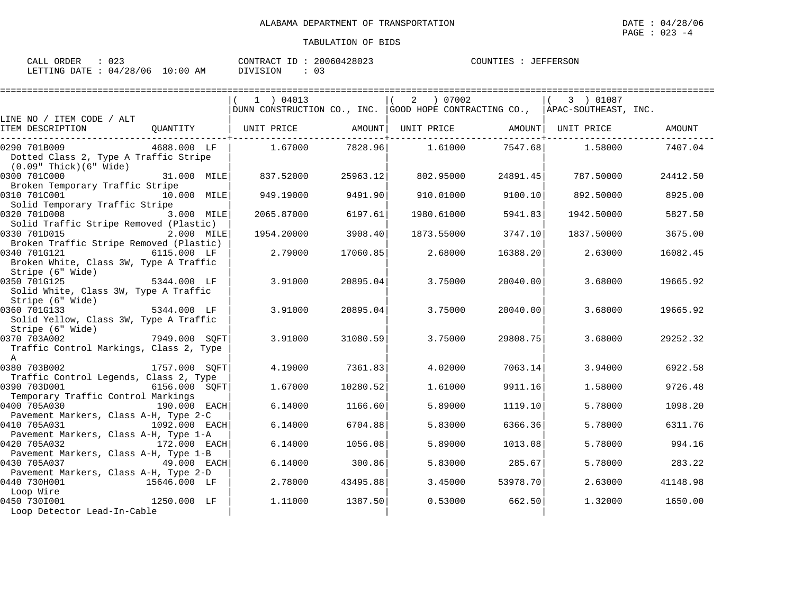| n n -<br>ORDER<br>CALL<br>U 43 |            | CONTRACT<br>ID :     | 20060428023 | COUNTIES<br><b>JEFFERSON</b> |
|--------------------------------|------------|----------------------|-------------|------------------------------|
| : 04/28/06<br>LETTING DATE     | $10:00$ AM | $\sim$ -<br>DIVISION |             |                              |

|                                                                         |               | 1 ) 04013<br>DUNN CONSTRUCTION CO., INC. GOOD HOPE CONTRACTING CO., APAC-SOUTHEAST, INC. |          | 2 07002                      |                 | 3 ) 01087  |               |
|-------------------------------------------------------------------------|---------------|------------------------------------------------------------------------------------------|----------|------------------------------|-----------------|------------|---------------|
| LINE NO / ITEM CODE / ALT                                               |               |                                                                                          |          |                              |                 |            |               |
| ITEM DESCRIPTION                                                        | OUANTITY      | UNIT PRICE                                                                               | AMOUNT   | UNIT PRICE AMOUNT UNIT PRICE |                 |            | <b>AMOUNT</b> |
| 0290 701B009                                                            | 4688.000 LF   | 1.67000                                                                                  | 7828.961 |                              | 1.61000 7547.68 | 1.58000    | 7407.04       |
| Dotted Class 2, Type A Traffic Stripe<br>$(0.09"$ Thick $)(6"$ Wide $)$ |               |                                                                                          |          |                              |                 |            |               |
| 0300 701C000                                                            | 31.000 MILE   | 837.52000                                                                                | 25963.12 | 802.95000                    | 24891.45        | 787.50000  | 24412.50      |
| Broken Temporary Traffic Stripe                                         |               |                                                                                          |          |                              |                 |            |               |
| 0310 701C001                                                            | 10.000 MILE   | 949.19000                                                                                | 9491.90  | 910.01000                    | 9100.10         | 892.50000  | 8925.00       |
| Solid Temporary Traffic Stripe                                          |               |                                                                                          |          |                              |                 |            |               |
| 0320 701D008                                                            | 3.000 MILE    | 2065.87000                                                                               | 6197.61  | 1980.61000                   | 5941.83         | 1942.50000 | 5827.50       |
| Solid Traffic Stripe Removed (Plastic)                                  |               |                                                                                          |          |                              |                 |            |               |
| 0330 701D015                                                            | 2.000 MILE    | 1954.20000                                                                               | 3908.40  | 1873.55000                   | 3747.10         | 1837.50000 | 3675.00       |
| Broken Traffic Stripe Removed (Plastic)                                 |               |                                                                                          |          |                              |                 |            |               |
| 0340 701G121                                                            | 6115.000 LF   | 2.79000                                                                                  | 17060.85 | 2.68000                      | 16388.20        | 2.63000    | 16082.45      |
| Broken White, Class 3W, Type A Traffic                                  |               |                                                                                          |          |                              |                 |            |               |
| Stripe (6" Wide)                                                        |               |                                                                                          |          |                              |                 |            |               |
| 0350 701G125                                                            | 5344.000 LF   | 3.91000                                                                                  | 20895.04 | 3.75000                      | 20040.00        | 3.68000    | 19665.92      |
| Solid White, Class 3W, Type A Traffic                                   |               |                                                                                          |          |                              |                 |            |               |
| Stripe (6" Wide)                                                        | $5344.000$ LF |                                                                                          |          |                              |                 |            |               |
| 0360 701G133                                                            |               | 3.91000                                                                                  | 20895.04 | 3.75000                      | 20040.00        | 3.68000    | 19665.92      |
| Solid Yellow, Class 3W, Type A Traffic                                  |               |                                                                                          |          |                              |                 |            |               |
| Stripe (6" Wide)<br>0370 703A002                                        |               |                                                                                          |          |                              |                 |            |               |
|                                                                         | 7949.000 SOFT | 3.91000                                                                                  | 31080.59 | 3.75000                      | 29808.75        | 3.68000    | 29252.32      |
| Traffic Control Markings, Class 2, Type<br>$\overline{A}$               |               |                                                                                          |          |                              |                 |            |               |
| 0380 703B002                                                            | 1757.000 SOFT | 4.19000                                                                                  | 7361.83  | 4.02000                      | 7063.14         | 3.94000    | 6922.58       |
| Traffic Control Legends, Class 2, Type                                  |               |                                                                                          |          |                              |                 |            |               |
| 0390 703D001                                                            | 6156.000 SOFT | 1.67000                                                                                  | 10280.52 | 1.61000                      | 9911.16         | 1.58000    | 9726.48       |
| Temporary Traffic Control Markings                                      |               |                                                                                          |          |                              |                 |            |               |
| 0400 705A030                                                            | 190.000 EACH  | 6.14000                                                                                  | 1166.60  | 5.89000                      | 1119.10         | 5.78000    | 1098.20       |
| Pavement Markers, Class A-H, Type 2-C                                   |               |                                                                                          |          |                              |                 |            |               |
| 0410 705A031                                                            | 1092.000 EACH | 6.14000                                                                                  | 6704.88  | 5.83000                      | 6366.36         | 5.78000    | 6311.76       |
| Pavement Markers, Class A-H, Type 1-A                                   |               |                                                                                          |          |                              |                 |            |               |
| 0420 705A032                                                            | 172.000 EACH  | 6.14000                                                                                  | 1056.08  | 5.89000                      | 1013.08         | 5.78000    | 994.16        |
| Pavement Markers, Class A-H, Type 1-B                                   |               |                                                                                          |          |                              |                 |            |               |
| 0430 705A037                                                            | 49.000 EACH   | 6.14000                                                                                  | 300.86   | 5.83000                      | 285.67          | 5.78000    | 283.22        |
| Pavement Markers, Class A-H, Type 2-D                                   |               |                                                                                          |          |                              |                 |            |               |
| 0440 730H001                                                            | 15646.000 LF  | 2.78000                                                                                  | 43495.88 | 3.45000                      | 53978.70        | 2.63000    | 41148.98      |
| Loop Wire                                                               |               |                                                                                          |          |                              |                 |            |               |
| 0450 7301001                                                            | 1250.000 LF   | 1,11000                                                                                  | 1387.50  | 0.53000                      | 662.50          | 1.32000    | 1650.00       |
| Loop Detector Lead-In-Cable                                             |               |                                                                                          |          |                              |                 |            |               |
|                                                                         |               |                                                                                          |          |                              |                 |            |               |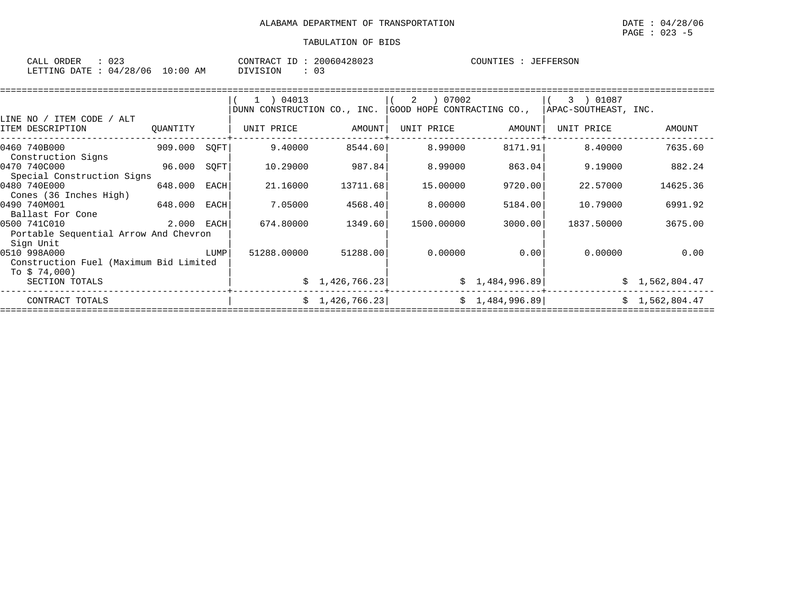| : 023<br>CALL ORDER             | CONTRACT ID: 20060428023 | COUNTIES : JEFFERSON |
|---------------------------------|--------------------------|----------------------|
| LETTING DATE: 04/28/06 10:00 AM | 03<br>DIVISION           |                      |

|                                                                     |            |      | $1$ ) 04013                 |                 | 07002<br>2                 |                | 3 ) 01087            |                |  |  |  |
|---------------------------------------------------------------------|------------|------|-----------------------------|-----------------|----------------------------|----------------|----------------------|----------------|--|--|--|
|                                                                     |            |      | DUNN CONSTRUCTION CO., INC. |                 | GOOD HOPE CONTRACTING CO., |                | APAC-SOUTHEAST, INC. |                |  |  |  |
| LINE NO / ITEM CODE / ALT<br>ITEM DESCRIPTION                       | OUANTITY   |      | UNIT PRICE                  | AMOUNT          | UNIT PRICE                 | AMOUNT         | UNIT PRICE           | AMOUNT         |  |  |  |
| 0460 740B000<br>Construction Signs                                  | 909.000    | SQFT | 9.40000                     | 8544.60         | 8.99000                    | 8171.91        | 8.40000              | 7635.60        |  |  |  |
| 0470 740C000<br>Special Construction Signs                          | 96.000     | SQFT | 10.29000                    | 987.84          | 8.99000                    | 863.04         | 9.19000              | 882.24         |  |  |  |
| 0480 740E000<br>Cones (36 Inches High)                              | 648.000    | EACH | 21.16000                    | 13711.68        | 15,00000                   | 9720.00        | 22.57000             | 14625.36       |  |  |  |
| 0490 740M001<br>Ballast For Cone                                    | 648.000    | EACH | 7.05000                     | 4568.40         | 8.00000                    | 5184.00        | 10.79000             | 6991.92        |  |  |  |
| 0500 741C010<br>Portable Sequential Arrow And Chevron               | 2.000 EACH |      | 674.80000                   | 1349.60         | 1500.00000                 | 3000.00        | 1837.50000           | 3675.00        |  |  |  |
| Sign Unit<br>0510 998A000<br>Construction Fuel (Maximum Bid Limited |            | LUMP | 51288.00000                 | 51288.00        | 0.00000                    | 0.00           | 0.00000              | 0.00           |  |  |  |
| To $$74,000$ )<br>SECTION TOTALS                                    |            |      |                             | \$1,426,766.23  |                            | \$1,484,996.89 |                      | \$1,562,804.47 |  |  |  |
| CONTRACT TOTALS                                                     |            |      |                             | \$1,426,766.23] |                            | \$1,484,996.89 |                      | \$1,562,804.47 |  |  |  |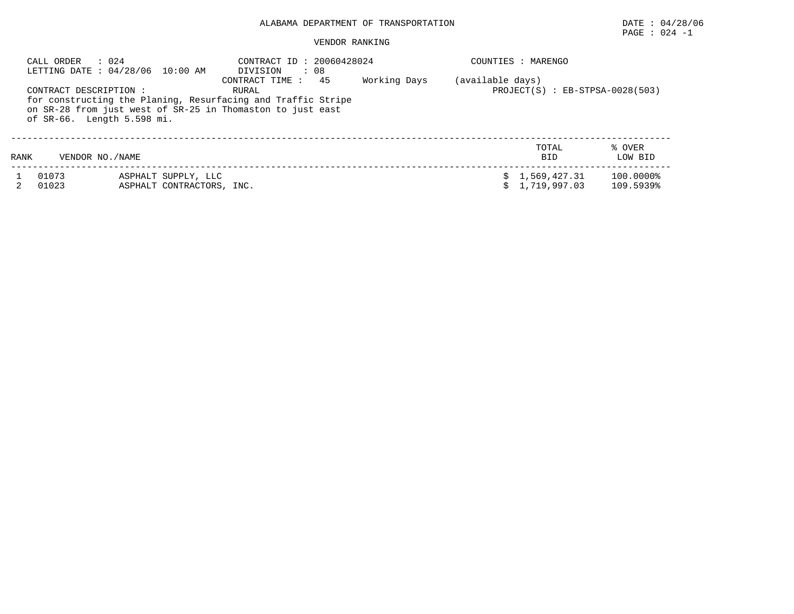# PAGE : 024 -1

| CALL ORDER             | : 024<br>LETTING DATE: 04/28/06 10:00 AM         | CONTRACT ID: 20060428024<br>: 08<br>DIVISION<br>45                                                                                                     |              |                  | COUNTIES : MARENGO                  |                        |
|------------------------|--------------------------------------------------|--------------------------------------------------------------------------------------------------------------------------------------------------------|--------------|------------------|-------------------------------------|------------------------|
| CONTRACT DESCRIPTION : | of SR-66. Length 5.598 mi.                       | CONTRACT TIME :<br>RURAL<br>for constructing the Planing, Resurfacing and Traffic Stripe<br>on SR-28 from just west of SR-25 in Thomaston to just east | Working Days | (available days) | $PROJECT(S)$ : $EB-STPSA-0028(503)$ |                        |
| RANK                   | VENDOR NO. / NAME                                |                                                                                                                                                        |              |                  | TOTAL<br><b>BID</b>                 | % OVER<br>LOW BID      |
| 01073<br>01023         | ASPHALT SUPPLY, LLC<br>ASPHALT CONTRACTORS, INC. |                                                                                                                                                        |              | s                | \$1,569,427.31<br>1,719,997.03      | 100.0000%<br>109.5939% |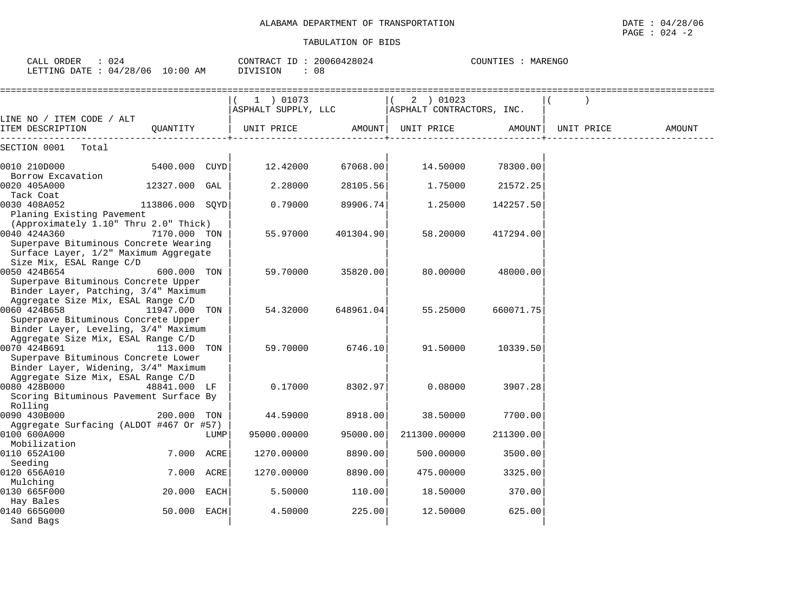| CALL ORDER<br>: 024<br>LETTING DATE : 04/28/06 10:00 AM                                                                                 |                 | CONTRACT ID: 20060428024<br>DIVISION | : 08                             | COUNTIES : MARENGO |                                        |           |            |        |
|-----------------------------------------------------------------------------------------------------------------------------------------|-----------------|--------------------------------------|----------------------------------|--------------------|----------------------------------------|-----------|------------|--------|
| LINE NO / ITEM CODE / ALT                                                                                                               |                 |                                      | 1 ) 01073<br>ASPHALT SUPPLY, LLC |                    | 2 ) 01023<br>ASPHALT CONTRACTORS, INC. |           |            |        |
| ITEM DESCRIPTION                                                                                                                        | QUANTITY        |                                      | UNIT PRICE                       | AMOUNT             | UNIT PRICE                             | AMOUNT    | UNIT PRICE | AMOUNT |
| SECTION 0001<br>Total                                                                                                                   |                 |                                      |                                  |                    |                                        |           |            |        |
| 0010 210D000<br>Borrow Excavation                                                                                                       | 5400.000 CUYD   |                                      | 12.42000                         | 67068.00           | 14.50000                               | 78300.00  |            |        |
| 0020 405A000<br>Tack Coat                                                                                                               | 12327.000 GAL   |                                      | 2.28000                          | 28105.56           | 1.75000                                | 21572.25  |            |        |
| 0030 408A052<br>Planing Existing Pavement                                                                                               | 113806.000 SOYD |                                      | 0.79000                          | 89906.74           | 1.25000                                | 142257.50 |            |        |
| (Approximately 1.10" Thru 2.0" Thick)<br>0040 424A360<br>Superpave Bituminous Concrete Wearing<br>Surface Layer, 1/2" Maximum Aggregate | 7170.000 TON    |                                      | 55.97000                         | 401304.90          | 58.20000                               | 417294.00 |            |        |
| Size Mix, ESAL Range C/D<br>0050 424B654<br>Superpave Bituminous Concrete Upper<br>Binder Layer, Patching, 3/4" Maximum                 | 600.000 TON     |                                      | 59.70000                         | 35820.00           | 80.00000                               | 48000.00  |            |        |
| Aggregate Size Mix, ESAL Range C/D<br>0060 424B658                                                                                      | 11947.000 TON   |                                      | 54.32000                         | 648961.04          | 55.25000                               | 660071.75 |            |        |
| Superpave Bituminous Concrete Upper<br>Binder Layer, Leveling, 3/4" Maximum<br>Aggregate Size Mix, ESAL Range C/D<br>0070 424B691       | 113.000 TON     |                                      | 59.70000                         | 6746.10            | 91.50000                               | 10339.50  |            |        |
| Superpave Bituminous Concrete Lower<br>Binder Layer, Widening, 3/4" Maximum                                                             |                 |                                      |                                  |                    |                                        |           |            |        |
| Aggregate Size Mix, ESAL Range C/D<br>0080 428B000<br>Scoring Bituminous Pavement Surface By                                            | 48841.000 LF    |                                      | 0.17000                          | 8302.97            | 0.08000                                | 3907.28   |            |        |
| Rolling<br>0090 430B000<br>Aggregate Surfacing (ALDOT #467 Or #57)                                                                      | 200.000 TON     |                                      | 44.59000                         | 8918.00            | 38.50000                               | 7700.00   |            |        |
| 0100 600A000<br>Mobilization                                                                                                            |                 | LUMP                                 | 95000.00000                      | 95000.00           | 211300.00000                           | 211300.00 |            |        |
| 0110 652A100<br>Seeding                                                                                                                 | 7.000 ACRE      |                                      | 1270.00000                       | 8890.00            | 500.00000                              | 3500.00   |            |        |
| 0120 656A010<br>Mulching                                                                                                                | 7.000 ACRE      |                                      | 1270.00000                       | 8890.00            | 475.00000                              | 3325.00   |            |        |
| 0130 665F000<br>Hay Bales                                                                                                               | 20.000 EACH     |                                      | 5.50000                          | 110.00             | 18.50000                               | 370.00    |            |        |
| 0140 665G000<br>Sand Bags                                                                                                               | 50.000 EACH     |                                      | 4.50000                          | 225.00             | 12.50000                               | 625.00    |            |        |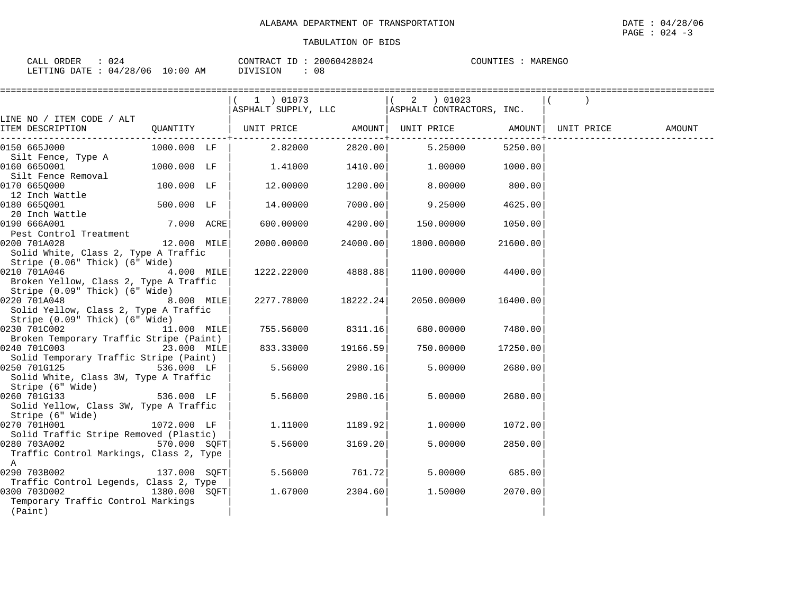| 024                              | 20060428024            | COUNTIES |
|----------------------------------|------------------------|----------|
| CALL ORDER                       | CONTRACT ID            | MARENGO  |
| LETTING DATE : 04/28/06 10:00 AM | n o<br>DIVISION<br>U O |          |

|                                                        |               |            | ========================        |                                                  |          |        |
|--------------------------------------------------------|---------------|------------|---------------------------------|--------------------------------------------------|----------|--------|
|                                                        |               | 1 ) 01073  |                                 | $(2)$ 01023                                      |          |        |
|                                                        |               |            |                                 | ASPHALT SUPPLY, LLC   ASPHALT CONTRACTORS, INC.  |          |        |
| LINE NO / ITEM CODE / ALT                              |               |            |                                 |                                                  |          |        |
| ITEM DESCRIPTION                                       | QUANTITY      |            | . - - - - - - - - - - - - + - - | UNIT PRICE AMOUNT  UNIT PRICE AMOUNT  UNIT PRICE |          | AMOUNT |
| 0150 665J000                                           | 1000.000 LF   | 2.82000    | 2820.00                         | 5.25000                                          | 5250.00  |        |
| Silt Fence, Type A                                     |               |            |                                 |                                                  |          |        |
| 0160 6650001                                           | 1000.000 LF   | 1.41000    | 1410.00                         | 1.00000                                          | 1000.00  |        |
| Silt Fence Removal                                     |               |            |                                 |                                                  |          |        |
| 0170 6650000                                           | 100.000 LF    | 12.00000   | 1200.00                         | 8.00000                                          | 800.00   |        |
| 12 Inch Wattle                                         |               |            |                                 |                                                  |          |        |
| 0180 665Q001                                           | 500.000 LF    | 14.00000   | 7000.00                         | 9.25000                                          | 4625.00  |        |
| 20 Inch Wattle                                         |               |            |                                 |                                                  |          |        |
| 0190 666A001<br>Pest Control Treatment                 | 7.000 ACRE    | 600.00000  | 4200.00                         | 150.00000                                        | 1050.00  |        |
| 0200 701A028                                           | 12.000 MILE   | 2000.00000 | 24000.00                        | 1800.00000                                       | 21600.00 |        |
| Solid White, Class 2, Type A Traffic                   |               |            |                                 |                                                  |          |        |
| Stripe (0.06" Thick) (6" Wide)                         |               |            |                                 |                                                  |          |        |
| 0210 701A046<br>4.000 MILE                             |               | 1222.22000 | 4888.881                        | 1100.00000                                       | 4400.00  |        |
| Broken Yellow, Class 2, Type A Traffic                 |               |            |                                 |                                                  |          |        |
| Stripe (0.09" Thick) (6" Wide)                         |               |            |                                 |                                                  |          |        |
| 0220 701A048                                           | 8.000 MILE    |            | 2277.78000 18222.24             | 2050.00000                                       | 16400.00 |        |
| Solid Yellow, Class 2, Type A Traffic                  |               |            |                                 |                                                  |          |        |
| Stripe (0.09" Thick) (6" Wide)                         |               |            |                                 |                                                  |          |        |
| 0230 701C002 11.000 MILE                               |               | 755.56000  | 8311.16                         | 680.00000                                        | 7480.00  |        |
| Broken Temporary Traffic Stripe (Paint)                |               |            |                                 |                                                  |          |        |
| 0240 701C003                                           | 23.000 MILE   | 833.33000  | 19166.59                        | 750.00000                                        | 17250.00 |        |
| Solid Temporary Traffic Stripe (Paint)<br>0250 701G125 | 536.000 LF    |            |                                 | 5.00000                                          |          |        |
| Solid White, Class 3W, Type A Traffic                  |               | 5.56000    | 2980.16                         |                                                  | 2680.00  |        |
| Stripe (6" Wide)                                       |               |            |                                 |                                                  |          |        |
| 0260 701G133 3                                         | 536.000 LF    | 5.56000    | 2980.16                         | 5.00000                                          | 2680.00  |        |
| Solid Yellow, Class 3W, Type A Traffic                 |               |            |                                 |                                                  |          |        |
| Stripe (6" Wide)                                       |               |            |                                 |                                                  |          |        |
| 0270 701H001                                           | 1072.000 LF   | 1.11000    | 1189.92                         | 1,00000                                          | 1072.00  |        |
| Solid Traffic Stripe Removed (Plastic)                 |               |            |                                 |                                                  |          |        |
| 0280 703A002 570.000 SQFT                              |               | 5.56000    | 3169.20                         | 5.00000                                          | 2850.00  |        |
| Traffic Control Markings, Class 2, Type                |               |            |                                 |                                                  |          |        |
| $\mathbf{A}$                                           |               |            |                                 |                                                  |          |        |
| 0290 703B002                                           | 137.000 SOFT  | 5.56000    | 761.72                          | 5.00000                                          | 685.00   |        |
| Traffic Control Legends, Class 2, Type                 |               |            |                                 |                                                  |          |        |
| 0300 703D002<br>Temporary Traffic Control Markings     | 1380.000 SOFT | 1.67000    | 2304.60                         | 1.50000                                          | 2070.00  |        |
| (Paint)                                                |               |            |                                 |                                                  |          |        |
|                                                        |               |            |                                 |                                                  |          |        |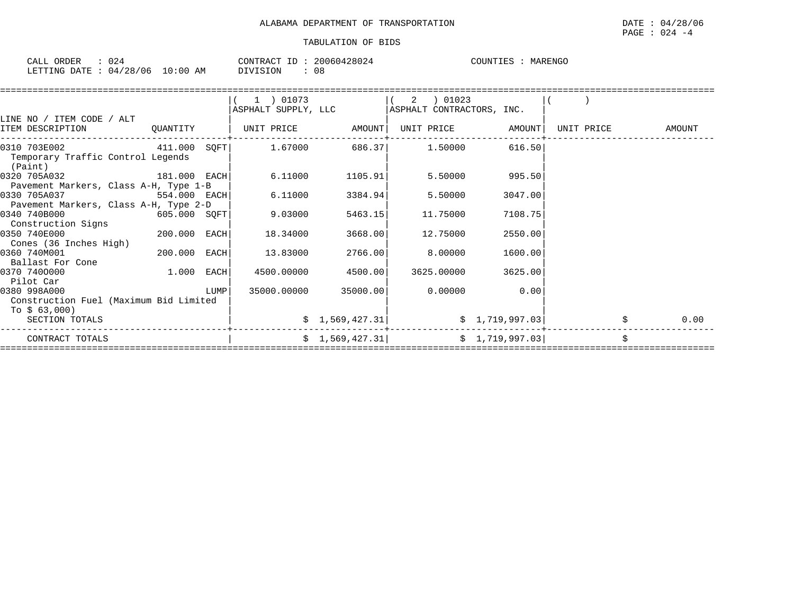| CALL ORDER     | 0.24     |       |    |          |  | CONTRACT ID: 20060428024 | COUNTIES | MARENGO |
|----------------|----------|-------|----|----------|--|--------------------------|----------|---------|
| LETTING DATE : | 04/28/06 | 10:00 | ΑM | DIVISION |  | 08                       |          |         |

|                                                                                                                |                |      | 1 ) 01073<br>ASPHALT SUPPLY, LLC |                            | 2<br>01023<br>ASPHALT CONTRACTORS, INC.     |                   |            |        |
|----------------------------------------------------------------------------------------------------------------|----------------|------|----------------------------------|----------------------------|---------------------------------------------|-------------------|------------|--------|
| LINE NO / ITEM CODE / ALT<br>ITEM DESCRIPTION                                                                  | QUANTITY       |      | UNIT PRICE AMOUNT                |                            |                                             | UNIT PRICE AMOUNT | UNIT PRICE | AMOUNT |
| $0310$ $703E002$ $411.000$ $SQFT$ $1.67000$ $686.37$ $1.50000$<br>Temporary Traffic Control Legends<br>(Paint) |                |      |                                  |                            |                                             | 616.50            |            |        |
| 0320 705A032<br>Pavement Markers, Class A-H, Type 1-B                                                          | 181.000 EACH   |      |                                  | 6.11000 1105.91            | 5.50000                                     | 995.50            |            |        |
| 0330 705A037<br>Pavement Markers, Class A-H, Type 2-D                                                          | 554.000 EACH   |      | 6.11000                          | 3384.94                    | 5.50000                                     | 3047.00           |            |        |
| 0340 740B000<br>Construction Signs                                                                             | $605.000$ SQFT |      | 9.03000                          | 5463.15                    | 11.75000                                    | 7108.75           |            |        |
| 0350 740E000<br>Cones (36 Inches High)                                                                         | 200.000 EACH   |      | 18.34000                         | 3668.00                    | 12.75000                                    | 2550.00           |            |        |
| 0360 740M001<br>Ballast For Cone                                                                               | 200.000 EACH   |      | 13.83000                         | 2766.00                    | 8.00000                                     | 1600.00           |            |        |
| 0370 7400000<br>Pilot Car                                                                                      | $1.000$ EACH   |      |                                  | 4500.00000 4500.00         | 3625.00000                                  | 3625.00           |            |        |
| 0380 998A000<br>Construction Fuel (Maximum Bid Limited<br>To \$ 63,000)                                        |                | LUMP |                                  | 35000.00000 35000.00       | 0.00000                                     | 0.00              |            |        |
| SECTION TOTALS                                                                                                 |                |      |                                  | $\frac{1}{5}$ 1,569,427.31 |                                             | \$1,719,997.03]   |            | 0.00   |
| CONTRACT TOTALS                                                                                                |                |      |                                  |                            | $\sharp$ 1,569,427.31 $\sharp$ 1,719,997.03 |                   |            |        |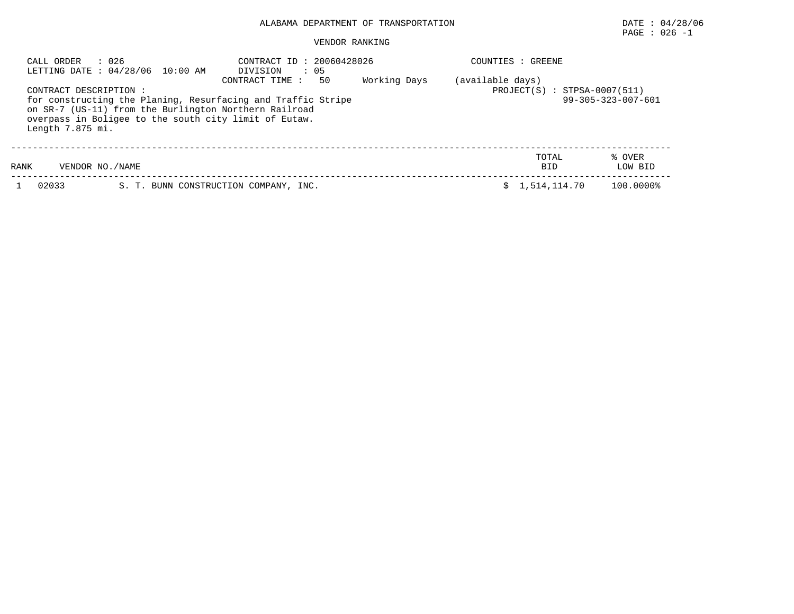# PAGE : 026 -1

| : 026<br>CALL ORDER<br>LETTING DATE : 04/28/06 10:00 AM                                                                                                                                                                      | : 20060428026<br>CONTRACT ID<br>$\therefore$ 05<br>DIVISION | GREENE<br>COUNTIES :         |                   |  |  |  |  |
|------------------------------------------------------------------------------------------------------------------------------------------------------------------------------------------------------------------------------|-------------------------------------------------------------|------------------------------|-------------------|--|--|--|--|
| CONTRACT DESCRIPTION :<br>for constructing the Planing, Resurfacing and Traffic Stripe<br>on SR-7 (US-11) from the Burlington Northern Railroad<br>overpass in Boligee to the south city limit of Eutaw.<br>Length 7.875 mi. | (available days)<br>$PROJECT(S) : STPSA-0007(511)$          | $99 - 305 - 323 - 007 - 601$ |                   |  |  |  |  |
| RANK<br>VENDOR NO./NAME                                                                                                                                                                                                      |                                                             | TOTAL<br><b>BID</b>          | % OVER<br>LOW BID |  |  |  |  |
| 02033                                                                                                                                                                                                                        | S. T. BUNN CONSTRUCTION COMPANY, INC.                       | 1,514,114.70                 | 100.0000%         |  |  |  |  |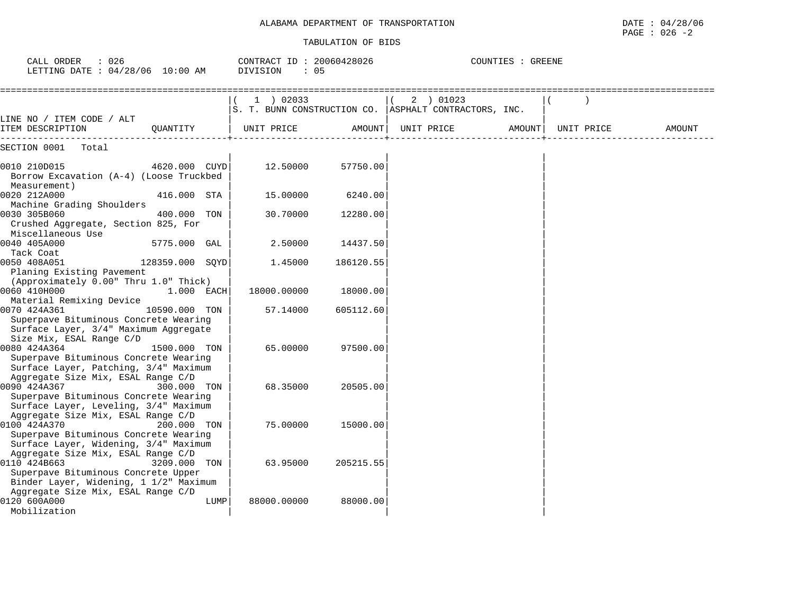| CALL ORDER<br>: 026<br>LETTING DATE : 04/28/06 10:00 AM                                                                              |                 |      | CONTRACT ID: 20060428026<br>DIVISION<br>: 05 |           | COUNTIES : GREENE                                                  |        |            |        |  |  |
|--------------------------------------------------------------------------------------------------------------------------------------|-----------------|------|----------------------------------------------|-----------|--------------------------------------------------------------------|--------|------------|--------|--|--|
|                                                                                                                                      |                 |      | $1$ ) 02033                                  |           | 2 ) 01023<br>S. T. BUNN CONSTRUCTION CO. ASPHALT CONTRACTORS, INC. |        |            |        |  |  |
| LINE NO / ITEM CODE / ALT<br>ITEM DESCRIPTION                                                                                        | OUANTITY        |      | UNIT PRICE                                   | AMOUNT    | UNIT PRICE                                                         | AMOUNT | UNIT PRICE | AMOUNT |  |  |
| SECTION 0001<br>Total                                                                                                                |                 |      |                                              |           |                                                                    |        |            |        |  |  |
| 0010 210D015<br>Borrow Excavation (A-4) (Loose Truckbed<br>Measurement)                                                              | 4620.000 CUYD   |      | 12.50000                                     | 57750.00  |                                                                    |        |            |        |  |  |
| 0020 212A000<br>Machine Grading Shoulders                                                                                            | 416.000 STA     |      | 15.00000                                     | 6240.00   |                                                                    |        |            |        |  |  |
| 0030 305B060<br>Crushed Aggregate, Section 825, For<br>Miscellaneous Use                                                             | 400.000         | TON  | 30.70000                                     | 12280.00  |                                                                    |        |            |        |  |  |
| 0040 405A000<br>Tack Coat                                                                                                            | 5775.000 GAL    |      | 2.50000                                      | 14437.50  |                                                                    |        |            |        |  |  |
| 0050 408A051<br>Planing Existing Pavement<br>(Approximately 0.00" Thru 1.0" Thick)                                                   | 128359.000 SQYD |      | 1.45000                                      | 186120.55 |                                                                    |        |            |        |  |  |
| 0060 410H000<br>Material Remixing Device                                                                                             | 1.000 EACH      |      | 18000.00000                                  | 18000.00  |                                                                    |        |            |        |  |  |
| 0070 424A361<br>Superpave Bituminous Concrete Wearing<br>Surface Layer, 3/4" Maximum Aggregate<br>Size Mix, ESAL Range C/D           | 10590.000 TON   |      | 57.14000                                     | 605112.60 |                                                                    |        |            |        |  |  |
| 0080 424A364<br>Superpave Bituminous Concrete Wearing<br>Surface Layer, Patching, 3/4" Maximum<br>Aggregate Size Mix, ESAL Range C/D | 1500.000 TON    |      | 65.00000                                     | 97500.00  |                                                                    |        |            |        |  |  |
| 0090 424A367<br>Superpave Bituminous Concrete Wearing<br>Surface Layer, Leveling, 3/4" Maximum                                       | 300.000 TON     |      | 68.35000                                     | 20505.00  |                                                                    |        |            |        |  |  |
| Aggregate Size Mix, ESAL Range C/D<br>0100 424A370<br>Superpave Bituminous Concrete Wearing<br>Surface Layer, Widening, 3/4" Maximum | 200.000 TON     |      | 75.00000                                     | 15000.00  |                                                                    |        |            |        |  |  |
| Aggregate Size Mix, ESAL Range C/D<br>0110 424B663<br>Superpave Bituminous Concrete Upper<br>Binder Layer, Widening, 1 1/2" Maximum  | 3209.000        | TON  | 63.95000                                     | 205215.55 |                                                                    |        |            |        |  |  |
| Aggregate Size Mix, ESAL Range C/D<br>0120 600A000<br>Mobilization                                                                   |                 | LUMP | 88000.00000                                  | 88000.00  |                                                                    |        |            |        |  |  |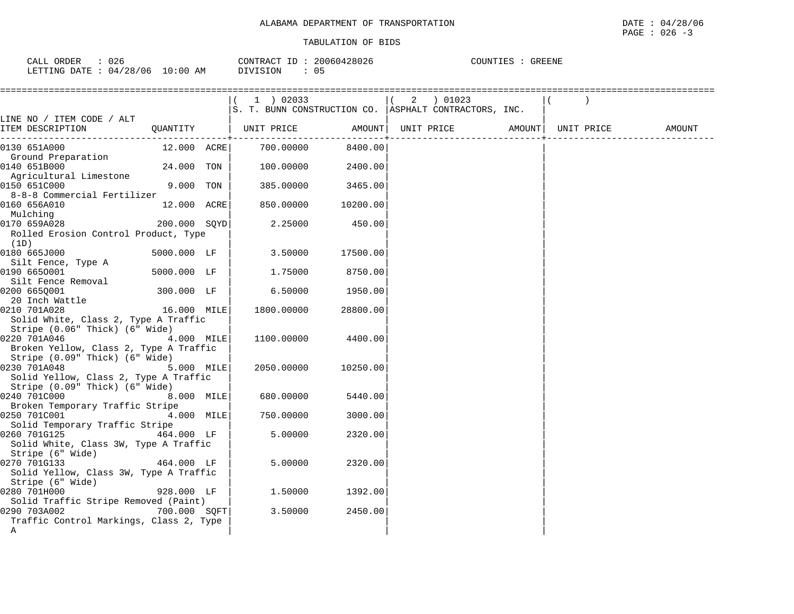| 026                    |             | 20060428026  | COUNTIES      |
|------------------------|-------------|--------------|---------------|
| ORDER                  |             | CONTRACT ID: | <b>GREENE</b> |
| CALL                   |             |              |               |
| LETTING DATE: 04/28/06 | 10:00<br>AM | DIVISION     |               |

| =====================================          |              | 1 ) 02033                                               |          | ( 2 ) 01023       |  |            |        |
|------------------------------------------------|--------------|---------------------------------------------------------|----------|-------------------|--|------------|--------|
|                                                |              | S. T. BUNN CONSTRUCTION CO.   ASPHALT CONTRACTORS, INC. |          |                   |  |            |        |
| LINE NO / ITEM CODE / ALT<br>ITEM DESCRIPTION  |              | QUANTITY   UNIT PRICE AMOUNT                            |          | UNIT PRICE AMOUNT |  | UNIT PRICE | AMOUNT |
| 0130 651A000                                   | 12.000 ACRE  | 700.00000                                               | 8400.00  |                   |  |            |        |
| Ground Preparation                             |              |                                                         |          |                   |  |            |        |
| 0140 651B000                                   | 24.000 TON   | 100.00000                                               | 2400.00  |                   |  |            |        |
| Agricultural Limestone                         |              |                                                         |          |                   |  |            |        |
| 0150 651C000                                   | 9.000 TON    | 385.00000                                               | 3465.00  |                   |  |            |        |
| 8-8-8 Commercial Fertilizer                    |              |                                                         |          |                   |  |            |        |
| 0160 656A010                                   | 12.000 ACRE  | 850.00000                                               | 10200.00 |                   |  |            |        |
| Mulching                                       |              |                                                         |          |                   |  |            |        |
| 200.000 SQYD<br>0170 659A028                   |              | 2.25000                                                 | 450.00   |                   |  |            |        |
| Rolled Erosion Control Product, Type           |              |                                                         |          |                   |  |            |        |
| (1D)<br>0180 665J000                           | 5000.000 LF  | 3.50000                                                 | 17500.00 |                   |  |            |        |
| Silt Fence, Type A                             |              |                                                         |          |                   |  |            |        |
| 0190 6650001                                   | 5000.000 LF  | 1.75000                                                 | 8750.00  |                   |  |            |        |
| Silt Fence Removal                             |              |                                                         |          |                   |  |            |        |
| 0200 6650001                                   | 300.000 LF   | 6.50000                                                 | 1950.00  |                   |  |            |        |
| 20 Inch Wattle                                 |              |                                                         |          |                   |  |            |        |
| 0210 701A028                                   | 16.000 MILE  | 1800.00000                                              | 28800.00 |                   |  |            |        |
| Solid White, Class 2, Type A Traffic           |              |                                                         |          |                   |  |            |        |
| Stripe (0.06" Thick) (6" Wide)                 |              |                                                         |          |                   |  |            |        |
| 0220 701A046                                   | 4.000 MILE   | 1100.00000                                              | 4400.00  |                   |  |            |        |
| Broken Yellow, Class 2, Type A Traffic         |              |                                                         |          |                   |  |            |        |
| Stripe (0.09" Thick) (6" Wide)                 |              |                                                         |          |                   |  |            |        |
| 0230 701A048                                   | 5.000 MILE   | 2050.00000                                              | 10250.00 |                   |  |            |        |
| Solid Yellow, Class 2, Type A Traffic          |              |                                                         |          |                   |  |            |        |
| Stripe (0.09" Thick) (6" Wide)                 |              |                                                         |          |                   |  |            |        |
| 0240 701C000                                   | 8.000 MILE   | 680.00000                                               | 5440.00  |                   |  |            |        |
| Broken Temporary Traffic Stripe                |              |                                                         |          |                   |  |            |        |
| 0250 701C001<br>Solid Temporary Traffic Stripe | 4.000 MILE   | 750.00000                                               | 3000.00  |                   |  |            |        |
| 0260 701G125                                   | 464.000 LF   | 5.00000                                                 | 2320.00  |                   |  |            |        |
| Solid White, Class 3W, Type A Traffic          |              |                                                         |          |                   |  |            |        |
| Stripe (6" Wide)                               |              |                                                         |          |                   |  |            |        |
| 0270 701G133                                   | 464.000 LF   | 5.00000                                                 | 2320.00  |                   |  |            |        |
| Solid Yellow, Class 3W, Type A Traffic         |              |                                                         |          |                   |  |            |        |
| Stripe (6" Wide)                               |              |                                                         |          |                   |  |            |        |
| 0280 701H000                                   | 928.000 LF   | 1,50000                                                 | 1392.00  |                   |  |            |        |
| Solid Traffic Stripe Removed (Paint)           |              |                                                         |          |                   |  |            |        |
| 0290 703A002                                   | 700.000 SQFT | 3.50000                                                 | 2450.00  |                   |  |            |        |
| Traffic Control Markings, Class 2, Type        |              |                                                         |          |                   |  |            |        |
| Α                                              |              |                                                         |          |                   |  |            |        |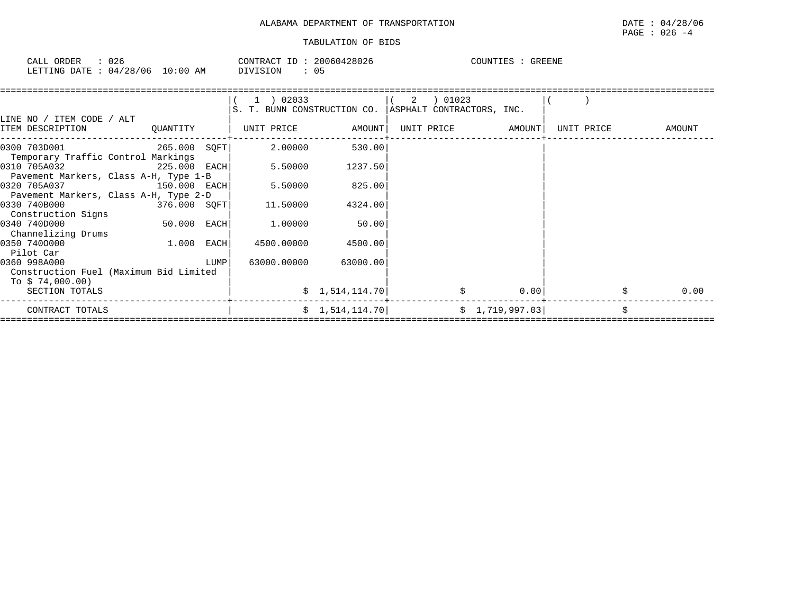| CALL ORDER                       | 026 | CONTRACT ID: 20060428026 |    | GREENE<br>COUNTIES : |
|----------------------------------|-----|--------------------------|----|----------------------|
| LETTING DATE : 04/28/06 10:00 AM |     | DIVISION                 | 05 |                      |

|                                                                            |                |      | (1) 02033<br>S. T. BUNN CONSTRUCTION CO.   ASPHALT CONTRACTORS, INC. |                      | 2 | 01023             |                 |            |        |      |
|----------------------------------------------------------------------------|----------------|------|----------------------------------------------------------------------|----------------------|---|-------------------|-----------------|------------|--------|------|
| LINE NO / ITEM CODE / ALT<br>ITEM DESCRIPTION                              | QUANTITY       |      | UNIT PRICE                                                           | AMOUNT               |   | UNIT PRICE AMOUNT |                 | UNIT PRICE | AMOUNT |      |
| 0300 703D001 265.000 SOFT<br>Temporary Traffic Control Markings            |                |      | 2.00000                                                              | 530.00               |   |                   |                 |            |        |      |
| 0310 705A032<br>Pavement Markers, Class A-H, Type 1-B                      | $225.000$ EACH |      | 5.50000                                                              | 1237.50              |   |                   |                 |            |        |      |
| 0320 705A037<br>Pavement Markers, Class A-H, Type 2-D                      | 150.000 EACH   |      | 5.50000                                                              | 825.00               |   |                   |                 |            |        |      |
| 0330 740B000<br>Construction Signs                                         | 376.000 SQFT   |      | 11.50000                                                             | 4324.00              |   |                   |                 |            |        |      |
| 0340 740D000<br>Channelizing Drums                                         | 50.000 EACH    |      | 1.00000                                                              | 50.00                |   |                   |                 |            |        |      |
| 0350 7400000<br>Pilot Car                                                  | 1.000          | EACH | 4500.00000                                                           | 4500.00              |   |                   |                 |            |        |      |
| 0360 998A000<br>Construction Fuel (Maximum Bid Limited<br>To \$ 74,000.00) |                | LUMP |                                                                      | 63000.00000 63000.00 |   |                   |                 |            |        |      |
| SECTION TOTALS                                                             |                |      |                                                                      | \$1,514,114.70       |   |                   | 0.00            |            |        | 0.00 |
| CONTRACT TOTALS                                                            |                |      |                                                                      | \$1,514,114.70       |   |                   | \$1,719,997.03] |            |        |      |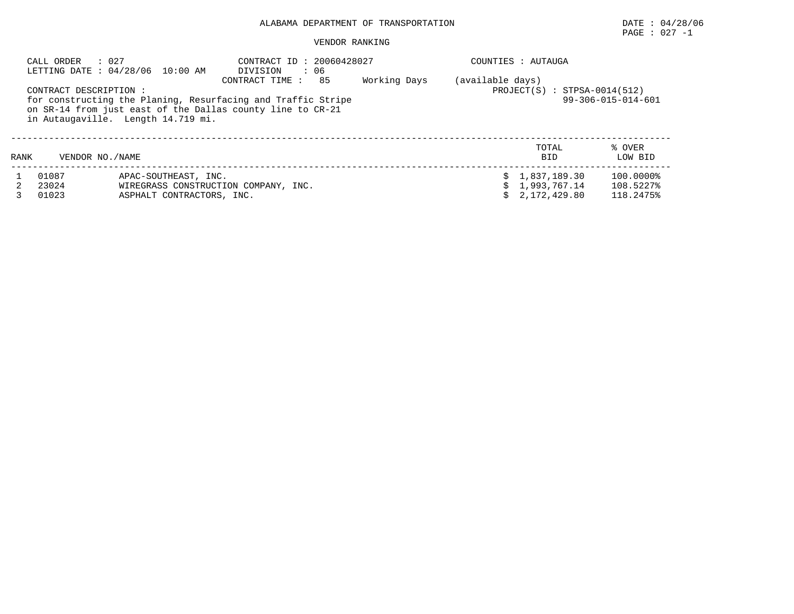PAGE : 027 -1

|      | : 027<br>CALL ORDER     | LETTING DATE: 04/28/06 10:00 AM                                                                                                                                  | CONTRACT ID: 20060428027<br>DIVISION<br>$\therefore$ 06 |                                |                              | COUNTIES : AUTAUGA                                      |                                     |
|------|-------------------------|------------------------------------------------------------------------------------------------------------------------------------------------------------------|---------------------------------------------------------|--------------------------------|------------------------------|---------------------------------------------------------|-------------------------------------|
|      | CONTRACT DESCRIPTION:   | for constructing the Planing, Resurfacing and Traffic Stripe<br>on SR-14 from just east of the Dallas county line to CR-21<br>in Autaugaville. Length 14.719 mi. | (available days)                                        | $PROJECT(S) : STPSA-0014(512)$ | $99 - 306 - 015 - 014 - 601$ |                                                         |                                     |
| RANK | VENDOR NO. / NAME       |                                                                                                                                                                  |                                                         |                                |                              | TOTAL<br><b>BID</b>                                     | % OVER<br>LOW BID                   |
|      | 01087<br>23024<br>01023 | APAC-SOUTHEAST, INC.<br>ASPHALT CONTRACTORS, INC.                                                                                                                | WIREGRASS CONSTRUCTION COMPANY, INC.                    |                                |                              | \$1,837,189.30<br>\$1,993,767.14<br>$\sin 2.172.429.80$ | 100.0000%<br>108.5227%<br>118.2475% |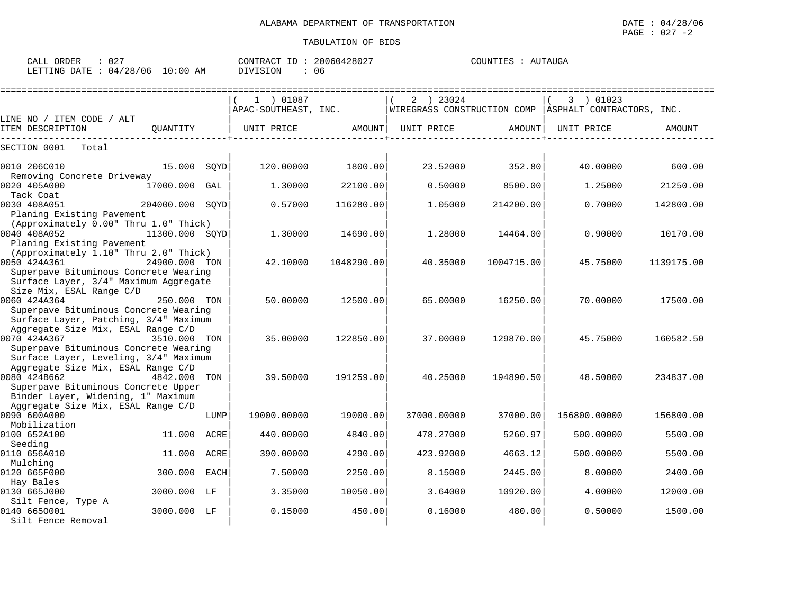| CILL ORDIN<br>LETTING DATE : 04/28/06 10:00 AM |          |      | CONTROL ID · A0000140047<br>DIVISION<br>: 06 |         |                    |        |                                                                                                                            |        |  |
|------------------------------------------------|----------|------|----------------------------------------------|---------|--------------------|--------|----------------------------------------------------------------------------------------------------------------------------|--------|--|
| LINE NO / ITEM CODE / ALT                      |          |      | 1 ) 01087<br>APAC-SOUTHEAST, INC.            |         | 23024<br>$2 \quad$ |        | 01023<br>$ \!\!\:\hspace{0.1cm}\text{WIREGRASS}$ CONSTRUCTION COMP $ \!\!\:\hspace{0.1cm}\text{ASPHALT}$ CONTRACTORS, INC. |        |  |
| ITEM DESCRIPTION                               | OUANTITY |      | UNIT PRICE                                   | AMOUNT  | UNIT PRICE         | AMOUNT | UNIT PRICE                                                                                                                 | AMOUNT |  |
| SECTION 0001<br>Total                          |          |      |                                              |         |                    |        |                                                                                                                            |        |  |
| 0010 206C010                                   | 15.000   | SOYD | 120.00000                                    | 1800.00 | 23.52000           | 352.80 | 40.00000                                                                                                                   | 600.00 |  |

| 0010 206C010                          | 15.000         | SQYD        | 120.00000   | 1800.00    | 23.52000    | 352.80     | 40.00000     | 600.00     |
|---------------------------------------|----------------|-------------|-------------|------------|-------------|------------|--------------|------------|
| Removing Concrete Driveway            |                |             |             |            |             |            |              |            |
| 0020 405A000                          | 17000.000      | GAL         | 1.30000     | 22100.00   | 0.50000     | 8500.00    | 1.25000      | 21250.00   |
| Tack Coat                             |                |             |             |            |             |            |              |            |
| 0030 408A051                          | 204000.000     | SOYD        | 0.57000     | 116280.00  | 1.05000     | 214200.00  | 0.70000      | 142800.00  |
| Planing Existing Pavement             |                |             |             |            |             |            |              |            |
| (Approximately 0.00" Thru 1.0" Thick) |                |             |             |            |             |            |              |            |
| 0040 408A052                          | 11300.000 SQYD |             | 1.30000     | 14690.00   | 1,28000     | 14464.00   | 0.90000      | 10170.00   |
| Planing Existing Pavement             |                |             |             |            |             |            |              |            |
| (Approximately 1.10" Thru 2.0" Thick) |                |             |             |            |             |            |              |            |
| 0050 424A361                          | 24900.000 TON  |             | 42.10000    | 1048290.00 | 40.35000    | 1004715.00 | 45.75000     | 1139175.00 |
| Superpave Bituminous Concrete Wearing |                |             |             |            |             |            |              |            |
| Surface Layer, 3/4" Maximum Aggregate |                |             |             |            |             |            |              |            |
| Size Mix, ESAL Range C/D              |                |             |             |            |             |            |              |            |
| 0060 424A364                          | 250.000 TON    |             | 50.00000    | 12500.00   | 65.00000    | 16250.00   | 70.00000     | 17500.00   |
| Superpave Bituminous Concrete Wearing |                |             |             |            |             |            |              |            |
| Surface Layer, Patching, 3/4" Maximum |                |             |             |            |             |            |              |            |
| Aggregate Size Mix, ESAL Range C/D    |                |             |             |            |             |            |              |            |
| 0070 424A367                          | 3510.000 TON   |             | 35.00000    | 122850.00  | 37.00000    | 129870.00  | 45.75000     | 160582.50  |
| Superpave Bituminous Concrete Wearing |                |             |             |            |             |            |              |            |
| Surface Layer, Leveling, 3/4" Maximum |                |             |             |            |             |            |              |            |
| Aggregate Size Mix, ESAL Range C/D    |                |             |             |            |             |            |              |            |
| 0080 424B662                          | 4842.000       | TON         | 39.50000    | 191259.00  | 40.25000    | 194890.50  | 48.50000     | 234837.00  |
| Superpave Bituminous Concrete Upper   |                |             |             |            |             |            |              |            |
| Binder Layer, Widening, 1" Maximum    |                |             |             |            |             |            |              |            |
| Aggregate Size Mix, ESAL Range C/D    |                |             |             |            |             |            |              |            |
| 0090 600A000                          |                | LUMP        | 19000.00000 | 19000.00   | 37000.00000 | 37000.00   | 156800.00000 | 156800.00  |
| Mobilization                          |                |             |             |            |             |            |              |            |
| 0100 652A100                          | 11.000         | ACRE        | 440.00000   | 4840.00    | 478.27000   | 5260.97    | 500.00000    | 5500.00    |
| Seeding                               |                |             |             |            |             |            |              |            |
| 0110 656A010                          | 11.000         | ACRE        | 390.00000   | 4290.00    | 423.92000   | 4663.12    | 500.00000    | 5500.00    |
| Mulching                              |                |             |             |            |             |            |              |            |
| 0120 665F000                          | 300.000        | <b>EACH</b> | 7.50000     | 2250.00    | 8.15000     | 2445.00    | 8,00000      | 2400.00    |
| Hay Bales                             |                |             |             |            |             |            |              |            |
| 0130 665J000                          | 3000.000       | LF          | 3.35000     | 10050.00   | 3.64000     | 10920.00   | 4.00000      | 12000.00   |
| Silt Fence, Type A                    |                |             |             |            |             |            |              |            |
| 0140 6650001                          | 3000.000 LF    |             | 0.15000     | 450.00     | 0.16000     | 480.00     | 0.50000      | 1500.00    |
| Silt Fence Removal                    |                |             |             |            |             |            |              |            |

CALL ORDER : 027 CONTRACT ID : 20060428027 COUNTIES : AUTAUGA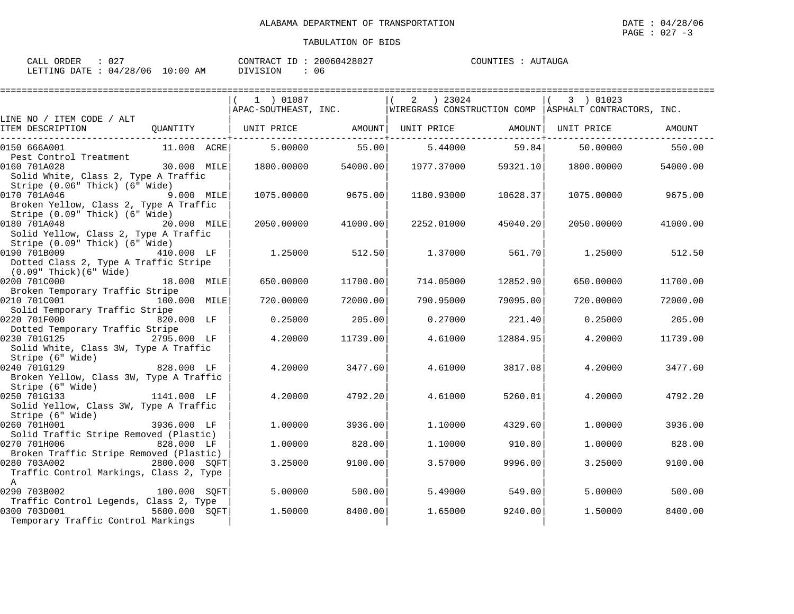| CALL ORDER                      | -027 |          | CONTRACT ID: 20060428027 | COUNTIES : AUTAUGA |  |
|---------------------------------|------|----------|--------------------------|--------------------|--|
| LETTING DATE: 04/28/06 10:00 AM |      | DIVISION | 06                       |                    |  |

|                                                                          |              | 1 ) 01087         |          | ) 23024<br>2      |          | 3 ) 01023                                                                  |          |
|--------------------------------------------------------------------------|--------------|-------------------|----------|-------------------|----------|----------------------------------------------------------------------------|----------|
|                                                                          |              |                   |          |                   |          | APAC-SOUTHEAST, INC. WIREGRASS CONSTRUCTION COMP ASPHALT CONTRACTORS, INC. |          |
| LINE NO / ITEM CODE / ALT                                                |              |                   |          |                   |          |                                                                            |          |
| ITEM DESCRIPTION                                                         | OUANTITY     | UNIT PRICE AMOUNT |          | UNIT PRICE AMOUNT |          | UNIT PRICE                                                                 | AMOUNT   |
| 0150 666A001                                                             | 11.000 ACRE  | 5,00000           | 55.00    | 5.44000           | 59.84    | 50.00000                                                                   | 550.00   |
| Pest Control Treatment                                                   |              |                   |          |                   |          |                                                                            |          |
| 0160 701A028                                                             | 30.000 MILE  | 1800.00000        | 54000.00 | 1977.37000        | 59321.10 | 1800.00000                                                                 | 54000.00 |
| Solid White, Class 2, Type A Traffic                                     |              |                   |          |                   |          |                                                                            |          |
| Stripe (0.06" Thick) (6" Wide)                                           |              |                   |          |                   |          |                                                                            |          |
| 0170 701A046                                                             | 9.000 MILE   | 1075.00000        | 9675.00  | 1180.93000        | 10628.37 | 1075.00000                                                                 | 9675.00  |
| Broken Yellow, Class 2, Type A Traffic<br>Stripe (0.09" Thick) (6" Wide) |              |                   |          |                   |          |                                                                            |          |
| 0180 701A048                                                             | 20.000 MILE  | 2050.00000        | 41000.00 | 2252.01000        | 45040.20 | 2050.00000                                                                 | 41000.00 |
| Solid Yellow, Class 2, Type A Traffic                                    |              |                   |          |                   |          |                                                                            |          |
| Stripe (0.09" Thick) (6" Wide)                                           |              |                   |          |                   |          |                                                                            |          |
| 0190 701B009<br>410.000 LF                                               |              | 1.25000           | 512.50   | 1.37000           | 561.70   | 1.25000                                                                    | 512.50   |
| Dotted Class 2, Type A Traffic Stripe                                    |              |                   |          |                   |          |                                                                            |          |
| $(0.09"$ Thick $)(6"$ Wide $)$                                           |              |                   |          |                   |          |                                                                            |          |
| 0200 701C000                                                             | 18.000 MILE  | 650.00000         | 11700.00 | 714.05000         | 12852.90 | 650.00000                                                                  | 11700.00 |
| Broken Temporary Traffic Stripe                                          |              |                   |          |                   |          |                                                                            |          |
| 0210 701C001                                                             | 100.000 MILE | 720.00000         | 72000.00 | 790.95000         | 79095.00 | 720.00000                                                                  | 72000.00 |
| Solid Temporary Traffic Stripe                                           |              |                   |          |                   |          |                                                                            |          |
| 0220 701F000                                                             | 820.000 LF   | 0.25000           | 205.00   | 0.27000           | 221.40   | 0.25000                                                                    | 205.00   |
| Dotted Temporary Traffic Stripe                                          |              |                   |          |                   |          |                                                                            |          |
| 0230 701G125                                                             | 2795.000 LF  | 4.20000           | 11739.00 | 4.61000           | 12884.95 | 4.20000                                                                    | 11739.00 |
| Solid White, Class 3W, Type A Traffic                                    |              |                   |          |                   |          |                                                                            |          |
| Stripe (6" Wide)                                                         |              |                   |          |                   |          |                                                                            |          |
| 0240 701G129<br>Broken Yellow, Class 3W, Type A Traffic                  | 828.000 LF   | 4.20000           | 3477.60  | 4.61000           | 3817.08  | 4.20000                                                                    | 3477.60  |
| Stripe (6" Wide)                                                         |              |                   |          |                   |          |                                                                            |          |
| $1141.000$ LF<br>0250 701G133                                            |              | 4.20000           | 4792.20  | 4.61000           | 5260.01  | 4.20000                                                                    | 4792.20  |
| Solid Yellow, Class 3W, Type A Traffic                                   |              |                   |          |                   |          |                                                                            |          |
| Stripe (6" Wide)                                                         |              |                   |          |                   |          |                                                                            |          |
| 0260 701H001                                                             | 3936.000 LF  | 1,00000           | 3936.00  | 1,10000           | 4329.60  | 1,00000                                                                    | 3936.00  |
| Solid Traffic Stripe Removed (Plastic)                                   |              |                   |          |                   |          |                                                                            |          |
| 0270 701H006                                                             | 828.000 LF   | 1,00000           | 828.00   | 1,10000           | 910.80   | 1,00000                                                                    | 828.00   |
| Broken Traffic Stripe Removed (Plastic)                                  |              |                   |          |                   |          |                                                                            |          |
| 2800.000 SQFT<br>0280 703A002                                            |              | 3.25000           | 9100.00  | 3.57000           | 9996.00  | 3.25000                                                                    | 9100.00  |
| Traffic Control Markings, Class 2, Type                                  |              |                   |          |                   |          |                                                                            |          |
| $\mathbb{A}$                                                             |              |                   |          |                   |          |                                                                            |          |
| 0290 703B002                                                             | 100.000 SOFT | 5.00000           | 500.00   | 5.49000           | 549.00   | 5,00000                                                                    | 500.00   |
| Traffic Control Legends, Class 2, Type                                   |              |                   |          |                   |          |                                                                            |          |
| 0300 703D001<br>5600.000 SOFT<br>Temporary Traffic Control Markings      |              | 1,50000           | 8400.00  | 1.65000           | 9240.00  | 1,50000                                                                    | 8400.00  |
|                                                                          |              |                   |          |                   |          |                                                                            |          |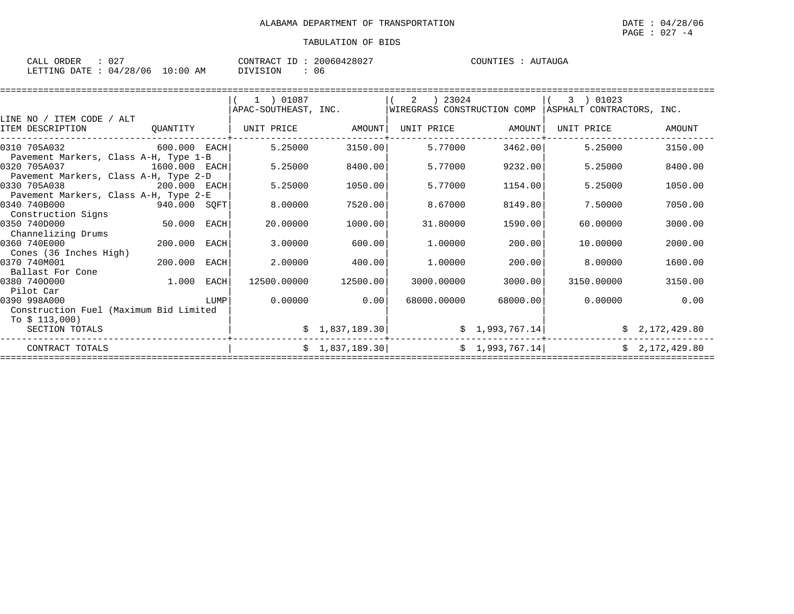| ORDER<br>CALL | U 4      |             | T <sub>0</sub><br>CONTRACT | 20060428027 | COUNTIES | \IJTAIJG;<br>$\Delta$ I |
|---------------|----------|-------------|----------------------------|-------------|----------|-------------------------|
| LETTING DATE  | 04/28/06 | 10:00<br>AΜ | SION<br>7777               | 06          |          |                         |

|                                        |               |      | 1 ) 01087            |                | 2<br>) 23024                |                 | 01023<br>3                |                |
|----------------------------------------|---------------|------|----------------------|----------------|-----------------------------|-----------------|---------------------------|----------------|
|                                        |               |      | APAC-SOUTHEAST, INC. |                | WIREGRASS CONSTRUCTION COMP |                 | ASPHALT CONTRACTORS, INC. |                |
| LINE NO / ITEM CODE / ALT              |               |      |                      |                |                             |                 |                           |                |
| ITEM DESCRIPTION                       | OUANTITY      |      | UNIT PRICE           | AMOUNT         | UNIT PRICE                  | AMOUNT          | UNIT PRICE                | AMOUNT         |
| 0310 705A032                           | 600.000 EACH  |      | 5.25000              | 3150.00        | 5.77000                     | 3462.00         | 5.25000                   | 3150.00        |
| Pavement Markers, Class A-H, Type 1-B  |               |      |                      |                |                             |                 |                           |                |
| 0320 705A037                           | 1600.000 EACH |      | 5.25000              | 8400.00        | 5.77000                     | 9232.00         | 5.25000                   | 8400.00        |
| Pavement Markers, Class A-H, Type 2-D  |               |      |                      |                |                             |                 |                           |                |
| 0330 705A038<br>200.000 EACH           |               |      | 5.25000              | 1050.00        | 5.77000                     | 1154.00         | 5.25000                   | 1050.00        |
| Pavement Markers, Class A-H, Type 2-E  |               |      |                      |                |                             |                 |                           |                |
| 0340 740B000<br>940.000 SQFT           |               |      | 8.00000              | 7520.00        | 8.67000                     | 8149.80         | 7.50000                   | 7050.00        |
| Construction Signs                     |               |      |                      |                |                             |                 |                           |                |
| 0350 740D000                           | 50.000 EACH   |      | 20.00000             | 1000.00        | 31.80000                    | 1590.00         | 60.00000                  | 3000.00        |
| Channelizing Drums                     |               |      |                      |                |                             |                 |                           |                |
| 0360 740E000                           | 200.000       | EACH | 3.00000              | 600.00         | 1,00000                     | 200.00          | 10.00000                  | 2000.00        |
| Cones (36 Inches High)                 |               |      |                      |                |                             |                 |                           |                |
| 0370 740M001                           | 200.000       | EACH | 2.00000              | 400.00         | 1,00000                     | 200.00          | 8,00000                   | 1600.00        |
| Ballast For Cone                       |               |      |                      |                |                             |                 |                           |                |
| 0380 7400000                           | $1.000$ EACH  |      | 12500.00000          | 12500.00       | 3000.00000                  | 3000.00         | 3150.00000                | 3150.00        |
| Pilot Car                              |               |      |                      |                |                             |                 |                           |                |
| 0390 998A000                           |               | LUMP | 0.00000              | 0.00           | 68000.00000                 | 68000.00        | 0.00000                   | 0.00           |
| Construction Fuel (Maximum Bid Limited |               |      |                      |                |                             |                 |                           |                |
| To $$113,000$                          |               |      |                      |                |                             |                 |                           |                |
| SECTION TOTALS                         |               |      |                      | \$1,837,189.30 |                             | \$1,993,767.14] |                           | \$2,172,429.80 |
| CONTRACT TOTALS                        |               |      |                      | \$1,837,189.30 |                             | \$1,993,767.14] |                           | \$2,172,429.80 |
|                                        |               |      |                      |                |                             |                 |                           |                |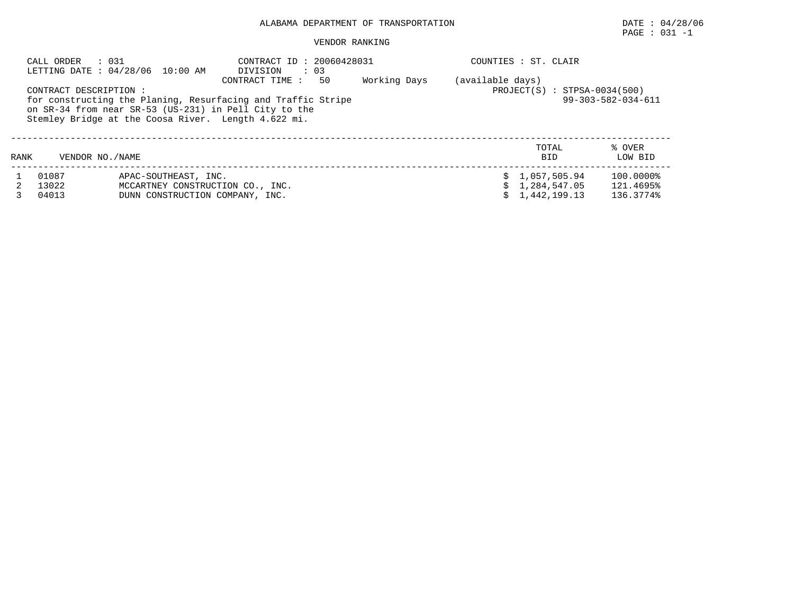# PAGE : 031 -1

|                                                                                                                                                                                                                                                                                                                                       | CALL ORDER<br>: 031     | LETTING DATE: 04/28/06 10:00 AM                                                             | CONTRACT ID: 20060428031<br>DIVISION : 03 |  |  |  | COUNTIES : ST. CLAIR                             |                                     |
|---------------------------------------------------------------------------------------------------------------------------------------------------------------------------------------------------------------------------------------------------------------------------------------------------------------------------------------|-------------------------|---------------------------------------------------------------------------------------------|-------------------------------------------|--|--|--|--------------------------------------------------|-------------------------------------|
| Working Days<br>(available days)<br>50<br>CONTRACT TIME :<br>$PROJECT(S) : STPSA-0034(500)$<br>CONTRACT DESCRIPTION :<br>$99 - 303 - 582 - 034 - 611$<br>for constructing the Planing, Resurfacing and Traffic Stripe<br>on SR-34 from near SR-53 (US-231) in Pell City to the<br>Stemley Bridge at the Coosa River. Length 4.622 mi. |                         |                                                                                             |                                           |  |  |  |                                                  |                                     |
| RANK                                                                                                                                                                                                                                                                                                                                  | VENDOR NO. / NAME       |                                                                                             |                                           |  |  |  | TOTAL<br><b>BID</b>                              | % OVER<br>LOW BID                   |
|                                                                                                                                                                                                                                                                                                                                       | 01087<br>13022<br>04013 | APAC-SOUTHEAST, INC.<br>MCCARTNEY CONSTRUCTION CO., INC.<br>DUNN CONSTRUCTION COMPANY, INC. |                                           |  |  |  | \$1,057,505.94<br>\$1,284,547.05<br>1,442,199.13 | 100.0000%<br>121.4695%<br>136.3774% |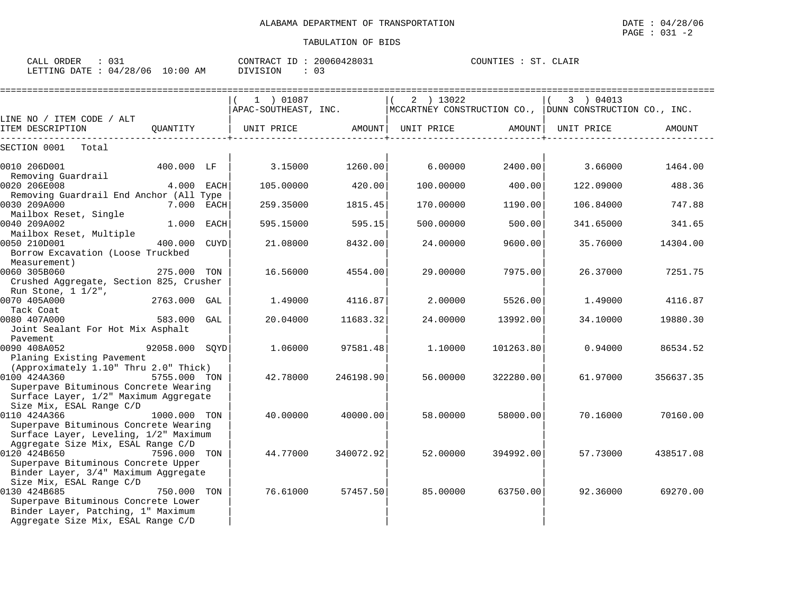| ORDER<br>CALL Q                 | CONTRACT ID: 20060428031 | COUNTIES :<br>ST<br>CLAIR |
|---------------------------------|--------------------------|---------------------------|
| LETTING DATE: 04/28/06 10:00 AM | DIVISION                 |                           |

|                                                                                                                                                             |              |                              |                     |            | ===================== |                                                                              |           |
|-------------------------------------------------------------------------------------------------------------------------------------------------------------|--------------|------------------------------|---------------------|------------|-----------------------|------------------------------------------------------------------------------|-----------|
|                                                                                                                                                             |              | 1 ) 01087                    |                     | 2 ) 13022  |                       | 3 ) 04013                                                                    |           |
| LINE NO / ITEM CODE / ALT                                                                                                                                   |              |                              |                     |            |                       | APAC-SOUTHEAST, INC. MCCARTNEY CONSTRUCTION CO., DUNN CONSTRUCTION CO., INC. |           |
| ITEM DESCRIPTION                                                                                                                                            |              | QUANTITY   UNIT PRICE AMOUNT |                     | UNIT PRICE | AMOUNT I              | UNIT PRICE                                                                   | AMOUNT    |
| SECTION 0001<br>Total                                                                                                                                       |              |                              |                     |            |                       |                                                                              |           |
| 0010 206D001                                                                                                                                                | 400.000 LF   |                              | $3.15000$ $1260.00$ |            | $6.00000$ 2400.00     | 3.66000                                                                      | 1464.00   |
| Removing Guardrail<br>0020 206E008                                                                                                                          | $4.000$ EACH | 105.00000                    | 420.00              | 100.00000  | 400.00                | 122.09000                                                                    | 488.36    |
| Removing Guardrail End Anchor (All Type<br>0030 209A000                                                                                                     | 7.000 EACH   | 259.35000                    | 1815.45             | 170.00000  | 1190.00               | 106.84000                                                                    | 747.88    |
| Mailbox Reset, Single<br>0040 209A002                                                                                                                       | 1.000 EACH   | 595.15000                    | 595.15              | 500.00000  | 500.00                | 341.65000                                                                    | 341.65    |
| Mailbox Reset, Multiple<br>0050 210D001<br>Borrow Excavation (Loose Truckbed                                                                                | 400.000 CUYD | 21.08000                     | 8432.00             | 24.00000   | 9600.00               | 35.76000                                                                     | 14304.00  |
| Measurement)<br>0060 305B060<br>Crushed Aggregate, Section 825, Crusher                                                                                     | 275.000 TON  | 16.56000                     | 4554.00             | 29,00000   | 7975.00               | 26.37000                                                                     | 7251.75   |
| Run Stone, 1 1/2",<br>2763.000 GAL<br>0070 405A000<br>Tack Coat                                                                                             |              | 1.49000                      | 4116.87             | 2,00000    | 5526.00               | 1.49000                                                                      | 4116.87   |
| 0080 407A000<br>Joint Sealant For Hot Mix Asphalt                                                                                                           | 583.000 GAL  | 20.04000                     | 11683.32            | 24.00000   | 13992.00              | 34.10000                                                                     | 19880.30  |
| Pavement<br>$92058.000$ SQYD<br>0090 408A052<br>Planing Existing Pavement                                                                                   |              | 1.06000                      | 97581.48            | 1.10000    | 101263.80             | 0.94000                                                                      | 86534.52  |
| (Approximately 1.10" Thru 2.0" Thick)<br>0100 424A360<br>Superpave Bituminous Concrete Wearing<br>Surface Layer, 1/2" Maximum Aggregate                     | 5755.000 TON | 42.78000                     | 246198.901          | 56.00000   | 322280.00             | 61.97000                                                                     | 356637.35 |
| Size Mix, ESAL Range C/D<br>0110 424A366<br>1000.000 TON<br>Superpave Bituminous Concrete Wearing<br>Surface Layer, Leveling, 1/2" Maximum                  |              | 40.00000                     | 40000.00            | 58.00000   | 58000.00              | 70.16000                                                                     | 70160.00  |
| Aggregate Size Mix, ESAL Range C/D<br>0120 424B650<br>Superpave Bituminous Concrete Upper<br>Binder Layer, 3/4" Maximum Aggregate                           | 7596.000 TON | 44.77000                     | 340072.92           | 52.00000   | 394992.00             | 57.73000                                                                     | 438517.08 |
| Size Mix, ESAL Range C/D<br>0130 424B685<br>Superpave Bituminous Concrete Lower<br>Binder Layer, Patching, 1" Maximum<br>Aggregate Size Mix, ESAL Range C/D | 750.000 TON  | 76.61000                     | 57457.50            | 85.00000   | 63750.00              | 92.36000                                                                     | 69270.00  |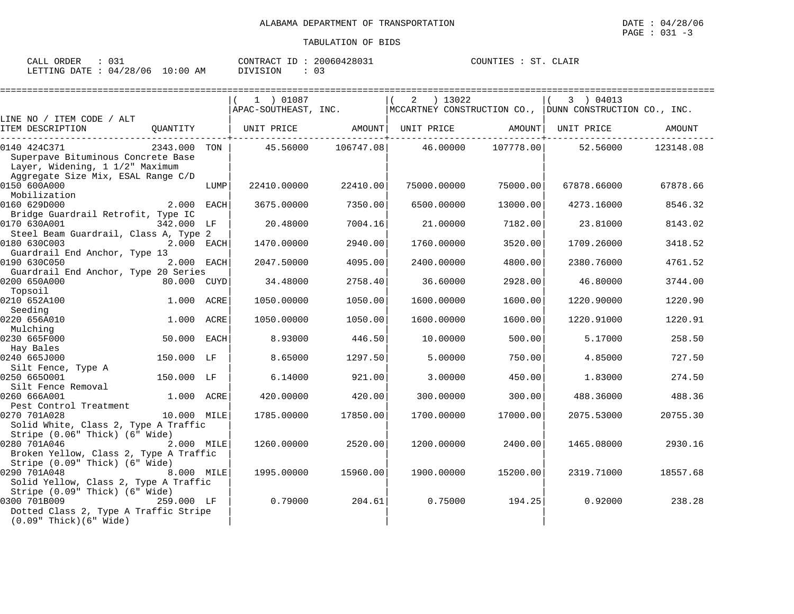| CALL ORDER<br>: 031              |          | CONTRACT ID: 20060428031 | COUNTIES : ST. CLAIR |
|----------------------------------|----------|--------------------------|----------------------|
| LETTING DATE : 04/28/06 10:00 AM | DIVISION |                          |                      |

|                                                                                                                                                                     |              |      | ============================                                |                    |             |           |                                                                              |           |
|---------------------------------------------------------------------------------------------------------------------------------------------------------------------|--------------|------|-------------------------------------------------------------|--------------------|-------------|-----------|------------------------------------------------------------------------------|-----------|
|                                                                                                                                                                     |              |      | 1 ) 01087                                                   |                    | $2 \t13022$ |           | 3 ) 04013                                                                    |           |
|                                                                                                                                                                     |              |      |                                                             |                    |             |           | APAC-SOUTHEAST, INC. MCCARTNEY CONSTRUCTION CO., DUNN CONSTRUCTION CO., INC. |           |
| LINE NO / ITEM CODE / ALT<br>ITEM DESCRIPTION                                                                                                                       |              |      |                                                             |                    |             |           |                                                                              | AMOUNT    |
|                                                                                                                                                                     |              |      | QUANTITY   UNIT PRICE AMOUNT  UNIT PRICE AMOUNT  UNIT PRICE |                    |             |           |                                                                              |           |
| 0140 424C371                                                                                                                                                        | 2343.000 TON |      |                                                             | 45.56000 106747.08 | 46.00000    | 107778.00 | 52.56000                                                                     | 123148.08 |
| Superpave Bituminous Concrete Base<br>Superpave Bituminous Company<br>  Layer, Widening, 1 1/2" Maximum<br>  Mir FRAL Range (<br>Aggregate Size Mix, ESAL Range C/D |              |      |                                                             |                    |             |           |                                                                              |           |
| 0150 600A000<br>Mobilization                                                                                                                                        |              | LUMP | 22410.00000                                                 | 22410.00           | 75000.00000 | 75000.00  | 67878.66000                                                                  | 67878.66  |
| 0160 629D000                                                                                                                                                        | 2.000 EACH   |      | 3675.00000                                                  | 7350.00            | 6500.00000  | 13000.00  | 4273.16000                                                                   | 8546.32   |
| Bridge Guardrail Retrofit, Type IC                                                                                                                                  |              |      |                                                             |                    |             |           |                                                                              |           |
| 0170 630A001                                                                                                                                                        | 342.000 LF   |      | 20.48000                                                    | 7004.16            | 21.00000    | 7182.00   | 23.81000                                                                     | 8143.02   |
| Steel Beam Guardrail, Class A, Type 2                                                                                                                               |              |      |                                                             |                    |             |           |                                                                              |           |
| 0180 630C003                                                                                                                                                        | 2.000 EACH   |      | 1470.00000                                                  | 2940.00            | 1760.00000  | 3520.00   | 1709.26000                                                                   | 3418.52   |
| Guardrail End Anchor, Type 13<br>0190 630C050                                                                                                                       | 2.000 EACH   |      | 2047.50000                                                  | 4095.00            |             | 4800.00   |                                                                              | 4761.52   |
| Guardrail End Anchor, Type 20 Series                                                                                                                                |              |      |                                                             |                    | 2400.00000  |           | 2380.76000                                                                   |           |
| 0200 650A000                                                                                                                                                        | 80.000 CUYD  |      | 34.48000                                                    | 2758.40            | 36.60000    | 2928.00   | 46.80000                                                                     | 3744.00   |
| Topsoil                                                                                                                                                             |              |      |                                                             |                    |             |           |                                                                              |           |
| 0210 652A100                                                                                                                                                        | 1.000 ACRE   |      | 1050.00000                                                  | 1050.00            | 1600.00000  | 1600.00   | 1220.90000                                                                   | 1220.90   |
| Seeding                                                                                                                                                             |              |      |                                                             |                    |             |           |                                                                              |           |
| 0220 656A010                                                                                                                                                        | 1.000        | ACRE | 1050.00000                                                  | 1050.00            | 1600.00000  | 1600.00   | 1220.91000                                                                   | 1220.91   |
| Mulching<br>0230 665F000                                                                                                                                            | 50.000 EACH  |      | 8.93000                                                     | 446.50             | 10,00000    | 500.00    | 5.17000                                                                      | 258.50    |
| Hay Bales                                                                                                                                                           |              |      |                                                             |                    |             |           |                                                                              |           |
| 0240 665J000                                                                                                                                                        | 150.000 LF   |      | 8.65000                                                     | 1297.50            | 5.00000     | 750.00    | 4.85000                                                                      | 727.50    |
| Silt Fence, Type A                                                                                                                                                  |              |      |                                                             |                    |             |           |                                                                              |           |
| 0250 6650001                                                                                                                                                        | 150.000 LF   |      | 6.14000                                                     | 921.00             | 3.00000     | 450.00    | 1.83000                                                                      | 274.50    |
| Silt Fence Removal                                                                                                                                                  |              |      |                                                             |                    |             |           |                                                                              |           |
| 0260 666A001                                                                                                                                                        | 1.000 ACRE   |      | 420.00000                                                   | 420.00             | 300.00000   | 300.00    | 488.36000                                                                    | 488.36    |
| Pest Control Treatment<br>0270 701A028                                                                                                                              | 10.000 MILE  |      | 1785.00000                                                  | 17850.00           | 1700.00000  | 17000.00  | 2075.53000                                                                   | 20755.30  |
| Solid White, Class 2, Type A Traffic                                                                                                                                |              |      |                                                             |                    |             |           |                                                                              |           |
| Stripe (0.06" Thick) (6" Wide)                                                                                                                                      |              |      |                                                             |                    |             |           |                                                                              |           |
| 0280 701A046                                                                                                                                                        | 2.000 MILE   |      | 1260.00000                                                  | 2520.00            | 1200.00000  | 2400.00   | 1465.08000                                                                   | 2930.16   |
| Broken Yellow, Class 2, Type A Traffic                                                                                                                              |              |      |                                                             |                    |             |           |                                                                              |           |
| Stripe $(0.09"$ Thick) $(6"$ Wide)                                                                                                                                  |              |      |                                                             |                    |             |           |                                                                              |           |
| 0290 701A048<br>8.000 MILE                                                                                                                                          |              |      | 1995.00000                                                  | 15960.00           | 1900.00000  | 15200.00  | 2319.71000                                                                   | 18557.68  |
| Solid Yellow, Class 2, Type A Traffic                                                                                                                               |              |      |                                                             |                    |             |           |                                                                              |           |
| Stripe (0.09" Thick) (6" Wide)<br>0300 701B009                                                                                                                      | 259.000 LF   |      | 0.79000                                                     | 204.61             | 0.75000     | 194.25    | 0.92000                                                                      | 238.28    |
| Dotted Class 2, Type A Traffic Stripe                                                                                                                               |              |      |                                                             |                    |             |           |                                                                              |           |
| $(0.09"$ Thick $)(6"$ Wide)                                                                                                                                         |              |      |                                                             |                    |             |           |                                                                              |           |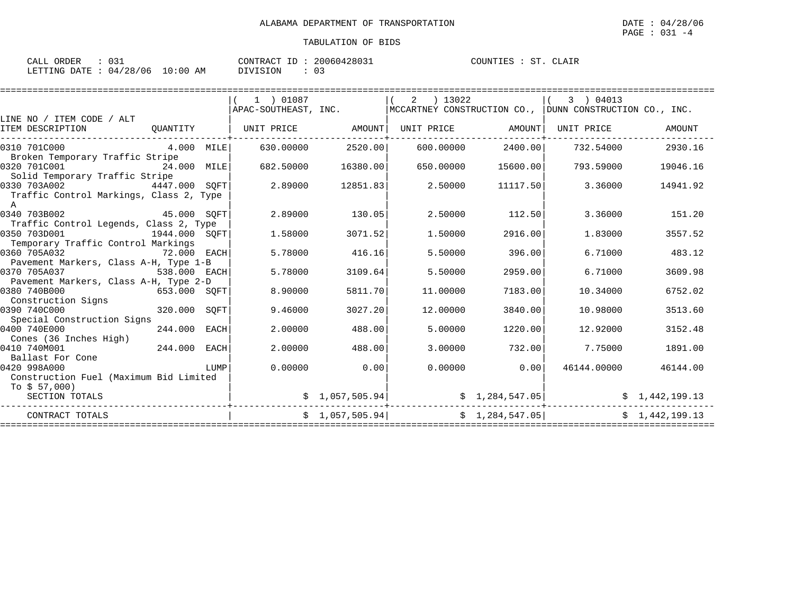| 031<br>ORDER<br>CALL   |             | 20060428031<br>CONTRACT<br>ID. | ST<br>COUNTIES<br>CLAIR |
|------------------------|-------------|--------------------------------|-------------------------|
| LETTING DATE: 04/28/06 | 10:00<br>ΆM | <b>DIVISION</b>                |                         |

|                                         |              |      | 1 ) 01087            |                 | 2<br>) 13022 |                 | 3 ) 04013                                                       |                |
|-----------------------------------------|--------------|------|----------------------|-----------------|--------------|-----------------|-----------------------------------------------------------------|----------------|
|                                         |              |      | APAC-SOUTHEAST, INC. |                 |              |                 | $ $ MCCARTNEY CONSTRUCTION CO., $ $ DUNN CONSTRUCTION CO., INC. |                |
| LINE NO / ITEM CODE / ALT               |              |      |                      |                 |              |                 |                                                                 |                |
| ITEM DESCRIPTION                        | OUANTITY     |      | UNIT PRICE AMOUNT    |                 |              |                 |                                                                 | AMOUNT         |
|                                         |              |      |                      |                 |              |                 |                                                                 |                |
| 0310 701C000                            | $4.000$ MILE |      | 630.00000            | 2520.001        | 600.00000    | 2400.00         | 732.54000                                                       | 2930.16        |
| Broken Temporary Traffic Stripe         |              |      |                      |                 |              |                 |                                                                 |                |
| 0320 701C001                            | 24.000 MILE  |      | 682.50000            | 16380.00        | 650.00000    | 15600.00        | 793.59000                                                       | 19046.16       |
| Solid Temporary Traffic Stripe          |              |      |                      |                 |              |                 |                                                                 |                |
| 0330 703A002<br>4447.000 SOFT           |              |      | 2.89000              | 12851.83        | 2.50000      | 11117.50        | 3.36000                                                         | 14941.92       |
| Traffic Control Markings, Class 2, Type |              |      |                      |                 |              |                 |                                                                 |                |
| $\mathbf{A}$                            |              |      |                      |                 |              |                 |                                                                 |                |
| 0340 703B002<br>45.000 SOFT             |              |      | 2.89000              | 130.05          | 2.50000      | 112.50          | 3.36000                                                         | 151.20         |
| Traffic Control Legends, Class 2, Type  |              |      |                      |                 |              |                 |                                                                 |                |
| 0350 703D001<br>1944.000 SOFT           |              |      | 1.58000              | 3071.52         | 1.50000      | 2916.00         | 1.83000                                                         | 3557.52        |
| Temporary Traffic Control Markings      |              |      |                      |                 |              |                 |                                                                 |                |
| 0360 705A032<br>72.000 EACH             |              |      | 5.78000              | 416.16          | 5.50000      | 396.00          | 6.71000                                                         | 483.12         |
| Pavement Markers, Class A-H, Type 1-B   |              |      |                      |                 |              |                 |                                                                 |                |
| 0370 705A037                            | 538.000 EACH |      | 5.78000              | 3109.64         | 5.50000      | 2959.00         | 6.71000                                                         | 3609.98        |
| Pavement Markers, Class A-H, Type 2-D   |              |      |                      |                 |              |                 |                                                                 |                |
| 0380 740B000                            | 653.000 SQFT |      | 8.90000              | 5811.70         | 11,00000     | 7183.00         | 10.34000                                                        | 6752.02        |
| Construction Signs                      |              |      |                      |                 |              |                 |                                                                 |                |
| 0390 740C000                            | 320.000      | SOFT | 9.46000              | 3027.20         | 12,00000     | 3840.00         | 10.98000                                                        | 3513.60        |
| Special Construction Signs              |              |      |                      |                 |              |                 |                                                                 |                |
| 0400 740E000                            | 244.000      | EACH | 2,00000              | 488.00          | 5.00000      | 1220.00         | 12.92000                                                        | 3152.48        |
| Cones (36 Inches High)                  |              |      |                      |                 |              |                 |                                                                 |                |
| 0410 740M001                            | 244.000 EACH |      | 2.00000              | 488.00          | 3,00000      | 732.00          | 7.75000                                                         | 1891.00        |
| Ballast For Cone                        |              |      |                      |                 |              |                 |                                                                 |                |
| 0420 998A000                            |              | LUMP | 0.00000              | 0.00            | 0.00000      | 0.00            | 46144.00000                                                     | 46144.00       |
| Construction Fuel (Maximum Bid Limited  |              |      |                      |                 |              |                 |                                                                 |                |
| To $$57,000$ )                          |              |      |                      |                 |              |                 |                                                                 |                |
| SECTION TOTALS                          |              |      |                      | \$1,057,505.94] |              | \$1,284,547.05  |                                                                 | \$1,442,199.13 |
| CONTRACT TOTALS                         |              |      |                      | \$1,057,505.94] |              | \$1,284,547.05] |                                                                 | \$1,442,199.13 |
|                                         |              |      |                      |                 |              |                 |                                                                 |                |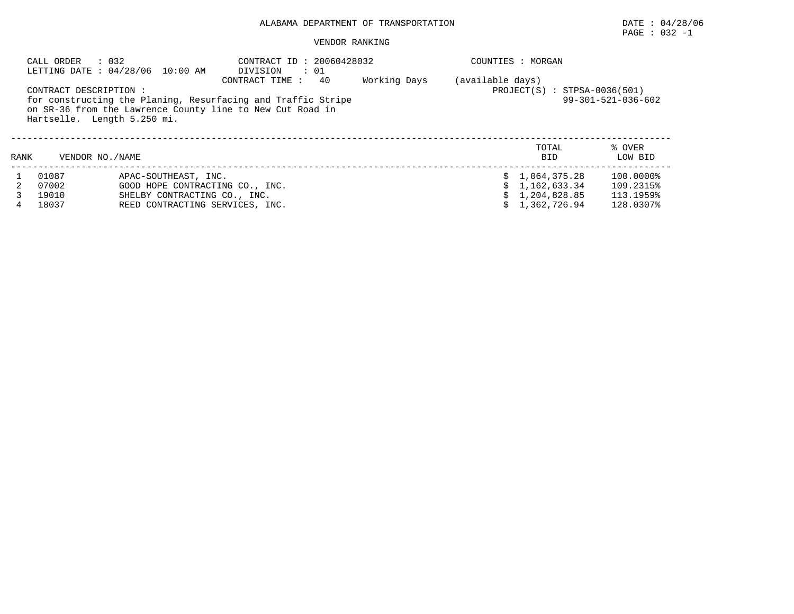# $\texttt{PAGE}$  : 032 -1

|      | CALL ORDER                                            | : 032<br>LETTING DATE: 04/28/06 10:00 AM | CONTRACT ID: 20060428032<br>DIVISION<br>$\cdot$ 01                                                                                                |              |                  | COUNTIES : MORGAN              |                              |
|------|-------------------------------------------------------|------------------------------------------|---------------------------------------------------------------------------------------------------------------------------------------------------|--------------|------------------|--------------------------------|------------------------------|
|      | CONTRACT DESCRIPTION :<br>Hartselle. Length 5.250 mi. |                                          | CONTRACT TIME:<br>40<br>for constructing the Planing, Resurfacing and Traffic Stripe<br>on SR-36 from the Lawrence County line to New Cut Road in | Working Days | (available days) | $PROJECT(S)$ : STPSA-0036(501) | $99 - 301 - 521 - 036 - 602$ |
| RANK | VENDOR NO. / NAME                                     |                                          |                                                                                                                                                   |              |                  | TOTAL<br><b>BID</b>            | % OVER<br>LOW BID            |
|      | 01087                                                 | APAC-SOUTHEAST, INC.                     |                                                                                                                                                   |              |                  | \$1,064,375.28                 | 100.0000%                    |
|      | 07002                                                 | GOOD HOPE CONTRACTING CO., INC.          |                                                                                                                                                   |              |                  | \$1,162,633.34                 | 109.2315%                    |
|      | 19010                                                 | SHELBY CONTRACTING CO., INC.             |                                                                                                                                                   |              |                  | 1,204,828.85                   | 113.1959%                    |
| 4    | 18037                                                 | REED CONTRACTING SERVICES, INC.          |                                                                                                                                                   |              |                  | 1,362,726.94                   | 128.0307%                    |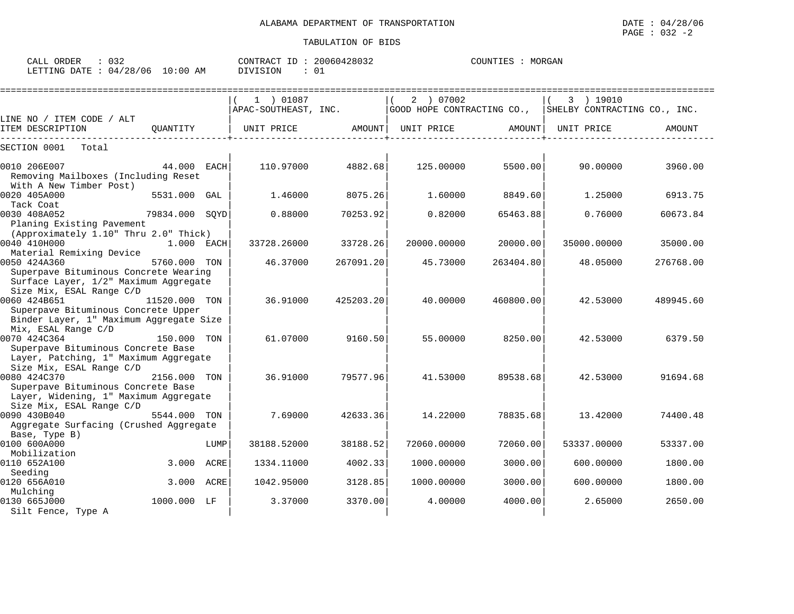| ORDER<br>CALL  | $\sim$ $\sim$ $\sim$ |          | CONTRACT ID | 20060428032   | COUNTIES | MORGAN |
|----------------|----------------------|----------|-------------|---------------|----------|--------|
| LETTING DATE : | 04/28/06             | 10:00 AM | DIVISION    | $\cap$<br>്ധ⊥ |          |        |

|                                                                                                                            |                |      | 1 ) 01087            |           | 2 ) 07002   |           | 3 ) 19010                                               |           |
|----------------------------------------------------------------------------------------------------------------------------|----------------|------|----------------------|-----------|-------------|-----------|---------------------------------------------------------|-----------|
|                                                                                                                            |                |      | APAC-SOUTHEAST, INC. |           |             |           | GOOD HOPE CONTRACTING CO., SHELBY CONTRACTING CO., INC. |           |
| LINE NO / ITEM CODE / ALT<br>ITEM DESCRIPTION                                                                              | OUANTITY       |      | UNIT PRICE           | AMOUNT    | UNIT PRICE  | AMOUNT    | UNIT PRICE                                              | AMOUNT    |
| SECTION 0001<br>Total                                                                                                      |                |      |                      |           |             |           |                                                         |           |
| 0010 206E007<br>Removing Mailboxes (Including Reset<br>With A New Timber Post)                                             | 44.000 EACH    |      | 110.97000            | 4882.68   | 125.00000   | 5500.00   | 90.00000                                                | 3960.00   |
| 0020 405A000<br>Tack Coat                                                                                                  | 5531.000 GAL   |      | 1.46000              | 8075.26   | 1.60000     | 8849.60   | 1.25000                                                 | 6913.75   |
| 0030 408A052<br>Planing Existing Pavement                                                                                  | 79834.000 SQYD |      | 0.88000              | 70253.92  | 0.82000     | 65463.88  | 0.76000                                                 | 60673.84  |
| (Approximately 1.10" Thru 2.0" Thick)<br>0040 410H000<br>Material Remixing Device                                          | $1.000$ EACH   |      | 33728.26000          | 33728.26  | 20000.00000 | 20000.00  | 35000.00000                                             | 35000.00  |
| 0050 424A360<br>Superpave Bituminous Concrete Wearing<br>Surface Layer, 1/2" Maximum Aggregate                             | 5760.000 TON   |      | 46.37000             | 267091.20 | 45.73000    | 263404.80 | 48.05000                                                | 276768.00 |
| Size Mix, ESAL Range C/D<br>0060 424B651<br>Superpave Bituminous Concrete Upper<br>Binder Layer, 1" Maximum Aggregate Size | 11520.000 TON  |      | 36.91000             | 425203.20 | 40.00000    | 460800.00 | 42.53000                                                | 489945.60 |
| Mix, ESAL Range C/D<br>0070 424C364<br>Superpave Bituminous Concrete Base<br>Layer, Patching, 1" Maximum Aggregate         | 150.000 TON    |      | 61.07000             | 9160.50   | 55.00000    | 8250.00   | 42.53000                                                | 6379.50   |
| Size Mix, ESAL Range C/D<br>0080 424C370<br>Superpave Bituminous Concrete Base<br>Layer, Widening, 1" Maximum Aggregate    | 2156.000 TON   |      | 36.91000             | 79577.96  | 41.53000    | 89538.68  | 42.53000                                                | 91694.68  |
| Size Mix, ESAL Range C/D<br>0090 430B040<br>Aggregate Surfacing (Crushed Aggregate                                         | 5544.000 TON   |      | 7.69000              | 42633.36  | 14.22000    | 78835.68  | 13.42000                                                | 74400.48  |
| Base, Type B)<br>0100 600A000                                                                                              |                | LUMP | 38188.52000          | 38188.52  | 72060.00000 | 72060.00  | 53337.00000                                             | 53337.00  |
| Mobilization<br>0110 652A100<br>Seeding                                                                                    | 3.000          | ACRE | 1334.11000           | 4002.33   | 1000.00000  | 3000.00   | 600.00000                                               | 1800.00   |
| 0120 656A010<br>Mulching                                                                                                   | 3.000 ACRE     |      | 1042.95000           | 3128.85   | 1000.00000  | 3000.00   | 600.00000                                               | 1800.00   |
| 0130 665J000<br>Silt Fence, Type A                                                                                         | 1000.000 LF    |      | 3.37000              | 3370.00   | 4.00000     | 4000.00   | 2.65000                                                 | 2650.00   |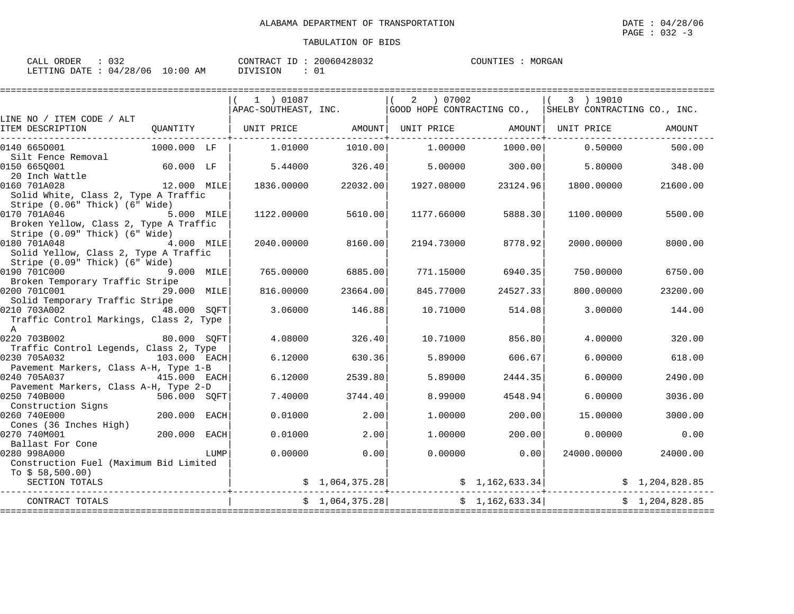| CALL ORDER                      |  |          | CONTRACT ID: 20060428032 | COUNTIES : MORGAN |  |
|---------------------------------|--|----------|--------------------------|-------------------|--|
| LETTING DATE: 04/28/06 10:00 AM |  | DIVISION |                          |                   |  |

|                                                                                           |                         |      | $(1)$ 01087                                                 |                 | 2 ) 07002  |                 | 3 ) 19010<br>APAC-SOUTHEAST, INC. (GOOD HOPE CONTRACTING CO., SHELBY CONTRACTING CO., INC. |                |
|-------------------------------------------------------------------------------------------|-------------------------|------|-------------------------------------------------------------|-----------------|------------|-----------------|--------------------------------------------------------------------------------------------|----------------|
| LINE NO / ITEM CODE / ALT                                                                 |                         |      |                                                             |                 |            |                 |                                                                                            |                |
| ITEM DESCRIPTION                                                                          |                         |      | QUANTITY   UNIT PRICE AMOUNT  UNIT PRICE AMOUNT  UNIT PRICE |                 |            |                 |                                                                                            | AMOUNT         |
| 0140 6650001                                                                              | 1000.000 LF             |      | 1.01000                                                     | 1010.00         | 1.00000    | 1000.00         | 0.50000                                                                                    | 500.00         |
| Silt Fence Removal<br>0150 6650001                                                        | 60.000 LF               |      | 5.44000                                                     | 326.40          | 5.00000    | 300.00          | 5.80000                                                                                    | 348.00         |
| 20 Inch Wattle<br>0160 701A028<br>Solid White, Class 2, Type A Traffic                    | 12.000 MILE             |      | 1836.00000                                                  | 22032.00        | 1927.08000 | 23124.96        | 1800.00000                                                                                 | 21600.00       |
| Stripe (0.06" Thick) (6" Wide)<br>0170 701A046<br>5.000 MILE                              |                         |      | 1122.00000                                                  | 5610.00         | 1177.66000 | 5888.30         | 1100.00000                                                                                 | 5500.00        |
| Broken Yellow, Class 2, Type A Traffic<br>Stripe (0.09" Thick) (6" Wide)                  |                         |      |                                                             |                 |            |                 |                                                                                            |                |
| 0180 701A048<br>Solid Yellow, Class 2, Type A Traffic                                     | 4.000 MILE              |      | 2040.00000                                                  | 8160.00         | 2194.73000 | 8778.92         | 2000.00000                                                                                 | 8000.00        |
| Stripe (0.09" Thick) (6" Wide)<br>0190 701C000<br>9.000 MILE                              |                         |      | 765.00000                                                   | 6885.00         | 771.15000  | 6940.35         | 750.00000                                                                                  | 6750.00        |
| Broken Temporary Traffic Stripe<br>0200 701C001                                           | 29.000 MILE             |      | 816.00000                                                   | 23664.00        | 845.77000  | 24527.33        | 800.00000                                                                                  | 23200.00       |
| Solid Temporary Traffic Stripe<br>0210 703A002<br>Traffic Control Markings, Class 2, Type | 48.000 SOFT             |      | 3.06000                                                     | 146.88          | 10.71000   | 514.08          | 3,00000                                                                                    | 144.00         |
| $\overline{A}$<br>0220 703B002<br>Traffic Control Legends, Class 2, Type                  | 80.000 SOFT             |      | 4.08000                                                     | 326.40          | 10.71000   | 856.80          | 4.00000                                                                                    | 320.00         |
| 0230 705A032<br>Pavement Markers, Class A-H, Type 1-B                                     | 103.000 EACH            |      | 6.12000                                                     | 630.36          | 5.89000    | 606.67          | 6.00000                                                                                    | 618.00         |
| 0240 705A037<br>415.000 EACH<br>Pavement Markers, Class A-H, Type 2-D                     |                         |      | 6.12000                                                     | 2539.80         | 5.89000    | 2444.35         | 6.00000                                                                                    | 2490.00        |
| 0250 740B000<br>506.000 SQFT<br>Construction Signs                                        |                         |      | 7.40000                                                     | 3744.40         | 8.99000    | 4548.94         | 6.00000                                                                                    | 3036.00        |
| 0260 740E000<br>Cones (36 Inches High)                                                    | 200.000                 | EACH | 0.01000                                                     | 2.00            | 1,00000    | 200.00          | 15,00000                                                                                   | 3000.00        |
| 0270 740M001<br>Ballast For Cone                                                          | 200.000 EACH            |      | 0.01000                                                     | 2.00            | 1,00000    | 200.00          | 0.00000                                                                                    | 0.00           |
| 0280 998A000<br>Construction Fuel (Maximum Bid Limited<br>To $$58,500.00)$                |                         | LUMP | 0.00000                                                     | 0.00            | 0.00000    | 0.00            | 24000.00000                                                                                | 24000.00       |
| SECTION TOTALS                                                                            | ---------------------+- |      |                                                             | \$1,064,375.28  |            |                 | $\frac{1}{2}$ , 1, 162, 633.34                                                             |                |
| CONTRACT TOTALS                                                                           |                         |      |                                                             | \$1,064,375.28] |            | \$1,162,633.34] |                                                                                            | \$1,204,828.85 |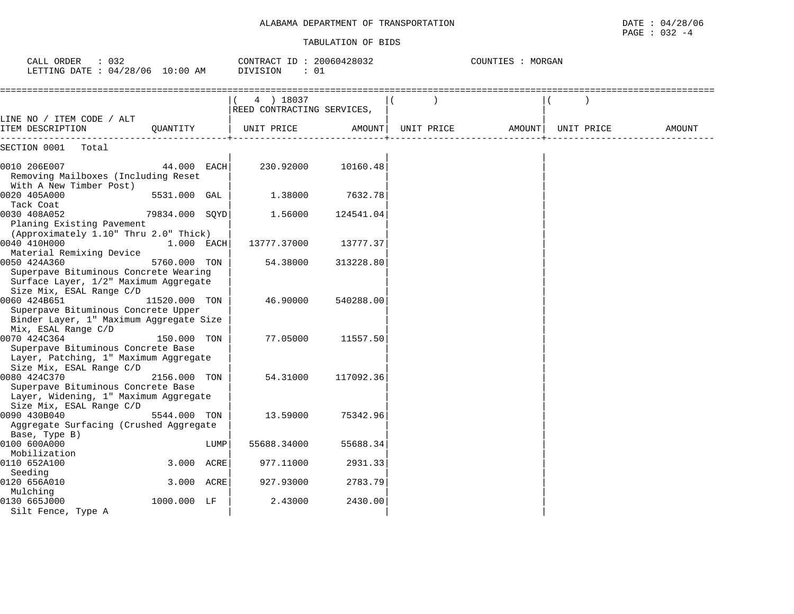# ALABAMA DEPARTMENT OF TRANSPORTATION **Example 2014 120 and 2014** to 04/28/06

#### TABULATION OF BIDS

PAGE : 032 -4

| : 032<br>CALL ORDER<br>LETTING DATE : 04/28/06 10:00 AM                                                                    |                |      | CONTRACT ID: 20060428032<br>DIVISION<br>: 01 |           |            | COUNTIES : MORGAN |            |               |
|----------------------------------------------------------------------------------------------------------------------------|----------------|------|----------------------------------------------|-----------|------------|-------------------|------------|---------------|
|                                                                                                                            |                |      | 4 ) 18037<br>REED CONTRACTING SERVICES,      |           |            |                   |            |               |
| LINE NO / ITEM CODE / ALT<br>ITEM DESCRIPTION                                                                              | OUANTITY       |      | UNIT PRICE                                   | AMOUNT    | UNIT PRICE | AMOUNT            | UNIT PRICE | <b>AMOUNT</b> |
| SECTION 0001<br>Total                                                                                                      |                |      |                                              |           |            |                   |            |               |
| 0010 206E007<br>Removing Mailboxes (Including Reset<br>With A New Timber Post)                                             | 44.000 EACH    |      | 230.92000                                    | 10160.48  |            |                   |            |               |
| 0020 405A000<br>Tack Coat                                                                                                  | 5531.000 GAL   |      | 1.38000                                      | 7632.78   |            |                   |            |               |
| 0030 408A052<br>Planing Existing Pavement<br>(Approximately 1.10" Thru 2.0" Thick)                                         | 79834.000 SOYD |      | 1.56000                                      | 124541.04 |            |                   |            |               |
| 0040 410H000<br>Material Remixing Device                                                                                   | 1.000 EACH     |      | 13777.37000                                  | 13777.37  |            |                   |            |               |
| 0050 424A360<br>Superpave Bituminous Concrete Wearing<br>Surface Layer, 1/2" Maximum Aggregate<br>Size Mix, ESAL Range C/D | 5760.000 TON   |      | 54.38000                                     | 313228.80 |            |                   |            |               |
| 0060 424B651<br>Superpave Bituminous Concrete Upper<br>Binder Layer, 1" Maximum Aggregate Size<br>Mix, ESAL Range C/D      | 11520.000 TON  |      | 46.90000                                     | 540288.00 |            |                   |            |               |
| 0070 424C364<br>Superpave Bituminous Concrete Base<br>Layer, Patching, 1" Maximum Aggregate<br>Size Mix, ESAL Range C/D    | 150.000 TON    |      | 77.05000                                     | 11557.50  |            |                   |            |               |
| 0080 424C370<br>Superpave Bituminous Concrete Base<br>Layer, Widening, 1" Maximum Aggregate<br>Size Mix, ESAL Range C/D    | 2156.000 TON   |      | 54.31000                                     | 117092.36 |            |                   |            |               |
| 0090 430B040<br>Aggregate Surfacing (Crushed Aggregate<br>Base, Type B)                                                    | 5544.000 TON   |      | 13.59000                                     | 75342.96  |            |                   |            |               |
| 0100 600A000<br>Mobilization                                                                                               |                | LUMP | 55688.34000                                  | 55688.34  |            |                   |            |               |
| 0110 652A100<br>Seeding                                                                                                    | 3.000 ACRE     |      | 977.11000                                    | 2931.33   |            |                   |            |               |
| 0120 656A010<br>Mulching                                                                                                   | 3.000 ACRE     |      | 927.93000                                    | 2783.79   |            |                   |            |               |
| 0130 665J000<br>Silt Fence, Type A                                                                                         | 1000.000 LF    |      | 2.43000                                      | 2430.00   |            |                   |            |               |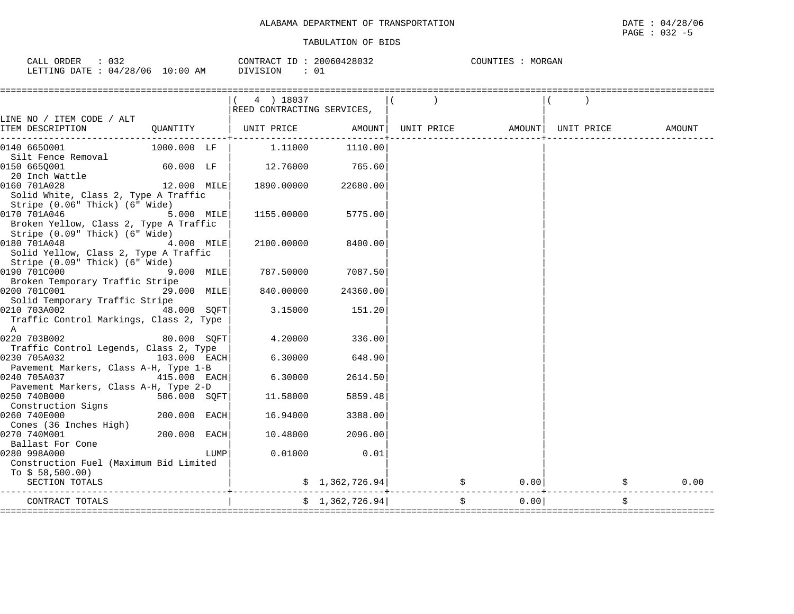| : 032<br>CALL ORDER             | CONTRACT ID: 20060428032 | MORGAN<br>COUNTIES : |
|---------------------------------|--------------------------|----------------------|
| LETTING DATE: 04/28/06 10:00 AM | DIVISION                 |                      |

|                                                                          |               |      | 4 ) 18037<br>REED CONTRACTING SERVICES, |                                     |  |                            |            |        |
|--------------------------------------------------------------------------|---------------|------|-----------------------------------------|-------------------------------------|--|----------------------------|------------|--------|
| LINE NO / ITEM CODE / ALT                                                |               |      |                                         |                                     |  |                            |            |        |
| ITEM DESCRIPTION<br>-----------------                                    | QUANTITY      |      | UNIT PRICE                              |                                     |  | AMOUNT   UNIT PRICE AMOUNT | UNIT PRICE | AMOUNT |
| 0140 6650001                                                             | 1000.000 LF   |      | 1,11000                                 | 1110.00                             |  |                            |            |        |
| Silt Fence Removal                                                       |               |      | 12.76000                                | 765.60                              |  |                            |            |        |
| 0150 665Q001<br>20 Inch Wattle                                           | $60.000$ LF   |      |                                         |                                     |  |                            |            |        |
| 0160 701A028                                                             | $12.000$ MILE |      | 1890.00000                              | 22680.00                            |  |                            |            |        |
| Solid White, Class 2, Type A Traffic                                     |               |      |                                         |                                     |  |                            |            |        |
| Stripe (0.06" Thick) (6" Wide)                                           |               |      |                                         |                                     |  |                            |            |        |
| 0170 701A046                                                             | 5.000 MILE    |      | 1155.00000                              | 5775.00                             |  |                            |            |        |
| Broken Yellow, Class 2, Type A Traffic<br>Stripe (0.09" Thick) (6" Wide) |               |      |                                         |                                     |  |                            |            |        |
| 0180 701A048                                                             | 4.000 MILE    |      | 2100.00000                              | 8400.00                             |  |                            |            |        |
| Solid Yellow, Class 2, Type A Traffic                                    |               |      |                                         |                                     |  |                            |            |        |
| Stripe (0.09" Thick) (6" Wide)                                           |               |      |                                         |                                     |  |                            |            |        |
| 0190 701C000                                                             | 9.000 MILE    |      | 787.50000                               | 7087.50                             |  |                            |            |        |
| Broken Temporary Traffic Stripe<br>0200 701C001<br>29.000 MILE           |               |      | 840.00000                               | 24360.00                            |  |                            |            |        |
| Solid Temporary Traffic Stripe                                           |               |      |                                         |                                     |  |                            |            |        |
| 0210 703A002                                                             | 48.000 SOFT   |      | 3.15000                                 | 151.20                              |  |                            |            |        |
| Traffic Control Markings, Class 2, Type                                  |               |      |                                         |                                     |  |                            |            |        |
| $\mathbb{A}$                                                             |               |      |                                         |                                     |  |                            |            |        |
| 0220 703B002<br>Traffic Control Legends, Class 2, Type                   | 80.000 SOFT   |      | 4.20000                                 | 336.00                              |  |                            |            |        |
| 0230 705A032                                                             | 103.000 EACH  |      | 6.30000                                 | 648.90                              |  |                            |            |        |
| Pavement Markers, Class A-H, Type 1-B                                    |               |      |                                         |                                     |  |                            |            |        |
| 0240 705A037<br>415.000 EACH                                             |               |      | 6.30000                                 | 2614.50                             |  |                            |            |        |
| Pavement Markers, Class A-H, Type 2-D                                    |               |      |                                         |                                     |  |                            |            |        |
| 0250 740B000<br>Construction Signs                                       | 506.000 SQFT  |      | 11.58000                                | 5859.48                             |  |                            |            |        |
| 0260 740E000                                                             | 200.000 EACH  |      | 16.94000                                | 3388.00                             |  |                            |            |        |
| Cones (36 Inches High)                                                   |               |      |                                         |                                     |  |                            |            |        |
| 0270 740M001                                                             | 200.000 EACH  |      | 10.48000                                | 2096.00                             |  |                            |            |        |
| Ballast For Cone                                                         |               |      |                                         |                                     |  |                            |            |        |
| 0280 998A000<br>Construction Fuel (Maximum Bid Limited                   |               | LUMP | 0.01000                                 | 0.01                                |  |                            |            |        |
| To $$58,500.00)$                                                         |               |      |                                         |                                     |  |                            |            |        |
| SECTION TOTALS                                                           |               |      |                                         | $\sin 1, 362, 726.94$ $\sin 9, 362$ |  | 0.00                       |            | 0.00   |
| CONTRACT TOTALS                                                          |               |      |                                         | \$1,362,726.94]                     |  | \$<br>0.00                 |            | \$     |
|                                                                          |               |      |                                         |                                     |  |                            |            |        |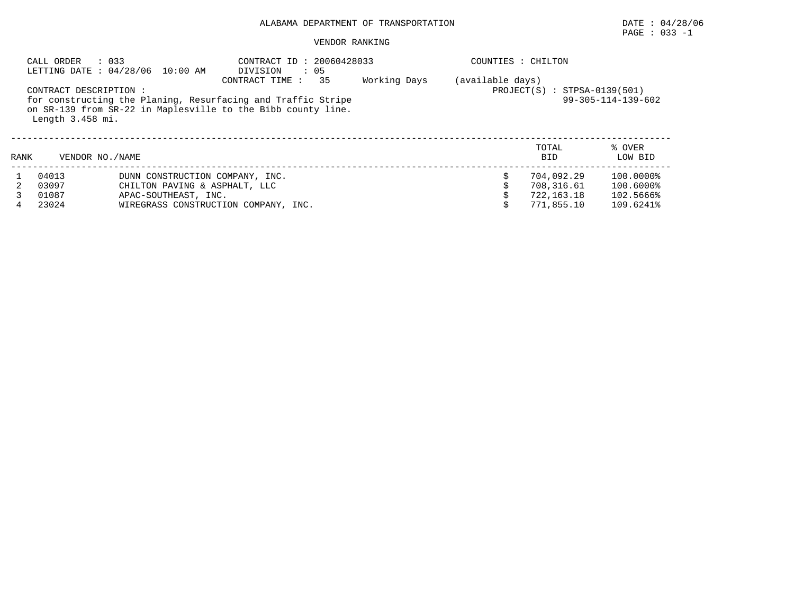# $\texttt{PAGE}$  : 033 -1

| CALL ORDER                            | : 033<br>LETTING DATE: 04/28/06 10:00 AM                                                                                                               | CONTRACT ID: 20060428033<br>: 05<br>DIVISION                             |  |   | COUNTIES : CHILTON                                   |                                                  |  |  |  |
|---------------------------------------|--------------------------------------------------------------------------------------------------------------------------------------------------------|--------------------------------------------------------------------------|--|---|------------------------------------------------------|--------------------------------------------------|--|--|--|
| Length 3.458 mi.                      | CONTRACT DESCRIPTION :<br>for constructing the Planing, Resurfacing and Traffic Stripe<br>on SR-139 from SR-22 in Maplesville to the Bibb county line. | (available days)<br>$PROJECT(S) : STPSA-0139(501)$<br>99-305-114-139-602 |  |   |                                                      |                                                  |  |  |  |
| RANK                                  | VENDOR NO. / NAME                                                                                                                                      |                                                                          |  |   | TOTAL<br><b>BID</b>                                  | % OVER<br>LOW BID                                |  |  |  |
| 04013<br>03097<br>01087<br>23024<br>4 | DUNN CONSTRUCTION COMPANY, INC.<br>CHILTON PAVING & ASPHALT, LLC<br>APAC-SOUTHEAST, INC.                                                               | WIREGRASS CONSTRUCTION COMPANY, INC.                                     |  | Ŝ | 704,092.29<br>708,316.61<br>722,163.18<br>771,855.10 | 100.0000%<br>100.6000%<br>102.5666%<br>109.6241% |  |  |  |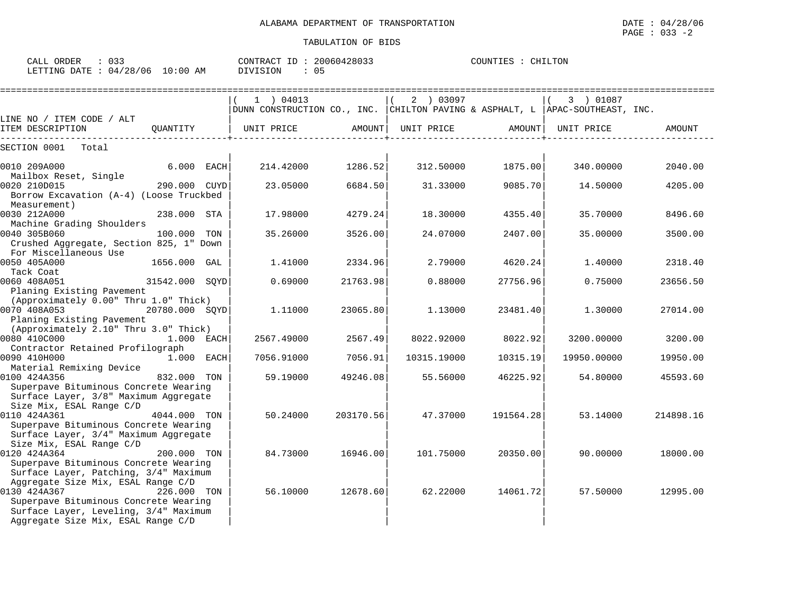| CALL ORDER : 033<br>LETTING DATE: 04/28/06 10:00 AM |          | CONTRACT ID: 20060428033<br>: 05<br>DIVISION |        |                                                                   | COUNTIES : CHILTON |            |        |
|-----------------------------------------------------|----------|----------------------------------------------|--------|-------------------------------------------------------------------|--------------------|------------|--------|
| LINE NO / ITEM CODE / ALT                           |          | 04013<br>DUNN CONSTRUCTION CO., INC.         |        | 2 ) 03097<br>  CHILTON PAVING & ASPHALT, L   APAC-SOUTHEAST, INC. |                    | 01087      |        |
| ITEM DESCRIPTION                                    | OUANTITY | UNIT PRICE                                   | AMOUNT | UNIT PRICE                                                        | AMOUNT             | UNIT PRICE | AMOUNT |
| SECTION 0001<br>Total                               |          |                                              |        |                                                                   |                    |            |        |

| CALL ORDER                       | ົດ ລິ | CONTRACT ID: 20060428033 |  | COUNTIES : CHILTO |  |
|----------------------------------|-------|--------------------------|--|-------------------|--|
| LETTING DATE : 04/28/06 10:00 AM |       | DIVISION                 |  |                   |  |

| LINE NO / ITEM CODE / ALT<br>ITEM DESCRIPTION                                                                                                    | QUANTITY       | UNIT PRICE | AMOUNT    | UNIT PRICE  | AMOUNT    | UNIT PRICE  | AMOUNT    |
|--------------------------------------------------------------------------------------------------------------------------------------------------|----------------|------------|-----------|-------------|-----------|-------------|-----------|
|                                                                                                                                                  |                |            |           |             |           |             |           |
| SECTION 0001<br>Total                                                                                                                            |                |            |           |             |           |             |           |
| $6.000$ EACH<br>0010 209A000<br>Mailbox Reset, Single                                                                                            |                | 214.42000  | 1286.52   | 312.50000   | 1875.00   | 340.00000   | 2040.00   |
| 0020 210D015<br>290.000 CUYD<br>Borrow Excavation (A-4) (Loose Truckbed<br>Measurement)                                                          |                | 23.05000   | 6684.50   | 31.33000    | 9085.70   | 14.50000    | 4205.00   |
| 0030 212A000<br>Machine Grading Shoulders                                                                                                        | 238.000 STA    | 17.98000   | 4279.24   | 18.30000    | 4355.40   | 35.70000    | 8496.60   |
| 0040 305B060<br>Crushed Aggregate, Section 825, 1" Down<br>For Miscellaneous Use                                                                 | 100.000 TON    | 35.26000   | 3526.00   | 24.07000    | 2407.00   | 35.00000    | 3500.00   |
| 0050 405A000<br>Tack Coat                                                                                                                        | 1656.000 GAL   | 1.41000    | 2334.96   | 2.79000     | 4620.24   | 1,40000     | 2318.40   |
| 0060 408A051<br>Planing Existing Pavement<br>(Approximately 0.00" Thru 1.0" Thick)                                                               | 31542.000 SQYD | 0.69000    | 21763.98  | 0.88000     | 27756.96  | 0.75000     | 23656.50  |
| 0070 408A053<br>Planing Existing Pavement                                                                                                        | 20780.000 SOYD | 1.11000    | 23065.80  | 1.13000     | 23481.40  | 1,30000     | 27014.00  |
| (Approximately 2.10" Thru 3.0" Thick)                                                                                                            | $1.000$ EACH   | 2567.49000 | 2567.49   | 8022.92000  | 8022.92   | 3200.00000  | 3200.00   |
| Contractor Retained Profilograph<br>1.000 EACH<br>0090 410H000<br>Material Remixing Device                                                       |                | 7056.91000 | 7056.91   | 10315.19000 | 10315.19  | 19950.00000 | 19950.00  |
| 0100 424A356<br>Superpave Bituminous Concrete Wearing<br>Surface Layer, 3/8" Maximum Aggregate<br>Size Mix, ESAL Range C/D                       | 832.000 TON    | 59.19000   | 49246.08  | 55.56000    | 46225.92  | 54.80000    | 45593.60  |
| 0110 424A361 4044.000 TON<br>Superpave Bituminous Concrete Wearing<br>Surface Layer, 3/4" Maximum Aggregate<br>Size Mix, ESAL Range C/D          |                | 50.24000   | 203170.56 | 47.37000    | 191564.28 | 53.14000    | 214898.16 |
| 0120 424A364<br>Superpave Bituminous Concrete Wearing<br>Surface Layer, Patching, 3/4" Maximum<br>Aggregate Size Mix, ESAL Range C/D             | 200.000 TON    | 84.73000   | 16946.00  | 101.75000   | 20350.00  | 90.00000    | 18000.00  |
| 0130 424A367 226.000 TON<br>Superpave Bituminous Concrete Wearing<br>Surface Layer, Leveling, 3/4" Maximum<br>Aggregate Size Mix, ESAL Range C/D |                | 56.10000   | 12678.60  | 62.22000    | 14061.72  | 57.50000    | 12995.00  |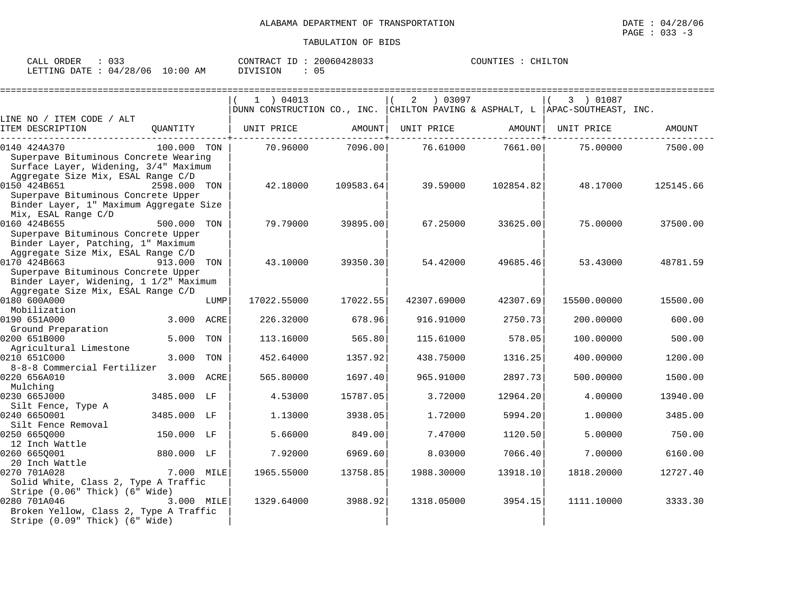| ORDER<br>CALL            |          | 20060428033<br>CONTRACT<br>ID. | COUNTIES<br>CHILTON |
|--------------------------|----------|--------------------------------|---------------------|
| 04/28/06<br>LETTING DATE | 10:00 AM | DIVISION                       |                     |

|                                         |             |      | $1$ ) 04013                                                                    |           | 03097<br>2  |           | 3 ) 01087   |           |
|-----------------------------------------|-------------|------|--------------------------------------------------------------------------------|-----------|-------------|-----------|-------------|-----------|
|                                         |             |      | DUNN CONSTRUCTION CO., INC. CHILTON PAVING & ASPHALT, L   APAC-SOUTHEAST, INC. |           |             |           |             |           |
| LINE NO / ITEM CODE / ALT               |             |      |                                                                                |           |             |           |             |           |
| ITEM DESCRIPTION                        | OUANTITY    |      | UNIT PRICE                                                                     | AMOUNT    | UNIT PRICE  | AMOUNT    | UNIT PRICE  | AMOUNT    |
| 0140 424A370                            | 100.000 TON |      | 70.96000                                                                       | 7096.00   | 76.61000    | 7661.00   | 75.00000    | 7500.00   |
| Superpave Bituminous Concrete Wearing   |             |      |                                                                                |           |             |           |             |           |
| Surface Layer, Widening, 3/4" Maximum   |             |      |                                                                                |           |             |           |             |           |
| Aggregate Size Mix, ESAL Range C/D      |             |      |                                                                                |           |             |           |             |           |
| 0150 424B651                            | 2598.000    | TON  | 42.18000                                                                       | 109583.64 | 39.59000    | 102854.82 | 48.17000    | 125145.66 |
| Superpave Bituminous Concrete Upper     |             |      |                                                                                |           |             |           |             |           |
| Binder Layer, 1" Maximum Aggregate Size |             |      |                                                                                |           |             |           |             |           |
| Mix, ESAL Range C/D                     |             |      |                                                                                |           |             |           |             |           |
| 0160 424B655                            | 500.000 TON |      | 79.79000                                                                       | 39895.00  | 67.25000    | 33625.00  | 75.00000    | 37500.00  |
| Superpave Bituminous Concrete Upper     |             |      |                                                                                |           |             |           |             |           |
| Binder Layer, Patching, 1" Maximum      |             |      |                                                                                |           |             |           |             |           |
| Aggregate Size Mix, ESAL Range C/D      |             |      |                                                                                |           |             |           |             |           |
| 0170 424B663                            | 913.000     | TON  | 43.10000                                                                       | 39350.30  | 54.42000    | 49685.46  | 53.43000    | 48781.59  |
| Superpave Bituminous Concrete Upper     |             |      |                                                                                |           |             |           |             |           |
| Binder Layer, Widening, 1 1/2" Maximum  |             |      |                                                                                |           |             |           |             |           |
| Aggregate Size Mix, ESAL Range C/D      |             |      |                                                                                |           |             |           |             |           |
| 0180 600A000                            |             | LUMP | 17022.55000                                                                    | 17022.55  | 42307.69000 | 42307.69  | 15500.00000 | 15500.00  |
| Mobilization                            |             |      |                                                                                |           |             |           |             |           |
| 0190 651A000                            | 3.000       | ACRE | 226.32000                                                                      | 678.96    | 916.91000   | 2750.73   | 200.00000   | 600.00    |
| Ground Preparation                      |             |      |                                                                                |           |             |           |             |           |
| 0200 651B000                            | 5.000       | TON  | 113.16000                                                                      | 565.80    | 115.61000   | 578.05    | 100.00000   | 500.00    |
| Agricultural Limestone                  |             |      |                                                                                |           |             |           |             |           |
| 0210 651C000                            | 3.000       | TON  | 452.64000                                                                      | 1357.92   | 438.75000   | 1316.25   | 400.00000   | 1200.00   |
| 8-8-8 Commercial Fertilizer             |             |      |                                                                                |           |             |           |             |           |
| 0220 656A010<br>Mulching                | 3.000 ACRE  |      | 565.80000                                                                      | 1697.40   | 965.91000   | 2897.73   | 500.00000   | 1500.00   |
| 0230 665J000                            | 3485.000 LF |      | 4.53000                                                                        | 15787.05  | 3.72000     | 12964.20  | 4.00000     | 13940.00  |
| Silt Fence, Type A                      |             |      |                                                                                |           |             |           |             |           |
| 0240 6650001                            | 3485.000 LF |      | 1.13000                                                                        | 3938.05   | 1.72000     | 5994.20   | 1.00000     | 3485.00   |
| Silt Fence Removal                      |             |      |                                                                                |           |             |           |             |           |
| 0250 6650000                            | 150.000 LF  |      | 5.66000                                                                        | 849.00    | 7.47000     | 1120.50   | 5.00000     | 750.00    |
| 12 Inch Wattle                          |             |      |                                                                                |           |             |           |             |           |
| 0260 6650001                            | 880.000 LF  |      | 7.92000                                                                        | 6969.60   | 8.03000     | 7066.40   | 7.00000     | 6160.00   |
| 20 Inch Wattle                          |             |      |                                                                                |           |             |           |             |           |
| 0270 701A028                            | 7.000 MILE  |      | 1965.55000                                                                     | 13758.85  | 1988.30000  | 13918.10  | 1818,20000  | 12727.40  |
| Solid White, Class 2, Type A Traffic    |             |      |                                                                                |           |             |           |             |           |
| Stripe (0.06" Thick) (6" Wide)          |             |      |                                                                                |           |             |           |             |           |
| 0280 701A046                            | 3.000 MILE  |      | 1329.64000                                                                     | 3988.92   | 1318.05000  | 3954.15   | 1111.10000  | 3333.30   |
| Broken Yellow, Class 2, Type A Traffic  |             |      |                                                                                |           |             |           |             |           |
| Stripe (0.09" Thick) (6" Wide)          |             |      |                                                                                |           |             |           |             |           |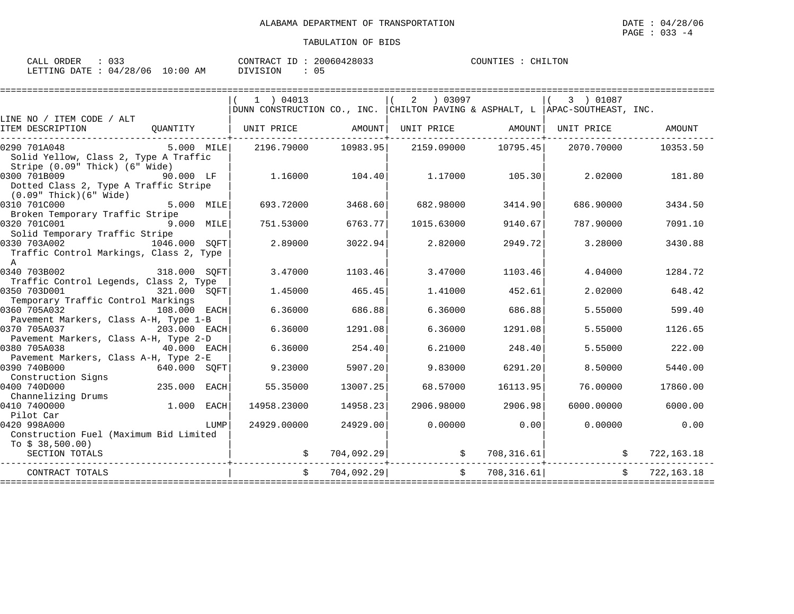| ORDER<br>CALL  | ົ່າ<br>USS                | 20060428033<br>CONTRACT<br>ID | COUNTIES<br>CHILTON |
|----------------|---------------------------|-------------------------------|---------------------|
| LETTING DATE : | 10:00<br>: 04/28/06<br>AM | <b>DIVISION</b>               |                     |

|                                                                                                             |               |      | $1$ ) 04013                                                                    |          | (2) 03097                                                |          | $(3)$ 01087 |                |
|-------------------------------------------------------------------------------------------------------------|---------------|------|--------------------------------------------------------------------------------|----------|----------------------------------------------------------|----------|-------------|----------------|
|                                                                                                             |               |      | DUNN CONSTRUCTION CO., INC. CHILTON PAVING & ASPHALT, L   APAC-SOUTHEAST, INC. |          |                                                          |          |             |                |
| LINE NO / ITEM CODE / ALT                                                                                   |               |      |                                                                                |          |                                                          |          |             |                |
| ITEM DESCRIPTION                                                                                            |               |      | QUANTITY   UNIT PRICE AMOUNT                                                   |          | UNIT PRICE         AMOUNT   UNIT PRICE                   |          |             | AMOUNT         |
| 0290 701A048<br>Solid Yellow, Class 2, Type A Traffic<br>Stripe (0.09" Thick) (6" Wide)                     |               |      | $5.000$ MILE $2196.79000$ $10983.95$ $2159.09000$ $10795.45$ $2070.70000$      |          |                                                          |          |             | 10353.50       |
| 0300 701B009 90.000 LF<br>Dotted Class 2, Type A Traffic Stripe<br>(0.09" Thick)(6" Wide)                   |               |      |                                                                                |          | $1.16000$ $104.40$ $1.17000$ $105.30$ $2.02000$ $181.80$ |          |             |                |
| 0310 701C000<br>Broken Temporary Traffic Stripe                                                             | 5.000 MILE    |      | 693.72000                                                                      | 3468.60  | 682.98000                                                | 3414.90  | 686.90000   | 3434.50        |
| 0320 701C001 9.000 MILE<br>Solid Temporary Traffic Stripe                                                   |               |      | 751.53000                                                                      | 6763.77  | 1015.63000                                               | 9140.67  | 787.90000   | 7091.10        |
| 0330 703A002 1046.000 SQFT<br>Traffic Control Markings, Class 2, Type<br>$\mathbb{A}$                       |               |      | 2.89000                                                                        | 3022.94  | 2.82000                                                  | 2949.72  | 3.28000     | 3430.88        |
| 318.000 SQFT<br>0340 703B002<br>Traffic Control Legends, Class 2, Type                                      |               |      | 3.47000                                                                        | 1103.46  | 3.47000                                                  | 1103.46  | 4.04000     | 1284.72        |
| 0350 703D001<br>321.000 SQFT                                                                                |               |      | 1.45000                                                                        | 465.45   | 1.41000                                                  | 452.61   | 2.02000     | 648.42         |
| Temporary Traffic Control Markings<br>0360 705A032<br>108.000 EACH<br>Pavement Markers, Class A-H, Type 1-B |               |      | 6.36000                                                                        | 686.88   | 6.36000                                                  | 686.88   | 5.55000     | 599.40         |
| 0370 705A037<br>203.000 EACH<br>Pavement Markers, Class A-H, Type 2-D                                       |               |      | 6.36000                                                                        | 1291.08  | 6.36000                                                  | 1291.08  | 5.55000     | 1126.65        |
| 0380 705A038<br>Pavement Markers, Class A-H, Type 2-E                                                       | $40.000$ EACH |      | 6.36000                                                                        | 254.40   | 6.21000                                                  | 248.40   |             | 5.55000 222.00 |
| 0390 740B000<br>Construction Signs                                                                          | 640.000 SOFT  |      | 9.23000                                                                        | 5907.20  | 9.83000                                                  | 6291.20  | 8.50000     | 5440.00        |
| 235.000 EACH<br>0400 740D000<br>Channelizing Drums                                                          |               |      | 55.35000                                                                       | 13007.25 | 68.57000                                                 | 16113.95 | 76.00000    | 17860.00       |
| 0410 7400000 1.000 EACH<br>Pilot Car                                                                        |               |      | 14958.23000                                                                    | 14958.23 | 2906.98000 2906.98                                       |          | 6000.00000  | 6000.00        |
| 0420 998A000<br>Construction Fuel (Maximum Bid Limited                                                      |               | LUMP | 24929.00000                                                                    | 24929.00 | $0.00000$ 0.00                                           |          | 0.00000     | 0.00           |
| To $$38,500.00)$<br>SECTION TOTALS                                                                          |               |      | -------------------+----------                                                 |          |                                                          |          |             |                |
| CONTRACT TOTALS                                                                                             |               |      |                                                                                |          | $$704,092.29$ $$708,316.61$                              |          |             | \$722,163.18   |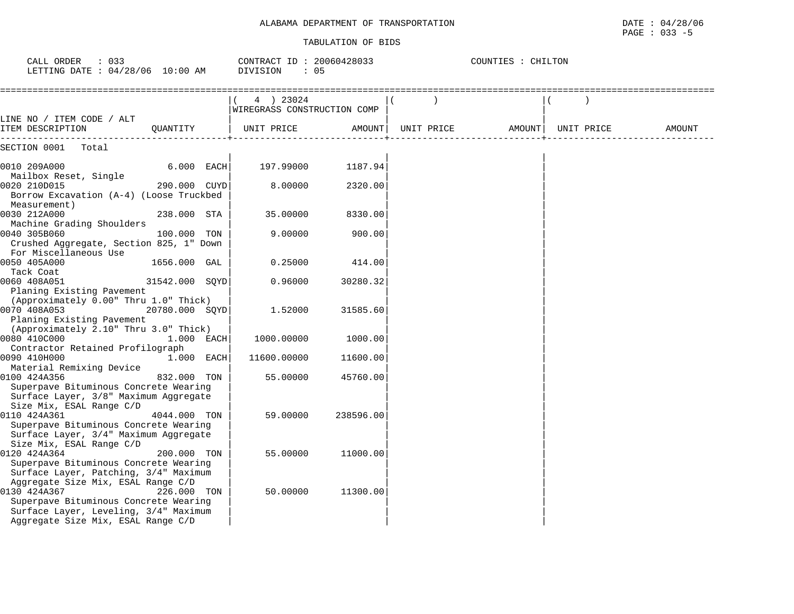| CALL ORDER : 033<br>LETTING DATE : 04/28/06 10:00 AM                                                                                                                       |                       | CONTRACT ID: 20060428033<br>DIVISION<br>$\therefore$ 05 |           | COUNTIES : CHILTON |                                         |        |
|----------------------------------------------------------------------------------------------------------------------------------------------------------------------------|-----------------------|---------------------------------------------------------|-----------|--------------------|-----------------------------------------|--------|
|                                                                                                                                                                            |                       | 4 ) 23024<br>WIREGRASS CONSTRUCTION COMP                |           |                    |                                         |        |
| LINE NO / ITEM CODE / ALT<br>ITEM DESCRIPTION                                                                                                                              | QUANTITY   UNIT PRICE |                                                         |           |                    | AMOUNT   UNIT PRICE AMOUNT   UNIT PRICE | AMOUNT |
| SECTION 0001 Total                                                                                                                                                         |                       |                                                         |           |                    |                                         |        |
| 0010 209A000<br>Mailbox Reset, Single                                                                                                                                      | $6.000$ EACH          | 197.99000                                               | 1187.94   |                    |                                         |        |
| 0020 210D015<br>Borrow Excavation (A-4) (Loose Truckbed                                                                                                                    | 290.000 CUYD          | 8.00000                                                 | 2320.00   |                    |                                         |        |
| Measurement)<br>0030 212A000<br>Machine Grading Shoulders                                                                                                                  | 238.000 STA           | 35.00000                                                | 8330.00   |                    |                                         |        |
| 0040 305B060<br>Crushed Aggregate, Section 825, 1" Down                                                                                                                    | 100.000 TON           | 9,00000                                                 | 900.00    |                    |                                         |        |
| For Miscellaneous Use<br>0050 405A000<br>Tack Coat                                                                                                                         | 1656.000 GAL          | 0.25000                                                 | 414.00    |                    |                                         |        |
| 0060 408A051<br>Planing Existing Pavement                                                                                                                                  | 31542.000 SOYD        | 0.96000                                                 | 30280.32  |                    |                                         |        |
| (Approximately 0.00" Thru 1.0" Thick)<br>0070 408A053<br>Planing Existing Pavement                                                                                         | 20780.000 SOYD        | 1.52000                                                 | 31585.60  |                    |                                         |        |
| (Approximately 2.10" Thru 3.0" Thick)<br>0080 410C000                                                                                                                      | $1.000$ EACH          | 1000.00000                                              | 1000.00   |                    |                                         |        |
| Contractor Retained Profilograph<br>0090 410H000<br>Material Remixing Device                                                                                               | $1.000$ EACH          | 11600.00000                                             | 11600.00  |                    |                                         |        |
| 0100 424A356<br>Superpave Bituminous Concrete Wearing                                                                                                                      | 832.000 TON           | 55.00000                                                | 45760.00  |                    |                                         |        |
| Surface Layer, 3/8" Maximum Aggregate<br>Size Mix, ESAL Range C/D<br>0110 424A361                                                                                          | 4044.000 TON          | 59.00000                                                | 238596.00 |                    |                                         |        |
| Superpave Bituminous Concrete Wearing<br>Surface Layer, 3/4" Maximum Aggregate<br>Size Mix, ESAL Range C/D                                                                 |                       |                                                         |           |                    |                                         |        |
| 0120 424A364<br>Superpave Bituminous Concrete Wearing<br>Surface Layer, Patching, 3/4" Maximum                                                                             | 200.000 TON           | 55.00000                                                | 11000.00  |                    |                                         |        |
| Aggregate Size Mix, ESAL Range C/D<br>0130 424A367<br>Superpave Bituminous Concrete Wearing<br>Surface Layer, Leveling, 3/4" Maximum<br>Aggregate Size Mix, ESAL Range C/D | 226.000 TON           | 50.00000                                                | 11300.00  |                    |                                         |        |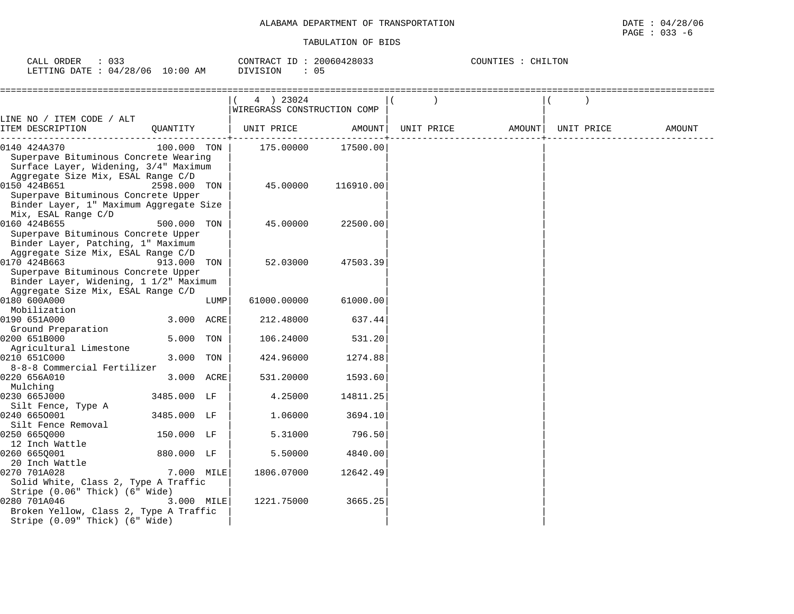# CALL ORDER : 033 CONTRACT ID : 20060428033 COUNTIES : CHILTONLETTING DATE : 04/28/06 10:00 AM DIVISION : 05

==================================================================================================================================== $|( 4) 23024$   $| ( )$  |WIREGRASS CONSTRUCTION COMP | | LINE NO / ITEM CODE / ALT | | | ITEM DESCRIPTION QUANTITY | UNIT PRICE AMOUNT| UNIT PRICE AMOUNT| UNIT PRICE AMOUNT ------------------------------------------+----------------------------+----------------------------+-------------------------------0140 424A370 100.000 TON | 175.00000 17500.00 Superpave Bituminous Concrete Wearing Surface Layer, Widening, 3/4" Maximum Aggregate Size Mix, ESAL Range C/D | | | 0150 424B651 2598.000 TON Superpave Bituminous Concrete Upper Binder Layer, 1" Maximum Aggregate Size Mix, ESAL Range C/D | | | 0160 424B655 500.000 TON | 45.00000 22500.00| | Superpave Bituminous Concrete Upper Binder Layer, Patching, 1" Maximum Aggregate Size Mix, ESAL Range C/D | |<br>0170 424B663 913.000 TON | 52.03000 47503.39 013.000 TON Superpave Bituminous Concrete Upper Binder Layer, Widening, 1 1/2" Maximum Aggregate Size Mix, ESAL Range C/D | | |  $0180$  600A000  $1000$   $1000$   $00000$   $61000.000$  Mobilization | | | 0190 651A000 3.000 ACRE| 212.48000 637.44| | Ground Preparation 0200 651B000 5.000 TON | 106.24000 531.20 Agricultural Limestone | | | 0210 651C000 8-8-8 Commercial Fertilizer 0220 656A010 3.000 ACRE 531.20000 1593.60 Mulching | | |  $0230$  665J000  $3485.000$  LF  $\vert$  4.25000 14811.25 Silt Fence, Type A  $0.240$  6650001  $3485.000$  LF  $\vert$  1.06000  $3694.10$  Silt Fence Removal | | | 0250 6650000 12 Inch Wattle | | | 0260 665Q001 880.000 LF | 5.50000 4840.00| | 20 Inch Wattle 0270 701A028 7.000 MILE 1806.07000 12642.49 Solid White, Class 2, Type A Traffic Stripe  $(0.06$ " Thick)  $(6)$ " Wide) 0280 701A046 3.000 MILE| 1221.75000 3665.25| | Broken Yellow, Class 2, Type A Traffic Stripe (0.09" Thick) (6" Wide)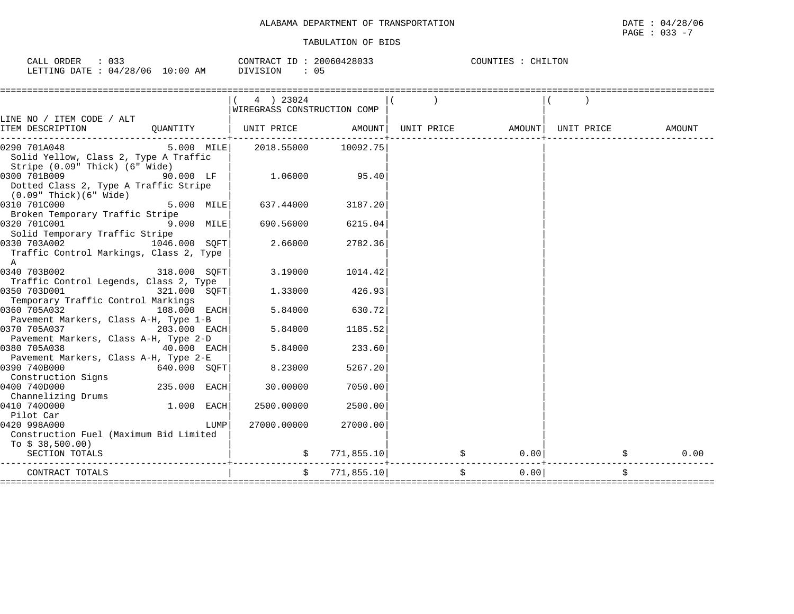| 033<br>CALL ORDER               |          | CONTRACT ID: 20060428033 | COUNTIES : CHILTON |  |
|---------------------------------|----------|--------------------------|--------------------|--|
| LETTING DATE: 04/28/06 10:00 AM | DIVISION | 05                       |                    |  |

| 4 ) 23024<br>WIREGRASS CONSTRUCTION COMP<br>LINE NO / ITEM CODE / ALT<br>QUANTITY   UNIT PRICE     AMOUNT  UNIT PRICE     AMOUNT  UNIT PRICE<br>ITEM DESCRIPTION<br>0290 701A048<br>Solid Yellow, Class 2, Type A Traffic<br>Stripe (0.09" Thick) (6" Wide)<br>1.06000 95.40<br>0300 701B009<br>$90.000$ LF  <br>Dotted Class 2, Type A Traffic Stripe<br>(0.09" Thick)(6" Wide)<br>0310 701C000<br>$5.000$ MILE<br>637.44000<br>3187.20<br>Broken Temporary Traffic Stripe<br>690.56000<br>$9.000$ MILE<br>0320 701C001<br>6215.04<br>Solid Temporary Traffic Stripe<br>2.66000<br>0330 703A002<br>1046.000 SOFT<br>2782.36<br>Traffic Control Markings, Class 2, Type<br>A<br>$318.000$ SQFT<br>0340 703B002<br>3.19000<br>1014.42<br>Traffic Control Legends, Class 2, Type<br>$321.000$ SQFT<br>0350 703D001<br>1.33000<br>426.93<br>Temporary Traffic Control Markings<br>0360 705A032<br>$108.000$ EACH<br>5.84000<br>630.72<br>Pavement Markers, Class A-H, Type 1-B<br>0370 705A037 203.000 EACH<br>5.84000<br>1185.52<br>Pavement Markers, Class A-H, Type 2-D |               |         |  |        |  |
|-------------------------------------------------------------------------------------------------------------------------------------------------------------------------------------------------------------------------------------------------------------------------------------------------------------------------------------------------------------------------------------------------------------------------------------------------------------------------------------------------------------------------------------------------------------------------------------------------------------------------------------------------------------------------------------------------------------------------------------------------------------------------------------------------------------------------------------------------------------------------------------------------------------------------------------------------------------------------------------------------------------------------------------------------------------------------|---------------|---------|--|--------|--|
|                                                                                                                                                                                                                                                                                                                                                                                                                                                                                                                                                                                                                                                                                                                                                                                                                                                                                                                                                                                                                                                                         |               |         |  |        |  |
|                                                                                                                                                                                                                                                                                                                                                                                                                                                                                                                                                                                                                                                                                                                                                                                                                                                                                                                                                                                                                                                                         |               |         |  | AMOUNT |  |
|                                                                                                                                                                                                                                                                                                                                                                                                                                                                                                                                                                                                                                                                                                                                                                                                                                                                                                                                                                                                                                                                         |               |         |  |        |  |
|                                                                                                                                                                                                                                                                                                                                                                                                                                                                                                                                                                                                                                                                                                                                                                                                                                                                                                                                                                                                                                                                         |               |         |  |        |  |
|                                                                                                                                                                                                                                                                                                                                                                                                                                                                                                                                                                                                                                                                                                                                                                                                                                                                                                                                                                                                                                                                         |               |         |  |        |  |
|                                                                                                                                                                                                                                                                                                                                                                                                                                                                                                                                                                                                                                                                                                                                                                                                                                                                                                                                                                                                                                                                         |               |         |  |        |  |
|                                                                                                                                                                                                                                                                                                                                                                                                                                                                                                                                                                                                                                                                                                                                                                                                                                                                                                                                                                                                                                                                         |               |         |  |        |  |
|                                                                                                                                                                                                                                                                                                                                                                                                                                                                                                                                                                                                                                                                                                                                                                                                                                                                                                                                                                                                                                                                         |               |         |  |        |  |
|                                                                                                                                                                                                                                                                                                                                                                                                                                                                                                                                                                                                                                                                                                                                                                                                                                                                                                                                                                                                                                                                         |               |         |  |        |  |
|                                                                                                                                                                                                                                                                                                                                                                                                                                                                                                                                                                                                                                                                                                                                                                                                                                                                                                                                                                                                                                                                         |               |         |  |        |  |
|                                                                                                                                                                                                                                                                                                                                                                                                                                                                                                                                                                                                                                                                                                                                                                                                                                                                                                                                                                                                                                                                         |               |         |  |        |  |
| 0380 705A038<br>233.60<br>Pavement Markers, Class A-H, Type 2-E                                                                                                                                                                                                                                                                                                                                                                                                                                                                                                                                                                                                                                                                                                                                                                                                                                                                                                                                                                                                         | $40.000$ EACH | 5.84000 |  |        |  |
| 0390 740B000<br>640.000 SOFT<br>8.23000<br>5267.20<br>Construction Signs                                                                                                                                                                                                                                                                                                                                                                                                                                                                                                                                                                                                                                                                                                                                                                                                                                                                                                                                                                                                |               |         |  |        |  |
| 0400 740D000<br>235.000 EACH<br>30,00000<br>7050.00<br>Channelizing Drums                                                                                                                                                                                                                                                                                                                                                                                                                                                                                                                                                                                                                                                                                                                                                                                                                                                                                                                                                                                               |               |         |  |        |  |
| $1.000$ EACH<br>0410 7400000<br>2500.00<br>2500.00000<br>Pilot Car                                                                                                                                                                                                                                                                                                                                                                                                                                                                                                                                                                                                                                                                                                                                                                                                                                                                                                                                                                                                      |               |         |  |        |  |
| 0420 998A000<br>27000.00000<br>27000.00<br>LUMP<br>Construction Fuel (Maximum Bid Limited<br>To $$38,500.00)$                                                                                                                                                                                                                                                                                                                                                                                                                                                                                                                                                                                                                                                                                                                                                                                                                                                                                                                                                           |               |         |  |        |  |
| $\sin 771, 855.10$ $\sin 771, 855.10$<br>$0.00$  <br>$\ddot{s}$<br>SECTION TOTALS                                                                                                                                                                                                                                                                                                                                                                                                                                                                                                                                                                                                                                                                                                                                                                                                                                                                                                                                                                                       |               |         |  | 0.00   |  |
| \$<br>\$771,855.10]<br>\$<br>0.00<br>CONTRACT TOTALS                                                                                                                                                                                                                                                                                                                                                                                                                                                                                                                                                                                                                                                                                                                                                                                                                                                                                                                                                                                                                    |               |         |  |        |  |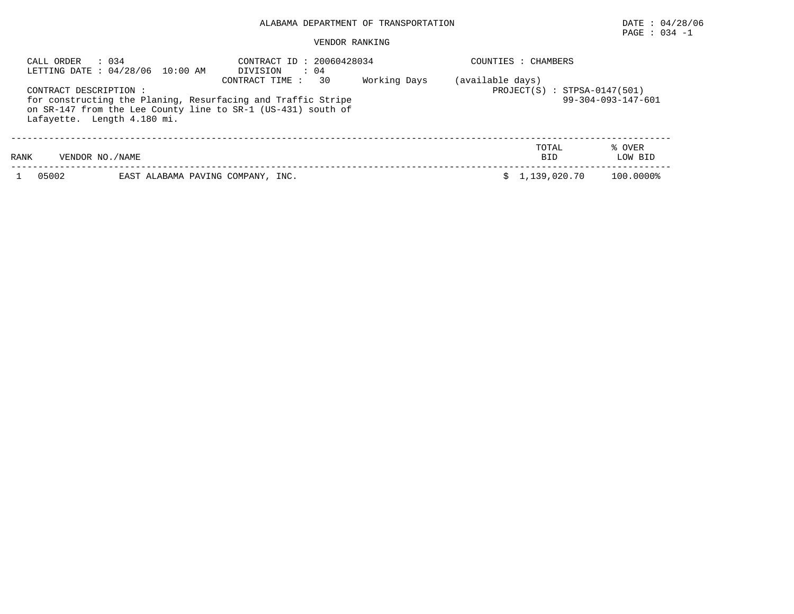# PAGE : 034 -1

| CALL ORDER             | : 0.34<br>LETTING DATE: 04/28/06 10:00 AM | CONTRACT ID: 20060428034<br>DIVISION<br>$\therefore$ 04                                                                                               |              |                  | COUNTIES : CHAMBERS            |                              |  |  |  |  |
|------------------------|-------------------------------------------|-------------------------------------------------------------------------------------------------------------------------------------------------------|--------------|------------------|--------------------------------|------------------------------|--|--|--|--|
| CONTRACT DESCRIPTION : | Lafayette. Length 4.180 mi.               | 30<br>CONTRACT TIME :<br>for constructing the Planing, Resurfacing and Traffic Stripe<br>on SR-147 from the Lee County line to SR-1 (US-431) south of | Working Days | (available days) | $PROJECT(S) : STPSA-0147(501)$ | $99 - 304 - 093 - 147 - 601$ |  |  |  |  |
| RANK                   | VENDOR NO./NAME                           |                                                                                                                                                       |              |                  | TOTAL<br><b>BID</b>            | % OVER<br>LOW BID            |  |  |  |  |
| 05002                  | EAST ALABAMA PAVING COMPANY, INC.         |                                                                                                                                                       |              |                  | 1,139,020.70                   | 100.0000%                    |  |  |  |  |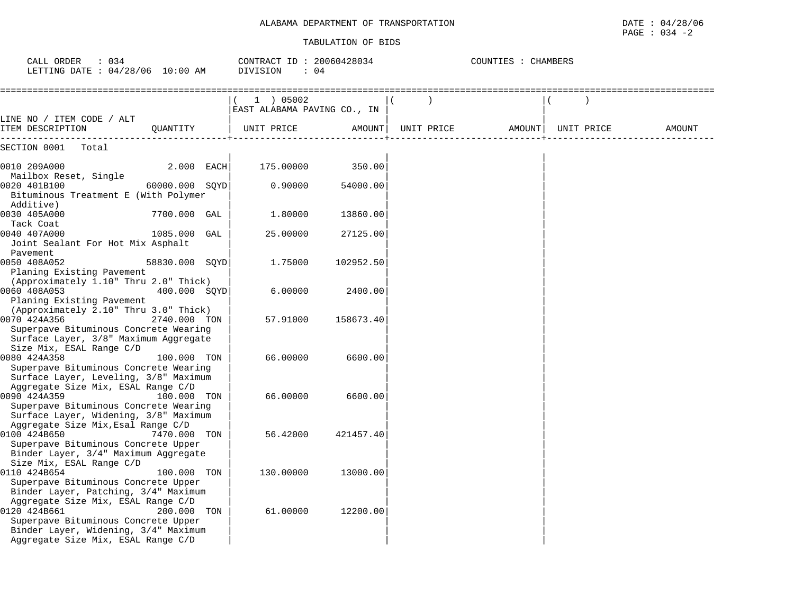| CALL ORDER<br>: 034<br>LETTING DATE : 04/28/06 10:00 AM                                                                                                                 |                | CONTRACT ID: 20060428034<br>DIVISION<br>: 04 |                                          | COUNTIES : CHAMBERS |            |        |  |            |        |
|-------------------------------------------------------------------------------------------------------------------------------------------------------------------------|----------------|----------------------------------------------|------------------------------------------|---------------------|------------|--------|--|------------|--------|
|                                                                                                                                                                         |                |                                              | 1 ) 05002<br>EAST ALABAMA PAVING CO., IN |                     |            |        |  |            |        |
| LINE NO / ITEM CODE / ALT<br>ITEM DESCRIPTION                                                                                                                           | QUANTITY       |                                              | UNIT PRICE                               | AMOUNT              | UNIT PRICE | AMOUNT |  | UNIT PRICE | AMOUNT |
| SECTION 0001<br>Total                                                                                                                                                   |                |                                              |                                          |                     |            |        |  |            |        |
| 0010 209A000                                                                                                                                                            | 2.000 EACH     |                                              | 175.00000                                | 350.00              |            |        |  |            |        |
| Mailbox Reset, Single<br>0020 401B100<br>Bituminous Treatment E (With Polymer<br>Additive)                                                                              | 60000.000 SQYD |                                              | 0.90000                                  | 54000.00            |            |        |  |            |        |
| 0030 405A000<br>Tack Coat                                                                                                                                               | 7700.000 GAL   |                                              | 1.80000                                  | 13860.00            |            |        |  |            |        |
| 0040 407A000<br>Joint Sealant For Hot Mix Asphalt<br>Pavement                                                                                                           | 1085.000 GAL   |                                              | 25.00000                                 | 27125.00            |            |        |  |            |        |
| 0050 408A052<br>Planing Existing Pavement                                                                                                                               | 58830.000 SOYD |                                              | 1,75000                                  | 102952.50           |            |        |  |            |        |
| (Approximately 1.10" Thru 2.0" Thick)<br>0060 408A053                                                                                                                   | 400.000 SQYD   |                                              | 6.00000                                  | 2400.00             |            |        |  |            |        |
| Planing Existing Pavement<br>(Approximately 2.10" Thru 3.0" Thick)<br>0070 424A356                                                                                      | 2740.000 TON   |                                              | 57.91000                                 | 158673.40           |            |        |  |            |        |
| Superpave Bituminous Concrete Wearing<br>Surface Layer, 3/8" Maximum Aggregate<br>Size Mix, ESAL Range C/D                                                              |                |                                              |                                          |                     |            |        |  |            |        |
| 0080 424A358<br>Superpave Bituminous Concrete Wearing<br>Surface Layer, Leveling, 3/8" Maximum                                                                          | 100.000 TON    |                                              | 66.00000                                 | 6600.00             |            |        |  |            |        |
| Aggregate Size Mix, ESAL Range C/D<br>0090 424A359<br>Superpave Bituminous Concrete Wearing<br>Surface Layer, Widening, 3/8" Maximum                                    | 100.000 TON    |                                              | 66.00000                                 | 6600.00             |            |        |  |            |        |
| Aggregate Size Mix, Esal Range C/D<br>0100 424B650<br>Superpave Bituminous Concrete Upper<br>Binder Layer, 3/4" Maximum Aggregate                                       | 7470.000 TON   |                                              | 56.42000                                 | 421457.40           |            |        |  |            |        |
| Size Mix, ESAL Range C/D<br>0110 424B654<br>Superpave Bituminous Concrete Upper<br>Binder Layer, Patching, 3/4" Maximum                                                 | 100.000 TON    |                                              | 130.00000                                | 13000.00            |            |        |  |            |        |
| Aggregate Size Mix, ESAL Range C/D<br>0120 424B661<br>Superpave Bituminous Concrete Upper<br>Binder Layer, Widening, 3/4" Maximum<br>Aggregate Size Mix, ESAL Range C/D | 200.000 TON    |                                              | 61.00000                                 | 12200.00            |            |        |  |            |        |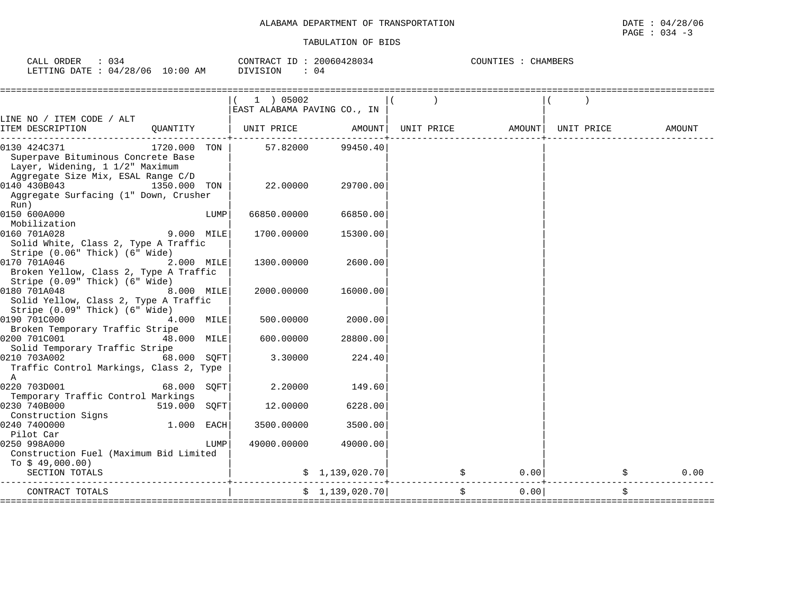| $\sim$ $\sim$<br>ORDEF<br>TAT<br>034<br>◡◚╜╜ |             | CONTRACT<br>ID  | 20060 | <b>CHAMBERS</b><br>COUNTIES<br>ᆂᄘ |
|----------------------------------------------|-------------|-----------------|-------|-----------------------------------|
| 128,<br>106<br>LETTING<br>04<br><b>DATE</b>  | 10:00<br>ΑM | <b>DIVISION</b> | 04    |                                   |

|                                                                                                                     |              | $1$ ) 05002                 |                 |                     |      |                    |        |
|---------------------------------------------------------------------------------------------------------------------|--------------|-----------------------------|-----------------|---------------------|------|--------------------|--------|
|                                                                                                                     |              | EAST ALABAMA PAVING CO., IN |                 |                     |      |                    |        |
| LINE NO / ITEM CODE / ALT<br>ITEM DESCRIPTION<br>OUANTITY                                                           |              | UNIT PRICE AMOUNT           |                 | UNIT PRICE          |      | AMOUNT  UNIT PRICE | AMOUNT |
| 1720.000 TON<br>0130 424C371<br>Superpave Bituminous Concrete Base<br>Layer, Widening, 1 1/2" Maximum               |              | 57.82000                    | 99450.40        |                     |      |                    |        |
| Aggregate Size Mix, ESAL Range C/D<br>0140 430B043<br>1350.000 TON<br>Aggregate Surfacing (1" Down, Crusher<br>Run) |              | 22.00000                    | 29700.00        |                     |      |                    |        |
| 0150 600A000<br>Mobilization                                                                                        | LUMP         | 66850.00000                 | 66850.00        |                     |      |                    |        |
| 0160 701A028<br>Solid White, Class 2, Type A Traffic<br>Stripe (0.06" Thick) (6" Wide)                              | 9.000 MILE   | 1700.00000                  | 15300.00        |                     |      |                    |        |
| 0170 701A046<br>Broken Yellow, Class 2, Type A Traffic<br>Stripe (0.09" Thick) (6" Wide)                            | 2.000 MILE   | 1300.00000                  | 2600.00         |                     |      |                    |        |
| 0180 701A048<br>Solid Yellow, Class 2, Type A Traffic<br>Stripe (0.09" Thick) (6" Wide)                             | 8.000 MILE   | 2000.00000                  | 16000.00        |                     |      |                    |        |
| 0190 701C000<br>Broken Temporary Traffic Stripe                                                                     | 4.000 MILE   | 500.00000                   | 2000.00         |                     |      |                    |        |
| 0200 701C001                                                                                                        | 48.000 MILE  | 600.00000                   | 28800.00        |                     |      |                    |        |
| Solid Temporary Traffic Stripe<br>0210 703A002<br>Traffic Control Markings, Class 2, Type<br>A                      | 68.000 SOFT  | 3.30000                     | 224.40          |                     |      |                    |        |
| 0220 703D001<br>Temporary Traffic Control Markings                                                                  | 68.000 SQFT  | 2.20000                     | 149.60          |                     |      |                    |        |
| 0230 740B000<br>Construction Signs                                                                                  | 519.000 SOFT | 12.00000                    | 6228.00         |                     |      |                    |        |
| 0240 7400000<br>Pilot Car                                                                                           | 1.000 EACH   | 3500.00000                  | 3500.00         |                     |      |                    |        |
| 0250 998A000<br>Construction Fuel (Maximum Bid Limited                                                              | LUMP         | 49000.00000                 | 49000.00        |                     |      |                    |        |
| To $$49,000.00)$<br>SECTION TOTALS                                                                                  |              |                             | \$1,139,020.70] | $\ddot{\mathsf{S}}$ | 0.00 |                    | 0.00   |
| CONTRACT TOTALS<br>==============================                                                                   |              |                             | \$1,139,020.70] |                     | 0.00 |                    | \$     |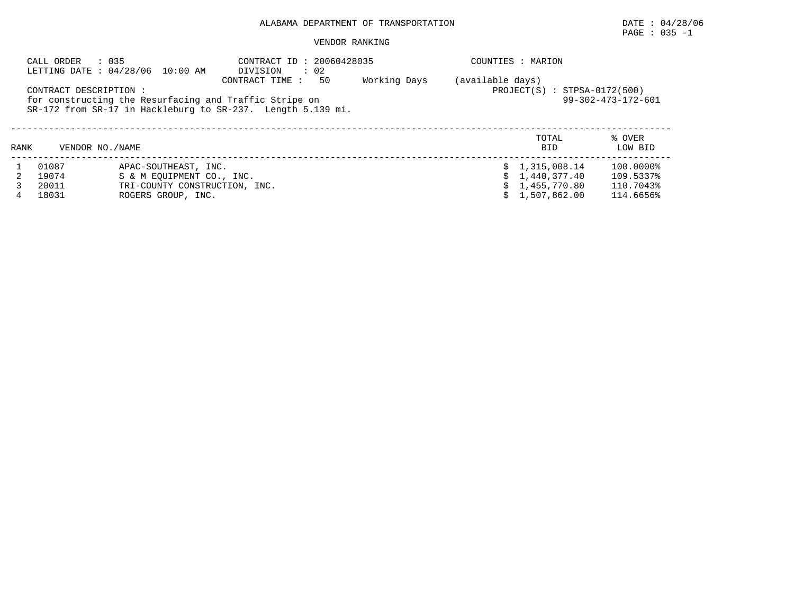$\texttt{PAGE}$  : 035 -1

| CALL ORDER                       | : 035<br>LETTING DATE: 04/28/06 10:00 AM                                                                 | COUNTIES : MARION                                                                               |              |                  |                                                                |                                                  |  |  |
|----------------------------------|----------------------------------------------------------------------------------------------------------|-------------------------------------------------------------------------------------------------|--------------|------------------|----------------------------------------------------------------|--------------------------------------------------|--|--|
| CONTRACT DESCRIPTION :           | for constructing the Resurfacing and Traffic Stripe on                                                   | DIVISION<br>50<br>CONTRACT TIME:<br>SR-172 from SR-17 in Hackleburg to SR-237. Length 5.139 mi. | Working Days | (available days) | $PROJECT(S) : STPSA-0172(500)$                                 | $99 - 302 - 473 - 172 - 601$                     |  |  |
| RANK                             | VENDOR NO. / NAME                                                                                        |                                                                                                 |              |                  | TOTAL<br><b>BID</b>                                            | % OVER<br>LOW BID                                |  |  |
| 01087<br>19074<br>20011<br>18031 | APAC-SOUTHEAST, INC.<br>S & M EOUIPMENT CO., INC.<br>TRI-COUNTY CONSTRUCTION, INC.<br>ROGERS GROUP, INC. |                                                                                                 |              |                  | \$1,315,008.14<br>1,440,377.40<br>1,455,770.80<br>1,507,862.00 | 100.0000%<br>109.5337%<br>110.7043%<br>114.6656% |  |  |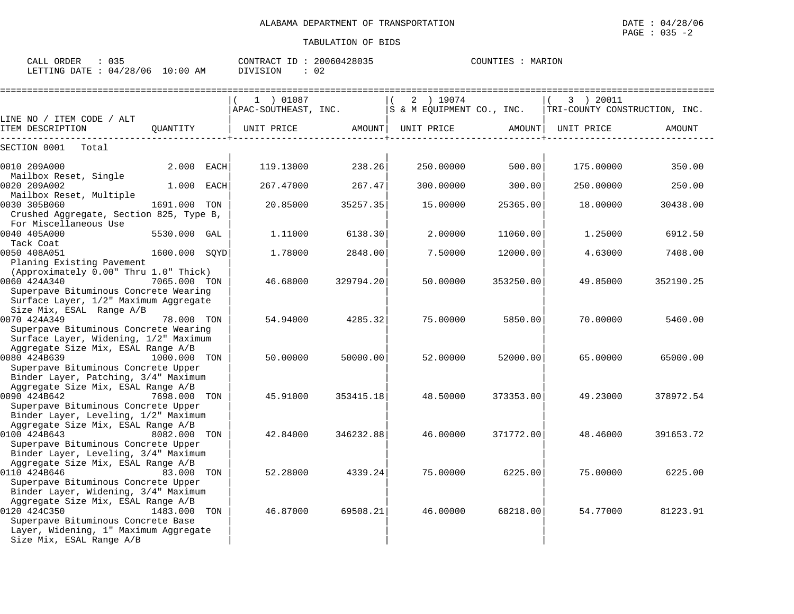CALL ORDER : 035 CONTRACT ID : 20060428035 COUNTIES : MARION

Superpave Bituminous Concrete Upper Binder Layer, Widening, 3/4" Maximum

Superpave Bituminous Concrete Base Layer, Widening, 1" Maximum Aggregate

Size Mix, ESAL Range A/B

Aggregate Size Mix, ESAL Range A/B | | |

| LETTING DATE : 04/28/06 10:00 AM                                            |               | DIVISION<br>$\cdot$ 02            |           |                                        |           |                                            |           |
|-----------------------------------------------------------------------------|---------------|-----------------------------------|-----------|----------------------------------------|-----------|--------------------------------------------|-----------|
|                                                                             |               | 1 ) 01087<br>APAC-SOUTHEAST, INC. |           | 2 ) 19074<br>S & M EQUIPMENT CO., INC. |           | 3 ) 20011<br>TRI-COUNTY CONSTRUCTION, INC. |           |
| LINE NO / ITEM CODE / ALT<br>ITEM DESCRIPTION                               | OUANTITY      | UNIT PRICE                        | AMOUNT    | UNIT PRICE                             | AMOUNT    | UNIT PRICE                                 | AMOUNT    |
| SECTION 0001 Total                                                          |               |                                   |           |                                        |           |                                            |           |
| 0010 209A000<br>Mailbox Reset, Single                                       | 2.000 EACH    | 119.13000                         | 238.26    | 250.00000                              | 500.00    | 175.00000                                  | 350.00    |
| 0020 209A002<br>Mailbox Reset, Multiple                                     | 1.000 EACH    | 267.47000                         | 267.47    | 300.00000                              | 300.00    | 250.00000                                  | 250.00    |
| 0030 305B060<br>Crushed Aggregate, Section 825, Type B,                     | 1691.000 TON  | 20.85000                          | 35257.35  | 15,00000                               | 25365.00  | 18,00000                                   | 30438.00  |
| For Miscellaneous Use<br>0040 405A000                                       | 5530.000 GAL  | 1,11000                           | 6138.30   | 2.00000                                | 11060.00  | 1.25000                                    | 6912.50   |
| Tack Coat<br>0050 408A051                                                   | 1600.000 SQYD | 1.78000                           | 2848.00   | 7.50000                                | 12000.00  | 4.63000                                    | 7408.00   |
| Planing Existing Pavement<br>(Approximately 0.00" Thru 1.0" Thick)          |               |                                   |           |                                        |           |                                            |           |
| 0060 424A340<br>Superpave Bituminous Concrete Wearing                       | 7065.000 TON  | 46.68000                          | 329794.20 | 50.00000                               | 353250.00 | 49.85000                                   | 352190.25 |
| Surface Layer, 1/2" Maximum Aggregate<br>Size Mix, ESAL Range A/B           |               |                                   |           |                                        |           |                                            |           |
| 0070 424A349<br>Superpave Bituminous Concrete Wearing                       | 78.000 TON    | 54.94000                          | 4285.32   | 75.00000                               | 5850.00   | 70.00000                                   | 5460.00   |
| Surface Layer, Widening, 1/2" Maximum<br>Aggregate Size Mix, ESAL Range A/B |               |                                   |           |                                        |           |                                            |           |
| 0080 424B639<br>Superpave Bituminous Concrete Upper                         | 1000.000 TON  | 50.00000                          | 50000.00  | 52.00000                               | 52000.00  | 65,00000                                   | 65000.00  |
| Binder Layer, Patching, 3/4" Maximum<br>Aggregate Size Mix, ESAL Range A/B  |               |                                   |           |                                        |           |                                            |           |
| 0090 424B642<br>7698.000 TON<br>Superpave Bituminous Concrete Upper         |               | 45.91000                          | 353415.18 | 48.50000                               | 373353.00 | 49.23000                                   | 378972.54 |
| Binder Layer, Leveling, 1/2" Maximum<br>Aggregate Size Mix, ESAL Range A/B  |               |                                   |           |                                        |           |                                            |           |
| 0100 424B643<br>Superpave Bituminous Concrete Upper                         | 8082.000 TON  | 42.84000                          | 346232.88 | 46.00000                               | 371772.00 | 48.46000                                   | 391653.72 |
| Binder Layer, Leveling, 3/4" Maximum<br>Aggregate Size Mix, ESAL Range A/B  |               |                                   |           |                                        |           |                                            |           |
| 0110 424B646<br>83.000 TON                                                  |               | 52.28000                          | 4339.24   | 75.00000                               | 6225.00   | 75.00000                                   | 6225.00   |

0120 424C350 1483.000 TON | 46.87000 69508.21| 46.00000 68218.00| 54.77000 81223.91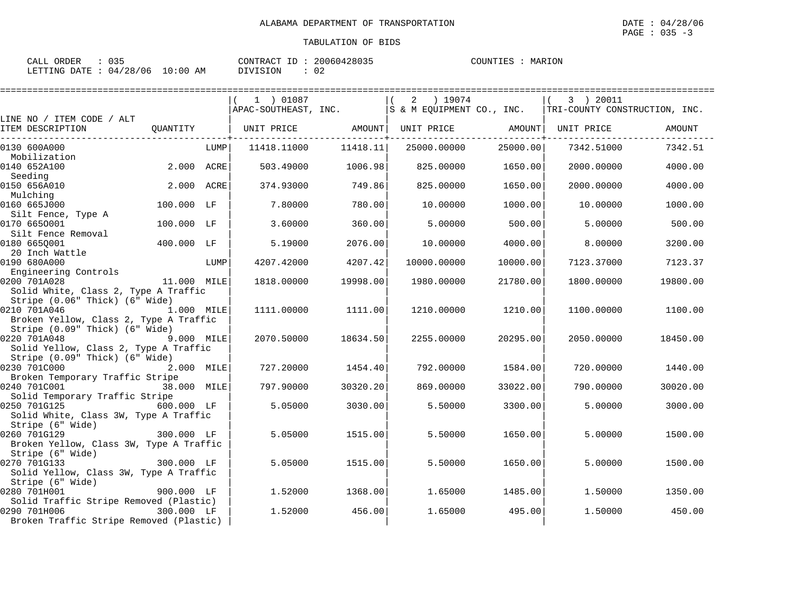| CALL ORDER | $\therefore$ 035                |          | CONTRACT ID: 20060428035 | COUNTIES : MARION |  |
|------------|---------------------------------|----------|--------------------------|-------------------|--|
|            | LETTING DATE: 04/28/06 10:00 AM | DIVISION | -02                      |                   |  |

|                                                |             |      | 1 ) 01087            |          | 2<br>) 19074              |          | 3 ) 20011                     |          |
|------------------------------------------------|-------------|------|----------------------|----------|---------------------------|----------|-------------------------------|----------|
|                                                |             |      | APAC-SOUTHEAST, INC. |          | S & M EQUIPMENT CO., INC. |          | TRI-COUNTY CONSTRUCTION, INC. |          |
| LINE NO / ITEM CODE / ALT                      |             |      |                      |          |                           |          |                               |          |
| ITEM DESCRIPTION                               | QUANTITY    |      | UNIT PRICE AMOUNT    |          | UNIT PRICE AMOUNT         |          | UNIT PRICE                    | AMOUNT   |
| ________________<br>0130 600A000               |             | LUMP | 11418.11000          | 11418.11 | 25000.00000               | 25000.00 | 7342.51000                    | 7342.51  |
| Mobilization                                   |             |      |                      |          |                           |          |                               |          |
| 0140 652A100                                   | 2.000 ACRE  |      | 503.49000            | 1006.98  | 825,00000                 | 1650.00  | 2000.00000                    | 4000.00  |
| Seeding                                        |             |      |                      |          |                           |          |                               |          |
| 0150 656A010                                   | 2.000 ACRE  |      | 374.93000            | 749.86   | 825,00000                 | 1650.00  | 2000.00000                    | 4000.00  |
| Mulching                                       |             |      |                      |          |                           |          |                               |          |
| 0160 665J000                                   | 100.000 LF  |      | 7.80000              | 780.00   | 10.00000                  | 1000.00  | 10.00000                      | 1000.00  |
| Silt Fence, Type A                             |             |      |                      |          |                           |          |                               |          |
| 0170 6650001                                   | 100.000 LF  |      | 3.60000              | 360.00   | 5.00000                   | 500.00   | 5.00000                       | 500.00   |
| Silt Fence Removal                             |             |      |                      |          |                           |          |                               |          |
| 0180 6650001<br>20 Inch Wattle                 | 400.000 LF  |      | 5.19000              | 2076.00  | 10.00000                  | 4000.00  | 8,00000                       | 3200.00  |
| 0190 680A000                                   |             |      |                      |          |                           |          |                               |          |
| Engineering Controls                           |             | LUMP | 4207.42000           | 4207.42  | 10000.00000               | 10000.00 | 7123.37000                    | 7123.37  |
| 0200 701A028                                   | 11.000 MILE |      | 1818,00000           | 19998.00 | 1980.00000                | 21780.00 | 1800.00000                    | 19800.00 |
| Solid White, Class 2, Type A Traffic           |             |      |                      |          |                           |          |                               |          |
| Stripe (0.06" Thick) (6" Wide)                 |             |      |                      |          |                           |          |                               |          |
| 0210 701A046                                   | 1.000 MILE  |      | 1111.00000           | 1111.00  | 1210.00000                | 1210.00  | 1100.00000                    | 1100.00  |
| Broken Yellow, Class 2, Type A Traffic         |             |      |                      |          |                           |          |                               |          |
| Stripe (0.09" Thick) (6" Wide)                 |             |      |                      |          |                           |          |                               |          |
| 0220 701A048                                   | 9.000 MILE  |      | 2070.50000           | 18634.50 | 2255.00000                | 20295.00 | 2050.00000                    | 18450.00 |
| Solid Yellow, Class 2, Type A Traffic          |             |      |                      |          |                           |          |                               |          |
| Stripe (0.09" Thick) (6" Wide)                 |             |      |                      |          |                           |          |                               |          |
| 0230 701C000                                   | 2.000 MILE  |      | 727.20000            | 1454.40  | 792.00000                 | 1584.00  | 720.00000                     | 1440.00  |
| Broken Temporary Traffic Stripe                |             |      |                      |          |                           |          |                               |          |
| 0240 701C001                                   | 38.000 MILE |      | 797.90000            | 30320.20 | 869,00000                 | 33022.00 | 790.00000                     | 30020.00 |
| Solid Temporary Traffic Stripe<br>0250 701G125 | 600.000 LF  |      | 5.05000              | 3030.00  | 5.50000                   | 3300.00  | 5.00000                       | 3000.00  |
| Solid White, Class 3W, Type A Traffic          |             |      |                      |          |                           |          |                               |          |
| Stripe (6" Wide)                               |             |      |                      |          |                           |          |                               |          |
| 0260 701G129                                   | 300.000 LF  |      | 5.05000              | 1515.00  | 5.50000                   | 1650.00  | 5.00000                       | 1500.00  |
| Broken Yellow, Class 3W, Type A Traffic        |             |      |                      |          |                           |          |                               |          |
| Stripe (6" Wide)                               |             |      |                      |          |                           |          |                               |          |
| 0270 701G133                                   | 300.000 LF  |      | 5.05000              | 1515.00  | 5.50000                   | 1650.00  | 5.00000                       | 1500.00  |
| Solid Yellow, Class 3W, Type A Traffic         |             |      |                      |          |                           |          |                               |          |
| Stripe (6" Wide)                               |             |      |                      |          |                           |          |                               |          |
| 0280 701H001                                   | 900.000 LF  |      | 1.52000              | 1368.00  | 1.65000                   | 1485.00  | 1,50000                       | 1350.00  |
| Solid Traffic Stripe Removed (Plastic)         |             |      |                      |          |                           |          |                               |          |
| 0290 701H006<br>$300.000$ LF                   |             |      | 1.52000              | 456.00   | 1.65000                   | 495.00   | 1.50000                       | 450.00   |
| Broken Traffic Stripe Removed (Plastic)        |             |      |                      |          |                           |          |                               |          |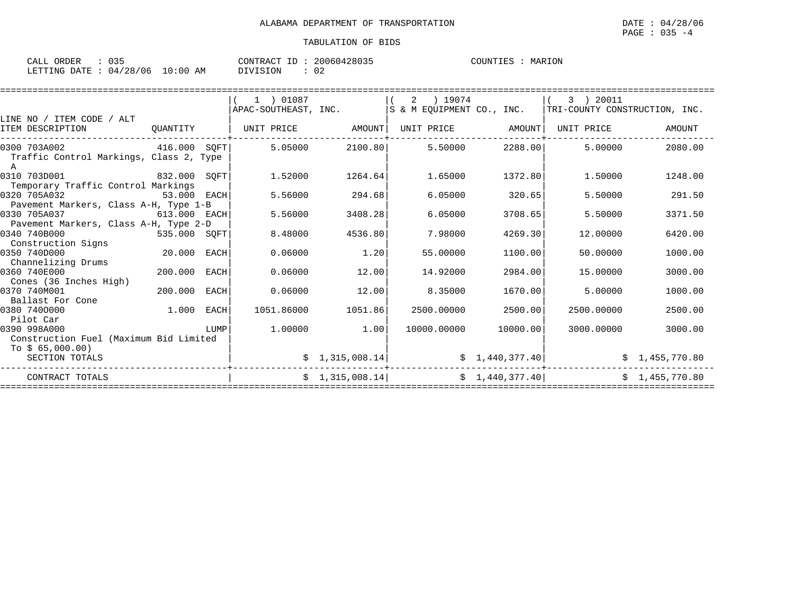| ORDER<br>CALL |          |             | CONTRACT<br>TD | 20060428035 | COUNTIES | MARION |
|---------------|----------|-------------|----------------|-------------|----------|--------|
| LETTING DATE  | 04/28/06 | 10:00<br>AΜ | DIVISION       | Λ.<br>◡▵    |          |        |

|                                              |              |      | 1 ) 01087            |                 | ) 19074<br>2              |                   | 3 ) 20011                     |                |
|----------------------------------------------|--------------|------|----------------------|-----------------|---------------------------|-------------------|-------------------------------|----------------|
|                                              |              |      | APAC-SOUTHEAST, INC. |                 | S & M EOUIPMENT CO., INC. |                   | TRI-COUNTY CONSTRUCTION, INC. |                |
| LINE NO / ITEM CODE / ALT                    |              |      |                      |                 |                           |                   |                               |                |
| ITEM DESCRIPTION                             | OUANTITY     |      | UNIT PRICE AMOUNT    |                 |                           | UNIT PRICE AMOUNT | UNIT PRICE                    | AMOUNT         |
| 0300 703A002                                 | 416.000 SOFT |      | 5.05000              | 2100.80         | 5.50000                   | 2288.00           | 5.00000                       | 2080.00        |
| Traffic Control Markings, Class 2, Type<br>A |              |      |                      |                 |                           |                   |                               |                |
| 0310 703D001<br>832.000 SOFT                 |              |      | 1.52000              | 1264.64         | 1.65000                   | 1372.80           | 1.50000                       | 1248.00        |
| Temporary Traffic Control Markings           |              |      |                      |                 |                           |                   |                               |                |
| 0320 705A032                                 | 53.000       | EACH | 5.56000              | 294.68          | 6.05000                   | 320.65            | 5.50000                       | 291.50         |
| Pavement Markers, Class A-H, Type 1-B        |              |      |                      |                 |                           |                   |                               |                |
| 0330 705A037                                 | 613.000 EACH |      | 5.56000              | 3408.28         | 6.05000                   | 3708.65           | 5.50000                       | 3371.50        |
| Pavement Markers, Class A-H, Type 2-D        |              |      |                      |                 |                           |                   |                               |                |
| 0340 740B000<br>535.000 SOFT                 |              |      | 8.48000              | 4536.80         | 7.98000                   | 4269.30           | 12,00000                      | 6420.00        |
| Construction Signs                           |              |      |                      |                 |                           |                   |                               |                |
| 0350 740D000                                 | 20.000 EACH  |      | 0.06000              | 1.20            | 55.00000                  | 1100.00           | 50.00000                      | 1000.00        |
| Channelizing Drums                           |              |      |                      |                 |                           |                   |                               |                |
| 0360 740E000                                 | 200,000      | EACH | 0.06000              | 12.00           | 14.92000                  | 2984.00           | 15,00000                      | 3000.00        |
| Cones (36 Inches High)<br>0370 740M001       | 200.000      |      |                      |                 | 8.35000                   |                   |                               |                |
| Ballast For Cone                             |              | EACH | 0.06000              | 12.00           |                           | 1670.00           | 5.00000                       | 1000.00        |
| 0380 7400000                                 | 1.000        | EACH | 1051.86000           | 1051.86         | 2500.00000                | 2500.00           | 2500.00000                    | 2500.00        |
| Pilot Car                                    |              |      |                      |                 |                           |                   |                               |                |
| 0390 998A000                                 |              | LUMP | 1.00000              | 1.00            | 10000.00000               | 10000.00          | 3000.00000                    | 3000.00        |
| Construction Fuel (Maximum Bid Limited       |              |      |                      |                 |                           |                   |                               |                |
| To $$65,000.00)$                             |              |      |                      |                 |                           |                   |                               |                |
| SECTION TOTALS                               |              |      |                      | \$1,315,008.14] |                           | \$1,440,377.40]   |                               | \$1,455,770.80 |
| CONTRACT TOTALS                              |              |      |                      | \$1,315,008.14] |                           | \$1,440,377.40]   |                               | \$1,455,770.80 |
|                                              |              |      |                      |                 |                           |                   |                               |                |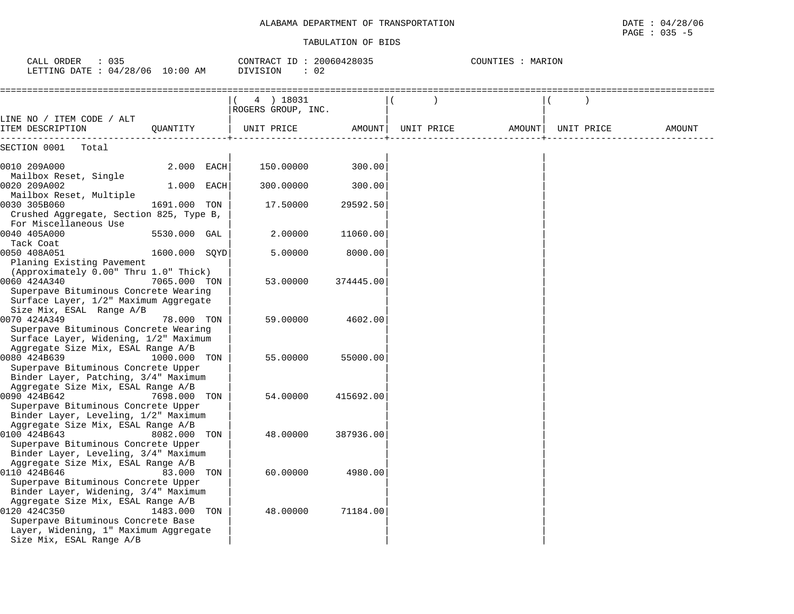| CALL ORDER<br>$\therefore$ 035<br>LETTING DATE : 04/28/06 10:00 AM                                                                      |               |     | CONTRACT ID: 20060428035<br>DIVISION<br>: 02 |           |               | COUNTIES : MARION |            |        |
|-----------------------------------------------------------------------------------------------------------------------------------------|---------------|-----|----------------------------------------------|-----------|---------------|-------------------|------------|--------|
|                                                                                                                                         |               |     | 4 ) 18031<br>ROGERS GROUP, INC.              |           | $\rightarrow$ |                   |            |        |
| LINE NO / ITEM CODE / ALT<br>ITEM DESCRIPTION                                                                                           | QUANTITY      |     | UNIT PRICE                                   | AMOUNT    | UNIT PRICE    | AMOUNT            | UNIT PRICE | AMOUNT |
| SECTION 0001<br>Total                                                                                                                   |               |     |                                              |           |               |                   |            |        |
| 0010 209A000<br>Mailbox Reset, Single                                                                                                   | 2.000 EACH    |     | 150.00000                                    | 300.00    |               |                   |            |        |
| 0020 209A002<br>Mailbox Reset, Multiple                                                                                                 | 1.000 EACH    |     | 300.00000                                    | 300.00    |               |                   |            |        |
| 0030 305B060<br>Crushed Aggregate, Section 825, Type B,                                                                                 | 1691.000      | TON | 17.50000                                     | 29592.50  |               |                   |            |        |
| For Miscellaneous Use<br>0040 405A000                                                                                                   | 5530.000 GAL  |     | 2.00000                                      | 11060.00  |               |                   |            |        |
| Tack Coat<br>0050 408A051<br>Planing Existing Pavement                                                                                  | 1600.000 SQYD |     | 5.00000                                      | 8000.00   |               |                   |            |        |
| (Approximately 0.00" Thru 1.0" Thick)<br>0060 424A340<br>Superpave Bituminous Concrete Wearing<br>Surface Layer, 1/2" Maximum Aggregate | 7065.000 TON  |     | 53.00000                                     | 374445.00 |               |                   |            |        |
| Size Mix, ESAL Range A/B<br>0070 424A349                                                                                                | 78.000 TON    |     | 59.00000                                     | 4602.00   |               |                   |            |        |
| Superpave Bituminous Concrete Wearing<br>Surface Layer, Widening, 1/2" Maximum<br>Aggregate Size Mix, ESAL Range A/B                    |               |     |                                              |           |               |                   |            |        |
| 0080 424B639<br>Superpave Bituminous Concrete Upper                                                                                     | 1000.000      | TON | 55.00000                                     | 55000.00  |               |                   |            |        |
| Binder Layer, Patching, 3/4" Maximum<br>Aggregate Size Mix, ESAL Range A/B<br>0090 424B642                                              | 7698.000 TON  |     | 54.00000                                     | 415692.00 |               |                   |            |        |
| Superpave Bituminous Concrete Upper<br>Binder Layer, Leveling, 1/2" Maximum                                                             |               |     |                                              |           |               |                   |            |        |
| Aggregate Size Mix, ESAL Range A/B<br>0100 424B643<br>Superpave Bituminous Concrete Upper                                               | 8082.000      | TON | 48.00000                                     | 387936.00 |               |                   |            |        |
| Binder Layer, Leveling, 3/4" Maximum<br>Aggregate Size Mix, ESAL Range A/B<br>0110 424B646                                              | 83.000        | TON | 60.00000                                     | 4980.00   |               |                   |            |        |
| Superpave Bituminous Concrete Upper<br>Binder Layer, Widening, 3/4" Maximum<br>Aggregate Size Mix, ESAL Range A/B                       |               |     |                                              |           |               |                   |            |        |
| 0120 424C350<br>Superpave Bituminous Concrete Base<br>Layer, Widening, 1" Maximum Aggregate<br>Size Mix, ESAL Range A/B                 | 1483.000      | TON | 48.00000                                     | 71184.00  |               |                   |            |        |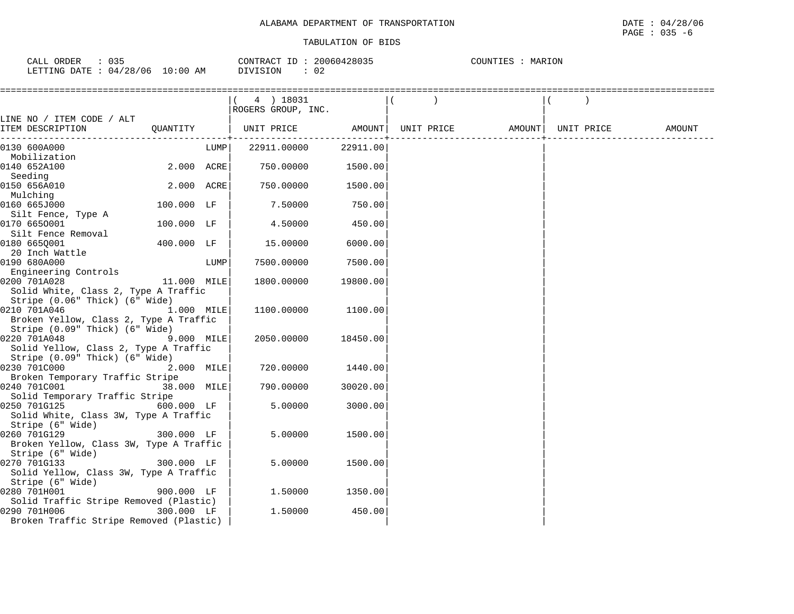| 035<br>ORDER<br>CALL   |             | 20060428035<br>CONTRACT ID: | COUNTIES<br>MARION |
|------------------------|-------------|-----------------------------|--------------------|
| LETTING DATE: 04/28/06 | 10:00<br>ΆM | DIVISION<br>02              |                    |

|                                                                        |             |      | (4) 18031<br>ROGERS GROUP, INC.                                                                    |          |  |  |        |
|------------------------------------------------------------------------|-------------|------|----------------------------------------------------------------------------------------------------|----------|--|--|--------|
| LINE NO / ITEM CODE / ALT                                              |             |      |                                                                                                    |          |  |  |        |
| ITEM DESCRIPTION                                                       |             |      | QUANTITY   UNIT PRICE                 AMOUNT    UNIT PRICE                    AMOUNT    UNIT PRICE |          |  |  | AMOUNT |
| 0130 600A000                                                           |             | LUMP | 22911.00000                                                                                        | 22911.00 |  |  |        |
| Mobilization<br>0140 652A100                                           | 2.000 ACRE  |      | 750.00000                                                                                          | 1500.00  |  |  |        |
| Seeding                                                                |             |      |                                                                                                    |          |  |  |        |
| 0150 656A010                                                           | 2.000 ACRE  |      | 750.00000                                                                                          | 1500.00  |  |  |        |
| Mulching                                                               |             |      |                                                                                                    |          |  |  |        |
| 0160 665J000                                                           | 100.000 LF  |      | 7.50000                                                                                            | 750.00   |  |  |        |
| Silt Fence, Type A                                                     |             |      |                                                                                                    |          |  |  |        |
| 0170 6650001                                                           | 100.000 LF  |      | 4.50000                                                                                            | 450.00   |  |  |        |
| Silt Fence Removal                                                     |             |      |                                                                                                    |          |  |  |        |
| 0180 6650001                                                           | 400.000 LF  |      | 15.00000                                                                                           | 6000.00  |  |  |        |
| 20 Inch Wattle                                                         |             |      |                                                                                                    |          |  |  |        |
| 0190 680A000                                                           |             | LUMP | 7500.00000                                                                                         | 7500.00  |  |  |        |
| Engineering Controls                                                   |             |      |                                                                                                    |          |  |  |        |
| 0200 701A028                                                           | 11.000 MILE |      | 1800.00000                                                                                         | 19800.00 |  |  |        |
| Solid White, Class 2, Type A Traffic<br>Stripe (0.06" Thick) (6" Wide) |             |      |                                                                                                    |          |  |  |        |
| 0210 701A046                                                           | 1.000 MILE  |      | 1100.00000                                                                                         | 1100.00  |  |  |        |
| Broken Yellow, Class 2, Type A Traffic                                 |             |      |                                                                                                    |          |  |  |        |
| Stripe (0.09" Thick) (6" Wide)                                         |             |      |                                                                                                    |          |  |  |        |
| 0220 701A048                                                           | 9.000 MILE  |      | 2050.00000                                                                                         | 18450.00 |  |  |        |
| Solid Yellow, Class 2, Type A Traffic                                  |             |      |                                                                                                    |          |  |  |        |
| Stripe (0.09" Thick) (6" Wide)                                         |             |      |                                                                                                    |          |  |  |        |
| 0230 701C000                                                           | 2.000 MILE  |      | 720.00000                                                                                          | 1440.00  |  |  |        |
| Broken Temporary Traffic Stripe                                        |             |      |                                                                                                    |          |  |  |        |
| 0240 701C001                                                           | 38.000 MILE |      | 790.00000                                                                                          | 30020.00 |  |  |        |
| Solid Temporary Traffic Stripe                                         |             |      |                                                                                                    |          |  |  |        |
| 0250 701G125                                                           | 600.000 LF  |      | 5.00000                                                                                            | 3000.00  |  |  |        |
| Solid White, Class 3W, Type A Traffic                                  |             |      |                                                                                                    |          |  |  |        |
| Stripe (6" Wide)                                                       |             |      |                                                                                                    |          |  |  |        |
| 0260 701G129                                                           | 300.000 LF  |      | 5.00000                                                                                            | 1500.00  |  |  |        |
| Broken Yellow, Class 3W, Type A Traffic                                |             |      |                                                                                                    |          |  |  |        |
| Stripe (6" Wide)                                                       |             |      |                                                                                                    |          |  |  |        |
| 0270 701G133                                                           | 300.000 LF  |      | 5.00000                                                                                            | 1500.00  |  |  |        |
| Solid Yellow, Class 3W, Type A Traffic<br>Stripe (6" Wide)             |             |      |                                                                                                    |          |  |  |        |
| 0280 701H001                                                           | 900.000 LF  |      | 1.50000                                                                                            | 1350.00  |  |  |        |
| Solid Traffic Stripe Removed (Plastic)                                 |             |      |                                                                                                    |          |  |  |        |
| 0290 701H006                                                           | 300.000 LF  |      | 1.50000                                                                                            | 450.00   |  |  |        |
| Broken Traffic Stripe Removed (Plastic)                                |             |      |                                                                                                    |          |  |  |        |
|                                                                        |             |      |                                                                                                    |          |  |  |        |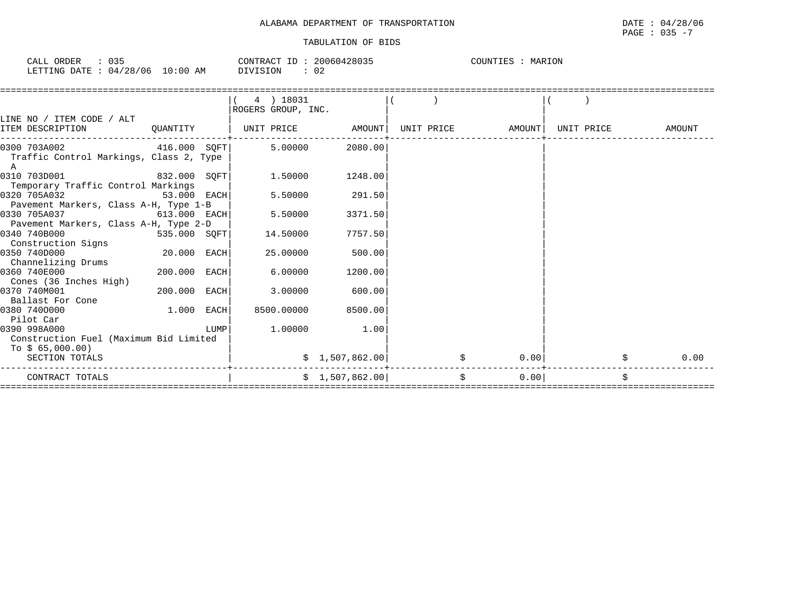| $\sim$ $\sim$ $-$<br>ORDER<br>$\sim$ $\sim$ $\sim$<br>-'ALL<br>ັບປະ |             | CONTRACT<br>-- | 428035<br>20060. | MARION<br>COUNTIES |
|---------------------------------------------------------------------|-------------|----------------|------------------|--------------------|
| 04/28<br>706<br>LETTING<br>RATE:                                    | 10:00<br>AΜ | DIVISION       | ے ں              |                    |

|                                                                                         |                |      | 4 ) 18031<br>ROGERS GROUP, INC. |                   |    |                   |            |        |
|-----------------------------------------------------------------------------------------|----------------|------|---------------------------------|-------------------|----|-------------------|------------|--------|
| LINE NO / ITEM CODE / ALT<br>ITEM DESCRIPTION                                           | QUANTITY       |      |                                 | UNIT PRICE AMOUNT |    | UNIT PRICE AMOUNT | UNIT PRICE | AMOUNT |
| 0300 703A002<br>416.000 SOFT<br>Traffic Control Markings, Class 2, Type<br>$\mathbb{A}$ |                |      | 5.00000                         | 2080.00           |    |                   |            |        |
| 0310 703D001<br>832.000 SQFT<br>Temporary Traffic Control Markings                      |                |      | 1.50000                         | 1248.00           |    |                   |            |        |
| 0320 705A032<br>Pavement Markers, Class A-H, Type 1-B                                   | 53.000 EACH    |      | 5.50000                         | 291.50            |    |                   |            |        |
| 0330 705A037<br>Pavement Markers, Class A-H, Type 2-D                                   | $613.000$ EACH |      | 5.50000                         | 3371.50           |    |                   |            |        |
| 0340 740B000<br>535.000 SOFT<br>Construction Signs                                      |                |      | 14.50000                        | 7757.50           |    |                   |            |        |
| 0350 740D000<br>Channelizing Drums                                                      | 20.000 EACH    |      | 25.00000                        | 500.00            |    |                   |            |        |
| 0360 740E000                                                                            | 200.000 EACH   |      | 6.00000                         | 1200.00           |    |                   |            |        |
| Cones (36 Inches High)<br>0370 740M001                                                  | 200.000 EACH   |      | 3,00000                         | 600.00            |    |                   |            |        |
| Ballast For Cone<br>0380 7400000<br>Pilot Car                                           | 1.000 EACH     |      | 8500.00000                      | 8500.00           |    |                   |            |        |
| 0390 998A000<br>Construction Fuel (Maximum Bid Limited<br>To $$65,000.00)$              |                | LUMP | 1.00000                         | 1.00              |    |                   |            |        |
| SECTION TOTALS                                                                          |                |      |                                 | \$1,507,862.00    |    | 0.00              |            | 0.00   |
| CONTRACT TOTALS                                                                         |                |      |                                 | \$1,507,862.00    | \$ | 0.00              |            | \$     |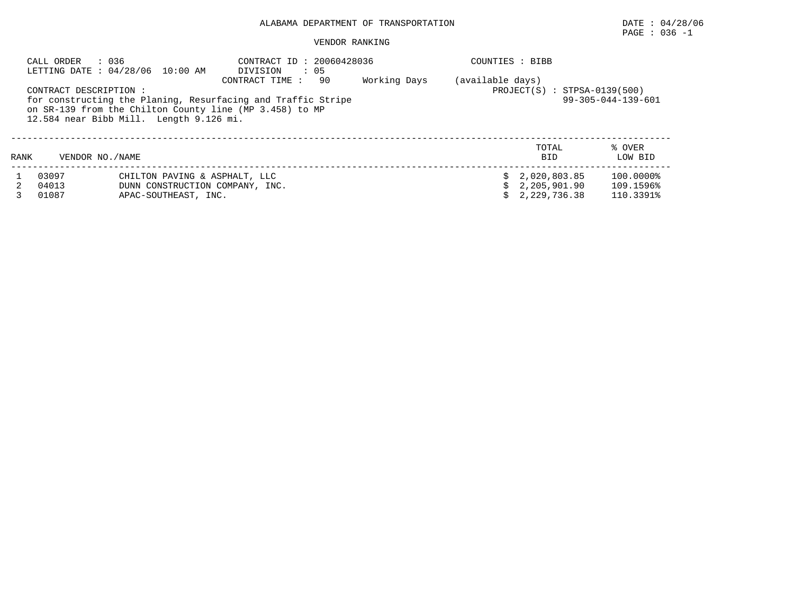# $\texttt{PAGE}$  : 036 -1

#### VENDOR RANKING

| CALL ORDER              | : 036<br>LETTING DATE : 04/28/06 10:00 AM                                                                                    | CONTRACT ID: 20060428036<br>DIVISION<br>$\therefore$ 05                               |              | COUNTIES : BIBB  |                                                |                                     |
|-------------------------|------------------------------------------------------------------------------------------------------------------------------|---------------------------------------------------------------------------------------|--------------|------------------|------------------------------------------------|-------------------------------------|
|                         | CONTRACT DESCRIPTION :<br>on SR-139 from the Chilton County line (MP 3.458) to MP<br>12.584 near Bibb Mill. Length 9.126 mi. | 90<br>CONTRACT TIME :<br>for constructing the Planing, Resurfacing and Traffic Stripe | Working Days | (available days) | $PROJECT(S) : STPSA-0139(500)$                 | $99 - 305 - 044 - 139 - 601$        |
| RANK                    | VENDOR NO. / NAME                                                                                                            |                                                                                       |              |                  | TOTAL<br><b>BID</b>                            | % OVER<br>LOW BID                   |
| 03097<br>04013<br>01087 | CHILTON PAVING & ASPHALT, LLC<br>DUNN CONSTRUCTION COMPANY, INC.<br>APAC-SOUTHEAST, INC.                                     |                                                                                       |              |                  | \$2,020,803.85<br>2,205,901.90<br>2,229,736.38 | 100.0000%<br>109.1596%<br>110.3391% |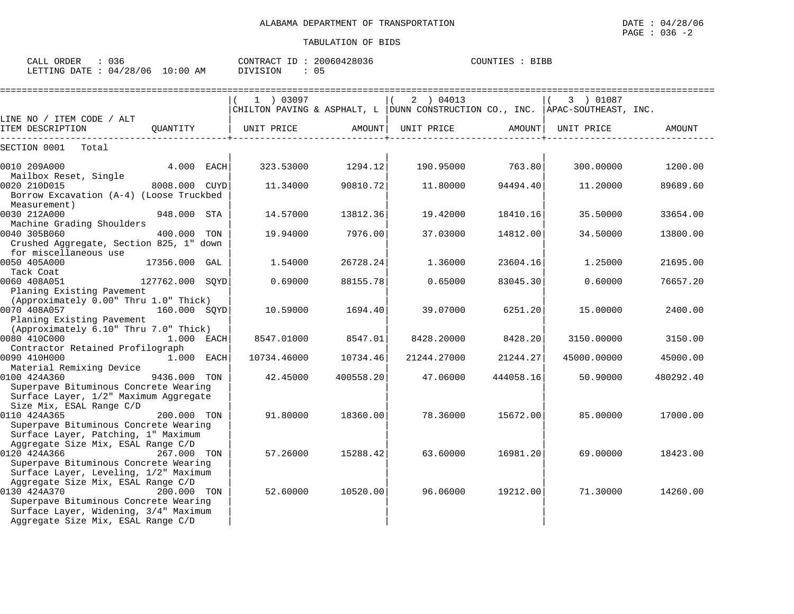| CALL ORDER                       | 036 |  |          | CONTRACT ID: 20060428036 | COUNTIES : BIBB |  |
|----------------------------------|-----|--|----------|--------------------------|-----------------|--|
| LETTING DATE : 04/28/06 10:00 AM |     |  | DIVISION |                          |                 |  |

|                                                                                                                                                                            |                 |                       | ================== |                                                                                               |           |             |           |
|----------------------------------------------------------------------------------------------------------------------------------------------------------------------------|-----------------|-----------------------|--------------------|-----------------------------------------------------------------------------------------------|-----------|-------------|-----------|
|                                                                                                                                                                            |                 | $1$ ) 03097           |                    | 2 ) 04013<br>CHILTON PAVING & ASPHALT, L   DUNN CONSTRUCTION CO., INC.   APAC-SOUTHEAST, INC. |           | 3 ) 01087   |           |
| LINE NO / ITEM CODE / ALT                                                                                                                                                  |                 |                       |                    |                                                                                               |           |             |           |
| ITEM DESCRIPTION                                                                                                                                                           |                 | QUANTITY   UNIT PRICE | AMOUNT             | UNIT PRICE                                                                                    | AMOUNT    | UNIT PRICE  | AMOUNT    |
| SECTION 0001<br>Total                                                                                                                                                      |                 |                       |                    |                                                                                               |           |             |           |
| 0010 209A000<br>Mailbox Reset, Single                                                                                                                                      | 4.000 EACH      |                       | 323.53000 1294.12  | $190.95000$ 763.80                                                                            |           | 300.00000   | 1200.00   |
| 0020 210D015<br>Borrow Excavation (A-4) (Loose Truckbed<br>Measurement)                                                                                                    | 8008.000 CUYD   | 11.34000              | 90810.72           | 11.80000                                                                                      | 94494.401 | 11,20000    | 89689.60  |
| 0030 212A000                                                                                                                                                               | 948.000 STA     | 14.57000              | 13812.36           | 19.42000                                                                                      | 18410.16  | 35.50000    | 33654.00  |
| Machine Grading Shoulders<br>0040 305B060<br>Crushed Aggregate, Section 825, 1" down<br>for miscellaneous use                                                              | 400.000 TON     | 19.94000              | 7976.00            | 37.03000                                                                                      | 14812.00  | 34.50000    | 13800.00  |
| 0050 405A000<br>Tack Coat                                                                                                                                                  | 17356.000 GAL   | 1.54000               | 26728.24           | 1.36000                                                                                       | 23604.16  | 1,25000     | 21695.00  |
| 0060 408A051<br>Planing Existing Pavement                                                                                                                                  | 127762.000 SOYD | 0.69000               | 88155.78           | 0.65000                                                                                       | 83045.30  | 0.60000     | 76657.20  |
| (Approximately 0.00" Thru 1.0" Thick)<br>0070 408A057 160.000 SQYD<br>Planing Existing Pavement                                                                            |                 | 10.59000              | 1694.40            | 39.07000                                                                                      | 6251.20   | 15.00000    | 2400.00   |
| (Approximately 6.10" Thru 7.0" Thick)<br>0080 410C000<br>Contractor Retained Profilograph                                                                                  | 1.000 EACH      | 8547.01000            | 8547.01            | 8428.20000                                                                                    | 8428.20   | 3150.00000  | 3150.00   |
| 0090 410H000                                                                                                                                                               | $1.000$ EACH    | 10734.46000           | 10734.46           | 21244.27000                                                                                   | 21244.27  | 45000.00000 | 45000.00  |
| Material Remixing Device<br>0100 424A360<br>Superpave Bituminous Concrete Wearing<br>Surface Layer, 1/2" Maximum Aggregate<br>Size Mix, ESAL Range C/D                     | 9436.000 TON    | 42.45000              | 400558.20          | 47.06000                                                                                      | 444058.16 | 50.90000    | 480292.40 |
| 0110 424A365<br>Superpave Bituminous Concrete Wearing<br>Surface Layer, Patching, 1" Maximum                                                                               | 200.000 TON     | 91.80000              | 18360.00           | 78.36000                                                                                      | 15672.00  | 85.00000    | 17000.00  |
| Aggregate Size Mix, ESAL Range C/D<br>0120 424A366<br>Superpave Bituminous Concrete Wearing<br>Surface Layer, Leveling, 1/2" Maximum                                       | 267.000 TON     | 57.26000              | 15288.42           | 63.60000                                                                                      | 16981.20  | 69,00000    | 18423.00  |
| Aggregate Size Mix, ESAL Range C/D<br>0130 424A370<br>Superpave Bituminous Concrete Wearing<br>Surface Layer, Widening, 3/4" Maximum<br>Aggregate Size Mix, ESAL Range C/D | 200.000 TON     | 52.60000              | 10520.00           | 96.06000                                                                                      | 19212.00  | 71.30000    | 14260.00  |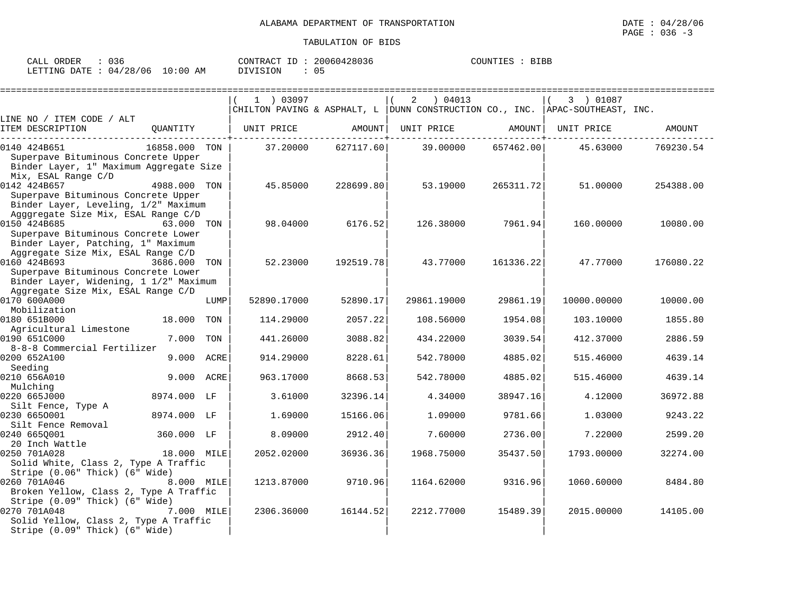| ORDER<br>CALL                    | U.36 |          | CONTRACT ID: 20060428036 | COUNTIES : BIBB |
|----------------------------------|------|----------|--------------------------|-----------------|
| LETTING DATE : 04/28/06 10:00 AM |      | DIVISION |                          |                 |

|                                                                           |               |      | $1$ ) 03097 |           | 04013<br>2                                                                       |               | 3 ) 01087   |           |
|---------------------------------------------------------------------------|---------------|------|-------------|-----------|----------------------------------------------------------------------------------|---------------|-------------|-----------|
|                                                                           |               |      |             |           | CHILTON PAVING & ASPHALT, L   DUNN CONSTRUCTION CO., INC.   APAC-SOUTHEAST, INC. |               |             |           |
| LINE NO / ITEM CODE / ALT<br>ITEM DESCRIPTION                             | OUANTITY      |      | UNIT PRICE  | AMOUNT    | UNIT PRICE                                                                       | AMOUNT        | UNIT PRICE  | AMOUNT    |
|                                                                           |               |      |             |           |                                                                                  | ------------+ |             |           |
| 0140 424B651                                                              | 16858.000 TON |      | 37.20000    | 627117.60 | 39.00000                                                                         | 657462.00     | 45.63000    | 769230.54 |
| Superpave Bituminous Concrete Upper                                       |               |      |             |           |                                                                                  |               |             |           |
| Binder Layer, 1" Maximum Aggregate Size<br>Mix, ESAL Range C/D            |               |      |             |           |                                                                                  |               |             |           |
| 0142 424B657                                                              | 4988.000 TON  |      | 45.85000    | 228699.80 | 53.19000                                                                         | 265311.72     | 51.00000    | 254388.00 |
| Superpave Bituminous Concrete Upper                                       |               |      |             |           |                                                                                  |               |             |           |
| Binder Layer, Leveling, 1/2" Maximum                                      |               |      |             |           |                                                                                  |               |             |           |
| Agggregate Size Mix, ESAL Range C/D                                       |               |      |             |           |                                                                                  |               |             |           |
| 0150 424B685                                                              | 63.000 TON    |      | 98.04000    | 6176.52   | 126.38000                                                                        | 7961.94       | 160,00000   | 10080.00  |
| Superpave Bituminous Concrete Lower<br>Binder Layer, Patching, 1" Maximum |               |      |             |           |                                                                                  |               |             |           |
| Aggregate Size Mix, ESAL Range C/D                                        |               |      |             |           |                                                                                  |               |             |           |
| 0160 424B693                                                              | 3686.000 TON  |      | 52.23000    | 192519.78 | 43.77000                                                                         | 161336.22     | 47.77000    | 176080.22 |
| Superpave Bituminous Concrete Lower                                       |               |      |             |           |                                                                                  |               |             |           |
| Binder Layer, Widening, 1 1/2" Maximum                                    |               |      |             |           |                                                                                  |               |             |           |
| Aggregate Size Mix, ESAL Range C/D<br>0170 600A000                        |               | LUMP | 52890.17000 | 52890.17  | 29861.19000                                                                      | 29861.19      | 10000.00000 | 10000.00  |
| Mobilization                                                              |               |      |             |           |                                                                                  |               |             |           |
| 0180 651B000                                                              | 18.000 TON    |      | 114.29000   | 2057.22   | 108.56000                                                                        | 1954.08       | 103.10000   | 1855.80   |
| Agricultural Limestone                                                    |               |      |             |           |                                                                                  |               |             |           |
| 0190 651C000                                                              | 7.000         | TON  | 441.26000   | 3088.82   | 434.22000                                                                        | 3039.54       | 412.37000   | 2886.59   |
| 8-8-8 Commercial Fertilizer                                               |               |      |             |           |                                                                                  |               |             |           |
| 0200 652A100<br>Seeding                                                   | 9.000 ACRE    |      | 914.29000   | 8228.61   | 542.78000                                                                        | 4885.02       | 515.46000   | 4639.14   |
| 0210 656A010                                                              | 9.000 ACRE    |      | 963.17000   | 8668.53   | 542.78000                                                                        | 4885.02       | 515.46000   | 4639.14   |
| Mulching                                                                  |               |      |             |           |                                                                                  |               |             |           |
| 0220 665J000                                                              | 8974.000 LF   |      | 3.61000     | 32396.14  | 4.34000                                                                          | 38947.16      | 4.12000     | 36972.88  |
| Silt Fence, Type A                                                        |               |      |             |           |                                                                                  |               |             |           |
| 0230 6650001<br>Silt Fence Removal                                        | 8974.000 LF   |      | 1.69000     | 15166.06  | 1.09000                                                                          | 9781.66       | 1,03000     | 9243.22   |
| 0240 6650001                                                              | 360.000 LF    |      | 8.09000     | 2912.40   | 7.60000                                                                          | 2736.00       | 7.22000     | 2599.20   |
| 20 Inch Wattle                                                            |               |      |             |           |                                                                                  |               |             |           |
| 0250 701A028                                                              | 18.000 MILE   |      | 2052.02000  | 36936.36  | 1968.75000                                                                       | 35437.50      | 1793.00000  | 32274.00  |
| Solid White, Class 2, Type A Traffic                                      |               |      |             |           |                                                                                  |               |             |           |
| Stripe (0.06" Thick) (6" Wide)<br>0260 701A046                            | 8.000 MILE    |      | 1213.87000  | 9710.96   | 1164.62000                                                                       | 9316.96       | 1060.60000  | 8484.80   |
| Broken Yellow, Class 2, Type A Traffic                                    |               |      |             |           |                                                                                  |               |             |           |
| Stripe (0.09" Thick) (6" Wide)                                            |               |      |             |           |                                                                                  |               |             |           |
| 0270 701A048                                                              | 7.000 MILE    |      | 2306.36000  | 16144.52  | 2212.77000                                                                       | 15489.39      | 2015.00000  | 14105.00  |
| Solid Yellow, Class 2, Type A Traffic                                     |               |      |             |           |                                                                                  |               |             |           |
| Stripe (0.09" Thick) (6" Wide)                                            |               |      |             |           |                                                                                  |               |             |           |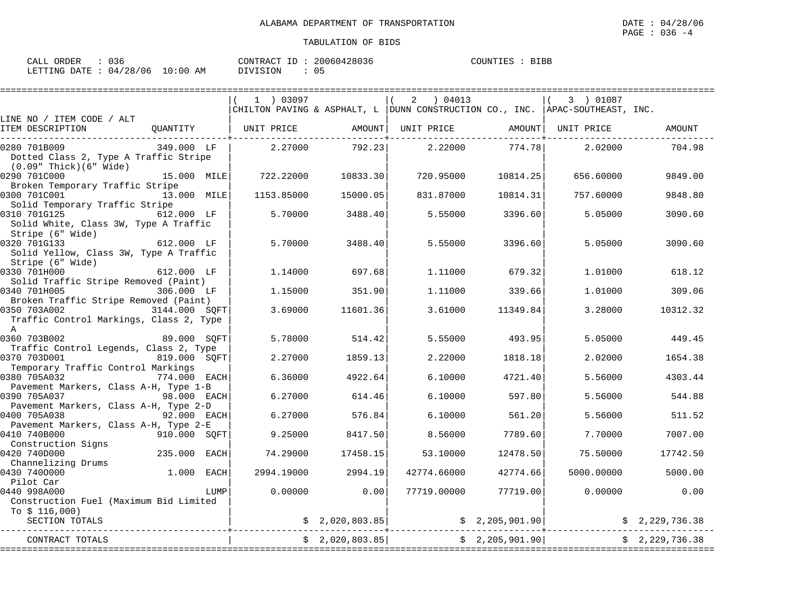| ORDER<br>וזגר<br>للسائد | りろも                    |             | תחדות ר<br>$.77$ $\cap$<br>⊥D.<br>ו ג <i>ו</i> ש | 1428036<br>20060<br>1604 | <b>BIBB</b><br>COUNT |
|-------------------------|------------------------|-------------|--------------------------------------------------|--------------------------|----------------------|
| LETTING<br>DATE         | 28<br>'06<br>$\cap$ 4. | 10:00<br>AΜ | VISION                                           |                          |                      |

|                                                                                 |               |            |                | 04013<br>2                                                                   |                 | 3 ) 01087  |                |
|---------------------------------------------------------------------------------|---------------|------------|----------------|------------------------------------------------------------------------------|-----------------|------------|----------------|
| LINE NO / ITEM CODE / ALT                                                       |               |            |                | CHILTON PAVING & ASPHALT, L DUNN CONSTRUCTION CO., INC. APAC-SOUTHEAST, INC. |                 |            |                |
| ITEM DESCRIPTION                                                                | OUANTITY      | UNIT PRICE | AMOUNT         | UNIT PRICE                                                                   | AMOUNT          | UNIT PRICE | <b>AMOUNT</b>  |
| 0280 701B009<br>Dotted Class 2, Type A Traffic Stripe<br>(0.09" Thick)(6" Wide) | 349.000 LF    | 2.27000    | 792.23         | 2.22000                                                                      | 774.78          | 2.02000    | 704.98         |
| 0290 701C000<br>Broken Temporary Traffic Stripe                                 | 15.000 MILE   | 722.22000  | 10833.30       | 720.95000                                                                    | 10814.25        | 656.60000  | 9849.00        |
| 0300 701C001<br>Solid Temporary Traffic Stripe                                  | 13.000 MILE   | 1153.85000 | 15000.05       | 831.87000                                                                    | 10814.31        | 757.60000  | 9848.80        |
| 0310 701G125<br>Solid White, Class 3W, Type A Traffic<br>Stripe (6" Wide)       | 612.000 LF    | 5.70000    | 3488.40        | 5.55000                                                                      | 3396.60         | 5.05000    | 3090.60        |
| 0320 701G133<br>Solid Yellow, Class 3W, Type A Traffic<br>Stripe (6" Wide)      | 612.000 LF    | 5.70000    | 3488.40        | 5.55000                                                                      | 3396.60         | 5.05000    | 3090.60        |
| 0330 701H000<br>Solid Traffic Stripe Removed (Paint)                            | 612.000 LF    | 1.14000    | 697.68         | 1,11000                                                                      | 679.32          | 1,01000    | 618.12         |
| 0340 701H005<br>Broken Traffic Stripe Removed (Paint)                           | 306.000 LF    | 1.15000    | 351.90         | 1.11000                                                                      | 339.66          | 1,01000    | 309.06         |
| 0350 703A002<br>Traffic Control Markings, Class 2, Type<br>$\overline{A}$       | 3144.000 SQFT | 3.69000    | 11601.36       | 3.61000                                                                      | 11349.84        | 3.28000    | 10312.32       |
| 0360 703B002<br>Traffic Control Legends, Class 2, Type                          | 89.000 SOFT   | 5.78000    | 514.42         | 5.55000                                                                      | 493.95          | 5.05000    | 449.45         |
| 0370 703D001<br>Temporary Traffic Control Markings                              | 819.000 SOFT  | 2.27000    | 1859.13        | 2.22000                                                                      | 1818.18         | 2.02000    | 1654.38        |
| 0380 705A032<br>Pavement Markers, Class A-H, Type 1-B                           | 774.000 EACH  | 6.36000    | 4922.64        | 6.10000                                                                      | 4721.40         | 5.56000    | 4303.44        |
| 0390 705A037<br>Pavement Markers, Class A-H, Type 2-D                           | 98.000 EACH   | 6.27000    | 614.46         | 6.10000                                                                      | 597.80          | 5.56000    | 544.88         |
| 0400 705A038<br>Pavement Markers, Class A-H, Type 2-E                           | 92.000 EACH   | 6.27000    | 576.84         | 6.10000                                                                      | 561.20          | 5.56000    | 511.52         |
| 0410 740B000<br>Construction Signs                                              | 910.000 SQFT  | 9.25000    | 8417.50        | 8.56000                                                                      | 7789.60         | 7.70000    | 7007.00        |
| 0420 740D000<br>Channelizing Drums                                              | 235.000 EACH  | 74.29000   | 17458.15       | 53.10000                                                                     | 12478.50        | 75.50000   | 17742.50       |
| 0430 7400000<br>Pilot Car                                                       | 1.000<br>EACH | 2994.19000 | 2994.19        | 42774.66000                                                                  | 42774.66        | 5000.00000 | 5000.00        |
| 0440 998A000<br>Construction Fuel (Maximum Bid Limited<br>To \$ 116,000)        | LUMP          | 0.00000    | 0.00           | 77719.00000                                                                  | 77719.00        | 0.00000    | 0.00           |
| SECTION TOTALS                                                                  |               |            | \$2,020,803.85 |                                                                              | \$2,205,901.90] |            | \$2,229,736.38 |
| CONTRACT TOTALS                                                                 |               |            | \$2,020,803.85 |                                                                              | \$2,205,901.90] |            | \$2,229,736.38 |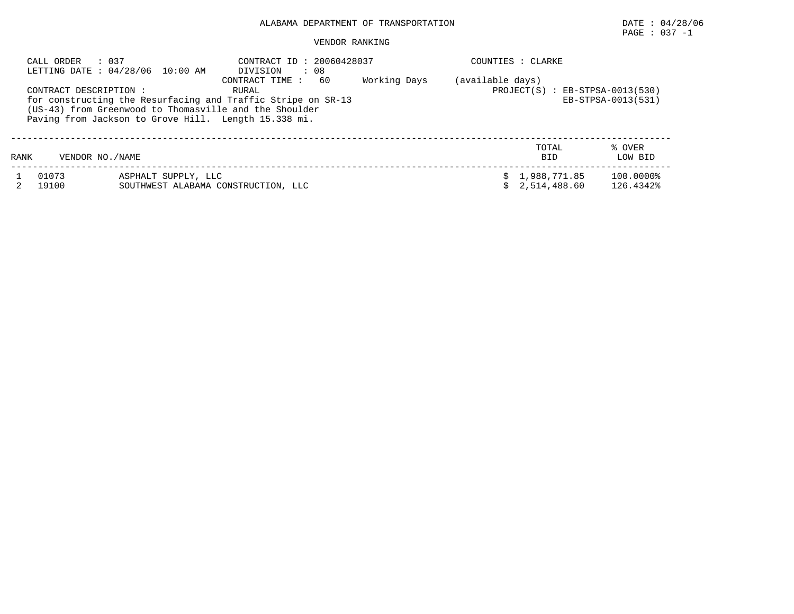# PAGE : 037 -1

#### VENDOR RANKING

|      | CALL ORDER<br>: 037<br>CONTRACT DESCRIPTION: | LETTING DATE : 04/28/06 10:00 AM                           | CONTRACT ID: 20060428037<br>: 08<br>DIVISION<br>60<br>CONTRACT TIME:<br>RURAL<br>for constructing the Resurfacing and Traffic Stripe on SR-13<br>(US-43) from Greenwood to Thomasville and the Shoulder | Working Days | (available days) | COUNTIES : CLARKE<br>$PROJECT(S) : EB-STPSA-0013(530)$ | EB-STPSA-0013(531)     |
|------|----------------------------------------------|------------------------------------------------------------|---------------------------------------------------------------------------------------------------------------------------------------------------------------------------------------------------------|--------------|------------------|--------------------------------------------------------|------------------------|
|      |                                              |                                                            | Paving from Jackson to Grove Hill. Length 15.338 mi.                                                                                                                                                    |              |                  |                                                        |                        |
| RANK | VENDOR NO. / NAME                            |                                                            |                                                                                                                                                                                                         |              |                  | TOTAL<br><b>BID</b>                                    | % OVER<br>LOW BID      |
|      | 01073<br>19100                               | ASPHALT SUPPLY, LLC<br>SOUTHWEST ALABAMA CONSTRUCTION, LLC |                                                                                                                                                                                                         |              |                  | \$1,988,771.85<br>2,514,488.60                         | 100.0000%<br>126.4342% |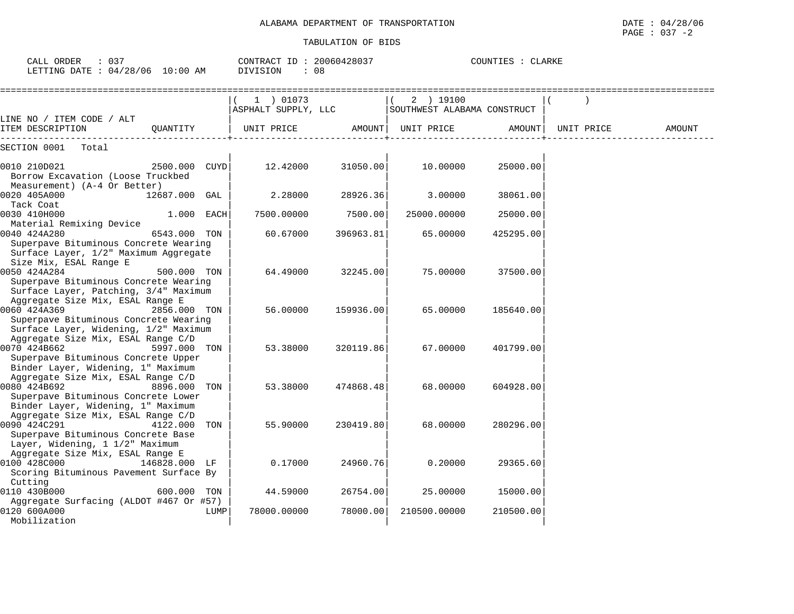| : 037<br>CALL ORDER<br>LETTING DATE : 04/28/06 10:00 AM                                                                                                           |                 | DIVISION                         | CONTRACT ID: 20060428037<br>: 08 |                                          | COUNTIES : CLARKE |            |        |
|-------------------------------------------------------------------------------------------------------------------------------------------------------------------|-----------------|----------------------------------|----------------------------------|------------------------------------------|-------------------|------------|--------|
|                                                                                                                                                                   |                 | 1 ) 01073<br>ASPHALT SUPPLY, LLC |                                  | (2) 19100<br>SOUTHWEST ALABAMA CONSTRUCT |                   |            |        |
| LINE NO / ITEM CODE / ALT<br>ITEM DESCRIPTION                                                                                                                     | QUANTITY        | UNIT PRICE                       | AMOUNT                           | UNIT PRICE                               | AMOUNT            | UNIT PRICE | AMOUNT |
| SECTION 0001<br>Total                                                                                                                                             |                 |                                  |                                  |                                          |                   |            |        |
| 0010 210D021<br>Borrow Excavation (Loose Truckbed<br>Measurement) (A-4 Or Better)                                                                                 | 2500.000 CUYD   | 12.42000                         | 31050.00                         | 10.00000                                 | 25000.00          |            |        |
| 0020 405A000                                                                                                                                                      | 12687.000 GAL   | 2.28000                          | 28926.36                         | 3.00000                                  | 38061.00          |            |        |
| Tack Coat<br>0030 410H000                                                                                                                                         | 1.000 EACH      | 7500.00000                       | 7500.00                          | 25000.00000                              | 25000.00          |            |        |
| Material Remixing Device<br>0040 424A280<br>Superpave Bituminous Concrete Wearing<br>Surface Layer, 1/2" Maximum Aggregate                                        | 6543.000 TON    | 60.67000                         | 396963.81                        | 65.00000                                 | 425295.00         |            |        |
| Size Mix, ESAL Range E<br>0050 424A284<br>Superpave Bituminous Concrete Wearing<br>Surface Layer, Patching, 3/4" Maximum                                          | 500.000 TON     | 64.49000                         | 32245.00                         | 75.00000                                 | 37500.00          |            |        |
| Aggregate Size Mix, ESAL Range E<br>0060 424A369<br>Superpave Bituminous Concrete Wearing<br>Surface Layer, Widening, 1/2" Maximum                                | 2856.000 TON    | 56.00000                         | 159936.00                        | 65.00000                                 | 185640.00         |            |        |
| Aggregate Size Mix, ESAL Range C/D<br>0070 424B662<br>Superpave Bituminous Concrete Upper                                                                         | 5997.000 TON    | 53.38000                         | 320119.86                        | 67.00000                                 | 401799.00         |            |        |
| Binder Layer, Widening, 1" Maximum<br>Aggregate Size Mix, ESAL Range C/D<br>0080 424B692<br>Superpave Bituminous Concrete Lower                                   | 8896.000<br>TON | 53.38000                         | 474868.48                        | 68,00000                                 | 604928.00         |            |        |
| Binder Layer, Widening, 1" Maximum<br>Aggregate Size Mix, ESAL Range C/D<br>0090 424C291<br>Superpave Bituminous Concrete Base<br>Layer, Widening, 1 1/2" Maximum | 4122.000<br>TON | 55.90000                         | 230419.80                        | 68,00000                                 | 280296.00         |            |        |
| Aggregate Size Mix, ESAL Range E<br>0100 428C000<br>Scoring Bituminous Pavement Surface By                                                                        | 146828.000 LF   | 0.17000                          | 24960.76                         | 0.20000                                  | 29365.60          |            |        |
| Cutting<br>0110 430B000                                                                                                                                           | 600.000 TON     | 44.59000                         | 26754.00                         | 25.00000                                 | 15000.00          |            |        |
| Aggregate Surfacing (ALDOT #467 Or #57)<br>0120 600A000<br>Mobilization                                                                                           |                 | 78000.00000<br>LUMP              | 78000.00                         | 210500.00000                             | 210500.00         |            |        |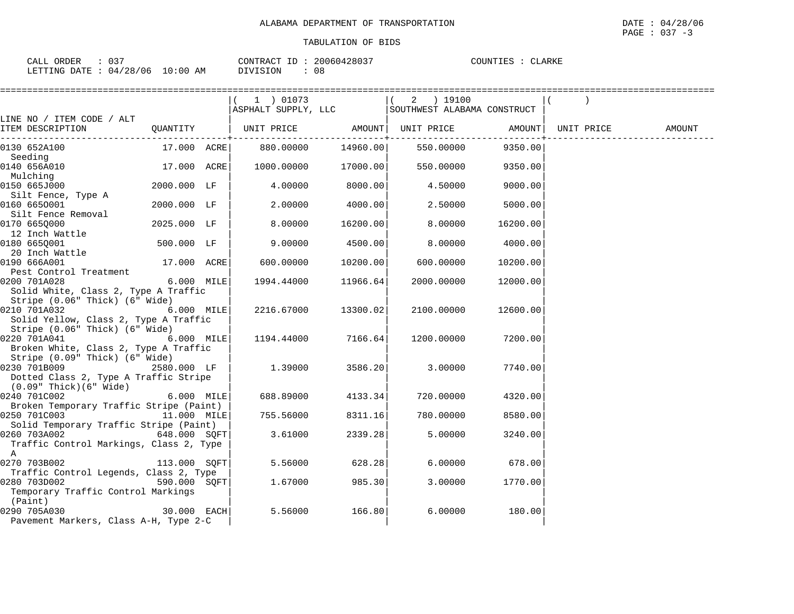| . 037<br>CALL ORDER             |          | CONTRACT ID: 20060428037 | COUNTIES : CLARKE |
|---------------------------------|----------|--------------------------|-------------------|
| LETTING DATE: 04/28/06 10:00 AM | DIVISION | 08                       |                   |

|                                                                                         |               |            | ========================= |                                                                |          |            |        |
|-----------------------------------------------------------------------------------------|---------------|------------|---------------------------|----------------------------------------------------------------|----------|------------|--------|
|                                                                                         |               | 1 ) 01073  |                           | 2 ) 19100<br>ASPHALT SUPPLY, LLC   SOUTHWEST ALABAMA CONSTRUCT |          |            |        |
| LINE NO / ITEM CODE / ALT                                                               |               |            |                           |                                                                |          |            |        |
| ITEM DESCRIPTION                                                                        |               |            |                           | QUANTITY   UNIT PRICE AMOUNT  UNIT PRICE AMOUNT                |          | UNIT PRICE | AMOUNT |
| 0130 652A100<br>Seeding                                                                 |               |            |                           |                                                                |          |            |        |
| 0140 656A010<br>Mulching                                                                | 17.000 ACRE   |            | 1000.00000 17000.00       | 550.00000                                                      | 9350.00  |            |        |
| 0150 665J000<br>Silt Fence, Type A                                                      | 2000.000 LF   | 4.00000    | 8000.00                   | 4.50000                                                        | 9000.00  |            |        |
| 0160 6650001<br>Silt Fence Removal                                                      | 2000.000 LF   | 2.00000    | 4000.00                   | 2.50000                                                        | 5000.00  |            |        |
| 0170 6650000<br>12 Inch Wattle                                                          | 2025.000 LF   | 8.00000    | 16200.00                  | 8.00000                                                        | 16200.00 |            |        |
| 0180 6650001<br>20 Inch Wattle                                                          | 500.000 LF    | 9.00000    | 4500.00                   | 8.00000                                                        | 4000.00  |            |        |
| 0190 666A001<br>Pest Control Treatment                                                  | 17.000 ACRE   | 600.00000  | 10200.00                  | 600.00000                                                      | 10200.00 |            |        |
| 0200 701A028<br>Solid White, Class 2, Type A Traffic<br>Stripe (0.06" Thick) (6" Wide)  | 6.000 MILE    | 1994.44000 | 11966.64                  | 2000.00000                                                     | 12000.00 |            |        |
| 0210 701A032<br>Solid Yellow, Class 2, Type A Traffic<br>Stripe (0.06" Thick) (6" Wide) | 6.000 MILE    | 2216.67000 | 13300.02                  | 2100.00000                                                     | 12600.00 |            |        |
| 0220 701A041<br>Broken White, Class 2, Type A Traffic<br>Stripe (0.09" Thick) (6" Wide) | $6.000$ MILE  |            | 1194.44000 7166.64        | 1200.00000                                                     | 7200.00  |            |        |
| 0230 701B009<br>Dotted Class 2, Type A Traffic Stripe<br>(0.09" Thick)(6" Wide)         | 2580.000 LF   | 1.39000    | 3586.20                   | 3.00000                                                        | 7740.00  |            |        |
| 0240 701C002<br>Broken Temporary Traffic Stripe (Paint)                                 | $6.000$ MILE  | 688.89000  | 4133.34                   | 720.00000                                                      | 4320.00  |            |        |
| 0250 701C003 11.000 MILE<br>Solid Temporary Traffic Stripe (Paint)                      |               | 755.56000  | 8311.16                   | 780.00000                                                      | 8580.00  |            |        |
| 0260 703A002<br>Traffic Control Markings, Class 2, Type<br>A                            | 648.000 SOFT  | 3.61000    | 2339.28                   | 5.00000                                                        | 3240.00  |            |        |
| 0270 703B002<br>Traffic Control Legends, Class 2, Type                                  | 113.000 SQFT  | 5.56000    | 628.28                    | 6.00000                                                        | 678.00   |            |        |
| 0280 703D002<br>Temporary Traffic Control Markings<br>(Paint)                           | 590.000 SOFT  | 1.67000    | 985.30                    | 3.00000                                                        | 1770.00  |            |        |
| 0290 705A030<br>Pavement Markers, Class A-H, Type 2-C                                   | $30.000$ EACH | 5.56000    | 166.80                    | 6.00000                                                        | 180.00   |            |        |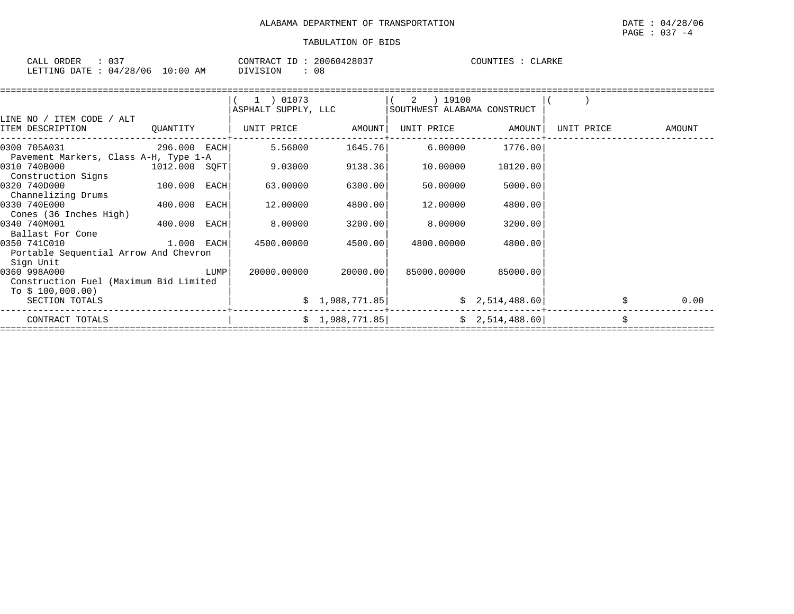| $\sim$ $\sim$ $\sim$<br>ORDER<br>CALL | $\sim$ $\sim$ $\sim$<br>ັບມ |                  | CONTR.<br>$\sqrt{2}$<br>'R A ( | TD. | 428037<br>61 ZE<br>(11161) | COUNTIES | "JARKI |  |
|---------------------------------------|-----------------------------|------------------|--------------------------------|-----|----------------------------|----------|--------|--|
| LETTING<br>DATE                       | 128<br>'06<br>04            | :00<br>L O<br>AΜ | VISION                         |     | n o<br>υö                  |          |        |  |

|                                        |                |      | $(1)$ 01073         |                      | 2 ) 19100                   |                   |            |        |
|----------------------------------------|----------------|------|---------------------|----------------------|-----------------------------|-------------------|------------|--------|
|                                        |                |      | ASPHALT SUPPLY, LLC |                      | SOUTHWEST ALABAMA CONSTRUCT |                   |            |        |
| LINE NO / ITEM CODE / ALT              |                |      |                     |                      |                             |                   |            |        |
| ITEM DESCRIPTION                       | QUANTITY       |      |                     |                      |                             | UNIT PRICE AMOUNT | UNIT PRICE | AMOUNT |
| 0300 705A031<br>296.000 EACH           |                |      | 5.56000             | 1645.76              | 6.00000                     | 1776.001          |            |        |
| Pavement Markers, Class A-H, Type 1-A  |                |      |                     |                      |                             |                   |            |        |
| 0310 740B000<br>1012.000 SQFT          |                |      | 9.03000             | 9138.36              | 10.00000                    | 10120.00          |            |        |
| Construction Signs                     |                |      |                     |                      |                             |                   |            |        |
| 0320 740D000                           | $100.000$ EACH |      | 63.00000            | 6300.00              | 50.00000                    | 5000.00           |            |        |
| Channelizing Drums                     |                |      |                     |                      |                             |                   |            |        |
| 0330 740E000                           | 400.000 EACH   |      | 12.00000            | 4800.00              | 12.00000                    | 4800.00           |            |        |
| Cones (36 Inches High)                 |                |      |                     |                      |                             |                   |            |        |
| 0340 740M001<br>400.000 EACH           |                |      | 8.00000             | 3200.00              | 8.00000                     | 3200.00           |            |        |
| Ballast For Cone                       |                |      |                     |                      |                             |                   |            |        |
| 0350 741C010                           | $1.000$ EACH   |      | 4500.00000          | 4500.00              | 4800.00000                  | 4800.00           |            |        |
| Portable Sequential Arrow And Chevron  |                |      |                     |                      |                             |                   |            |        |
| Sign Unit                              |                |      |                     |                      |                             |                   |            |        |
| 0360 998A000                           |                | LUMP |                     | 20000.00000 20000.00 | 85000.00000                 | 85000.00          |            |        |
| Construction Fuel (Maximum Bid Limited |                |      |                     |                      |                             |                   |            |        |
| To $$100,000.00)$                      |                |      |                     |                      |                             |                   |            |        |
| SECTION TOTALS                         |                |      |                     | \$1,988,771.85]      |                             | \$2,514,488.60]   |            | 0.00   |
| CONTRACT TOTALS                        |                |      |                     | \$1,988,771.85       |                             | \$2,514,488.60]   |            |        |
|                                        |                |      |                     |                      |                             |                   |            |        |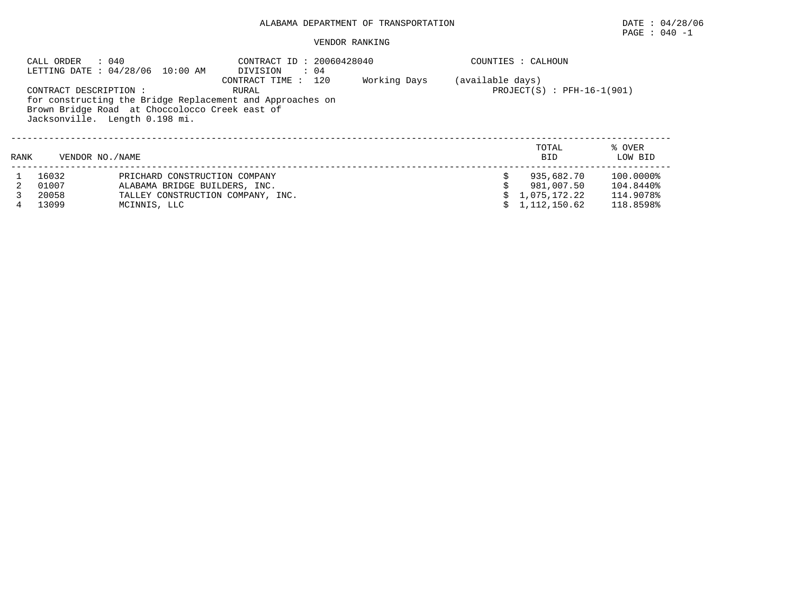#### VENDOR RANKING

|      | : 040<br>CALL ORDER<br>CONTRACT DESCRIPTION : | LETTING DATE : 04/28/06 10:00 AM<br>Brown Bridge Road at Choccolocco Creek east of<br>Jacksonville. Length 0.198 mi. | CONTRACT ID: 20060428040<br>$\therefore$ 04<br>DIVISION<br>120<br>CONTRACT TIME:<br>RURAL<br>for constructing the Bridge Replacement and Approaches on | Working Days | (available days) | COUNTIES : CALHOUN<br>$PROJECT(S) : PFH-16-1(901)$       |                                                  |
|------|-----------------------------------------------|----------------------------------------------------------------------------------------------------------------------|--------------------------------------------------------------------------------------------------------------------------------------------------------|--------------|------------------|----------------------------------------------------------|--------------------------------------------------|
| RANK | VENDOR NO. / NAME                             |                                                                                                                      |                                                                                                                                                        |              |                  | TOTAL<br><b>BID</b>                                      | % OVER<br>LOW BID                                |
|      | 16032<br>01007<br>20058<br>13099              | PRICHARD CONSTRUCTION COMPANY<br>ALABAMA BRIDGE BUILDERS, INC.<br>TALLEY CONSTRUCTION COMPANY, INC.<br>MCINNIS, LLC  |                                                                                                                                                        |              |                  | 935,682.70<br>981,007.50<br>1,075,172.22<br>1,112,150.62 | 100.0000%<br>104.8440%<br>114.9078%<br>118.8598% |

PAGE : 040 -1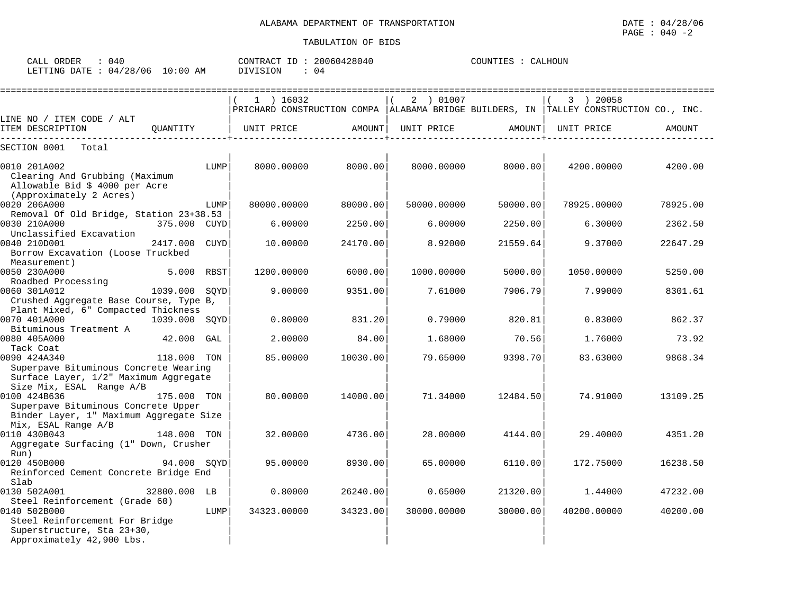| ORDER<br>CALL | U 4 (    |             | CONTRACT ID | 20060428040 | COUNTIES | CALHOUN |
|---------------|----------|-------------|-------------|-------------|----------|---------|
| LETTING DATE  | 04/28/06 | 10:00<br>AΜ | OIVISION    | 04          |          |         |

|                                                     |               |      | $1$ ) 16032                                                                               |               | 2 ) 01007   |          | 3 ) 20058   |          |
|-----------------------------------------------------|---------------|------|-------------------------------------------------------------------------------------------|---------------|-------------|----------|-------------|----------|
|                                                     |               |      | PRICHARD CONSTRUCTION COMPA   ALABAMA BRIDGE BUILDERS, IN   TALLEY CONSTRUCTION CO., INC. |               |             |          |             |          |
| LINE NO / ITEM CODE / ALT<br>ITEM DESCRIPTION       | OUANTITY      |      | UNIT PRICE                                                                                | <b>AMOUNT</b> | UNIT PRICE  | AMOUNT   | UNIT PRICE  | AMOUNT   |
| Total<br>SECTION 0001                               |               |      |                                                                                           |               |             |          |             |          |
| 0010 201A002                                        |               | LUMP | 8000.00000                                                                                | 8000.00       | 8000.00000  | 8000.00  | 4200.00000  | 4200.00  |
| Clearing And Grubbing (Maximum                      |               |      |                                                                                           |               |             |          |             |          |
| Allowable Bid \$ 4000 per Acre                      |               |      |                                                                                           |               |             |          |             |          |
| (Approximately 2 Acres)                             |               |      |                                                                                           |               |             |          |             |          |
| 0020 206A000                                        |               | LUMP | 80000.00000                                                                               | 80000.00      | 50000.00000 | 50000.00 | 78925.00000 | 78925.00 |
| Removal Of Old Bridge, Station 23+38.53             |               |      |                                                                                           |               |             |          |             |          |
| 0030 210A000                                        | 375.000 CUYD  |      | 6.00000                                                                                   | 2250.00       | 6,00000     | 2250.00  | 6.30000     | 2362.50  |
| Unclassified Excavation                             |               |      |                                                                                           |               |             |          |             |          |
| 0040 210D001                                        | 2417.000 CUYD |      | 10.00000                                                                                  | 24170.00      | 8.92000     | 21559.64 | 9.37000     | 22647.29 |
| Borrow Excavation (Loose Truckbed                   |               |      |                                                                                           |               |             |          |             |          |
| Measurement)                                        |               |      |                                                                                           |               |             |          |             |          |
| 0050 230A000                                        | 5.000 RBST    |      | 1200.00000                                                                                | 6000.00       | 1000.00000  | 5000.00  | 1050.00000  | 5250.00  |
| Roadbed Processing                                  |               |      |                                                                                           |               |             |          |             |          |
| 0060 301A012                                        | 1039.000 SOYD |      | 9.00000                                                                                   | 9351.00       | 7.61000     | 7906.79  | 7.99000     | 8301.61  |
| Crushed Aggregate Base Course, Type B,              |               |      |                                                                                           |               |             |          |             |          |
| Plant Mixed, 6" Compacted Thickness<br>0070 401A000 |               |      | 0.80000                                                                                   | 831.20        | 0.79000     | 820.81   | 0.83000     | 862.37   |
| 1039.000 SOYD<br>Bituminous Treatment A             |               |      |                                                                                           |               |             |          |             |          |
| 0080 405A000                                        | $42.000$ GAL  |      | 2.00000                                                                                   | 84.00         | 1.68000     | 70.561   | 1.76000     | 73.92    |
| Tack Coat                                           |               |      |                                                                                           |               |             |          |             |          |
| 0090 424A340                                        | 118.000 TON   |      | 85,00000                                                                                  | 10030.00      | 79.65000    | 9398.70  | 83.63000    | 9868.34  |
| Superpave Bituminous Concrete Wearing               |               |      |                                                                                           |               |             |          |             |          |
| Surface Layer, 1/2" Maximum Aggregate               |               |      |                                                                                           |               |             |          |             |          |
| Size Mix, ESAL Range A/B                            |               |      |                                                                                           |               |             |          |             |          |
| 0100 424B636                                        | 175.000 TON   |      | 80,00000                                                                                  | 14000.00      | 71.34000    | 12484.50 | 74.91000    | 13109.25 |
| Superpave Bituminous Concrete Upper                 |               |      |                                                                                           |               |             |          |             |          |
| Binder Layer, 1" Maximum Aggregate Size             |               |      |                                                                                           |               |             |          |             |          |
| Mix, ESAL Range A/B                                 |               |      |                                                                                           |               |             |          |             |          |
| 0110 430B043                                        | $148.000$ TON |      | 32,00000                                                                                  | 4736.00       | 28,00000    | 4144.001 | 29.40000    | 4351.20  |
| Aggregate Surfacing (1" Down, Crusher               |               |      |                                                                                           |               |             |          |             |          |
| Run)                                                |               |      |                                                                                           |               |             |          |             |          |
| 0120 450B000                                        | 94.000 SOYD   |      | 95,00000                                                                                  | 8930.00       | 65.00000    | 6110.00  | 172.75000   | 16238.50 |
| Reinforced Cement Concrete Bridge End               |               |      |                                                                                           |               |             |          |             |          |
| Slab                                                |               |      |                                                                                           |               |             |          |             |          |
| 0130 502A001                                        | 32800.000 LB  |      | 0.80000                                                                                   | 26240.00      | 0.65000     | 21320.00 | 1.44000     | 47232.00 |
| Steel Reinforcement (Grade 60)                      |               |      |                                                                                           |               |             |          |             |          |
| 0140 502B000                                        |               | LUMP | 34323.00000                                                                               | 34323.00      | 30000.00000 | 30000.00 | 40200.00000 | 40200.00 |
| Steel Reinforcement For Bridge                      |               |      |                                                                                           |               |             |          |             |          |
| Superstructure, Sta 23+30,                          |               |      |                                                                                           |               |             |          |             |          |
| Approximately 42,900 Lbs.                           |               |      |                                                                                           |               |             |          |             |          |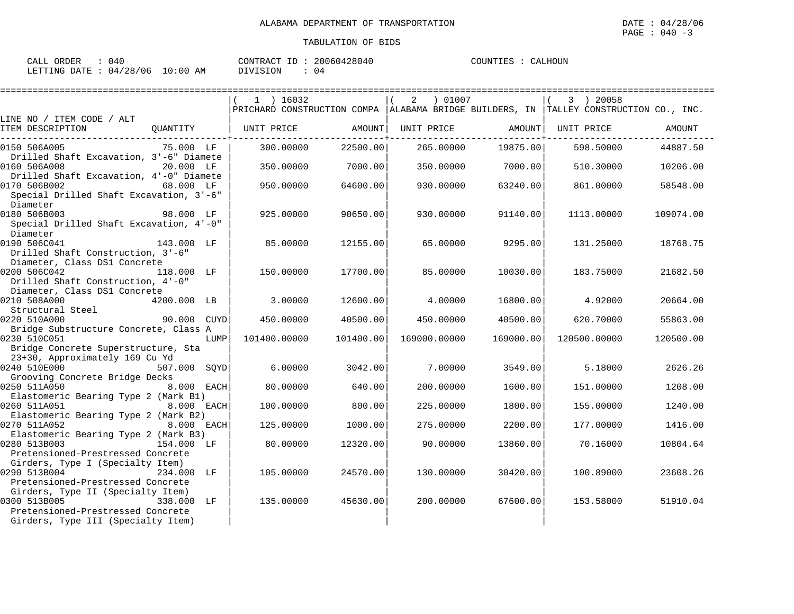| ORDER<br>CALL (                  | በ40 | CONTRACT ID:    | 20060428040 | COUNTIES | CALHOIIN |
|----------------------------------|-----|-----------------|-------------|----------|----------|
| LETTING DATE : 04/28/06 10:00 AM |     | <b>DIVISION</b> | በ 4         |          |          |

|                                                                       |              |      | $1$ ) 16032                                                                               |           | 2<br>01007   |           | 3 ) 20058    |           |
|-----------------------------------------------------------------------|--------------|------|-------------------------------------------------------------------------------------------|-----------|--------------|-----------|--------------|-----------|
|                                                                       |              |      | PRICHARD CONSTRUCTION COMPA   ALABAMA BRIDGE BUILDERS, IN   TALLEY CONSTRUCTION CO., INC. |           |              |           |              |           |
| LINE NO / ITEM CODE / ALT                                             |              |      |                                                                                           |           |              |           |              |           |
| ITEM DESCRIPTION                                                      | QUANTITY     |      | UNIT PRICE                                                                                | AMOUNT    | UNIT PRICE   | AMOUNT    | UNIT PRICE   | AMOUNT    |
| 0150 506A005                                                          | 75.000 LF    |      | 300.00000                                                                                 | 22500.00  | 265.00000    | 19875.00  | 598.50000    | 44887.50  |
| Drilled Shaft Excavation, 3'-6" Diamete                               |              |      |                                                                                           |           |              |           |              |           |
| 0160 506A008                                                          | 20.000 LF    |      | 350.00000                                                                                 | 7000.00   | 350.00000    | 7000.001  | 510.30000    | 10206.00  |
| Drilled Shaft Excavation, 4'-0" Diamete                               |              |      |                                                                                           |           |              |           |              |           |
| 0170 506B002                                                          | 68.000 LF    |      | 950,00000                                                                                 | 64600.00  | 930.00000    | 63240.00  | 861.00000    | 58548.00  |
| Special Drilled Shaft Excavation, 3'-6"                               |              |      |                                                                                           |           |              |           |              |           |
| Diameter                                                              |              |      |                                                                                           |           |              |           |              |           |
| 0180 506B003                                                          | 98.000 LF    |      | 925.00000                                                                                 | 90650.00  | 930.00000    | 91140.00  | 1113.00000   | 109074.00 |
| Special Drilled Shaft Excavation, 4'-0"<br>Diameter                   |              |      |                                                                                           |           |              |           |              |           |
| 143.000 LF<br>0190 506C041                                            |              |      | 85.00000                                                                                  | 12155.00  | 65.00000     | 9295.00   | 131.25000    | 18768.75  |
| Drilled Shaft Construction, 3'-6"                                     |              |      |                                                                                           |           |              |           |              |           |
| Diameter, Class DS1 Concrete                                          |              |      |                                                                                           |           |              |           |              |           |
| 0200 506C042                                                          | 118.000 LF   |      | 150.00000                                                                                 | 17700.00  | 85,00000     | 10030.00  | 183.75000    | 21682.50  |
| Drilled Shaft Construction, 4'-0"                                     |              |      |                                                                                           |           |              |           |              |           |
| Diameter, Class DS1 Concrete                                          |              |      |                                                                                           |           |              |           |              |           |
| 0210 508A000                                                          | 4200.000 LB  |      | 3,00000                                                                                   | 12600.00  | 4.00000      | 16800.00  | 4.92000      | 20664.00  |
| Structural Steel                                                      |              |      |                                                                                           |           |              |           |              |           |
| 0220 510A000                                                          | 90.000 CUYD  |      | 450.00000                                                                                 | 40500.00  | 450.00000    | 40500.00  | 620.70000    | 55863.00  |
| Bridge Substructure Concrete, Class A                                 |              |      |                                                                                           |           |              |           |              |           |
| 0230 510C051                                                          |              | LUMP | 101400.00000                                                                              | 101400.00 | 169000.00000 | 169000.00 | 120500.00000 | 120500.00 |
| Bridge Concrete Superstructure, Sta<br>23+30, Approximately 169 Cu Yd |              |      |                                                                                           |           |              |           |              |           |
| 0240 510E000                                                          | 507.000 SOYD |      | 6,00000                                                                                   | 3042.00   | 7.00000      | 3549.00   | 5.18000      | 2626.26   |
| Grooving Concrete Bridge Decks                                        |              |      |                                                                                           |           |              |           |              |           |
| 0250 511A050                                                          | 8.000 EACH   |      | 80.00000                                                                                  | 640.00    | 200.00000    | 1600.00   | 151.00000    | 1208.00   |
| Elastomeric Bearing Type 2 (Mark B1)                                  |              |      |                                                                                           |           |              |           |              |           |
| 0260 511A051                                                          | 8.000 EACH   |      | 100.00000                                                                                 | 800.00    | 225.00000    | 1800.00   | 155.00000    | 1240.00   |
| Elastomeric Bearing Type 2 (Mark B2)                                  |              |      |                                                                                           |           |              |           |              |           |
| 0270 511A052                                                          | 8.000 EACH   |      | 125.00000                                                                                 | 1000.00   | 275.00000    | 2200.00   | 177.00000    | 1416.00   |
| Elastomeric Bearing Type 2 (Mark B3)                                  |              |      |                                                                                           |           |              |           |              |           |
| 0280 513B003                                                          | 154.000 LF   |      | 80.00000                                                                                  | 12320.00  | 90.00000     | 13860.00  | 70.16000     | 10804.64  |
| Pretensioned-Prestressed Concrete                                     |              |      |                                                                                           |           |              |           |              |           |
| Girders, Type I (Specialty Item)<br>0290 513B004                      | 234.000 LF   |      | 105,00000                                                                                 | 24570.00  | 130.00000    | 30420.00  | 100.89000    | 23608.26  |
| Pretensioned-Prestressed Concrete                                     |              |      |                                                                                           |           |              |           |              |           |
| Girders, Type II (Specialty Item)                                     |              |      |                                                                                           |           |              |           |              |           |
| 0300 513B005                                                          | 338.000 LF   |      | 135.00000                                                                                 | 45630.00  | 200,00000    | 67600.00  | 153.58000    | 51910.04  |
| Pretensioned-Prestressed Concrete                                     |              |      |                                                                                           |           |              |           |              |           |
| Girders, Type III (Specialty Item)                                    |              |      |                                                                                           |           |              |           |              |           |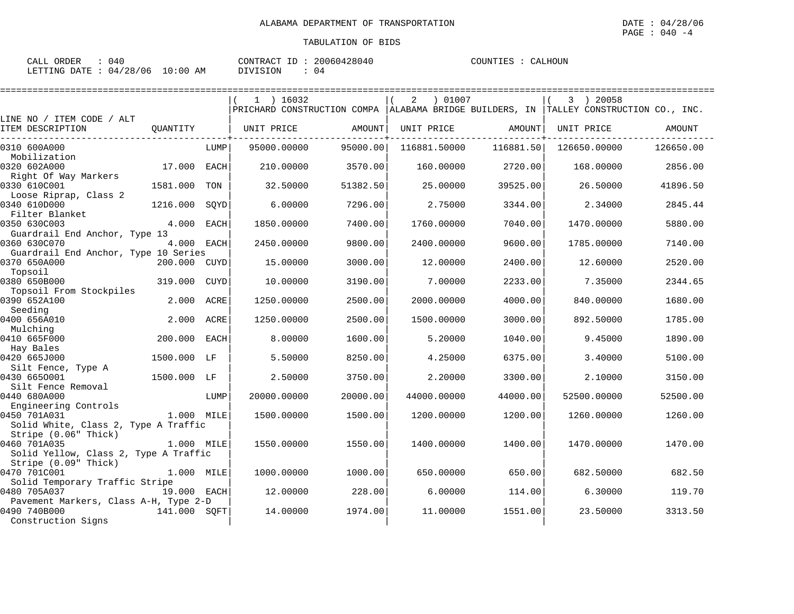| ORDER<br>CALL<br>140   |             | 20060428040<br>CONTRACT<br>ID | COUNTIES<br>CALHOUN |
|------------------------|-------------|-------------------------------|---------------------|
| LETTING DATE: 04/28/06 | 10:00<br>AM | DIVISION                      |                     |

|                                               |              |             | $1$ ) 16032                                                                               |          | ) 01007<br>2 |           | 3 ) 20058    |           |
|-----------------------------------------------|--------------|-------------|-------------------------------------------------------------------------------------------|----------|--------------|-----------|--------------|-----------|
|                                               |              |             | PRICHARD CONSTRUCTION COMPA   ALABAMA BRIDGE BUILDERS, IN   TALLEY CONSTRUCTION CO., INC. |          |              |           |              |           |
| LINE NO / ITEM CODE / ALT<br>ITEM DESCRIPTION | OUANTITY     |             | UNIT PRICE                                                                                | AMOUNT   | UNIT PRICE   | AMOUNT    | UNIT PRICE   | AMOUNT    |
| 0310 600A000                                  |              | LUMP        | 95000.00000                                                                               | 95000.00 | 116881.50000 | 116881.50 | 126650.00000 | 126650.00 |
| Mobilization                                  |              |             |                                                                                           |          |              |           |              |           |
| 0320 602A000                                  | 17.000       | EACH        | 210.00000                                                                                 | 3570.00  | 160.00000    | 2720.00   | 168.00000    | 2856.00   |
| Right Of Way Markers<br>0330 610C001          | 1581.000     | TON         | 32.50000                                                                                  | 51382.50 | 25.00000     | 39525.00  | 26.50000     | 41896.50  |
| Loose Riprap, Class 2                         |              |             |                                                                                           |          |              |           |              |           |
| 0340 610D000                                  | 1216.000     | SQYD        | 6.00000                                                                                   | 7296.00  | 2.75000      | 3344.00   | 2.34000      | 2845.44   |
| Filter Blanket<br>0350 630C003                | 4.000        | <b>EACH</b> | 1850.00000                                                                                | 7400.00  | 1760.00000   | 7040.00   | 1470.00000   | 5880.00   |
| Guardrail End Anchor, Type 13                 |              |             |                                                                                           |          |              |           |              |           |
| 0360 630C070                                  | 4.000        | EACH        | 2450.00000                                                                                | 9800.00  | 2400.00000   | 9600.00   | 1785.00000   | 7140.00   |
| Guardrail End Anchor, Type 10 Series          |              |             |                                                                                           |          |              |           |              |           |
| 0370 650A000                                  | 200.000      | CUYD        | 15.00000                                                                                  | 3000.00  | 12.00000     | 2400.00   | 12.60000     | 2520.00   |
| Topsoil<br>0380 650B000                       | 319.000      | CUYD        | 10.00000                                                                                  | 3190.00  | 7.00000      | 2233.00   | 7.35000      | 2344.65   |
| Topsoil From Stockpiles                       |              |             |                                                                                           |          |              |           |              |           |
| 0390 652A100                                  | 2.000        | ACRE        | 1250.00000                                                                                | 2500.00  | 2000.00000   | 4000.00   | 840.00000    | 1680.00   |
| Seeding                                       |              |             |                                                                                           |          |              |           |              |           |
| 0400 656A010                                  | 2.000        | ACRE        | 1250.00000                                                                                | 2500.00  | 1500.00000   | 3000.00   | 892.50000    | 1785.00   |
| Mulching<br>0410 665F000                      | 200.000      | EACH        | 8,00000                                                                                   | 1600.00  | 5.20000      | 1040.00   | 9.45000      | 1890.00   |
| Hay Bales                                     |              |             |                                                                                           |          |              |           |              |           |
| 0420 665J000                                  | 1500.000     | LF          | 5.50000                                                                                   | 8250.00  | 4.25000      | 6375.00   | 3.40000      | 5100.00   |
| Silt Fence, Type A                            |              |             |                                                                                           |          |              |           |              |           |
| 0430 6650001                                  | 1500.000 LF  |             | 2.50000                                                                                   | 3750.00  | 2.20000      | 3300.00   | 2.10000      | 3150.00   |
| Silt Fence Removal                            |              |             |                                                                                           |          |              |           |              |           |
| 0440 680A000                                  |              | LUMP        | 20000.00000                                                                               | 20000.00 | 44000.00000  | 44000.00  | 52500.00000  | 52500.00  |
| Engineering Controls<br>0450 701A031          | 1.000 MILE   |             | 1500.00000                                                                                | 1500.00  | 1200.00000   | 1200.00   | 1260.00000   | 1260.00   |
| Solid White, Class 2, Type A Traffic          |              |             |                                                                                           |          |              |           |              |           |
| Stripe (0.06" Thick)                          |              |             |                                                                                           |          |              |           |              |           |
| 0460 701A035                                  | 1.000 MILE   |             | 1550.00000                                                                                | 1550.00  | 1400.00000   | 1400.00   | 1470.00000   | 1470.00   |
| Solid Yellow, Class 2, Type A Traffic         |              |             |                                                                                           |          |              |           |              |           |
| Stripe (0.09" Thick)                          |              |             |                                                                                           |          |              |           |              |           |
| 0470 701C001                                  | 1.000 MILE   |             | 1000.00000                                                                                | 1000.00  | 650.00000    | 650.00    | 682.50000    | 682.50    |
| Solid Temporary Traffic Stripe                |              |             |                                                                                           |          |              |           |              |           |
| 0480 705A037                                  | 19.000 EACH  |             | 12,00000                                                                                  | 228.00   | 6.00000      | 114.00    | 6.30000      | 119.70    |
| Pavement Markers, Class A-H, Type 2-D         |              |             |                                                                                           |          |              |           |              |           |
| 0490 740B000<br>Construction Signs            | 141.000 SOFT |             | 14.00000                                                                                  | 1974.00  | 11,00000     | 1551.00   | 23.50000     | 3313.50   |
|                                               |              |             |                                                                                           |          |              |           |              |           |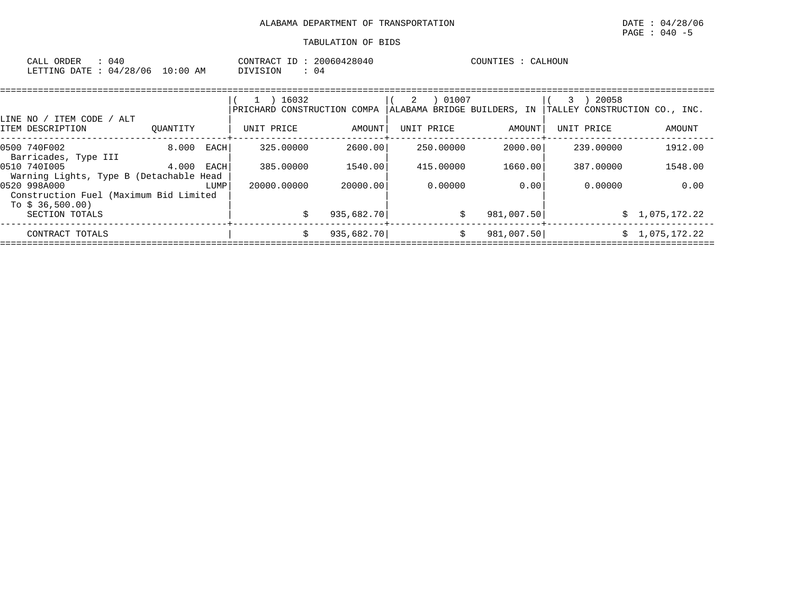| ORDER<br>CALL                    | 040 |  | CONTRACT ID: | 20060428040 | COUNTIES | CALHOUN |
|----------------------------------|-----|--|--------------|-------------|----------|---------|
| LETTING DATE : 04/28/06 10:00 AM |     |  | DIVISION     | U 4         |          |         |

|                                                         |          |      | 16032<br>PRICHARD CONSTRUCTION COMPA |            | 01007<br>2<br>ALABAMA BRIDGE BUILDERS, IN |            | 20058<br>TALLEY CONSTRUCTION CO., INC. |                |
|---------------------------------------------------------|----------|------|--------------------------------------|------------|-------------------------------------------|------------|----------------------------------------|----------------|
| ITEM CODE /<br>LINE NO /<br>ALT<br>ITEM DESCRIPTION     | OUANTITY |      | UNIT PRICE                           | AMOUNT     | UNIT PRICE                                | AMOUNT     | UNIT PRICE                             | AMOUNT         |
| 0500 740F002<br>Barricades, Type III                    | 8.000    | EACH | 325,00000                            | 2600.00    | 250.00000                                 | 2000.00    | 239,00000                              | 1912.00        |
| 0510 7401005<br>Warning Lights, Type B (Detachable Head | 4.000    | EACH | 385,00000                            | 1540.00    | 415.00000                                 | 1660.00    | 387.00000                              | 1548.00        |
| 0520 998A000<br>Construction Fuel (Maximum Bid Limited  |          | LUMP | 20000.00000                          | 20000.00   | 0.00000                                   | 0.001      | 0.00000                                | 0.00           |
| To $$36,500.00)$<br>SECTION TOTALS                      |          |      |                                      | 935,682.70 | \$                                        | 981,007.50 |                                        | \$1,075,172.22 |
| CONTRACT TOTALS                                         |          |      | Ŝ.                                   | 935,682.70 | Ŝ.                                        | 981,007.50 | S.                                     | 1,075,172.22   |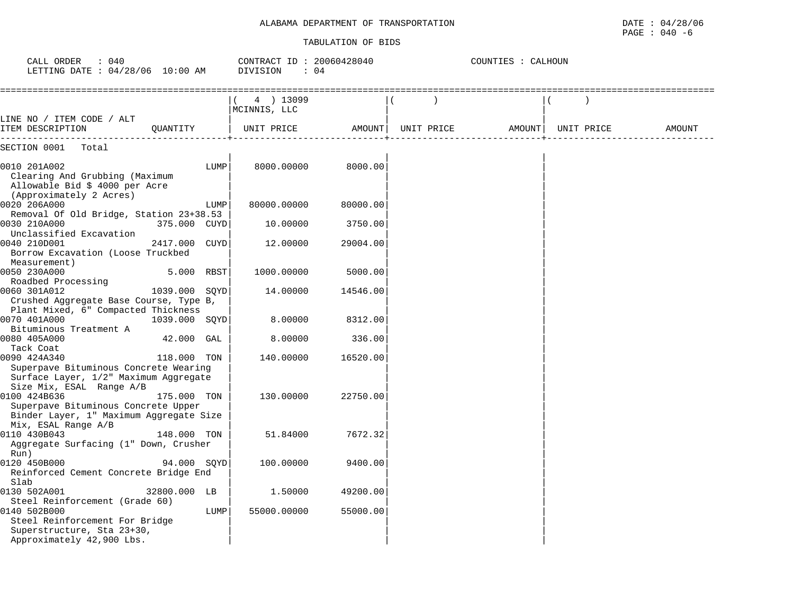| CALL ORDER<br>: 040<br>LETTING DATE : 04/28/06 10:00 AM                                                                                     |               |      | CONTRACT ID: 20060428040<br>DIVISION<br>: 04 |          |            | COUNTIES : CALHOUN |            |        |
|---------------------------------------------------------------------------------------------------------------------------------------------|---------------|------|----------------------------------------------|----------|------------|--------------------|------------|--------|
|                                                                                                                                             |               |      | 4 ) 13099<br>MCINNIS, LLC                    |          |            |                    |            |        |
| LINE NO / ITEM CODE / ALT<br>ITEM DESCRIPTION                                                                                               | OUANTITY      |      | UNIT PRICE                                   | AMOUNT   | UNIT PRICE | AMOUNT             | UNIT PRICE | AMOUNT |
| SECTION 0001<br>Total                                                                                                                       |               |      |                                              |          |            |                    |            |        |
| 0010 201A002<br>Clearing And Grubbing (Maximum<br>Allowable Bid \$ 4000 per Acre<br>(Approximately 2 Acres)                                 |               | LUMP | 8000.00000                                   | 8000.00  |            |                    |            |        |
| 0020 206A000<br>Removal Of Old Bridge, Station 23+38.53                                                                                     |               | LUMP | 80000.00000                                  | 80000.00 |            |                    |            |        |
| 0030 210A000<br>Unclassified Excavation                                                                                                     | 375.000 CUYD  |      | 10.00000                                     | 3750.00  |            |                    |            |        |
| 0040 210D001<br>Borrow Excavation (Loose Truckbed<br>Measurement)                                                                           | 2417.000 CUYD |      | 12.00000                                     | 29004.00 |            |                    |            |        |
| 0050 230A000<br>Roadbed Processing                                                                                                          | 5.000 RBST    |      | 1000.00000                                   | 5000.00  |            |                    |            |        |
| 0060 301A012<br>Crushed Aggregate Base Course, Type B,                                                                                      | 1039.000 SQYD |      | 14.00000                                     | 14546.00 |            |                    |            |        |
| Plant Mixed, 6" Compacted Thickness<br>0070 401A000                                                                                         | 1039.000 SQYD |      | 8.00000                                      | 8312.00  |            |                    |            |        |
| Bituminous Treatment A<br>0080 405A000<br>Tack Coat                                                                                         | 42.000 GAL    |      | 8.00000                                      | 336.00   |            |                    |            |        |
| 0090 424A340<br>Superpave Bituminous Concrete Wearing<br>Surface Layer, 1/2" Maximum Aggregate<br>Size Mix, ESAL Range A/B                  | 118.000 TON   |      | 140.00000                                    | 16520.00 |            |                    |            |        |
| 0100 424B636<br>Superpave Bituminous Concrete Upper<br>Binder Layer, 1" Maximum Aggregate Size<br>Mix, ESAL Range A/B                       | 175.000 TON   |      | 130.00000                                    | 22750.00 |            |                    |            |        |
| 0110 430B043<br>Aggregate Surfacing (1" Down, Crusher<br>Run)                                                                               | 148.000 TON   |      | 51.84000                                     | 7672.32  |            |                    |            |        |
| 0120 450B000<br>Reinforced Cement Concrete Bridge End<br>Slab                                                                               | 94.000 SOYD   |      | 100.00000                                    | 9400.00  |            |                    |            |        |
| 0130 502A001                                                                                                                                | 32800.000 LB  |      | 1.50000                                      | 49200.00 |            |                    |            |        |
| Steel Reinforcement (Grade 60)<br>0140 502B000<br>Steel Reinforcement For Bridge<br>Superstructure, Sta 23+30,<br>Approximately 42,900 Lbs. |               | LUMP | 55000.00000                                  | 55000.00 |            |                    |            |        |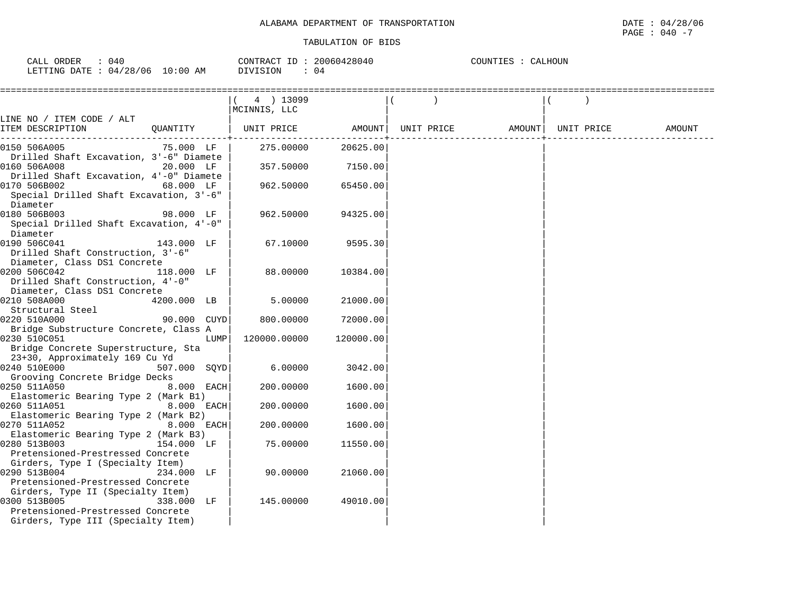| 040<br>ORDER<br>CALL   |            | 20060428040<br>CONTRACT ID: | COUNTIES :<br>CALHOUN |
|------------------------|------------|-----------------------------|-----------------------|
| LETTING DATE: 04/28/06 | $10:00$ AM | 04<br>DIVISION              |                       |

| ============================                                                                                                |              |      | $(4)$ 13099<br>MCINNIS, LLC |           |                              |        |
|-----------------------------------------------------------------------------------------------------------------------------|--------------|------|-----------------------------|-----------|------------------------------|--------|
| LINE NO / ITEM CODE / ALT                                                                                                   |              |      |                             |           |                              |        |
| ITEM DESCRIPTION                                                                                                            | QUANTITY     |      | UNIT PRICE                  | AMOUNT    | UNIT PRICE AMOUNT UNIT PRICE | AMOUNT |
| 0150 506A005                                                                                                                | 75.000 LF    |      | 275,00000                   | 20625.00  |                              |        |
| Drilled Shaft Excavation, 3'-6" Diamete<br>0160 506A008<br>Drilled Shaft Excavation, 4'-0" Diamete                          | 20.000 LF    |      | 357.50000                   | 7150.00   |                              |        |
| 0170 506B002<br>Special Drilled Shaft Excavation, 3'-6"<br>Diameter                                                         | 68.000 LF    |      | 962.50000                   | 65450.00  |                              |        |
| 0180 506B003<br>Special Drilled Shaft Excavation, 4'-0"<br>Diameter                                                         | 98.000 LF    |      | 962.50000                   | 94325.00  |                              |        |
| 0190 506C041<br>Drilled Shaft Construction, 3'-6"<br>Diameter, Class DS1 Concrete                                           | 143.000 LF   |      | 67.10000                    | 9595.30   |                              |        |
| 0200 506C042<br>Drilled Shaft Construction, 4'-0"<br>Diameter, Class DS1 Concrete                                           | 118.000 LF   |      | 88.00000                    | 10384.00  |                              |        |
| 0210 508A000<br>Structural Steel                                                                                            | 4200.000 LB  |      | 5.00000                     | 21000.00  |                              |        |
| 0220 510A000                                                                                                                | 90.000 CUYD  |      | 800.00000                   | 72000.00  |                              |        |
| Bridge Substructure Concrete, Class A                                                                                       |              |      |                             |           |                              |        |
| 0230 510C051                                                                                                                |              | LUMP | 120000.00000                | 120000.00 |                              |        |
| Bridge Concrete Superstructure, Sta                                                                                         |              |      |                             |           |                              |        |
| 23+30, Approximately 169 Cu Yd                                                                                              |              |      |                             |           |                              |        |
| 0240 510E000<br>Grooving Concrete Bridge Decks                                                                              | 507.000 SOYD |      | 6.00000                     | 3042.00   |                              |        |
| 0250 511A050                                                                                                                | 8.000 EACH   |      | 200.00000                   | 1600.00   |                              |        |
| Elastomeric Bearing Type 2 (Mark B1)                                                                                        |              |      |                             |           |                              |        |
| 0260 511A051                                                                                                                | 8.000 EACH   |      | 200.00000                   | 1600.00   |                              |        |
| Elastomeric Bearing Type 2 (Mark B2)<br>0270 511A052                                                                        | 8.000 EACH   |      | 200.00000                   | 1600.00   |                              |        |
| Elastomeric Bearing Type 2 (Mark B3)<br>0280 513B003<br>Pretensioned-Prestressed Concrete                                   | 154.000 LF   |      | 75.00000                    | 11550.00  |                              |        |
| Girders, Type I (Specialty Item)<br>0290 513B004                                                                            | 234.000 LF   |      | 90.00000                    | 21060.00  |                              |        |
| Pretensioned-Prestressed Concrete<br>Girders, Type II (Specialty Item)<br>0300 513B005<br>Pretensioned-Prestressed Concrete | 338.000 LF   |      | 145.00000                   | 49010.00  |                              |        |
| Girders, Type III (Specialty Item)                                                                                          |              |      |                             |           |                              |        |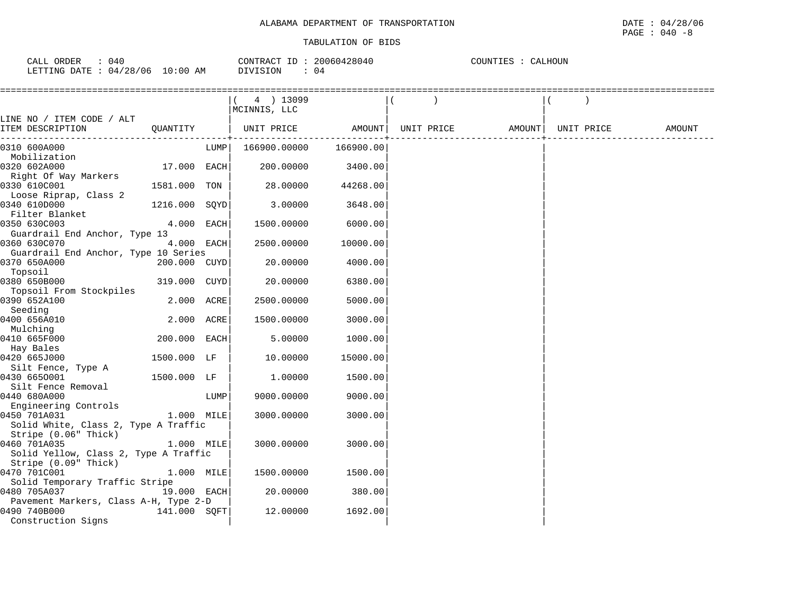| 040<br>CALL ORDER               |          | CONTRACT ID: 20060428040 | CALHOUN<br>COUNTIES : |
|---------------------------------|----------|--------------------------|-----------------------|
| LETTING DATE: 04/28/06 10:00 AM | DIVISION | (14                      |                       |

|                                                       |               |      | $(4)$ 13099  |           |                                                              |  |        |
|-------------------------------------------------------|---------------|------|--------------|-----------|--------------------------------------------------------------|--|--------|
|                                                       |               |      | MCINNIS, LLC |           |                                                              |  |        |
| LINE NO / ITEM CODE / ALT                             |               |      |              |           |                                                              |  |        |
| ITEM DESCRIPTION                                      | OUANTITY      |      |              |           | UNIT PRICE       AMOUNT  UNIT PRICE       AMOUNT  UNIT PRICE |  | AMOUNT |
| 0310 600A000                                          |               | LUMP | 166900.00000 | 166900.00 |                                                              |  |        |
| Mobilization                                          |               |      |              |           |                                                              |  |        |
| 0320 602A000                                          | 17.000 EACH   |      | 200.00000    | 3400.00   |                                                              |  |        |
| Right Of Way Markers                                  |               |      |              |           |                                                              |  |        |
| 0330 610C001                                          | 1581.000 TON  |      | 28.00000     | 44268.00  |                                                              |  |        |
| Loose Riprap, Class 2                                 |               |      |              |           |                                                              |  |        |
| 0340 610D000                                          | 1216.000 SOYD |      | 3.00000      | 3648.00   |                                                              |  |        |
| Filter Blanket                                        |               |      |              |           |                                                              |  |        |
| 0350 630C003                                          | 4.000 EACH    |      | 1500.00000   | 6000.00   |                                                              |  |        |
| Guardrail End Anchor, Type 13                         |               |      |              |           |                                                              |  |        |
| 0360 630C070                                          | 4.000 EACH    |      | 2500.00000   | 10000.00  |                                                              |  |        |
| Guardrail End Anchor, Type 10 Series                  |               |      |              |           |                                                              |  |        |
| 0370 650A000                                          | 200.000 CUYD  |      | 20.00000     | 4000.00   |                                                              |  |        |
| Topsoil                                               |               |      |              |           |                                                              |  |        |
| 0380 650B000                                          | 319.000 CUYD  |      | 20.00000     | 6380.00   |                                                              |  |        |
| Topsoil From Stockpiles<br>0390 652A100               |               |      |              |           |                                                              |  |        |
| Seeding                                               | 2.000 ACRE    |      | 2500.00000   | 5000.00   |                                                              |  |        |
| 0400 656A010                                          | 2.000 ACRE    |      | 1500.00000   | 3000.00   |                                                              |  |        |
| Mulching                                              |               |      |              |           |                                                              |  |        |
| 0410 665F000                                          | 200.000 EACH  |      | 5.00000      | 1000.00   |                                                              |  |        |
| Hay Bales                                             |               |      |              |           |                                                              |  |        |
| 0420 665J000                                          | 1500.000 LF   |      | 10.00000     | 15000.00  |                                                              |  |        |
| Silt Fence, Type A                                    |               |      |              |           |                                                              |  |        |
| 0430 6650001                                          | 1500.000 LF   |      | 1,00000      | 1500.00   |                                                              |  |        |
| Silt Fence Removal                                    |               |      |              |           |                                                              |  |        |
| 0440 680A000                                          |               | LUMP | 9000.00000   | 9000.00   |                                                              |  |        |
| Engineering Controls                                  |               |      |              |           |                                                              |  |        |
| 0450 701A031                                          | 1.000 MILE    |      | 3000.00000   | 3000.00   |                                                              |  |        |
| Solid White, Class 2, Type A Traffic                  |               |      |              |           |                                                              |  |        |
| Stripe (0.06" Thick)                                  |               |      |              |           |                                                              |  |        |
| 0460 701A035                                          | 1.000 MILE    |      | 3000.00000   | 3000.00   |                                                              |  |        |
| Solid Yellow, Class 2, Type A Traffic                 |               |      |              |           |                                                              |  |        |
| Stripe (0.09" Thick)                                  |               |      |              |           |                                                              |  |        |
| 0470 701C001                                          | 1.000 MILE    |      | 1500.00000   | 1500.00   |                                                              |  |        |
| Solid Temporary Traffic Stripe                        |               |      |              |           |                                                              |  |        |
| 0480 705A037                                          | 19.000 EACH   |      | 20.00000     | 380.00    |                                                              |  |        |
| Pavement Markers, Class A-H, Type 2-D<br>0490 740B000 | 141.000 SQFT  |      | 12.00000     | 1692.00   |                                                              |  |        |
| Construction Signs                                    |               |      |              |           |                                                              |  |        |
|                                                       |               |      |              |           |                                                              |  |        |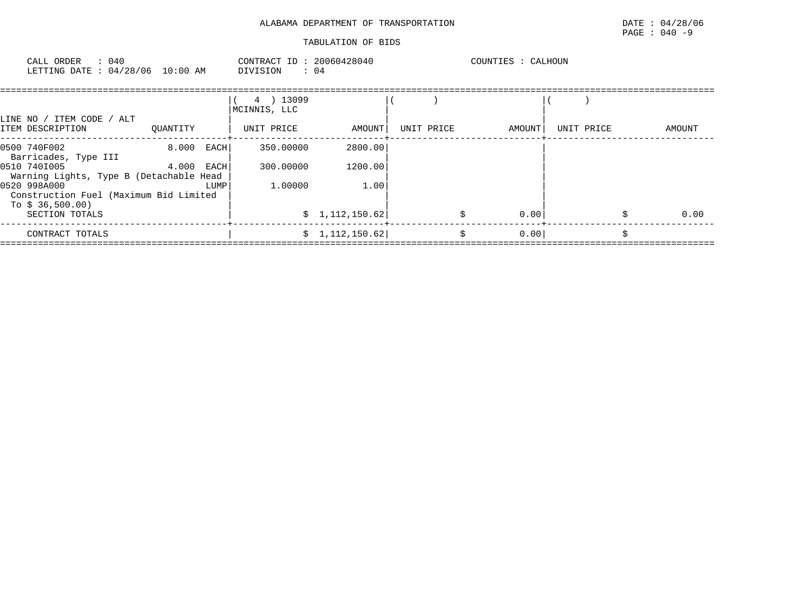| ORDER<br>CALL<br>LETTING DATE: 04/28/06 | 040 | $10:00$ AM | CONTRACT<br>DIVISION | ID : 20060428040<br>04 | COUNTIES |  |
|-----------------------------------------|-----|------------|----------------------|------------------------|----------|--|
|                                         |     |            |                      |                        |          |  |
|                                         |     |            |                      |                        |          |  |

| LINE NO / ITEM CODE / ALT                                                  |              |      | 4 ) 13099<br>MCINNIS, LLC |                 |            |        |            |        |
|----------------------------------------------------------------------------|--------------|------|---------------------------|-----------------|------------|--------|------------|--------|
| ITEM DESCRIPTION                                                           | OUANTITY     |      | UNIT PRICE                | AMOUNT          | UNIT PRICE | AMOUNT | UNIT PRICE | AMOUNT |
| 0500 740F002<br>Barricades, Type III                                       | $8.000$ EACH |      | 350.00000                 | 2800.00         |            |        |            |        |
| 0510 7401005<br>Warning Lights, Type B (Detachable Head                    | 4.000        | EACH | 300,00000                 | 1200.00         |            |        |            |        |
| 0520 998A000<br>Construction Fuel (Maximum Bid Limited<br>To \$ 36,500.00) |              | LUMP | 1,00000                   | 1.00            |            |        |            |        |
| SECTION TOTALS                                                             |              |      |                           | \$1,112,150.62] |            | 0.00   |            | 0.00   |
| CONTRACT TOTALS                                                            |              |      |                           | \$1,112,150.62] |            | 0.00   |            |        |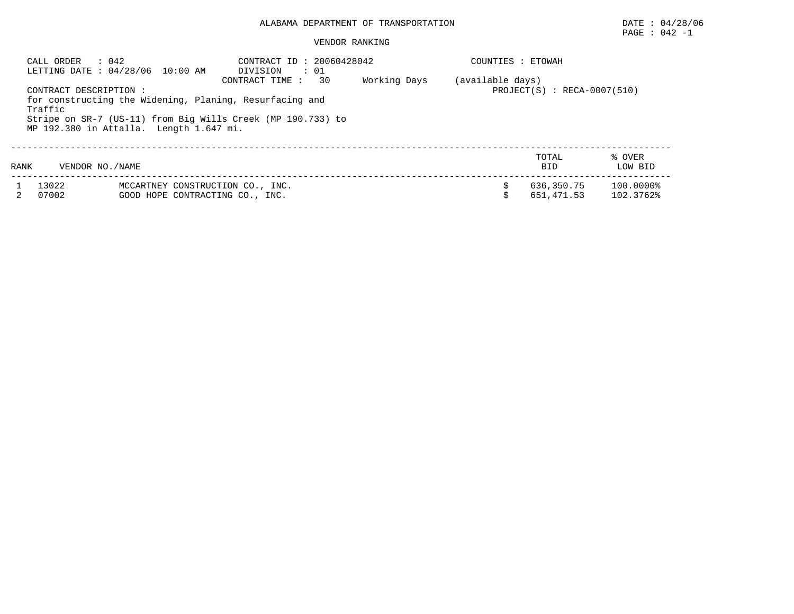#### VENDOR RANKING

|      | $\therefore$ 042<br>CALL ORDER                                                                                                                                                                         | LETTING DATE: 04/28/06 10:00 AM                                     | CONTRACT ID: 20060428042<br>DIVISION<br>$\cdot$ 01 | COUNTIES : ETOWAH |                          |                           |
|------|--------------------------------------------------------------------------------------------------------------------------------------------------------------------------------------------------------|---------------------------------------------------------------------|----------------------------------------------------|-------------------|--------------------------|---------------------------|
|      | CONTRACT DESCRIPTION :<br>for constructing the Widening, Planing, Resurfacing and<br>Traffic<br>Stripe on SR-7 (US-11) from Big Wills Creek (MP 190.733) to<br>MP 192.380 in Attalla. Length 1.647 mi. | (available days)<br>$PROJECT(S)$ : RECA-0007(510)                   |                                                    |                   |                          |                           |
| RANK | VENDOR NO. / NAME                                                                                                                                                                                      |                                                                     |                                                    |                   | TOTAL<br><b>BID</b>      | % OVER<br>LOW BID         |
|      | 13022<br>07002                                                                                                                                                                                         | MCCARTNEY CONSTRUCTION CO., INC.<br>GOOD HOPE CONTRACTING CO., INC. |                                                    |                   | 636,350.75<br>651,471.53 | $100.0000\%$<br>102.3762% |

PAGE : 042 -1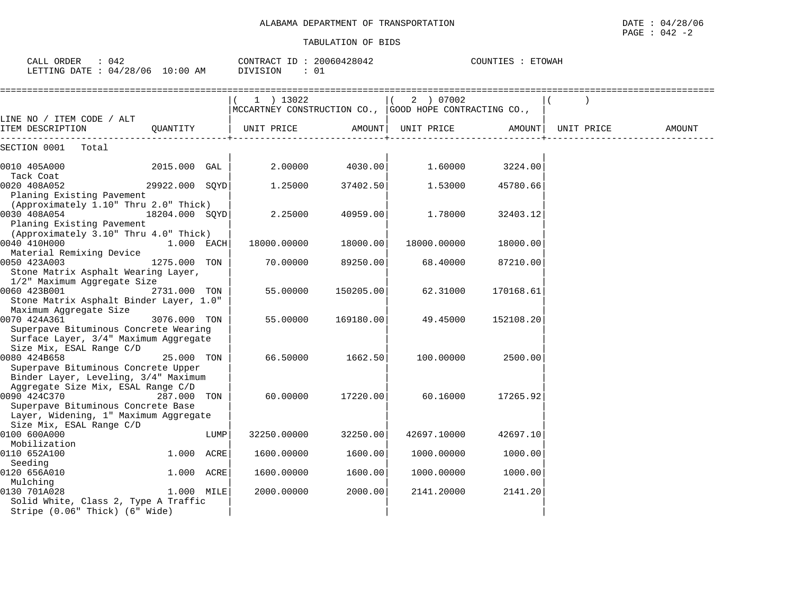CALL ORDER : 042 CONTRACT ID : 20060428042 COUNTIES : ETOWAH

| LETTING DATE: 04/28/06 10:00 AM                                                                                                                               |                |      | DIVISION<br>: 01                                                                        |           |             |                 |        |
|---------------------------------------------------------------------------------------------------------------------------------------------------------------|----------------|------|-----------------------------------------------------------------------------------------|-----------|-------------|-----------------|--------|
|                                                                                                                                                               |                |      | $(1)$ 13022<br>$ {\tt MCCARTNEY}$ CONSTRUCTION CO., $ {\tt GOOD}$ HOPE CONTRACTING CO., |           | (2) 07002   |                 |        |
| LINE NO / ITEM CODE / ALT<br>ITEM DESCRIPTION $\mathsf{QUANTITY}$   UNIT PRICE $\mathsf{AMOUNT}$   UNIT PRICE $\mathsf{AMOUNT}$   UNIT PRICE                  |                |      |                                                                                         |           |             |                 | AMOUNT |
| SECTION 0001 Total                                                                                                                                            |                |      |                                                                                         |           |             |                 |        |
| 0010 405A000 2015.000 GAL<br>Tack Coat                                                                                                                        |                |      | 2.00000                                                                                 | 4030.00   |             | 1.60000 3224.00 |        |
| 0020 408A052<br>Planing Existing Pavement                                                                                                                     | 29922.000 SQYD |      | 1.25000                                                                                 | 37402.50  | 1.53000     | 45780.66        |        |
| (Approximately 1.10" Thru 2.0" Thick)<br>0030 408A054<br>18204.000 SQYD<br>Planing Existing Pavement<br>(Approximately 3.10" Thru 4.0" Thick)                 |                |      | 2.25000                                                                                 | 40959.00  | 1.78000     | 32403.12        |        |
| 0040 410H000<br>Material Remixing Device                                                                                                                      | $1.000$ EACH   |      | 18000.00000                                                                             | 18000.00  | 18000.00000 | 18000.00        |        |
| 0050 423A003<br>Stone Matrix Asphalt Wearing Layer,<br>1/2" Maximum Aggregate Size                                                                            | 1275.000 TON   |      | 70.00000                                                                                | 89250.00  | 68.40000    | 87210.00        |        |
| 0060 423B001<br>Stone Matrix Asphalt Binder Layer, 1.0"<br>Maximum Aggregate Size                                                                             | 2731.000 TON   |      | 55.00000                                                                                | 150205.00 | 62.31000    | 170168.61       |        |
| 0070 424A361<br>Superpave Bituminous Concrete Wearing<br>Surface Layer, 3/4" Maximum Aggregate<br>Size Mix, ESAL Range C/D                                    | 3076.000 TON   |      | 55.00000                                                                                | 169180.00 | 49.45000    | 152108.20       |        |
| 0080 424B658<br>Superpave Bituminous Concrete Upper<br>Binder Layer, Leveling, 3/4" Maximum                                                                   | 25.000 TON     |      | 66.50000                                                                                | 1662.50   | 100.00000   | 2500.00         |        |
| Aggregate Size Mix, ESAL Range C/D<br>0090 424C370<br>Superpave Bituminous Concrete Base<br>Layer, Widening, 1" Maximum Aggregate<br>Size Mix, ESAL Range C/D | 287.000 TON    |      | 60.00000                                                                                | 17220.00  | 60.16000    | 17265.92        |        |
| 0100 600A000<br>Mobilization                                                                                                                                  |                | LUMP | 32250.00000                                                                             | 32250.00  | 42697.10000 | 42697.10        |        |
| 0110 652A100<br>Seeding                                                                                                                                       | 1.000 ACRE     |      | 1600.00000                                                                              | 1600.00   | 1000.00000  | 1000.00         |        |
| 0120 656A010<br>Mulching                                                                                                                                      | 1.000 ACRE     |      | 1600.00000                                                                              | 1600.00   | 1000.00000  | 1000.00         |        |
| 0130 701A028<br>Solid White, Class 2, Type A Traffic<br>Stripe (0.06" Thick) (6" Wide)                                                                        | 1.000 MILE     |      | 2000.00000                                                                              | 2000.00   | 2141.20000  | 2141.20         |        |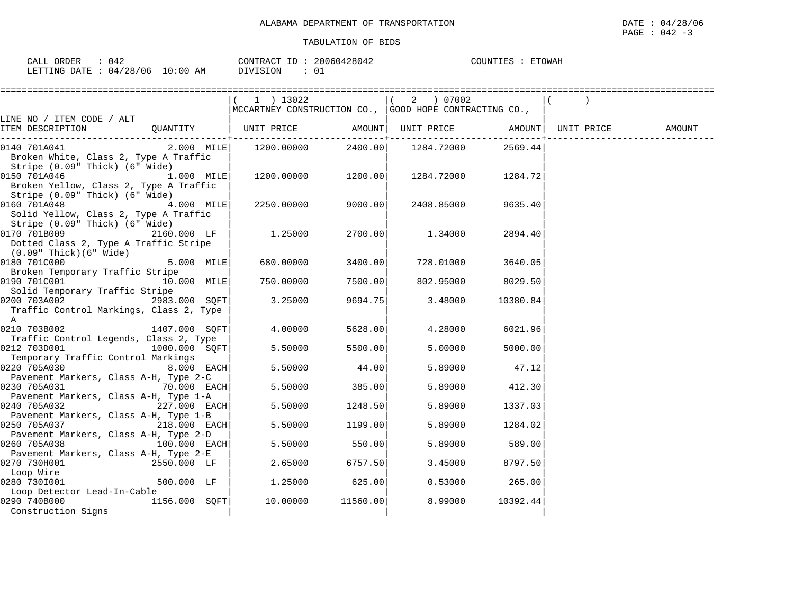| CALL ORDER<br>: 042             |          | CONTRACT ID: 20060428042 | COUNTIES : ETOWAH |
|---------------------------------|----------|--------------------------|-------------------|
| LETTING DATE: 04/28/06 10:00 AM | DIVISION |                          |                   |

|                                                                         | $(1)$ 13022                                            |                                 | ( 2 ) 07002 |          |            |        |
|-------------------------------------------------------------------------|--------------------------------------------------------|---------------------------------|-------------|----------|------------|--------|
|                                                                         | MCCARTNEY CONSTRUCTION CO., GOOD HOPE CONTRACTING CO., |                                 |             |          |            |        |
| LINE NO / ITEM CODE / ALT                                               |                                                        |                                 |             |          |            |        |
| ITEM DESCRIPTION                                                        |                                                        | . _ _ _ _ _ _ _ _ _ _ _ _ _ _ + |             |          | UNIT PRICE | AMOUNT |
| 2.000 MILE<br>0140 701A041                                              | 1200.00000                                             |                                 |             | 2569.44  |            |        |
| Broken White, Class 2, Type A Traffic                                   |                                                        |                                 |             |          |            |        |
| Stripe (0.09" Thick) (6" Wide)                                          |                                                        |                                 |             |          |            |        |
| 1.000 MILE<br>0150 701A046                                              | $1200.00000$ 1200.00                                   |                                 | 1284.72000  | 1284.721 |            |        |
| Broken Yellow, Class 2, Type A Traffic                                  |                                                        |                                 |             |          |            |        |
| Stripe (0.09" Thick) (6" Wide)                                          |                                                        |                                 |             |          |            |        |
| 4.000 MILE<br>0160 701A048                                              | 2250.00000                                             | 9000.00                         | 2408.85000  | 9635.40  |            |        |
| Solid Yellow, Class 2, Type A Traffic                                   |                                                        |                                 |             |          |            |        |
| Stripe (0.09" Thick) (6" Wide)                                          |                                                        |                                 |             |          |            |        |
| 2160.000 LF<br>0170 701B009                                             | 1.25000                                                | 2700.00                         | 1.34000     | 2894.40  |            |        |
| Dotted Class 2, Type A Traffic Stripe<br>$(0.09"$ Thick $)(6"$ Wide $)$ |                                                        |                                 |             |          |            |        |
| 0180 701C000<br>$5.000$ MILE                                            | 680.00000                                              | 3400.00                         | 728.01000   | 3640.05  |            |        |
| Broken Temporary Traffic Stripe                                         |                                                        |                                 |             |          |            |        |
| 0190 701C001 10.000 MILE                                                | 750.00000                                              | 7500.00                         | 802.95000   | 8029.50  |            |        |
| Solid Temporary Traffic Stripe                                          |                                                        |                                 |             |          |            |        |
| 0200 703A002<br>2983.000 SOFT                                           | 3.25000                                                | 9694.75                         | 3.48000     | 10380.84 |            |        |
| Traffic Control Markings, Class 2, Type                                 |                                                        |                                 |             |          |            |        |
| $\mathbb A$                                                             |                                                        |                                 |             |          |            |        |
| 0210 703B002<br>1407.000 SOFT                                           | 4.00000                                                | 5628.00                         | 4.28000     | 6021.96  |            |        |
| Traffic Control Legends, Class 2, Type                                  |                                                        |                                 |             |          |            |        |
| 0212 703D001<br>$1000.000$ SOFT                                         | 5.50000                                                | 5500.00                         | 5.00000     | 5000.00  |            |        |
| Temporary Traffic Control Markings                                      |                                                        |                                 |             |          |            |        |
| 0220 705A030<br>$8.000$ EACH                                            | 5.50000                                                | 44.00                           | 5.89000     | 47.12    |            |        |
| Pavement Markers, Class A-H, Type 2-C<br>$70.000$ EACH<br>0230 705A031  | 5.50000                                                | 385.00                          | 5.89000     | 412.30   |            |        |
| Pavement Markers, Class A-H, Type 1-A                                   |                                                        |                                 |             |          |            |        |
| 0240 705A032<br>227.000 EACH                                            | 5.50000                                                | 1248.50                         | 5.89000     | 1337.03  |            |        |
| Pavement Markers, Class A-H, Type 1-B                                   |                                                        |                                 |             |          |            |        |
| 0250 705A037<br>$218.000$ EACH                                          | 5.50000                                                | 1199.00                         | 5.89000     | 1284.02  |            |        |
| Pavement Markers, Class A-H, Type 2-D                                   |                                                        |                                 |             |          |            |        |
| $100.000$ EACH<br>0260 705A038                                          | 5.50000                                                | 550.00                          | 5.89000     | 589.00   |            |        |
| Pavement Markers, Class A-H, Type 2-E                                   |                                                        |                                 |             |          |            |        |
| 0270 730H001<br>2550.000 LF                                             | 2.65000                                                | 6757.50                         | 3.45000     | 8797.50  |            |        |
| Loop Wire                                                               |                                                        |                                 |             |          |            |        |
| 0280 730I001<br>500.000 LF                                              | 1.25000                                                | 625.00                          | 0.53000     | 265.00   |            |        |
| Loop Detector Lead-In-Cable                                             |                                                        |                                 |             |          |            |        |
| 0290 740B000<br>1156.000 SQFT                                           | 10.00000                                               | 11560.00                        | 8.99000     | 10392.44 |            |        |
| Construction Signs                                                      |                                                        |                                 |             |          |            |        |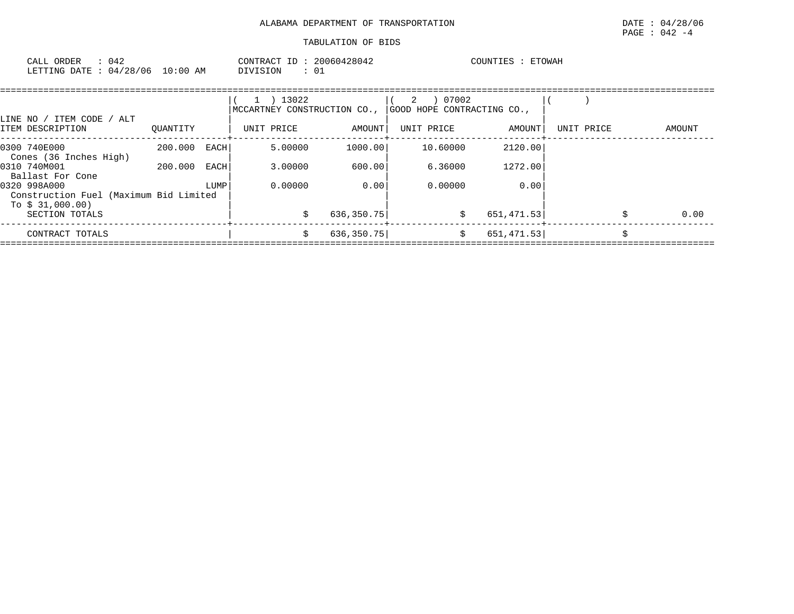| 042<br>CALL ORDER                |          | CONTRACT ID: 20060428042 | <b>ETOWAH</b><br>COUNTIES |
|----------------------------------|----------|--------------------------|---------------------------|
| LETTING DATE : 04/28/06 10:00 AM | DIVISION |                          |                           |

| LINE NO / ITEM CODE / ALT                                                  |          |      | $\perp$    | 13022   | MCCARTNEY CONSTRUCTION CO., | 2          | 07002    | GOOD HOPE CONTRACTING CO., |            |        |
|----------------------------------------------------------------------------|----------|------|------------|---------|-----------------------------|------------|----------|----------------------------|------------|--------|
| ITEM DESCRIPTION                                                           | OUANTITY |      | UNIT PRICE |         | AMOUNT                      | UNIT PRICE |          | AMOUNT                     | UNIT PRICE | AMOUNT |
| 0300 740E000<br>Cones (36 Inches High)                                     | 200.000  | EACH |            | 5.00000 | 1000.00                     |            | 10.60000 | 2120.00                    |            |        |
| 0310 740M001<br>Ballast For Cone                                           | 200.000  | EACH |            | 3.00000 | 600.00                      |            | 6.36000  | 1272.00                    |            |        |
| 0320 998A000<br>Construction Fuel (Maximum Bid Limited<br>To $$31,000.00)$ |          | LUMP |            | 0.00000 | 0.00                        |            | 0.00000  | 0.00                       |            |        |
| SECTION TOTALS                                                             |          |      |            |         | 636,350.75                  |            | \$       | 651,471.53                 |            | 0.00   |
| CONTRACT TOTALS                                                            |          |      |            | \$      | 636, 350.75                 |            | \$       | 651, 471.53                |            |        |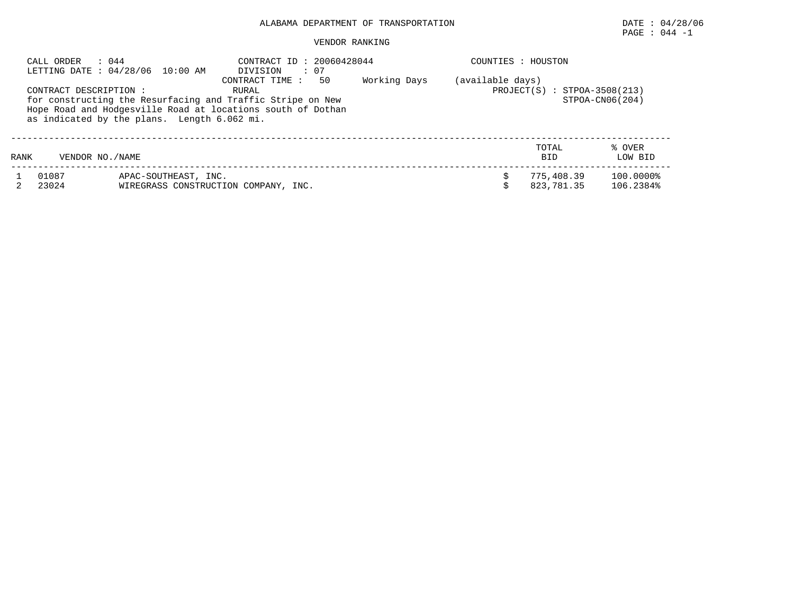## PAGE : 044 -1

#### VENDOR RANKING

|      | CALL ORDER<br>: 044    | LETTING DATE: 04/28/06 10:00 AM             | CONTRACT ID: 20060428044<br>: 07<br>DIVISION                                                                                                               |              | COUNTIES : HOUSTON |                                |                        |
|------|------------------------|---------------------------------------------|------------------------------------------------------------------------------------------------------------------------------------------------------------|--------------|--------------------|--------------------------------|------------------------|
|      | CONTRACT DESCRIPTION : | as indicated by the plans. Length 6.062 mi. | 50<br>CONTRACT TIME:<br>RURAL<br>for constructing the Resurfacing and Traffic Stripe on New<br>Hope Road and Hodgesville Road at locations south of Dothan | Working Days | (available days)   | $PROJECT(S) : STPOA-3508(213)$ | $STPOA-CN06(204)$      |
| RANK | VENDOR NO. / NAME      |                                             |                                                                                                                                                            |              |                    | TOTAL<br><b>BID</b>            | % OVER<br>LOW BID      |
|      | 01087<br>23024         | APAC-SOUTHEAST, INC.                        | WIREGRASS CONSTRUCTION COMPANY, INC.                                                                                                                       |              |                    | 775,408.39<br>823,781.35       | 100.0000%<br>106.2384% |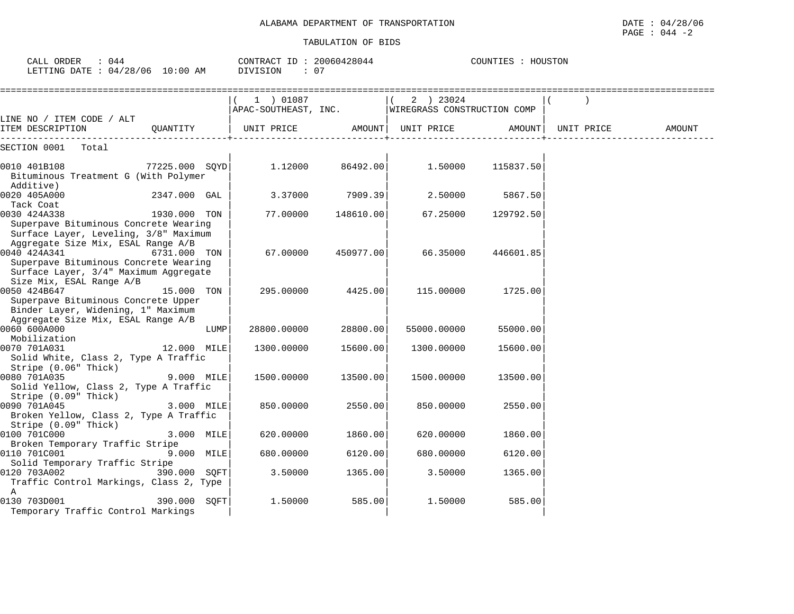| CALL ORDER<br>$\therefore$ 044<br>LETTING DATE : 04/28/06 10:00 AM                                                                                                               | CONTRACT ID: 20060428044<br>DIVISION | : 07      |                                          | COUNTIES : HOUSTON |            |        |
|----------------------------------------------------------------------------------------------------------------------------------------------------------------------------------|--------------------------------------|-----------|------------------------------------------|--------------------|------------|--------|
| LINE NO / ITEM CODE / ALT                                                                                                                                                        | 1 ) 01087<br>APAC-SOUTHEAST, INC.    |           | 2 ) 23024<br>WIREGRASS CONSTRUCTION COMP |                    |            |        |
| ITEM DESCRIPTION<br>OUANTITY                                                                                                                                                     | UNIT PRICE                           |           | AMOUNT  UNIT PRICE                       | AMOUNT             | UNIT PRICE | AMOUNT |
| SECTION 0001 Total                                                                                                                                                               |                                      |           |                                          |                    |            |        |
| 0010 401B108<br>77225.000 SOYD<br>Bituminous Treatment G (With Polymer<br>Additive)                                                                                              | 1,12000                              | 86492.00  | 1,50000                                  | 115837.50          |            |        |
| 0020 405A000<br>2347.000 GAL<br>Tack Coat                                                                                                                                        | 3.37000                              | 7909.39   | 2.50000                                  | 5867.50            |            |        |
| 0030 424A338<br>1930.000 TON<br>Superpave Bituminous Concrete Wearing<br>Surface Layer, Leveling, 3/8" Maximum                                                                   | 77.00000                             | 148610.00 | 67.25000                                 | 129792.50          |            |        |
| Aggregate Size Mix, ESAL Range A/B<br>0040 424A341<br>6731.000 TON<br>Superpave Bituminous Concrete Wearing<br>Surface Layer, 3/4" Maximum Aggregate<br>Size Mix, ESAL Range A/B | 67.00000                             | 450977.00 | 66.35000                                 | 446601.85          |            |        |
| 0050 424B647<br>15.000 TON<br>Superpave Bituminous Concrete Upper<br>Binder Layer, Widening, 1" Maximum<br>Aggregate Size Mix, ESAL Range A/B                                    | 295.00000                            | 4425.00   | 115.00000                                | 1725.00            |            |        |
| 0060 600A000<br>LUMP<br>Mobilization                                                                                                                                             | 28800.00000                          | 28800.00  | 55000.00000                              | 55000.00           |            |        |
| 0070 701A031<br>12.000 MILE<br>Solid White, Class 2, Type A Traffic<br>Stripe (0.06" Thick)                                                                                      | 1300.00000                           | 15600.00  | 1300.00000                               | 15600.00           |            |        |
| 0080 701A035<br>9.000 MILE<br>Solid Yellow, Class 2, Type A Traffic<br>Stripe (0.09" Thick)                                                                                      | 1500.00000                           | 13500.00  | 1500.00000                               | 13500.00           |            |        |
| 0090 701A045<br>3.000 MILE<br>Broken Yellow, Class 2, Type A Traffic<br>Stripe $(0.09"$ Thick)                                                                                   | 850.00000                            | 2550.00   | 850.00000                                | 2550.00            |            |        |
| 0100 701C000<br>3.000 MILE<br>Broken Temporary Traffic Stripe                                                                                                                    | 620.00000                            | 1860.00   | 620.00000                                | 1860.00            |            |        |
| 0110 701C001<br>9.000 MILE<br>Solid Temporary Traffic Stripe                                                                                                                     | 680.00000                            | 6120.00   | 680.00000                                | 6120.00            |            |        |
| 390.000 SQFT<br>0120 703A002<br>Traffic Control Markings, Class 2, Type<br>A                                                                                                     | 3.50000                              | 1365.00   | 3.50000                                  | 1365.00            |            |        |
| 0130 703D001<br>390.000 SQFT<br>Temporary Traffic Control Markings                                                                                                               | 1.50000                              | 585.00    | 1.50000                                  | 585.00             |            |        |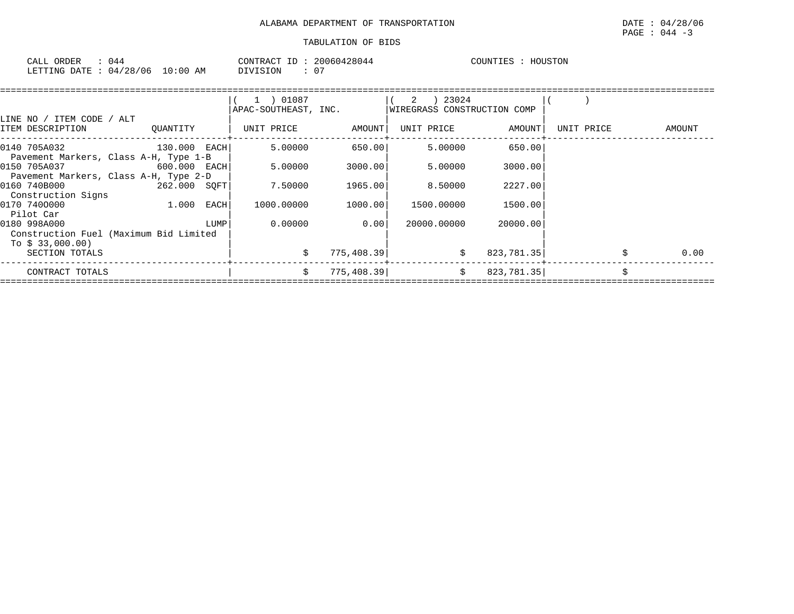| ORDER<br>CALL | 44 (،    |             | T <sub>D</sub><br>CONTRACT | 20060428044 | COUNTIES | HOUSTON |
|---------------|----------|-------------|----------------------------|-------------|----------|---------|
| LETTING DATE  | 04/28/06 | 10:00<br>AΜ | SION<br>'זדר               |             |          |         |

|                                                                     |              |      | 1 ) 01087            |             |                             |            |            |        |
|---------------------------------------------------------------------|--------------|------|----------------------|-------------|-----------------------------|------------|------------|--------|
| LINE NO / ITEM CODE / ALT                                           |              |      | APAC-SOUTHEAST, INC. |             | WIREGRASS CONSTRUCTION COMP |            |            |        |
| ITEM DESCRIPTION                                                    | QUANTITY     |      | UNIT PRICE           | AMOUNT      | UNIT PRICE                  | AMOUNT     | UNIT PRICE | AMOUNT |
| 0140 705A032                                                        | 130.000 EACH |      | 5.00000              | 650.00      | 5.00000                     | 650.00     |            |        |
| Pavement Markers, Class A-H, Type 1-B<br>0150 705A037               | 600.000 EACH |      | 5.00000              | 3000.00     | 5.00000                     | 3000.00    |            |        |
| Pavement Markers, Class A-H, Type 2-D<br>0160 740B000               | 262.000 SOFT |      | 7.50000              | 1965.00     | 8.50000                     | 2227.00    |            |        |
| Construction Signs<br>0170 7400000                                  | 1.000        | EACH | 1000.00000           | 1000.00     | 1500.00000                  | 1500.00    |            |        |
| Pilot Car<br>0180 998A000<br>Construction Fuel (Maximum Bid Limited |              | LUMP | 0.00000              | 0.00        | 20000.00000                 | 20000.00   |            |        |
| To \$ 33,000.00)<br>SECTION TOTALS                                  |              |      |                      | 775,408.39  | \$                          | 823,781.35 |            | 0.00   |
| CONTRACT TOTALS                                                     |              |      | Ś.                   | 775, 408.39 | Ŝ.                          | 823,781.35 |            | Š.     |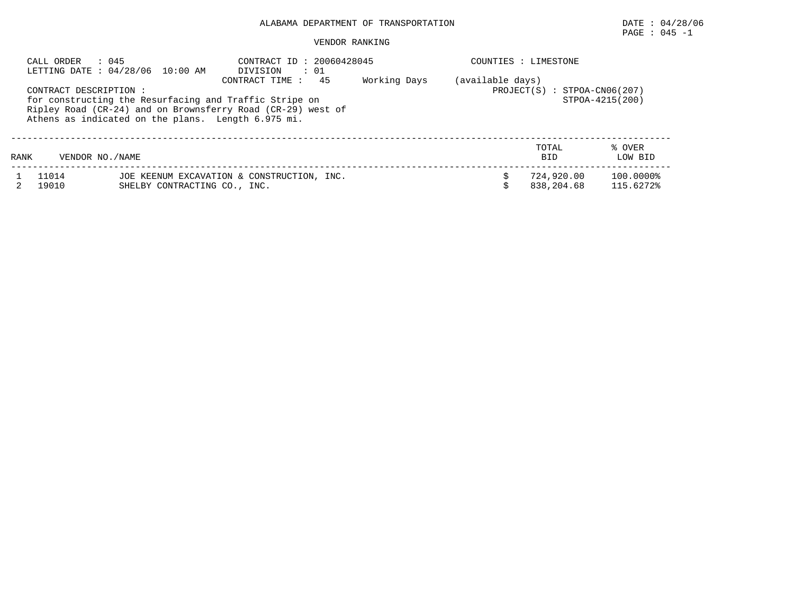## PAGE : 045 -1

#### VENDOR RANKING

| $\therefore$ 045<br>CALL ORDER<br>LETTING DATE : 04/28/06 10:00 AM                                                                                                                                                                                                                                                                 |  |  | CONTRACT ID: 20060428045<br>DIVISION : 01                                  |  |  |  | COUNTIES : LIMESTONE     |                        |  |
|------------------------------------------------------------------------------------------------------------------------------------------------------------------------------------------------------------------------------------------------------------------------------------------------------------------------------------|--|--|----------------------------------------------------------------------------|--|--|--|--------------------------|------------------------|--|
| (available days)<br>45<br>Working Days<br>CONTRACT TIME :<br>PROJECT(S)<br>CONTRACT DESCRIPTION:<br>STPOA-CN06(207)<br>$\cdot$ :<br>for constructing the Resurfacing and Traffic Stripe on<br>STPOA-4215(200)<br>Ripley Road (CR-24) and on Brownsferry Road (CR-29) west of<br>Athens as indicated on the plans. Length 6.975 mi. |  |  |                                                                            |  |  |  |                          |                        |  |
| TOTAL<br>% OVER<br>LOW BID<br>VENDOR NO. / NAME<br><b>BID</b><br>RANK                                                                                                                                                                                                                                                              |  |  |                                                                            |  |  |  |                          |                        |  |
| 11014<br>19010                                                                                                                                                                                                                                                                                                                     |  |  | JOE KEENUM EXCAVATION & CONSTRUCTION, INC.<br>SHELBY CONTRACTING CO., INC. |  |  |  | 724,920.00<br>838,204.68 | 100.0000%<br>115.6272% |  |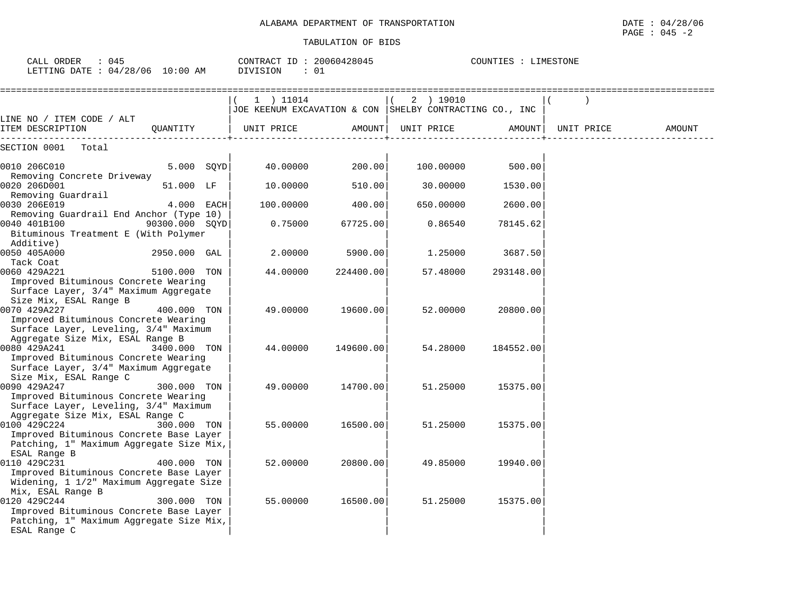| CALL ORDER : 045<br>LETTING DATE : 04/28/06 10:00 AM                                                                                                        |                | CONTRACT ID: 20060428045<br>DIVISION<br>: 01                           |           |            | COUNTIES : LIMESTONE |            |        |
|-------------------------------------------------------------------------------------------------------------------------------------------------------------|----------------|------------------------------------------------------------------------|-----------|------------|----------------------|------------|--------|
|                                                                                                                                                             |                | $(1)$ 11014<br>JOE KEENUM EXCAVATION & CON SHELBY CONTRACTING CO., INC |           | 2 ) 19010  |                      |            |        |
| LINE NO / ITEM CODE / ALT<br>ITEM DESCRIPTION                                                                                                               | QUANTITY       | UNIT PRICE                                                             | AMOUNT    | UNIT PRICE | AMOUNT               | UNIT PRICE | AMOUNT |
| SECTION 0001 Total                                                                                                                                          |                |                                                                        |           |            |                      |            |        |
| 0010 206C010<br>Removing Concrete Driveway                                                                                                                  | 5.000 SQYD     | 40.00000                                                               | 200.00    | 100.00000  | 500.00               |            |        |
| 0020 206D001<br>Removing Guardrail                                                                                                                          | 51.000 LF      | 10.00000                                                               | 510.00    | 30.00000   | 1530.00              |            |        |
| 0030 206E019<br>Removing Guardrail End Anchor (Type 10)                                                                                                     | 4.000 EACH     | 100.00000                                                              | 400.00    | 650.00000  | 2600.00              |            |        |
| 0040 401B100<br>Bituminous Treatment E (With Polymer<br>Additive)                                                                                           | 90300.000 SOYD | 0.75000                                                                | 67725.00  | 0.86540    | 78145.62             |            |        |
| 0050 405A000<br>Tack Coat                                                                                                                                   | 2950.000 GAL   | 2.00000                                                                | 5900.00   | 1.25000    | 3687.50              |            |        |
| 0060 429A221<br>Improved Bituminous Concrete Wearing<br>Surface Layer, 3/4" Maximum Aggregate                                                               | 5100.000 TON   | 44.00000                                                               | 224400.00 | 57.48000   | 293148.00            |            |        |
| Size Mix, ESAL Range B<br>0070 429A227<br>Improved Bituminous Concrete Wearing<br>Surface Layer, Leveling, 3/4" Maximum<br>Aggregate Size Mix, ESAL Range B | 400.000 TON    | 49.00000                                                               | 19600.00  | 52.00000   | 20800.00             |            |        |
| 0080 429A241<br>Improved Bituminous Concrete Wearing<br>Surface Layer, 3/4" Maximum Aggregate<br>Size Mix, ESAL Range C                                     | 3400.000 TON   | 44.00000                                                               | 149600.00 | 54.28000   | 184552.00            |            |        |
| 0090 429A247<br>Improved Bituminous Concrete Wearing<br>Surface Layer, Leveling, 3/4" Maximum<br>Aggregate Size Mix, ESAL Range C                           | 300.000 TON    | 49.00000                                                               | 14700.00  | 51.25000   | 15375.00             |            |        |
| 0100 429C224<br>Improved Bituminous Concrete Base Layer<br>Patching, 1" Maximum Aggregate Size Mix,<br>ESAL Range B                                         | 300.000 TON    | 55.00000                                                               | 16500.00  | 51.25000   | 15375.00             |            |        |
| 0110 429C231<br>Improved Bituminous Concrete Base Layer<br>Widening, 1 1/2" Maximum Aggregate Size<br>Mix, ESAL Range B                                     | 400.000 TON    | 52.00000                                                               | 20800.00  | 49.85000   | 19940.00             |            |        |
| 0120 429C244<br>Improved Bituminous Concrete Base Layer<br>Patching, 1" Maximum Aggregate Size Mix,<br>ESAL Range C                                         | 300.000 TON    | 55.00000                                                               | 16500.00  | 51.25000   | 15375.00             |            |        |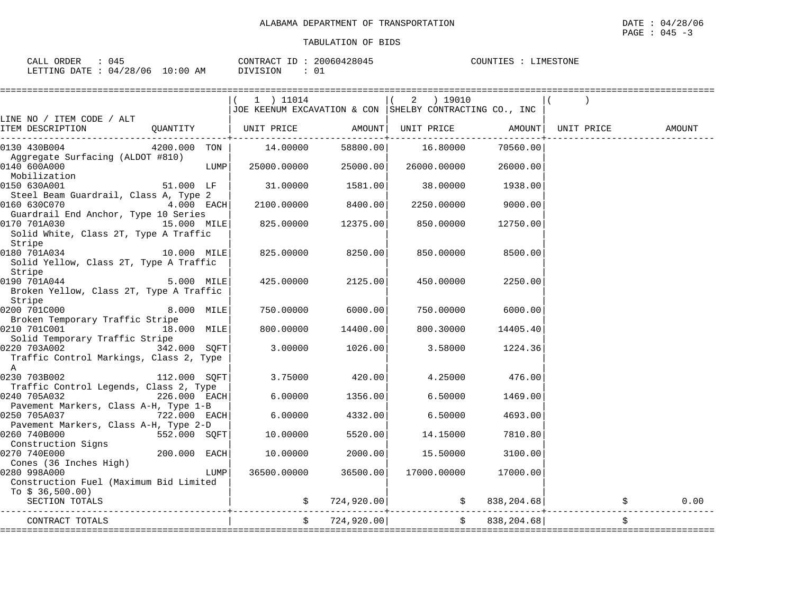| 045<br>CALL ORDER                | CONTRACT ID: 20060428045 | COUNTIES :<br>LIMESTONE |
|----------------------------------|--------------------------|-------------------------|
| LETTING DATE : 04/28/06 10:00 AM | DIVISION                 |                         |

| 1 ) 11014<br>2 ) 19010<br>JOE KEENUM EXCAVATION & CON SHELBY CONTRACTING CO., INC<br>LINE NO / ITEM CODE / ALT<br>  UNIT PRICE AMOUNT  UNIT PRICE<br>ITEM DESCRIPTION<br>QUANTITY<br>AMOUNT<br>UNIT PRICE<br>AMOUNT<br>14.00000<br>16.80000<br>4200.000 TON  <br>58800.00<br>70560.00<br>0130 430B004<br>Aggregate Surfacing (ALDOT #810)<br>0140 600A000<br>LUMP  <br>25000.00000<br>25000.00<br>26000.00000<br>26000.00<br>Mobilization<br>0150 630A001<br>51.000 LF<br>31.00000<br>1581.00<br>38.00000<br>1938.00<br>Steel Beam Guardrail, Class A, Type 2<br>8400.00<br>0160 630C070<br>$4.000$ EACH<br>2100.00000<br>2250.00000<br>9000.00<br>Guardrail End Anchor, Type 10 Series<br>15.000 MILE<br>0170 701A030<br>825.00000<br>12375.00<br>850.00000<br>12750.00<br>Solid White, Class 2T, Type A Traffic<br>Stripe<br>0180 701A034<br>10.000 MILE<br>825.00000<br>8250.00<br>850.00000<br>8500.00<br>Solid Yellow, Class 2T, Type A Traffic<br>Stripe<br>0190 701A044 5.000 MILE<br>2125.00<br>425.00000<br>450.00000<br>2250.00<br>Broken Yellow, Class 2T, Type A Traffic<br>Stripe<br>0200 701C000<br>8.000 MILE<br>6000.00<br>750.00000<br>750.00000<br>6000.00<br>Broken Temporary Traffic Stripe<br>0210 701C001<br>18.000 MILE<br>800.00000<br>14400.00<br>800.30000<br>14405.40<br>Solid Temporary Traffic Stripe<br>0220 703A002 342.000 SQFT<br>3.00000<br>1026.00<br>3.58000<br>1224.36<br>Traffic Control Markings, Class 2, Type<br>A<br>0230 703B002 112.000 SQFT<br>3.75000<br>420.00<br>4.25000<br>476.00<br>Traffic Control Legends, Class 2, Type<br>0240 705A032<br>$226.000$ EACH<br>6.00000<br>1356.00<br>6.50000<br>1469.00<br>Pavement Markers, Class A-H, Type 1-B<br>0250 705A037<br>6.00000<br>4332.00<br>6.50000<br>4693.00<br>722.000 EACH <br>Pavement Markers, Class A-H, Type 2-D<br>0260 740B000<br>552.000 SQFT<br>5520.00<br>14.15000<br>7810.80<br>10.00000<br>Construction Signs<br>$200.000$ EACH<br>0270 740E000<br>2000.00<br>10.00000<br>15.50000<br>3100.00<br>Cones (36 Inches High)<br>0280 998A000<br>LUMP  <br>36500.00000<br>36500.00<br>17000.00000<br>17000.00<br>Construction Fuel (Maximum Bid Limited<br>To $$36,500.00)$<br>$\sharp$ 724,920.00 $\sharp$ 838,204.68<br>SECTION TOTALS<br>$\ddot{\mathbf{S}}$<br>\$724,920.00]<br>838,204.68<br>\$<br>CONTRACT TOTALS |  |  |  |  |      |
|-----------------------------------------------------------------------------------------------------------------------------------------------------------------------------------------------------------------------------------------------------------------------------------------------------------------------------------------------------------------------------------------------------------------------------------------------------------------------------------------------------------------------------------------------------------------------------------------------------------------------------------------------------------------------------------------------------------------------------------------------------------------------------------------------------------------------------------------------------------------------------------------------------------------------------------------------------------------------------------------------------------------------------------------------------------------------------------------------------------------------------------------------------------------------------------------------------------------------------------------------------------------------------------------------------------------------------------------------------------------------------------------------------------------------------------------------------------------------------------------------------------------------------------------------------------------------------------------------------------------------------------------------------------------------------------------------------------------------------------------------------------------------------------------------------------------------------------------------------------------------------------------------------------------------------------------------------------------------------------------------------------------------------------------------------------------------------------------------------------------------------------------------------------------------------------------------------------------------------------------------------------------------------------------------------------------------------------|--|--|--|--|------|
|                                                                                                                                                                                                                                                                                                                                                                                                                                                                                                                                                                                                                                                                                                                                                                                                                                                                                                                                                                                                                                                                                                                                                                                                                                                                                                                                                                                                                                                                                                                                                                                                                                                                                                                                                                                                                                                                                                                                                                                                                                                                                                                                                                                                                                                                                                                                   |  |  |  |  |      |
|                                                                                                                                                                                                                                                                                                                                                                                                                                                                                                                                                                                                                                                                                                                                                                                                                                                                                                                                                                                                                                                                                                                                                                                                                                                                                                                                                                                                                                                                                                                                                                                                                                                                                                                                                                                                                                                                                                                                                                                                                                                                                                                                                                                                                                                                                                                                   |  |  |  |  |      |
|                                                                                                                                                                                                                                                                                                                                                                                                                                                                                                                                                                                                                                                                                                                                                                                                                                                                                                                                                                                                                                                                                                                                                                                                                                                                                                                                                                                                                                                                                                                                                                                                                                                                                                                                                                                                                                                                                                                                                                                                                                                                                                                                                                                                                                                                                                                                   |  |  |  |  |      |
|                                                                                                                                                                                                                                                                                                                                                                                                                                                                                                                                                                                                                                                                                                                                                                                                                                                                                                                                                                                                                                                                                                                                                                                                                                                                                                                                                                                                                                                                                                                                                                                                                                                                                                                                                                                                                                                                                                                                                                                                                                                                                                                                                                                                                                                                                                                                   |  |  |  |  |      |
|                                                                                                                                                                                                                                                                                                                                                                                                                                                                                                                                                                                                                                                                                                                                                                                                                                                                                                                                                                                                                                                                                                                                                                                                                                                                                                                                                                                                                                                                                                                                                                                                                                                                                                                                                                                                                                                                                                                                                                                                                                                                                                                                                                                                                                                                                                                                   |  |  |  |  |      |
|                                                                                                                                                                                                                                                                                                                                                                                                                                                                                                                                                                                                                                                                                                                                                                                                                                                                                                                                                                                                                                                                                                                                                                                                                                                                                                                                                                                                                                                                                                                                                                                                                                                                                                                                                                                                                                                                                                                                                                                                                                                                                                                                                                                                                                                                                                                                   |  |  |  |  |      |
|                                                                                                                                                                                                                                                                                                                                                                                                                                                                                                                                                                                                                                                                                                                                                                                                                                                                                                                                                                                                                                                                                                                                                                                                                                                                                                                                                                                                                                                                                                                                                                                                                                                                                                                                                                                                                                                                                                                                                                                                                                                                                                                                                                                                                                                                                                                                   |  |  |  |  |      |
|                                                                                                                                                                                                                                                                                                                                                                                                                                                                                                                                                                                                                                                                                                                                                                                                                                                                                                                                                                                                                                                                                                                                                                                                                                                                                                                                                                                                                                                                                                                                                                                                                                                                                                                                                                                                                                                                                                                                                                                                                                                                                                                                                                                                                                                                                                                                   |  |  |  |  |      |
|                                                                                                                                                                                                                                                                                                                                                                                                                                                                                                                                                                                                                                                                                                                                                                                                                                                                                                                                                                                                                                                                                                                                                                                                                                                                                                                                                                                                                                                                                                                                                                                                                                                                                                                                                                                                                                                                                                                                                                                                                                                                                                                                                                                                                                                                                                                                   |  |  |  |  |      |
|                                                                                                                                                                                                                                                                                                                                                                                                                                                                                                                                                                                                                                                                                                                                                                                                                                                                                                                                                                                                                                                                                                                                                                                                                                                                                                                                                                                                                                                                                                                                                                                                                                                                                                                                                                                                                                                                                                                                                                                                                                                                                                                                                                                                                                                                                                                                   |  |  |  |  |      |
|                                                                                                                                                                                                                                                                                                                                                                                                                                                                                                                                                                                                                                                                                                                                                                                                                                                                                                                                                                                                                                                                                                                                                                                                                                                                                                                                                                                                                                                                                                                                                                                                                                                                                                                                                                                                                                                                                                                                                                                                                                                                                                                                                                                                                                                                                                                                   |  |  |  |  |      |
|                                                                                                                                                                                                                                                                                                                                                                                                                                                                                                                                                                                                                                                                                                                                                                                                                                                                                                                                                                                                                                                                                                                                                                                                                                                                                                                                                                                                                                                                                                                                                                                                                                                                                                                                                                                                                                                                                                                                                                                                                                                                                                                                                                                                                                                                                                                                   |  |  |  |  |      |
|                                                                                                                                                                                                                                                                                                                                                                                                                                                                                                                                                                                                                                                                                                                                                                                                                                                                                                                                                                                                                                                                                                                                                                                                                                                                                                                                                                                                                                                                                                                                                                                                                                                                                                                                                                                                                                                                                                                                                                                                                                                                                                                                                                                                                                                                                                                                   |  |  |  |  |      |
|                                                                                                                                                                                                                                                                                                                                                                                                                                                                                                                                                                                                                                                                                                                                                                                                                                                                                                                                                                                                                                                                                                                                                                                                                                                                                                                                                                                                                                                                                                                                                                                                                                                                                                                                                                                                                                                                                                                                                                                                                                                                                                                                                                                                                                                                                                                                   |  |  |  |  |      |
|                                                                                                                                                                                                                                                                                                                                                                                                                                                                                                                                                                                                                                                                                                                                                                                                                                                                                                                                                                                                                                                                                                                                                                                                                                                                                                                                                                                                                                                                                                                                                                                                                                                                                                                                                                                                                                                                                                                                                                                                                                                                                                                                                                                                                                                                                                                                   |  |  |  |  |      |
|                                                                                                                                                                                                                                                                                                                                                                                                                                                                                                                                                                                                                                                                                                                                                                                                                                                                                                                                                                                                                                                                                                                                                                                                                                                                                                                                                                                                                                                                                                                                                                                                                                                                                                                                                                                                                                                                                                                                                                                                                                                                                                                                                                                                                                                                                                                                   |  |  |  |  |      |
|                                                                                                                                                                                                                                                                                                                                                                                                                                                                                                                                                                                                                                                                                                                                                                                                                                                                                                                                                                                                                                                                                                                                                                                                                                                                                                                                                                                                                                                                                                                                                                                                                                                                                                                                                                                                                                                                                                                                                                                                                                                                                                                                                                                                                                                                                                                                   |  |  |  |  |      |
|                                                                                                                                                                                                                                                                                                                                                                                                                                                                                                                                                                                                                                                                                                                                                                                                                                                                                                                                                                                                                                                                                                                                                                                                                                                                                                                                                                                                                                                                                                                                                                                                                                                                                                                                                                                                                                                                                                                                                                                                                                                                                                                                                                                                                                                                                                                                   |  |  |  |  |      |
|                                                                                                                                                                                                                                                                                                                                                                                                                                                                                                                                                                                                                                                                                                                                                                                                                                                                                                                                                                                                                                                                                                                                                                                                                                                                                                                                                                                                                                                                                                                                                                                                                                                                                                                                                                                                                                                                                                                                                                                                                                                                                                                                                                                                                                                                                                                                   |  |  |  |  |      |
|                                                                                                                                                                                                                                                                                                                                                                                                                                                                                                                                                                                                                                                                                                                                                                                                                                                                                                                                                                                                                                                                                                                                                                                                                                                                                                                                                                                                                                                                                                                                                                                                                                                                                                                                                                                                                                                                                                                                                                                                                                                                                                                                                                                                                                                                                                                                   |  |  |  |  | 0.00 |
|                                                                                                                                                                                                                                                                                                                                                                                                                                                                                                                                                                                                                                                                                                                                                                                                                                                                                                                                                                                                                                                                                                                                                                                                                                                                                                                                                                                                                                                                                                                                                                                                                                                                                                                                                                                                                                                                                                                                                                                                                                                                                                                                                                                                                                                                                                                                   |  |  |  |  |      |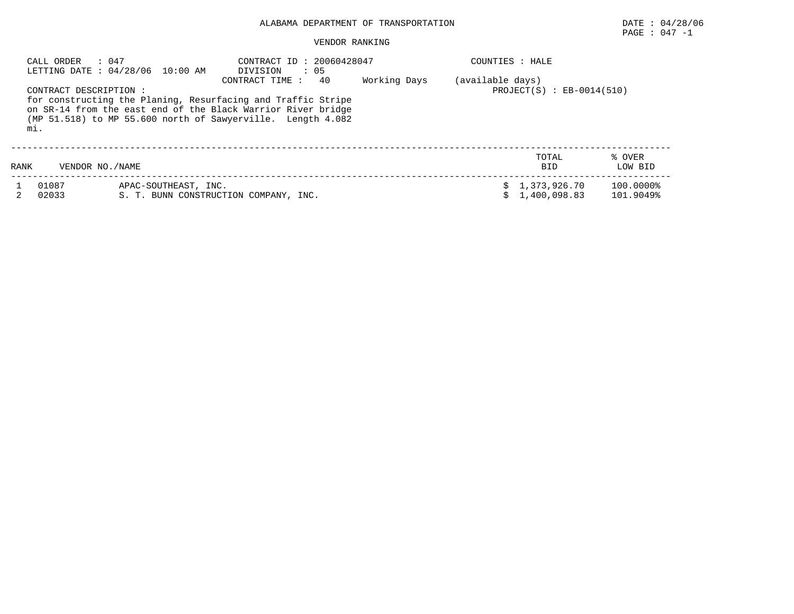## PAGE : 047 -1

#### VENDOR RANKING

|      | CALL ORDER : 047              | LETTING DATE: 04/28/06 10:00 AM                                                                                                                                                             | CONTRACT ID: 20060428047<br>DIVISION<br>$\cdot$ 05<br>-40<br>CONTRACT TIME: | Working Days                  | COUNTIES : HALE |                                |                        |
|------|-------------------------------|---------------------------------------------------------------------------------------------------------------------------------------------------------------------------------------------|-----------------------------------------------------------------------------|-------------------------------|-----------------|--------------------------------|------------------------|
|      | CONTRACT DESCRIPTION :<br>mi. | for constructing the Planing, Resurfacing and Traffic Stripe<br>on SR-14 from the east end of the Black Warrior River bridge<br>(MP 51.518) to MP 55.600 north of Sawyerville. Length 4.082 | (available days)                                                            | $PROJECT(S)$ : $EB-0014(510)$ |                 |                                |                        |
| RANK | VENDOR NO./NAME               |                                                                                                                                                                                             |                                                                             |                               |                 | TOTAL<br><b>BID</b>            | % OVER<br>LOW BID      |
|      | 01087<br>02033                | APAC-SOUTHEAST, INC.                                                                                                                                                                        | S. T. BUNN CONSTRUCTION COMPANY, INC.                                       |                               |                 | \$1,373,926.70<br>1,400,098.83 | 100.0000%<br>101.9049% |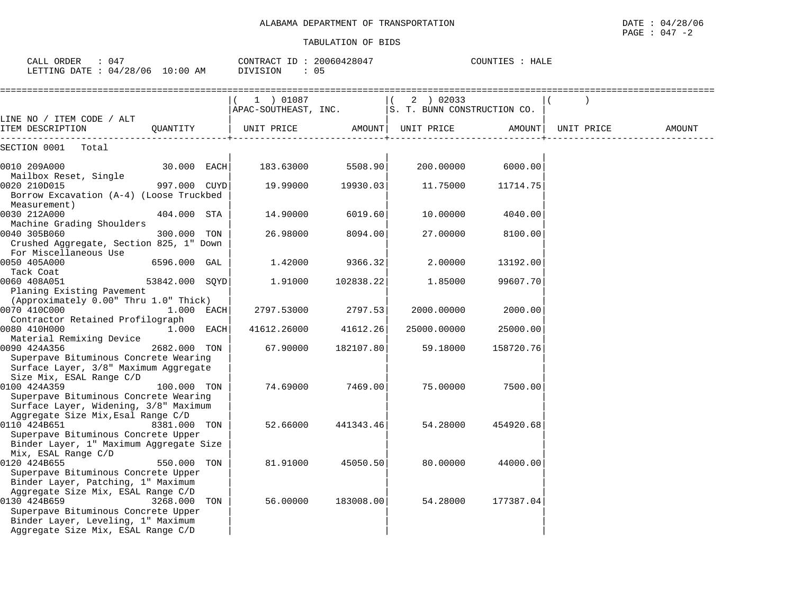| CALL ORDER<br>: 047<br>CONTRACT ID: 20060428047<br>COUNTIES : HALE                                                                                                                                                                                                                                                   |        |
|----------------------------------------------------------------------------------------------------------------------------------------------------------------------------------------------------------------------------------------------------------------------------------------------------------------------|--------|
| LETTING DATE : 04/28/06 10:00 AM<br>DIVISION<br>: 05                                                                                                                                                                                                                                                                 |        |
| 2 ) 02033<br>$(1)$ 01087<br>APAC-SOUTHEAST, INC. S. T. BUNN CONSTRUCTION CO.                                                                                                                                                                                                                                         |        |
| LINE NO / ITEM CODE / ALT<br>ITEM DESCRIPTION<br>QUANTITY<br>UNIT PRICE<br>AMOUNT  <br>UNIT PRICE<br>AMOUNT  <br>UNIT PRICE                                                                                                                                                                                          | AMOUNT |
| SECTION 0001<br>Total                                                                                                                                                                                                                                                                                                |        |
| 5508.90<br>6000.00<br>0010 209A000<br>30.000 EACH<br>183.63000<br>200.00000<br>Mailbox Reset, Single                                                                                                                                                                                                                 |        |
| 997.000 CUYD<br>0020 210D015<br>19.99000<br>19930.03<br>11.75000<br>11714.75<br>Borrow Excavation (A-4) (Loose Truckbed                                                                                                                                                                                              |        |
| Measurement)<br>0030 212A000<br>404.000 STA<br>14.90000<br>6019.60<br>10.00000<br>4040.00<br>Machine Grading Shoulders                                                                                                                                                                                               |        |
| 26.98000<br>0040 305B060<br>300.000 TON<br>8094.00<br>27.00000<br>8100.00<br>Crushed Aggregate, Section 825, 1" Down<br>For Miscellaneous Use                                                                                                                                                                        |        |
| 0050 405A000<br>6596.000 GAL<br>1,42000<br>9366.32<br>2.00000<br>13192.00<br>Tack Coat                                                                                                                                                                                                                               |        |
| 0060 408A051<br>53842.000 SOYD<br>1,91000<br>102838.22<br>1.85000<br>99607.70<br>Planing Existing Pavement                                                                                                                                                                                                           |        |
| (Approximately 0.00" Thru 1.0" Thick)<br>0070 410C000<br>1.000 EACH<br>2797.53000<br>2797.53<br>2000.00000<br>2000.00                                                                                                                                                                                                |        |
| Contractor Retained Profilograph<br>0080 410H000<br>1.000 EACH<br>41612.26000<br>41612.26<br>25000.00000<br>25000.00                                                                                                                                                                                                 |        |
| Material Remixing Device<br>0090 424A356<br>2682.000 TON<br>67.90000<br>182107.80<br>59.18000<br>158720.76<br>Superpave Bituminous Concrete Wearing<br>Surface Layer, 3/8" Maximum Aggregate                                                                                                                         |        |
| Size Mix, ESAL Range C/D<br>0100 424A359<br>74.69000<br>7469.00<br>75.00000<br>7500.00<br>100.000 TON<br>Superpave Bituminous Concrete Wearing                                                                                                                                                                       |        |
| Surface Layer, Widening, 3/8" Maximum<br>Aggregate Size Mix, Esal Range C/D<br>0110 424B651<br>8381.000 TON<br>441343.46<br>54.28000<br>52.66000<br>454920.68<br>Superpave Bituminous Concrete Upper                                                                                                                 |        |
| Binder Layer, 1" Maximum Aggregate Size<br>Mix, ESAL Range C/D<br>0120 424B655<br>81.91000<br>550.000 TON<br>45050.50<br>80.00000<br>44000.00                                                                                                                                                                        |        |
| Superpave Bituminous Concrete Upper<br>Binder Layer, Patching, 1" Maximum<br>Aggregate Size Mix, ESAL Range C/D<br>0130 424B659<br>56.00000<br>54.28000<br>3268.000 TON<br>183008.00<br>177387.04<br>Superpave Bituminous Concrete Upper<br>Binder Layer, Leveling, 1" Maximum<br>Aggregate Size Mix, ESAL Range C/D |        |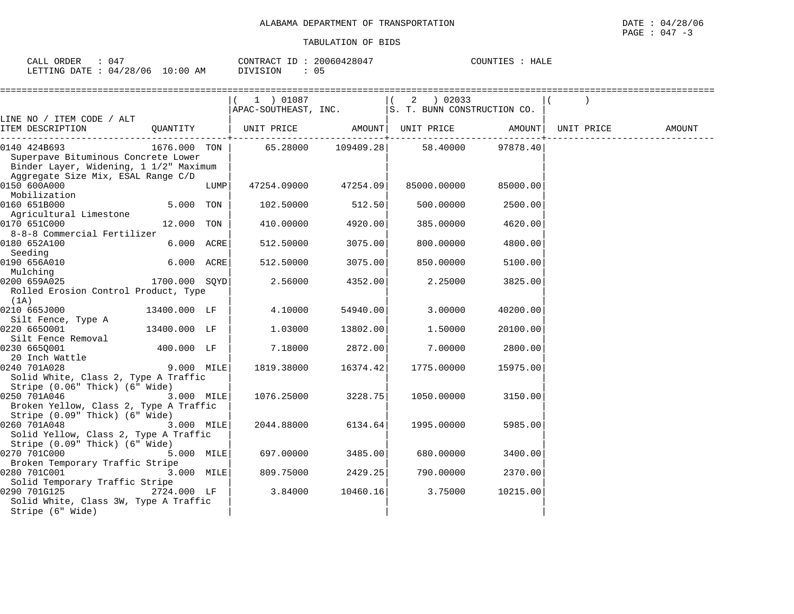| CALL ORDER                      | 047 |                 | CONTRACT ID: 20060428047 | COUNTIES : HALE |  |
|---------------------------------|-----|-----------------|--------------------------|-----------------|--|
| LETTING DATE: 04/28/06 10:00 AM |     | <b>DIVISION</b> |                          |                 |  |

|                                                                                                                                                                                                         |               |      | (1) 01087<br>APAC-SOUTHEAST, INC.  S. T. BUNN CONSTRUCTION CO. |              | 2 ) 02033   |          |                     |        |
|---------------------------------------------------------------------------------------------------------------------------------------------------------------------------------------------------------|---------------|------|----------------------------------------------------------------|--------------|-------------|----------|---------------------|--------|
| LINE NO / ITEM CODE / ALT                                                                                                                                                                               |               |      |                                                                |              |             |          |                     |        |
| ITEM DESCRIPTION                                                                                                                                                                                        | QUANTITY      |      | UNIT PRICE                  AMOUNT    UNIT PRICE               | ---------+-- |             |          | AMOUNT   UNIT PRICE | AMOUNT |
| 0140 424B693<br>Superpave Bituminous Concrete Lower<br>Binder Layer, Widening, 1 1/2" Maximum<br>Aggregate Size Mix, ESAL Range C/D                                                                     | 1676.000 TON  |      | 65.28000                                                       | 109409.28    | 58.40000    | 97878.40 |                     |        |
| 0150 600A000<br>Mobilization                                                                                                                                                                            |               | LUMP | 47254.09000                                                    | 47254.09     | 85000.00000 | 85000.00 |                     |        |
| 0160 651B000<br>Agricultural Limestone                                                                                                                                                                  | 5.000 TON     |      | 102.50000                                                      | 512.50       | 500.00000   | 2500.00  |                     |        |
| 0170 651C000<br>8-8-8 Commercial Fertilizer                                                                                                                                                             | 12.000 TON    |      | 410.00000                                                      | 4920.00      | 385.00000   | 4620.00  |                     |        |
| 0180 652A100<br>Seeding                                                                                                                                                                                 | 6.000 ACRE    |      | 512.50000                                                      | 3075.00      | 800.00000   | 4800.00  |                     |        |
| 0190 656A010<br>Mulching                                                                                                                                                                                | 6.000 ACRE    |      | 512,50000                                                      | 3075.00      | 850.00000   | 5100.00  |                     |        |
| 0200 659A025<br>Rolled Erosion Control Product, Type<br>(1A)                                                                                                                                            | 1700.000 SOYD |      | 2.56000                                                        | 4352.00      | 2.25000     | 3825.00  |                     |        |
| 0210 665J000<br>Silt Fence, Type A                                                                                                                                                                      | 13400.000 LF  |      | 4.10000                                                        | 54940.00     | 3.00000     | 40200.00 |                     |        |
| 0220 6650001<br>Silt Fence Removal                                                                                                                                                                      | 13400.000 LF  |      | 1.03000                                                        | 13802.00     | 1,50000     | 20100.00 |                     |        |
| 0230 6650001                                                                                                                                                                                            | 400.000 LF    |      | 7.18000                                                        | 2872.00      | 7.00000     | 2800.00  |                     |        |
| $\begin{bmatrix} 20 & \text{Inch } \text{Wattle} \\ 20 & \text{Inch } \text{Wattle} \end{bmatrix}$ 9.000 MILE<br>0240 701A028<br>Solid White, Class 2, Type A Traffic<br>Stripe (0.06" Thick) (6" Wide) |               |      | 1819.38000                                                     | 16374.42     | 1775.00000  | 15975.00 |                     |        |
| 0250 701A046<br>Broken Yellow, Class 2, Type A Traffic<br>Stripe (0.09" Thick) (6" Wide)                                                                                                                | 3.000 MILE    |      | 1076.25000                                                     | 3228.75      | 1050.00000  | 3150.00  |                     |        |
| 0260 701A048<br>Solid Yellow, Class 2, Type A Traffic<br>Stripe (0.09" Thick) (6" Wide)                                                                                                                 | 3.000 MILE    |      | 2044.88000                                                     | 6134.64      | 1995.00000  | 5985.00  |                     |        |
| 0270 701C000<br>Broken Temporary Traffic Stripe                                                                                                                                                         | 5.000 MILE    |      | 697.00000                                                      | 3485.00      | 680.00000   | 3400.00  |                     |        |
| 0280 701C001<br>Solid Temporary Traffic Stripe                                                                                                                                                          | 3.000 MILE    |      | 809.75000                                                      | 2429.25      | 790.00000   | 2370.00  |                     |        |
| 0290 701G125<br>Solid White, Class 3W, Type A Traffic<br>Stripe (6" Wide)                                                                                                                               | 2724.000 LF   |      | 3.84000                                                        | 10460.16     | 3.75000     | 10215.00 |                     |        |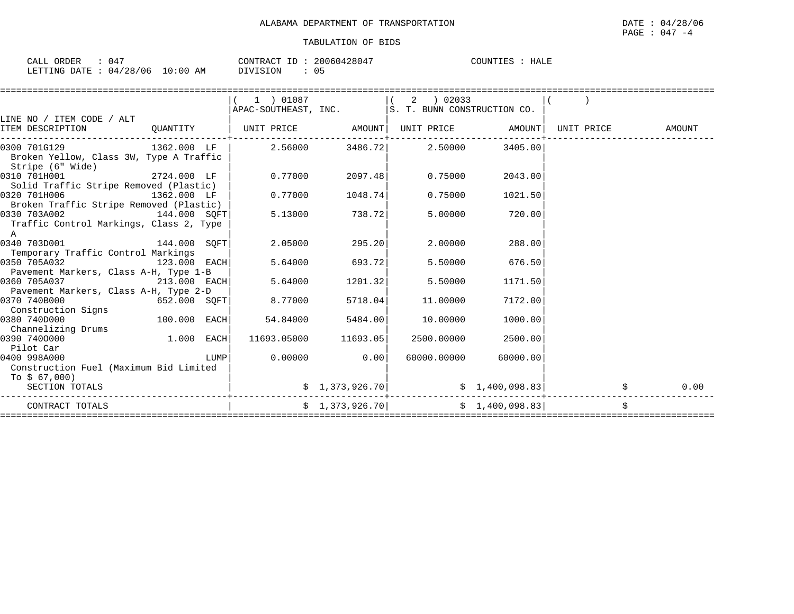| ORDER<br>CALL <sup>(</sup>      | 047 |  |          | CONTRACT ID: 20060428047 | COUNTIES : HALE |  |
|---------------------------------|-----|--|----------|--------------------------|-----------------|--|
| LETTING DATE: 04/28/06 10:00 AM |     |  | DIVISION |                          |                 |  |

|                                                                                                                                          |                   |      | 1 ) 01087                                                          |                          |             |                                                                                                                                             |      |
|------------------------------------------------------------------------------------------------------------------------------------------|-------------------|------|--------------------------------------------------------------------|--------------------------|-------------|---------------------------------------------------------------------------------------------------------------------------------------------|------|
|                                                                                                                                          |                   |      | $\vert$ APAC-SOUTHEAST, INC. $\vert$ S. T. BUNN CONSTRUCTION CO.   |                          |             |                                                                                                                                             |      |
| LINE NO / ITEM CODE / ALT                                                                                                                |                   |      |                                                                    |                          |             |                                                                                                                                             |      |
| ITEM DESCRIPTION                                                                                                                         |                   |      | QUANTITY   UNIT PRICE AMOUNT  UNIT PRICE AMOUNT  UNIT PRICE AMOUNT |                          |             |                                                                                                                                             |      |
| 0300 701G129 $1362.000$ LF $\vert$ 2.56000 $3486.72\vert$ 2.50000 3405.00<br>Broken Yellow, Class 3W, Type A Traffic<br>Stripe (6" Wide) |                   |      |                                                                    |                          |             |                                                                                                                                             |      |
| 0310 701H001<br>Solid Traffic Stripe Removed (Plastic)                                                                                   | 2724.000 LF       |      | 0.77000                                                            | 2097.48                  | 0.75000     | 2043.00                                                                                                                                     |      |
| 0320 701H006<br>Broken Traffic Stripe Removed (Plastic)                                                                                  | $1362.000$ LF     |      | 0.77000                                                            | 1048.74                  | 0.75000     | 1021.50                                                                                                                                     |      |
| 0330 703A002<br>Traffic Control Markings, Class 2, Type<br>$\mathbb{A}$                                                                  | 144.000 SQFT      |      |                                                                    | 5.13000 738.72           | 5.00000     | 720.00                                                                                                                                      |      |
| 0340 703D001 144.000 SQFT<br>Temporary Traffic Control Markings                                                                          |                   |      |                                                                    | 2.05000 295.20           | 2.00000     | 288.00                                                                                                                                      |      |
| 0350 705A032<br>Pavement Markers, Class A-H, Type 1-B                                                                                    | $123.000$ EACH    |      |                                                                    | 5.64000 693.72           | 5.50000     | 676.50                                                                                                                                      |      |
| 0360 705A037<br>Pavement Markers, Class A-H, Type 2-D                                                                                    | 213.000 EACH      |      | 5.64000                                                            | 1201.32                  | 5.50000     | 1171.50                                                                                                                                     |      |
| 0370 740B000<br>Construction Signs                                                                                                       | $652.000$ SQFT    |      | 8.77000                                                            | 5718.04                  | 11,00000    | 7172.00                                                                                                                                     |      |
| 0380 740D000<br>Channelizing Drums                                                                                                       | 100.000 EACH      |      | 54.84000                                                           | 5484.00                  | 10.00000    | 1000.00                                                                                                                                     |      |
| 0390 7400000<br>Pilot Car                                                                                                                | $\sim$ 1.000 EACH |      |                                                                    | $11693.05000$ $11693.05$ | 2500.00000  | 2500.00                                                                                                                                     |      |
| 0400 998A000<br>Construction Fuel (Maximum Bid Limited<br>To \$ 67,000)                                                                  |                   | LUMP |                                                                    | $0.00000$ 0.00           | 60000.00000 | 60000.00                                                                                                                                    |      |
| SECTION TOTALS                                                                                                                           |                   |      |                                                                    | \$1,373,926.70]          |             | $\sharp$ 1,400,098.83                                                                                                                       | 0.00 |
| CONTRACT TOTALS                                                                                                                          |                   |      |                                                                    |                          |             | $\begin{bmatrix} 2 & 1 & 3 & 7 & 3 & 9 & 2 & 6 & 7 & 0 \end{bmatrix}$ $\begin{bmatrix} 2 & 1 & 4 & 0 & 0 & 9 & 8 & 3 & 8 & 3 \end{bmatrix}$ |      |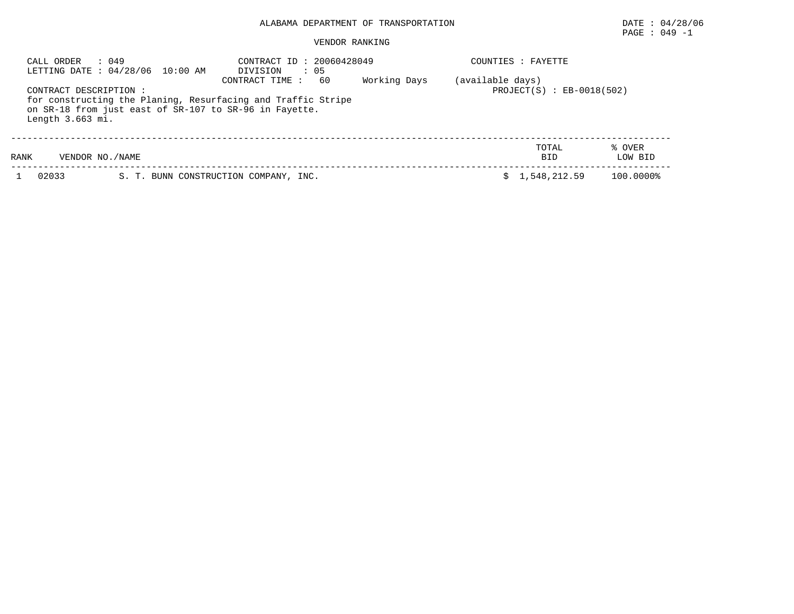## PAGE : 049 -1

#### VENDOR RANKING

| CALL ORDER                                | : 049<br>LETTING DATE: 04/28/06 10:00 AM                                                                               | CONTRACT ID: 20060428049<br>: 05<br>DIVISION      |  | COUNTIES : FAYETTE  |                   |
|-------------------------------------------|------------------------------------------------------------------------------------------------------------------------|---------------------------------------------------|--|---------------------|-------------------|
| CONTRACT DESCRIPTION:<br>Length 3.663 mi. | for constructing the Planing, Resurfacing and Traffic Stripe<br>on SR-18 from just east of SR-107 to SR-96 in Fayette. | (available days)<br>$PROJECT(S)$ : $EB-0018(502)$ |  |                     |                   |
| RANK                                      | VENDOR NO./NAME                                                                                                        |                                                   |  | TOTAL<br><b>BID</b> | % OVER<br>LOW BID |
| 02033                                     |                                                                                                                        | S. T. BUNN CONSTRUCTION COMPANY, INC.             |  | 1,548,212.59        | 100.0000%         |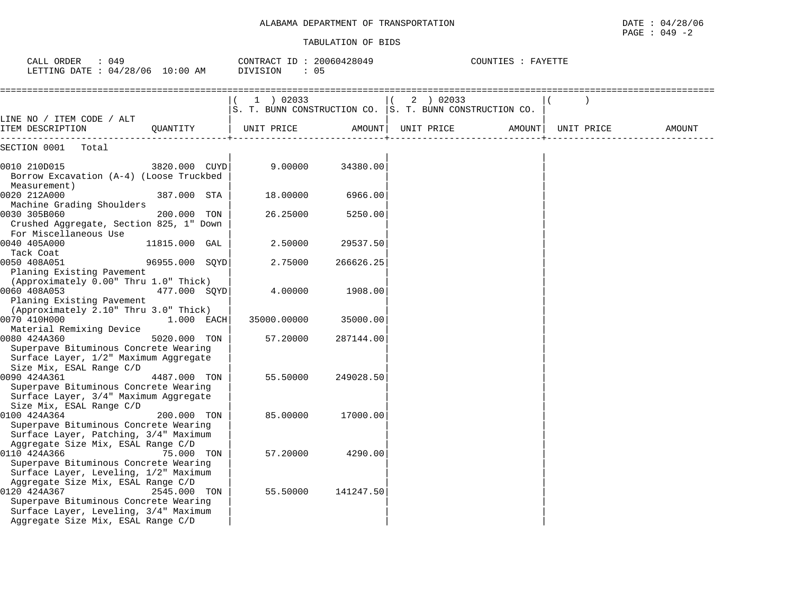| CALL ORDER : 049<br>LETTING DATE : 04/28/06 10:00 AM                                                                                                                                       | CONTRACT ID: 20060428049<br>DIVISION<br>: 05 |           |                                                                      | COUNTIES : FAYETTE |            |        |
|--------------------------------------------------------------------------------------------------------------------------------------------------------------------------------------------|----------------------------------------------|-----------|----------------------------------------------------------------------|--------------------|------------|--------|
|                                                                                                                                                                                            | $1$ ) 02033                                  |           | (2) 02033<br>S. T. BUNN CONSTRUCTION CO. S. T. BUNN CONSTRUCTION CO. |                    |            |        |
| LINE NO / ITEM CODE / ALT<br>OUANTITY<br>ITEM DESCRIPTION                                                                                                                                  | UNIT PRICE                                   | AMOUNT    | UNIT PRICE                                                           | AMOUNT             | UNIT PRICE | AMOUNT |
| SECTION 0001<br>Total                                                                                                                                                                      |                                              |           |                                                                      |                    |            |        |
| 0010 210D015<br>3820.000 CUYD<br>Borrow Excavation (A-4) (Loose Truckbed<br>Measurement)                                                                                                   | 9.00000                                      | 34380.00  |                                                                      |                    |            |        |
| 0020 212A000<br>387.000 STA<br>Machine Grading Shoulders                                                                                                                                   | 18.00000                                     | 6966.00   |                                                                      |                    |            |        |
| 0030 305B060<br>200.000 TON<br>Crushed Aggregate, Section 825, 1" Down<br>For Miscellaneous Use                                                                                            | 26.25000                                     | 5250.00   |                                                                      |                    |            |        |
| 0040 405A000<br>11815.000 GAL<br>Tack Coat                                                                                                                                                 | 2.50000                                      | 29537.50  |                                                                      |                    |            |        |
| 0050 408A051<br>96955.000 SOYD<br>Planing Existing Pavement                                                                                                                                | 2.75000                                      | 266626.25 |                                                                      |                    |            |        |
| (Approximately 0.00" Thru 1.0" Thick)<br>0060 408A053<br>477.000 SOYD                                                                                                                      | 4.00000                                      | 1908.00   |                                                                      |                    |            |        |
| Planing Existing Pavement<br>(Approximately 2.10" Thru 3.0" Thick)<br>0070 410H000<br>$1.000$ EACH                                                                                         | 35000.00000                                  | 35000.00  |                                                                      |                    |            |        |
| Material Remixing Device<br>0080 424A360<br>5020.000 TON<br>Superpave Bituminous Concrete Wearing                                                                                          | 57.20000                                     | 287144.00 |                                                                      |                    |            |        |
| Surface Layer, 1/2" Maximum Aggregate<br>Size Mix, ESAL Range C/D                                                                                                                          |                                              |           |                                                                      |                    |            |        |
| 0090 424A361<br>4487.000 TON<br>Superpave Bituminous Concrete Wearing<br>Surface Layer, 3/4" Maximum Aggregate<br>Size Mix, ESAL Range C/D                                                 | 55.50000                                     | 249028.50 |                                                                      |                    |            |        |
| 0100 424A364<br>200.000 TON<br>Superpave Bituminous Concrete Wearing<br>Surface Layer, Patching, 3/4" Maximum                                                                              | 85.00000                                     | 17000.00  |                                                                      |                    |            |        |
| Aggregate Size Mix, ESAL Range C/D<br>0110 424A366<br>75.000 TON<br>Superpave Bituminous Concrete Wearing<br>Surface Layer, Leveling, 1/2" Maximum                                         | 57.20000                                     | 4290.00   |                                                                      |                    |            |        |
| Aggregate Size Mix, ESAL Range C/D<br>0120 424A367<br>2545.000 TON<br>Superpave Bituminous Concrete Wearing<br>Surface Layer, Leveling, 3/4" Maximum<br>Aggregate Size Mix, ESAL Range C/D | 55.50000                                     | 141247.50 |                                                                      |                    |            |        |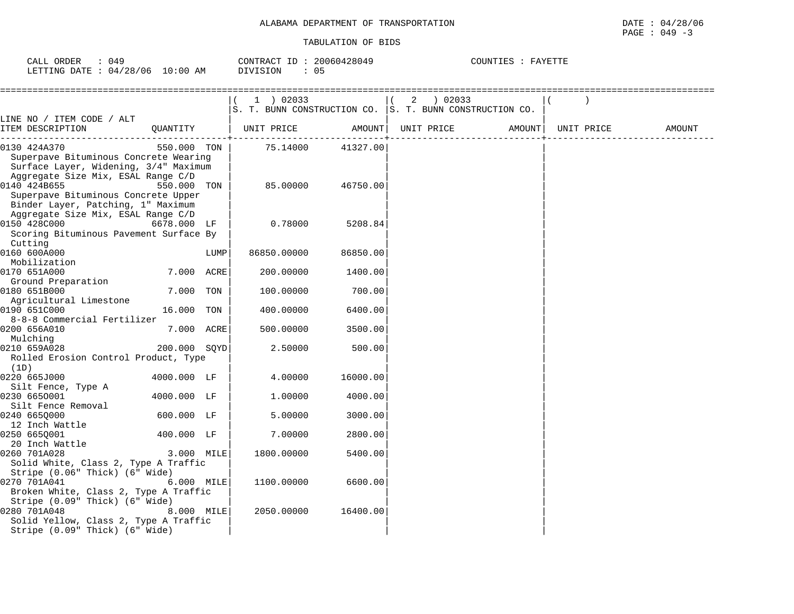| ORDER<br>CALL          | 049         | 20060428049<br>CONTRACT<br>ID: | COUNTIES :<br>FAYETTE |
|------------------------|-------------|--------------------------------|-----------------------|
| LETTING DATE: 04/28/06 | 10:00<br>ΆM | DIVISION                       |                       |

|                                                                                                                                      |              |      | 1 ) 02033         |          | 2 02033<br>S. T. BUNN CONSTRUCTION CO. S. T. BUNN CONSTRUCTION CO. |        |            |        |
|--------------------------------------------------------------------------------------------------------------------------------------|--------------|------|-------------------|----------|--------------------------------------------------------------------|--------|------------|--------|
| LINE NO / ITEM CODE / ALT<br>ITEM DESCRIPTION                                                                                        | QUANTITY     |      | UNIT PRICE AMOUNT |          | UNIT PRICE                                                         | AMOUNT | UNIT PRICE | AMOUNT |
| 0130 424A370<br>Superpave Bituminous Concrete Wearing<br>Surface Layer, Widening, 3/4" Maximum<br>Aggregate Size Mix, ESAL Range C/D | 550.000 TON  |      | 75.14000          | 41327.00 |                                                                    |        |            |        |
| 0140 424B655<br>Superpave Bituminous Concrete Upper<br>Binder Layer, Patching, 1" Maximum<br>Aggregate Size Mix, ESAL Range C/D      | 550.000 TON  |      | 85,00000          | 46750.00 |                                                                    |        |            |        |
| 0150 428C000<br>Scoring Bituminous Pavement Surface By<br>Cutting                                                                    | 6678.000 LF  |      | 0.78000           | 5208.84  |                                                                    |        |            |        |
| 0160 600A000<br>Mobilization                                                                                                         |              | LUMP | 86850.00000       | 86850.00 |                                                                    |        |            |        |
| 0170 651A000<br>Ground Preparation                                                                                                   | 7.000 ACRE   |      | 200.00000         | 1400.00  |                                                                    |        |            |        |
| 0180 651B000<br>Agricultural Limestone                                                                                               | 7.000 TON    |      | 100.00000         | 700.00   |                                                                    |        |            |        |
| 0190 651C000<br>8-8-8 Commercial Fertilizer                                                                                          | 16.000 TON   |      | 400.00000         | 6400.00  |                                                                    |        |            |        |
| 0200 656A010<br>Mulching                                                                                                             | 7.000 ACRE   |      | 500.00000         | 3500.00  |                                                                    |        |            |        |
| 0210 659A028<br>Rolled Erosion Control Product, Type<br>(1D)                                                                         | 200.000 SOYD |      | 2.50000           | 500.00   |                                                                    |        |            |        |
| 0220 665J000<br>Silt Fence, Type A                                                                                                   | 4000.000 LF  |      | 4.00000           | 16000.00 |                                                                    |        |            |        |
| 0230 6650001<br>Silt Fence Removal                                                                                                   | 4000.000 LF  |      | 1,00000           | 4000.00  |                                                                    |        |            |        |
| 0240 665Q000<br>12 Inch Wattle                                                                                                       | 600.000 LF   |      | 5.00000           | 3000.00  |                                                                    |        |            |        |
| 0250 6650001<br>20 Inch Wattle                                                                                                       | 400.000 LF   |      | 7.00000           | 2800.00  |                                                                    |        |            |        |
| 0260 701A028<br>Solid White, Class 2, Type A Traffic<br>Stripe (0.06" Thick) (6" Wide)                                               | 3.000 MILE   |      | 1800.00000        | 5400.00  |                                                                    |        |            |        |
| 0270 701A041<br>Broken White, Class 2, Type A Traffic<br>Stripe (0.09" Thick) (6" Wide)                                              | 6.000 MILE   |      | 1100.00000        | 6600.00  |                                                                    |        |            |        |
| 0280 701A048<br>Solid Yellow, Class 2, Type A Traffic<br>Stripe (0.09" Thick) (6" Wide)                                              | 8.000 MILE   |      | 2050.00000        | 16400.00 |                                                                    |        |            |        |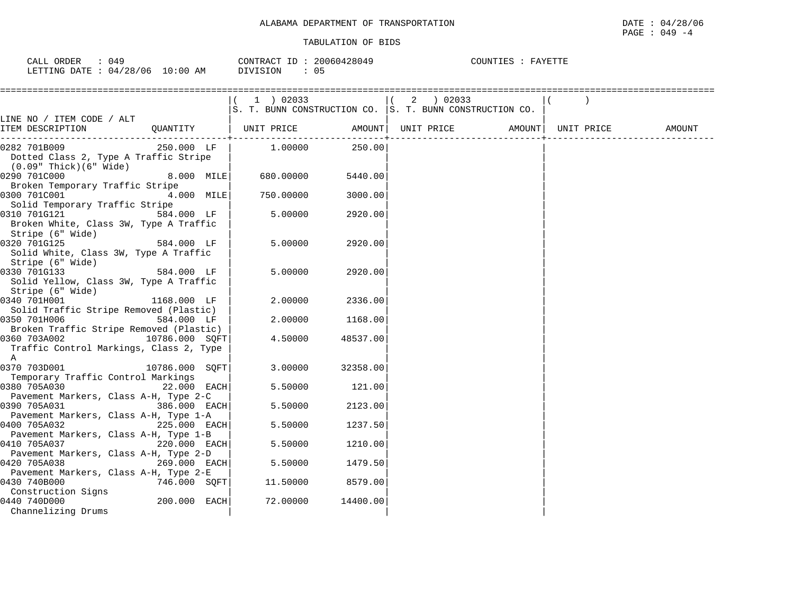| : 049<br>CALL ORDER |                                 | CONTRACT ID: 20060428049 | COUNTIES : FAYETTE |
|---------------------|---------------------------------|--------------------------|--------------------|
|                     | LETTING DATE: 04/28/06 10:00 AM | : 05<br>DIVISION         |                    |

|                                                                                                |                |                              |          | ( 2 ) 02033<br>S. T. BUNN CONSTRUCTION CO. S. T. BUNN CONSTRUCTION CO. |            |        |
|------------------------------------------------------------------------------------------------|----------------|------------------------------|----------|------------------------------------------------------------------------|------------|--------|
| LINE NO / ITEM CODE / ALT<br>ITEM DESCRIPTION                                                  |                | QUANTITY   UNIT PRICE AMOUNT |          | UNIT PRICE AMOUNT                                                      | UNIT PRICE | AMOUNT |
| 0282 701B009<br>Dotted Class 2, Type A Traffic Stripe<br>$(0.09"$ Thick $)(6"$ Wide            | 250.000 LF     | 1.00000                      | 250.00   |                                                                        |            |        |
| 0290 701C000<br>Broken Temporary Traffic Stripe                                                | 8.000 MILE     | 680.00000                    | 5440.00  |                                                                        |            |        |
| 0300 701C001<br>Solid Temporary Traffic Stripe                                                 | $4.000$ MILE   | 750.00000                    | 3000.00  |                                                                        |            |        |
| 0310 701G121<br>Broken White, Class 3W, Type A Traffic<br>Stripe (6" Wide)                     | 584.000 LF     | 5.00000                      | 2920.00  |                                                                        |            |        |
| 0320 701G125<br>Solid White, Class 3W, Type A Traffic<br>Stripe (6" Wide)                      | 584.000 LF     | 5.00000                      | 2920.00  |                                                                        |            |        |
| 0330 701G133<br>Solid Yellow, Class 3W, Type A Traffic<br>Stripe (6" Wide)                     | 584.000 LF     | 5.00000                      | 2920.00  |                                                                        |            |        |
| 0340 701H001<br>Solid Traffic Stripe Removed (Plastic)                                         | 1168.000 LF    | 2.00000                      | 2336.00  |                                                                        |            |        |
| 0350 701H006<br>Broken Traffic Stripe Removed (Plastic)                                        | 584.000 LF     | 2,00000                      | 1168.00  |                                                                        |            |        |
| 0360 703A002<br>Traffic Control Markings, Class 2, Type<br>A                                   | 10786.000 SOFT | 4.50000                      | 48537.00 |                                                                        |            |        |
| 0370 703D001<br>Temporary Traffic Control Markings                                             | 10786.000 SOFT | 3,00000                      | 32358.00 |                                                                        |            |        |
| 0380 705A030<br>Pavement Markers, Class A-H, Type 2-C                                          | $22.000$ EACH  | 5.50000                      | 121.00   |                                                                        |            |        |
| 0390 705A031<br>Pavement Markers, Class A-H, Type 1-A                                          | 386.000 EACH   | 5.50000                      | 2123.00  |                                                                        |            |        |
| 0400 705A032                                                                                   | 225.000 EACH   | 5.50000                      | 1237.50  |                                                                        |            |        |
| Pavement Markers, Class A-H, Type 1-B<br>0410 705A037                                          | 220.000 EACH   | 5.50000                      | 1210.00  |                                                                        |            |        |
| Pavement Markers, Class A-H, Type 2-D<br>0420 705A038<br>Pavement Markers, Class A-H, Type 2-E | 269.000 EACH   | 5.50000                      | 1479.50  |                                                                        |            |        |
| 0430 740B000<br>Construction Signs                                                             | 746.000 SOFT   | 11.50000                     | 8579.00  |                                                                        |            |        |
| 0440 740D000<br>Channelizing Drums                                                             | $200.000$ EACH | 72.00000                     | 14400.00 |                                                                        |            |        |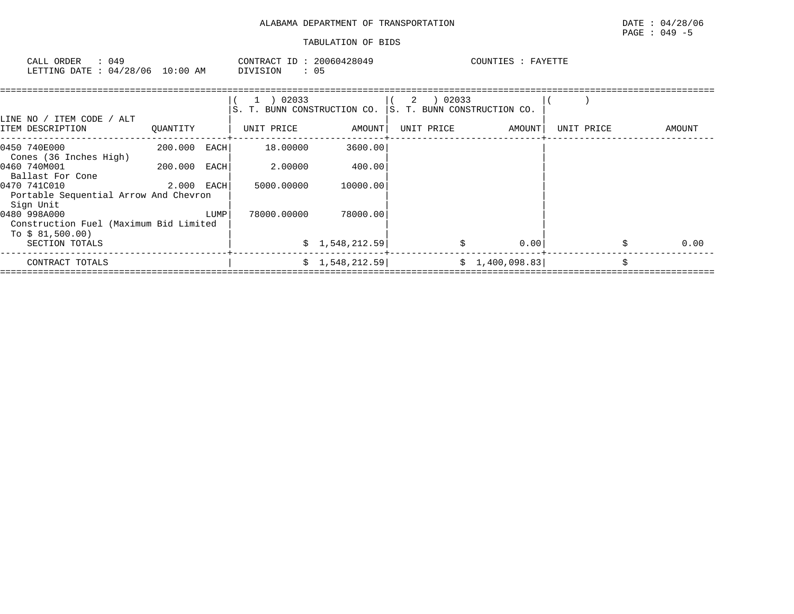| ORDER<br>CALL | ' د ∪    |             | CONTRACT<br>T <sub>D</sub> | 20060428049 | COUNTIES | FAYETTE |
|---------------|----------|-------------|----------------------------|-------------|----------|---------|
| LETTING DATE  | 04/28/06 | 00:01<br>AM | DIVISION                   | ◡ ◡         |          |         |

| LINE NO / ITEM CODE / ALT                                                  |            |      | $1$ ) 02033<br>S. T. BUNN CONSTRUCTION CO. |                | IS. T. BUNN CONSTRUCTION CO. |                 |            |            |
|----------------------------------------------------------------------------|------------|------|--------------------------------------------|----------------|------------------------------|-----------------|------------|------------|
| ITEM DESCRIPTION                                                           | QUANTITY   |      | UNIT PRICE                                 | AMOUNT         | UNIT PRICE                   | AMOUNT          | UNIT PRICE | AMOUNT     |
| 0450 740E000<br>Cones (36 Inches High)                                     | 200.000    | EACH | 18.00000                                   | 3600.00        |                              |                 |            |            |
| 0460 740M001<br>Ballast For Cone                                           | 200.000    | EACH | 2.00000                                    | 400.00         |                              |                 |            |            |
| 0470 741C010<br>Portable Sequential Arrow And Chevron<br>Sign Unit         | 2.000 EACH |      | 5000.00000                                 | 10000.00       |                              |                 |            |            |
| 0480 998A000<br>Construction Fuel (Maximum Bid Limited<br>To $$81,500.00)$ |            | LUMP | 78000.00000                                | 78000.00       |                              |                 |            |            |
| SECTION TOTALS                                                             |            |      |                                            | \$1,548,212.59 |                              | 0.00            |            | Ŝ.<br>0.00 |
| CONTRACT TOTALS                                                            |            |      |                                            | \$1,548,212.59 |                              | \$1,400,098.83] |            | Ŝ.         |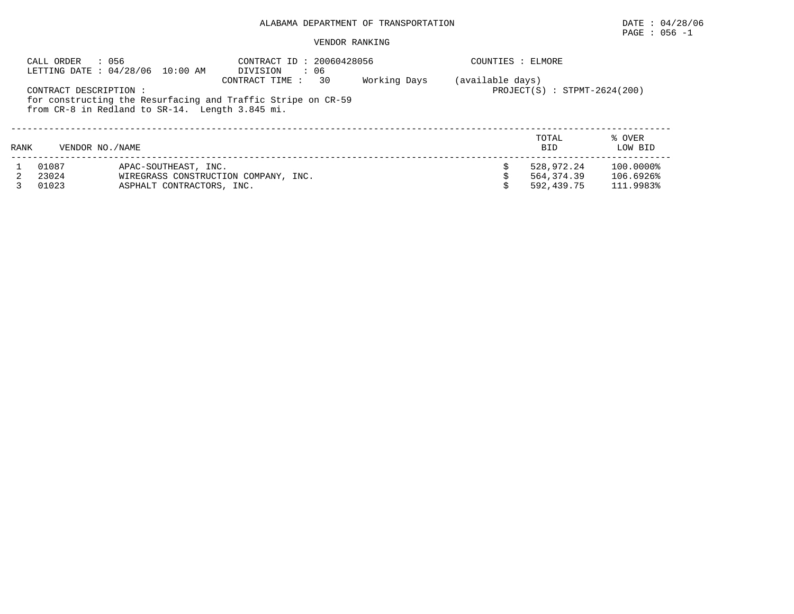# PAGE : 056 -1

## VENDOR RANKING

|      | : 056<br>CALL ORDER                                                                                                                       | LETTING DATE : 04/28/06 10:00 AM                                                          | CONTRACT ID: 20060428056<br>$\cdot$ 06<br>DIVISION<br>30<br>CONTRACT TIME : | Working Days | COUNTIES : ELMORE<br>(available days) |                                        |                                     |
|------|-------------------------------------------------------------------------------------------------------------------------------------------|-------------------------------------------------------------------------------------------|-----------------------------------------------------------------------------|--------------|---------------------------------------|----------------------------------------|-------------------------------------|
|      | CONTRACT DESCRIPTION :<br>for constructing the Resurfacing and Traffic Stripe on CR-59<br>from CR-8 in Redland to SR-14. Length 3.845 mi. | $PROJECT(S) : STPMT-2624(200)$                                                            |                                                                             |              |                                       |                                        |                                     |
| RANK | VENDOR NO. / NAME                                                                                                                         |                                                                                           |                                                                             |              |                                       | TOTAL<br><b>BID</b>                    | % OVER<br>LOW BID                   |
|      | 01087<br>23024<br>01023                                                                                                                   | APAC-SOUTHEAST, INC.<br>WIREGRASS CONSTRUCTION COMPANY, INC.<br>ASPHALT CONTRACTORS, INC. |                                                                             |              |                                       | 528,972.24<br>564,374.39<br>592,439.75 | 100.0000%<br>106.6926%<br>111.9983% |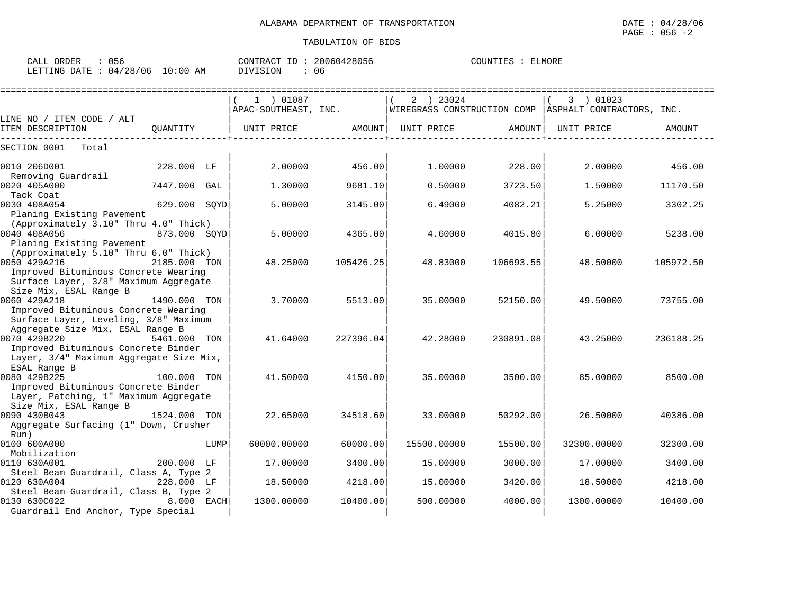| CALL<br>ORDER   | 756      |             | CONTRACT<br>TD | 20060428056 | COUNTIES | LMORE |
|-----------------|----------|-------------|----------------|-------------|----------|-------|
| LETTING<br>DATE | 04/28/06 | 10:00<br>AΜ | DIVISION       | 06          |          |       |

|                                                                               |              |      | 1 ) 01087            |           | 2 ) 23024   |           | 3 ) 01023                                               |               |
|-------------------------------------------------------------------------------|--------------|------|----------------------|-----------|-------------|-----------|---------------------------------------------------------|---------------|
|                                                                               |              |      | APAC-SOUTHEAST, INC. |           |             |           | WIREGRASS CONSTRUCTION COMP   ASPHALT CONTRACTORS, INC. |               |
| LINE NO / ITEM CODE / ALT<br>ITEM DESCRIPTION                                 | OUANTITY     |      | UNIT PRICE           | AMOUNT    | UNIT PRICE  | AMOUNT    | UNIT PRICE                                              | <b>AMOUNT</b> |
| SECTION 0001<br>Total                                                         |              |      |                      |           |             |           |                                                         |               |
| 0010 206D001                                                                  | 228.000 LF   |      | 2.00000              | 456.00    | 1.00000     | 228.00    | 2,00000                                                 | 456.00        |
| Removing Guardrail<br>0020 405A000                                            | 7447.000 GAL |      | 1.30000              | 9681.10   | 0.50000     | 3723.50   | 1.50000                                                 | 11170.50      |
| Tack Coat                                                                     |              |      |                      |           |             |           |                                                         |               |
| 0030 408A054<br>Planing Existing Pavement                                     | 629.000 SOYD |      | 5.00000              | 3145.00   | 6.49000     | 4082.21   | 5.25000                                                 | 3302.25       |
| (Approximately 3.10" Thru 4.0" Thick)                                         |              |      |                      |           |             |           |                                                         |               |
| 0040 408A056                                                                  | 873.000 SOYD |      | 5.00000              | 4365.00   | 4.60000     | 4015.80   | 6,00000                                                 | 5238.00       |
| Planing Existing Pavement                                                     |              |      |                      |           |             |           |                                                         |               |
| (Approximately 5.10" Thru 6.0" Thick)                                         |              |      |                      |           |             |           |                                                         |               |
| 0050 429A216                                                                  | 2185.000 TON |      | 48.25000             | 105426.25 | 48.83000    | 106693.55 | 48.50000                                                | 105972.50     |
| Improved Bituminous Concrete Wearing<br>Surface Layer, 3/8" Maximum Aggregate |              |      |                      |           |             |           |                                                         |               |
| Size Mix, ESAL Range B                                                        |              |      |                      |           |             |           |                                                         |               |
| 0060 429A218                                                                  | 1490.000 TON |      | 3,70000              | 5513.00   | 35.00000    | 52150.00  | 49.50000                                                | 73755.00      |
| Improved Bituminous Concrete Wearing                                          |              |      |                      |           |             |           |                                                         |               |
| Surface Layer, Leveling, 3/8" Maximum                                         |              |      |                      |           |             |           |                                                         |               |
| Aggregate Size Mix, ESAL Range B                                              |              |      |                      |           |             |           |                                                         |               |
| 0070 429B220                                                                  | 5461.000 TON |      | 41.64000             | 227396.04 | 42.28000    | 230891.08 | 43.25000                                                | 236188.25     |
| Improved Bituminous Concrete Binder                                           |              |      |                      |           |             |           |                                                         |               |
| Layer, 3/4" Maximum Aggregate Size Mix,                                       |              |      |                      |           |             |           |                                                         |               |
| ESAL Range B<br>0080 429B225                                                  | 100.000 TON  |      | 41.50000             | 4150.00   | 35,00000    | 3500.00   | 85,00000                                                | 8500.00       |
| Improved Bituminous Concrete Binder                                           |              |      |                      |           |             |           |                                                         |               |
| Layer, Patching, 1" Maximum Aggregate                                         |              |      |                      |           |             |           |                                                         |               |
| Size Mix, ESAL Range B                                                        |              |      |                      |           |             |           |                                                         |               |
| 0090 430B043                                                                  | 1524.000 TON |      | 22.65000             | 34518.60  | 33.00000    | 50292.00  | 26.50000                                                | 40386.00      |
| Aggregate Surfacing (1" Down, Crusher<br>Run)                                 |              |      |                      |           |             |           |                                                         |               |
| 0100 600A000                                                                  |              | LUMP | 60000.00000          | 60000.00  | 15500.00000 | 15500.00  | 32300.00000                                             | 32300.00      |
| Mobilization                                                                  |              |      |                      |           |             |           |                                                         |               |
| 0110 630A001                                                                  | 200.000 LF   |      | 17.00000             | 3400.00   | 15.00000    | 3000.00   | 17.00000                                                | 3400.00       |
| Steel Beam Guardrail, Class A, Type 2                                         |              |      |                      |           |             |           |                                                         |               |
| 0120 630A004<br>Steel Beam Guardrail, Class B, Type 2                         | 228.000 LF   |      | 18.50000             | 4218.00   | 15,00000    | 3420.00   | 18,50000                                                | 4218.00       |
| 0130 630C022                                                                  | 8.000 EACH   |      | 1300.00000           | 10400.00  | 500.00000   | 4000.00   | 1300.00000                                              | 10400.00      |
| Guardrail End Anchor, Type Special                                            |              |      |                      |           |             |           |                                                         |               |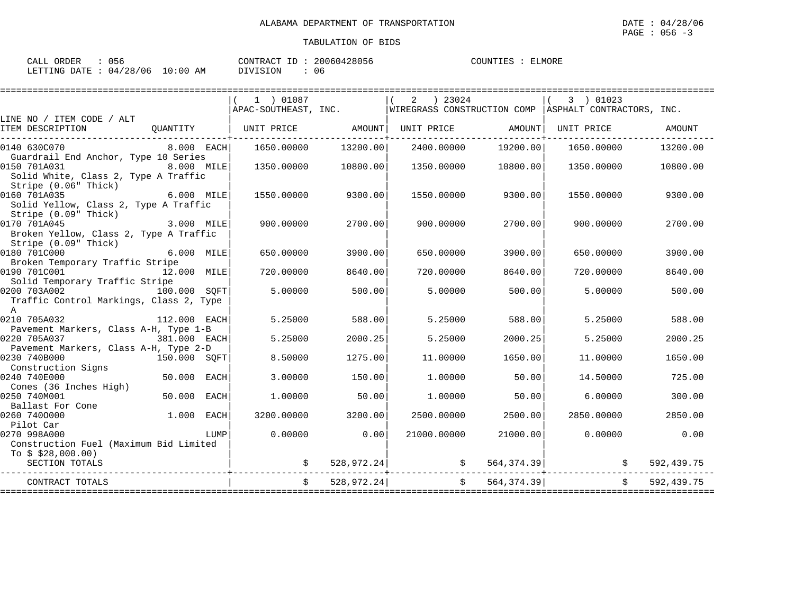| CALL ORDER : 056                |  | CONTRACT ID: 20060428056 |     | COUNTIES : ELMORE |  |
|---------------------------------|--|--------------------------|-----|-------------------|--|
| LETTING DATE: 04/28/06 10:00 AM |  | DIVISION                 | -06 |                   |  |

|                                                                                                                                    |              | 1 ) 01087                    |            | ) 23024<br>2      |                    | 3 ) 01023                                                                                |            |
|------------------------------------------------------------------------------------------------------------------------------------|--------------|------------------------------|------------|-------------------|--------------------|------------------------------------------------------------------------------------------|------------|
| LINE NO / ITEM CODE / ALT                                                                                                          |              |                              |            |                   |                    | $APAC-SOUTHERST$ , INC. $ WIREGRASS \nCONSTRUCTION \nCOMP \nASPHALT \nCONTRACTORS, INC.$ |            |
| ITEM DESCRIPTION                                                                                                                   |              | QUANTITY   UNIT PRICE AMOUNT |            | UNIT PRICE AMOUNT |                    | UNIT PRICE                                                                               | AMOUNT     |
| 0140 630C070                                                                                                                       | 8.000 EACH   | 1650.00000                   | 13200.00   | 2400.00000        | 19200.00           | 1650.00000                                                                               | 13200.00   |
| Guardrail End Anchor, Type 10 Series<br>0150 701A031<br>8.000 MILE<br>Solid White, Class 2, Type A Traffic<br>Stripe (0.06" Thick) |              | 1350.00000                   | 10800.00   | 1350.00000        | 10800.00           | 1350.00000                                                                               | 10800.00   |
| 0160 701A035<br>Solid Yellow, Class 2, Type A Traffic<br>Stripe (0.09" Thick)                                                      | 6.000 MILE   | 1550.00000                   | 9300.00    |                   | 1550.00000 9300.00 | 1550.00000                                                                               | 9300.00    |
| 0170 701A045<br>Broken Yellow, Class 2, Type A Traffic<br>Stripe (0.09" Thick)                                                     | 3.000 MILE   | 900.00000                    | 2700.00    | 900.00000         | 2700.00            | 900.00000                                                                                | 2700.00    |
| 0180 701C000<br>Broken Temporary Traffic Stripe                                                                                    | 6.000 MILE   | 650.00000                    | 3900.00    | 650.00000         | 3900.00            | 650.00000                                                                                | 3900.00    |
| 0190 701C001<br>Solid Temporary Traffic Stripe                                                                                     | 12.000 MILE  | 720.00000                    | 8640.00    | 720.00000         | 8640.00            | 720.00000                                                                                | 8640.00    |
| 0200 703A002<br>Traffic Control Markings, Class 2, Type<br>$\overline{A}$                                                          | 100.000 SOFT | 5.00000                      | 500.00     | 5.00000           | 500.00             | 5,00000                                                                                  | 500.00     |
| 0210 705A032<br>112.000 EACH<br>Pavement Markers, Class A-H, Type 1-B                                                              |              | 5.25000                      | 588.00     | 5.25000           | 588.00             | 5.25000                                                                                  | 588.00     |
| 0220 705A037<br>381.000 EACH<br>Pavement Markers, Class A-H, Type 2-D                                                              |              | 5.25000                      | 2000.25    | 5.25000           | 2000.25            | 5.25000                                                                                  | 2000.25    |
| 0230 740B000<br>150.000 SQFT                                                                                                       |              | 8.50000                      | 1275.00    | 11,00000          | 1650.00            | 11,00000                                                                                 | 1650.00    |
| Construction Signs<br>0240 740E000                                                                                                 | 50.000 EACH  | 3.00000                      | 150.00     | 1,00000           | 50.00              | 14.50000                                                                                 | 725.00     |
| Cones (36 Inches High)<br>50.000<br>0250 740M001<br>Ballast For Cone                                                               | EACH         | 1,00000                      | 50.00      | 1,00000           | 50.00              | 6.00000                                                                                  | 300.00     |
| 0260 7400000<br>Pilot Car                                                                                                          | $1.000$ EACH | 3200.00000                   | 3200.00    | 2500.00000        | 2500.00            | 2850.00000                                                                               | 2850.00    |
| 0270 998A000<br>Construction Fuel (Maximum Bid Limited                                                                             | LUMP         | 0.00000                      | 0.00       | 21000.00000       | 21000.00           | 0.00000                                                                                  | 0.00       |
| To $$328,000.00)$<br>SECTION TOTALS                                                                                                |              |                              |            |                   |                    | $\sharp$ 528,972.24 $\sharp$ 564,374.39                                                  | 592,439.75 |
| CONTRACT TOTALS                                                                                                                    |              |                              | 528,972.24 |                   | \$564,374.39]      |                                                                                          | 592,439.75 |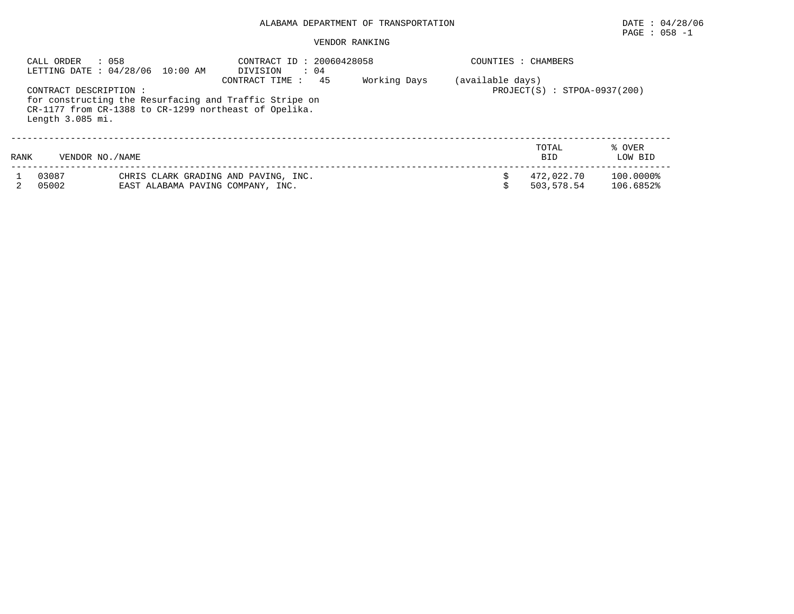# PAGE : 058 -1

## VENDOR RANKING

|      | CALL ORDER<br>: 058                                                                                                                                          | LETTING DATE: 04/28/06 10:00 AM   | CONTRACT ID: 20060428058<br>$\therefore$ 04<br>DIVISION<br>45<br>CONTRACT TIME: | Working Days | (available days) | COUNTIES : CHAMBERS      |                        |
|------|--------------------------------------------------------------------------------------------------------------------------------------------------------------|-----------------------------------|---------------------------------------------------------------------------------|--------------|------------------|--------------------------|------------------------|
|      | CONTRACT DESCRIPTION:<br>for constructing the Resurfacing and Traffic Stripe on<br>CR-1177 from CR-1388 to CR-1299 northeast of Opelika.<br>Length 3.085 mi. |                                   | $PROJECT(S) : STPOA-0937(200)$                                                  |              |                  |                          |                        |
| RANK | VENDOR NO./NAME                                                                                                                                              |                                   |                                                                                 |              |                  | TOTAL<br><b>BID</b>      | % OVER<br>LOW BID      |
|      | 03087<br>05002                                                                                                                                               | EAST ALABAMA PAVING COMPANY, INC. | CHRIS CLARK GRADING AND PAVING, INC.                                            |              |                  | 472,022.70<br>503,578.54 | 100.0000%<br>106.6852% |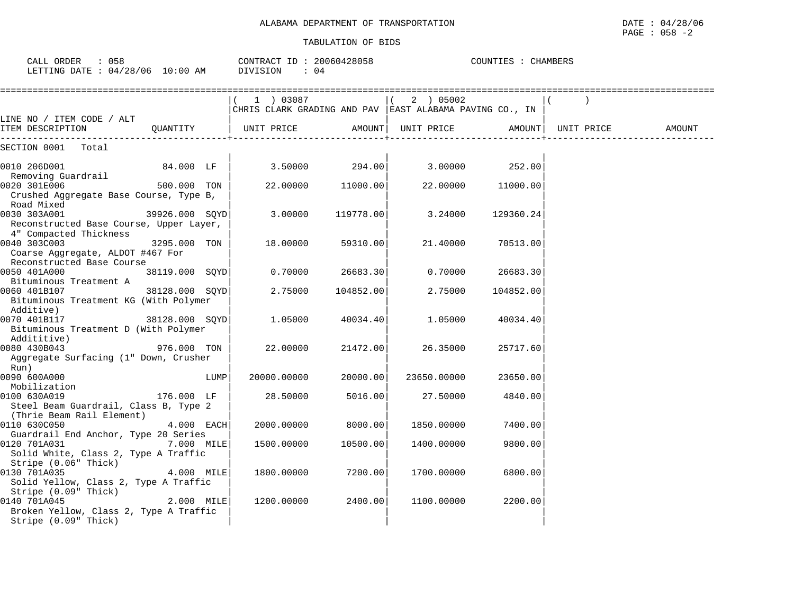| CALL ORDER : 058<br>LETTING DATE: 04/28/06 10:00 AM                                                    |                |      | CONTRACT ID: $20060428058$<br>DIVISION<br>$\therefore$ 04 |           |                   | COUNTIES : CHAMBERS |            |        |
|--------------------------------------------------------------------------------------------------------|----------------|------|-----------------------------------------------------------|-----------|-------------------|---------------------|------------|--------|
|                                                                                                        |                |      | (1) 03087                                                 |           | (2) 05002         |                     |            |        |
| LINE NO / ITEM CODE / ALT                                                                              |                |      | CHRIS CLARK GRADING AND PAV  EAST ALABAMA PAVING CO., IN  |           |                   |                     |            |        |
| ITEM DESCRIPTION                                                                                       |                |      | QUANTITY   UNIT PRICE                                     | AMOUNT    | UNIT PRICE AMOUNT |                     | UNIT PRICE | AMOUNT |
| SECTION 0001 Total                                                                                     |                |      |                                                           |           |                   |                     |            |        |
| 0010 206D001                                                                                           | 84.000 LF      |      | $3.50000$ 294.00                                          |           | 3.00000 252.00    |                     |            |        |
| Removing Guardrail<br>0020 301E006<br>Crushed Aggregate Base Course, Type B,                           | 500.000 TON    |      | 22.00000                                                  | 11000.00  |                   | 22.00000 11000.00   |            |        |
| Road Mixed                                                                                             |                |      |                                                           |           |                   |                     |            |        |
| 0030 303A001<br>Reconstructed Base Course, Upper Layer,                                                | 39926.000 SQYD |      | 3.00000                                                   | 119778.00 | 3.24000           | 129360.24           |            |        |
| 4" Compacted Thickness<br>0040 303C003<br>Coarse Aggregate, ALDOT #467 For                             | 3295.000 TON   |      | 18.00000                                                  | 59310.00  | 21.40000          | 70513.00            |            |        |
| Reconstructed Base Course<br>0050 401A000                                                              | 38119.000 SOYD |      | 0.70000                                                   | 26683.30  | 0.70000           | 26683.30            |            |        |
| Bituminous Treatment A<br>0060 401B107<br>Bituminous Treatment KG (With Polymer                        | 38128.000 SOYD |      | 2.75000                                                   | 104852.00 | 2.75000           | 104852.00           |            |        |
| Additive)<br>0070 401B117<br>Bituminous Treatment D (With Polymer                                      | 38128.000 SQYD |      | 1.05000                                                   | 40034.40  | 1.05000           | 40034.40            |            |        |
| Addititive)                                                                                            |                |      |                                                           |           |                   |                     |            |        |
| 0080 430B043<br>976.000 TON<br>Aggregate Surfacing (1" Down, Crusher                                   |                |      | 22.00000                                                  | 21472.00  | 26.35000          | 25717.60            |            |        |
| Run)<br>0090 600A000                                                                                   |                | LUMP | 20000.00000                                               | 20000.00  | 23650.00000       | 23650.00            |            |        |
| Mobilization<br>0100 630A019<br>Steel Beam Guardrail, Class B, Type 2                                  | 176.000 LF     |      | 28.50000                                                  | 5016.00   | 27.50000          | 4840.00             |            |        |
| (Thrie Beam Rail Element)<br>0110 630C050                                                              | 4.000 EACH     |      | 2000.00000                                                | 8000.00   | 1850.00000        | 7400.00             |            |        |
| Guardrail End Anchor, Type 20 Series<br>0120 701A031<br>Solid White, Class 2, Type A Traffic           | 7.000 MILE     |      | 1500.00000                                                | 10500.00  | 1400.00000        | 9800.00             |            |        |
| Stripe (0.06" Thick)<br>0130 701A035<br>Solid Yellow, Class 2, Type A Traffic                          | 4.000 MILE     |      | 1800.00000                                                | 7200.00   | 1700.00000        | 6800.00             |            |        |
| Stripe (0.09" Thick)<br>0140 701A045<br>Broken Yellow, Class 2, Type A Traffic<br>Stripe (0.09" Thick) | 2.000 MILE     |      | 1200.00000                                                | 2400.00   | 1100.00000        | 2200.00             |            |        |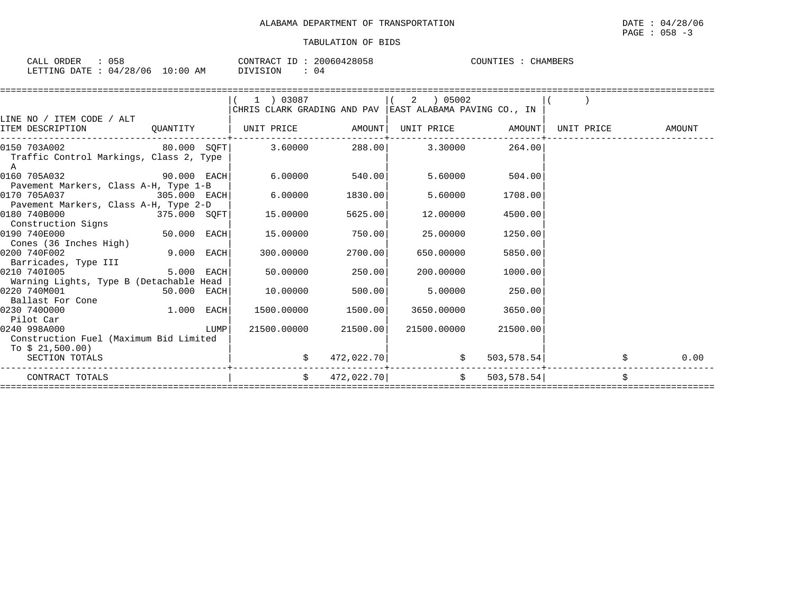| 058<br>ORDER<br>CALL     | CONTRACT               | ID | 20060428058 | COUNTIES<br><b>CHAMBERS</b> |
|--------------------------|------------------------|----|-------------|-----------------------------|
| 04/28/06<br>LETTING DATE | $10:00$ AM<br>DIVISION |    | 04          |                             |

|                                              |              |      | 1 ) 03087                                               |            | ) 05002<br>2      |                          |            |        |
|----------------------------------------------|--------------|------|---------------------------------------------------------|------------|-------------------|--------------------------|------------|--------|
|                                              |              |      | CHRIS CLARK GRADING AND PAV EAST ALABAMA PAVING CO., IN |            |                   |                          |            |        |
| LINE NO / ITEM CODE / ALT                    |              |      |                                                         |            |                   |                          |            |        |
| ITEM DESCRIPTION                             |              |      | QUANTITY   UNIT PRICE AMOUNT                            |            | UNIT PRICE AMOUNT |                          | UNIT PRICE | AMOUNT |
| 0150 703A002                                 |              |      | $80.000$ SOFT 3.60000 288.00 3.30000                    |            |                   | 264.00                   |            |        |
| Traffic Control Markings, Class 2, Type<br>A |              |      |                                                         |            |                   |                          |            |        |
| $90.000$ EACH<br>0160 705A032                |              |      | 6.00000                                                 | 540.00     | 5.60000           | 504.00                   |            |        |
| Pavement Markers, Class A-H, Type 1-B        |              |      |                                                         |            |                   |                          |            |        |
| 0170 705A037<br>305.000 EACH                 |              |      | 6.00000                                                 | 1830.00    | 5.60000           | 1708.00                  |            |        |
| Pavement Markers, Class A-H, Type 2-D        |              |      |                                                         |            |                   |                          |            |        |
| 0180 740B000                                 | 375.000 SQFT |      | 15.00000                                                | 5625.00    | 12.00000          | 4500.00                  |            |        |
| Construction Signs                           |              |      |                                                         |            |                   |                          |            |        |
| $50.000$ EACH<br>0190 740E000                |              |      | 15,00000                                                | 750.00     | 25,00000          | 1250.00                  |            |        |
| Cones (36 Inches High)<br>0200 740F002       | 9.000 EACH   |      | 300,00000                                               | 2700.00    | 650.00000         | 5850.00                  |            |        |
| Barricades, Type III                         |              |      |                                                         |            |                   |                          |            |        |
| 0210 7401005                                 | 5.000 EACH   |      | 50.00000                                                | 250.00     | 200.00000         | 1000.00                  |            |        |
| Warning Lights, Type B (Detachable Head      |              |      |                                                         |            |                   |                          |            |        |
| 0220 740M001                                 | 50.000 EACH  |      | 10.00000                                                | 500.00     | 5.00000           | 250.00                   |            |        |
| Ballast For Cone                             |              |      |                                                         |            |                   |                          |            |        |
| 1.000 EACH<br>0230 7400000                   |              |      | 1500.00000                                              | 1500.00    | 3650.00000        | 3650.00                  |            |        |
| Pilot Car                                    |              |      |                                                         |            |                   |                          |            |        |
| 0240 998A000                                 |              | LUMP | 21500.00000                                             | 21500.00   | 21500.00000       | 21500.00                 |            |        |
| Construction Fuel (Maximum Bid Limited       |              |      |                                                         |            |                   |                          |            |        |
| To $$21,500.00)$<br>SECTION TOTALS           |              |      | \$                                                      | 472,022.70 |                   | $\frac{1}{5}$ 503,578.54 |            | 0.00   |
|                                              |              |      |                                                         |            |                   |                          |            |        |
| CONTRACT TOTALS                              |              |      | $\ddot{s}$                                              | 472,022.70 |                   | \$503,578.54]            |            | Ŝ.     |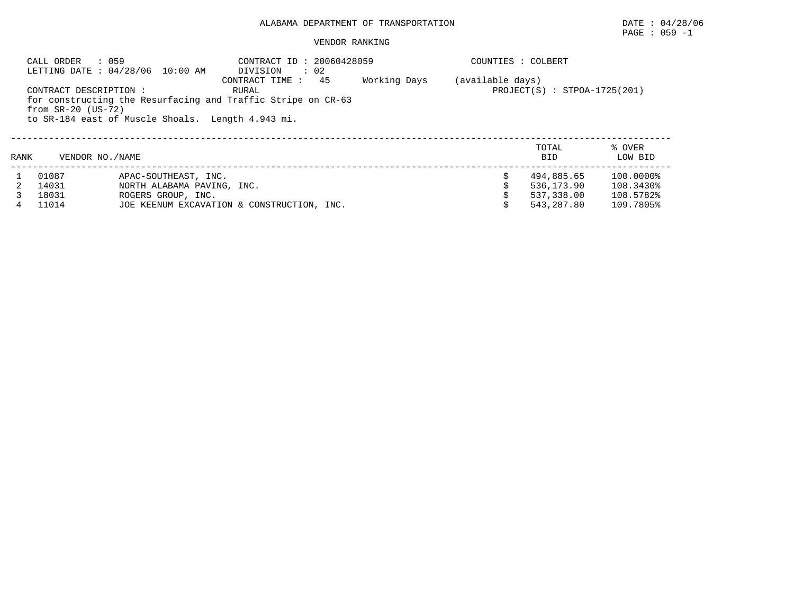# PAGE : 059 -1

### VENDOR RANKING

|      | CALL ORDER                                     | : 059<br>LETTING DATE: 04/28/06 10:00 AM          | CONTRACT ID: 20060428059<br>DIVISION<br>$\therefore$ 02                                        |              |                  | COUNTIES : COLBERT             |                   |
|------|------------------------------------------------|---------------------------------------------------|------------------------------------------------------------------------------------------------|--------------|------------------|--------------------------------|-------------------|
|      | CONTRACT DESCRIPTION :<br>from $SR-20$ (US-72) |                                                   | 45<br>CONTRACT TIME :<br>RURAL<br>for constructing the Resurfacing and Traffic Stripe on CR-63 | Working Days | (available days) | $PROJECT(S)$ : STPOA-1725(201) |                   |
|      |                                                | to SR-184 east of Muscle Shoals. Length 4.943 mi. |                                                                                                |              |                  |                                |                   |
| RANK | VENDOR NO. / NAME                              |                                                   |                                                                                                |              |                  | TOTAL<br><b>BID</b>            | % OVER<br>LOW BID |
|      | 01087                                          | APAC-SOUTHEAST, INC.                              |                                                                                                |              |                  | 494,885.65                     | 100.0000%         |
|      | 14031                                          | NORTH ALABAMA PAVING, INC.                        |                                                                                                |              |                  | 536,173.90                     | 108.3430%         |
|      | 18031                                          | ROGERS GROUP, INC.                                |                                                                                                |              |                  | 537,338.00                     | 108.5782%         |
|      | 11014                                          |                                                   | JOE KEENUM EXCAVATION & CONSTRUCTION, INC.                                                     |              |                  | 543,287.80                     | 109.7805%         |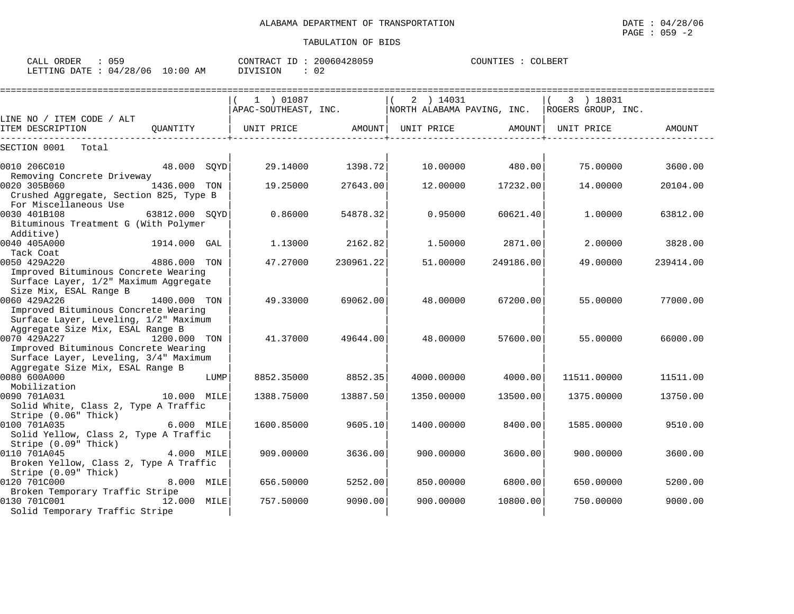| CALL ORDER                       |  |          | CONTRACT ID: 20060428059 | COUNTIES : 0 | COLBERT |
|----------------------------------|--|----------|--------------------------|--------------|---------|
| LETTING DATE : 04/28/06 10:00 AM |  | DIVISION | 02                       |              |         |

|                                                                                 |                |      | 1 ) 01087            |           | 2 ) 14031  |                            | 3 ) 18031          |           |
|---------------------------------------------------------------------------------|----------------|------|----------------------|-----------|------------|----------------------------|--------------------|-----------|
|                                                                                 |                |      | APAC-SOUTHEAST, INC. |           |            | NORTH ALABAMA PAVING, INC. | ROGERS GROUP, INC. |           |
| LINE NO / ITEM CODE / ALT                                                       |                |      |                      |           |            |                            |                    |           |
| ITEM DESCRIPTION                                                                | OUANTITY       |      | UNIT PRICE           | AMOUNT    | UNIT PRICE | AMOUNT                     | UNIT PRICE         | AMOUNT    |
| SECTION 0001<br>Total                                                           |                |      |                      |           |            |                            |                    |           |
| 0010 206C010                                                                    | 48.000 SQYD    |      | 29.14000             | 1398.72   | 10.00000   | 480.00                     | 75.00000           | 3600.00   |
| Removing Concrete Driveway                                                      |                |      |                      |           |            |                            |                    |           |
| 0020 305B060<br>Crushed Aggregate, Section 825, Type B<br>For Miscellaneous Use | 1436.000 TON   |      | 19.25000             | 27643.00  | 12,00000   | 17232.00                   | 14.00000           | 20104.00  |
| 0030 401B108                                                                    | 63812.000 SOYD |      | 0.86000              | 54878.32  | 0.95000    | 60621.40                   | 1,00000            | 63812.00  |
| Bituminous Treatment G (With Polymer<br>Additive)                               |                |      |                      |           |            |                            |                    |           |
| 0040 405A000                                                                    | 1914.000 GAL   |      | 1.13000              | 2162.82   | 1.50000    | 2871.00                    | 2.00000            | 3828.00   |
| Tack Coat                                                                       |                |      |                      |           |            |                            |                    |           |
| 0050 429A220                                                                    | 4886.000 TON   |      | 47.27000             | 230961.22 | 51.00000   | 249186.00                  | 49.00000           | 239414.00 |
| Improved Bituminous Concrete Wearing                                            |                |      |                      |           |            |                            |                    |           |
| Surface Layer, 1/2" Maximum Aggregate                                           |                |      |                      |           |            |                            |                    |           |
| Size Mix, ESAL Range B                                                          |                |      |                      |           |            |                            |                    |           |
| 0060 429A226                                                                    | 1400.000 TON   |      | 49.33000             | 69062.00  | 48.00000   | 67200.00                   | 55.00000           | 77000.00  |
| Improved Bituminous Concrete Wearing                                            |                |      |                      |           |            |                            |                    |           |
| Surface Layer, Leveling, 1/2" Maximum                                           |                |      |                      |           |            |                            |                    |           |
| Aggregate Size Mix, ESAL Range B<br>0070 429A227                                | 1200.000 TON   |      | 41.37000             | 49644.00  | 48.00000   | 57600.00                   | 55.00000           | 66000.00  |
| Improved Bituminous Concrete Wearing                                            |                |      |                      |           |            |                            |                    |           |
| Surface Layer, Leveling, 3/4" Maximum                                           |                |      |                      |           |            |                            |                    |           |
| Aggregate Size Mix, ESAL Range B                                                |                |      |                      |           |            |                            |                    |           |
| 0080 600A000                                                                    |                | LUMP | 8852.35000           | 8852.35   | 4000.00000 | 4000.00                    | 11511.00000        | 11511.00  |
| Mobilization                                                                    |                |      |                      |           |            |                            |                    |           |
| 0090 701A031                                                                    | 10.000 MILE    |      | 1388.75000           | 13887.50  | 1350.00000 | 13500.00                   | 1375.00000         | 13750.00  |
| Solid White, Class 2, Type A Traffic                                            |                |      |                      |           |            |                            |                    |           |
| Stripe (0.06" Thick)                                                            |                |      |                      |           |            |                            |                    |           |
| 0100 701A035                                                                    | 6.000 MILE     |      | 1600.85000           | 9605.10   | 1400.00000 | 8400.00                    | 1585.00000         | 9510.00   |
| Solid Yellow, Class 2, Type A Traffic                                           |                |      |                      |           |            |                            |                    |           |
| Stripe (0.09" Thick)                                                            |                |      |                      |           |            |                            |                    |           |
| 0110 701A045                                                                    | 4.000 MILE     |      | 909.00000            | 3636.00   | 900.00000  | 3600.00                    | 900.00000          | 3600.00   |
| Broken Yellow, Class 2, Type A Traffic                                          |                |      |                      |           |            |                            |                    |           |
| Stripe (0.09" Thick)                                                            |                |      |                      |           |            |                            |                    |           |
| 0120 701C000                                                                    | 8.000 MILE     |      | 656.50000            | 5252.00   | 850.00000  | 6800.00                    | 650.00000          | 5200.00   |
| Broken Temporary Traffic Stripe                                                 |                |      |                      |           |            |                            |                    |           |
| 0130 701C001                                                                    | 12.000         | MILE | 757.50000            | 9090.00   | 900.00000  | 10800.00                   | 750.00000          | 9000.00   |
| Solid Temporary Traffic Stripe                                                  |                |      |                      |           |            |                            |                    |           |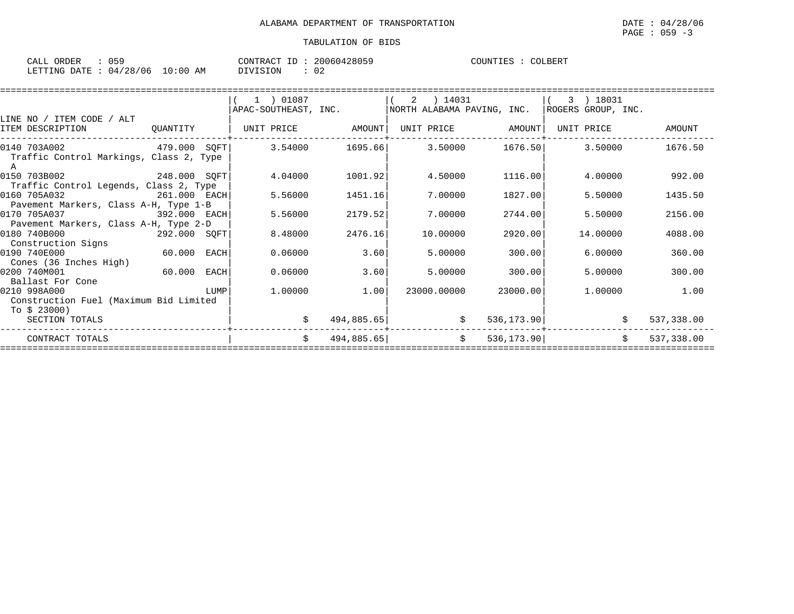| ORDER<br>CALL | ັບ       |             | CONTRACT       | 20060428059 | COUNTIES<br>TIES | COLBERT |
|---------------|----------|-------------|----------------|-------------|------------------|---------|
| LETTING DATE  | 04/28/06 | 10:00<br>AM | <b>NOTSTON</b> | 02          |                  |         |

|          | $(1)$ 01087                                                                                                                                                                                                                                                                                                                                                                         |                                                                               |                                         |                                                                                                   |                                                                                                     |                                                                                                                             |           |                                                                                                                                                 |
|----------|-------------------------------------------------------------------------------------------------------------------------------------------------------------------------------------------------------------------------------------------------------------------------------------------------------------------------------------------------------------------------------------|-------------------------------------------------------------------------------|-----------------------------------------|---------------------------------------------------------------------------------------------------|-----------------------------------------------------------------------------------------------------|-----------------------------------------------------------------------------------------------------------------------------|-----------|-------------------------------------------------------------------------------------------------------------------------------------------------|
|          |                                                                                                                                                                                                                                                                                                                                                                                     |                                                                               |                                         |                                                                                                   |                                                                                                     |                                                                                                                             |           |                                                                                                                                                 |
|          |                                                                                                                                                                                                                                                                                                                                                                                     |                                                                               |                                         |                                                                                                   |                                                                                                     |                                                                                                                             |           | AMOUNT                                                                                                                                          |
|          |                                                                                                                                                                                                                                                                                                                                                                                     |                                                                               |                                         |                                                                                                   |                                                                                                     |                                                                                                                             |           | 1676.50                                                                                                                                         |
|          |                                                                                                                                                                                                                                                                                                                                                                                     |                                                                               |                                         |                                                                                                   |                                                                                                     |                                                                                                                             |           |                                                                                                                                                 |
|          | 4.04000                                                                                                                                                                                                                                                                                                                                                                             |                                                                               |                                         |                                                                                                   |                                                                                                     |                                                                                                                             |           | 992.00                                                                                                                                          |
|          | 5.56000                                                                                                                                                                                                                                                                                                                                                                             |                                                                               |                                         |                                                                                                   |                                                                                                     |                                                                                                                             |           | 1435.50                                                                                                                                         |
|          |                                                                                                                                                                                                                                                                                                                                                                                     |                                                                               |                                         |                                                                                                   |                                                                                                     |                                                                                                                             |           |                                                                                                                                                 |
|          |                                                                                                                                                                                                                                                                                                                                                                                     |                                                                               |                                         |                                                                                                   |                                                                                                     |                                                                                                                             |           | 2156.00                                                                                                                                         |
|          |                                                                                                                                                                                                                                                                                                                                                                                     |                                                                               |                                         |                                                                                                   |                                                                                                     |                                                                                                                             |           | 4088.00                                                                                                                                         |
|          |                                                                                                                                                                                                                                                                                                                                                                                     |                                                                               |                                         |                                                                                                   |                                                                                                     |                                                                                                                             |           |                                                                                                                                                 |
|          | 0.06000                                                                                                                                                                                                                                                                                                                                                                             | 3.60                                                                          |                                         |                                                                                                   |                                                                                                     |                                                                                                                             |           | 360.00                                                                                                                                          |
|          |                                                                                                                                                                                                                                                                                                                                                                                     |                                                                               |                                         |                                                                                                   |                                                                                                     |                                                                                                                             |           |                                                                                                                                                 |
|          | 0.06000                                                                                                                                                                                                                                                                                                                                                                             |                                                                               |                                         |                                                                                                   |                                                                                                     |                                                                                                                             |           | 300.00                                                                                                                                          |
|          |                                                                                                                                                                                                                                                                                                                                                                                     |                                                                               |                                         |                                                                                                   |                                                                                                     |                                                                                                                             |           |                                                                                                                                                 |
|          |                                                                                                                                                                                                                                                                                                                                                                                     |                                                                               |                                         |                                                                                                   |                                                                                                     |                                                                                                                             |           | 1.00                                                                                                                                            |
|          |                                                                                                                                                                                                                                                                                                                                                                                     |                                                                               |                                         |                                                                                                   |                                                                                                     |                                                                                                                             |           |                                                                                                                                                 |
|          |                                                                                                                                                                                                                                                                                                                                                                                     |                                                                               |                                         |                                                                                                   |                                                                                                     |                                                                                                                             |           |                                                                                                                                                 |
|          |                                                                                                                                                                                                                                                                                                                                                                                     |                                                                               |                                         |                                                                                                   |                                                                                                     |                                                                                                                             |           | 537,338.00                                                                                                                                      |
|          | \$                                                                                                                                                                                                                                                                                                                                                                                  |                                                                               |                                         | \$                                                                                                |                                                                                                     |                                                                                                                             |           | 537,338.00                                                                                                                                      |
| QUANTITY | Traffic Control Markings, Class 2, Type<br>Traffic Control Legends, Class 2, Type<br>Pavement Markers, Class A-H, Type 1-B<br>392.000 EACH<br>Pavement Markers, Class A-H, Type 2-D<br>60.000 EACH<br>60.000 EACH<br><b>EXECUTE IN THE EXECUTIVE IN THE EXECUTIVE IN THE EXECUTIVE IN THE EXECUTIVE IN THE EXECUTIVE IN THE EXECUTIVE</b><br>Construction Fuel (Maximum Bid Limited | 248.000 SQFT<br>261.000 EACH<br>5.56000<br>292.000 SQFT<br>8.48000<br>1,00000 | APAC-SOUTHEAST, INC.<br>1451.16<br>1.00 | UNIT PRICE         AMOUNT  <br>1001.92<br>2179.52<br>2476.16<br>3.60<br>494,885.65 <br>494,885.65 | $(2)$ 14031<br>4.50000<br>7.00000<br>7.00000<br>10.00000<br>5.00000<br>5.00000<br>23000.00000<br>\$ | UNIT PRICE AMOUNT<br>1116.00<br>1827.00<br>2744.00<br>2920.00<br>300.00<br>300.00<br>23000.00<br>536, 173.90<br>536, 173.90 | 3 ) 18031 | NORTH ALABAMA PAVING, INC. ROGERS GROUP, INC.<br>UNIT PRICE<br>4.00000<br>5.50000<br>5.50000<br>14.00000<br>6.00000<br>5.00000<br>1,00000<br>\$ |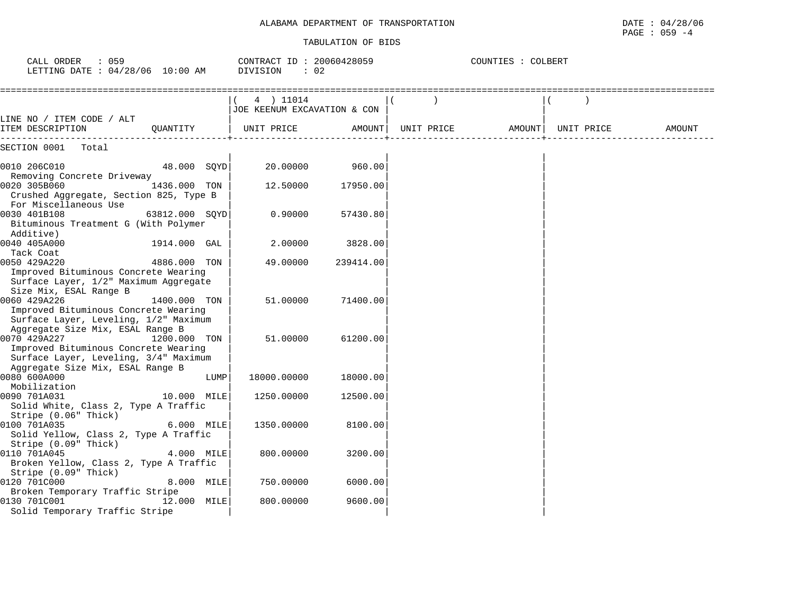### TABULATION OF BIDS

PAGE : 059 -4

| : 059<br>CALL ORDER<br>LETTING DATE : 04/28/06 10:00 AM                                                                           |                |      | CONTRACT ID: 20060428059<br>DIVISION<br>: 02 |           |            | COUNTIES : COLBERT |            |        |
|-----------------------------------------------------------------------------------------------------------------------------------|----------------|------|----------------------------------------------|-----------|------------|--------------------|------------|--------|
|                                                                                                                                   |                |      | 4 ) 11014<br>JOE KEENUM EXCAVATION & CON     |           |            |                    |            |        |
| LINE NO / ITEM CODE / ALT<br>ITEM DESCRIPTION                                                                                     | OUANTITY       |      | UNIT PRICE                                   | AMOUNT    | UNIT PRICE | AMOUNT             | UNIT PRICE | AMOUNT |
| SECTION 0001<br>Total                                                                                                             |                |      |                                              |           |            |                    |            |        |
| 0010 206C010<br>Removing Concrete Driveway                                                                                        | 48.000 SQYD    |      | 20.00000                                     | 960.00    |            |                    |            |        |
| 0020 305B060                                                                                                                      | 1436.000 TON   |      | 12.50000                                     | 17950.00  |            |                    |            |        |
| Crushed Aggregate, Section 825, Type B<br>For Miscellaneous Use                                                                   |                |      |                                              |           |            |                    |            |        |
| 0030 401B108<br>Bituminous Treatment G (With Polymer<br>Additive)                                                                 | 63812.000 SOYD |      | 0.90000                                      | 57430.80  |            |                    |            |        |
| 0040 405A000<br>Tack Coat                                                                                                         | 1914.000 GAL   |      | 2.00000                                      | 3828.00   |            |                    |            |        |
| 0050 429A220<br>Improved Bituminous Concrete Wearing<br>Surface Layer, 1/2" Maximum Aggregate<br>Size Mix, ESAL Range B           | 4886.000 TON   |      | 49.00000                                     | 239414.00 |            |                    |            |        |
| 0060 429A226<br>Improved Bituminous Concrete Wearing<br>Surface Layer, Leveling, 1/2" Maximum<br>Aggregate Size Mix, ESAL Range B | 1400.000 TON   |      | 51.00000                                     | 71400.00  |            |                    |            |        |
| 0070 429A227<br>Improved Bituminous Concrete Wearing<br>Surface Layer, Leveling, 3/4" Maximum                                     | 1200.000 TON   |      | 51.00000                                     | 61200.00  |            |                    |            |        |
| Aggregate Size Mix, ESAL Range B<br>0080 600A000                                                                                  |                | LUMP | 18000.00000                                  | 18000.00  |            |                    |            |        |
| Mobilization<br>0090 701A031<br>Solid White, Class 2, Type A Traffic                                                              | 10.000 MILE    |      | 1250.00000                                   | 12500.00  |            |                    |            |        |
| Stripe (0.06" Thick)<br>0100 701A035<br>Solid Yellow, Class 2, Type A Traffic<br>Stripe (0.09" Thick)                             | 6.000 MILE     |      | 1350.00000                                   | 8100.00   |            |                    |            |        |
| 0110 701A045<br>Broken Yellow, Class 2, Type A Traffic<br>Stripe (0.09" Thick)                                                    | 4.000 MILE     |      | 800.00000                                    | 3200.00   |            |                    |            |        |
| 0120 701C000<br>Broken Temporary Traffic Stripe                                                                                   | 8.000 MILE     |      | 750.00000                                    | 6000.00   |            |                    |            |        |
| 0130 701C001<br>Solid Temporary Traffic Stripe                                                                                    | 12.000 MILE    |      | 800.00000                                    | 9600.00   |            |                    |            |        |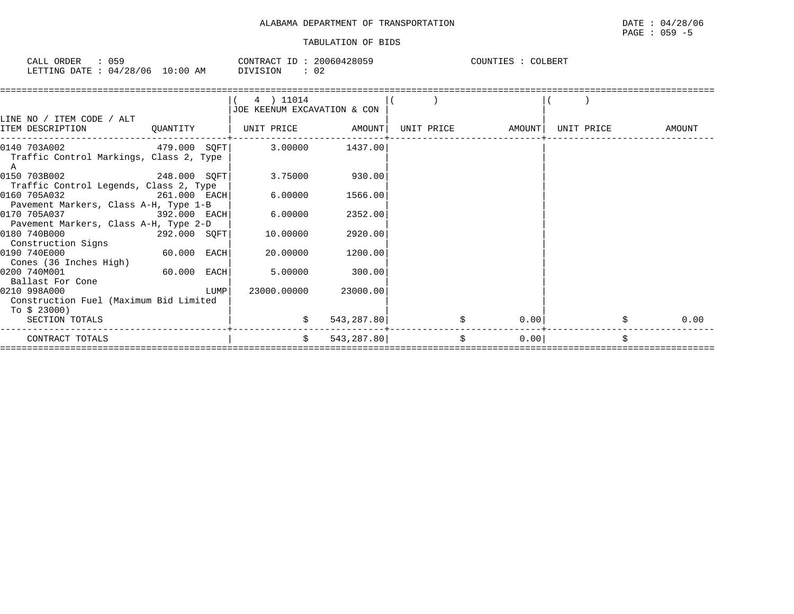| CALL ORDER | 059                             | CONTRACT ID: 20060428059 | COUNTIES : COLBERT |
|------------|---------------------------------|--------------------------|--------------------|
|            | LETTING DATE: 04/28/06 10:00 AM | 02<br>DIVISION           |                    |

|                                                                                             |                | $(4)$ 11014<br>JOE KEENUM EXCAVATION & CON |                      |                     |                   |            |            |
|---------------------------------------------------------------------------------------------|----------------|--------------------------------------------|----------------------|---------------------|-------------------|------------|------------|
| LINE NO / ITEM CODE / ALT<br>ITEM DESCRIPTION                                               |                | QUANTITY   UNIT PRICE AMOUNT               |                      |                     | UNIT PRICE AMOUNT | UNIT PRICE | AMOUNT     |
|                                                                                             |                |                                            |                      |                     |                   |            |            |
| $0140 703A002$ 479.000 SQFT 3.00000 1437.00<br>Traffic Control Markings, Class 2, Type<br>A |                |                                            |                      |                     |                   |            |            |
| 0150 703B002<br>Traffic Control Legends, Class 2, Type                                      | $248.000$ SQFT |                                            | $3.75000$ 930.00     |                     |                   |            |            |
| 0160 705A032<br>Pavement Markers, Class A-H, Type 1-B                                       | 261.000 EACH   | 6.00000                                    | 1566.00              |                     |                   |            |            |
| 0170 705A037<br>Pavement Markers, Class A-H, Type 2-D                                       | 392.000 EACH   | 6.00000                                    | 2352.00              |                     |                   |            |            |
| 0180 740B000<br>Construction Signs                                                          | 292.000 SQFT   | 10.00000                                   | 2920.00              |                     |                   |            |            |
| 0190 740E000<br>Cones (36 Inches High)                                                      | $60.000$ EACH  | 20.00000                                   | 1200.00              |                     |                   |            |            |
| 0200 740M001<br>Ballast For Cone                                                            | $60.000$ EACH  | 5.00000                                    | 300.00               |                     |                   |            |            |
| 0210 998A000<br>Construction Fuel (Maximum Bid Limited<br>To \$ 23000)                      | LUMP           |                                            | 23000.00000 23000.00 |                     |                   |            |            |
| SECTION TOTALS                                                                              |                | \$                                         | 543,287.80           | \$                  | 0.00              |            | \$<br>0.00 |
| CONTRACT TOTALS                                                                             |                | \$                                         | 543,287.80           | $\ddot{\mathsf{S}}$ | 0.00              |            | \$         |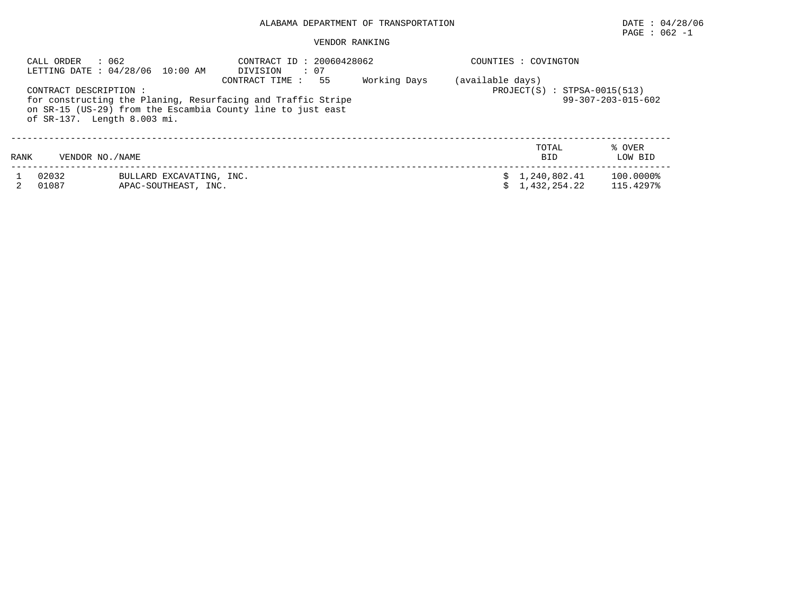# $\texttt{PAGE}$  : 062 -1

## VENDOR RANKING

|                                                                                                                                                                                                                                                                                                                     | : 062<br>CALL ORDER | LETTING DATE: 04/28/06 10:00 AM                  | CONTRACT ID: 20060428062<br>$\therefore$ 07<br>DIVISION |  | COUNTIES : COVINGTON         |  |                        |  |
|---------------------------------------------------------------------------------------------------------------------------------------------------------------------------------------------------------------------------------------------------------------------------------------------------------------------|---------------------|--------------------------------------------------|---------------------------------------------------------|--|------------------------------|--|------------------------|--|
| Working Days<br>(available days)<br>CONTRACT TIME :<br>55<br>$PROJECT(S) : STPSA-0015(513)$<br>CONTRACT DESCRIPTION :<br>for constructing the Planing, Resurfacing and Traffic Stripe<br>$99 - 307 - 203 - 015 - 602$<br>on SR-15 (US-29) from the Escambia County line to just east<br>of SR-137. Length 8.003 mi. |                     |                                                  |                                                         |  |                              |  |                        |  |
| RANK                                                                                                                                                                                                                                                                                                                | VENDOR NO. / NAME   |                                                  |                                                         |  | TOTAL<br><b>BID</b>          |  | % OVER<br>LOW BID      |  |
|                                                                                                                                                                                                                                                                                                                     | 02032<br>01087      | BULLARD EXCAVATING, INC.<br>APAC-SOUTHEAST, INC. |                                                         |  | 1,240,802.41<br>1,432,254.22 |  | 100.0000%<br>115.4297% |  |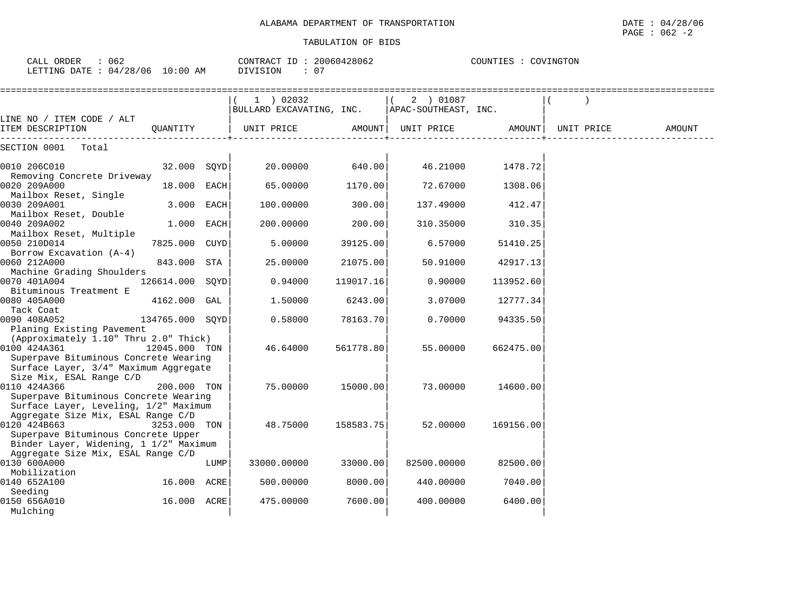| : 062<br>CALL ORDER<br>LETTING DATE : 04/28/06 10:00 AM                                                                     |                 |      | CONTRACT ID: 20060428062<br>DIVISION<br>: 07 |           |                                   | COUNTIES : COVINGTON |            |        |
|-----------------------------------------------------------------------------------------------------------------------------|-----------------|------|----------------------------------------------|-----------|-----------------------------------|----------------------|------------|--------|
| LINE NO / ITEM CODE / ALT                                                                                                   |                 |      | $1$ ) 02032<br>BULLARD EXCAVATING, INC.      |           | 2 ) 01087<br>APAC-SOUTHEAST, INC. |                      |            |        |
| ITEM DESCRIPTION                                                                                                            | OUANTITY        |      | UNIT PRICE                                   | AMOUNT    | UNIT PRICE                        | AMOUNT               | UNIT PRICE | AMOUNT |
| SECTION 0001 Total                                                                                                          |                 |      |                                              |           |                                   |                      |            |        |
| 0010 206C010<br>Removing Concrete Driveway                                                                                  | 32.000 SQYD     |      | 20.00000                                     | 640.00    | 46.21000                          | 1478.72              |            |        |
| 0020 209A000<br>Mailbox Reset, Single                                                                                       | 18.000 EACH     |      | 65.00000                                     | 1170.00   | 72.67000                          | 1308.06              |            |        |
| 0030 209A001<br>Mailbox Reset, Double                                                                                       | 3.000 EACH      |      | 100.00000                                    | 300.00    | 137.49000                         | 412.47               |            |        |
| 0040 209A002<br>Mailbox Reset, Multiple                                                                                     | 1.000 EACH      |      | 200.00000                                    | 200.00    | 310.35000                         | 310.35               |            |        |
| 0050 210D014<br>Borrow Excavation (A-4)                                                                                     | 7825.000 CUYD   |      | 5.00000                                      | 39125.00  | 6.57000                           | 51410.25             |            |        |
| 0060 212A000<br>Machine Grading Shoulders                                                                                   | 843.000 STA     |      | 25.00000                                     | 21075.00  | 50.91000                          | 42917.13             |            |        |
| 0070 401A004<br>Bituminous Treatment E                                                                                      | 126614.000 SQYD |      | 0.94000                                      | 119017.16 | 0.90000                           | 113952.60            |            |        |
| 0080 405A000                                                                                                                | 4162.000 GAL    |      | 1.50000                                      | 6243.00   | 3.07000                           | 12777.34             |            |        |
| Tack Coat<br>0090 408A052                                                                                                   | 134765.000 SQYD |      | 0.58000                                      | 78163.70  | 0.70000                           | 94335.50             |            |        |
| Planing Existing Pavement<br>(Approximately 1.10" Thru 2.0" Thick)<br>0100 424A361<br>Superpave Bituminous Concrete Wearing | 12045.000 TON   |      | 46.64000                                     | 561778.80 | 55.00000                          | 662475.00            |            |        |
| Surface Layer, 3/4" Maximum Aggregate<br>Size Mix, ESAL Range C/D                                                           |                 |      |                                              |           |                                   |                      |            |        |
| 0110 424A366<br>Superpave Bituminous Concrete Wearing<br>Surface Layer, Leveling, 1/2" Maximum                              | 200.000 TON     |      | 75.00000                                     | 15000.00  | 73.00000                          | 14600.00             |            |        |
| Aggregate Size Mix, ESAL Range C/D<br>0120 424B663<br>Superpave Bituminous Concrete Upper                                   | 3253.000 TON    |      | 48.75000                                     | 158583.75 | 52.00000                          | 169156.00            |            |        |
| Binder Layer, Widening, 1 1/2" Maximum<br>Aggregate Size Mix, ESAL Range C/D<br>0130 600A000                                |                 | LUMP | 33000.00000                                  | 33000.00  | 82500.00000                       | 82500.00             |            |        |
| Mobilization<br>0140 652A100                                                                                                | 16.000 ACRE     |      | 500.00000                                    | 8000.00   | 440.00000                         | 7040.00              |            |        |
| Seeding<br>0150 656A010                                                                                                     | 16.000 ACRE     |      | 475.00000                                    | 7600.00   | 400.00000                         | 6400.00              |            |        |
| Mulching                                                                                                                    |                 |      |                                              |           |                                   |                      |            |        |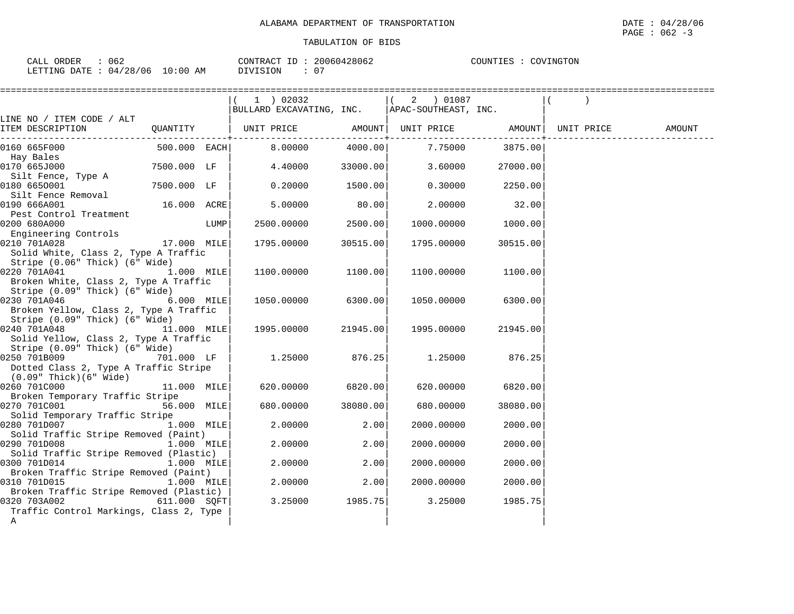|                                                         |                |      | 1 02032                                          |          | 2   01087            |          |            |        |
|---------------------------------------------------------|----------------|------|--------------------------------------------------|----------|----------------------|----------|------------|--------|
|                                                         |                |      | BULLARD EXCAVATING, INC.                         |          | APAC-SOUTHEAST, INC. |          |            |        |
| LINE NO / ITEM CODE / ALT                               |                |      |                                                  |          |                      |          |            |        |
| ITEM DESCRIPTION                                        |                |      | QUANTITY   UNIT PRICE AMOUNT   UNIT PRICE AMOUNT |          |                      |          | UNIT PRICE | AMOUNT |
|                                                         |                |      |                                                  |          |                      |          |            |        |
| 0160 665F000                                            | $500.000$ EACH |      | 8.00000                                          | 4000.00  | 7.75000              | 3875.00  |            |        |
| Hay Bales                                               |                |      |                                                  |          |                      |          |            |        |
| 0170 665J000                                            | 7500.000 LF    |      | 4.40000                                          | 33000.00 | 3.60000              | 27000.00 |            |        |
| Silt Fence, Type A                                      |                |      |                                                  |          |                      |          |            |        |
| 0180 6650001                                            | 7500.000 LF    |      | 0.20000                                          | 1500.00  | 0.30000              | 2250.00  |            |        |
| Silt Fence Removal                                      |                |      |                                                  |          |                      |          |            |        |
| 0190 666A001                                            | 16.000 ACRE    |      | 5.00000                                          | 80.00    | 2,00000              | 32.00    |            |        |
| Pest Control Treatment                                  |                |      |                                                  |          |                      |          |            |        |
| 0200 680A000                                            |                | LUMP | 2500.00000                                       | 2500.00  | 1000.00000           | 1000.00  |            |        |
| Engineering Controls                                    |                |      |                                                  |          |                      |          |            |        |
| 0210 701A028                                            | 17.000 MILE    |      | 1795.00000                                       | 30515.00 | 1795.00000           | 30515.00 |            |        |
| Solid White, Class 2, Type A Traffic                    |                |      |                                                  |          |                      |          |            |        |
| Stripe (0.06" Thick) (6" Wide)                          |                |      |                                                  |          |                      |          |            |        |
| 0220 701A041                                            | 1.000 MILE     |      | 1100.00000                                       | 1100.00  | 1100.00000           | 1100.00  |            |        |
| Broken White, Class 2, Type A Traffic                   |                |      |                                                  |          |                      |          |            |        |
| Stripe (0.09" Thick) (6" Wide)                          |                |      |                                                  |          |                      |          |            |        |
| 0230 701A046                                            | 6.000 MILE     |      | 1050.00000                                       | 6300.00  | 1050.00000           | 6300.00  |            |        |
| Broken Yellow, Class 2, Type A Traffic                  |                |      |                                                  |          |                      |          |            |        |
| Stripe (0.09" Thick) (6" Wide)                          |                |      |                                                  |          |                      |          |            |        |
| 0240 701A048                                            | 11.000 MILE    |      | 1995.00000                                       | 21945.00 | 1995.00000           | 21945.00 |            |        |
| Solid Yellow, Class 2, Type A Traffic                   |                |      |                                                  |          |                      |          |            |        |
| Stripe (0.09" Thick) (6" Wide)                          |                |      |                                                  |          |                      |          |            |        |
| 0250 701B009                                            | 701.000 LF     |      | 1.25000                                          | 876.25   | 1.25000              | 876.25   |            |        |
| Dotted Class 2, Type A Traffic Stripe                   |                |      |                                                  |          |                      |          |            |        |
| $(0.09"$ Thick $)(6"$ Wide $)$                          |                |      |                                                  |          |                      |          |            |        |
| 0260 701C000                                            | 11.000 MILE    |      | 620.00000                                        | 6820.00  | 620.00000            | 6820.00  |            |        |
| Broken Temporary Traffic Stripe                         |                |      |                                                  |          |                      |          |            |        |
| 0270 701C001                                            | 56.000 MILE    |      | 680.00000                                        | 38080.00 | 680.00000            | 38080.00 |            |        |
| Solid Temporary Traffic Stripe                          |                |      |                                                  |          |                      |          |            |        |
|                                                         | 1.000 MILE     |      | 2.00000                                          | 2.00     | 2000.00000           | 2000.00  |            |        |
| Solid Traffic Stripe Removed (Paint)                    |                |      |                                                  |          |                      |          |            |        |
| 0290 701D008                                            | 1.000 MILE     |      | 2.00000                                          | 2.00     | 2000.00000           | 2000.00  |            |        |
| Solid Traffic Stripe Removed (Plastic)                  |                |      |                                                  |          |                      |          |            |        |
| 0300 701D014                                            | 1.000 MILE     |      | 2.00000                                          | 2.00     | 2000.00000           | 2000.00  |            |        |
| Broken Traffic Stripe Removed (Paint)                   |                |      |                                                  |          |                      |          |            |        |
| 0310 701D015                                            | $1.000$ MILE   |      | 2.00000                                          | 2.00     | 2000.00000           | 2000.00  |            |        |
| Broken Traffic Stripe Removed (Plastic)                 |                |      |                                                  |          |                      |          |            |        |
| 0320 703A002<br>Traffic Control Markings, Class 2, Type | 611.000 SQFT   |      | 3.25000                                          | 1985.75  | 3.25000              | 1985.75  |            |        |
|                                                         |                |      |                                                  |          |                      |          |            |        |
| A                                                       |                |      |                                                  |          |                      |          |            |        |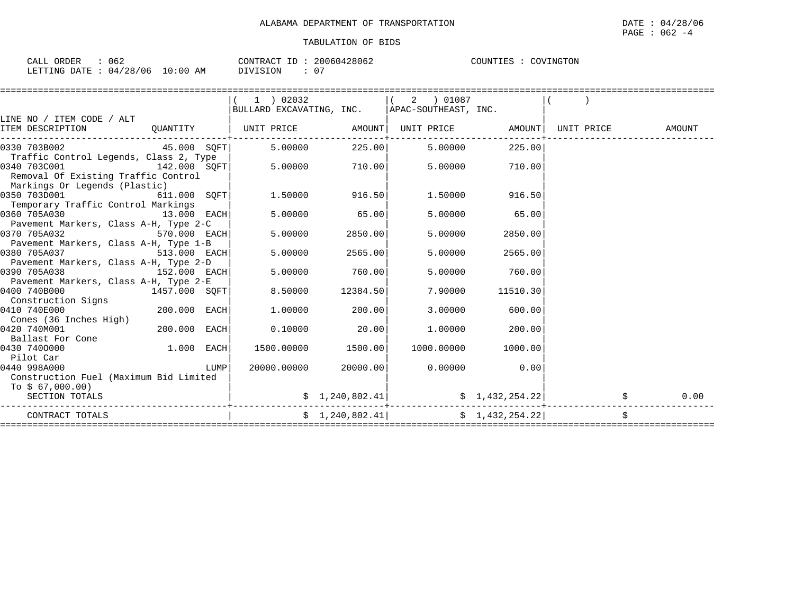| CALL ORDER              | 062 |            | 20060428062<br>CONTRACT ID: | COUNTIES : COVINGTON |
|-------------------------|-----|------------|-----------------------------|----------------------|
| LETTING DATE : 04/28/06 |     | $10:00$ AM | DIVISION                    |                      |

|                                                                                                  |              |      | 1 ) 02032   |                    | $(2)$ 01087                                     |                 |                   |      |
|--------------------------------------------------------------------------------------------------|--------------|------|-------------|--------------------|-------------------------------------------------|-----------------|-------------------|------|
|                                                                                                  |              |      |             |                    | BULLARD EXCAVATING, INC.   APAC-SOUTHEAST, INC. |                 |                   |      |
| LINE NO / ITEM CODE / ALT<br>ITEM DESCRIPTION 6 QUANTITY   UNIT PRICE AMOUNT   UNIT PRICE AMOUNT |              |      |             |                    |                                                 |                 | UNIT PRICE AMOUNT |      |
|                                                                                                  |              |      |             |                    |                                                 |                 |                   |      |
| 45.000 SQFT<br>0330 703B002                                                                      |              |      |             |                    | $5.00000$ 225.00 5.00000                        | 225.00          |                   |      |
| Traffic Control Legends, Class 2, Type                                                           |              |      |             |                    |                                                 |                 |                   |      |
| $142.000$ SQFT<br>0340 703C001                                                                   |              |      |             |                    | $5.00000$ $710.00$ $5.00000$ $710.00$           |                 |                   |      |
| Removal Of Existing Traffic Control<br>Markings Or Legends (Plastic)                             |              |      |             |                    |                                                 |                 |                   |      |
| 0350 703D001                                                                                     | 611.000 SQFT |      |             | 1.50000 916.50     | 1.50000                                         | 916.50          |                   |      |
| Temporary Traffic Control Markings                                                               |              |      |             |                    |                                                 |                 |                   |      |
| 0360 705A030<br>$13.000$ EACH                                                                    |              |      | 5.00000     | 65.00              | 5.00000                                         | 65.00           |                   |      |
| Pavement Markers, Class A-H, Type 2-C                                                            |              |      |             |                    |                                                 |                 |                   |      |
| 0370 705A032<br>$570.000$ EACH                                                                   |              |      | 5.00000     | 2850.00            | 5.00000                                         | 2850.00         |                   |      |
| Pavement Markers, Class A-H, Type 1-B<br>0380 705A037<br>513.000 EACH                            |              |      | 5,00000     | 2565.00            | 5,00000                                         | 2565.00         |                   |      |
| Pavement Markers, Class A-H, Type 2-D                                                            |              |      |             |                    |                                                 |                 |                   |      |
| 152.000 EACH<br>0390 705A038                                                                     |              |      | 5.00000     | 760.00             | 5,00000                                         | 760.00          |                   |      |
| Pavement Markers, Class A-H, Type 2-E                                                            |              |      |             |                    |                                                 |                 |                   |      |
| 1457.000 SQFT<br>0400 740B000                                                                    |              |      | 8.50000     | 12384.50           | 7.90000                                         | 11510.30        |                   |      |
| Construction Signs                                                                               |              |      |             |                    |                                                 |                 |                   |      |
| 0410 740E000<br>Cones (36 Inches High)                                                           | 200.000 EACH |      | 1.00000     | 200.00             | 3,00000                                         | 600.00          |                   |      |
| 0420 740M001                                                                                     | 200.000 EACH |      | 0.10000     | 20.00              | 1.00000                                         | 200.00          |                   |      |
| Ballast For Cone                                                                                 |              |      |             |                    |                                                 |                 |                   |      |
| 0430 7400000                                                                                     | 1.000 EACH   |      |             | 1500.00000 1500.00 | 1000.00000                                      | 1000.00         |                   |      |
| Pilot Car                                                                                        |              |      |             |                    |                                                 |                 |                   |      |
| 0440 998A000                                                                                     |              | LUMP | 20000.00000 | 20000.00           | 0.00000                                         | 0.00            |                   |      |
| Construction Fuel (Maximum Bid Limited<br>To \$ 67,000.00)                                       |              |      |             |                    |                                                 |                 |                   |      |
| SECTION TOTALS                                                                                   |              |      |             |                    | $\sharp$ 1, 240, 802.41                         | \$1,432,254.22] |                   | 0.00 |
| CONTRACT TOTALS                                                                                  |              |      |             |                    | $\frac{1}{240,802.41}$ $\frac{1}{432,254.22}$   |                 |                   |      |
|                                                                                                  |              |      |             |                    |                                                 |                 |                   |      |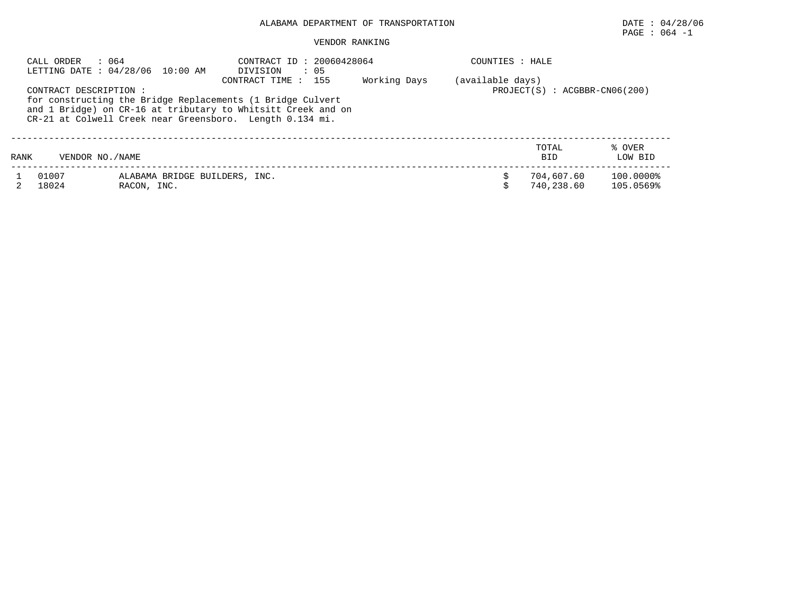# PAGE : 064 -1

## VENDOR RANKING

|      | : 064<br>CALL ORDER<br>LETTING DATE: 04/28/06 10:00 AM |             |                               | CONTRACT ID: 20060428064<br>DIVISION<br>$\cdot$ 05                                                                                                                                                            |              | COUNTIES : HALE  |                          |                                 |  |  |
|------|--------------------------------------------------------|-------------|-------------------------------|---------------------------------------------------------------------------------------------------------------------------------------------------------------------------------------------------------------|--------------|------------------|--------------------------|---------------------------------|--|--|
|      | CONTRACT DESCRIPTION :                                 |             |                               | CONTRACT TIME : 155<br>for constructing the Bridge Replacements (1 Bridge Culvert<br>and 1 Bridge) on CR-16 at tributary to Whitsitt Creek and on<br>CR-21 at Colwell Creek near Greensboro. Length 0.134 mi. | Working Days | (available days) |                          | $PROJECT(S) : ACGBBR-CN06(200)$ |  |  |
| RANK | VENDOR NO. / NAME                                      |             |                               |                                                                                                                                                                                                               |              |                  | TOTAL<br><b>BID</b>      | % OVER<br>LOW BID               |  |  |
|      | 01007<br>18024                                         | RACON, INC. | ALABAMA BRIDGE BUILDERS, INC. |                                                                                                                                                                                                               |              |                  | 704,607.60<br>740,238.60 | 100.0000%<br>105.0569%          |  |  |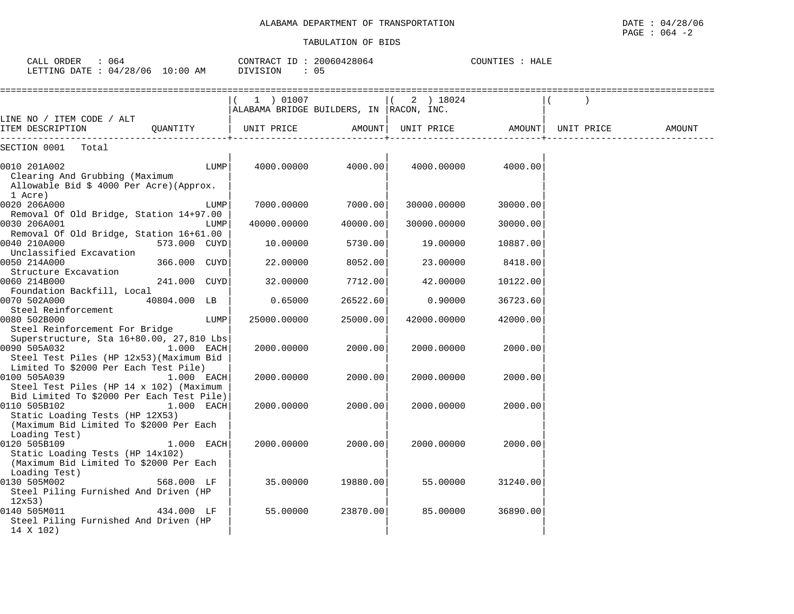| : 064<br>CALL ORDER<br>LETTING DATE : 04/28/06 10:00 AM                                                                                                  |              |      | CONTRACT ID: 20060428064<br>DIVISION                  | : 05     |             | COUNTIES : HALE                |        |
|----------------------------------------------------------------------------------------------------------------------------------------------------------|--------------|------|-------------------------------------------------------|----------|-------------|--------------------------------|--------|
|                                                                                                                                                          |              |      | 1 ) 01007<br>ALABAMA BRIDGE BUILDERS, IN  RACON, INC. |          | 2) 18024    |                                |        |
| LINE NO / ITEM CODE / ALT<br>ITEM DESCRIPTION                                                                                                            | QUANTITY     |      | UNIT PRICE                                            | AMOUNT   |             | UNIT PRICE AMOUNT   UNIT PRICE | AMOUNT |
| SECTION 0001<br>Total                                                                                                                                    |              |      |                                                       |          |             |                                |        |
| 0010 201A002<br>Clearing And Grubbing (Maximum<br>Allowable Bid \$ 4000 Per Acre) (Approx.<br>1 Acre)                                                    |              | LUMP | 4000.00000                                            | 4000.00  | 4000.00000  | 4000.00                        |        |
| 0020 206A000                                                                                                                                             |              | LUMP | 7000.00000                                            | 7000.00  | 30000.00000 | 30000.00                       |        |
| Removal Of Old Bridge, Station 14+97.00<br>0030 206A001<br>Removal Of Old Bridge, Station 16+61.00                                                       |              | LUMP | 40000.00000                                           | 40000.00 | 30000.00000 | 30000.00                       |        |
| 0040 210A000<br>Unclassified Excavation                                                                                                                  | 573.000 CUYD |      | 10.00000                                              | 5730.00  | 19,00000    | 10887.00                       |        |
| 0050 214A000<br>Structure Excavation                                                                                                                     | 366.000 CUYD |      | 22,00000                                              | 8052.00  | 23.00000    | 8418.00                        |        |
| 0060 214B000<br>Foundation Backfill, Local                                                                                                               | 241.000 CUYD |      | 32.00000                                              | 7712.00  | 42.00000    | 10122.00                       |        |
| 0070 502A000<br>Steel Reinforcement                                                                                                                      | 40804.000 LB |      | 0.65000                                               | 26522.60 | 0.90000     | 36723.60                       |        |
| 0080 502B000<br>Steel Reinforcement For Bridge                                                                                                           |              | LUMP | 25000.00000                                           | 25000.00 | 42000.00000 | 42000.00                       |        |
| Superstructure, Sta 16+80.00, 27,810 Lbs<br>0090 505A032<br>Steel Test Piles (HP 12x53) (Maximum Bid<br>Limited To \$2000 Per Each Test Pile)            | 1.000 EACH   |      | 2000.00000                                            | 2000.00  | 2000.00000  | 2000.00                        |        |
| 0100 505A039<br>Steel Test Piles (HP 14 x 102) (Maximum                                                                                                  | 1.000 EACH   |      | 2000.00000                                            | 2000.00  | 2000.00000  | 2000.00                        |        |
| Bid Limited To \$2000 Per Each Test Pile)<br>0110 505B102<br>Static Loading Tests (HP 12X53)<br>(Maximum Bid Limited To \$2000 Per Each<br>Loading Test) | $1.000$ EACH |      | 2000.00000                                            | 2000.00  | 2000.00000  | 2000.00                        |        |
| 0120 505B109<br>Static Loading Tests (HP 14x102)<br>(Maximum Bid Limited To \$2000 Per Each<br>Loading Test)                                             | 1.000 EACH   |      | 2000.00000                                            | 2000.00  | 2000.00000  | 2000.00                        |        |
| 0130 505M002<br>Steel Piling Furnished And Driven (HP<br>12x53)                                                                                          | 568.000 LF   |      | 35.00000                                              | 19880.00 | 55.00000    | 31240.00                       |        |
| 0140 505M011<br>Steel Piling Furnished And Driven (HP<br>14 X 102)                                                                                       | 434.000 LF   |      | 55.00000                                              | 23870.00 | 85.00000    | 36890.00                       |        |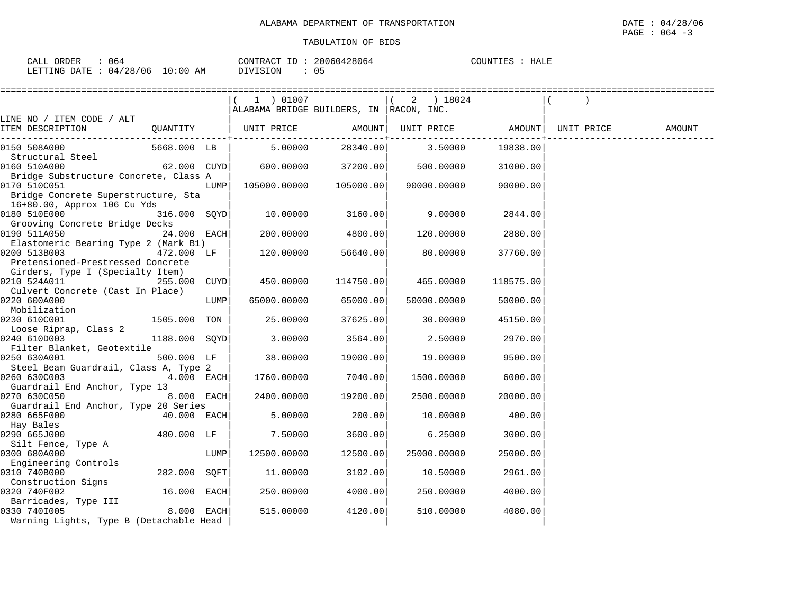| CALL<br><b>ORDER</b><br>U64   |             | CONTRACT<br>$ -$ | 20060428064 | <b>HALE</b><br>COUNTIES |
|-------------------------------|-------------|------------------|-------------|-------------------------|
| /28/06<br>LETTING DATE<br>04/ | 10:00<br>AΜ | DIVISION         | . .<br>◡ ◡  |                         |

|                                                       |                 |      |                                         | ======================== |             |                            |                                |        |
|-------------------------------------------------------|-----------------|------|-----------------------------------------|--------------------------|-------------|----------------------------|--------------------------------|--------|
|                                                       |                 |      | 1 ) 01007                               |                          | $(2)$ 18024 |                            |                                |        |
|                                                       |                 |      | ALABAMA BRIDGE BUILDERS, IN RACON, INC. |                          |             |                            |                                |        |
| LINE NO / ITEM CODE / ALT                             |                 |      |                                         |                          |             |                            |                                |        |
| ITEM DESCRIPTION                                      |                 |      |                                         |                          |             | -------------------------- | UNIT PRICE AMOUNT   UNIT PRICE | AMOUNT |
| 0150 508A000                                          | 5668.000 LB     |      | 5.00000                                 | 28340.00                 | 3.50000     | 19838.00                   |                                |        |
| Structural Steel                                      |                 |      |                                         |                          |             |                            |                                |        |
| 0160 510A000                                          | $62.000$ $CUYD$ |      | 600.00000 37200.00                      |                          | 500.00000   | 31000.00                   |                                |        |
| Bridge Substructure Concrete, Class A                 |                 |      |                                         |                          |             |                            |                                |        |
| 0170 510C051                                          |                 | LUMP |                                         | 105000.00000 105000.00   | 90000.00000 | 90000.00                   |                                |        |
| Bridge Concrete Superstructure, Sta                   |                 |      |                                         |                          |             |                            |                                |        |
| 16+80.00, Approx 106 Cu Yds<br>0180 510E000           | 316.000 SOYD    |      | 10.00000 3160.00                        |                          | 9.00000     | 2844.00                    |                                |        |
| Grooving Concrete Bridge Decks                        |                 |      |                                         |                          |             |                            |                                |        |
| 0190 511A050                                          | $24.000$ EACH   |      | 200.00000                               | 4800.00                  | 120.00000   | 2880.00                    |                                |        |
| Elastomeric Bearing Type 2 (Mark B1)                  |                 |      |                                         |                          |             |                            |                                |        |
| 0200 513B003                                          | 472.000 LF      |      | 120.00000                               | 56640.00                 | 80.00000    | 37760.00                   |                                |        |
| Pretensioned-Prestressed Concrete                     |                 |      |                                         |                          |             |                            |                                |        |
| Girders, Type I (Specialty Item)                      |                 |      |                                         |                          |             |                            |                                |        |
| 0210 524A011                                          | 255.000 CUYD    |      | 450.00000                               | 114750.00                | 465.00000   | 118575.00                  |                                |        |
| Culvert Concrete (Cast In Place)                      |                 |      |                                         |                          |             |                            |                                |        |
| 0220 600A000                                          |                 | LUMP | 65000.00000                             | 65000.00                 | 50000.00000 | 50000.00                   |                                |        |
| Mobilization                                          |                 |      |                                         |                          |             |                            |                                |        |
| 0230 610C001                                          | 1505.000 TON    |      | 25.00000                                | 37625.00                 | 30.00000    | 45150.00                   |                                |        |
| Loose Riprap, Class 2                                 |                 |      |                                         |                          |             |                            |                                |        |
| 0240 610D003                                          | 1188.000 SOYD   |      | 3.00000                                 | 3564.00                  | 2.50000     | 2970.00                    |                                |        |
| Filter Blanket, Geotextile                            |                 |      |                                         |                          |             |                            |                                |        |
| 0250 630A001<br>Steel Beam Guardrail, Class A, Type 2 | 500.000 LF      |      | 38.00000                                | 19000.00                 | 19.00000    | 9500.00                    |                                |        |
| 0260 630C003                                          | 4.000 EACH      |      | 1760.00000                              | 7040.00                  | 1500.00000  | 6000.00                    |                                |        |
| Guardrail End Anchor, Type 13                         |                 |      |                                         |                          |             |                            |                                |        |
| 0270 630C050                                          | 8.000 EACH      |      | 2400.00000                              | 19200.00                 | 2500.00000  | 20000.00                   |                                |        |
| Guardrail End Anchor, Type 20 Series                  |                 |      |                                         |                          |             |                            |                                |        |
| 0280 665F000                                          | 40.000 EACH     |      | 5.00000                                 | 200.00                   | 10.00000    | 400.00                     |                                |        |
| Hay Bales                                             |                 |      |                                         |                          |             |                            |                                |        |
| 0290 665J000                                          | 480.000 LF      |      | 7.50000                                 | 3600.00                  | 6.25000     | 3000.00                    |                                |        |
| Silt Fence, Type A                                    |                 |      |                                         |                          |             |                            |                                |        |
| 0300 680A000                                          |                 | LUMP | 12500.00000                             | 12500.00                 | 25000.00000 | 25000.00                   |                                |        |
| Engineering Controls                                  |                 |      |                                         |                          |             |                            |                                |        |
| 0310 740B000                                          | 282.000 SQFT    |      | 11.00000                                | 3102.00                  | 10.50000    | 2961.00                    |                                |        |
| Construction Signs                                    |                 |      |                                         |                          |             |                            |                                |        |
| 0320 740F002                                          | 16.000 EACH     |      | 250.00000                               | 4000.00                  | 250.00000   | 4000.00                    |                                |        |
| Barricades, Type III                                  |                 |      |                                         |                          |             |                            |                                |        |
| 0330 7401005<br><b>8.000 EACH</b>                     |                 |      | 515,00000                               | 4120.00                  | 510.00000   | 4080.00                    |                                |        |
| Warning Lights, Type B (Detachable Head               |                 |      |                                         |                          |             |                            |                                |        |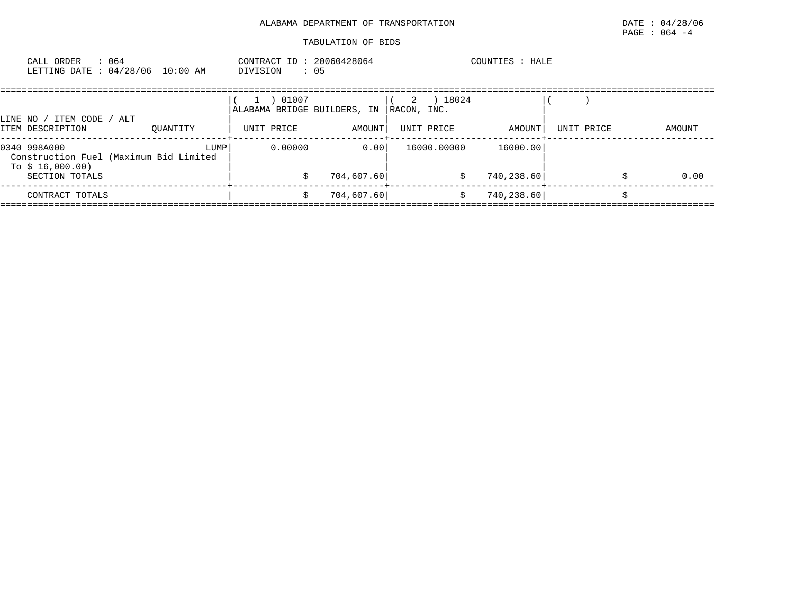| CALL ORDER    | 064      |             | CONTRACT | 20060428064 | COUNTIES | <b>HALE</b> |
|---------------|----------|-------------|----------|-------------|----------|-------------|
| LETTING DATE: | 04/28/06 | 10:00<br>AM | DIVISION | 05          |          |             |

| LINE NO / ITEM CODE / ALT                                                  |          | 01007<br>ALABAMA BRIDGE BUILDERS, IN |            | 18024<br>2<br>RACON, INC. |            |            |        |  |
|----------------------------------------------------------------------------|----------|--------------------------------------|------------|---------------------------|------------|------------|--------|--|
| ITEM DESCRIPTION                                                           | OUANTITY | UNIT PRICE                           | AMOUNT     | UNIT PRICE                | AMOUNT     | UNIT PRICE | AMOUNT |  |
| 0340 998A000<br>Construction Fuel (Maximum Bid Limited<br>To $$16,000.00)$ | LUMP     | 0.00000                              | 0.00       | 16000.00000               | 16000.00   |            |        |  |
| SECTION TOTALS                                                             |          |                                      | 704,607.60 | S                         | 740,238.60 |            | 0.00   |  |
| CONTRACT TOTALS                                                            |          |                                      | 704,607.60 |                           | 740,238.60 |            |        |  |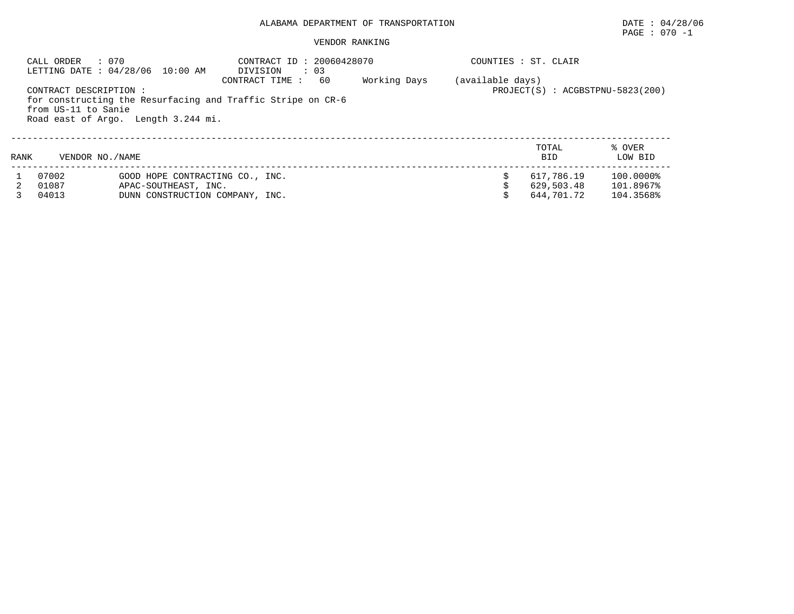# PAGE : 070 -1

### VENDOR RANKING

|      | : 070<br>CALL ORDER<br>LETTING DATE : 04/28/06 10:00 AM |                      | CONTRACT ID: 20060428070<br>DIVISION                                          | : 03 |              |                  | COUNTIES : ST. CLAIR |                                  |
|------|---------------------------------------------------------|----------------------|-------------------------------------------------------------------------------|------|--------------|------------------|----------------------|----------------------------------|
|      | CONTRACT DESCRIPTION:<br>from US-11 to Sanie            |                      | CONTRACT TIME:<br>for constructing the Resurfacing and Traffic Stripe on CR-6 | 60   | Working Days | (available days) |                      | PROJECT(S) : ACGBSTPNU-5823(200) |
|      | Road east of Argo. Length 3.244 mi.                     |                      |                                                                               |      |              |                  |                      |                                  |
| RANK | VENDOR NO. / NAME                                       |                      |                                                                               |      |              |                  | TOTAL<br><b>BID</b>  | % OVER<br>LOW BID                |
|      | 07002                                                   |                      | GOOD HOPE CONTRACTING CO., INC.                                               |      |              |                  | 617,786.19           | 100.0000%                        |
|      | 01087                                                   | APAC-SOUTHEAST, INC. |                                                                               |      |              |                  | 629,503.48           | 101.8967%                        |
|      | 04013                                                   |                      | DUNN CONSTRUCTION COMPANY, INC.                                               |      |              |                  | 644.701.72           | 104.3568%                        |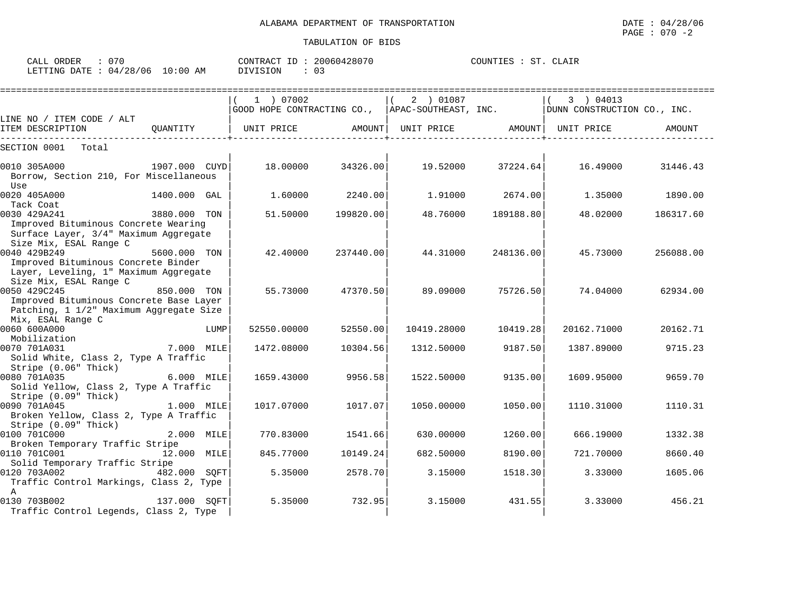| ORDER<br>CALL \                 |          | CONTRACT ID: 20060428070 | COUNTIES :<br>ST<br>CLAIR |
|---------------------------------|----------|--------------------------|---------------------------|
| LETTING DATE: 04/28/06 10:00 AM | DIVISION | υ÷                       |                           |

|                                                                                                                         |               | 1 ) 07002<br>GOOD HOPE CONTRACTING CO.,  APAC-SOUTHEAST, INC. |                   | 2 ) 01087   |           | 3 ) 04013<br>DUNN CONSTRUCTION CO., INC. |           |
|-------------------------------------------------------------------------------------------------------------------------|---------------|---------------------------------------------------------------|-------------------|-------------|-----------|------------------------------------------|-----------|
| LINE NO / ITEM CODE / ALT                                                                                               |               |                                                               |                   |             |           |                                          |           |
| ITEM DESCRIPTION                                                                                                        | OUANTITY      | UNIT PRICE                                                    | AMOUNT            | UNIT PRICE  |           | AMOUNT  UNIT PRICE                       | AMOUNT    |
| SECTION 0001<br>Total                                                                                                   |               |                                                               |                   |             |           |                                          |           |
| 0010 305A000<br>Borrow, Section 210, For Miscellaneous<br>Use                                                           | 1907.000 CUYD |                                                               | 18.00000 34326.00 | 19.52000    | 37224.64  | 16.49000                                 | 31446.43  |
| 0020 405A000<br>Tack Coat                                                                                               | 1400.000 GAL  | 1.60000                                                       | 2240.001          | 1.91000     | 2674.00   | 1.35000                                  | 1890.00   |
| 0030 429A241<br>Improved Bituminous Concrete Wearing<br>Surface Layer, 3/4" Maximum Aggregate<br>Size Mix, ESAL Range C | 3880.000 TON  | 51.50000                                                      | 199820.00         | 48.76000    | 189188.80 | 48.02000                                 | 186317.60 |
| 0040 429B249<br>Improved Bituminous Concrete Binder<br>Layer, Leveling, 1" Maximum Aggregate<br>Size Mix, ESAL Range C  | 5600.000 TON  | 42.40000                                                      | 237440.00         | 44.31000    | 248136.00 | 45.73000                                 | 256088.00 |
| 0050 429C245<br>Improved Bituminous Concrete Base Layer<br>Patching, 1 1/2" Maximum Aggregate Size<br>Mix, ESAL Range C | 850.000 TON   | 55.73000                                                      | 47370.50          | 89.09000    | 75726.50  | 74.04000                                 | 62934.00  |
| 0060 600A000<br>Mobilization                                                                                            | LUMP          | 52550.00000                                                   | 52550.00          | 10419.28000 | 10419.28  | 20162.71000                              | 20162.71  |
| 0070 701A031<br>Solid White, Class 2, Type A Traffic                                                                    | 7.000 MILE    | 1472.08000                                                    | 10304.56          | 1312.50000  | 9187.50   | 1387.89000                               | 9715.23   |
| Stripe (0.06" Thick)<br>0080 701A035<br>Solid Yellow, Class 2, Type A Traffic<br>Stripe (0.09" Thick)                   | 6.000 MILE    | 1659.43000                                                    | 9956.58           | 1522.50000  | 9135.00   | 1609.95000                               | 9659.70   |
| 0090 701A045<br>Broken Yellow, Class 2, Type A Traffic<br>Stripe (0.09" Thick)                                          | 1.000 MILE    | 1017.07000                                                    | 1017.07           | 1050.00000  | 1050.00   | 1110.31000                               | 1110.31   |
| 0100 701C000<br>Broken Temporary Traffic Stripe                                                                         | 2.000 MILE    | 770.83000                                                     | 1541.66           | 630.00000   | 1260.00   | 666.19000                                | 1332.38   |
| 0110 701C001<br>Solid Temporary Traffic Stripe                                                                          | 12.000 MILE   | 845.77000                                                     | 10149.24          | 682.50000   | 8190.00   | 721.70000                                | 8660.40   |
| 0120 703A002<br>Traffic Control Markings, Class 2, Type<br>$\mathbb{A}$                                                 | 482.000 SOFT  | 5.35000                                                       | 2578.70           | 3.15000     | 1518.30   | 3.33000                                  | 1605.06   |
| 0130 703B002<br>Traffic Control Legends, Class 2, Type                                                                  | 137.000 SQFT  | 5.35000                                                       | 732.95            | 3.15000     | 431.55    | 3.33000                                  | 456.21    |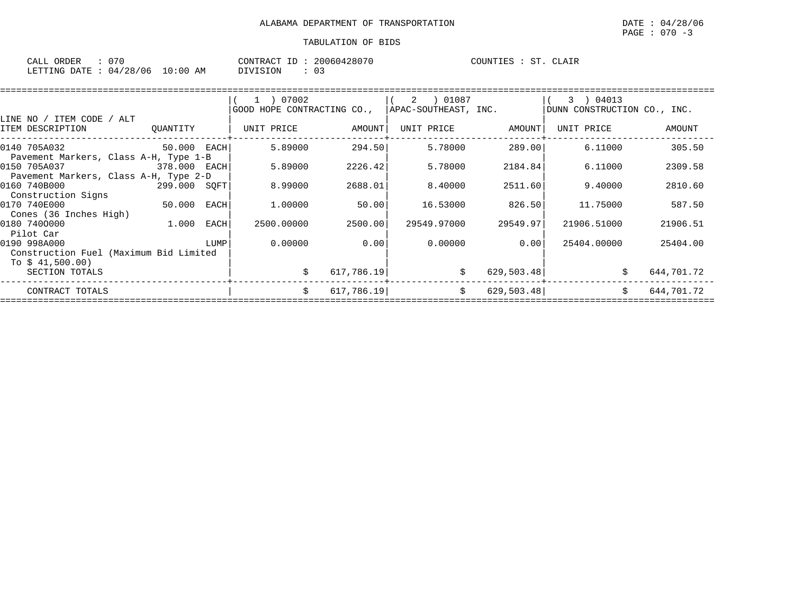| CALL ORDER                      | CONTRACT ID: 20060428070 | COUNTIES : ST.<br>CLAIR |
|---------------------------------|--------------------------|-------------------------|
| LETTING DATE: 04/28/06 10:00 AM | DIVISION                 |                         |

|                                                            |              |      | 1 ) 07002<br>GOOD HOPE CONTRACTING CO., |            | 01087<br>2<br>APAC-SOUTHEAST, INC. |             | 3 ) 04013<br>DUNN CONSTRUCTION CO., INC. |            |
|------------------------------------------------------------|--------------|------|-----------------------------------------|------------|------------------------------------|-------------|------------------------------------------|------------|
| LINE NO / ITEM CODE / ALT                                  |              |      |                                         |            |                                    |             |                                          |            |
| ITEM DESCRIPTION                                           | QUANTITY     |      | UNIT PRICE                              | AMOUNT     | UNIT PRICE                         | AMOUNT      | UNIT PRICE                               | AMOUNT     |
| 0140 705A032                                               | 50.000 EACH  |      | 5.89000                                 | 294.50     | 5.78000                            | 289.00      | 6.11000                                  | 305.50     |
| Pavement Markers, Class A-H, Type 1-B<br>0150 705A037      | 378.000 EACH |      | 5.89000                                 | 2226.42    | 5.78000                            | 2184.84     | 6.11000                                  | 2309.58    |
| Pavement Markers, Class A-H, Type 2-D<br>0160 740B000      | 299.000 SOFT |      | 8.99000                                 | 2688.01    | 8,40000                            | 2511.60     | 9.40000                                  | 2810.60    |
| Construction Signs<br>0170 740E000                         | 50.000 EACH  |      | 1.00000                                 | 50.00      | 16.53000                           | 826.50      | 11.75000                                 | 587.50     |
| Cones (36 Inches High)<br>0180 7400000                     | 1.000        | EACH | 2500.00000                              | 2500.00    | 29549.97000                        | 29549.97    | 21906.51000                              | 21906.51   |
| Pilot Car<br>0190 998A000                                  |              | LUMP | 0.00000                                 | 0.00       | 0.00000                            | 0.00        | 25404.00000                              | 25404.00   |
| Construction Fuel (Maximum Bid Limited<br>To $$41,500.00)$ |              |      |                                         |            |                                    |             |                                          |            |
| SECTION TOTALS                                             |              |      | Ŝ.                                      | 617,786.19 | \$                                 | 629, 503.48 |                                          | 644,701.72 |
| CONTRACT TOTALS                                            |              |      | Ŝ.                                      | 617,786.19 | \$                                 | 629, 503.48 |                                          | 644,701.72 |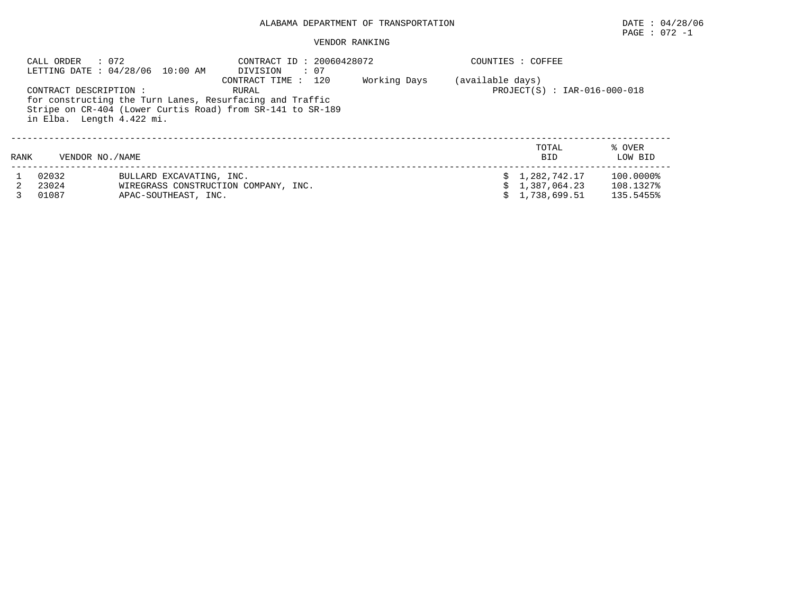### VENDOR RANKING

|      | CALL ORDER : 072<br>CONTRACT DESCRIPTION:<br>in Elba. Length 4.422 mi. | LETTING DATE: 04/28/06 10:00 AM | CONTRACT ID: 20060428072<br>$\cdot$ 07<br>DIVISION<br>CONTRACT TIME : 120<br>RURAL<br>for constructing the Turn Lanes, Resurfacing and Traffic<br>Stripe on CR-404 (Lower Curtis Road) from SR-141 to SR-189 | Working Days | COUNTIES : COFFEE<br>(available days)<br>$PROJECT(S) : IAR-016-000-018$ |                     |                   |
|------|------------------------------------------------------------------------|---------------------------------|--------------------------------------------------------------------------------------------------------------------------------------------------------------------------------------------------------------|--------------|-------------------------------------------------------------------------|---------------------|-------------------|
| RANK | VENDOR NO. / NAME                                                      |                                 |                                                                                                                                                                                                              |              |                                                                         | TOTAL<br><b>BID</b> | % OVER<br>LOW BID |
|      | 02032                                                                  | BULLARD EXCAVATING, INC.        |                                                                                                                                                                                                              |              |                                                                         | \$1,282,742.17      | 100.0000%         |
|      | 23024                                                                  |                                 | WIREGRASS CONSTRUCTION COMPANY, INC.                                                                                                                                                                         |              |                                                                         | 1,387,064.23        | 108.1327%         |
|      | 01087                                                                  | APAC-SOUTHEAST, INC.            |                                                                                                                                                                                                              |              |                                                                         | 1,738,699.51        | 135.5455%         |

PAGE : 072 -1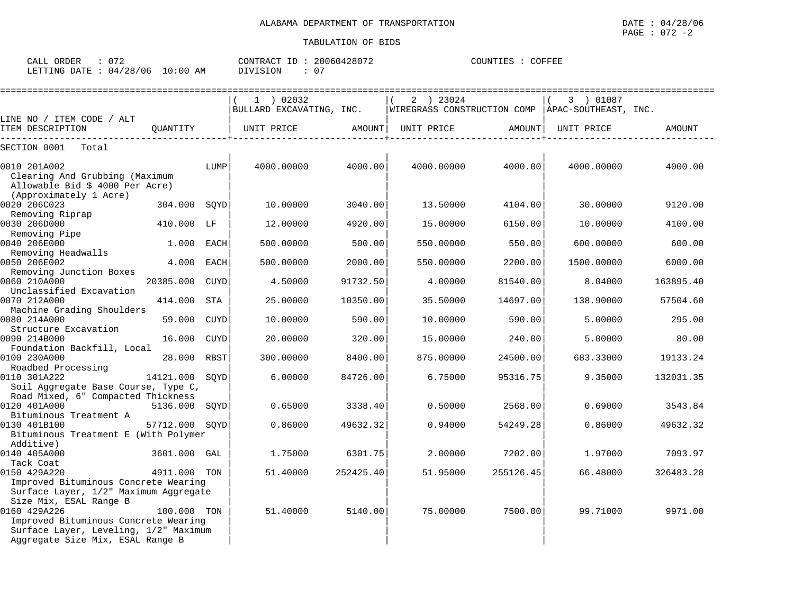| CALL<br>ORDER   | $\sim$ $\sim$ $\sim$ |                  | CONTRA<br>. RACT<br>TD. | ,0428071<br>, 00604           | COUNTIES | COFFEE |
|-----------------|----------------------|------------------|-------------------------|-------------------------------|----------|--------|
| LETTING<br>DATE | /28/06<br>04         | :00<br>L O<br>AΜ | 'VISION                 | $\sim$ $\sim$<br>$\mathbf{U}$ |          |        |

|                                                                   |                                            | $1$ ) 02032                                                                                                                                                                                                                                                                                                                                                                                                                                     |                                                                         | 2 ) 23024                                                                       |                                                                                                                  | 3 ) 01087  |                                                                                                                                                                                                                                                                                                                                     |
|-------------------------------------------------------------------|--------------------------------------------|-------------------------------------------------------------------------------------------------------------------------------------------------------------------------------------------------------------------------------------------------------------------------------------------------------------------------------------------------------------------------------------------------------------------------------------------------|-------------------------------------------------------------------------|---------------------------------------------------------------------------------|------------------------------------------------------------------------------------------------------------------|------------|-------------------------------------------------------------------------------------------------------------------------------------------------------------------------------------------------------------------------------------------------------------------------------------------------------------------------------------|
|                                                                   |                                            |                                                                                                                                                                                                                                                                                                                                                                                                                                                 |                                                                         |                                                                                 |                                                                                                                  |            |                                                                                                                                                                                                                                                                                                                                     |
| LINE NO / ITEM CODE / ALT<br>-------------                        |                                            | UNIT PRICE                                                                                                                                                                                                                                                                                                                                                                                                                                      |                                                                         | UNIT PRICE                                                                      |                                                                                                                  | UNIT PRICE | AMOUNT                                                                                                                                                                                                                                                                                                                              |
|                                                                   |                                            |                                                                                                                                                                                                                                                                                                                                                                                                                                                 |                                                                         |                                                                                 |                                                                                                                  |            |                                                                                                                                                                                                                                                                                                                                     |
| Clearing And Grubbing (Maximum<br>Allowable Bid \$ 4000 Per Acre) | LUMP                                       | 4000.00000                                                                                                                                                                                                                                                                                                                                                                                                                                      |                                                                         | 4000.00000                                                                      |                                                                                                                  |            | 4000.00                                                                                                                                                                                                                                                                                                                             |
|                                                                   |                                            | 10.00000                                                                                                                                                                                                                                                                                                                                                                                                                                        | 3040.00                                                                 | 13.50000                                                                        |                                                                                                                  | 30.00000   | 9120.00                                                                                                                                                                                                                                                                                                                             |
|                                                                   |                                            | 12.00000                                                                                                                                                                                                                                                                                                                                                                                                                                        | 4920.00                                                                 | 15.00000                                                                        |                                                                                                                  | 10,00000   | 4100.00                                                                                                                                                                                                                                                                                                                             |
|                                                                   | EACH                                       | 500.00000                                                                                                                                                                                                                                                                                                                                                                                                                                       | 500.00                                                                  | 550.00000                                                                       |                                                                                                                  | 600.00000  | 600.00                                                                                                                                                                                                                                                                                                                              |
|                                                                   | EACH                                       | 500.00000                                                                                                                                                                                                                                                                                                                                                                                                                                       | 2000.00                                                                 | 550.00000                                                                       |                                                                                                                  | 1500.00000 | 6000.00                                                                                                                                                                                                                                                                                                                             |
| 20385.000                                                         | CUYD                                       | 4.50000                                                                                                                                                                                                                                                                                                                                                                                                                                         | 91732.50                                                                | 4.00000                                                                         |                                                                                                                  | 8.04000    | 163895.40                                                                                                                                                                                                                                                                                                                           |
| Machine Grading Shoulders                                         |                                            |                                                                                                                                                                                                                                                                                                                                                                                                                                                 |                                                                         |                                                                                 |                                                                                                                  |            | 57504.60                                                                                                                                                                                                                                                                                                                            |
|                                                                   |                                            |                                                                                                                                                                                                                                                                                                                                                                                                                                                 |                                                                         |                                                                                 |                                                                                                                  |            | 295.00<br>80.00                                                                                                                                                                                                                                                                                                                     |
| Foundation Backfill, Local                                        |                                            | 300.00000                                                                                                                                                                                                                                                                                                                                                                                                                                       | 8400.00                                                                 | 875.00000                                                                       |                                                                                                                  | 683.33000  | 19133.24                                                                                                                                                                                                                                                                                                                            |
|                                                                   | SOYD                                       | 6.00000                                                                                                                                                                                                                                                                                                                                                                                                                                         | 84726.00                                                                | 6.75000                                                                         |                                                                                                                  | 9.35000    | 132031.35                                                                                                                                                                                                                                                                                                                           |
| Road Mixed, 6" Compacted Thickness                                |                                            |                                                                                                                                                                                                                                                                                                                                                                                                                                                 |                                                                         |                                                                                 |                                                                                                                  |            |                                                                                                                                                                                                                                                                                                                                     |
|                                                                   |                                            |                                                                                                                                                                                                                                                                                                                                                                                                                                                 |                                                                         |                                                                                 |                                                                                                                  |            | 3543.84                                                                                                                                                                                                                                                                                                                             |
|                                                                   |                                            |                                                                                                                                                                                                                                                                                                                                                                                                                                                 |                                                                         |                                                                                 |                                                                                                                  |            | 49632.32                                                                                                                                                                                                                                                                                                                            |
|                                                                   |                                            | 1.75000                                                                                                                                                                                                                                                                                                                                                                                                                                         |                                                                         | 2,00000                                                                         |                                                                                                                  | 1,97000    | 7093.97                                                                                                                                                                                                                                                                                                                             |
|                                                                   |                                            | 51.40000                                                                                                                                                                                                                                                                                                                                                                                                                                        |                                                                         | 51.95000                                                                        |                                                                                                                  | 66.48000   | 326483.28                                                                                                                                                                                                                                                                                                                           |
|                                                                   |                                            | 51.40000                                                                                                                                                                                                                                                                                                                                                                                                                                        |                                                                         | 75.00000                                                                        |                                                                                                                  |            | 9971.00                                                                                                                                                                                                                                                                                                                             |
|                                                                   | 59.000<br>Aggregate Size Mix, ESAL Range B | QUANTITY<br>304.000 SOYD<br>410.000 LF<br>1.000<br>4.000<br>414.000<br>STA<br>CUYD<br>16.000 CUYD<br>28.000 RBST<br>14121.000<br>Soil Aggregate Base Course, Type C,<br>57712.000 SOYD<br>Bituminous Treatment E (With Polymer<br>3601.000 GAL<br>4911.000 TON<br>Improved Bituminous Concrete Wearing<br>Surface Layer, 1/2" Maximum Aggregate<br>100.000 TON<br>Improved Bituminous Concrete Wearing<br>Surface Layer, Leveling, 1/2" Maximum | 25.00000<br>10.00000<br>20.00000<br>5136.000 SOYD<br>0.65000<br>0.86000 | BULLARD EXCAVATING, INC.<br>10350.00<br>590.00<br>320.00<br>3338.40<br>49632.32 | AMOUNT  <br>4000.00<br>35.50000<br>10.00000<br>15.00000<br>0.50000<br>0.94000<br>6301.75<br>252425.40<br>5140.00 |            | WIREGRASS CONSTRUCTION COMP   APAC-SOUTHEAST, INC.<br>AMOUNT<br>4000.00<br>4000.00000<br>4104.00<br>6150.00<br>550.00<br>2200.00<br>81540.00<br>14697.00<br>138.90000<br>590.00<br>5.00000<br>240.00<br>5.00000<br>24500.00<br>95316.75<br>2568.00<br>0.69000<br>54249.28<br>0.86000<br>7202.00<br>255126.45<br>7500.00<br>99.71000 |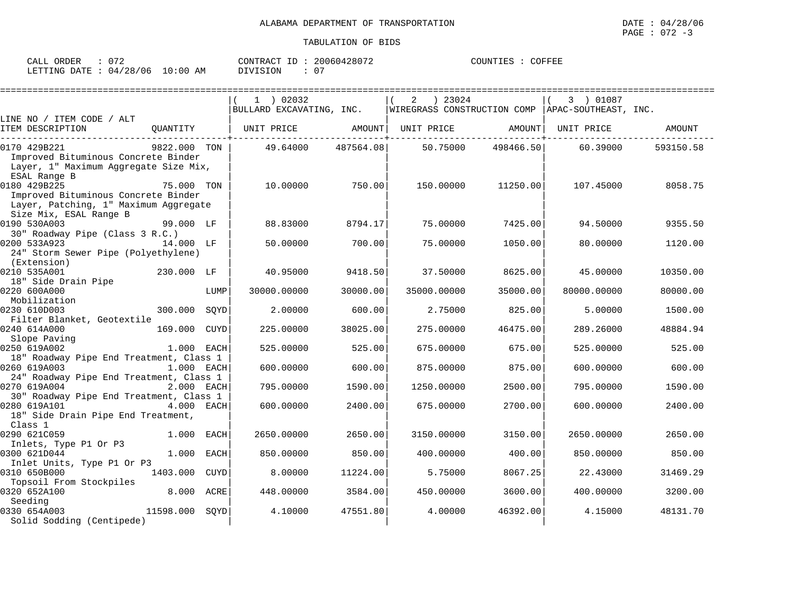| ORDER<br>CALL                    |  | ' ID<br>CONTRACT | 20060428072 | COFFEE<br>COUNTIES |
|----------------------------------|--|------------------|-------------|--------------------|
| LETTING DATE : 04/28/06 10:00 AM |  | DIVISION         | $\sim$ $-$  |                    |

|                                                                                                                        |              |      | $1$ ) 02032                  |           | ) 23024<br>2                                       |           | 3 ) 01087   |           |
|------------------------------------------------------------------------------------------------------------------------|--------------|------|------------------------------|-----------|----------------------------------------------------|-----------|-------------|-----------|
|                                                                                                                        |              |      | BULLARD EXCAVATING, INC.     |           | WIREGRASS CONSTRUCTION COMP   APAC-SOUTHEAST, INC. |           |             |           |
| LINE NO / ITEM CODE / ALT<br>ITEM DESCRIPTION                                                                          |              |      | QUANTITY   UNIT PRICE AMOUNT |           | UNIT PRICE AMOUNT                                  |           | UNIT PRICE  | AMOUNT    |
| 0170 429B221<br>Improved Bituminous Concrete Binder<br>Layer, 1" Maximum Aggregate Size Mix,<br>ESAL Range B           | 9822.000 TON |      | 49.64000                     | 487564.08 | 50.75000                                           | 498466.50 | 60.39000    | 593150.58 |
| 0180 429B225<br>Improved Bituminous Concrete Binder<br>Layer, Patching, 1" Maximum Aggregate<br>Size Mix, ESAL Range B | 75.000 TON   |      | 10.00000                     | 750.00    | 150.00000                                          | 11250.00  | 107.45000   | 8058.75   |
| 0190 530A003<br>30" Roadway Pipe (Class 3 R.C.)                                                                        | 99.000 LF    |      | 88.83000                     | 8794.17   | 75.00000                                           | 7425.00   | 94.50000    | 9355.50   |
| 0200 533A923<br>24" Storm Sewer Pipe (Polyethylene)<br>(Extension)                                                     | 14.000 LF    |      | 50.00000                     | 700.00    | 75.00000                                           | 1050.00   | 80.00000    | 1120.00   |
| 0210 535A001                                                                                                           | 230.000 LF   |      | 40.95000                     | 9418.50   | 37.50000                                           | 8625.00   | 45.00000    | 10350.00  |
| 18" Side Drain Pipe<br>0220 600A000<br>Mobilization                                                                    |              | LUMP | 30000.00000                  | 30000.00  | 35000.00000                                        | 35000.00  | 80000.00000 | 80000.00  |
| 0230 610D003<br>Filter Blanket, Geotextile                                                                             | 300.000 SOYD |      | 2,00000                      | 600.00    | 2.75000                                            | 825.00    | 5.00000     | 1500.00   |
| 0240 614A000<br>Slope Paving                                                                                           | 169.000 CUYD |      | 225.00000                    | 38025.00  | 275.00000                                          | 46475.00  | 289.26000   | 48884.94  |
| 0250 619A002<br>18" Roadway Pipe End Treatment, Class 1                                                                | 1.000 EACH   |      | 525.00000                    | 525.00    | 675.00000                                          | 675.00    | 525.00000   | 525.00    |
| 0260 619A003<br>24" Roadway Pipe End Treatment, Class 1                                                                | 1.000 EACH   |      | 600,00000                    | 600.00    | 875.00000                                          | 875.00    | 600.00000   | 600.00    |
| 0270 619A004<br>30" Roadway Pipe End Treatment, Class 1                                                                | 2.000 EACH   |      | 795.00000                    | 1590.00   | 1250.00000                                         | 2500.00   | 795.00000   | 1590.00   |
| 0280 619A101<br>4.000 EACH<br>18" Side Drain Pipe End Treatment,<br>Class 1                                            |              |      | 600,00000                    | 2400.00   | 675,00000                                          | 2700.00   | 600,00000   | 2400.00   |
| 0290 621C059<br>Inlets, Type P1 Or P3                                                                                  | 1.000 EACH   |      | 2650.00000                   | 2650.00   | 3150.00000                                         | 3150.00   | 2650.00000  | 2650.00   |
| 0300 621D044<br>Inlet Units, Type P1 Or P3                                                                             | $1.000$ EACH |      | 850,00000                    | 850.00    | 400.00000                                          | 400.00    | 850.00000   | 850.00    |
| 0310 650B000                                                                                                           | 1403.000     | CUYD | 8,00000                      | 11224.00  | 5.75000                                            | 8067.25   | 22.43000    | 31469.29  |
| Topsoil From Stockpiles<br>0320 652A100<br>Seeding                                                                     | 8.000 ACRE   |      | 448.00000                    | 3584.00   | 450.00000                                          | 3600.00   | 400.00000   | 3200.00   |
| 0330 654A003<br>11598.000 SOYD<br>Solid Sodding (Centipede)                                                            |              |      | 4.10000                      | 47551.80  | 4.00000                                            | 46392.00  | 4.15000     | 48131.70  |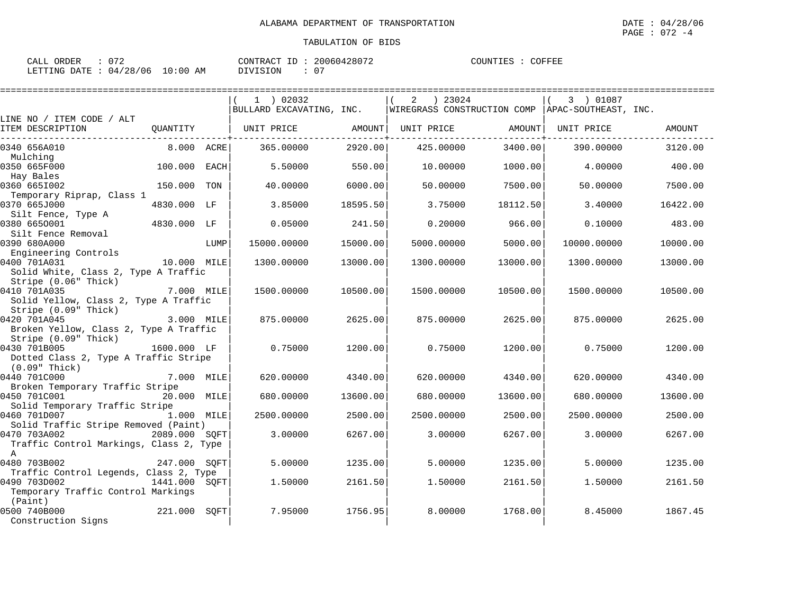| : 072<br>CALL ORDER             | CONTRACT ID: 20060428072 | COUNTIES : COFFEE |
|---------------------------------|--------------------------|-------------------|
| LETTING DATE: 04/28/06 10:00 AM | DIVISION                 |                   |

|                                                                               |               |      | $1$ ) 02032              |          | ) 23024<br>2                                       |          | 3 ) 01087   |          |
|-------------------------------------------------------------------------------|---------------|------|--------------------------|----------|----------------------------------------------------|----------|-------------|----------|
|                                                                               |               |      | BULLARD EXCAVATING, INC. |          | WIREGRASS CONSTRUCTION COMP   APAC-SOUTHEAST, INC. |          |             |          |
| LINE NO / ITEM CODE / ALT<br>ITEM DESCRIPTION                                 | QUANTITY      |      | UNIT PRICE               | AMOUNT   | UNIT PRICE                                         | AMOUNT   | UNIT PRICE  | AMOUNT   |
| 0340 656A010<br>Mulching                                                      | 8.000 ACRE    |      | 365.00000                | 2920.00  | 425.00000                                          | 3400.00  | 390.00000   | 3120.00  |
| 0350 665F000<br>Hay Bales                                                     | 100.000       | EACH | 5.50000                  | 550.00   | 10.00000                                           | 1000.00  | 4.00000     | 400.00   |
| 0360 6651002                                                                  | 150.000       | TON  | 40.00000                 | 6000.00  | 50.00000                                           | 7500.00  | 50.00000    | 7500.00  |
| Temporary Riprap, Class 1<br>0370 665J000                                     | 4830.000 LF   |      | 3.85000                  | 18595.50 | 3.75000                                            | 18112.50 | 3.40000     | 16422.00 |
| Silt Fence, Type A<br>0380 6650001                                            | 4830.000 LF   |      | 0.05000                  | 241.50   | 0.20000                                            | 966.00   | 0.10000     | 483.00   |
| Silt Fence Removal<br>0390 680A000                                            |               | LUMP | 15000.00000              | 15000.00 | 5000.00000                                         | 5000.00  | 10000.00000 | 10000.00 |
| Engineering Controls<br>0400 701A031<br>Solid White, Class 2, Type A Traffic  | 10.000 MILE   |      | 1300.00000               | 13000.00 | 1300.00000                                         | 13000.00 | 1300.00000  | 13000.00 |
| Stripe (0.06" Thick)<br>0410 701A035<br>Solid Yellow, Class 2, Type A Traffic | 7.000 MILE    |      | 1500.00000               | 10500.00 | 1500.00000                                         | 10500.00 | 1500.00000  | 10500.00 |
| Stripe (0.09" Thick)<br>0420 701A045                                          | 3.000 MILE    |      | 875,00000                | 2625.00  | 875.00000                                          | 2625.00  | 875.00000   | 2625.00  |
| Broken Yellow, Class 2, Type A Traffic<br>Stripe (0.09" Thick)                |               |      |                          |          |                                                    |          |             |          |
| 0430 701B005<br>Dotted Class 2, Type A Traffic Stripe<br>$(0.09"$ Thick)      | 1600.000 LF   |      | 0.75000                  | 1200.00  | 0.75000                                            | 1200.00  | 0.75000     | 1200.00  |
| 0440 701C000<br>Broken Temporary Traffic Stripe                               | 7.000 MILE    |      | 620.00000                | 4340.00  | 620.00000                                          | 4340.00  | 620.00000   | 4340.00  |
| 0450 701C001<br>Solid Temporary Traffic Stripe                                | 20.000 MILE   |      | 680,00000                | 13600.00 | 680.00000                                          | 13600.00 | 680,00000   | 13600.00 |
| 0460 701D007<br>Solid Traffic Stripe Removed (Paint)                          | 1.000 MILE    |      | 2500.00000               | 2500.00  | 2500.00000                                         | 2500.00  | 2500.00000  | 2500.00  |
| 0470 703A002<br>Traffic Control Markings, Class 2, Type<br>$\mathbb{A}$       | 2089.000 SOFT |      | 3.00000                  | 6267.00  | 3.00000                                            | 6267.00  | 3.00000     | 6267.00  |
| 0480 703B002<br>Traffic Control Legends, Class 2, Type                        | 247.000 SOFT  |      | 5.00000                  | 1235.00  | 5.00000                                            | 1235.00  | 5.00000     | 1235.00  |
| 0490 703D002<br>Temporary Traffic Control Markings<br>(Paint)                 | 1441.000 SOFT |      | 1.50000                  | 2161.50  | 1.50000                                            | 2161.50  | 1.50000     | 2161.50  |
| 0500 740B000<br>Construction Signs                                            | 221.000       | SOFT | 7.95000                  | 1756.95  | 8,00000                                            | 1768.00  | 8.45000     | 1867.45  |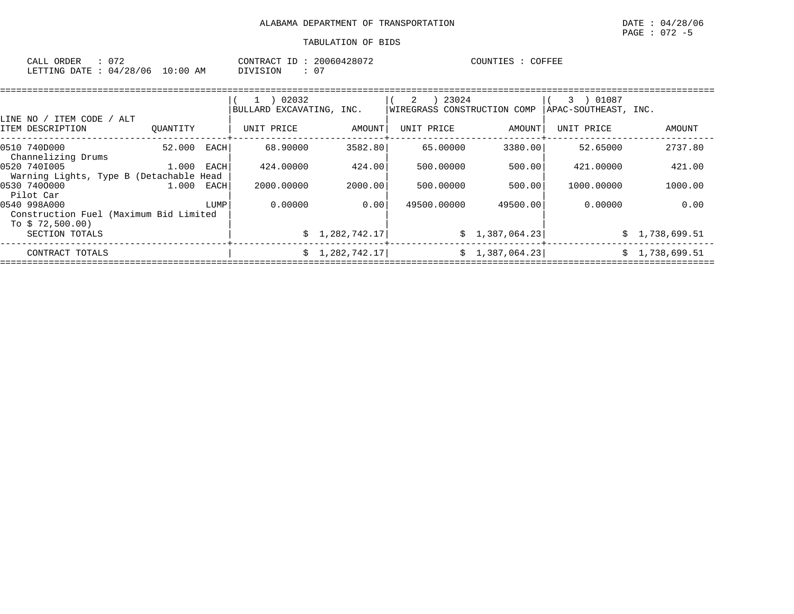| CALL<br>ORDER   | $\sim$ $\sim$ $\sim$ |                  | CONTRA<br>. RACT<br>TD. | ,0428071<br>, 00604           | COUNTIES | COFFEE |
|-----------------|----------------------|------------------|-------------------------|-------------------------------|----------|--------|
| LETTING<br>DATE | /28/06<br>04         | :00<br>L O<br>AΜ | 'VISION                 | $\sim$ $\sim$<br>$\mathbf{U}$ |          |        |

|                                                                             |          |      | 02032<br>$\mathbf{1}$<br>BULLARD EXCAVATING, INC. |                | 2<br>23024<br>WIREGRASS CONSTRUCTION COMP |                 | 01087<br>$3 \rightarrow$<br>APAC-SOUTHEAST, INC. |                |
|-----------------------------------------------------------------------------|----------|------|---------------------------------------------------|----------------|-------------------------------------------|-----------------|--------------------------------------------------|----------------|
| ITEM CODE<br>ALT<br>LINE NO /<br>ITEM DESCRIPTION                           | OUANTITY |      | UNIT PRICE                                        | AMOUNT         | UNIT PRICE                                | AMOUNT          | UNIT PRICE                                       | AMOUNT         |
| 0510 740D000<br>Channelizing Drums                                          | 52.000   | EACH | 68,90000                                          | 3582.80        | 65.00000                                  | 3380.00         | 52.65000                                         | 2737.80        |
| 0520 7401005<br>Warning Lights, Type B (Detachable Head                     | 1.000    | EACH | 424.00000                                         | 424.00         | 500.00000                                 | 500.00          | 421,00000                                        | 421.00         |
| 0530 7400000<br>Pilot Car                                                   | 1.000    | EACH | 2000.00000                                        | 2000.00        | 500.00000                                 | 500.00          | 1000,00000                                       | 1000.00        |
| 0540 998A000<br>Construction Fuel (Maximum Bid Limited<br>To $$72,500.00$ ) |          | LUMP | 0.00000                                           | 0.00           | 49500,00000                               | 49500.00        | 0.00000                                          | 0.00           |
| SECTION TOTALS                                                              |          |      |                                                   | \$1,282,742.17 |                                           | \$1,387,064.23] |                                                  | \$1,738,699.51 |
| CONTRACT TOTALS                                                             |          |      |                                                   | \$1,282,742.17 |                                           | \$1,387,064.23] |                                                  | \$1,738,699.51 |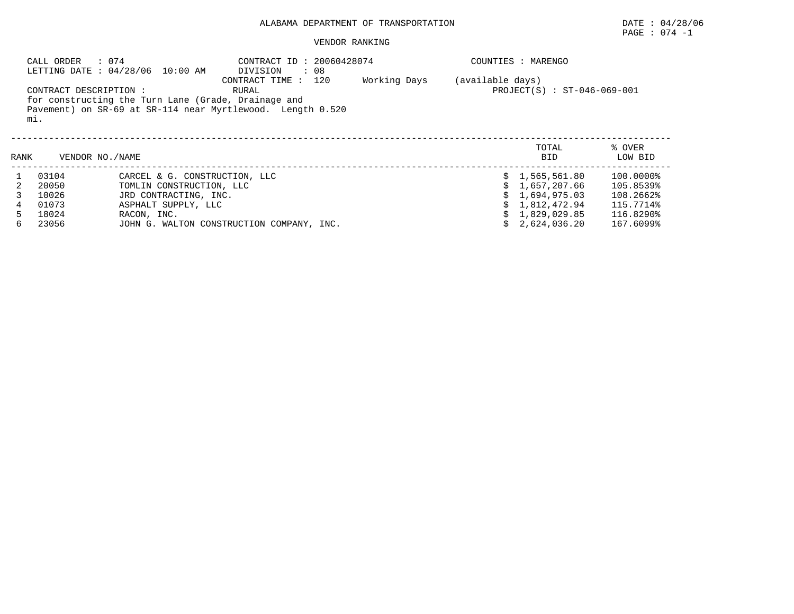### VENDOR RANKING

|      | CALL ORDER<br>: 074<br>CONTRACT DESCRIPTION:<br>mi. | LETTING DATE : 04/28/06 10:00 AM<br>for constructing the Turn Lane (Grade, Drainage and | CONTRACT ID: 20060428074<br>DIVISION<br>. 08<br>CONTRACT TIME : 120<br>RURAL<br>Pavement) on SR-69 at SR-114 near Myrtlewood. Length 0.520 | Working Days | (available days) | COUNTIES : MARENGO<br>$PROJECT(S) : ST-046-069-001$ |                   |
|------|-----------------------------------------------------|-----------------------------------------------------------------------------------------|--------------------------------------------------------------------------------------------------------------------------------------------|--------------|------------------|-----------------------------------------------------|-------------------|
| RANK | VENDOR NO. / NAME                                   |                                                                                         |                                                                                                                                            |              |                  | TOTAL<br><b>BID</b>                                 | % OVER<br>LOW BID |
|      | 03104                                               | CARCEL & G. CONSTRUCTION, LLC                                                           |                                                                                                                                            |              |                  | \$1,565,561.80                                      | 100.0000%         |
|      | 20050                                               | TOMLIN CONSTRUCTION, LLC                                                                |                                                                                                                                            |              |                  | \$1,657,207.66                                      | 105.8539%         |
|      | 10026                                               | JRD CONTRACTING, INC.                                                                   |                                                                                                                                            |              |                  | \$1.694.975.03                                      | 108.2662%         |
|      | 01073                                               | ASPHALT SUPPLY, LLC                                                                     |                                                                                                                                            |              |                  | \$1,812,472.94                                      | 115.7714%         |
|      | 18024                                               | RACON, INC.                                                                             |                                                                                                                                            |              |                  | 1,829,029.85                                        | 116.8290%         |
| 6    | 23056                                               |                                                                                         | JOHN G. WALTON CONSTRUCTION COMPANY, INC.                                                                                                  |              |                  | 2,624,036.20                                        | 167.6099%         |

PAGE : 074 -1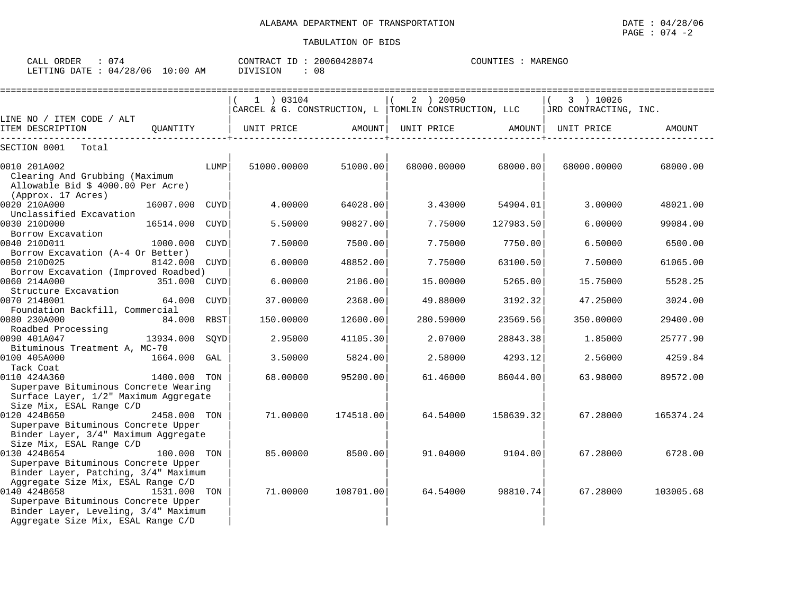| ORDER<br>CALL (                  |  | CONTRACT ID : | 20060428074 | COUNTIES | MARENGO |
|----------------------------------|--|---------------|-------------|----------|---------|
| LETTING DATE : 04/28/06 10:00 AM |  | DIVISION      | 08          |          |         |

|                                       |              |             | 1 ) 03104                                            |           | 2 ) 20050   |           | 3 ) 10026             |           |
|---------------------------------------|--------------|-------------|------------------------------------------------------|-----------|-------------|-----------|-----------------------|-----------|
|                                       |              |             | CARCEL & G. CONSTRUCTION, L TOMLIN CONSTRUCTION, LLC |           |             |           | JRD CONTRACTING, INC. |           |
| LINE NO / ITEM CODE / ALT             |              |             |                                                      |           |             |           |                       |           |
| ITEM DESCRIPTION                      | OUANTITY     |             | UNIT PRICE                                           | AMOUNT    | UNIT PRICE  | AMOUNT    | UNIT PRICE            | AMOUNT    |
| SECTION 0001<br>Total                 |              |             |                                                      |           |             |           |                       |           |
| 0010 201A002                          |              | LUMP        | 51000.00000                                          | 51000.00  | 68000.00000 | 68000.00  | 68000.00000           | 68000.00  |
| Clearing And Grubbing (Maximum        |              |             |                                                      |           |             |           |                       |           |
| Allowable Bid \$ 4000.00 Per Acre)    |              |             |                                                      |           |             |           |                       |           |
| (Approx. 17 Acres)                    |              |             |                                                      |           |             |           |                       |           |
| 0020 210A000                          | 16007.000    | <b>CUYD</b> | 4.00000                                              | 64028.00  | 3.43000     | 54904.01  | 3.00000               | 48021.00  |
| Unclassified Excavation               |              |             |                                                      |           |             |           |                       |           |
| 0030 210D000                          | 16514.000    | <b>CUYD</b> | 5.50000                                              | 90827.00  | 7.75000     | 127983.50 | 6.00000               | 99084.00  |
| Borrow Excavation                     |              |             |                                                      |           |             |           |                       |           |
| 0040 210D011                          | 1000.000     | CUYD        | 7.50000                                              | 7500.00   | 7.75000     | 7750.00   | 6.50000               | 6500.00   |
| Borrow Excavation (A-4 Or Better)     |              |             |                                                      |           |             |           |                       |           |
| 0050 210D025                          | 8142.000     | CUYD        | 6.00000                                              | 48852.00  | 7.75000     | 63100.50  | 7.50000               | 61065.00  |
| Borrow Excavation (Improved Roadbed)  |              |             |                                                      |           |             |           |                       |           |
| 0060 214A000                          | 351.000      | CUYD        | 6.00000                                              | 2106.00   | 15,00000    | 5265.00   | 15.75000              | 5528.25   |
| Structure Excavation                  |              |             |                                                      |           |             |           |                       |           |
| 0070 214B001                          | 64.000       | CUYD        | 37.00000                                             | 2368.00   | 49.88000    | 3192.32   | 47.25000              | 3024.00   |
| Foundation Backfill, Commercial       |              |             |                                                      |           |             |           |                       |           |
| 0080 230A000                          | 84.000       | RBST        | 150.00000                                            | 12600.00  | 280.59000   | 23569.56  | 350.00000             | 29400.00  |
| Roadbed Processing<br>0090 401A047    | 13934.000    | SOYD        | 2.95000                                              | 41105.30  | 2.07000     | 28843.38  | 1.85000               | 25777.90  |
| Bituminous Treatment A, MC-70         |              |             |                                                      |           |             |           |                       |           |
| 0100 405A000                          | 1664.000     | GAL         | 3.50000                                              | 5824.00   | 2.58000     | 4293.12   | 2.56000               | 4259.84   |
| Tack Coat                             |              |             |                                                      |           |             |           |                       |           |
| 0110 424A360                          | 1400.000 TON |             | 68.00000                                             | 95200.00  | 61.46000    | 86044.00  | 63.98000              | 89572.00  |
| Superpave Bituminous Concrete Wearing |              |             |                                                      |           |             |           |                       |           |
| Surface Layer, 1/2" Maximum Aggregate |              |             |                                                      |           |             |           |                       |           |
| Size Mix, ESAL Range C/D              |              |             |                                                      |           |             |           |                       |           |
| 0120 424B650                          | 2458.000 TON |             | 71,00000                                             | 174518.00 | 64.54000    | 158639.32 | 67.28000              | 165374.24 |
| Superpave Bituminous Concrete Upper   |              |             |                                                      |           |             |           |                       |           |
| Binder Layer, 3/4" Maximum Aggregate  |              |             |                                                      |           |             |           |                       |           |
| Size Mix, ESAL Range C/D              |              |             |                                                      |           |             |           |                       |           |
| 0130 424B654                          | 100.000 TON  |             | 85,00000                                             | 8500.00   | 91.04000    | 9104.00   | 67.28000              | 6728.00   |
| Superpave Bituminous Concrete Upper   |              |             |                                                      |           |             |           |                       |           |
| Binder Layer, Patching, 3/4" Maximum  |              |             |                                                      |           |             |           |                       |           |
| Aggregate Size Mix, ESAL Range C/D    |              |             |                                                      |           |             |           |                       |           |
| 0140 424B658                          | 1531.000 TON |             | 71.00000                                             | 108701.00 | 64.54000    | 98810.74  | 67.28000              | 103005.68 |
| Superpave Bituminous Concrete Upper   |              |             |                                                      |           |             |           |                       |           |
| Binder Layer, Leveling, 3/4" Maximum  |              |             |                                                      |           |             |           |                       |           |
| Aggregate Size Mix, ESAL Range C/D    |              |             |                                                      |           |             |           |                       |           |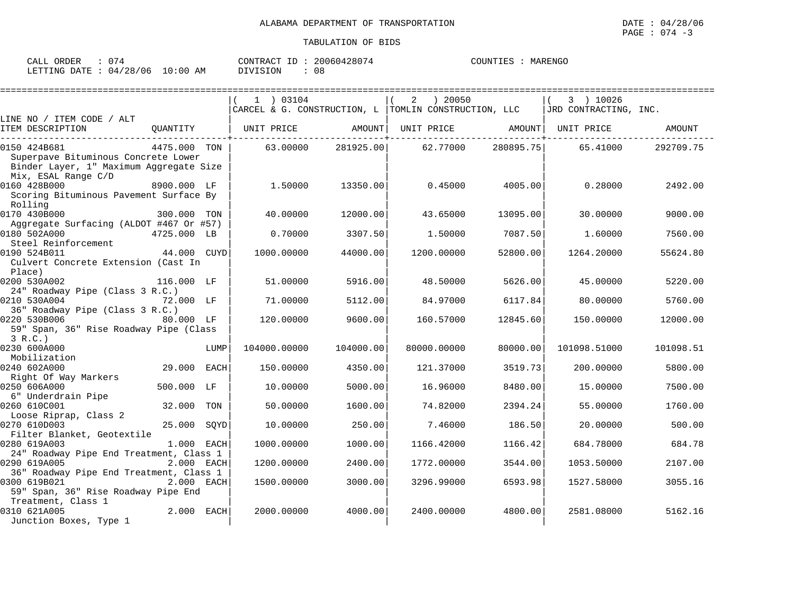| CALL ORDER                      |  |          | CONTRACT ID: 20060428074 | COUNTIES : MARENGO |  |
|---------------------------------|--|----------|--------------------------|--------------------|--|
| LETTING DATE: 04/28/06 10:00 AM |  | DIVISION | 08                       |                    |  |

|                                                                                |              |      |                                                        | ======================        |                   |                    |                       |           |
|--------------------------------------------------------------------------------|--------------|------|--------------------------------------------------------|-------------------------------|-------------------|--------------------|-----------------------|-----------|
|                                                                                |              |      | 1 03104                                                |                               | ) 20050<br>2      |                    | 3 ) 10026             |           |
|                                                                                |              |      | CARCEL & G. CONSTRUCTION, L   TOMLIN CONSTRUCTION, LLC |                               |                   |                    | JRD CONTRACTING, INC. |           |
| LINE NO / ITEM CODE / ALT                                                      |              |      |                                                        |                               |                   |                    |                       |           |
| ITEM DESCRIPTION<br>-----------------------                                    | OUANTITY     |      | UNIT PRICE                                             | AMOUNT<br>------------------- | UNIT PRICE AMOUNT | ------------+----- | UNIT PRICE            | AMOUNT    |
| 0150 424B681                                                                   | 4475.000 TON |      | 63.00000                                               | 281925.00                     | 62.77000          | 280895.75          | 65.41000              | 292709.75 |
| Superpave Bituminous Concrete Lower<br>Binder Layer, 1" Maximum Aggregate Size |              |      |                                                        |                               |                   |                    |                       |           |
| Mix, ESAL Range C/D                                                            |              |      |                                                        |                               |                   |                    |                       |           |
| 0160 428B000<br>Scoring Bituminous Pavement Surface By<br>Rolling              | 8900.000 LF  |      | 1.50000                                                | 13350.00                      | 0.45000           | 4005.00            | 0.28000               | 2492.00   |
| 0170 430B000                                                                   | 300.000 TON  |      | 40.00000                                               | 12000.00                      | 43.65000          | 13095.00           | 30,00000              | 9000.00   |
| Aggregate Surfacing (ALDOT #467 Or #57)                                        |              |      |                                                        |                               |                   |                    |                       |           |
| 0180 502A000                                                                   | 4725.000 LB  |      | 0.70000                                                | 3307.50                       | 1.50000           | 7087.50            | 1.60000               | 7560.00   |
| Steel Reinforcement                                                            |              |      |                                                        |                               |                   |                    |                       |           |
| 0190 524B011                                                                   | 44.000 CUYD  |      | 1000.00000                                             | 44000.00                      | 1200.00000        | 52800.00           | 1264.20000            | 55624.80  |
| Culvert Concrete Extension (Cast In<br>Place)                                  |              |      |                                                        |                               |                   |                    |                       |           |
| 0200 530A002                                                                   | 116.000 LF   |      | 51.00000                                               | 5916.00                       | 48.50000          | 5626.00            | 45.00000              | 5220.00   |
| 24" Roadway Pipe (Class 3 R.C.)                                                |              |      |                                                        |                               |                   |                    |                       |           |
| 0210 530A004                                                                   | 72.000 LF    |      | 71,00000                                               | 5112.00                       | 84.97000          | 6117.84            | 80.00000              | 5760.00   |
| 36" Roadway Pipe (Class 3 R.C.)<br>0220 530B006                                | 80.000 LF    |      | 120.00000                                              | 9600.00                       | 160.57000         | 12845.60           | 150.00000             | 12000.00  |
| 59" Span, 36" Rise Roadway Pipe (Class                                         |              |      |                                                        |                               |                   |                    |                       |           |
| 3 R.C.                                                                         |              |      |                                                        |                               |                   |                    |                       |           |
| 0230 600A000                                                                   |              | LUMP | 104000.00000                                           | 104000.00                     | 80000.00000       | 80000.00           | 101098.51000          | 101098.51 |
| Mobilization                                                                   |              |      |                                                        |                               |                   |                    |                       |           |
| 0240 602A000                                                                   | 29.000 EACH  |      | 150.00000                                              | 4350.00                       | 121.37000         | 3519.73            | 200.00000             | 5800.00   |
| Right Of Way Markers                                                           |              |      |                                                        |                               |                   |                    |                       |           |
| 0250 606A000                                                                   | 500.000 LF   |      | 10.00000                                               | 5000.00                       | 16.96000          | 8480.00            | 15.00000              | 7500.00   |
| 6" Underdrain Pipe                                                             |              |      |                                                        |                               |                   |                    |                       |           |
| 0260 610C001                                                                   | 32.000       | TON  | 50.00000                                               | 1600.00                       | 74.82000          | 2394.24            | 55.00000              | 1760.00   |
| Loose Riprap, Class 2                                                          |              |      |                                                        |                               |                   |                    |                       |           |
| 0270 610D003                                                                   | 25.000       | SOYD | 10.00000                                               | 250.00                        | 7.46000           | 186.50             | 20.00000              | 500.00    |
| Filter Blanket, Geotextile<br>0280 619A003                                     | 1.000 EACH   |      | 1000.00000                                             | 1000.00                       | 1166.42000        | 1166.42            | 684.78000             | 684.78    |
| 24" Roadway Pipe End Treatment, Class 1                                        |              |      |                                                        |                               |                   |                    |                       |           |
| 0290 619A005                                                                   | 2.000 EACH   |      | 1200.00000                                             | 2400.00                       | 1772.00000        | 3544.00            | 1053.50000            | 2107.00   |
| 36" Roadway Pipe End Treatment, Class 1                                        |              |      |                                                        |                               |                   |                    |                       |           |
| 0300 619B021                                                                   | 2.000 EACH   |      | 1500.00000                                             | 3000.00                       | 3296.99000        | 6593.98            | 1527.58000            | 3055.16   |
| 59" Span, 36" Rise Roadway Pipe End                                            |              |      |                                                        |                               |                   |                    |                       |           |
| Treatment, Class 1                                                             |              |      |                                                        |                               |                   |                    |                       |           |
| 0310 621A005                                                                   | 2.000 EACH   |      | 2000.00000                                             | 4000.00                       | 2400.00000        | 4800.00            | 2581.08000            | 5162.16   |
| Junction Boxes, Type 1                                                         |              |      |                                                        |                               |                   |                    |                       |           |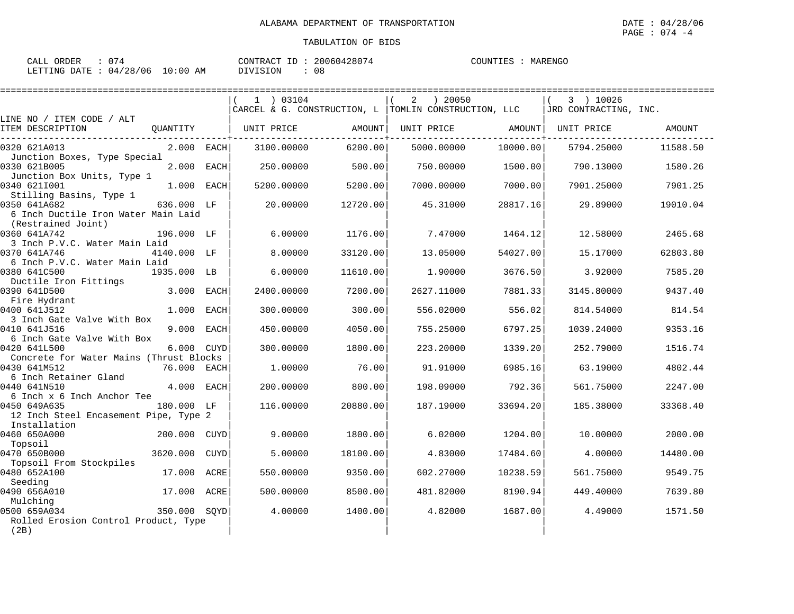| CALL ORDER | : 074                           | CONTRACT ID: 20060428074 | COUNTIES<br>: MARENGO |
|------------|---------------------------------|--------------------------|-----------------------|
|            | LETTING DATE: 04/28/06 10:00 AM | 08<br>DIVISION           |                       |

|                                                                       |              |      | 1 03104    |          | ) 20050<br>2                                         |          | 3 ) 10026             |          |
|-----------------------------------------------------------------------|--------------|------|------------|----------|------------------------------------------------------|----------|-----------------------|----------|
|                                                                       |              |      |            |          | CARCEL & G. CONSTRUCTION, L TOMLIN CONSTRUCTION, LLC |          | JRD CONTRACTING, INC. |          |
| LINE NO / ITEM CODE / ALT<br>ITEM DESCRIPTION                         | OUANTITY     |      | UNIT PRICE | AMOUNT   | UNIT PRICE                                           | AMOUNT   | UNIT PRICE            | AMOUNT   |
| 0320 621A013                                                          | 2.000 EACH   |      | 3100.00000 | 6200.00  | 5000.00000                                           | 10000.00 | 5794.25000            | 11588.50 |
| Junction Boxes, Type Special<br>0330 621B005                          | 2.000 EACH   |      | 250.00000  | 500.00   | 750.00000                                            | 1500.00  | 790.13000             | 1580.26  |
| Junction Box Units, Type 1<br>0340 621I001<br>Stilling Basins, Type 1 | 1.000 EACH   |      | 5200.00000 | 5200.00  | 7000.00000                                           | 7000.00  | 7901.25000            | 7901.25  |
| 0350 641A682<br>6 Inch Ductile Iron Water Main Laid                   | 636.000 LF   |      | 20.00000   | 12720.00 | 45.31000                                             | 28817.16 | 29.89000              | 19010.04 |
| (Restrained Joint)<br>0360 641A742                                    | 196.000 LF   |      | 6.00000    | 1176.00  | 7.47000                                              | 1464.12  | 12.58000              | 2465.68  |
| 3 Inch P.V.C. Water Main Laid<br>0370 641A746                         | 4140.000 LF  |      | 8.00000    | 33120.00 | 13.05000                                             | 54027.00 | 15.17000              | 62803.80 |
| 6 Inch P.V.C. Water Main Laid<br>0380 641C500                         | 1935.000 LB  |      | 6,00000    | 11610.00 | 1,90000                                              | 3676.50  | 3.92000               | 7585.20  |
| Ductile Iron Fittings<br>0390 641D500                                 | 3.000        | EACH | 2400.00000 | 7200.00  | 2627.11000                                           | 7881.33  | 3145.80000            | 9437.40  |
| Fire Hydrant<br>0400 641J512<br>3 Inch Gate Valve With Box            | 1.000        | EACH | 300.00000  | 300.00   | 556.02000                                            | 556.02   | 814.54000             | 814.54   |
| 0410 641J516<br>6 Inch Gate Valve With Box                            | 9.000        | EACH | 450.00000  | 4050.00  | 755.25000                                            | 6797.25  | 1039.24000            | 9353.16  |
| 0420 641L500<br>Concrete for Water Mains (Thrust Blocks               | 6.000 CUYD   |      | 300.00000  | 1800.00  | 223.20000                                            | 1339.20  | 252.79000             | 1516.74  |
| 0430 641M512<br>6 Inch Retainer Gland                                 | 76.000 EACH  |      | 1,00000    | 76.00    | 91.91000                                             | 6985.16  | 63.19000              | 4802.44  |
| 0440 641N510<br>6 Inch x 6 Inch Anchor Tee                            | 4.000        | EACH | 200.00000  | 800.00   | 198.09000                                            | 792.36   | 561.75000             | 2247.00  |
| 0450 649A635<br>12 Inch Steel Encasement Pipe, Type 2<br>Installation | 180.000 LF   |      | 116,00000  | 20880.00 | 187.19000                                            | 33694.20 | 185.38000             | 33368.40 |
| 0460 650A000<br>Topsoil                                               | 200.000      | CUYD | 9.00000    | 1800.00  | 6.02000                                              | 1204.00  | 10.00000              | 2000.00  |
| 0470 650B000<br>Topsoil From Stockpiles                               | 3620.000     | CUYD | 5.00000    | 18100.00 | 4.83000                                              | 17484.60 | 4.00000               | 14480.00 |
| 0480 652A100<br>Seeding                                               | 17.000       | ACRE | 550.00000  | 9350.00  | 602.27000                                            | 10238.59 | 561.75000             | 9549.75  |
| 0490 656A010<br>Mulching                                              | 17.000       | ACRE | 500.00000  | 8500.00  | 481.82000                                            | 8190.94  | 449.40000             | 7639.80  |
| 0500 659A034<br>Rolled Erosion Control Product, Type<br>(2B)          | 350.000 SOYD |      | 4.00000    | 1400.00  | 4.82000                                              | 1687.00  | 4.49000               | 1571.50  |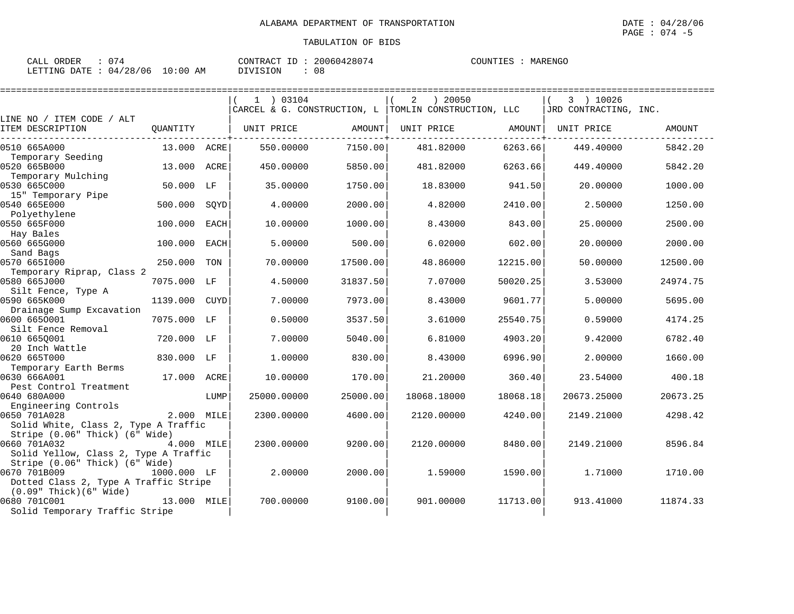| : 074<br>CALL ORDER             | CONTRACT ID: 20060428074 | COUNTIES : MARENGO |
|---------------------------------|--------------------------|--------------------|
| LETTING DATE: 04/28/06 10:00 AM | DIVISION                 |                    |

|                                                                        |             |      | $1$ ) 03104 |          | ) 20050<br>2                                           |          | 3 ) 10026             |               |
|------------------------------------------------------------------------|-------------|------|-------------|----------|--------------------------------------------------------|----------|-----------------------|---------------|
|                                                                        |             |      |             |          | CARCEL & G. CONSTRUCTION, L   TOMLIN CONSTRUCTION, LLC |          | JRD CONTRACTING, INC. |               |
| LINE NO / ITEM CODE / ALT<br>ITEM DESCRIPTION                          | OUANTITY    |      | UNIT PRICE  | AMOUNT   | UNIT PRICE                                             | AMOUNT   | UNIT PRICE            | <b>AMOUNT</b> |
| 0510 665A000                                                           | 13.000 ACRE |      | 550.00000   | 7150.00  | 481.82000                                              | 6263.66  | 449.40000             | 5842.20       |
| Temporary Seeding<br>0520 665B000                                      | 13,000      | ACRE | 450.00000   | 5850.00  | 481.82000                                              | 6263.66  | 449.40000             | 5842.20       |
| Temporary Mulching<br>0530 665C000                                     | 50.000 LF   |      | 35.00000    | 1750.00  | 18.83000                                               | 941.50   | 20.00000              | 1000.00       |
| 15" Temporary Pipe<br>0540 665E000                                     | 500.000     | SOYD | 4.00000     | 2000.00  | 4.82000                                                | 2410.00  | 2.50000               | 1250.00       |
| Polyethylene<br>0550 665F000                                           | 100.000     | EACH | 10,00000    | 1000.00  | 8.43000                                                | 843.00   | 25.00000              | 2500.00       |
| Hay Bales<br>0560 665G000                                              | 100.000     | EACH | 5.00000     | 500.00   | 6.02000                                                | 602.00   | 20.00000              | 2000.00       |
| Sand Bags<br>0570 6651000                                              | 250.000     | TON  | 70.00000    | 17500.00 | 48.86000                                               | 12215.00 | 50.00000              | 12500.00      |
| Temporary Riprap, Class 2<br>0580 665J000                              | 7075.000    | LF   | 4.50000     | 31837.50 | 7.07000                                                | 50020.25 | 3.53000               | 24974.75      |
| Silt Fence, Type A<br>0590 665K000                                     | 1139.000    | CUYD | 7.00000     | 7973.00  | 8.43000                                                | 9601.77  | 5.00000               | 5695.00       |
| Drainage Sump Excavation<br>0600 6650001                               | 7075.000 LF |      | 0.50000     | 3537.50  | 3.61000                                                | 25540.75 | 0.59000               | 4174.25       |
| Silt Fence Removal<br>0610 665Q001                                     | 720.000 LF  |      | 7.00000     | 5040.00  | 6.81000                                                | 4903.20  | 9.42000               | 6782.40       |
| 20 Inch Wattle<br>0620 665T000                                         | 830.000 LF  |      | 1,00000     | 830.00   | 8.43000                                                | 6996.90  | 2.00000               | 1660.00       |
| Temporary Earth Berms<br>0630 666A001                                  | 17.000 ACRE |      | 10.00000    | 170.00   | 21.20000                                               | 360.40   | 23.54000              | 400.18        |
| Pest Control Treatment<br>0640 680A000                                 |             | LUMP | 25000.00000 | 25000.00 | 18068.18000                                            | 18068.18 | 20673.25000           | 20673.25      |
| Engineering Controls<br>0650 701A028                                   | 2.000 MILE  |      | 2300.00000  | 4600.00  | 2120.00000                                             | 4240.00  | 2149.21000            | 4298.42       |
| Solid White, Class 2, Type A Traffic<br>Stripe (0.06" Thick) (6" Wide) |             |      |             |          |                                                        |          |                       |               |
| 0660 701A032<br>Solid Yellow, Class 2, Type A Traffic                  | 4.000 MILE  |      | 2300.00000  | 9200.00  | 2120.00000                                             | 8480.00  | 2149.21000            | 8596.84       |
| Stripe (0.06" Thick) (6" Wide)<br>0670 701B009                         | 1000.000 LF |      | 2.00000     | 2000.00  |                                                        | 1590.00  |                       |               |
| Dotted Class 2, Type A Traffic Stripe<br>$(0.09"$ Thick $)(6"$ Wide)   |             |      |             |          | 1.59000                                                |          | 1.71000               | 1710.00       |
| 0680 701C001<br>Solid Temporary Traffic Stripe                         | 13.000 MILE |      | 700.00000   | 9100.00  | 901.00000                                              | 11713.00 | 913.41000             | 11874.33      |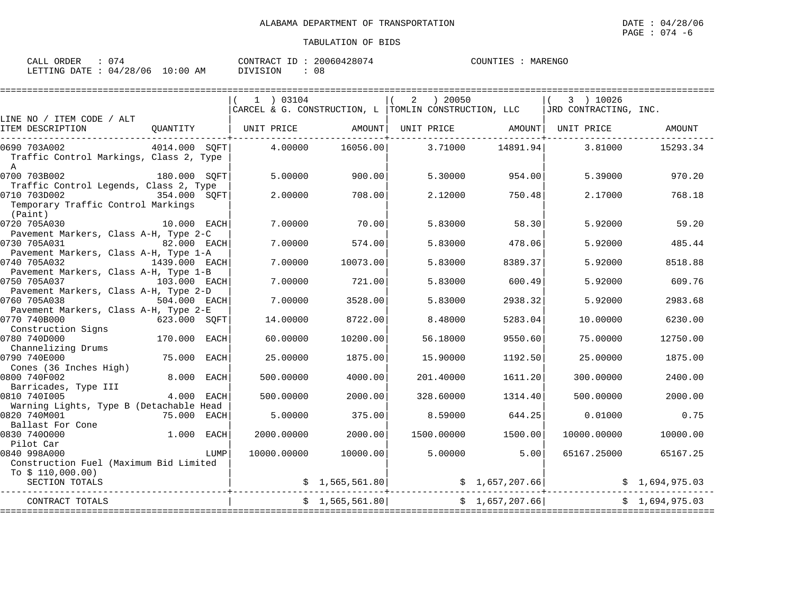| ORDER<br>$\sim$ $\sim$ $\sim$<br>لىلAك<br>, , |             | 20060428074<br>$\tau$<br>CONTRACT<br>200604 | MARENGC<br>ו ידוחדרר<br>1155. |
|-----------------------------------------------|-------------|---------------------------------------------|-------------------------------|
| 04/28/<br>'06<br>DATE<br>LETTING              | 10:00<br>AΜ | ISION<br>$\cdots$<br>UC                     |                               |

|                                                                                                         |               |             | 1 ) 03104                                              |                | ) 20050<br>2 |                 | 3 ) 10026             |                |
|---------------------------------------------------------------------------------------------------------|---------------|-------------|--------------------------------------------------------|----------------|--------------|-----------------|-----------------------|----------------|
|                                                                                                         |               |             | CARCEL & G. CONSTRUCTION, L   TOMLIN CONSTRUCTION, LLC |                |              |                 | JRD CONTRACTING, INC. |                |
| LINE NO / ITEM CODE / ALT<br>ITEM DESCRIPTION                                                           | QUANTITY      |             | UNIT PRICE                                             | AMOUNT         | UNIT PRICE   | AMOUNT          | UNIT PRICE            | AMOUNT         |
| 0690 703A002<br>Traffic Control Markings, Class 2, Type<br>$\mathbb{A}$                                 | 4014.000 SOFT |             | 4,00000                                                | 16056.00       | 3.71000      | 14891.94        | 3.81000               | 15293.34       |
| 0700 703B002                                                                                            | 180.000 SOFT  |             | 5.00000                                                | 900.00         | 5.30000      | 954.00          | 5.39000               | 970.20         |
| Traffic Control Legends, Class 2, Type<br>0710 703D002<br>Temporary Traffic Control Markings<br>(Paint) | 354.000 SOFT  |             | 2.00000                                                | 708.00         | 2.12000      | 750.48          | 2.17000               | 768.18         |
| 0720 705A030<br>Pavement Markers, Class A-H, Type 2-C                                                   | 10.000 EACH   |             | 7.00000                                                | 70.00          | 5.83000      | 58.30           | 5.92000               | 59.20          |
| 0730 705A031                                                                                            | 82.000 EACH   |             | 7.00000                                                | 574.00         | 5.83000      | 478.06          | 5.92000               | 485.44         |
| Pavement Markers, Class A-H, Type 1-A<br>0740 705A032                                                   | 1439.000 EACH |             | 7.00000                                                | 10073.00       | 5.83000      | 8389.37         | 5.92000               | 8518.88        |
| Pavement Markers, Class A-H, Type 1-B<br>0750 705A037<br>103.000 EACH                                   |               |             | 7.00000                                                | 721.00         | 5.83000      | 600.49          | 5.92000               | 609.76         |
| Pavement Markers, Class A-H, Type 2-D<br>0760 705A038                                                   | 504.000 EACH  |             | 7.00000                                                | 3528.00        | 5.83000      | 2938.32         | 5.92000               | 2983.68        |
| Pavement Markers, Class A-H, Type 2-E<br>0770 740B000                                                   | 623.000 SOFT  |             | 14,00000                                               | 8722.00        | 8,48000      | 5283.04         | 10,00000              | 6230.00        |
| Construction Signs<br>0780 740D000                                                                      | 170.000       | <b>EACH</b> | 60.00000                                               | 10200.00       | 56.18000     | 9550.60         | 75.00000              | 12750.00       |
| Channelizing Drums<br>0790 740E000                                                                      | 75.000        | EACH        | 25.00000                                               | 1875.00        | 15,90000     | 1192.50         | 25,00000              | 1875.00        |
| Cones (36 Inches High)<br>0800 740F002                                                                  | 8.000 EACH    |             | 500.00000                                              | 4000.00        | 201.40000    | 1611.20         | 300,00000             | 2400.00        |
| Barricades, Type III<br>0810 7401005                                                                    | 4.000 EACH    |             | 500.00000                                              | 2000.00        | 328.60000    | 1314.40         | 500,00000             | 2000.00        |
| Warning Lights, Type B (Detachable Head<br>0820 740M001                                                 | 75.000        | EACH        | 5.00000                                                | 375.00         | 8.59000      | 644.25          | 0.01000               | 0.75           |
| Ballast For Cone<br>0830 7400000                                                                        | 1.000 EACH    |             | 2000.00000                                             | 2000.00        | 1500.00000   | 1500.00         | 10000.00000           | 10000.00       |
| Pilot Car                                                                                               |               |             |                                                        |                |              |                 |                       |                |
| 0840 998A000                                                                                            |               | LUMP        | 10000.00000                                            | 10000.00       | 5.00000      | 5.00            | 65167.25000           | 65167.25       |
| Construction Fuel (Maximum Bid Limited                                                                  |               |             |                                                        |                |              |                 |                       |                |
| To $$110,000.00)$<br>SECTION TOTALS                                                                     |               |             |                                                        | \$1,565,561.80 |              | \$1,657,207.66] |                       | \$1,694,975.03 |
| CONTRACT TOTALS                                                                                         |               |             |                                                        | \$1,565,561.80 |              | \$1,657,207.66] |                       | \$1,694,975.03 |
|                                                                                                         |               |             |                                                        |                |              |                 |                       |                |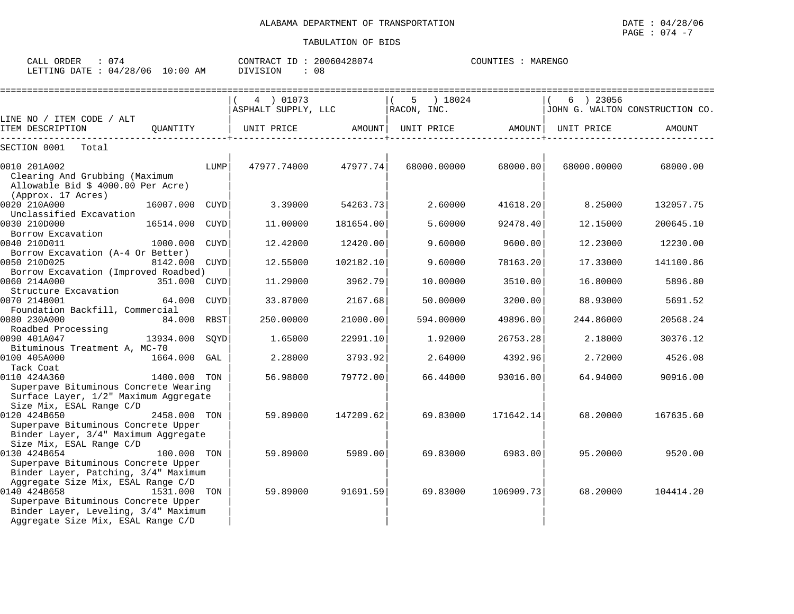| CALL ORDER : 074                |  | CONTRACT ID: 20060428074 |  | COUNTIES : MARENGO |  |
|---------------------------------|--|--------------------------|--|--------------------|--|
| LETTING DATE: 04/28/06 10:00 AM |  | DIVISION : 08            |  |                    |  |

|                                       |              |             | 4 01073             |           | 5           | ) 18024     |           | 6 ) 23056   |                                 |
|---------------------------------------|--------------|-------------|---------------------|-----------|-------------|-------------|-----------|-------------|---------------------------------|
|                                       |              |             | ASPHALT SUPPLY, LLC |           | RACON, INC. |             |           |             | JOHN G. WALTON CONSTRUCTION CO. |
| LINE NO / ITEM CODE / ALT             |              |             |                     |           |             |             |           |             |                                 |
| ITEM DESCRIPTION                      | OUANTITY     |             | UNIT PRICE          | AMOUNT    |             | UNIT PRICE  | AMOUNT    | UNIT PRICE  | AMOUNT                          |
| SECTION 0001<br>Total                 |              |             |                     |           |             |             |           |             |                                 |
| 0010 201A002                          |              | LUMP        | 47977.74000         | 47977.74  |             | 68000.00000 | 68000.00  | 68000.00000 | 68000.00                        |
| Clearing And Grubbing (Maximum        |              |             |                     |           |             |             |           |             |                                 |
| Allowable Bid \$ 4000.00 Per Acre)    |              |             |                     |           |             |             |           |             |                                 |
| (Approx. 17 Acres)                    |              |             |                     |           |             |             |           |             |                                 |
| 0020 210A000                          | 16007.000    | <b>CUYD</b> | 3.39000             | 54263.73  |             | 2.60000     | 41618.20  | 8.25000     | 132057.75                       |
| Unclassified Excavation               |              |             |                     |           |             |             |           |             |                                 |
| 0030 210D000                          | 16514.000    | <b>CUYD</b> | 11.00000            | 181654.00 |             | 5.60000     | 92478.40  | 12.15000    | 200645.10                       |
| Borrow Excavation                     |              |             |                     |           |             |             |           |             |                                 |
| 0040 210D011                          | 1000.000     | CUYD        | 12.42000            | 12420.00  |             | 9.60000     | 9600.00   | 12.23000    | 12230.00                        |
| Borrow Excavation (A-4 Or Better)     |              |             |                     |           |             |             |           |             |                                 |
| 0050 210D025                          | 8142.000     | CUYD        | 12.55000            | 102182.10 |             | 9.60000     | 78163.20  | 17.33000    | 141100.86                       |
| Borrow Excavation (Improved Roadbed)  |              |             |                     |           |             |             |           |             |                                 |
| 0060 214A000                          | 351.000 CUYD |             | 11,29000            | 3962.79   |             | 10.00000    | 3510.00   | 16.80000    | 5896.80                         |
| Structure Excavation                  |              |             |                     |           |             |             |           |             |                                 |
| 0070 214B001                          | 64.000       | <b>CUYD</b> | 33.87000            | 2167.68   |             | 50.00000    | 3200.00   | 88.93000    | 5691.52                         |
| Foundation Backfill, Commercial       |              |             |                     |           |             |             |           |             |                                 |
| 0080 230A000                          | 84.000 RBST  |             | 250.00000           | 21000.00  |             | 594.00000   | 49896.00  | 244.86000   | 20568.24                        |
| Roadbed Processing<br>0090 401A047    | 13934.000    | SOYD        | 1.65000             | 22991.10  |             | 1.92000     | 26753.28  | 2.18000     | 30376.12                        |
| Bituminous Treatment A, MC-70         |              |             |                     |           |             |             |           |             |                                 |
| 0100 405A000                          | 1664.000     | GAL         | 2.28000             | 3793.92   |             | 2.64000     | 4392.96   | 2.72000     | 4526.08                         |
| Tack Coat                             |              |             |                     |           |             |             |           |             |                                 |
| 0110 424A360                          | 1400.000 TON |             | 56.98000            | 79772.00  |             | 66.44000    | 93016.00  | 64.94000    | 90916.00                        |
| Superpave Bituminous Concrete Wearing |              |             |                     |           |             |             |           |             |                                 |
| Surface Layer, 1/2" Maximum Aggregate |              |             |                     |           |             |             |           |             |                                 |
| Size Mix, ESAL Range C/D              |              |             |                     |           |             |             |           |             |                                 |
| 0120 424B650                          | 2458.000 TON |             | 59.89000            | 147209.62 |             | 69.83000    | 171642.14 | 68.20000    | 167635.60                       |
| Superpave Bituminous Concrete Upper   |              |             |                     |           |             |             |           |             |                                 |
| Binder Layer, 3/4" Maximum Aggregate  |              |             |                     |           |             |             |           |             |                                 |
| Size Mix, ESAL Range C/D              |              |             |                     |           |             |             |           |             |                                 |
| 0130 424B654                          | 100.000 TON  |             | 59.89000            | 5989.00   |             | 69.83000    | 6983.00   | 95.20000    | 9520.00                         |
| Superpave Bituminous Concrete Upper   |              |             |                     |           |             |             |           |             |                                 |
| Binder Layer, Patching, 3/4" Maximum  |              |             |                     |           |             |             |           |             |                                 |
| Aggregate Size Mix, ESAL Range C/D    |              |             |                     |           |             |             |           |             |                                 |
| 0140 424B658                          | 1531.000 TON |             | 59.89000            | 91691.59  |             | 69.83000    | 106909.73 | 68.20000    | 104414.20                       |
| Superpave Bituminous Concrete Upper   |              |             |                     |           |             |             |           |             |                                 |
| Binder Layer, Leveling, 3/4" Maximum  |              |             |                     |           |             |             |           |             |                                 |
| Aggregate Size Mix, ESAL Range C/D    |              |             |                     |           |             |             |           |             |                                 |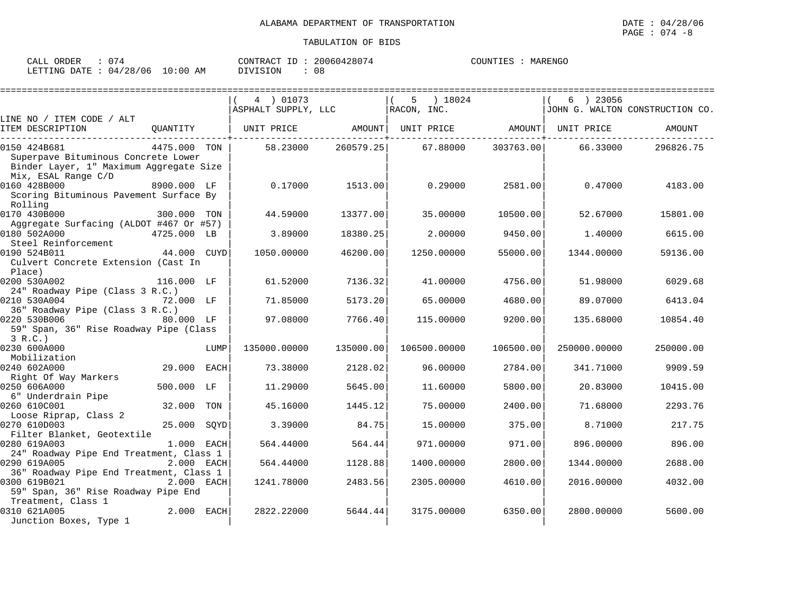| CALL ORDER                      |  | CONTRACT ID | : 20060428074 | COUNTIES | MARENGO |
|---------------------------------|--|-------------|---------------|----------|---------|
| LETTING DATE: 04/28/06 10:00 AM |  | DIVISION    | 08            |          |         |

|                                         |              |      | 4 ) 01073           |           | ) 18024<br>5      |           | 6 ) 23056    |                                 |
|-----------------------------------------|--------------|------|---------------------|-----------|-------------------|-----------|--------------|---------------------------------|
|                                         |              |      | ASPHALT SUPPLY, LLC |           | RACON, INC.       |           |              | JOHN G. WALTON CONSTRUCTION CO. |
| LINE NO / ITEM CODE / ALT               |              |      |                     |           |                   |           |              |                                 |
| ITEM DESCRIPTION                        | OUANTITY     |      | UNIT PRICE          | AMOUNT    | UNIT PRICE AMOUNT |           | UNIT PRICE   | AMOUNT                          |
| 0150 424B681                            | 4475.000 TON |      | 58.23000            | 260579.25 | 67.88000          | 303763.00 | 66.33000     | 296826.75                       |
| Superpave Bituminous Concrete Lower     |              |      |                     |           |                   |           |              |                                 |
| Binder Layer, 1" Maximum Aggregate Size |              |      |                     |           |                   |           |              |                                 |
| Mix, ESAL Range C/D                     |              |      |                     |           |                   |           |              |                                 |
| 0160 428B000                            | 8900.000 LF  |      | 0.17000             | 1513.00   | 0.29000           | 2581.00   | 0.47000      | 4183.00                         |
| Scoring Bituminous Pavement Surface By  |              |      |                     |           |                   |           |              |                                 |
| Rolling                                 |              |      |                     |           |                   |           |              |                                 |
| 0170 430B000                            | 300.000      | TON  | 44.59000            | 13377.00  | 35,00000          | 10500.00  | 52.67000     | 15801.00                        |
| Aggregate Surfacing (ALDOT #467 Or #57) |              |      |                     |           |                   |           |              |                                 |
| 0180 502A000                            | 4725.000 LB  |      | 3.89000             | 18380.25  | 2.00000           | 9450.00   | 1,40000      | 6615.00                         |
| Steel Reinforcement                     |              |      |                     |           |                   |           |              |                                 |
| 0190 524B011                            | 44.000 CUYD  |      | 1050.00000          | 46200.00  | 1250.00000        | 55000.00  | 1344.00000   | 59136.00                        |
| Culvert Concrete Extension (Cast In     |              |      |                     |           |                   |           |              |                                 |
| Place)                                  |              |      |                     |           |                   |           |              |                                 |
| 0200 530A002                            | 116.000 LF   |      | 61.52000            | 7136.32   | 41,00000          | 4756.00   | 51.98000     | 6029.68                         |
| 24" Roadway Pipe (Class 3 R.C.)         |              |      |                     |           |                   |           |              |                                 |
| 0210 530A004                            | 72.000 LF    |      | 71.85000            | 5173.20   | 65.00000          | 4680.00   | 89.07000     | 6413.04                         |
| 36" Roadway Pipe (Class 3 R.C.)         |              |      |                     |           |                   |           |              |                                 |
| 0220 530B006                            | 80.000 LF    |      | 97.08000            | 7766.40   | 115,00000         | 9200.00   | 135.68000    | 10854.40                        |
| 59" Span, 36" Rise Roadway Pipe (Class  |              |      |                     |           |                   |           |              |                                 |
| 3 R.C.<br>0230 600A000                  |              | LUMP | 135000.00000        | 135000.00 | 106500.00000      | 106500.00 | 250000.00000 | 250000.00                       |
| Mobilization                            |              |      |                     |           |                   |           |              |                                 |
| 0240 602A000                            | 29.000       | EACH | 73.38000            | 2128.02   | 96.00000          | 2784.00   | 341.71000    | 9909.59                         |
| Right Of Way Markers                    |              |      |                     |           |                   |           |              |                                 |
| 0250 606A000                            | 500.000 LF   |      | 11,29000            | 5645.00   | 11,60000          | 5800.00   | 20.83000     | 10415.00                        |
| 6" Underdrain Pipe                      |              |      |                     |           |                   |           |              |                                 |
| 0260 610C001                            | 32.000       | TON  | 45.16000            | 1445.12   | 75.00000          | 2400.00   | 71.68000     | 2293.76                         |
| Loose Riprap, Class 2                   |              |      |                     |           |                   |           |              |                                 |
| 0270 610D003                            | 25.000       | SOYD | 3.39000             | 84.75     | 15,00000          | 375.00    | 8.71000      | 217.75                          |
| Filter Blanket, Geotextile              |              |      |                     |           |                   |           |              |                                 |
| 0280 619A003                            | 1.000 EACH   |      | 564.44000           | 564.44    | 971.00000         | 971.00    | 896.00000    | 896.00                          |
| 24" Roadway Pipe End Treatment, Class 1 |              |      |                     |           |                   |           |              |                                 |
| 0290 619A005                            | 2.000 EACH   |      | 564.44000           | 1128.88   | 1400.00000        | 2800.00   | 1344.00000   | 2688.00                         |
| 36" Roadway Pipe End Treatment, Class 1 |              |      |                     |           |                   |           |              |                                 |
| 0300 619B021                            | 2.000 EACH   |      | 1241.78000          | 2483.56   | 2305.00000        | 4610.00   | 2016.00000   | 4032.00                         |
| 59" Span, 36" Rise Roadway Pipe End     |              |      |                     |           |                   |           |              |                                 |
| Treatment, Class 1                      |              |      |                     |           |                   |           |              |                                 |
| 0310 621A005                            | 2.000 EACH   |      | 2822.22000          | 5644.44   | 3175.00000        | 6350.00   | 2800.00000   | 5600.00                         |
| Junction Boxes, Type 1                  |              |      |                     |           |                   |           |              |                                 |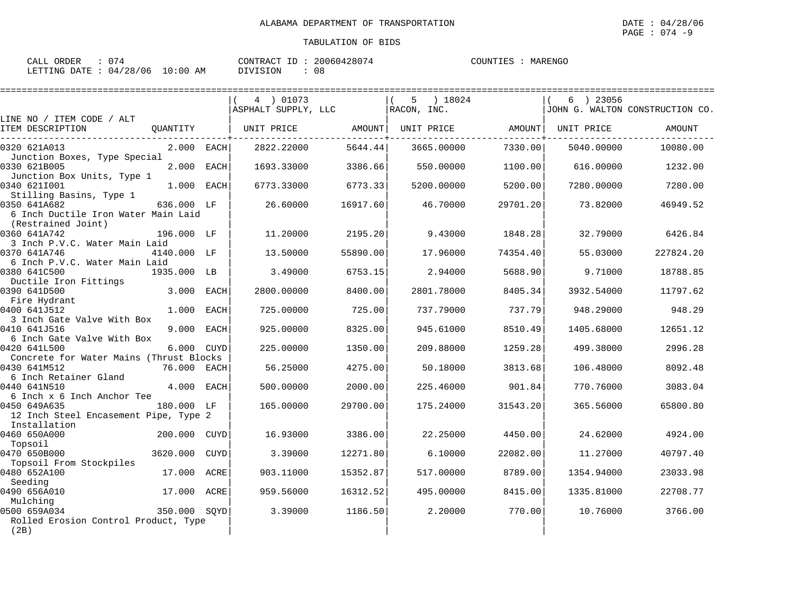| ORDER<br>CALL (                 | 074 |          | CONTRACT ID: 20060428074 | COUNTIES : | MARENGO |
|---------------------------------|-----|----------|--------------------------|------------|---------|
| LETTING DATE: 04/28/06 10:00 AM |     | DIVISION | 08                       |            |         |

|                                                           |               |      |                     |          |             |            |          |             | ============================    |
|-----------------------------------------------------------|---------------|------|---------------------|----------|-------------|------------|----------|-------------|---------------------------------|
|                                                           |               |      | 4 01073             |          | 5           | 18024      |          | $6$ ) 23056 |                                 |
| LINE NO / ITEM CODE / ALT                                 |               |      | ASPHALT SUPPLY, LLC |          | RACON, INC. |            |          |             | JOHN G. WALTON CONSTRUCTION CO. |
| ITEM DESCRIPTION                                          | QUANTITY      |      | UNIT PRICE          | AMOUNT   |             | UNIT PRICE | AMOUNT   | UNIT PRICE  | AMOUNT                          |
| 0320 621A013<br>Junction Boxes, Type Special              | $2.000$ EACH  |      | 2822.22000          | 5644.44  |             | 3665.00000 | 7330.00  | 5040.00000  | 10080.00                        |
| 0330 621B005                                              | 2.000 EACH    |      | 1693.33000          | 3386.66  |             | 550.00000  | 1100.00  | 616.00000   | 1232.00                         |
| Junction Box Units, Type 1<br>0340 6211001                | 1.000 EACH    |      | 6773.33000          | 6773.33  |             | 5200.00000 | 5200.00  | 7280.00000  | 7280.00                         |
| Stilling Basins, Type 1<br>0350 641A682                   | 636.000 LF    |      | 26.60000            | 16917.60 |             | 46.70000   | 29701.20 | 73.82000    | 46949.52                        |
| 6 Inch Ductile Iron Water Main Laid<br>(Restrained Joint) |               |      |                     |          |             |            |          |             |                                 |
| 0360 641A742<br>3 Inch P.V.C. Water Main Laid             | 196.000 LF    |      | 11,20000            | 2195.20  |             | 9.43000    | 1848.28  | 32.79000    | 6426.84                         |
| 0370 641A746<br>6 Inch P.V.C. Water Main Laid             | 4140.000 LF   |      | 13.50000            | 55890.00 |             | 17.96000   | 74354.40 | 55.03000    | 227824.20                       |
| 0380 641C500<br>Ductile Iron Fittings                     | 1935.000 LB   |      | 3.49000             | 6753.15  |             | 2.94000    | 5688.90  | 9.71000     | 18788.85                        |
| 0390 641D500<br>Fire Hydrant                              | 3.000 EACH    |      | 2800.00000          | 8400.00  |             | 2801.78000 | 8405.34  | 3932.54000  | 11797.62                        |
| 0400 641J512                                              | $1.000$ EACH  |      | 725.00000           | 725.00   |             | 737.79000  | 737.79   | 948.29000   | 948.29                          |
| 3 Inch Gate Valve With Box<br>0410 641J516                | 9.000 EACH    |      | 925.00000           | 8325.00  |             | 945.61000  | 8510.49  | 1405.68000  | 12651.12                        |
| 6 Inch Gate Valve With Box<br>0420 641L500                | 6.000         | CUYD | 225.00000           | 1350.00  |             | 209.88000  | 1259.28  | 499.38000   | 2996.28                         |
| Concrete for Water Mains (Thrust Blocks                   |               |      |                     |          |             |            |          |             |                                 |
| 0430 641M512<br>6 Inch Retainer Gland                     | 76.000 EACH   |      | 56.25000            | 4275.00  |             | 50.18000   | 3813.68  | 106.48000   | 8092.48                         |
| 0440 641N510<br>6 Inch x 6 Inch Anchor Tee                | 4.000 EACH    |      | 500.00000           | 2000.00  |             | 225.46000  | 901.84   | 770.76000   | 3083.04                         |
| 0450 649A635<br>12 Inch Steel Encasement Pipe, Type 2     | 180.000 LF    |      | 165,00000           | 29700.00 |             | 175.24000  | 31543.20 | 365.56000   | 65800.80                        |
| Installation                                              |               |      |                     |          |             |            |          |             |                                 |
| 0460 650A000<br>Topsoil                                   | 200.000       | CUYD | 16.93000            | 3386.00  |             | 22.25000   | 4450.00  | 24.62000    | 4924.00                         |
| 0470 650B000<br>Topsoil From Stockpiles                   | 3620.000 CUYD |      | 3.39000             | 12271.80 |             | 6.10000    | 22082.00 | 11.27000    | 40797.40                        |
| 0480 652A100<br>Seeding                                   | 17.000 ACRE   |      | 903.11000           | 15352.87 |             | 517.00000  | 8789.00  | 1354.94000  | 23033.98                        |
| 0490 656A010                                              | 17.000 ACRE   |      | 959.56000           | 16312.52 |             | 495.00000  | 8415.00  | 1335.81000  | 22708.77                        |
| Mulching<br>0500 659A034                                  | 350.000 SOYD  |      | 3.39000             | 1186.50  |             | 2,20000    | 770.00   | 10.76000    | 3766.00                         |
| Rolled Erosion Control Product, Type<br>(2B)              |               |      |                     |          |             |            |          |             |                                 |
|                                                           |               |      |                     |          |             |            |          |             |                                 |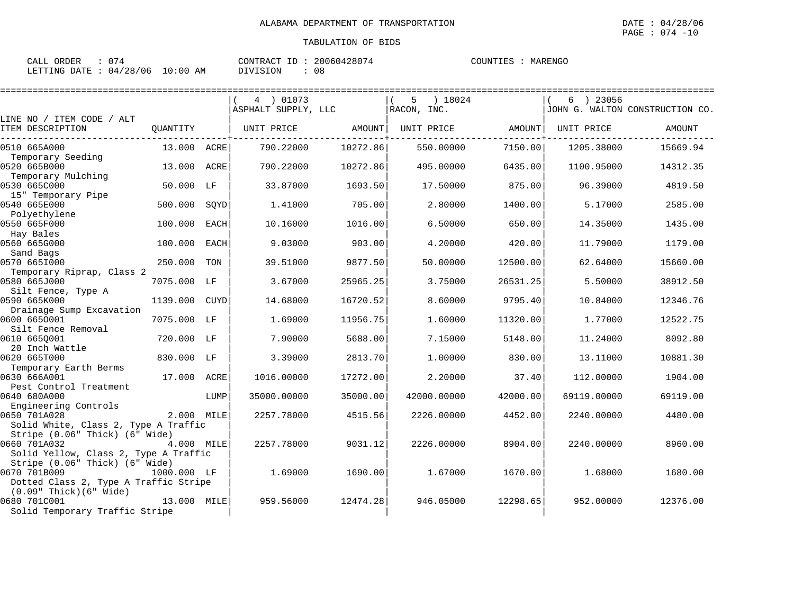| CALL ORDER                      | : 074 |          | CONTRACT ID: 20060428074 | COUNTIES : MARENGO |  |
|---------------------------------|-------|----------|--------------------------|--------------------|--|
| LETTING DATE: 04/28/06 10:00 AM |       | DIVISION | 08                       |                    |  |

|                                                                         |             |      | 4 ) 01073           |          | ) 18024<br>5 |          | 6 ) 23056   |                                 |
|-------------------------------------------------------------------------|-------------|------|---------------------|----------|--------------|----------|-------------|---------------------------------|
| LINE NO / ITEM CODE / ALT                                               |             |      | ASPHALT SUPPLY, LLC |          | RACON, INC.  |          |             | JOHN G. WALTON CONSTRUCTION CO. |
| ITEM DESCRIPTION                                                        | QUANTITY    |      | UNIT PRICE          | AMOUNT   | UNIT PRICE   | AMOUNT   | UNIT PRICE  | AMOUNT                          |
| 0510 665A000                                                            | 13.000 ACRE |      | 790.22000           | 10272.86 | 550.00000    | 7150.00  | 1205.38000  | 15669.94                        |
| Temporary Seeding<br>0520 665B000                                       | 13.000      | ACRE | 790.22000           | 10272.86 | 495.00000    | 6435.00  | 1100.95000  | 14312.35                        |
| Temporary Mulching<br>0530 665C000                                      | 50.000 LF   |      | 33.87000            | 1693.50  | 17.50000     | 875.00   | 96.39000    | 4819.50                         |
| 15" Temporary Pipe<br>0540 665E000                                      | 500.000     | SOYD | 1.41000             | 705.00   | 2.80000      | 1400.00  | 5.17000     | 2585.00                         |
| Polyethylene<br>0550 665F000                                            | 100.000     | EACH | 10.16000            | 1016.00  | 6.50000      | 650.00   | 14.35000    | 1435.00                         |
| Hay Bales<br>0560 665G000                                               | 100.000     | EACH | 9.03000             | 903.00   | 4.20000      | 420.00   | 11.79000    | 1179.00                         |
| Sand Bags<br>0570 6651000                                               | 250.000     |      | 39.51000            | 9877.50  | 50.00000     | 12500.00 | 62.64000    | 15660.00                        |
| Temporary Riprap, Class 2                                               |             | TON  |                     |          |              |          |             |                                 |
| 0580 665J000<br>Silt Fence, Type A                                      | 7075.000 LF |      | 3.67000             | 25965.25 | 3.75000      | 26531.25 | 5.50000     | 38912.50                        |
| 0590 665K000<br>Drainage Sump Excavation                                | 1139.000    | CUYD | 14.68000            | 16720.52 | 8.60000      | 9795.40  | 10.84000    | 12346.76                        |
| 0600 6650001<br>Silt Fence Removal                                      | 7075.000 LF |      | 1.69000             | 11956.75 | 1.60000      | 11320.00 | 1.77000     | 12522.75                        |
| 0610 6650001<br>20 Inch Wattle                                          | 720.000 LF  |      | 7.90000             | 5688.00  | 7.15000      | 5148.00  | 11.24000    | 8092.80                         |
| 0620 665T000                                                            | 830.000 LF  |      | 3.39000             | 2813.70  | 1,00000      | 830.00   | 13.11000    | 10881.30                        |
| Temporary Earth Berms<br>0630 666A001                                   | 17.000 ACRE |      | 1016.00000          | 17272.00 | 2.20000      | 37.40    | 112.00000   | 1904.00                         |
| Pest Control Treatment<br>0640 680A000                                  |             | LUMP | 35000.00000         | 35000.00 | 42000.00000  | 42000.00 | 69119.00000 | 69119.00                        |
| Engineering Controls<br>0650 701A028                                    | 2.000 MILE  |      | 2257.78000          | 4515.56  | 2226.00000   | 4452.00  | 2240.00000  | 4480.00                         |
| Solid White, Class 2, Type A Traffic<br>Stripe (0.06" Thick) (6" Wide)  |             |      |                     |          |              |          |             |                                 |
| 0660 701A032                                                            | 4.000 MILE  |      | 2257.78000          | 9031.12  | 2226.00000   | 8904.00  | 2240.00000  | 8960.00                         |
| Solid Yellow, Class 2, Type A Traffic<br>Stripe (0.06" Thick) (6" Wide) |             |      |                     |          |              |          |             |                                 |
| 0670 701B009<br>Dotted Class 2, Type A Traffic Stripe                   | 1000.000 LF |      | 1.69000             | 1690.00  | 1.67000      | 1670.00  | 1.68000     | 1680.00                         |
| $(0.09"$ Thick $)(6"$ Wide<br>0680 701C001                              | 13.000 MILE |      | 959.56000           | 12474.28 | 946.05000    | 12298.65 | 952.00000   | 12376.00                        |
| Solid Temporary Traffic Stripe                                          |             |      |                     |          |              |          |             |                                 |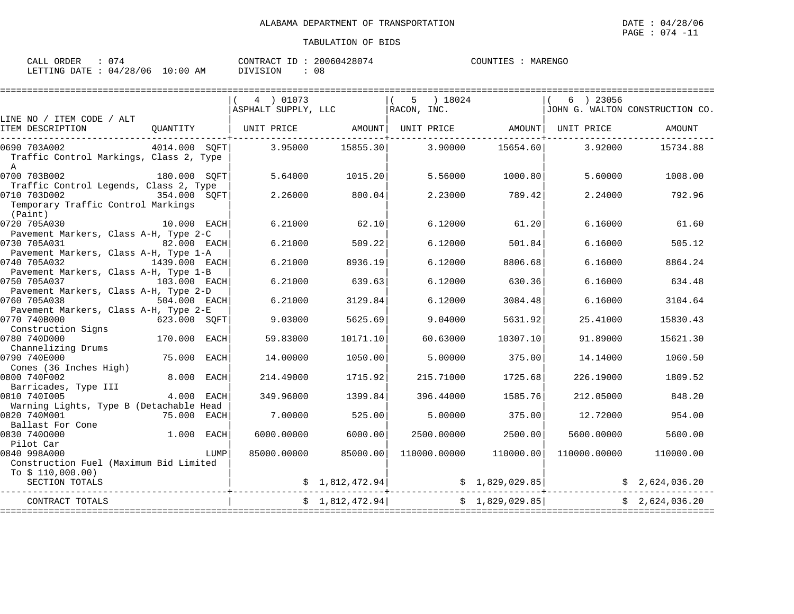| CALL ORDER                      | : 074 |          | CONTRACT ID: 20060428074 | COUNTIES : MARENGO |  |
|---------------------------------|-------|----------|--------------------------|--------------------|--|
| LETTING DATE: 04/28/06 10:00 AM |       | DIVISION | 08                       |                    |  |

| 4 ) 01073 |                                                                                                                                                                                                         | 5.                                        |                                                   | ) 23056<br>6                                                                                                                                                                                         | JOHN G. WALTON CONSTRUCTION CO.                                                                                                                                                                                                                                |
|-----------|---------------------------------------------------------------------------------------------------------------------------------------------------------------------------------------------------------|-------------------------------------------|---------------------------------------------------|------------------------------------------------------------------------------------------------------------------------------------------------------------------------------------------------------|----------------------------------------------------------------------------------------------------------------------------------------------------------------------------------------------------------------------------------------------------------------|
|           |                                                                                                                                                                                                         |                                           |                                                   |                                                                                                                                                                                                      |                                                                                                                                                                                                                                                                |
|           |                                                                                                                                                                                                         |                                           |                                                   |                                                                                                                                                                                                      | AMOUNT                                                                                                                                                                                                                                                         |
|           | 15855.30                                                                                                                                                                                                |                                           |                                                   | 3.92000                                                                                                                                                                                              | 15734.88                                                                                                                                                                                                                                                       |
|           | 1015.20                                                                                                                                                                                                 |                                           |                                                   | 5.60000                                                                                                                                                                                              | 1008.00                                                                                                                                                                                                                                                        |
|           | 800.04                                                                                                                                                                                                  |                                           |                                                   | 2.24000                                                                                                                                                                                              | 792.96                                                                                                                                                                                                                                                         |
|           | 62.10                                                                                                                                                                                                   |                                           |                                                   | 6.16000                                                                                                                                                                                              | 61.60                                                                                                                                                                                                                                                          |
|           | 509.22                                                                                                                                                                                                  |                                           |                                                   | 6.16000                                                                                                                                                                                              | 505.12                                                                                                                                                                                                                                                         |
|           | 8936.19                                                                                                                                                                                                 |                                           |                                                   | 6.16000                                                                                                                                                                                              | 8864.24                                                                                                                                                                                                                                                        |
|           | 639.63                                                                                                                                                                                                  |                                           |                                                   | 6.16000                                                                                                                                                                                              | 634.48                                                                                                                                                                                                                                                         |
|           | 3129.84                                                                                                                                                                                                 |                                           |                                                   | 6.16000                                                                                                                                                                                              | 3104.64                                                                                                                                                                                                                                                        |
|           | 5625.69                                                                                                                                                                                                 |                                           |                                                   | 25.41000                                                                                                                                                                                             | 15830.43                                                                                                                                                                                                                                                       |
|           | 10171.10                                                                                                                                                                                                |                                           |                                                   | 91.89000                                                                                                                                                                                             | 15621.30                                                                                                                                                                                                                                                       |
|           | 1050.00                                                                                                                                                                                                 |                                           |                                                   | 14.14000                                                                                                                                                                                             | 1060.50                                                                                                                                                                                                                                                        |
|           | 1715.92                                                                                                                                                                                                 |                                           |                                                   | 226.19000                                                                                                                                                                                            | 1809.52                                                                                                                                                                                                                                                        |
|           | 1399.84                                                                                                                                                                                                 |                                           |                                                   | 212,05000                                                                                                                                                                                            | 848.20                                                                                                                                                                                                                                                         |
|           | 525.00                                                                                                                                                                                                  |                                           |                                                   | 12.72000                                                                                                                                                                                             | 954.00                                                                                                                                                                                                                                                         |
|           | 6000.00                                                                                                                                                                                                 |                                           |                                                   | 5600.00000                                                                                                                                                                                           | 5600.00                                                                                                                                                                                                                                                        |
|           |                                                                                                                                                                                                         |                                           |                                                   |                                                                                                                                                                                                      |                                                                                                                                                                                                                                                                |
|           |                                                                                                                                                                                                         |                                           |                                                   |                                                                                                                                                                                                      | 110000.00                                                                                                                                                                                                                                                      |
|           |                                                                                                                                                                                                         |                                           |                                                   |                                                                                                                                                                                                      |                                                                                                                                                                                                                                                                |
|           |                                                                                                                                                                                                         |                                           |                                                   |                                                                                                                                                                                                      | \$2,624,036.20                                                                                                                                                                                                                                                 |
|           |                                                                                                                                                                                                         |                                           |                                                   |                                                                                                                                                                                                      | \$2,624,036.20                                                                                                                                                                                                                                                 |
|           | UNIT PRICE<br>3.95000<br>5.64000<br>2.26000<br>6.21000<br>6.21000<br>6.21000<br>6.21000<br>6.21000<br>9.03000<br>59.83000<br>14.00000<br>214.49000<br>349.96000<br>7.00000<br>6000.00000<br>85000.00000 | ASPHALT SUPPLY, LLC<br>AMOUNT<br>85000.00 | RACON, INC.<br>\$1,812,472.94]<br>\$1,812,472.94] | ) 18024<br>3.90000<br>5.56000<br>2.23000<br>6.12000<br>6.12000<br>6.12000<br>6.12000<br>6.12000<br>9.04000<br>60.63000<br>5,00000<br>215.71000<br>396.44000<br>5.00000<br>2500.00000<br>110000.00000 | UNIT PRICE AMOUNT UNIT PRICE<br>15654.60<br>1000.80<br>789.42<br>61.20<br>501.84<br>8806.68<br>630.36<br>3084.48<br>5631.92<br>10307.10<br>375.00<br>1725.68<br>1585.76<br>375.00<br>2500.00<br>110000.00<br>110000.00000<br>\$1,829,029.85<br>\$1,829,029.85] |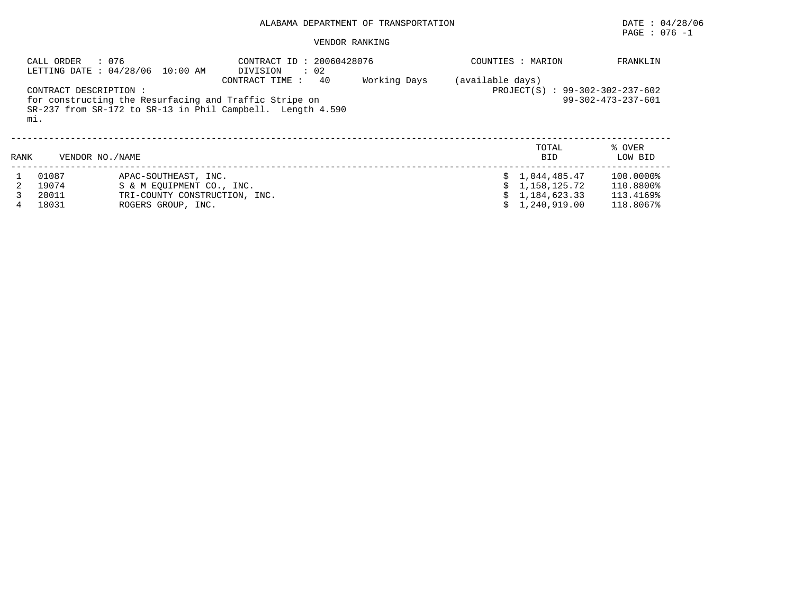# PAGE : 076 -1

# VENDOR RANKING

|      | : 076<br>CALL ORDER<br>CONTRACT DESCRIPTION :<br>mi. | LETTING DATE: 04/28/06 10:00 AM                                                                          | CONTRACT ID: 20060428076<br>: 02<br>DIVISION<br>40<br>CONTRACT TIME :<br>for constructing the Resurfacing and Traffic Stripe on<br>$SR-237$ from $SR-172$ to $SR-13$ in Phil Campbell. Length 4.590 | Working Days | (available days) | COUNTIES : MARION<br>$PROJECT(S)$ : 99-302-302-237-602         | FRANKLIN<br>$99 - 302 - 473 - 237 - 601$         |
|------|------------------------------------------------------|----------------------------------------------------------------------------------------------------------|-----------------------------------------------------------------------------------------------------------------------------------------------------------------------------------------------------|--------------|------------------|----------------------------------------------------------------|--------------------------------------------------|
| RANK | VENDOR NO./NAME                                      |                                                                                                          |                                                                                                                                                                                                     |              |                  | TOTAL<br><b>BID</b>                                            | % OVER<br>LOW BID                                |
|      | 01087<br>19074<br>20011<br>18031                     | APAC-SOUTHEAST, INC.<br>S & M EOUIPMENT CO., INC.<br>TRI-COUNTY CONSTRUCTION, INC.<br>ROGERS GROUP, INC. |                                                                                                                                                                                                     |              |                  | \$1.044.485.47<br>1,158,125.72<br>1,184,623.33<br>1,240,919.00 | 100.0000%<br>110.8800%<br>113.4169%<br>118.8067% |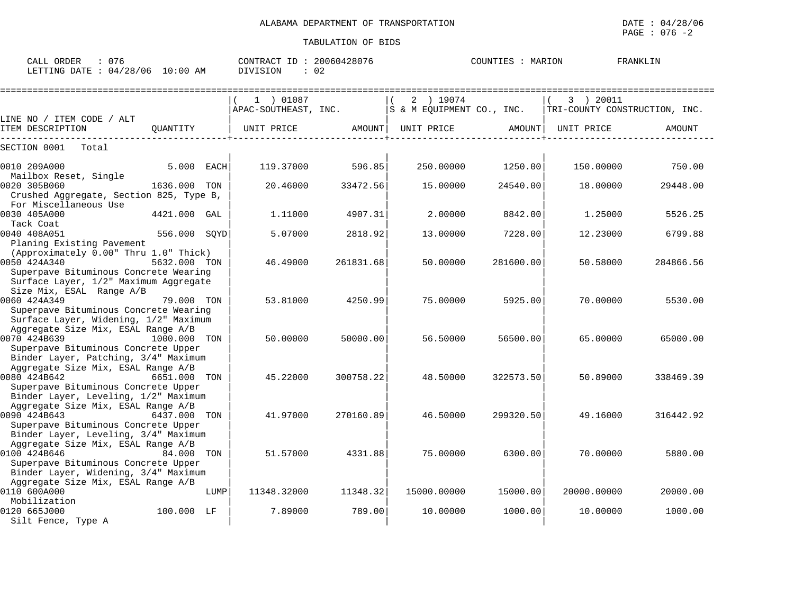| : 076<br>CALL ORDER<br>LETTING DATE : 04/28/06 10:00 AM                                                                                                                   |              |      | CONTRACT ID: 20060428076<br>DIVISION | : 02      |                                         | COUNTIES : MARION |                                            | FRANKLIN  |
|---------------------------------------------------------------------------------------------------------------------------------------------------------------------------|--------------|------|--------------------------------------|-----------|-----------------------------------------|-------------------|--------------------------------------------|-----------|
|                                                                                                                                                                           |              |      | 1 ) 01087<br>APAC-SOUTHEAST, INC.    |           | 2 ) 19074<br> S & M EQUIPMENT CO., INC. |                   | 3 ) 20011<br>TRI-COUNTY CONSTRUCTION, INC. |           |
| LINE NO / ITEM CODE / ALT<br>ITEM DESCRIPTION                                                                                                                             | OUANTITY     |      | UNIT PRICE                           | AMOUNT    | UNIT PRICE                              | AMOUNT            | UNIT PRICE                                 | AMOUNT    |
| SECTION 0001<br>Total                                                                                                                                                     |              |      |                                      |           |                                         |                   |                                            |           |
| 0010 209A000<br>Mailbox Reset, Single                                                                                                                                     | 5.000 EACH   |      | 119.37000                            | 596.85    | 250.00000                               | 1250.00           | 150.00000                                  | 750.00    |
| 0020 305B060<br>Crushed Aggregate, Section 825, Type B,<br>For Miscellaneous Use                                                                                          | 1636.000 TON |      | 20.46000                             | 33472.56  | 15,00000                                | 24540.00          | 18,00000                                   | 29448.00  |
| 0030 405A000<br>Tack Coat                                                                                                                                                 | 4421.000 GAL |      | 1,11000                              | 4907.31   | 2.00000                                 | 8842.00           | 1,25000                                    | 5526.25   |
| 0040 408A051<br>Planing Existing Pavement                                                                                                                                 | 556.000 SQYD |      | 5.07000                              | 2818.92   | 13.00000                                | 7228.00           | 12.23000                                   | 6799.88   |
| (Approximately 0.00" Thru 1.0" Thick)<br>0050 424A340<br>Superpave Bituminous Concrete Wearing<br>Surface Layer, 1/2" Maximum Aggregate                                   | 5632.000 TON |      | 46.49000                             | 261831.68 | 50.00000                                | 281600.00         | 50.58000                                   | 284866.56 |
| Size Mix, ESAL Range A/B<br>0060 424A349<br>Superpave Bituminous Concrete Wearing<br>Surface Layer, Widening, 1/2" Maximum                                                | 79.000 TON   |      | 53.81000                             | 4250.99   | 75.00000                                | 5925.00           | 70.00000                                   | 5530.00   |
| Aggregate Size Mix, ESAL Range A/B<br>0070 424B639<br>Superpave Bituminous Concrete Upper                                                                                 | 1000.000 TON |      | 50.00000                             | 50000.00  | 56.50000                                | 56500.00          | 65.00000                                   | 65000.00  |
| Binder Layer, Patching, 3/4" Maximum<br>Aggregate Size Mix, ESAL Range A/B<br>0080 424B642<br>Superpave Bituminous Concrete Upper<br>Binder Layer, Leveling, 1/2" Maximum | 6651.000 TON |      | 45.22000                             | 300758.22 | 48.50000                                | 322573.50         | 50.89000                                   | 338469.39 |
| Aggregate Size Mix, ESAL Range A/B<br>0090 424B643<br>Superpave Bituminous Concrete Upper<br>Binder Layer, Leveling, 3/4" Maximum                                         | 6437.000 TON |      | 41.97000                             | 270160.89 | 46.50000                                | 299320.50         | 49.16000                                   | 316442.92 |
| Aggregate Size Mix, ESAL Range A/B<br>0100 424B646<br>Superpave Bituminous Concrete Upper<br>Binder Layer, Widening, 3/4" Maximum                                         | 84.000 TON   |      | 51.57000                             | 4331.88   | 75.00000                                | 6300.00           | 70.00000                                   | 5880.00   |
| Aggregate Size Mix, ESAL Range A/B<br>0110 600A000                                                                                                                        |              | LUMP | 11348.32000                          | 11348.32  | 15000.00000                             | 15000.00          | 20000.00000                                | 20000.00  |
| Mobilization<br>0120 665J000<br>Silt Fence, Type A                                                                                                                        | 100.000 LF   |      | 7.89000                              | 789.00    | 10.00000                                | 1000.00           | 10.00000                                   | 1000.00   |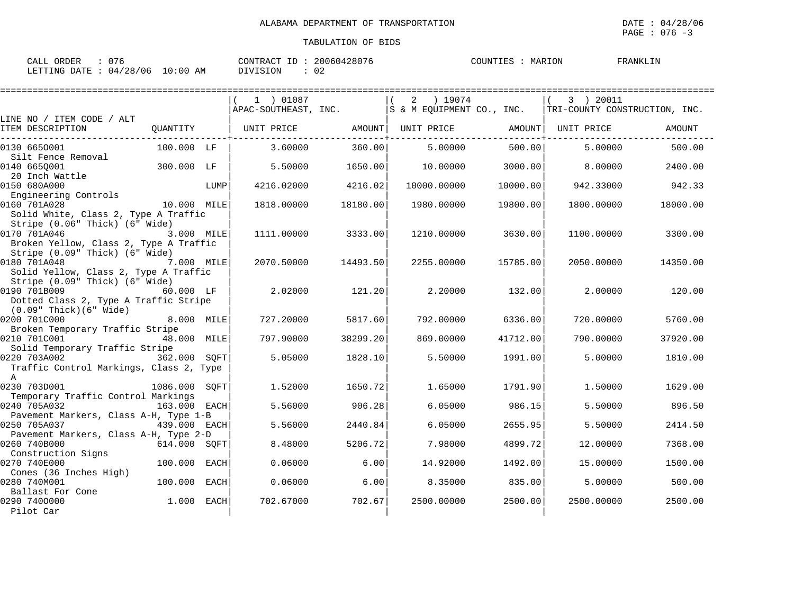| : 076<br>CALL ORDER              | CONTRACT ID: 20060428076 | COUNTIES : MARION | FRANKLIN |
|----------------------------------|--------------------------|-------------------|----------|
| LETTING DATE : 04/28/06 10:00 AM | DIVISION<br>-02          |                   |          |

|                                                                                          |               |             | 1 ) 01087            |          | 2<br>) 19074              |          | 3 ) 20011                     |          |
|------------------------------------------------------------------------------------------|---------------|-------------|----------------------|----------|---------------------------|----------|-------------------------------|----------|
|                                                                                          |               |             | APAC-SOUTHEAST, INC. |          | S & M EQUIPMENT CO., INC. |          | TRI-COUNTY CONSTRUCTION, INC. |          |
| LINE NO / ITEM CODE / ALT<br>ITEM DESCRIPTION                                            | OUANTITY      |             | UNIT PRICE           | AMOUNT   | UNIT PRICE                | AMOUNT   | UNIT PRICE                    | AMOUNT   |
| 0130 6650001<br>Silt Fence Removal                                                       | 100.000 LF    |             | 3.60000              | 360.00   | 5,00000                   | 500.00   | 5.00000                       | 500.00   |
| 0140 6650001<br>20 Inch Wattle                                                           | 300.000 LF    |             | 5.50000              | 1650.00  | 10.00000                  | 3000.00  | 8,00000                       | 2400.00  |
| 0150 680A000<br>Engineering Controls                                                     |               | LUMP        | 4216.02000           | 4216.02  | 10000.00000               | 10000.00 | 942.33000                     | 942.33   |
| 0160 701A028<br>Solid White, Class 2, Type A Traffic<br>Stripe (0.06" Thick) (6" Wide)   | 10.000 MILE   |             | 1818.00000           | 18180.00 | 1980.00000                | 19800.00 | 1800.00000                    | 18000.00 |
| 0170 701A046<br>Broken Yellow, Class 2, Type A Traffic<br>Stripe (0.09" Thick) (6" Wide) | 3.000 MILE    |             | 1111.00000           | 3333.00  | 1210.00000                | 3630.00  | 1100.00000                    | 3300.00  |
| 0180 701A048<br>Solid Yellow, Class 2, Type A Traffic<br>Stripe (0.09" Thick) (6" Wide)  | 7.000 MILE    |             | 2070.50000           | 14493.50 | 2255.00000                | 15785.00 | 2050.00000                    | 14350.00 |
| 0190 701B009<br>Dotted Class 2, Type A Traffic Stripe<br>$(0.09"$ Thick $)(6"$ Wide      | 60.000 LF     |             | 2.02000              | 121.20   | 2,20000                   | 132.00   | 2,00000                       | 120.00   |
| 0200 701C000<br>Broken Temporary Traffic Stripe                                          | 8.000 MILE    |             | 727.20000            | 5817.60  | 792.00000                 | 6336.00  | 720.00000                     | 5760.00  |
| 0210 701C001<br>Solid Temporary Traffic Stripe                                           | 48.000 MILE   |             | 797.90000            | 38299.20 | 869,00000                 | 41712.00 | 790.00000                     | 37920.00 |
| 0220 703A002<br>Traffic Control Markings, Class 2, Type<br>$\mathbb{A}$                  | 362.000 SOFT  |             | 5.05000              | 1828.10  | 5.50000                   | 1991.00  | 5.00000                       | 1810.00  |
| 0230 703D001<br>Temporary Traffic Control Markings                                       | 1086.000 SQFT |             | 1.52000              | 1650.72  | 1.65000                   | 1791.90  | 1.50000                       | 1629.00  |
| 0240 705A032<br>Pavement Markers, Class A-H, Type 1-B                                    | 163.000 EACH  |             | 5.56000              | 906.28   | 6.05000                   | 986.15   | 5.50000                       | 896.50   |
| 0250 705A037<br>Pavement Markers, Class A-H, Type 2-D                                    | 439.000 EACH  |             | 5.56000              | 2440.84  | 6.05000                   | 2655.95  | 5.50000                       | 2414.50  |
| 0260 740B000<br>Construction Signs                                                       | 614.000 SOFT  |             | 8.48000              | 5206.72  | 7.98000                   | 4899.72  | 12.00000                      | 7368.00  |
| 0270 740E000<br>Cones (36 Inches High)                                                   | 100.000       | EACH        | 0.06000              | 6.00     | 14.92000                  | 1492.00  | 15,00000                      | 1500.00  |
| 0280 740M001<br>Ballast For Cone                                                         | 100.000       | <b>EACH</b> | 0.06000              | 6.00     | 8.35000                   | 835.00   | 5.00000                       | 500.00   |
| 0290 7400000<br>Pilot Car                                                                | 1.000         | EACH        | 702.67000            | 702.67   | 2500.00000                | 2500.00  | 2500.00000                    | 2500.00  |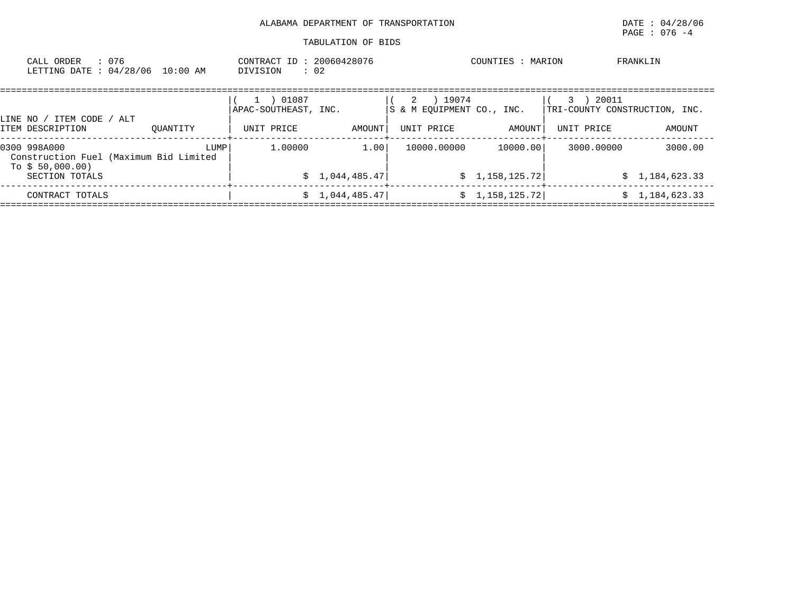# ALABAMA DEPARTMENT OF TRANSPORTATION **Example 2014 120 and 2014** to 04/28/06

| CALL ORDER<br>LETTING DATE: 04/28/06                                                         | : 076 | 10:00 AM | CONTRACT ID: 20060428076<br>DIVISION        | $\therefore$ 02         |                                                       | COUNTIES : MARION           |                                                           | FRANKLIN                |
|----------------------------------------------------------------------------------------------|-------|----------|---------------------------------------------|-------------------------|-------------------------------------------------------|-----------------------------|-----------------------------------------------------------|-------------------------|
| LINE NO / ITEM CODE / ALT<br>ITEM DESCRIPTION                                                |       | OUANTITY | 01087<br>APAC-SOUTHEAST, INC.<br>UNIT PRICE | AMOUNT                  | 19074<br>2<br>S & M EOUIPMENT CO., INC.<br>UNIT PRICE | AMOUNT                      | 20011<br>3<br>TRI-COUNTY CONSTRUCTION, INC.<br>UNIT PRICE | AMOUNT                  |
| 0300 998A000<br>Construction Fuel (Maximum Bid Limited<br>To $$50,000.00)$<br>SECTION TOTALS |       | LUMP     | 1,00000                                     | 1.001<br>\$1,044,485.47 | 10000.00000                                           | 10000.00<br>\$1,158,125.72] | 3000.00000<br>S.                                          | 3000.00<br>1,184,623.33 |
| CONTRACT TOTALS                                                                              |       |          |                                             | \$1,044,485.47          |                                                       | \$1,158,125.72]             | S.                                                        | 1,184,623.33            |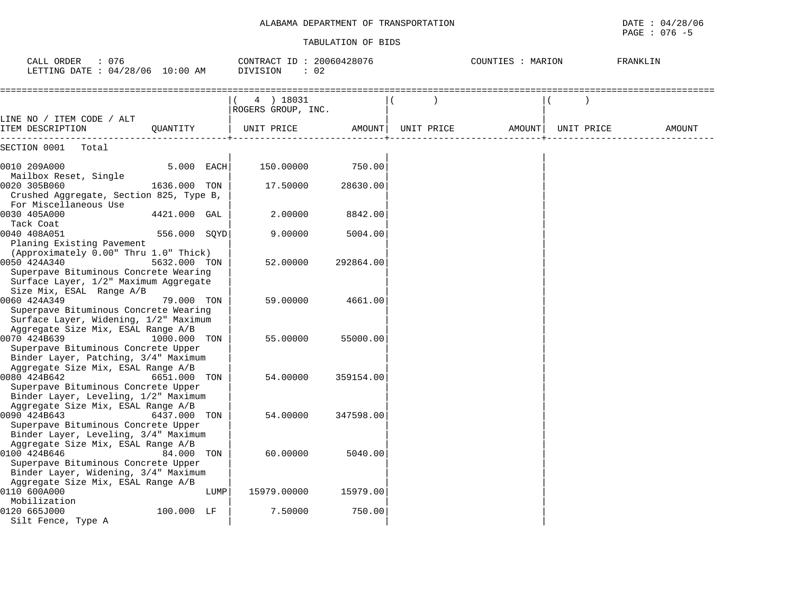| CALL ORDER<br>: 076<br>LETTING DATE : 04/28/06 10:00 AM                                                                           |              |      | CONTRACT ID: 20060428076<br><b>DIVISION</b><br>: 02 |           |            | COUNTIES : MARION |            | FRANKLIN |
|-----------------------------------------------------------------------------------------------------------------------------------|--------------|------|-----------------------------------------------------|-----------|------------|-------------------|------------|----------|
|                                                                                                                                   |              |      | 4 ) 18031<br>ROGERS GROUP, INC.                     |           |            |                   |            |          |
| LINE NO / ITEM CODE / ALT<br>ITEM DESCRIPTION                                                                                     | QUANTITY     |      | UNIT PRICE                                          | AMOUNT    | UNIT PRICE | AMOUNT            | UNIT PRICE | AMOUNT   |
| SECTION 0001<br>Total                                                                                                             |              |      |                                                     |           |            |                   |            |          |
| 0010 209A000                                                                                                                      | 5.000 EACH   |      | 150.00000                                           | 750.00    |            |                   |            |          |
| Mailbox Reset, Single<br>0020 305B060<br>Crushed Aggregate, Section 825, Type B,                                                  | 1636.000 TON |      | 17.50000                                            | 28630.00  |            |                   |            |          |
| For Miscellaneous Use<br>0030 405A000                                                                                             | 4421.000 GAL |      | 2.00000                                             | 8842.00   |            |                   |            |          |
| Tack Coat<br>0040 408A051                                                                                                         | 556.000 SQYD |      | 9.00000                                             | 5004.00   |            |                   |            |          |
| Planing Existing Pavement<br>(Approximately 0.00" Thru 1.0" Thick)<br>0050 424A340<br>Superpave Bituminous Concrete Wearing       | 5632.000 TON |      | 52.00000                                            | 292864.00 |            |                   |            |          |
| Surface Layer, 1/2" Maximum Aggregate<br>Size Mix, ESAL Range A/B                                                                 |              |      |                                                     |           |            |                   |            |          |
| 0060 424A349<br>Superpave Bituminous Concrete Wearing<br>Surface Layer, Widening, 1/2" Maximum                                    | 79.000 TON   |      | 59.00000                                            | 4661.00   |            |                   |            |          |
| Aggregate Size Mix, ESAL Range A/B<br>0070 424B639<br>Superpave Bituminous Concrete Upper                                         | 1000.000     | TON  | 55.00000                                            | 55000.00  |            |                   |            |          |
| Binder Layer, Patching, 3/4" Maximum<br>Aggregate Size Mix, ESAL Range A/B<br>0080 424B642<br>Superpave Bituminous Concrete Upper | 6651.000 TON |      | 54.00000                                            | 359154.00 |            |                   |            |          |
| Binder Layer, Leveling, 1/2" Maximum<br>Aggregate Size Mix, ESAL Range A/B<br>0090 424B643<br>Superpave Bituminous Concrete Upper | 6437.000 TON |      | 54.00000                                            | 347598.00 |            |                   |            |          |
| Binder Layer, Leveling, 3/4" Maximum<br>Aggregate Size Mix, ESAL Range A/B<br>0100 424B646                                        | 84.000 TON   |      | 60.00000                                            | 5040.00   |            |                   |            |          |
| Superpave Bituminous Concrete Upper<br>Binder Layer, Widening, 3/4" Maximum<br>Aggregate Size Mix, ESAL Range A/B                 |              |      |                                                     |           |            |                   |            |          |
| 0110 600A000<br>Mobilization                                                                                                      |              | LUMP | 15979.00000                                         | 15979.00  |            |                   |            |          |
| 0120 665J000<br>Silt Fence, Type A                                                                                                | 100.000 LF   |      | 7.50000                                             | 750.00    |            |                   |            |          |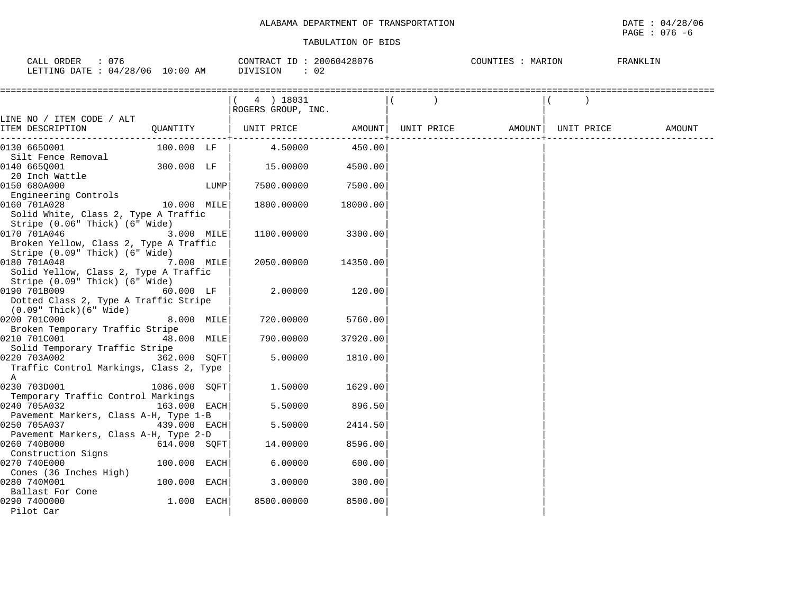# PAGE : 076 -6

| $\cap$<br>$\sim$ $\sim$ $\sim$<br>ORDER<br>$\Delta$<br>U<br>َ سِدِي | 20060428071<br>CONTRACT           | MARION<br>COUNTIES<br>. <u>.</u> | FRANKLI |
|---------------------------------------------------------------------|-----------------------------------|----------------------------------|---------|
| /28/06<br>0:00<br>DATE<br>ΑM<br>五面面<br>04<br>ING                    | ∩∩<br><b>TSION</b><br>1 I V<br>◡▵ |                                  |         |

|                                                                          |               |      | 4 ) 18031<br>ROGERS GROUP, INC. |          |                   |            |        |
|--------------------------------------------------------------------------|---------------|------|---------------------------------|----------|-------------------|------------|--------|
| LINE NO / ITEM CODE / ALT                                                |               |      |                                 |          |                   |            |        |
| ITEM DESCRIPTION                                                         | QUANTITY      |      | UNIT PRICE AMOUNT               |          | UNIT PRICE AMOUNT | UNIT PRICE | AMOUNT |
| 0130 6650001                                                             | 100.000 LF    |      | 4.50000                         | 450.00   |                   |            |        |
| Silt Fence Removal                                                       |               |      |                                 |          |                   |            |        |
| 0140 6650001                                                             | 300.000 LF    |      | 15.00000                        | 4500.00  |                   |            |        |
| 20 Inch Wattle                                                           |               |      |                                 |          |                   |            |        |
| 0150 680A000                                                             |               | LUMP | 7500.00000                      | 7500.00  |                   |            |        |
| Engineering Controls                                                     |               |      |                                 |          |                   |            |        |
| 0160 701A028                                                             | 10.000 MILE   |      | 1800.00000                      | 18000.00 |                   |            |        |
| Solid White, Class 2, Type A Traffic                                     |               |      |                                 |          |                   |            |        |
| Stripe (0.06" Thick) (6" Wide)                                           |               |      |                                 |          |                   |            |        |
| 0170 701A046                                                             | 3.000 MILE    |      | 1100.00000                      | 3300.00  |                   |            |        |
| Broken Yellow, Class 2, Type A Traffic<br>Stripe (0.09" Thick) (6" Wide) |               |      |                                 |          |                   |            |        |
| 0180 701A048                                                             | 7.000 MILE    |      | 2050.00000                      | 14350.00 |                   |            |        |
| Solid Yellow, Class 2, Type A Traffic                                    |               |      |                                 |          |                   |            |        |
| Stripe (0.09" Thick) (6" Wide)                                           |               |      |                                 |          |                   |            |        |
| 0190 701B009                                                             | 60.000 LF     |      | 2.00000                         | 120.00   |                   |            |        |
| Dotted Class 2, Type A Traffic Stripe                                    |               |      |                                 |          |                   |            |        |
| $(0.09"$ Thick $)(6"$ Wide $)$                                           |               |      |                                 |          |                   |            |        |
| 0200 701C000                                                             | 8.000 MILE    |      | 720.00000                       | 5760.00  |                   |            |        |
| Broken Temporary Traffic Stripe                                          |               |      |                                 |          |                   |            |        |
| 0210 701C001                                                             | 48.000 MILE   |      | 790.00000                       | 37920.00 |                   |            |        |
| Solid Temporary Traffic Stripe                                           |               |      |                                 |          |                   |            |        |
| 0220 703A002                                                             | 362.000 SOFT  |      | 5.00000                         | 1810.00  |                   |            |        |
| Traffic Control Markings, Class 2, Type                                  |               |      |                                 |          |                   |            |        |
| $\mathbb{A}$                                                             |               |      |                                 |          |                   |            |        |
| 0230 703D001                                                             | 1086.000 SOFT |      | 1.50000                         | 1629.00  |                   |            |        |
| Temporary Traffic Control Markings                                       |               |      |                                 |          |                   |            |        |
| 0240 705A032                                                             | 163.000 EACH  |      | 5.50000                         | 896.50   |                   |            |        |
| Pavement Markers, Class A-H, Type 1-B                                    |               |      |                                 |          |                   |            |        |
| 0250 705A037                                                             | 439.000 EACH  |      | 5.50000                         | 2414.50  |                   |            |        |
| Pavement Markers, Class A-H, Type 2-D<br>0260 740B000                    |               |      |                                 | 8596.00  |                   |            |        |
| Construction Signs                                                       | 614.000 SOFT  |      | 14.00000                        |          |                   |            |        |
| 0270 740E000                                                             | 100.000 EACH  |      | 6.00000                         | 600.00   |                   |            |        |
| Cones (36 Inches High)                                                   |               |      |                                 |          |                   |            |        |
| 0280 740M001                                                             | 100.000 EACH  |      | 3.00000                         | 300.00   |                   |            |        |
| Ballast For Cone                                                         |               |      |                                 |          |                   |            |        |
| 0290 7400000                                                             | 1.000 EACH    |      | 8500.00000                      | 8500.00  |                   |            |        |
| Pilot Car                                                                |               |      |                                 |          |                   |            |        |
|                                                                          |               |      |                                 |          |                   |            |        |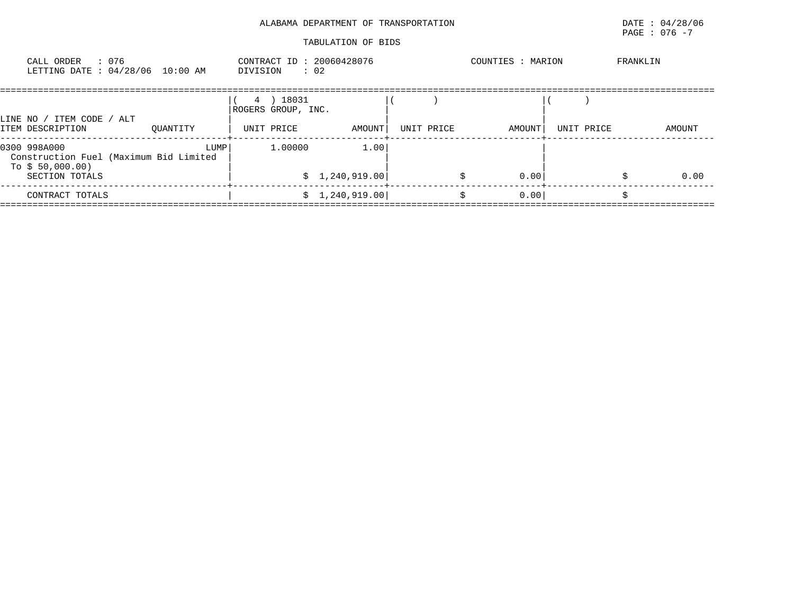|                                                                                                        | ALABAMA DEPARTMENT OF TRANSPORTATION<br>TABULATION OF BIDS |                        | DATE: 04/28/06<br>PAGE : 076 -7 |
|--------------------------------------------------------------------------------------------------------|------------------------------------------------------------|------------------------|---------------------------------|
| CALL ORDER : 076<br>LETTING DATE : 04/28/06 10:00 AM                                                   | CONTRACT ID: 20060428076<br>DIVISION : 02                  | COUNTIES : MARION      | FRANKLIN                        |
| LINE NO / ITEM CODE / ALT<br>ITEM DESCRIPTION<br>OUANTITY                                              | 4 ) 18031<br>ROGERS GROUP, INC.<br>AMOUNT<br>UNIT PRICE    | AMOUNT  <br>UNIT PRICE | UNIT PRICE<br>AMOUNT            |
| 0300 998A000<br>LUMP  <br>Construction Fuel (Maximum Bid Limited<br>To $$50,000.00)$<br>SECTION TOTALS | 1.00<br>1,00000<br>\$1,240,919.00                          | 0.00<br>\$             | 0.00                            |
| CONTRACT TOTALS                                                                                        | \$1,240,919.00                                             | 0.00<br>Ŝ.             |                                 |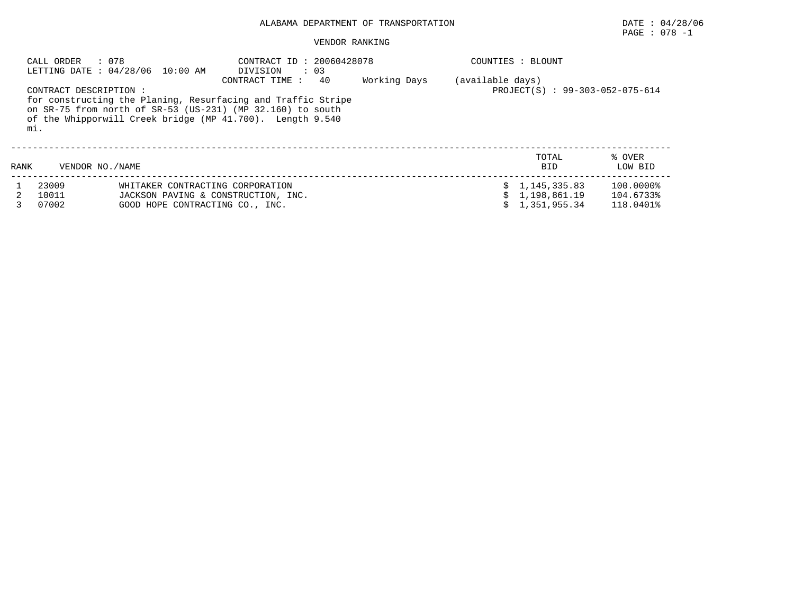#### VENDOR RANKING

|      | : 078<br>CALL ORDER          | LETTING DATE : 04/28/06 10:00 AM                                                                           | CONTRACT ID: 20060428078<br>$\cdot$ 03<br>DIVISION                                                                                                                                                              |              |                  | COUNTIES : BLOUNT                                |                                     |
|------|------------------------------|------------------------------------------------------------------------------------------------------------|-----------------------------------------------------------------------------------------------------------------------------------------------------------------------------------------------------------------|--------------|------------------|--------------------------------------------------|-------------------------------------|
|      | CONTRACT DESCRIPTION:<br>mi. |                                                                                                            | 40<br>CONTRACT TIME:<br>for constructing the Planing, Resurfacing and Traffic Stripe<br>on SR-75 from north of SR-53 (US-231) (MP 32.160) to south<br>of the Whipporwill Creek bridge (MP 41.700). Length 9.540 | Working Days | (available days) | PROJECT(S) : 99-303-052-075-614                  |                                     |
| RANK | VENDOR NO. / NAME            |                                                                                                            |                                                                                                                                                                                                                 |              |                  | TOTAL<br><b>BID</b>                              | % OVER<br>LOW BID                   |
|      | 23009<br>10011<br>07002      | WHITAKER CONTRACTING CORPORATION<br>JACKSON PAVING & CONSTRUCTION, INC.<br>GOOD HOPE CONTRACTING CO., INC. |                                                                                                                                                                                                                 |              |                  | \$1,145,335.83<br>\$1.198.861.19<br>1,351,955.34 | 100.0000%<br>104.6733%<br>118.0401% |

PAGE : 078 -1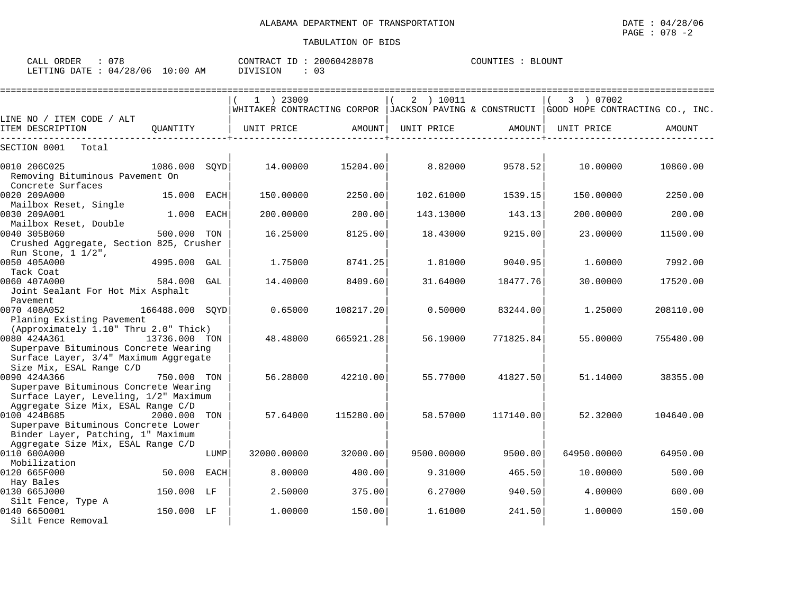| CALL<br>ORDER   | $\cap$ $\Box$ $\cap$<br>. .   |                  | CONTRA<br>. RACT | TD. | 30060428078 | COUNTIES | <b>BLOUNT</b> |
|-----------------|-------------------------------|------------------|------------------|-----|-------------|----------|---------------|
| LETTING<br>DATE | 128<br>706<br>04<br>$\lambda$ | :00<br>L O<br>AΜ | 'VISION          |     | ◡-          |          |               |

|                                                                                                                                                                          |                       | $1$ ) 23009 |           | 2 ) 10011  |           | 3 ) 07002   | WHITAKER CONTRACTING CORPOR   JACKSON PAVING & CONSTRUCTI   GOOD HOPE CONTRACTING CO., INC. |
|--------------------------------------------------------------------------------------------------------------------------------------------------------------------------|-----------------------|-------------|-----------|------------|-----------|-------------|---------------------------------------------------------------------------------------------|
| LINE NO / ITEM CODE / ALT                                                                                                                                                |                       |             |           |            |           |             |                                                                                             |
| ITEM DESCRIPTION                                                                                                                                                         | OUANTITY              | UNIT PRICE  | AMOUNT    | UNIT PRICE | AMOUNT    | UNIT PRICE  | AMOUNT                                                                                      |
| SECTION 0001<br>Total                                                                                                                                                    |                       |             |           |            |           |             |                                                                                             |
| 0010 206C025<br>Removing Bituminous Pavement On                                                                                                                          | 1086.000<br>SOYD      | 14.00000    | 15204.00  | 8.82000    | 9578.52   | 10,00000    | 10860.00                                                                                    |
| Concrete Surfaces<br>0020 209A000<br>Mailbox Reset, Single                                                                                                               | 15.000<br>EACH        | 150.00000   | 2250.00   | 102.61000  | 1539.15   | 150.00000   | 2250.00                                                                                     |
| 0030 209A001<br>Mailbox Reset, Double                                                                                                                                    | 1.000<br>EACH         | 200.00000   | 200.00    | 143.13000  | 143.13    | 200.00000   | 200.00                                                                                      |
| 0040 305B060<br>Crushed Aggregate, Section 825, Crusher                                                                                                                  | 500.000 TON           | 16.25000    | 8125.00   | 18.43000   | 9215.00   | 23.00000    | 11500.00                                                                                    |
| Run Stone, $1 \frac{1}{2}$ ,<br>0050 405A000<br>Tack Coat                                                                                                                | 4995.000 GAL          | 1.75000     | 8741.25   | 1.81000    | 9040.95   | 1.60000     | 7992.00                                                                                     |
| 0060 407A000<br>Joint Sealant For Hot Mix Asphalt                                                                                                                        | 584.000 GAL           | 14.40000    | 8409.60   | 31.64000   | 18477.76  | 30,00000    | 17520.00                                                                                    |
| Pavement<br>0070 408A052<br>Planing Existing Pavement                                                                                                                    | 166488.000 SOYD       | 0.65000     | 108217.20 | 0.50000    | 83244.00  | 1.25000     | 208110.00                                                                                   |
| (Approximately 1.10" Thru 2.0" Thick)<br>0080 424A361                                                                                                                    | 13736.000 TON         | 48.48000    | 665921.28 | 56.19000   | 771825.84 | 55.00000    | 755480.00                                                                                   |
| Superpave Bituminous Concrete Wearing<br>Surface Layer, 3/4" Maximum Aggregate<br>Size Mix, ESAL Range C/D                                                               |                       |             |           |            |           |             |                                                                                             |
| 0090 424A366<br>Superpave Bituminous Concrete Wearing                                                                                                                    | 750.000 TON           | 56.28000    | 42210.00  | 55.77000   | 41827.50  | 51.14000    | 38355.00                                                                                    |
| Surface Layer, Leveling, 1/2" Maximum<br>Aggregate Size Mix, ESAL Range C/D<br>0100 424B685<br>Superpave Bituminous Concrete Lower<br>Binder Layer, Patching, 1" Maximum | 2000.000 TON          | 57.64000    | 115280.00 | 58.57000   | 117140.00 | 52.32000    | 104640.00                                                                                   |
| Aggregate Size Mix, ESAL Range C/D<br>0110 600A000<br>Mobilization                                                                                                       | LUMP                  | 32000.00000 | 32000.00  | 9500.00000 | 9500.00   | 64950.00000 | 64950.00                                                                                    |
| 0120 665F000                                                                                                                                                             | 50.000<br><b>EACH</b> | 8.00000     | 400.00    | 9.31000    | 465.50    | 10.00000    | 500.00                                                                                      |
| Hay Bales<br>0130 665J000                                                                                                                                                | 150.000 LF            | 2.50000     | 375.00    | 6.27000    | 940.50    | 4.00000     | 600.00                                                                                      |
| Silt Fence, Type A<br>0140 6650001<br>Silt Fence Removal                                                                                                                 | 150.000 LF            | 1,00000     | 150.00    | 1.61000    | 241.50    | 1,00000     | 150.00                                                                                      |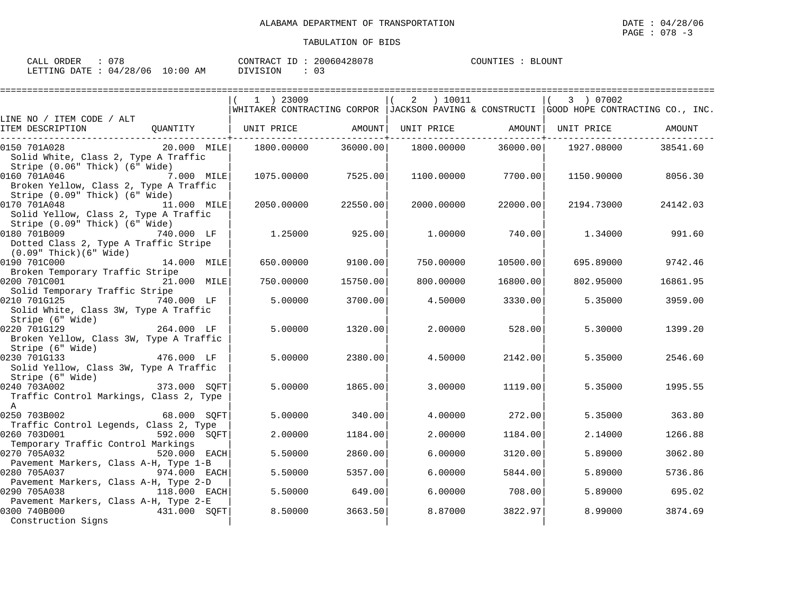| CALL ORDER : 078                |          | CONTRACT ID: 20060428078 | COUNTIES : BLOUNT |  |
|---------------------------------|----------|--------------------------|-------------------|--|
| LETTING DATE: 04/28/06 10:00 AM | DIVISION |                          |                   |  |

|                                                             |              | 1 ) 23009                                                                                       |          | 2 ) 10011         |          | 3 ) 07002  |          |
|-------------------------------------------------------------|--------------|-------------------------------------------------------------------------------------------------|----------|-------------------|----------|------------|----------|
|                                                             |              | WHITAKER CONTRACTING CORPOR $ $ JACKSON PAVING & CONSTRUCTI $ $ GOOD HOPE CONTRACTING CO., INC. |          |                   |          |            |          |
| LINE NO / ITEM CODE / ALT                                   |              |                                                                                                 |          |                   |          |            |          |
| ITEM DESCRIPTION                                            |              | QUANTITY   UNIT PRICE AMOUNT                                                                    |          | UNIT PRICE AMOUNT |          | UNIT PRICE | AMOUNT   |
| 0150 701A028                                                | 20.000 MILE  | 1800.00000                                                                                      | 36000.00 | 1800.00000        | 36000.00 | 1927.08000 | 38541.60 |
| Solid White, Class 2, Type A Traffic                        |              |                                                                                                 |          |                   |          |            |          |
| Stripe (0.06" Thick) (6" Wide)                              |              |                                                                                                 |          |                   |          |            |          |
| 0160 701A046                                                | $7.000$ MILE | 1075.00000                                                                                      | 7525.00  | 1100.00000        | 7700.00  | 1150.90000 | 8056.30  |
| Broken Yellow, Class 2, Type A Traffic                      |              |                                                                                                 |          |                   |          |            |          |
| Stripe (0.09" Thick) (6" Wide)                              |              |                                                                                                 |          |                   |          |            |          |
| 0170 701A048                                                | 11.000 MILE  | 2050.00000                                                                                      | 22550.00 | 2000.00000        | 22000.00 | 2194.73000 | 24142.03 |
| Solid Yellow, Class 2, Type A Traffic                       |              |                                                                                                 |          |                   |          |            |          |
| Stripe (0.09" Thick) (6" Wide)                              |              |                                                                                                 |          |                   |          |            |          |
| 0180 701B009                                                | 740.000 LF   | 1,25000                                                                                         | 925.00   | 1.00000           | 740.00   | 1.34000    | 991.60   |
| Dotted Class 2, Type A Traffic Stripe                       |              |                                                                                                 |          |                   |          |            |          |
| (0.09" Thick)(6" Wide)                                      |              |                                                                                                 |          |                   |          |            |          |
| 0190 701C000                                                | 14.000 MILE  | 650.00000                                                                                       | 9100.00  | 750.00000         | 10500.00 | 695.89000  | 9742.46  |
| Broken Temporary Traffic Stripe                             |              |                                                                                                 |          |                   |          |            |          |
| 0200 701C001                                                | 21.000 MILE  | 750.00000                                                                                       | 15750.00 | 800.00000         | 16800.00 | 802.95000  | 16861.95 |
| Solid Temporary Traffic Stripe                              |              |                                                                                                 |          |                   |          |            |          |
| 0210 701G125                                                | 740.000 LF   | 5.00000                                                                                         | 3700.00  | 4.50000           | 3330.00  | 5.35000    | 3959.00  |
| Solid White, Class 3W, Type A Traffic                       |              |                                                                                                 |          |                   |          |            |          |
| Stripe (6" Wide)                                            |              |                                                                                                 |          |                   |          |            |          |
| 0220 701G129                                                | 264.000 LF   | 5.00000                                                                                         | 1320.00  | 2,00000           | 528.00   | 5.30000    | 1399.20  |
| Broken Yellow, Class 3W, Type A Traffic<br>Stripe (6" Wide) |              |                                                                                                 |          |                   |          |            |          |
| 0230 701G133<br>$476.000$ LF                                |              | 5.00000                                                                                         | 2380.00  | 4.50000           | 2142.00  | 5.35000    | 2546.60  |
| Solid Yellow, Class 3W, Type A Traffic                      |              |                                                                                                 |          |                   |          |            |          |
| Stripe (6" Wide)                                            |              |                                                                                                 |          |                   |          |            |          |
| 0240 703A002                                                | 373.000 SOFT | 5.00000                                                                                         | 1865.00  | 3.00000           | 1119.00  | 5.35000    | 1995.55  |
| Traffic Control Markings, Class 2, Type                     |              |                                                                                                 |          |                   |          |            |          |
| $\overline{A}$                                              |              |                                                                                                 |          |                   |          |            |          |
| 0250 703B002                                                | 68.000 SOFT  | 5.00000                                                                                         | 340.00   | 4.00000           | 272.00   | 5.35000    | 363.80   |
| Traffic Control Legends, Class 2, Type                      |              |                                                                                                 |          |                   |          |            |          |
| 0260 703D001                                                | 592.000 SOFT | 2.00000                                                                                         | 1184.00  | 2,00000           | 1184.00  | 2.14000    | 1266.88  |
| Temporary Traffic Control Markings                          |              |                                                                                                 |          |                   |          |            |          |
| 0270 705A032                                                | 520.000 EACH | 5.50000                                                                                         | 2860.00  | 6.00000           | 3120.00  | 5.89000    | 3062.80  |
| Pavement Markers, Class A-H, Type 1-B                       |              |                                                                                                 |          |                   |          |            |          |
| 0280 705A037<br>974.000 EACH                                |              | 5.50000                                                                                         | 5357.00  | 6.00000           | 5844.00  | 5.89000    | 5736.86  |
| Pavement Markers, Class A-H, Type 2-D                       |              |                                                                                                 |          |                   |          |            |          |
| 0290 705A038                                                | 118.000 EACH | 5.50000                                                                                         | 649.00   | 6,00000           | 708.00   | 5.89000    | 695.02   |
| Pavement Markers, Class A-H, Type 2-E                       |              |                                                                                                 |          |                   |          |            |          |
| 0300 740B000                                                | 431.000 SOFT | 8.50000                                                                                         | 3663.50  | 8.87000           | 3822.97  | 8.99000    | 3874.69  |
| Construction Signs                                          |              |                                                                                                 |          |                   |          |            |          |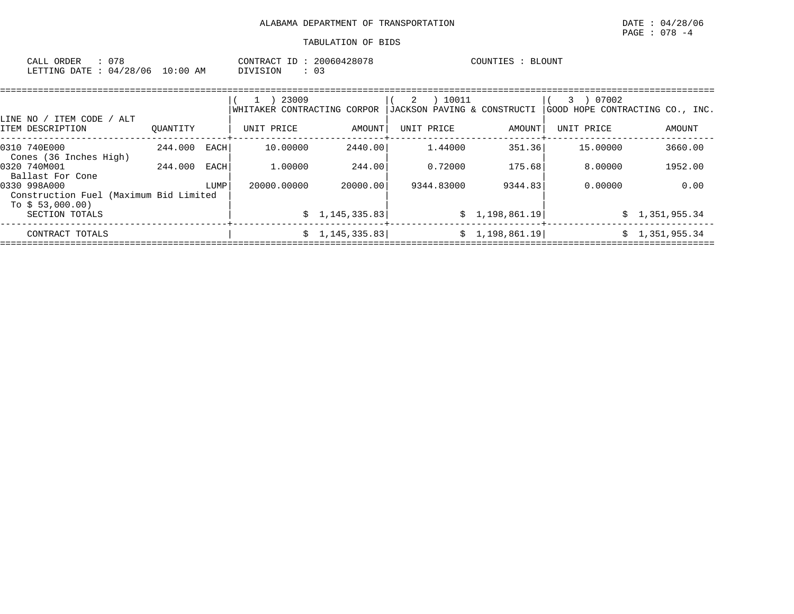| CALL (<br>ORDER | U 7 8    |             | CONTRACT ID   | 20060428078 | <b>BLOUNT</b><br>COUNTIES |
|-----------------|----------|-------------|---------------|-------------|---------------------------|
| LETTING DATE :  | 04/28/06 | 10:00<br>ΑM | TSION<br>DIVI |             |                           |

|                                                        |          |      | 23009                       |                | 10011<br>2                  |                    | 07002<br>3                      |                |
|--------------------------------------------------------|----------|------|-----------------------------|----------------|-----------------------------|--------------------|---------------------------------|----------------|
| LINE NO / ITEM CODE /<br>ALT                           |          |      | WHITAKER CONTRACTING CORPOR |                | JACKSON PAVING & CONSTRUCTI |                    | GOOD HOPE CONTRACTING CO., INC. |                |
| ITEM DESCRIPTION                                       | OUANTITY |      | UNIT PRICE                  | AMOUNT         | UNIT PRICE                  | AMOUNT             | UNIT PRICE                      | AMOUNT         |
| 0310 740E000<br>Cones (36 Inches High)                 | 244.000  | EACH | 10.00000                    | 2440.00        | 1.44000                     | 351.36             | 15,00000                        | 3660.00        |
| 0320 740M001<br>Ballast For Cone                       | 244.000  | EACH | 1,00000                     | 244.00         | 0.72000                     | 175.68             | 8.00000                         | 1952.00        |
| 0330 998A000<br>Construction Fuel (Maximum Bid Limited |          | LUMP | 20000.00000                 | 20000.00       | 9344.83000                  | 9344.83            | 0.00000                         | 0.00           |
| To $$53,000.00)$<br>SECTION TOTALS                     |          |      |                             | \$1,145,335.83 |                             | \$1,198,861.19     |                                 | \$1,351,955.34 |
| CONTRACT TOTALS                                        |          |      |                             | \$1,145,335.83 |                             | 1,198,861.19<br>Ŝ. | Ŝ.                              | 1,351,955.34   |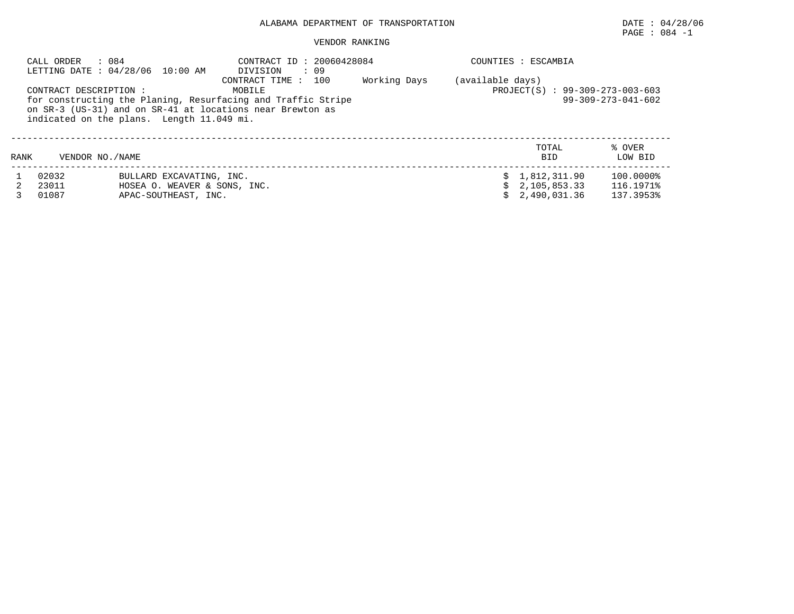# PAGE : 084 -1

### VENDOR RANKING

|      | : 084<br>CALL ORDER    | LETTING DATE: 04/28/06 10:00 AM           | CONTRACT ID: 20060428084<br>DIVISION<br>: 09                 |              |                  | COUNTIES : ESCAMBIA             |                              |
|------|------------------------|-------------------------------------------|--------------------------------------------------------------|--------------|------------------|---------------------------------|------------------------------|
|      | CONTRACT DESCRIPTION : |                                           | 100<br>CONTRACT TIME:<br>MOBILE                              | Working Days | (available days) | PROJECT(S) : 99-309-273-003-603 |                              |
|      |                        |                                           | for constructing the Planing, Resurfacing and Traffic Stripe |              |                  |                                 | $99 - 309 - 273 - 041 - 602$ |
|      |                        | indicated on the plans. Length 11.049 mi. | on SR-3 (US-31) and on SR-41 at locations near Brewton as    |              |                  |                                 |                              |
|      |                        |                                           |                                                              |              |                  |                                 |                              |
|      |                        |                                           |                                                              |              |                  | TOTAL                           | % OVER                       |
| RANK | VENDOR NO. / NAME      |                                           |                                                              |              |                  | <b>BID</b>                      | LOW BID                      |
|      | 02032                  | BULLARD EXCAVATING, INC.                  |                                                              |              |                  | \$1.812.311.90                  | 100.0000%                    |
|      | 23011                  | HOSEA O. WEAVER & SONS, INC.              |                                                              |              |                  | $\text{S}$ 2.105.853.33         | 116.1971%                    |
|      | 01087                  | APAC-SOUTHEAST, INC.                      |                                                              |              |                  | 2,490,031.36                    | 137.3953%                    |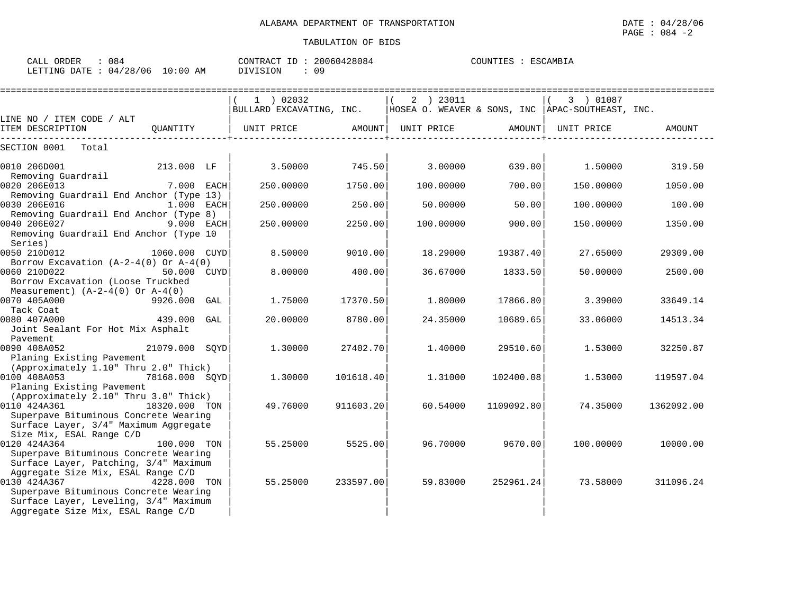| CALL ORDER                      | : 084 |          | CONTRACT ID: 20060428084 | COUNTIES : ESCAMBIA |
|---------------------------------|-------|----------|--------------------------|---------------------|
| LETTING DATE: 04/28/06 10:00 AM |       | DIVISION |                          |                     |

|                                                                                                                                                                            |                |     | =========================== |           |             | ================= |                                                    |            |
|----------------------------------------------------------------------------------------------------------------------------------------------------------------------------|----------------|-----|-----------------------------|-----------|-------------|-------------------|----------------------------------------------------|------------|
|                                                                                                                                                                            |                |     | $1$ ) 02032                 |           | $2$ ) 23011 |                   | 3 ) 01087                                          |            |
|                                                                                                                                                                            |                |     | BULLARD EXCAVATING, INC.    |           |             |                   | HOSEA O. WEAVER & SONS, INC   APAC-SOUTHEAST, INC. |            |
| LINE NO / ITEM CODE / ALT                                                                                                                                                  |                |     |                             |           |             |                   |                                                    |            |
| ITEM DESCRIPTION                                                                                                                                                           | QUANTITY       |     | UNIT PRICE                  | AMOUNT    | UNIT PRICE  | AMOUNT            | UNIT PRICE                                         | AMOUNT     |
| Total<br>SECTION 0001                                                                                                                                                      |                |     |                             |           |             |                   |                                                    |            |
| 0010 206D001<br>Removing Guardrail                                                                                                                                         | 213.000 LF     |     | 3.50000                     | 745.50    | 3.00000     | 639.00            | 1.50000                                            | 319.50     |
| 0020 206E013<br>Removing Guardrail End Anchor (Type 13)                                                                                                                    | 7.000 EACH     |     | 250.00000                   | 1750.00   | 100.00000   | 700.00            | 150.00000                                          | 1050.00    |
| 0030 206E016<br>Removing Guardrail End Anchor (Type 8)                                                                                                                     | $1.000$ EACH   |     | 250.00000                   | 250.00    | 50.00000    | 50.00             | 100,00000                                          | 100.00     |
| 0040 206E027<br>Removing Guardrail End Anchor (Type 10<br>Series)                                                                                                          | 9.000 EACH     |     | 250.00000                   | 2250.00   | 100.00000   | 900.00            | 150.00000                                          | 1350.00    |
| 0050 210D012<br>Borrow Excavation $(A-2-4(0)$ Or $A-4(0)$                                                                                                                  | 1060.000 CUYD  |     | 8.50000                     | 9010.00   | 18.29000    | 19387.40          | 27.65000                                           | 29309.00   |
| 0060 210D022<br>Borrow Excavation (Loose Truckbed<br>Measurement) $(A-2-4(0)$ Or $A-4(0)$                                                                                  | 50.000 CUYD    |     | 8.00000                     | 400.00    | 36.67000    | 1833.50           | 50.00000                                           | 2500.00    |
| 0070 405A000<br>Tack Coat                                                                                                                                                  | 9926.000       | GAL | 1.75000                     | 17370.50  | 1,80000     | 17866.80          | 3.39000                                            | 33649.14   |
| 0080 407A000<br>Joint Sealant For Hot Mix Asphalt<br>Pavement                                                                                                              | 439.000        | GAL | 20.00000                    | 8780.00   | 24.35000    | 10689.65          | 33.06000                                           | 14513.34   |
| 0090 408A052<br>Planing Existing Pavement                                                                                                                                  | 21079.000 SQYD |     | 1.30000                     | 27402.70  | 1,40000     | 29510.60          | 1.53000                                            | 32250.87   |
| (Approximately 1.10" Thru 2.0" Thick)<br>0100 408A053<br>Planing Existing Pavement                                                                                         | 78168.000 SQYD |     | 1.30000                     | 101618.40 | 1.31000     | 102400.08         | 1.53000                                            | 119597.04  |
| (Approximately 2.10" Thru 3.0" Thick)<br>0110 424A361<br>Superpave Bituminous Concrete Wearing<br>Surface Layer, 3/4" Maximum Aggregate                                    | 18320.000 TON  |     | 49.76000                    | 911603.20 | 60.54000    | 1109092.80        | 74.35000                                           | 1362092.00 |
| Size Mix, ESAL Range C/D<br>0120 424A364<br>Superpave Bituminous Concrete Wearing<br>Surface Layer, Patching, 3/4" Maximum                                                 | 100.000 TON    |     | 55.25000                    | 5525.00   | 96.70000    | 9670.00           | 100.00000                                          | 10000.00   |
| Aggregate Size Mix, ESAL Range C/D<br>0130 424A367<br>Superpave Bituminous Concrete Wearing<br>Surface Layer, Leveling, 3/4" Maximum<br>Aggregate Size Mix, ESAL Range C/D | 4228.000 TON   |     | 55.25000                    | 233597.00 | 59.83000    | 252961.24         | 73.58000                                           | 311096.24  |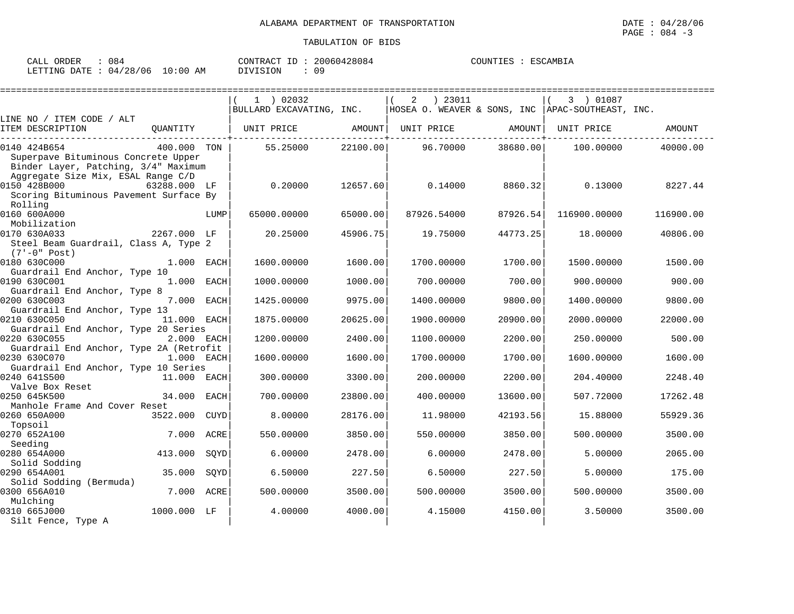| 084<br>CALL ORDER                | CONTRACT ID: 20060428084 |  | COUNTIES : ESCAMBIA |
|----------------------------------|--------------------------|--|---------------------|
| LETTING DATE : 04/28/06 10:00 AM | DIVISION                 |  |                     |

|                                                           |      | 1 ) 02032                |          | ) 23011<br>2                                       |          | 3 ) 01087    |           |
|-----------------------------------------------------------|------|--------------------------|----------|----------------------------------------------------|----------|--------------|-----------|
|                                                           |      | BULLARD EXCAVATING, INC. |          | HOSEA O. WEAVER & SONS, INC   APAC-SOUTHEAST, INC. |          |              |           |
| LINE NO / ITEM CODE / ALT<br>ITEM DESCRIPTION<br>OUANTITY |      | UNIT PRICE AMOUNT        |          | UNIT PRICE                                         | AMOUNT   | UNIT PRICE   | AMOUNT    |
|                                                           |      |                          |          |                                                    |          |              |           |
| 0140 424B654<br>400.000 TON                               |      | 55.25000                 | 22100.00 | 96.70000                                           | 38680.00 | 100.00000    | 40000.00  |
| Superpave Bituminous Concrete Upper                       |      |                          |          |                                                    |          |              |           |
| Binder Layer, Patching, 3/4" Maximum                      |      |                          |          |                                                    |          |              |           |
| Aggregate Size Mix, ESAL Range C/D                        |      |                          |          |                                                    |          |              |           |
| 0150 428B000<br>63288.000 LF                              |      | 0.20000                  | 12657.60 | 0.14000                                            | 8860.32  | 0.13000      | 8227.44   |
| Scoring Bituminous Pavement Surface By                    |      |                          |          |                                                    |          |              |           |
| Rolling                                                   |      |                          |          |                                                    |          |              |           |
| 0160 600A000                                              | LUMP | 65000.00000              | 65000.00 | 87926.54000                                        | 87926.54 | 116900.00000 | 116900.00 |
| Mobilization                                              |      |                          |          |                                                    |          |              |           |
| 0170 630A033<br>2267.000 LF                               |      | 20.25000                 | 45906.75 | 19.75000                                           | 44773.25 | 18.00000     | 40806.00  |
| Steel Beam Guardrail, Class A, Type 2                     |      |                          |          |                                                    |          |              |           |
| $(7'-0" Post)$                                            |      |                          |          |                                                    |          |              |           |
| 0180 630C000<br>$1.000$ EACH                              |      | 1600.00000               | 1600.00  | 1700.00000                                         | 1700.00  | 1500.00000   | 1500.00   |
| Guardrail End Anchor, Type 10                             |      |                          |          |                                                    |          |              |           |
| 0190 630C001<br>1.000 EACH                                |      | 1000.00000               | 1000.00  | 700.00000                                          | 700.00   | 900.00000    | 900.00    |
| Guardrail End Anchor, Type 8                              |      |                          |          |                                                    |          |              |           |
| 0200 630C003<br>7.000 EACH                                |      | 1425.00000               | 9975.00  | 1400.00000                                         | 9800.00  | 1400.00000   | 9800.00   |
| Guardrail End Anchor, Type 13                             |      |                          |          |                                                    |          |              |           |
| 11.000 EACH<br>0210 630C050                               |      | 1875.00000               | 20625.00 | 1900.00000                                         | 20900.00 | 2000.00000   | 22000.00  |
| Guardrail End Anchor, Type 20 Series                      |      |                          |          |                                                    |          |              |           |
| 0220 630C055<br>2.000 EACH                                |      | 1200.00000               | 2400.00  | 1100.00000                                         | 2200.00  | 250.00000    | 500.00    |
| Guardrail End Anchor, Type 2A (Retrofit                   |      |                          |          |                                                    |          |              |           |
| 0230 630C070<br>1.000 EACH                                |      | 1600.00000               | 1600.00  | 1700.00000                                         | 1700.00  | 1600.00000   | 1600.00   |
| Guardrail End Anchor, Type 10 Series                      |      |                          |          |                                                    |          |              |           |
| 0240 641S500<br>11.000 EACH<br>Valve Box Reset            |      | 300.00000                | 3300.00  | 200.00000                                          | 2200.00  | 204.40000    | 2248.40   |
| 0250 645K500<br>34.000 EACH                               |      | 700.00000                | 23800.00 | 400.00000                                          | 13600.00 | 507.72000    | 17262.48  |
| Manhole Frame And Cover Reset                             |      |                          |          |                                                    |          |              |           |
| 0260 650A000<br>3522.000                                  | CUYD | 8,00000                  | 28176.00 | 11,98000                                           | 42193.56 | 15.88000     | 55929.36  |
| Topsoil                                                   |      |                          |          |                                                    |          |              |           |
| 0270 652A100<br>7.000 ACRE                                |      | 550.00000                | 3850.00  | 550.00000                                          | 3850.00  | 500.00000    | 3500.00   |
| Seeding                                                   |      |                          |          |                                                    |          |              |           |
| 0280 654A000<br>413.000                                   | SOYD | 6.00000                  | 2478.00  | 6.00000                                            | 2478.00  | 5.00000      | 2065.00   |
| Solid Sodding                                             |      |                          |          |                                                    |          |              |           |
| 0290 654A001<br>35.000                                    | SOYD | 6.50000                  | 227.50   | 6.50000                                            | 227.50   | 5.00000      | 175.00    |
| Solid Sodding (Bermuda)                                   |      |                          |          |                                                    |          |              |           |
| 0300 656A010<br>7.000                                     | ACRE | 500.00000                | 3500.00  | 500.00000                                          | 3500.00  | 500.00000    | 3500.00   |
| Mulching                                                  |      |                          |          |                                                    |          |              |           |
| 0310 665J000<br>1000.000 LF                               |      | 4.00000                  | 4000.00  | 4.15000                                            | 4150.00  | 3.50000      | 3500.00   |
| Silt Fence, Type A                                        |      |                          |          |                                                    |          |              |           |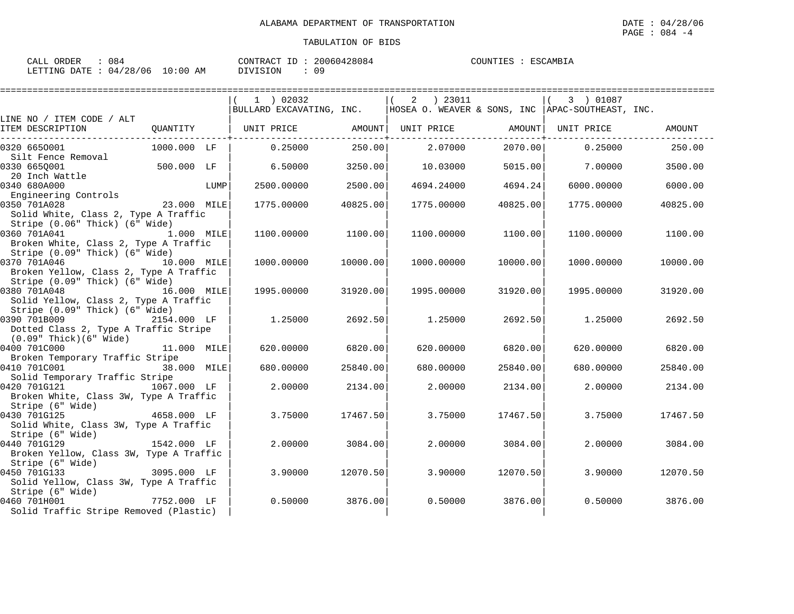| ORDER<br>CALL | 084      |             | $\tau$<br>CONTRACT<br>⊥⊥ | 20060428084 | COUNTIES | ESCAMBIA |
|---------------|----------|-------------|--------------------------|-------------|----------|----------|
| LETTING DATE  | 04/28/06 | 10:00<br>AM | DIVISION                 | 09          |          |          |

|                                                |             |      | 1 ) 02032                                                                     |          | 2   23011  |          | 3 ) 01087  |          |
|------------------------------------------------|-------------|------|-------------------------------------------------------------------------------|----------|------------|----------|------------|----------|
|                                                |             |      | BULLARD EXCAVATING, INC.   HOSEA O. WEAVER & SONS, INC   APAC-SOUTHEAST, INC. |          |            |          |            |          |
| LINE NO / ITEM CODE / ALT<br>ITEM DESCRIPTION  | QUANTITY    |      | UNIT PRICE                                                                    | AMOUNT   | UNIT PRICE | AMOUNT   | UNIT PRICE | AMOUNT   |
|                                                |             |      |                                                                               |          |            |          |            |          |
| 0320 6650001                                   | 1000.000 LF |      | 0.25000                                                                       | 250.00   | 2.07000    | 2070.00  | 0.25000    | 250.00   |
| Silt Fence Removal                             |             |      |                                                                               |          |            |          |            |          |
| 0330 6650001                                   | 500.000 LF  |      | 6.50000                                                                       | 3250.00  | 10.03000   | 5015.00  | 7.00000    | 3500.00  |
| 20 Inch Wattle                                 |             |      |                                                                               |          |            |          |            |          |
| 0340 680A000                                   |             | LUMP | 2500.00000                                                                    | 2500.00  | 4694.24000 | 4694.24  | 6000,00000 | 6000.00  |
| Engineering Controls                           |             |      |                                                                               |          |            |          |            |          |
| 0350 701A028                                   | 23.000 MILE |      | 1775.00000                                                                    | 40825.00 | 1775.00000 | 40825.00 | 1775.00000 | 40825.00 |
| Solid White, Class 2, Type A Traffic           |             |      |                                                                               |          |            |          |            |          |
| Stripe (0.06" Thick) (6" Wide)                 |             |      |                                                                               |          |            |          |            |          |
| 0360 701A041                                   | 1.000 MILE  |      | 1100.00000                                                                    | 1100.00  | 1100.00000 | 1100.00  | 1100.00000 | 1100.00  |
| Broken White, Class 2, Type A Traffic          |             |      |                                                                               |          |            |          |            |          |
| Stripe (0.09" Thick) (6" Wide)<br>0370 701A046 |             |      |                                                                               |          |            |          |            | 10000.00 |
| Broken Yellow, Class 2, Type A Traffic         | 10.000 MILE |      | 1000.00000                                                                    | 10000.00 | 1000.00000 | 10000.00 | 1000.00000 |          |
| Stripe (0.09" Thick) (6" Wide)                 |             |      |                                                                               |          |            |          |            |          |
| 0380 701A048                                   | 16.000 MILE |      | 1995.00000                                                                    | 31920.00 | 1995.00000 | 31920.00 | 1995.00000 | 31920.00 |
| Solid Yellow, Class 2, Type A Traffic          |             |      |                                                                               |          |            |          |            |          |
| Stripe (0.09" Thick) (6" Wide)                 |             |      |                                                                               |          |            |          |            |          |
| 0390 701B009                                   | 2154.000 LF |      | 1,25000                                                                       | 2692.50  | 1.25000    | 2692.50  | 1.25000    | 2692.50  |
| Dotted Class 2, Type A Traffic Stripe          |             |      |                                                                               |          |            |          |            |          |
| $(0.09"$ Thick $)(6"$ Wide $)$                 |             |      |                                                                               |          |            |          |            |          |
| 0400 701C000                                   | 11.000 MILE |      | 620.00000                                                                     | 6820.00  | 620.00000  | 6820.00  | 620.00000  | 6820.00  |
| Broken Temporary Traffic Stripe                |             |      |                                                                               |          |            |          |            |          |
| 0410 701C001                                   | 38.000 MILE |      | 680,00000                                                                     | 25840.00 | 680,00000  | 25840.00 | 680,00000  | 25840.00 |
| Solid Temporary Traffic Stripe                 |             |      |                                                                               |          |            |          |            |          |
| 0420 701G121<br>1067.000 LF                    |             |      | 2.00000                                                                       | 2134.00  | 2.00000    | 2134.00  | 2,00000    | 2134.00  |
| Broken White, Class 3W, Type A Traffic         |             |      |                                                                               |          |            |          |            |          |
| Stripe (6" Wide)                               |             |      |                                                                               |          |            |          |            |          |
| 0430 701G125                                   | 4658.000 LF |      | 3.75000                                                                       | 17467.50 | 3.75000    | 17467.50 | 3.75000    | 17467.50 |
| Solid White, Class 3W, Type A Traffic          |             |      |                                                                               |          |            |          |            |          |
| Stripe (6" Wide)                               |             |      |                                                                               |          |            |          |            |          |
| 0440 701G129                                   | 1542.000 LF |      | 2.00000                                                                       | 3084.00  | 2,00000    | 3084.00  | 2,00000    | 3084.00  |
| Broken Yellow, Class 3W, Type A Traffic        |             |      |                                                                               |          |            |          |            |          |
| Stripe (6" Wide)                               |             |      |                                                                               |          |            |          |            |          |
| 0450 701G133                                   | 3095.000 LF |      | 3.90000                                                                       | 12070.50 | 3.90000    | 12070.50 | 3.90000    | 12070.50 |
| Solid Yellow, Class 3W, Type A Traffic         |             |      |                                                                               |          |            |          |            |          |
| Stripe (6" Wide)                               |             |      |                                                                               |          |            |          |            |          |
| 0460 701H001                                   | 7752.000 LF |      | 0.50000                                                                       | 3876.00  | 0.50000    | 3876.00  | 0.50000    | 3876.00  |
| Solid Traffic Stripe Removed (Plastic)         |             |      |                                                                               |          |            |          |            |          |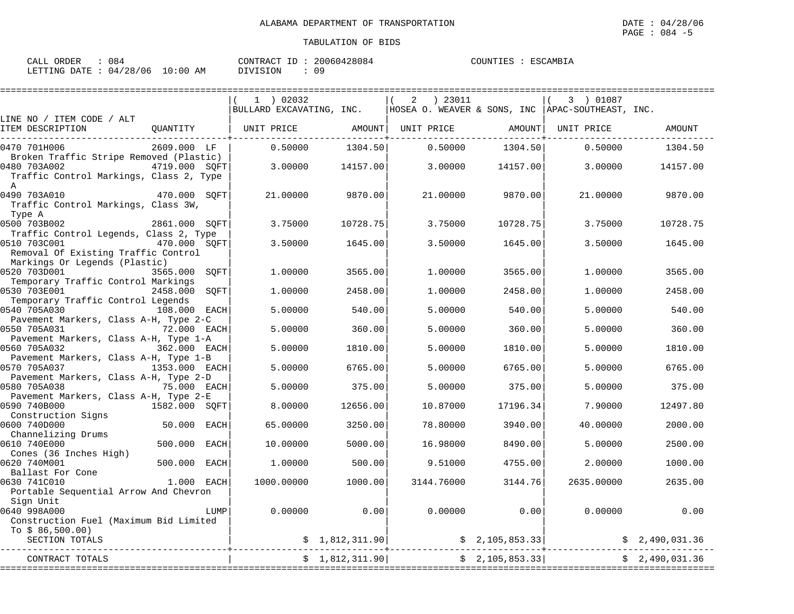| ORDER<br>CALL                | 084 | 20060428084<br>CONTRACT ID | COUNTIES<br>ESCAMBIA |
|------------------------------|-----|----------------------------|----------------------|
| LETTING DATE: 04/28/06 10:00 | AΜ  | 09<br>DIVISION             |                      |

|                                                                                                                 | $1$ ) 02032            |                | ) 23011<br>2 |                              | 3 ) 01087                                                                     |                |
|-----------------------------------------------------------------------------------------------------------------|------------------------|----------------|--------------|------------------------------|-------------------------------------------------------------------------------|----------------|
|                                                                                                                 |                        |                |              |                              | BULLARD EXCAVATING, INC.   HOSEA O. WEAVER & SONS, INC   APAC-SOUTHEAST, INC. |                |
| LINE NO / ITEM CODE / ALT<br>ITEM DESCRIPTION<br>OUANTITY                                                       | UNIT PRICE             | AMOUNT         | UNIT PRICE   | AMOUNT                       | UNIT PRICE                                                                    | <b>AMOUNT</b>  |
| 0470 701H006<br>2609.000 LF<br>Broken Traffic Stripe Removed (Plastic)                                          | 0.50000                | 1304.50        | 0.50000      | 1304.50                      | 0.50000                                                                       | 1304.50        |
| 0480 703A002<br>4719.000 SOFT<br>Traffic Control Markings, Class 2, Type<br>$\mathbb{A}$                        | 3.00000                | 14157.00       | 3.00000      | 14157.00                     | 3,00000                                                                       | 14157.00       |
| 0490 703A010<br>470.000 SOFT<br>Traffic Control Markings, Class 3W,<br>Type A                                   | 21,00000               | 9870.00        | 21.00000     | 9870.00                      | 21,00000                                                                      | 9870.00        |
| 0500 703B002<br>2861.000 SQFT<br>Traffic Control Legends, Class 2, Type                                         | 3.75000                | 10728.75       | 3.75000      | 10728.75                     | 3.75000                                                                       | 10728.75       |
| 0510 703C001<br>470.000 SOFT<br>Removal Of Existing Traffic Control                                             | 3.50000                | 1645.00        | 3.50000      | 1645.00                      | 3.50000                                                                       | 1645.00        |
| Markings Or Legends (Plastic)<br>0520 703D001<br>3565.000                                                       | SOFT<br>1,00000        | 3565.00        | 1,00000      | 3565.00                      | 1,00000                                                                       | 3565.00        |
| Temporary Traffic Control Markings<br>0530 703E001<br>2458.000                                                  | SOFT<br>1.00000        | 2458.00        | 1,00000      | 2458.00                      | 1,00000                                                                       | 2458.00        |
| Temporary Traffic Control Legends<br>0540 705A030<br>108.000 EACH                                               | 5.00000                | 540.00         | 5.00000      | 540.00                       | 5,00000                                                                       | 540.00         |
| Pavement Markers, Class A-H, Type 2-C<br>0550 705A031<br>72.000 EACH                                            | 5.00000                | 360.00         | 5.00000      | 360.00                       | 5,00000                                                                       | 360.00         |
| Pavement Markers, Class A-H, Type 1-A<br>0560 705A032<br>362.000 EACH                                           | 5.00000                | 1810.00        | 5.00000      | 1810.00                      | 5.00000                                                                       | 1810.00        |
| Pavement Markers, Class A-H, Type 1-B<br>0570 705A037<br>1353.000 EACH<br>Pavement Markers, Class A-H, Type 2-D | 5.00000                | 6765.00        | 5.00000      | 6765.00                      | 5.00000                                                                       | 6765.00        |
| 0580 705A038<br>75.000 EACH<br>Pavement Markers, Class A-H, Type 2-E                                            | 5.00000                | 375.00         | 5.00000      | 375.00                       | 5.00000                                                                       | 375.00         |
| 0590 740B000<br>1582.000 SOFT<br>Construction Signs                                                             | 8,00000                | 12656.00       | 10.87000     | 17196.34                     | 7.90000                                                                       | 12497.80       |
| 0600 740D000<br>50.000<br>Channelizing Drums                                                                    | 65.00000<br>EACH       | 3250.00        | 78.80000     | 3940.00                      | 40.00000                                                                      | 2000.00        |
| 0610 740E000<br>500.000<br>Cones (36 Inches High)                                                               | EACH<br>10.00000       | 5000.00        | 16.98000     | 8490.00                      | 5.00000                                                                       | 2500.00        |
| 0620 740M001<br>500.000<br>Ballast For Cone                                                                     | 1.00000<br><b>EACH</b> | 500.00         | 9.51000      | 4755.00                      | 2.00000                                                                       | 1000.00        |
| 0630 741C010<br>1.000 EACH<br>Portable Sequential Arrow And Chevron                                             | 1000.00000             | 1000.00        | 3144.76000   | 3144.76                      | 2635.00000                                                                    | 2635.00        |
| Sign Unit<br>0640 998A000<br>Construction Fuel (Maximum Bid Limited                                             | 0.00000<br>LUMP        | 0.00           | 0.00000      | 0.00                         | 0.00000                                                                       | 0.00           |
| To $$86,500.00)$<br>SECTION TOTALS                                                                              |                        | \$1,812,311.90 |              | $\frac{1}{5}$ 2, 105, 853.33 |                                                                               | \$2,490,031.36 |
| CONTRACT TOTALS                                                                                                 |                        | \$1,812,311.90 |              | \$2,105,853.33]              |                                                                               | \$2,490,031.36 |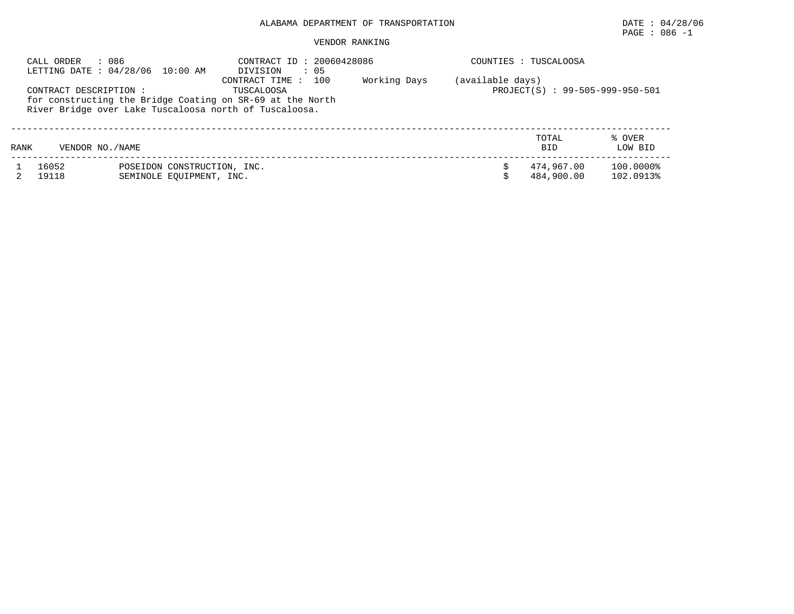# $\texttt{PAGE}$  : 086 -1

# VENDOR RANKING

| : 086<br>CALL ORDER<br>LETTING DATE: 04/28/06 10:00 AM |                                                        | CONTRACT ID: 20060428086<br>: 05<br>DIVISION                                                      |              | COUNTIES : TUSCALOOSA |                                 |                   |  |  |
|--------------------------------------------------------|--------------------------------------------------------|---------------------------------------------------------------------------------------------------|--------------|-----------------------|---------------------------------|-------------------|--|--|
| CONTRACT DESCRIPTION :                                 | River Bridge over Lake Tuscaloosa north of Tuscaloosa. | 100<br>CONTRACT TIME :<br>TUSCALOOSA<br>for constructing the Bridge Coating on SR-69 at the North | Working Days | (available days)      | PROJECT(S) : 99-505-999-950-501 |                   |  |  |
| RANK                                                   | VENDOR NO. / NAME                                      |                                                                                                   |              |                       | TOTAL<br><b>BID</b>             | % OVER<br>LOW BID |  |  |
| 16052                                                  | POSEIDON CONSTRUCTION, INC.                            |                                                                                                   |              |                       | 474.967.00                      | 100.0000%         |  |  |

2 19118 SEMINOLE EQUIPMENT, INC. \$ 484,900.00 102.0913%